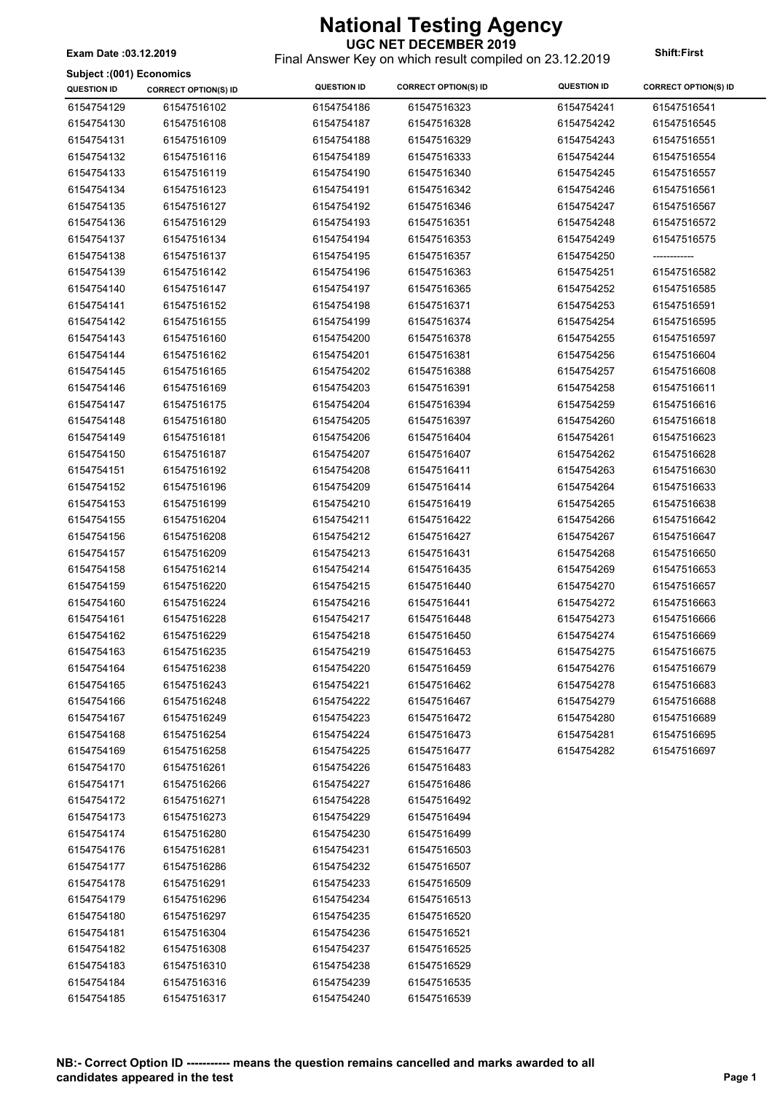**Subject :(001) Economics**

### **UGC NET DECEMBER 2019**

Final Answer Key on which result compiled on 23.12.2019 **Exam Date :03.12.2019 Shift:First**

| oanject (loo i ji Economica<br><b>QUESTION ID</b> | <b>CORRECT OPTION(S) ID</b> | <b>QUESTION ID</b>       | <b>CORRECT OPTION(S) ID</b> | <b>QUESTION ID</b> | <b>CORRECT OPTION(S) ID</b> |
|---------------------------------------------------|-----------------------------|--------------------------|-----------------------------|--------------------|-----------------------------|
| 6154754129                                        | 61547516102                 | 6154754186               | 61547516323                 | 6154754241         | 61547516541                 |
| 6154754130                                        | 61547516108                 | 6154754187               | 61547516328                 | 6154754242         | 61547516545                 |
| 6154754131                                        | 61547516109                 | 6154754188               | 61547516329                 | 6154754243         | 61547516551                 |
| 6154754132                                        | 61547516116                 | 6154754189               | 61547516333                 | 6154754244         | 61547516554                 |
| 6154754133                                        | 61547516119                 | 6154754190               | 61547516340                 | 6154754245         | 61547516557                 |
| 6154754134                                        | 61547516123                 | 6154754191               | 61547516342                 | 6154754246         | 61547516561                 |
| 6154754135                                        | 61547516127                 | 6154754192               | 61547516346                 | 6154754247         | 61547516567                 |
| 6154754136                                        | 61547516129                 | 6154754193               | 61547516351                 | 6154754248         | 61547516572                 |
| 6154754137                                        | 61547516134                 | 6154754194               | 61547516353                 | 6154754249         | 61547516575                 |
| 6154754138                                        | 61547516137                 | 6154754195               | 61547516357                 | 6154754250         | ------------                |
| 6154754139                                        | 61547516142                 | 6154754196               | 61547516363                 | 6154754251         | 61547516582                 |
| 6154754140                                        | 61547516147                 | 6154754197               | 61547516365                 | 6154754252         | 61547516585                 |
| 6154754141                                        | 61547516152                 | 6154754198               | 61547516371                 | 6154754253         | 61547516591                 |
| 6154754142                                        | 61547516155                 | 6154754199               | 61547516374                 | 6154754254         | 61547516595                 |
| 6154754143                                        | 61547516160                 | 6154754200               | 61547516378                 | 6154754255         | 61547516597                 |
| 6154754144                                        | 61547516162                 | 6154754201               | 61547516381                 | 6154754256         | 61547516604                 |
| 6154754145                                        | 61547516165                 | 6154754202               | 61547516388                 | 6154754257         | 61547516608                 |
| 6154754146                                        | 61547516169                 | 6154754203               | 61547516391                 | 6154754258         | 61547516611                 |
| 6154754147                                        | 61547516175                 | 6154754204               | 61547516394                 | 6154754259         | 61547516616                 |
| 6154754148                                        | 61547516180                 | 6154754205               | 61547516397                 | 6154754260         | 61547516618                 |
| 6154754149                                        | 61547516181                 | 6154754206               | 61547516404                 | 6154754261         | 61547516623                 |
| 6154754150                                        | 61547516187                 | 6154754207               | 61547516407                 | 6154754262         | 61547516628                 |
| 6154754151                                        | 61547516192                 | 6154754208               | 61547516411                 | 6154754263         | 61547516630                 |
| 6154754152                                        | 61547516196                 | 6154754209               | 61547516414                 | 6154754264         | 61547516633                 |
| 6154754153                                        | 61547516199                 | 6154754210               | 61547516419                 | 6154754265         | 61547516638                 |
| 6154754155                                        | 61547516204                 | 6154754211               | 61547516422                 | 6154754266         | 61547516642                 |
| 6154754156                                        | 61547516208                 | 6154754212               | 61547516427                 | 6154754267         | 61547516647                 |
| 6154754157                                        | 61547516209                 | 6154754213               | 61547516431                 | 6154754268         | 61547516650                 |
| 6154754158                                        | 61547516214                 | 6154754214               | 61547516435                 | 6154754269         | 61547516653                 |
| 6154754159                                        | 61547516220                 | 6154754215               | 61547516440                 | 6154754270         | 61547516657                 |
| 6154754160                                        | 61547516224                 | 6154754216               | 61547516441                 | 6154754272         | 61547516663                 |
| 6154754161                                        | 61547516228                 | 6154754217               | 61547516448                 | 6154754273         | 61547516666                 |
| 6154754162                                        | 61547516229                 | 6154754218               | 61547516450                 | 6154754274         | 61547516669                 |
| 6154754163                                        | 61547516235                 | 6154754219               | 61547516453                 | 6154754275         | 61547516675                 |
| 6154754164                                        | 61547516238                 | 6154754220               | 61547516459                 | 6154754276         | 61547516679                 |
| 6154754165                                        | 61547516243                 | 6154754221               | 61547516462                 | 6154754278         | 61547516683                 |
| 6154754166                                        | 61547516248                 | 6154754222               | 61547516467                 | 6154754279         | 61547516688                 |
| 6154754167                                        | 61547516249                 | 6154754223               | 61547516472                 | 6154754280         | 61547516689                 |
| 6154754168                                        | 61547516254                 | 6154754224               | 61547516473                 | 6154754281         | 61547516695                 |
| 6154754169                                        | 61547516258                 | 6154754225               | 61547516477                 | 6154754282         | 61547516697                 |
| 6154754170                                        | 61547516261                 | 6154754226               | 61547516483                 |                    |                             |
| 6154754171                                        | 61547516266                 | 6154754227               | 61547516486                 |                    |                             |
| 6154754172                                        | 61547516271                 | 6154754228               | 61547516492                 |                    |                             |
| 6154754173                                        | 61547516273                 | 6154754229               | 61547516494                 |                    |                             |
| 6154754174                                        | 61547516280                 | 6154754230               | 61547516499                 |                    |                             |
|                                                   |                             |                          |                             |                    |                             |
| 6154754176<br>6154754177                          | 61547516281<br>61547516286  | 6154754231<br>6154754232 | 61547516503<br>61547516507  |                    |                             |
|                                                   |                             |                          |                             |                    |                             |
| 6154754178<br>6154754179                          | 61547516291<br>61547516296  | 6154754233<br>6154754234 | 61547516509<br>61547516513  |                    |                             |
| 6154754180                                        | 61547516297                 | 6154754235               | 61547516520                 |                    |                             |
| 6154754181                                        | 61547516304                 | 6154754236               | 61547516521                 |                    |                             |
| 6154754182                                        | 61547516308                 | 6154754237               | 61547516525                 |                    |                             |
| 6154754183                                        | 61547516310                 | 6154754238               | 61547516529                 |                    |                             |
| 6154754184                                        | 61547516316                 | 6154754239               | 61547516535                 |                    |                             |
| 6154754185                                        | 61547516317                 | 6154754240               | 61547516539                 |                    |                             |
|                                                   |                             |                          |                             |                    |                             |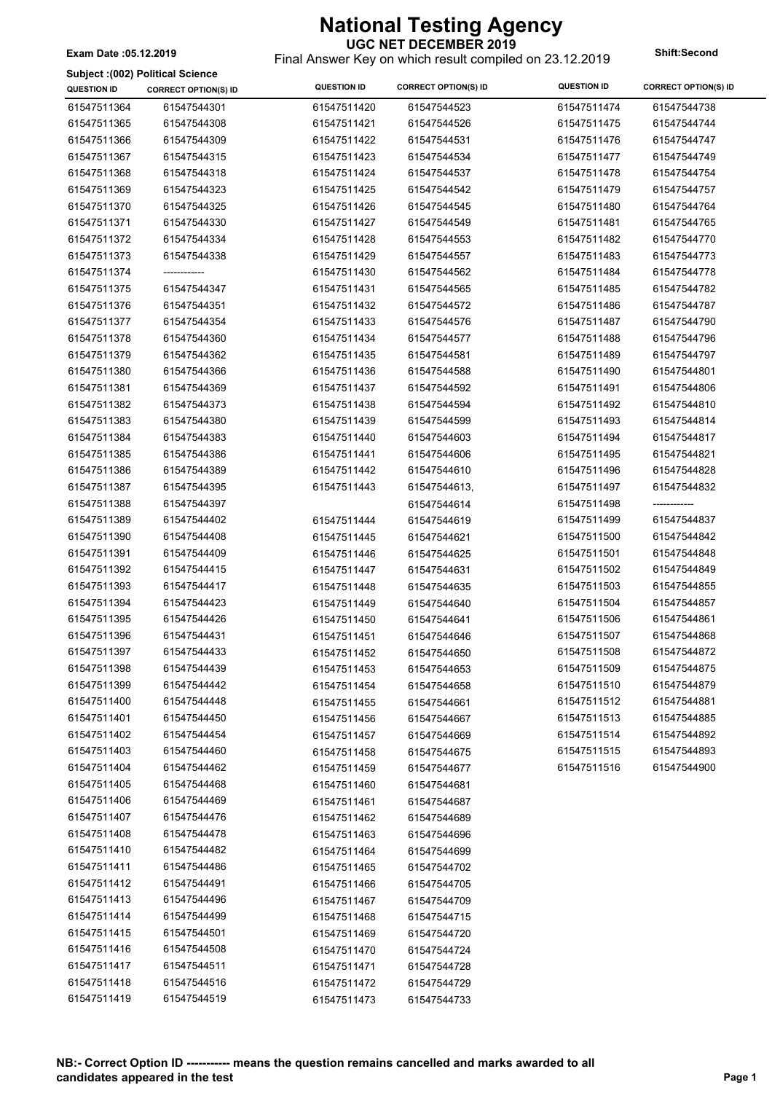Final Answer Key on which result compiled on 23.12.2019 **Exam Date :05.12.2019 Shift:Second**

|                    | Subject: (002) Political Science |                            |                             |                    |                             |
|--------------------|----------------------------------|----------------------------|-----------------------------|--------------------|-----------------------------|
| <b>QUESTION ID</b> | <b>CORRECT OPTION(S) ID</b>      | <b>QUESTION ID</b>         | <b>CORRECT OPTION(S) ID</b> | <b>QUESTION ID</b> | <b>CORRECT OPTION(S) ID</b> |
| 61547511364        | 61547544301                      | 61547511420                | 61547544523                 | 61547511474        | 61547544738                 |
| 61547511365        | 61547544308                      | 61547511421                | 61547544526                 | 61547511475        | 61547544744                 |
| 61547511366        | 61547544309                      | 61547511422                | 61547544531                 | 61547511476        | 61547544747                 |
| 61547511367        | 61547544315                      | 61547511423                | 61547544534                 | 61547511477        | 61547544749                 |
| 61547511368        | 61547544318                      | 61547511424                | 61547544537                 | 61547511478        | 61547544754                 |
| 61547511369        | 61547544323                      | 61547511425                | 61547544542                 | 61547511479        | 61547544757                 |
| 61547511370        | 61547544325                      | 61547511426                | 61547544545                 | 61547511480        | 61547544764                 |
| 61547511371        | 61547544330                      | 61547511427                | 61547544549                 | 61547511481        | 61547544765                 |
| 61547511372        | 61547544334                      | 61547511428                | 61547544553                 | 61547511482        | 61547544770                 |
| 61547511373        | 61547544338                      | 61547511429                | 61547544557                 | 61547511483        | 61547544773                 |
| 61547511374        |                                  | 61547511430                | 61547544562                 | 61547511484        | 61547544778                 |
| 61547511375        | 61547544347                      | 61547511431                | 61547544565                 | 61547511485        | 61547544782                 |
| 61547511376        | 61547544351                      | 61547511432                | 61547544572                 | 61547511486        | 61547544787                 |
| 61547511377        | 61547544354                      | 61547511433                | 61547544576                 | 61547511487        | 61547544790                 |
| 61547511378        | 61547544360                      | 61547511434                | 61547544577                 | 61547511488        | 61547544796                 |
| 61547511379        | 61547544362                      | 61547511435                | 61547544581                 | 61547511489        | 61547544797                 |
| 61547511380        | 61547544366                      | 61547511436                | 61547544588                 | 61547511490        | 61547544801                 |
| 61547511381        | 61547544369                      | 61547511437                | 61547544592                 | 61547511491        | 61547544806                 |
| 61547511382        | 61547544373                      | 61547511438                | 61547544594                 | 61547511492        | 61547544810                 |
| 61547511383        | 61547544380                      | 61547511439                | 61547544599                 | 61547511493        | 61547544814                 |
| 61547511384        | 61547544383                      | 61547511440                | 61547544603                 | 61547511494        | 61547544817                 |
| 61547511385        | 61547544386                      | 61547511441                | 61547544606                 | 61547511495        | 61547544821                 |
| 61547511386        | 61547544389                      | 61547511442                | 61547544610                 | 61547511496        | 61547544828                 |
| 61547511387        | 61547544395                      | 61547511443                | 61547544613,                | 61547511497        | 61547544832                 |
| 61547511388        | 61547544397                      |                            | 61547544614                 | 61547511498        | ------------                |
| 61547511389        | 61547544402                      | 61547511444                | 61547544619                 | 61547511499        | 61547544837                 |
| 61547511390        | 61547544408                      | 61547511445                | 61547544621                 | 61547511500        | 61547544842                 |
| 61547511391        | 61547544409                      | 61547511446                | 61547544625                 | 61547511501        | 61547544848                 |
| 61547511392        | 61547544415                      | 61547511447                | 61547544631                 | 61547511502        | 61547544849                 |
| 61547511393        | 61547544417                      | 61547511448                | 61547544635                 | 61547511503        | 61547544855                 |
| 61547511394        | 61547544423                      | 61547511449                | 61547544640                 | 61547511504        | 61547544857                 |
| 61547511395        | 61547544426                      | 61547511450                | 61547544641                 | 61547511506        | 61547544861                 |
| 61547511396        | 61547544431                      | 61547511451                | 61547544646                 | 61547511507        | 61547544868                 |
| 61547511397        | 61547544433                      | 61547511452                | 61547544650                 | 61547511508        | 61547544872                 |
| 61547511398        | 61547544439                      | 61547511453                | 61547544653                 | 61547511509        | 61547544875                 |
| 61547511399        | 61547544442                      | 61547511454                | 61547544658                 | 61547511510        | 61547544879                 |
| 61547511400        | 61547544448                      | 61547511455                | 61547544661                 | 61547511512        | 61547544881                 |
| 61547511401        | 61547544450                      | 61547511456                | 61547544667                 | 61547511513        | 61547544885                 |
| 61547511402        | 61547544454                      | 61547511457                | 61547544669                 | 61547511514        | 61547544892                 |
| 61547511403        | 61547544460                      | 61547511458                | 61547544675                 | 61547511515        | 61547544893                 |
| 61547511404        | 61547544462                      | 61547511459                | 61547544677                 | 61547511516        | 61547544900                 |
| 61547511405        | 61547544468                      | 61547511460                | 61547544681                 |                    |                             |
| 61547511406        | 61547544469                      | 61547511461                | 61547544687                 |                    |                             |
| 61547511407        | 61547544476                      | 61547511462                | 61547544689                 |                    |                             |
| 61547511408        | 61547544478                      |                            | 61547544696                 |                    |                             |
| 61547511410        | 61547544482                      | 61547511463<br>61547511464 |                             |                    |                             |
| 61547511411        | 61547544486                      |                            | 61547544699                 |                    |                             |
| 61547511412        | 61547544491                      | 61547511465                | 61547544702                 |                    |                             |
| 61547511413        | 61547544496                      | 61547511466<br>61547511467 | 61547544705<br>61547544709  |                    |                             |
| 61547511414        | 61547544499                      |                            |                             |                    |                             |
| 61547511415        | 61547544501                      | 61547511468                | 61547544715                 |                    |                             |
| 61547511416        | 61547544508                      | 61547511469                | 61547544720                 |                    |                             |
| 61547511417        | 61547544511                      | 61547511470                | 61547544724                 |                    |                             |
| 61547511418        |                                  | 61547511471                | 61547544728                 |                    |                             |
| 61547511419        | 61547544516<br>61547544519       | 61547511472                | 61547544729                 |                    |                             |
|                    |                                  | 61547511473                | 61547544733                 |                    |                             |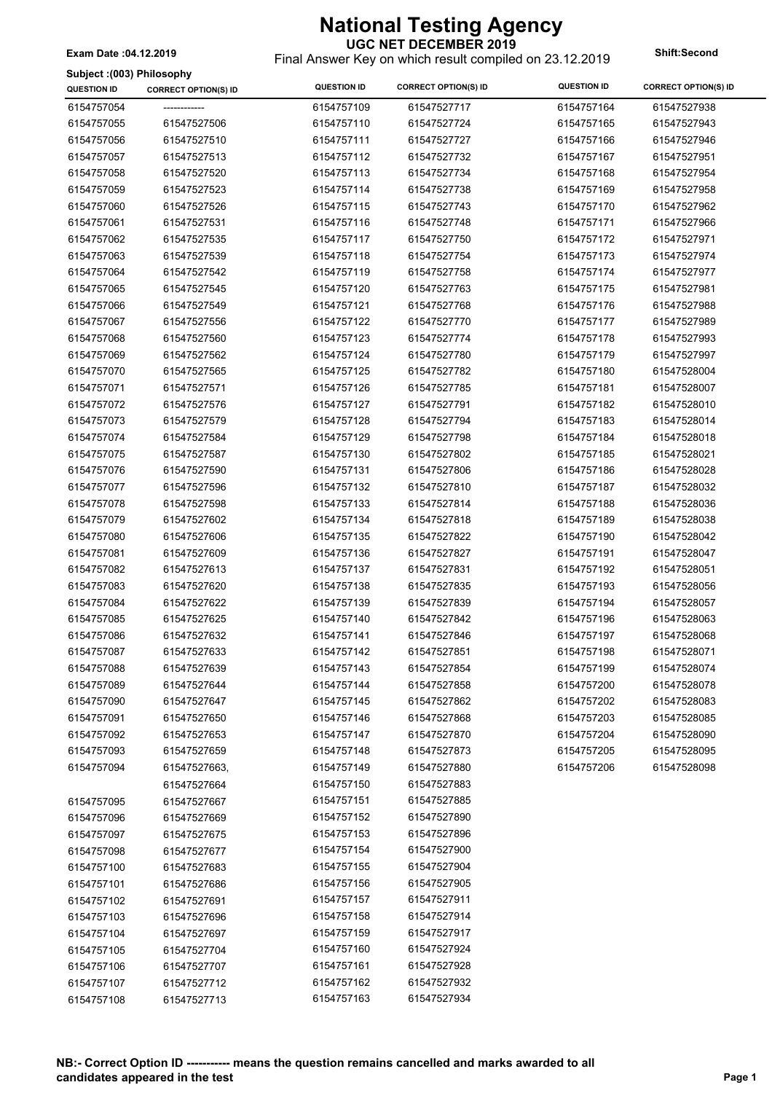Final Answer Key on which result compiled on 23.12.2019 **Exam Date :04.12.2019 Shift:Second**

**Subject :(003) Philosophy**

| ounlent flood Limesobily<br><b>QUESTION ID</b> | <b>CORRECT OPTION(S) ID</b> | <b>QUESTION ID</b> | <b>CORRECT OPTION(S) ID</b> | <b>QUESTION ID</b> | <b>CORRECT OPTION(S) ID</b> |
|------------------------------------------------|-----------------------------|--------------------|-----------------------------|--------------------|-----------------------------|
| 6154757054                                     | -------------               | 6154757109         | 61547527717                 | 6154757164         | 61547527938                 |
| 6154757055                                     | 61547527506                 | 6154757110         | 61547527724                 | 6154757165         | 61547527943                 |
| 6154757056                                     | 61547527510                 | 6154757111         | 61547527727                 | 6154757166         | 61547527946                 |
| 6154757057                                     | 61547527513                 | 6154757112         | 61547527732                 | 6154757167         | 61547527951                 |
| 6154757058                                     | 61547527520                 | 6154757113         | 61547527734                 | 6154757168         | 61547527954                 |
| 6154757059                                     | 61547527523                 | 6154757114         | 61547527738                 | 6154757169         | 61547527958                 |
| 6154757060                                     | 61547527526                 | 6154757115         | 61547527743                 | 6154757170         | 61547527962                 |
| 6154757061                                     | 61547527531                 | 6154757116         | 61547527748                 | 6154757171         | 61547527966                 |
| 6154757062                                     | 61547527535                 | 6154757117         | 61547527750                 | 6154757172         | 61547527971                 |
| 6154757063                                     | 61547527539                 | 6154757118         | 61547527754                 | 6154757173         | 61547527974                 |
| 6154757064                                     | 61547527542                 | 6154757119         | 61547527758                 | 6154757174         | 61547527977                 |
| 6154757065                                     | 61547527545                 | 6154757120         | 61547527763                 | 6154757175         | 61547527981                 |
| 6154757066                                     | 61547527549                 | 6154757121         | 61547527768                 | 6154757176         | 61547527988                 |
| 6154757067                                     | 61547527556                 | 6154757122         | 61547527770                 | 6154757177         | 61547527989                 |
| 6154757068                                     | 61547527560                 | 6154757123         | 61547527774                 | 6154757178         | 61547527993                 |
| 6154757069                                     | 61547527562                 | 6154757124         | 61547527780                 | 6154757179         | 61547527997                 |
| 6154757070                                     | 61547527565                 | 6154757125         | 61547527782                 | 6154757180         | 61547528004                 |
| 6154757071                                     | 61547527571                 | 6154757126         | 61547527785                 | 6154757181         | 61547528007                 |
| 6154757072                                     | 61547527576                 | 6154757127         | 61547527791                 | 6154757182         | 61547528010                 |
| 6154757073                                     | 61547527579                 | 6154757128         | 61547527794                 | 6154757183         | 61547528014                 |
| 6154757074                                     | 61547527584                 | 6154757129         | 61547527798                 | 6154757184         | 61547528018                 |
| 6154757075                                     | 61547527587                 | 6154757130         | 61547527802                 | 6154757185         | 61547528021                 |
| 6154757076                                     | 61547527590                 | 6154757131         | 61547527806                 | 6154757186         | 61547528028                 |
| 6154757077                                     | 61547527596                 | 6154757132         | 61547527810                 | 6154757187         | 61547528032                 |
| 6154757078                                     | 61547527598                 | 6154757133         | 61547527814                 | 6154757188         | 61547528036                 |
| 6154757079                                     | 61547527602                 | 6154757134         | 61547527818                 | 6154757189         | 61547528038                 |
| 6154757080                                     | 61547527606                 | 6154757135         | 61547527822                 | 6154757190         | 61547528042                 |
| 6154757081                                     | 61547527609                 | 6154757136         | 61547527827                 | 6154757191         | 61547528047                 |
| 6154757082                                     | 61547527613                 | 6154757137         | 61547527831                 | 6154757192         | 61547528051                 |
| 6154757083                                     | 61547527620                 | 6154757138         | 61547527835                 | 6154757193         | 61547528056                 |
| 6154757084                                     | 61547527622                 | 6154757139         | 61547527839                 | 6154757194         | 61547528057                 |
| 6154757085                                     | 61547527625                 | 6154757140         | 61547527842                 | 6154757196         | 61547528063                 |
| 6154757086                                     | 61547527632                 | 6154757141         | 61547527846                 | 6154757197         | 61547528068                 |
| 6154757087                                     | 61547527633                 | 6154757142         | 61547527851                 | 6154757198         | 61547528071                 |
| 6154757088                                     | 61547527639                 | 6154757143         | 61547527854                 | 6154757199         | 61547528074                 |
| 6154757089                                     | 61547527644                 | 6154757144         | 61547527858                 | 6154757200         | 61547528078                 |
| 6154757090                                     | 61547527647                 | 6154757145         | 61547527862                 | 6154757202         | 61547528083                 |
| 6154757091                                     | 61547527650                 | 6154757146         | 61547527868                 | 6154757203         | 61547528085                 |
| 6154757092                                     | 61547527653                 | 6154757147         | 61547527870                 | 6154757204         | 61547528090                 |
| 6154757093                                     | 61547527659                 | 6154757148         | 61547527873                 | 6154757205         | 61547528095                 |
| 6154757094                                     | 61547527663,                | 6154757149         | 61547527880                 | 6154757206         | 61547528098                 |
|                                                | 61547527664                 | 6154757150         | 61547527883                 |                    |                             |
| 6154757095                                     | 61547527667                 | 6154757151         | 61547527885                 |                    |                             |
| 6154757096                                     | 61547527669                 | 6154757152         | 61547527890                 |                    |                             |
| 6154757097                                     | 61547527675                 | 6154757153         | 61547527896                 |                    |                             |
| 6154757098                                     | 61547527677                 | 6154757154         | 61547527900                 |                    |                             |
| 6154757100                                     | 61547527683                 | 6154757155         | 61547527904                 |                    |                             |
| 6154757101                                     | 61547527686                 | 6154757156         | 61547527905                 |                    |                             |
| 6154757102                                     | 61547527691                 | 6154757157         | 61547527911                 |                    |                             |
| 6154757103                                     | 61547527696                 | 6154757158         | 61547527914                 |                    |                             |
| 6154757104                                     | 61547527697                 | 6154757159         | 61547527917                 |                    |                             |
| 6154757105                                     | 61547527704                 | 6154757160         | 61547527924                 |                    |                             |
| 6154757106                                     | 61547527707                 | 6154757161         | 61547527928                 |                    |                             |
| 6154757107                                     | 61547527712                 | 6154757162         | 61547527932                 |                    |                             |
| 6154757108                                     | 61547527713                 | 6154757163         | 61547527934                 |                    |                             |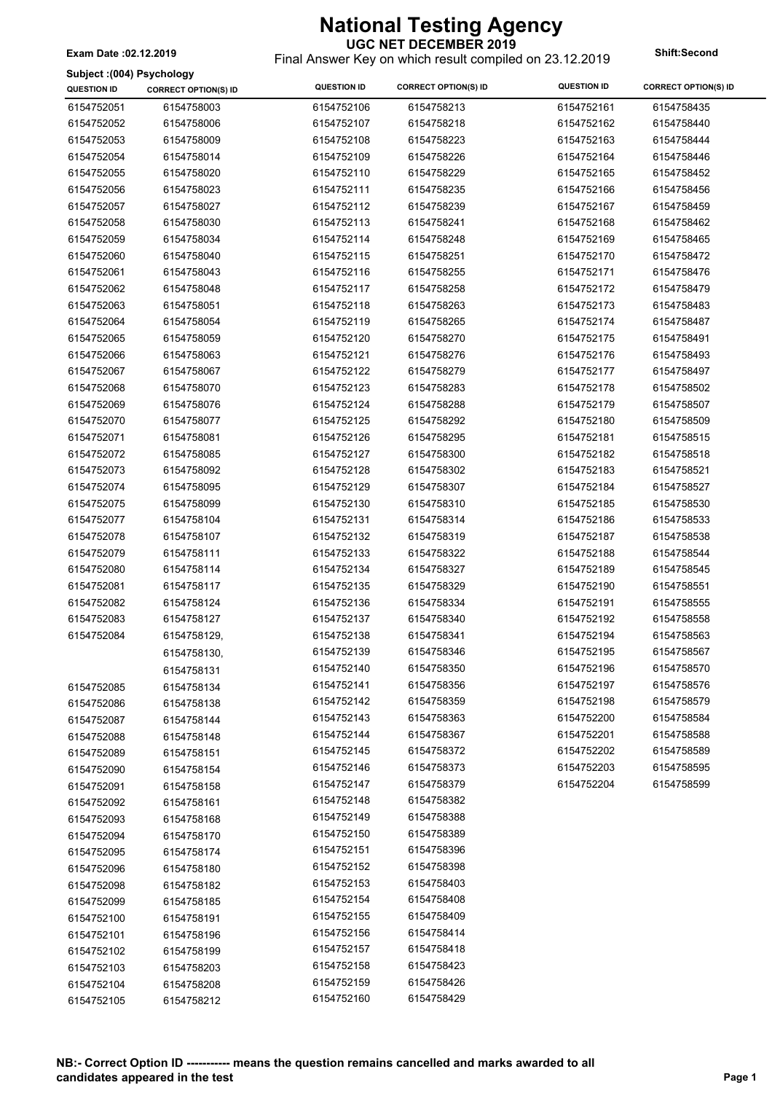**UGC NET DECEMBER 2019** Final Answer Key on which result compiled on 23.12.2019 **Exam Date :02.12.2019 Shift:Second**

 $\overline{\phantom{a}}$ 

#### **Subject :(004) Psychology**

| Subject : (004) Psychology |                             |                    |                             |                    |                             |
|----------------------------|-----------------------------|--------------------|-----------------------------|--------------------|-----------------------------|
| <b>QUESTION ID</b>         | <b>CORRECT OPTION(S) ID</b> | <b>QUESTION ID</b> | <b>CORRECT OPTION(S) ID</b> | <b>QUESTION ID</b> | <b>CORRECT OPTION(S) ID</b> |
| 6154752051                 | 6154758003                  | 6154752106         | 6154758213                  | 6154752161         | 6154758435                  |
| 6154752052                 | 6154758006                  | 6154752107         | 6154758218                  | 6154752162         | 6154758440                  |
| 6154752053                 | 6154758009                  | 6154752108         | 6154758223                  | 6154752163         | 6154758444                  |
| 6154752054                 | 6154758014                  | 6154752109         | 6154758226                  | 6154752164         | 6154758446                  |
| 6154752055                 | 6154758020                  | 6154752110         | 6154758229                  | 6154752165         | 6154758452                  |
| 6154752056                 | 6154758023                  | 6154752111         | 6154758235                  | 6154752166         | 6154758456                  |
| 6154752057                 | 6154758027                  | 6154752112         | 6154758239                  | 6154752167         | 6154758459                  |
| 6154752058                 | 6154758030                  | 6154752113         | 6154758241                  | 6154752168         | 6154758462                  |
| 6154752059                 | 6154758034                  | 6154752114         | 6154758248                  | 6154752169         | 6154758465                  |
| 6154752060                 | 6154758040                  | 6154752115         | 6154758251                  | 6154752170         | 6154758472                  |
| 6154752061                 | 6154758043                  | 6154752116         | 6154758255                  | 6154752171         | 6154758476                  |
| 6154752062                 | 6154758048                  | 6154752117         | 6154758258                  | 6154752172         | 6154758479                  |
| 6154752063                 | 6154758051                  | 6154752118         | 6154758263                  | 6154752173         | 6154758483                  |
| 6154752064                 | 6154758054                  | 6154752119         | 6154758265                  | 6154752174         | 6154758487                  |
| 6154752065                 | 6154758059                  | 6154752120         | 6154758270                  | 6154752175         | 6154758491                  |
| 6154752066                 | 6154758063                  | 6154752121         | 6154758276                  | 6154752176         | 6154758493                  |
| 6154752067                 | 6154758067                  | 6154752122         | 6154758279                  | 6154752177         | 6154758497                  |
| 6154752068                 | 6154758070                  | 6154752123         | 6154758283                  | 6154752178         | 6154758502                  |
| 6154752069                 | 6154758076                  | 6154752124         | 6154758288                  | 6154752179         | 6154758507                  |
| 6154752070                 | 6154758077                  | 6154752125         | 6154758292                  | 6154752180         | 6154758509                  |
| 6154752071                 | 6154758081                  | 6154752126         | 6154758295                  | 6154752181         | 6154758515                  |
| 6154752072                 | 6154758085                  | 6154752127         | 6154758300                  | 6154752182         | 6154758518                  |
| 6154752073                 | 6154758092                  | 6154752128         | 6154758302                  | 6154752183         | 6154758521                  |
|                            |                             |                    |                             |                    |                             |
| 6154752074                 | 6154758095                  | 6154752129         | 6154758307                  | 6154752184         | 6154758527                  |
| 6154752075                 | 6154758099                  | 6154752130         | 6154758310                  | 6154752185         | 6154758530                  |
| 6154752077                 | 6154758104                  | 6154752131         | 6154758314                  | 6154752186         | 6154758533                  |
| 6154752078                 | 6154758107                  | 6154752132         | 6154758319                  | 6154752187         | 6154758538                  |
| 6154752079                 | 6154758111                  | 6154752133         | 6154758322                  | 6154752188         | 6154758544                  |
| 6154752080                 | 6154758114                  | 6154752134         | 6154758327                  | 6154752189         | 6154758545                  |
| 6154752081                 | 6154758117                  | 6154752135         | 6154758329                  | 6154752190         | 6154758551                  |
| 6154752082                 | 6154758124                  | 6154752136         | 6154758334                  | 6154752191         | 6154758555                  |
| 6154752083                 | 6154758127                  | 6154752137         | 6154758340                  | 6154752192         | 6154758558                  |
| 6154752084                 | 6154758129,                 | 6154752138         | 6154758341                  | 6154752194         | 6154758563                  |
|                            | 6154758130,                 | 6154752139         | 6154758346                  | 6154752195         | 6154758567                  |
|                            | 6154758131                  | 6154752140         | 6154758350                  | 6154752196         | 6154758570                  |
| 6154752085                 | 6154758134                  | 6154752141         | 6154758356                  | 6154752197         | 6154758576                  |
| 6154752086                 | 6154758138                  | 6154752142         | 6154758359                  | 6154752198         | 6154758579                  |
| 6154752087                 | 6154758144                  | 6154752143         | 6154758363                  | 6154752200         | 6154758584                  |
| 6154752088                 | 6154758148                  | 6154752144         | 6154758367                  | 6154752201         | 6154758588                  |
| 6154752089                 | 6154758151                  | 6154752145         | 6154758372                  | 6154752202         | 6154758589                  |
| 6154752090                 | 6154758154                  | 6154752146         | 6154758373                  | 6154752203         | 6154758595                  |
| 6154752091                 | 6154758158                  | 6154752147         | 6154758379                  | 6154752204         | 6154758599                  |
| 6154752092                 | 6154758161                  | 6154752148         | 6154758382                  |                    |                             |
| 6154752093                 | 6154758168                  | 6154752149         | 6154758388                  |                    |                             |
| 6154752094                 | 6154758170                  | 6154752150         | 6154758389                  |                    |                             |
| 6154752095                 | 6154758174                  | 6154752151         | 6154758396                  |                    |                             |
| 6154752096                 | 6154758180                  | 6154752152         | 6154758398                  |                    |                             |
| 6154752098                 | 6154758182                  | 6154752153         | 6154758403                  |                    |                             |
| 6154752099                 | 6154758185                  | 6154752154         | 6154758408                  |                    |                             |
| 6154752100                 | 6154758191                  | 6154752155         | 6154758409                  |                    |                             |
| 6154752101                 | 6154758196                  | 6154752156         | 6154758414                  |                    |                             |
| 6154752102                 | 6154758199                  | 6154752157         | 6154758418                  |                    |                             |
| 6154752103                 | 6154758203                  | 6154752158         | 6154758423                  |                    |                             |
|                            |                             | 6154752159         | 6154758426                  |                    |                             |
| 6154752104                 | 6154758208                  | 6154752160         | 6154758429                  |                    |                             |
| 6154752105                 | 6154758212                  |                    |                             |                    |                             |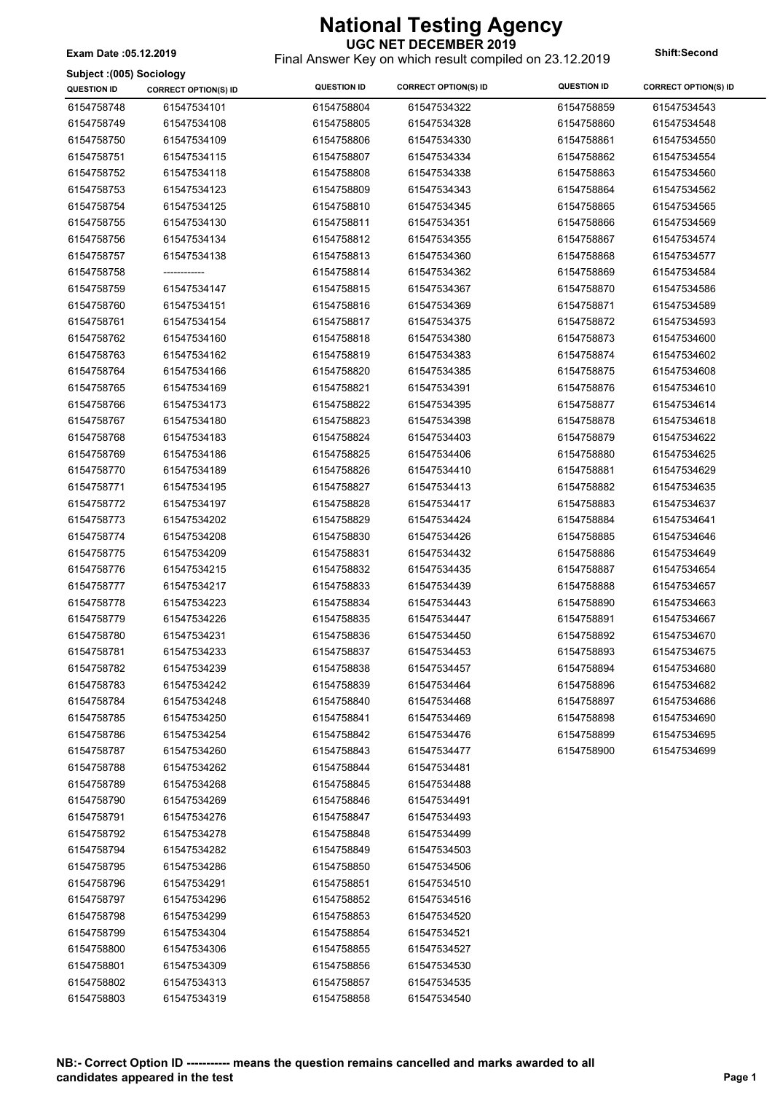**UGC NET DECEMBER 2019** Final Answer Key on which result compiled on 23.12.2019 **Exam Date :05.12.2019 Shift:Second**

**Subject :(005) Sociology**

| 61547534101<br>6154758804<br>6154758859<br>61547534543<br>6154758748<br>61547534322<br>6154758749<br>61547534108<br>6154758805<br>61547534328<br>6154758860<br>61547534548<br>6154758750<br>61547534109<br>6154758806<br>61547534330<br>6154758861<br>61547534550<br>6154758751<br>61547534115<br>6154758807<br>61547534334<br>6154758862<br>61547534554<br>6154758752<br>61547534118<br>6154758808<br>61547534338<br>6154758863<br>61547534560<br>61547534123<br>61547534343<br>6154758864<br>61547534562<br>6154758753<br>6154758809<br>6154758754<br>61547534125<br>6154758810<br>61547534345<br>6154758865<br>61547534565<br>6154758755<br>61547534130<br>6154758811<br>61547534351<br>6154758866<br>61547534569<br>6154758756<br>61547534134<br>6154758812<br>61547534355<br>6154758867<br>61547534574<br>6154758757<br>61547534138<br>6154758813<br>61547534360<br>6154758868<br>61547534577<br>6154758758<br>6154758814<br>61547534362<br>6154758869<br>61547534584<br>-------------<br>61547534147<br>6154758759<br>6154758815<br>61547534367<br>6154758870<br>61547534586<br>6154758760<br>61547534151<br>6154758816<br>61547534369<br>6154758871<br>61547534589<br>6154758761<br>6154758872<br>61547534154<br>6154758817<br>61547534375<br>61547534593<br>6154758762<br>61547534160<br>6154758818<br>61547534380<br>6154758873<br>61547534600<br>6154758763<br>61547534162<br>6154758819<br>61547534383<br>6154758874<br>61547534602<br>6154758764<br>61547534166<br>6154758820<br>61547534385<br>6154758875<br>61547534608<br>6154758765<br>61547534169<br>6154758821<br>61547534391<br>6154758876<br>61547534610<br>6154758766<br>61547534173<br>6154758822<br>61547534395<br>6154758877<br>61547534614<br>6154758767<br>61547534180<br>6154758823<br>61547534398<br>6154758878<br>61547534618<br>6154758768<br>61547534183<br>6154758824<br>61547534403<br>6154758879<br>61547534622<br>6154758769<br>61547534186<br>6154758825<br>61547534406<br>6154758880<br>61547534625<br>6154758770<br>61547534189<br>6154758826<br>61547534410<br>6154758881<br>61547534629<br>6154758771<br>61547534195<br>6154758827<br>61547534413<br>6154758882<br>61547534635<br>6154758772<br>61547534197<br>6154758828<br>61547534417<br>6154758883<br>61547534637<br>6154758773<br>61547534202<br>6154758829<br>61547534424<br>6154758884<br>61547534641<br>6154758830<br>6154758885<br>6154758774<br>61547534208<br>61547534426<br>61547534646<br>6154758775<br>61547534209<br>6154758831<br>61547534432<br>6154758886<br>61547534649<br>6154758776<br>61547534435<br>6154758887<br>61547534654<br>61547534215<br>6154758832<br>61547534439<br>6154758777<br>61547534217<br>6154758833<br>6154758888<br>61547534657<br>6154758778<br>61547534223<br>6154758834<br>61547534443<br>6154758890<br>61547534663<br>6154758779<br>61547534226<br>6154758835<br>61547534447<br>6154758891<br>61547534667<br>6154758780<br>61547534231<br>6154758892<br>61547534670<br>6154758836<br>61547534450<br>6154758781<br>61547534233<br>6154758837<br>61547534453<br>6154758893<br>61547534675<br>6154758782<br>61547534239<br>6154758838<br>61547534457<br>6154758894<br>61547534680<br>6154758783<br>61547534242<br>6154758839<br>61547534464<br>6154758896<br>61547534682<br>6154758784<br>61547534248<br>6154758840<br>61547534468<br>6154758897<br>61547534686<br>6154758785<br>61547534250<br>6154758841<br>61547534469<br>6154758898<br>61547534690<br>6154758786<br>61547534254<br>6154758842<br>61547534476<br>6154758899<br>61547534695<br>6154758787<br>61547534260<br>61547534477<br>6154758900<br>61547534699<br>6154758843<br>61547534262<br>61547534481<br>6154758788<br>6154758844<br>6154758789<br>61547534268<br>61547534488<br>6154758845<br>6154758790<br>61547534269<br>6154758846<br>61547534491<br>6154758791<br>61547534276<br>6154758847<br>61547534493<br>6154758792<br>61547534278<br>6154758848<br>61547534499<br>6154758794<br>61547534282<br>6154758849<br>61547534503<br>6154758795<br>61547534286<br>61547534506<br>6154758850<br>6154758796<br>61547534291<br>6154758851<br>61547534510<br>6154758797<br>61547534296<br>6154758852<br>61547534516<br>6154758798<br>61547534299<br>61547534520<br>6154758853<br>6154758799<br>61547534304<br>6154758854<br>61547534521<br>6154758800<br>61547534306<br>6154758855<br>61547534527<br>6154758801<br>61547534309<br>6154758856<br>61547534530<br>6154758802<br>61547534313<br>6154758857<br>61547534535<br>6154758803<br>61547534319<br>6154758858<br>61547534540 | annier (non) applicing<br><b>QUESTION ID</b> | <b>CORRECT OPTION(S) ID</b> | <b>QUESTION ID</b> | <b>CORRECT OPTION(S) ID</b> | <b>QUESTION ID</b> | <b>CORRECT OPTION(S) ID</b> |
|------------------------------------------------------------------------------------------------------------------------------------------------------------------------------------------------------------------------------------------------------------------------------------------------------------------------------------------------------------------------------------------------------------------------------------------------------------------------------------------------------------------------------------------------------------------------------------------------------------------------------------------------------------------------------------------------------------------------------------------------------------------------------------------------------------------------------------------------------------------------------------------------------------------------------------------------------------------------------------------------------------------------------------------------------------------------------------------------------------------------------------------------------------------------------------------------------------------------------------------------------------------------------------------------------------------------------------------------------------------------------------------------------------------------------------------------------------------------------------------------------------------------------------------------------------------------------------------------------------------------------------------------------------------------------------------------------------------------------------------------------------------------------------------------------------------------------------------------------------------------------------------------------------------------------------------------------------------------------------------------------------------------------------------------------------------------------------------------------------------------------------------------------------------------------------------------------------------------------------------------------------------------------------------------------------------------------------------------------------------------------------------------------------------------------------------------------------------------------------------------------------------------------------------------------------------------------------------------------------------------------------------------------------------------------------------------------------------------------------------------------------------------------------------------------------------------------------------------------------------------------------------------------------------------------------------------------------------------------------------------------------------------------------------------------------------------------------------------------------------------------------------------------------------------------------------------------------------------------------------------------------------------------------------------------------------------------------------------------------------------------------------------------------------------------------------------------------------------------------------------------------------------------------------------------------------------------------------------------------------------------------------------------------------------------------------------------------------------------------------------------------------------------------------------------------------------------------------------------------------------------------------------------------------------------------------------------------------------------------------------------------------------------------------------------------------------------------------------------------------------------------------------------------------------------------------------------------------------------------------------------------------------------------------------------------------------------------------------------------------------------------------------------------------------------------------------------------------------------------------------------------------------------|----------------------------------------------|-----------------------------|--------------------|-----------------------------|--------------------|-----------------------------|
|                                                                                                                                                                                                                                                                                                                                                                                                                                                                                                                                                                                                                                                                                                                                                                                                                                                                                                                                                                                                                                                                                                                                                                                                                                                                                                                                                                                                                                                                                                                                                                                                                                                                                                                                                                                                                                                                                                                                                                                                                                                                                                                                                                                                                                                                                                                                                                                                                                                                                                                                                                                                                                                                                                                                                                                                                                                                                                                                                                                                                                                                                                                                                                                                                                                                                                                                                                                                                                                                                                                                                                                                                                                                                                                                                                                                                                                                                                                                                                                                                                                                                                                                                                                                                                                                                                                                                                                                                                                                                                                              |                                              |                             |                    |                             |                    |                             |
|                                                                                                                                                                                                                                                                                                                                                                                                                                                                                                                                                                                                                                                                                                                                                                                                                                                                                                                                                                                                                                                                                                                                                                                                                                                                                                                                                                                                                                                                                                                                                                                                                                                                                                                                                                                                                                                                                                                                                                                                                                                                                                                                                                                                                                                                                                                                                                                                                                                                                                                                                                                                                                                                                                                                                                                                                                                                                                                                                                                                                                                                                                                                                                                                                                                                                                                                                                                                                                                                                                                                                                                                                                                                                                                                                                                                                                                                                                                                                                                                                                                                                                                                                                                                                                                                                                                                                                                                                                                                                                                              |                                              |                             |                    |                             |                    |                             |
|                                                                                                                                                                                                                                                                                                                                                                                                                                                                                                                                                                                                                                                                                                                                                                                                                                                                                                                                                                                                                                                                                                                                                                                                                                                                                                                                                                                                                                                                                                                                                                                                                                                                                                                                                                                                                                                                                                                                                                                                                                                                                                                                                                                                                                                                                                                                                                                                                                                                                                                                                                                                                                                                                                                                                                                                                                                                                                                                                                                                                                                                                                                                                                                                                                                                                                                                                                                                                                                                                                                                                                                                                                                                                                                                                                                                                                                                                                                                                                                                                                                                                                                                                                                                                                                                                                                                                                                                                                                                                                                              |                                              |                             |                    |                             |                    |                             |
|                                                                                                                                                                                                                                                                                                                                                                                                                                                                                                                                                                                                                                                                                                                                                                                                                                                                                                                                                                                                                                                                                                                                                                                                                                                                                                                                                                                                                                                                                                                                                                                                                                                                                                                                                                                                                                                                                                                                                                                                                                                                                                                                                                                                                                                                                                                                                                                                                                                                                                                                                                                                                                                                                                                                                                                                                                                                                                                                                                                                                                                                                                                                                                                                                                                                                                                                                                                                                                                                                                                                                                                                                                                                                                                                                                                                                                                                                                                                                                                                                                                                                                                                                                                                                                                                                                                                                                                                                                                                                                                              |                                              |                             |                    |                             |                    |                             |
|                                                                                                                                                                                                                                                                                                                                                                                                                                                                                                                                                                                                                                                                                                                                                                                                                                                                                                                                                                                                                                                                                                                                                                                                                                                                                                                                                                                                                                                                                                                                                                                                                                                                                                                                                                                                                                                                                                                                                                                                                                                                                                                                                                                                                                                                                                                                                                                                                                                                                                                                                                                                                                                                                                                                                                                                                                                                                                                                                                                                                                                                                                                                                                                                                                                                                                                                                                                                                                                                                                                                                                                                                                                                                                                                                                                                                                                                                                                                                                                                                                                                                                                                                                                                                                                                                                                                                                                                                                                                                                                              |                                              |                             |                    |                             |                    |                             |
|                                                                                                                                                                                                                                                                                                                                                                                                                                                                                                                                                                                                                                                                                                                                                                                                                                                                                                                                                                                                                                                                                                                                                                                                                                                                                                                                                                                                                                                                                                                                                                                                                                                                                                                                                                                                                                                                                                                                                                                                                                                                                                                                                                                                                                                                                                                                                                                                                                                                                                                                                                                                                                                                                                                                                                                                                                                                                                                                                                                                                                                                                                                                                                                                                                                                                                                                                                                                                                                                                                                                                                                                                                                                                                                                                                                                                                                                                                                                                                                                                                                                                                                                                                                                                                                                                                                                                                                                                                                                                                                              |                                              |                             |                    |                             |                    |                             |
|                                                                                                                                                                                                                                                                                                                                                                                                                                                                                                                                                                                                                                                                                                                                                                                                                                                                                                                                                                                                                                                                                                                                                                                                                                                                                                                                                                                                                                                                                                                                                                                                                                                                                                                                                                                                                                                                                                                                                                                                                                                                                                                                                                                                                                                                                                                                                                                                                                                                                                                                                                                                                                                                                                                                                                                                                                                                                                                                                                                                                                                                                                                                                                                                                                                                                                                                                                                                                                                                                                                                                                                                                                                                                                                                                                                                                                                                                                                                                                                                                                                                                                                                                                                                                                                                                                                                                                                                                                                                                                                              |                                              |                             |                    |                             |                    |                             |
|                                                                                                                                                                                                                                                                                                                                                                                                                                                                                                                                                                                                                                                                                                                                                                                                                                                                                                                                                                                                                                                                                                                                                                                                                                                                                                                                                                                                                                                                                                                                                                                                                                                                                                                                                                                                                                                                                                                                                                                                                                                                                                                                                                                                                                                                                                                                                                                                                                                                                                                                                                                                                                                                                                                                                                                                                                                                                                                                                                                                                                                                                                                                                                                                                                                                                                                                                                                                                                                                                                                                                                                                                                                                                                                                                                                                                                                                                                                                                                                                                                                                                                                                                                                                                                                                                                                                                                                                                                                                                                                              |                                              |                             |                    |                             |                    |                             |
|                                                                                                                                                                                                                                                                                                                                                                                                                                                                                                                                                                                                                                                                                                                                                                                                                                                                                                                                                                                                                                                                                                                                                                                                                                                                                                                                                                                                                                                                                                                                                                                                                                                                                                                                                                                                                                                                                                                                                                                                                                                                                                                                                                                                                                                                                                                                                                                                                                                                                                                                                                                                                                                                                                                                                                                                                                                                                                                                                                                                                                                                                                                                                                                                                                                                                                                                                                                                                                                                                                                                                                                                                                                                                                                                                                                                                                                                                                                                                                                                                                                                                                                                                                                                                                                                                                                                                                                                                                                                                                                              |                                              |                             |                    |                             |                    |                             |
|                                                                                                                                                                                                                                                                                                                                                                                                                                                                                                                                                                                                                                                                                                                                                                                                                                                                                                                                                                                                                                                                                                                                                                                                                                                                                                                                                                                                                                                                                                                                                                                                                                                                                                                                                                                                                                                                                                                                                                                                                                                                                                                                                                                                                                                                                                                                                                                                                                                                                                                                                                                                                                                                                                                                                                                                                                                                                                                                                                                                                                                                                                                                                                                                                                                                                                                                                                                                                                                                                                                                                                                                                                                                                                                                                                                                                                                                                                                                                                                                                                                                                                                                                                                                                                                                                                                                                                                                                                                                                                                              |                                              |                             |                    |                             |                    |                             |
|                                                                                                                                                                                                                                                                                                                                                                                                                                                                                                                                                                                                                                                                                                                                                                                                                                                                                                                                                                                                                                                                                                                                                                                                                                                                                                                                                                                                                                                                                                                                                                                                                                                                                                                                                                                                                                                                                                                                                                                                                                                                                                                                                                                                                                                                                                                                                                                                                                                                                                                                                                                                                                                                                                                                                                                                                                                                                                                                                                                                                                                                                                                                                                                                                                                                                                                                                                                                                                                                                                                                                                                                                                                                                                                                                                                                                                                                                                                                                                                                                                                                                                                                                                                                                                                                                                                                                                                                                                                                                                                              |                                              |                             |                    |                             |                    |                             |
|                                                                                                                                                                                                                                                                                                                                                                                                                                                                                                                                                                                                                                                                                                                                                                                                                                                                                                                                                                                                                                                                                                                                                                                                                                                                                                                                                                                                                                                                                                                                                                                                                                                                                                                                                                                                                                                                                                                                                                                                                                                                                                                                                                                                                                                                                                                                                                                                                                                                                                                                                                                                                                                                                                                                                                                                                                                                                                                                                                                                                                                                                                                                                                                                                                                                                                                                                                                                                                                                                                                                                                                                                                                                                                                                                                                                                                                                                                                                                                                                                                                                                                                                                                                                                                                                                                                                                                                                                                                                                                                              |                                              |                             |                    |                             |                    |                             |
|                                                                                                                                                                                                                                                                                                                                                                                                                                                                                                                                                                                                                                                                                                                                                                                                                                                                                                                                                                                                                                                                                                                                                                                                                                                                                                                                                                                                                                                                                                                                                                                                                                                                                                                                                                                                                                                                                                                                                                                                                                                                                                                                                                                                                                                                                                                                                                                                                                                                                                                                                                                                                                                                                                                                                                                                                                                                                                                                                                                                                                                                                                                                                                                                                                                                                                                                                                                                                                                                                                                                                                                                                                                                                                                                                                                                                                                                                                                                                                                                                                                                                                                                                                                                                                                                                                                                                                                                                                                                                                                              |                                              |                             |                    |                             |                    |                             |
|                                                                                                                                                                                                                                                                                                                                                                                                                                                                                                                                                                                                                                                                                                                                                                                                                                                                                                                                                                                                                                                                                                                                                                                                                                                                                                                                                                                                                                                                                                                                                                                                                                                                                                                                                                                                                                                                                                                                                                                                                                                                                                                                                                                                                                                                                                                                                                                                                                                                                                                                                                                                                                                                                                                                                                                                                                                                                                                                                                                                                                                                                                                                                                                                                                                                                                                                                                                                                                                                                                                                                                                                                                                                                                                                                                                                                                                                                                                                                                                                                                                                                                                                                                                                                                                                                                                                                                                                                                                                                                                              |                                              |                             |                    |                             |                    |                             |
|                                                                                                                                                                                                                                                                                                                                                                                                                                                                                                                                                                                                                                                                                                                                                                                                                                                                                                                                                                                                                                                                                                                                                                                                                                                                                                                                                                                                                                                                                                                                                                                                                                                                                                                                                                                                                                                                                                                                                                                                                                                                                                                                                                                                                                                                                                                                                                                                                                                                                                                                                                                                                                                                                                                                                                                                                                                                                                                                                                                                                                                                                                                                                                                                                                                                                                                                                                                                                                                                                                                                                                                                                                                                                                                                                                                                                                                                                                                                                                                                                                                                                                                                                                                                                                                                                                                                                                                                                                                                                                                              |                                              |                             |                    |                             |                    |                             |
|                                                                                                                                                                                                                                                                                                                                                                                                                                                                                                                                                                                                                                                                                                                                                                                                                                                                                                                                                                                                                                                                                                                                                                                                                                                                                                                                                                                                                                                                                                                                                                                                                                                                                                                                                                                                                                                                                                                                                                                                                                                                                                                                                                                                                                                                                                                                                                                                                                                                                                                                                                                                                                                                                                                                                                                                                                                                                                                                                                                                                                                                                                                                                                                                                                                                                                                                                                                                                                                                                                                                                                                                                                                                                                                                                                                                                                                                                                                                                                                                                                                                                                                                                                                                                                                                                                                                                                                                                                                                                                                              |                                              |                             |                    |                             |                    |                             |
|                                                                                                                                                                                                                                                                                                                                                                                                                                                                                                                                                                                                                                                                                                                                                                                                                                                                                                                                                                                                                                                                                                                                                                                                                                                                                                                                                                                                                                                                                                                                                                                                                                                                                                                                                                                                                                                                                                                                                                                                                                                                                                                                                                                                                                                                                                                                                                                                                                                                                                                                                                                                                                                                                                                                                                                                                                                                                                                                                                                                                                                                                                                                                                                                                                                                                                                                                                                                                                                                                                                                                                                                                                                                                                                                                                                                                                                                                                                                                                                                                                                                                                                                                                                                                                                                                                                                                                                                                                                                                                                              |                                              |                             |                    |                             |                    |                             |
|                                                                                                                                                                                                                                                                                                                                                                                                                                                                                                                                                                                                                                                                                                                                                                                                                                                                                                                                                                                                                                                                                                                                                                                                                                                                                                                                                                                                                                                                                                                                                                                                                                                                                                                                                                                                                                                                                                                                                                                                                                                                                                                                                                                                                                                                                                                                                                                                                                                                                                                                                                                                                                                                                                                                                                                                                                                                                                                                                                                                                                                                                                                                                                                                                                                                                                                                                                                                                                                                                                                                                                                                                                                                                                                                                                                                                                                                                                                                                                                                                                                                                                                                                                                                                                                                                                                                                                                                                                                                                                                              |                                              |                             |                    |                             |                    |                             |
|                                                                                                                                                                                                                                                                                                                                                                                                                                                                                                                                                                                                                                                                                                                                                                                                                                                                                                                                                                                                                                                                                                                                                                                                                                                                                                                                                                                                                                                                                                                                                                                                                                                                                                                                                                                                                                                                                                                                                                                                                                                                                                                                                                                                                                                                                                                                                                                                                                                                                                                                                                                                                                                                                                                                                                                                                                                                                                                                                                                                                                                                                                                                                                                                                                                                                                                                                                                                                                                                                                                                                                                                                                                                                                                                                                                                                                                                                                                                                                                                                                                                                                                                                                                                                                                                                                                                                                                                                                                                                                                              |                                              |                             |                    |                             |                    |                             |
|                                                                                                                                                                                                                                                                                                                                                                                                                                                                                                                                                                                                                                                                                                                                                                                                                                                                                                                                                                                                                                                                                                                                                                                                                                                                                                                                                                                                                                                                                                                                                                                                                                                                                                                                                                                                                                                                                                                                                                                                                                                                                                                                                                                                                                                                                                                                                                                                                                                                                                                                                                                                                                                                                                                                                                                                                                                                                                                                                                                                                                                                                                                                                                                                                                                                                                                                                                                                                                                                                                                                                                                                                                                                                                                                                                                                                                                                                                                                                                                                                                                                                                                                                                                                                                                                                                                                                                                                                                                                                                                              |                                              |                             |                    |                             |                    |                             |
|                                                                                                                                                                                                                                                                                                                                                                                                                                                                                                                                                                                                                                                                                                                                                                                                                                                                                                                                                                                                                                                                                                                                                                                                                                                                                                                                                                                                                                                                                                                                                                                                                                                                                                                                                                                                                                                                                                                                                                                                                                                                                                                                                                                                                                                                                                                                                                                                                                                                                                                                                                                                                                                                                                                                                                                                                                                                                                                                                                                                                                                                                                                                                                                                                                                                                                                                                                                                                                                                                                                                                                                                                                                                                                                                                                                                                                                                                                                                                                                                                                                                                                                                                                                                                                                                                                                                                                                                                                                                                                                              |                                              |                             |                    |                             |                    |                             |
|                                                                                                                                                                                                                                                                                                                                                                                                                                                                                                                                                                                                                                                                                                                                                                                                                                                                                                                                                                                                                                                                                                                                                                                                                                                                                                                                                                                                                                                                                                                                                                                                                                                                                                                                                                                                                                                                                                                                                                                                                                                                                                                                                                                                                                                                                                                                                                                                                                                                                                                                                                                                                                                                                                                                                                                                                                                                                                                                                                                                                                                                                                                                                                                                                                                                                                                                                                                                                                                                                                                                                                                                                                                                                                                                                                                                                                                                                                                                                                                                                                                                                                                                                                                                                                                                                                                                                                                                                                                                                                                              |                                              |                             |                    |                             |                    |                             |
|                                                                                                                                                                                                                                                                                                                                                                                                                                                                                                                                                                                                                                                                                                                                                                                                                                                                                                                                                                                                                                                                                                                                                                                                                                                                                                                                                                                                                                                                                                                                                                                                                                                                                                                                                                                                                                                                                                                                                                                                                                                                                                                                                                                                                                                                                                                                                                                                                                                                                                                                                                                                                                                                                                                                                                                                                                                                                                                                                                                                                                                                                                                                                                                                                                                                                                                                                                                                                                                                                                                                                                                                                                                                                                                                                                                                                                                                                                                                                                                                                                                                                                                                                                                                                                                                                                                                                                                                                                                                                                                              |                                              |                             |                    |                             |                    |                             |
|                                                                                                                                                                                                                                                                                                                                                                                                                                                                                                                                                                                                                                                                                                                                                                                                                                                                                                                                                                                                                                                                                                                                                                                                                                                                                                                                                                                                                                                                                                                                                                                                                                                                                                                                                                                                                                                                                                                                                                                                                                                                                                                                                                                                                                                                                                                                                                                                                                                                                                                                                                                                                                                                                                                                                                                                                                                                                                                                                                                                                                                                                                                                                                                                                                                                                                                                                                                                                                                                                                                                                                                                                                                                                                                                                                                                                                                                                                                                                                                                                                                                                                                                                                                                                                                                                                                                                                                                                                                                                                                              |                                              |                             |                    |                             |                    |                             |
|                                                                                                                                                                                                                                                                                                                                                                                                                                                                                                                                                                                                                                                                                                                                                                                                                                                                                                                                                                                                                                                                                                                                                                                                                                                                                                                                                                                                                                                                                                                                                                                                                                                                                                                                                                                                                                                                                                                                                                                                                                                                                                                                                                                                                                                                                                                                                                                                                                                                                                                                                                                                                                                                                                                                                                                                                                                                                                                                                                                                                                                                                                                                                                                                                                                                                                                                                                                                                                                                                                                                                                                                                                                                                                                                                                                                                                                                                                                                                                                                                                                                                                                                                                                                                                                                                                                                                                                                                                                                                                                              |                                              |                             |                    |                             |                    |                             |
|                                                                                                                                                                                                                                                                                                                                                                                                                                                                                                                                                                                                                                                                                                                                                                                                                                                                                                                                                                                                                                                                                                                                                                                                                                                                                                                                                                                                                                                                                                                                                                                                                                                                                                                                                                                                                                                                                                                                                                                                                                                                                                                                                                                                                                                                                                                                                                                                                                                                                                                                                                                                                                                                                                                                                                                                                                                                                                                                                                                                                                                                                                                                                                                                                                                                                                                                                                                                                                                                                                                                                                                                                                                                                                                                                                                                                                                                                                                                                                                                                                                                                                                                                                                                                                                                                                                                                                                                                                                                                                                              |                                              |                             |                    |                             |                    |                             |
|                                                                                                                                                                                                                                                                                                                                                                                                                                                                                                                                                                                                                                                                                                                                                                                                                                                                                                                                                                                                                                                                                                                                                                                                                                                                                                                                                                                                                                                                                                                                                                                                                                                                                                                                                                                                                                                                                                                                                                                                                                                                                                                                                                                                                                                                                                                                                                                                                                                                                                                                                                                                                                                                                                                                                                                                                                                                                                                                                                                                                                                                                                                                                                                                                                                                                                                                                                                                                                                                                                                                                                                                                                                                                                                                                                                                                                                                                                                                                                                                                                                                                                                                                                                                                                                                                                                                                                                                                                                                                                                              |                                              |                             |                    |                             |                    |                             |
|                                                                                                                                                                                                                                                                                                                                                                                                                                                                                                                                                                                                                                                                                                                                                                                                                                                                                                                                                                                                                                                                                                                                                                                                                                                                                                                                                                                                                                                                                                                                                                                                                                                                                                                                                                                                                                                                                                                                                                                                                                                                                                                                                                                                                                                                                                                                                                                                                                                                                                                                                                                                                                                                                                                                                                                                                                                                                                                                                                                                                                                                                                                                                                                                                                                                                                                                                                                                                                                                                                                                                                                                                                                                                                                                                                                                                                                                                                                                                                                                                                                                                                                                                                                                                                                                                                                                                                                                                                                                                                                              |                                              |                             |                    |                             |                    |                             |
|                                                                                                                                                                                                                                                                                                                                                                                                                                                                                                                                                                                                                                                                                                                                                                                                                                                                                                                                                                                                                                                                                                                                                                                                                                                                                                                                                                                                                                                                                                                                                                                                                                                                                                                                                                                                                                                                                                                                                                                                                                                                                                                                                                                                                                                                                                                                                                                                                                                                                                                                                                                                                                                                                                                                                                                                                                                                                                                                                                                                                                                                                                                                                                                                                                                                                                                                                                                                                                                                                                                                                                                                                                                                                                                                                                                                                                                                                                                                                                                                                                                                                                                                                                                                                                                                                                                                                                                                                                                                                                                              |                                              |                             |                    |                             |                    |                             |
|                                                                                                                                                                                                                                                                                                                                                                                                                                                                                                                                                                                                                                                                                                                                                                                                                                                                                                                                                                                                                                                                                                                                                                                                                                                                                                                                                                                                                                                                                                                                                                                                                                                                                                                                                                                                                                                                                                                                                                                                                                                                                                                                                                                                                                                                                                                                                                                                                                                                                                                                                                                                                                                                                                                                                                                                                                                                                                                                                                                                                                                                                                                                                                                                                                                                                                                                                                                                                                                                                                                                                                                                                                                                                                                                                                                                                                                                                                                                                                                                                                                                                                                                                                                                                                                                                                                                                                                                                                                                                                                              |                                              |                             |                    |                             |                    |                             |
|                                                                                                                                                                                                                                                                                                                                                                                                                                                                                                                                                                                                                                                                                                                                                                                                                                                                                                                                                                                                                                                                                                                                                                                                                                                                                                                                                                                                                                                                                                                                                                                                                                                                                                                                                                                                                                                                                                                                                                                                                                                                                                                                                                                                                                                                                                                                                                                                                                                                                                                                                                                                                                                                                                                                                                                                                                                                                                                                                                                                                                                                                                                                                                                                                                                                                                                                                                                                                                                                                                                                                                                                                                                                                                                                                                                                                                                                                                                                                                                                                                                                                                                                                                                                                                                                                                                                                                                                                                                                                                                              |                                              |                             |                    |                             |                    |                             |
|                                                                                                                                                                                                                                                                                                                                                                                                                                                                                                                                                                                                                                                                                                                                                                                                                                                                                                                                                                                                                                                                                                                                                                                                                                                                                                                                                                                                                                                                                                                                                                                                                                                                                                                                                                                                                                                                                                                                                                                                                                                                                                                                                                                                                                                                                                                                                                                                                                                                                                                                                                                                                                                                                                                                                                                                                                                                                                                                                                                                                                                                                                                                                                                                                                                                                                                                                                                                                                                                                                                                                                                                                                                                                                                                                                                                                                                                                                                                                                                                                                                                                                                                                                                                                                                                                                                                                                                                                                                                                                                              |                                              |                             |                    |                             |                    |                             |
|                                                                                                                                                                                                                                                                                                                                                                                                                                                                                                                                                                                                                                                                                                                                                                                                                                                                                                                                                                                                                                                                                                                                                                                                                                                                                                                                                                                                                                                                                                                                                                                                                                                                                                                                                                                                                                                                                                                                                                                                                                                                                                                                                                                                                                                                                                                                                                                                                                                                                                                                                                                                                                                                                                                                                                                                                                                                                                                                                                                                                                                                                                                                                                                                                                                                                                                                                                                                                                                                                                                                                                                                                                                                                                                                                                                                                                                                                                                                                                                                                                                                                                                                                                                                                                                                                                                                                                                                                                                                                                                              |                                              |                             |                    |                             |                    |                             |
|                                                                                                                                                                                                                                                                                                                                                                                                                                                                                                                                                                                                                                                                                                                                                                                                                                                                                                                                                                                                                                                                                                                                                                                                                                                                                                                                                                                                                                                                                                                                                                                                                                                                                                                                                                                                                                                                                                                                                                                                                                                                                                                                                                                                                                                                                                                                                                                                                                                                                                                                                                                                                                                                                                                                                                                                                                                                                                                                                                                                                                                                                                                                                                                                                                                                                                                                                                                                                                                                                                                                                                                                                                                                                                                                                                                                                                                                                                                                                                                                                                                                                                                                                                                                                                                                                                                                                                                                                                                                                                                              |                                              |                             |                    |                             |                    |                             |
|                                                                                                                                                                                                                                                                                                                                                                                                                                                                                                                                                                                                                                                                                                                                                                                                                                                                                                                                                                                                                                                                                                                                                                                                                                                                                                                                                                                                                                                                                                                                                                                                                                                                                                                                                                                                                                                                                                                                                                                                                                                                                                                                                                                                                                                                                                                                                                                                                                                                                                                                                                                                                                                                                                                                                                                                                                                                                                                                                                                                                                                                                                                                                                                                                                                                                                                                                                                                                                                                                                                                                                                                                                                                                                                                                                                                                                                                                                                                                                                                                                                                                                                                                                                                                                                                                                                                                                                                                                                                                                                              |                                              |                             |                    |                             |                    |                             |
|                                                                                                                                                                                                                                                                                                                                                                                                                                                                                                                                                                                                                                                                                                                                                                                                                                                                                                                                                                                                                                                                                                                                                                                                                                                                                                                                                                                                                                                                                                                                                                                                                                                                                                                                                                                                                                                                                                                                                                                                                                                                                                                                                                                                                                                                                                                                                                                                                                                                                                                                                                                                                                                                                                                                                                                                                                                                                                                                                                                                                                                                                                                                                                                                                                                                                                                                                                                                                                                                                                                                                                                                                                                                                                                                                                                                                                                                                                                                                                                                                                                                                                                                                                                                                                                                                                                                                                                                                                                                                                                              |                                              |                             |                    |                             |                    |                             |
|                                                                                                                                                                                                                                                                                                                                                                                                                                                                                                                                                                                                                                                                                                                                                                                                                                                                                                                                                                                                                                                                                                                                                                                                                                                                                                                                                                                                                                                                                                                                                                                                                                                                                                                                                                                                                                                                                                                                                                                                                                                                                                                                                                                                                                                                                                                                                                                                                                                                                                                                                                                                                                                                                                                                                                                                                                                                                                                                                                                                                                                                                                                                                                                                                                                                                                                                                                                                                                                                                                                                                                                                                                                                                                                                                                                                                                                                                                                                                                                                                                                                                                                                                                                                                                                                                                                                                                                                                                                                                                                              |                                              |                             |                    |                             |                    |                             |
|                                                                                                                                                                                                                                                                                                                                                                                                                                                                                                                                                                                                                                                                                                                                                                                                                                                                                                                                                                                                                                                                                                                                                                                                                                                                                                                                                                                                                                                                                                                                                                                                                                                                                                                                                                                                                                                                                                                                                                                                                                                                                                                                                                                                                                                                                                                                                                                                                                                                                                                                                                                                                                                                                                                                                                                                                                                                                                                                                                                                                                                                                                                                                                                                                                                                                                                                                                                                                                                                                                                                                                                                                                                                                                                                                                                                                                                                                                                                                                                                                                                                                                                                                                                                                                                                                                                                                                                                                                                                                                                              |                                              |                             |                    |                             |                    |                             |
|                                                                                                                                                                                                                                                                                                                                                                                                                                                                                                                                                                                                                                                                                                                                                                                                                                                                                                                                                                                                                                                                                                                                                                                                                                                                                                                                                                                                                                                                                                                                                                                                                                                                                                                                                                                                                                                                                                                                                                                                                                                                                                                                                                                                                                                                                                                                                                                                                                                                                                                                                                                                                                                                                                                                                                                                                                                                                                                                                                                                                                                                                                                                                                                                                                                                                                                                                                                                                                                                                                                                                                                                                                                                                                                                                                                                                                                                                                                                                                                                                                                                                                                                                                                                                                                                                                                                                                                                                                                                                                                              |                                              |                             |                    |                             |                    |                             |
|                                                                                                                                                                                                                                                                                                                                                                                                                                                                                                                                                                                                                                                                                                                                                                                                                                                                                                                                                                                                                                                                                                                                                                                                                                                                                                                                                                                                                                                                                                                                                                                                                                                                                                                                                                                                                                                                                                                                                                                                                                                                                                                                                                                                                                                                                                                                                                                                                                                                                                                                                                                                                                                                                                                                                                                                                                                                                                                                                                                                                                                                                                                                                                                                                                                                                                                                                                                                                                                                                                                                                                                                                                                                                                                                                                                                                                                                                                                                                                                                                                                                                                                                                                                                                                                                                                                                                                                                                                                                                                                              |                                              |                             |                    |                             |                    |                             |
|                                                                                                                                                                                                                                                                                                                                                                                                                                                                                                                                                                                                                                                                                                                                                                                                                                                                                                                                                                                                                                                                                                                                                                                                                                                                                                                                                                                                                                                                                                                                                                                                                                                                                                                                                                                                                                                                                                                                                                                                                                                                                                                                                                                                                                                                                                                                                                                                                                                                                                                                                                                                                                                                                                                                                                                                                                                                                                                                                                                                                                                                                                                                                                                                                                                                                                                                                                                                                                                                                                                                                                                                                                                                                                                                                                                                                                                                                                                                                                                                                                                                                                                                                                                                                                                                                                                                                                                                                                                                                                                              |                                              |                             |                    |                             |                    |                             |
|                                                                                                                                                                                                                                                                                                                                                                                                                                                                                                                                                                                                                                                                                                                                                                                                                                                                                                                                                                                                                                                                                                                                                                                                                                                                                                                                                                                                                                                                                                                                                                                                                                                                                                                                                                                                                                                                                                                                                                                                                                                                                                                                                                                                                                                                                                                                                                                                                                                                                                                                                                                                                                                                                                                                                                                                                                                                                                                                                                                                                                                                                                                                                                                                                                                                                                                                                                                                                                                                                                                                                                                                                                                                                                                                                                                                                                                                                                                                                                                                                                                                                                                                                                                                                                                                                                                                                                                                                                                                                                                              |                                              |                             |                    |                             |                    |                             |
|                                                                                                                                                                                                                                                                                                                                                                                                                                                                                                                                                                                                                                                                                                                                                                                                                                                                                                                                                                                                                                                                                                                                                                                                                                                                                                                                                                                                                                                                                                                                                                                                                                                                                                                                                                                                                                                                                                                                                                                                                                                                                                                                                                                                                                                                                                                                                                                                                                                                                                                                                                                                                                                                                                                                                                                                                                                                                                                                                                                                                                                                                                                                                                                                                                                                                                                                                                                                                                                                                                                                                                                                                                                                                                                                                                                                                                                                                                                                                                                                                                                                                                                                                                                                                                                                                                                                                                                                                                                                                                                              |                                              |                             |                    |                             |                    |                             |
|                                                                                                                                                                                                                                                                                                                                                                                                                                                                                                                                                                                                                                                                                                                                                                                                                                                                                                                                                                                                                                                                                                                                                                                                                                                                                                                                                                                                                                                                                                                                                                                                                                                                                                                                                                                                                                                                                                                                                                                                                                                                                                                                                                                                                                                                                                                                                                                                                                                                                                                                                                                                                                                                                                                                                                                                                                                                                                                                                                                                                                                                                                                                                                                                                                                                                                                                                                                                                                                                                                                                                                                                                                                                                                                                                                                                                                                                                                                                                                                                                                                                                                                                                                                                                                                                                                                                                                                                                                                                                                                              |                                              |                             |                    |                             |                    |                             |
|                                                                                                                                                                                                                                                                                                                                                                                                                                                                                                                                                                                                                                                                                                                                                                                                                                                                                                                                                                                                                                                                                                                                                                                                                                                                                                                                                                                                                                                                                                                                                                                                                                                                                                                                                                                                                                                                                                                                                                                                                                                                                                                                                                                                                                                                                                                                                                                                                                                                                                                                                                                                                                                                                                                                                                                                                                                                                                                                                                                                                                                                                                                                                                                                                                                                                                                                                                                                                                                                                                                                                                                                                                                                                                                                                                                                                                                                                                                                                                                                                                                                                                                                                                                                                                                                                                                                                                                                                                                                                                                              |                                              |                             |                    |                             |                    |                             |
|                                                                                                                                                                                                                                                                                                                                                                                                                                                                                                                                                                                                                                                                                                                                                                                                                                                                                                                                                                                                                                                                                                                                                                                                                                                                                                                                                                                                                                                                                                                                                                                                                                                                                                                                                                                                                                                                                                                                                                                                                                                                                                                                                                                                                                                                                                                                                                                                                                                                                                                                                                                                                                                                                                                                                                                                                                                                                                                                                                                                                                                                                                                                                                                                                                                                                                                                                                                                                                                                                                                                                                                                                                                                                                                                                                                                                                                                                                                                                                                                                                                                                                                                                                                                                                                                                                                                                                                                                                                                                                                              |                                              |                             |                    |                             |                    |                             |
|                                                                                                                                                                                                                                                                                                                                                                                                                                                                                                                                                                                                                                                                                                                                                                                                                                                                                                                                                                                                                                                                                                                                                                                                                                                                                                                                                                                                                                                                                                                                                                                                                                                                                                                                                                                                                                                                                                                                                                                                                                                                                                                                                                                                                                                                                                                                                                                                                                                                                                                                                                                                                                                                                                                                                                                                                                                                                                                                                                                                                                                                                                                                                                                                                                                                                                                                                                                                                                                                                                                                                                                                                                                                                                                                                                                                                                                                                                                                                                                                                                                                                                                                                                                                                                                                                                                                                                                                                                                                                                                              |                                              |                             |                    |                             |                    |                             |
|                                                                                                                                                                                                                                                                                                                                                                                                                                                                                                                                                                                                                                                                                                                                                                                                                                                                                                                                                                                                                                                                                                                                                                                                                                                                                                                                                                                                                                                                                                                                                                                                                                                                                                                                                                                                                                                                                                                                                                                                                                                                                                                                                                                                                                                                                                                                                                                                                                                                                                                                                                                                                                                                                                                                                                                                                                                                                                                                                                                                                                                                                                                                                                                                                                                                                                                                                                                                                                                                                                                                                                                                                                                                                                                                                                                                                                                                                                                                                                                                                                                                                                                                                                                                                                                                                                                                                                                                                                                                                                                              |                                              |                             |                    |                             |                    |                             |
|                                                                                                                                                                                                                                                                                                                                                                                                                                                                                                                                                                                                                                                                                                                                                                                                                                                                                                                                                                                                                                                                                                                                                                                                                                                                                                                                                                                                                                                                                                                                                                                                                                                                                                                                                                                                                                                                                                                                                                                                                                                                                                                                                                                                                                                                                                                                                                                                                                                                                                                                                                                                                                                                                                                                                                                                                                                                                                                                                                                                                                                                                                                                                                                                                                                                                                                                                                                                                                                                                                                                                                                                                                                                                                                                                                                                                                                                                                                                                                                                                                                                                                                                                                                                                                                                                                                                                                                                                                                                                                                              |                                              |                             |                    |                             |                    |                             |
|                                                                                                                                                                                                                                                                                                                                                                                                                                                                                                                                                                                                                                                                                                                                                                                                                                                                                                                                                                                                                                                                                                                                                                                                                                                                                                                                                                                                                                                                                                                                                                                                                                                                                                                                                                                                                                                                                                                                                                                                                                                                                                                                                                                                                                                                                                                                                                                                                                                                                                                                                                                                                                                                                                                                                                                                                                                                                                                                                                                                                                                                                                                                                                                                                                                                                                                                                                                                                                                                                                                                                                                                                                                                                                                                                                                                                                                                                                                                                                                                                                                                                                                                                                                                                                                                                                                                                                                                                                                                                                                              |                                              |                             |                    |                             |                    |                             |
|                                                                                                                                                                                                                                                                                                                                                                                                                                                                                                                                                                                                                                                                                                                                                                                                                                                                                                                                                                                                                                                                                                                                                                                                                                                                                                                                                                                                                                                                                                                                                                                                                                                                                                                                                                                                                                                                                                                                                                                                                                                                                                                                                                                                                                                                                                                                                                                                                                                                                                                                                                                                                                                                                                                                                                                                                                                                                                                                                                                                                                                                                                                                                                                                                                                                                                                                                                                                                                                                                                                                                                                                                                                                                                                                                                                                                                                                                                                                                                                                                                                                                                                                                                                                                                                                                                                                                                                                                                                                                                                              |                                              |                             |                    |                             |                    |                             |
|                                                                                                                                                                                                                                                                                                                                                                                                                                                                                                                                                                                                                                                                                                                                                                                                                                                                                                                                                                                                                                                                                                                                                                                                                                                                                                                                                                                                                                                                                                                                                                                                                                                                                                                                                                                                                                                                                                                                                                                                                                                                                                                                                                                                                                                                                                                                                                                                                                                                                                                                                                                                                                                                                                                                                                                                                                                                                                                                                                                                                                                                                                                                                                                                                                                                                                                                                                                                                                                                                                                                                                                                                                                                                                                                                                                                                                                                                                                                                                                                                                                                                                                                                                                                                                                                                                                                                                                                                                                                                                                              |                                              |                             |                    |                             |                    |                             |
|                                                                                                                                                                                                                                                                                                                                                                                                                                                                                                                                                                                                                                                                                                                                                                                                                                                                                                                                                                                                                                                                                                                                                                                                                                                                                                                                                                                                                                                                                                                                                                                                                                                                                                                                                                                                                                                                                                                                                                                                                                                                                                                                                                                                                                                                                                                                                                                                                                                                                                                                                                                                                                                                                                                                                                                                                                                                                                                                                                                                                                                                                                                                                                                                                                                                                                                                                                                                                                                                                                                                                                                                                                                                                                                                                                                                                                                                                                                                                                                                                                                                                                                                                                                                                                                                                                                                                                                                                                                                                                                              |                                              |                             |                    |                             |                    |                             |
|                                                                                                                                                                                                                                                                                                                                                                                                                                                                                                                                                                                                                                                                                                                                                                                                                                                                                                                                                                                                                                                                                                                                                                                                                                                                                                                                                                                                                                                                                                                                                                                                                                                                                                                                                                                                                                                                                                                                                                                                                                                                                                                                                                                                                                                                                                                                                                                                                                                                                                                                                                                                                                                                                                                                                                                                                                                                                                                                                                                                                                                                                                                                                                                                                                                                                                                                                                                                                                                                                                                                                                                                                                                                                                                                                                                                                                                                                                                                                                                                                                                                                                                                                                                                                                                                                                                                                                                                                                                                                                                              |                                              |                             |                    |                             |                    |                             |
|                                                                                                                                                                                                                                                                                                                                                                                                                                                                                                                                                                                                                                                                                                                                                                                                                                                                                                                                                                                                                                                                                                                                                                                                                                                                                                                                                                                                                                                                                                                                                                                                                                                                                                                                                                                                                                                                                                                                                                                                                                                                                                                                                                                                                                                                                                                                                                                                                                                                                                                                                                                                                                                                                                                                                                                                                                                                                                                                                                                                                                                                                                                                                                                                                                                                                                                                                                                                                                                                                                                                                                                                                                                                                                                                                                                                                                                                                                                                                                                                                                                                                                                                                                                                                                                                                                                                                                                                                                                                                                                              |                                              |                             |                    |                             |                    |                             |
|                                                                                                                                                                                                                                                                                                                                                                                                                                                                                                                                                                                                                                                                                                                                                                                                                                                                                                                                                                                                                                                                                                                                                                                                                                                                                                                                                                                                                                                                                                                                                                                                                                                                                                                                                                                                                                                                                                                                                                                                                                                                                                                                                                                                                                                                                                                                                                                                                                                                                                                                                                                                                                                                                                                                                                                                                                                                                                                                                                                                                                                                                                                                                                                                                                                                                                                                                                                                                                                                                                                                                                                                                                                                                                                                                                                                                                                                                                                                                                                                                                                                                                                                                                                                                                                                                                                                                                                                                                                                                                                              |                                              |                             |                    |                             |                    |                             |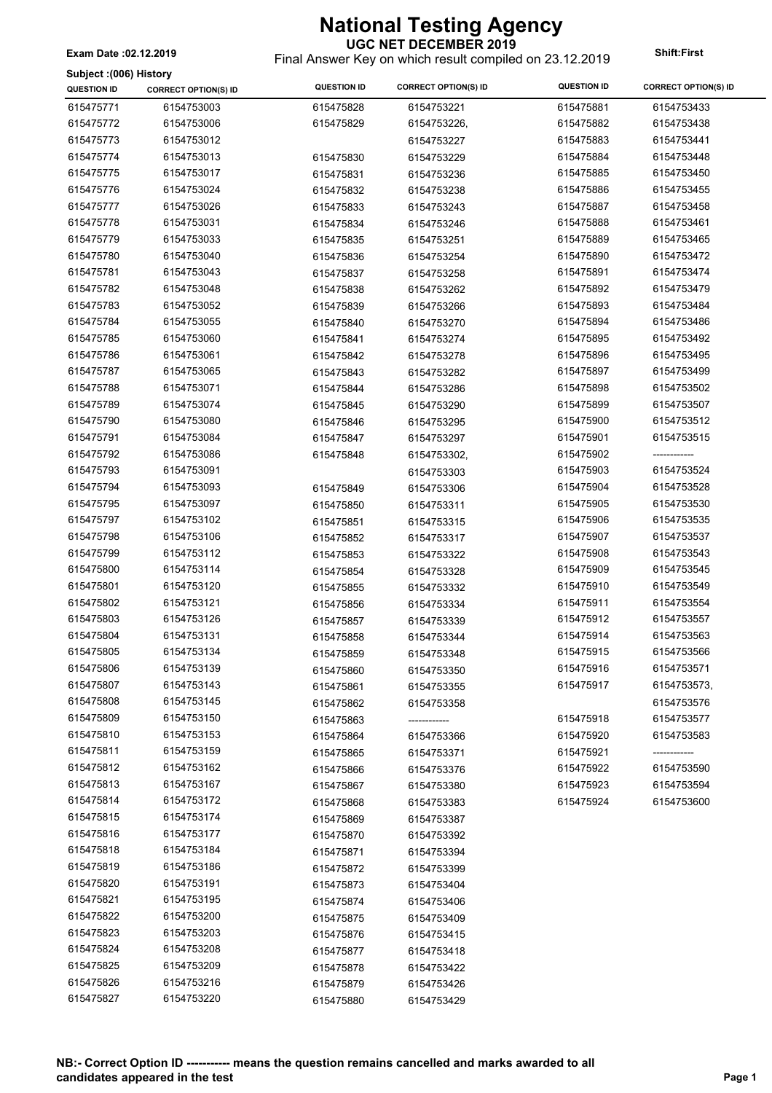Final Answer Key on which result compiled on 23.12.2019 **Exam Date :02.12.2019 Shift:First**

| Subject: (006) History |                             |                    |                             |                        |                             |
|------------------------|-----------------------------|--------------------|-----------------------------|------------------------|-----------------------------|
| <b>QUESTION ID</b>     | <b>CORRECT OPTION(S) ID</b> | <b>QUESTION ID</b> | <b>CORRECT OPTION(S) ID</b> | <b>QUESTION ID</b>     | <b>CORRECT OPTION(S) ID</b> |
| 615475771              | 6154753003                  | 615475828          | 6154753221                  | 615475881              | 6154753433                  |
| 615475772              | 6154753006                  | 615475829          | 6154753226,                 | 615475882              | 6154753438                  |
| 615475773              | 6154753012                  |                    | 6154753227                  | 615475883              | 6154753441                  |
| 615475774              | 6154753013                  | 615475830          | 6154753229                  | 615475884              | 6154753448                  |
| 615475775              | 6154753017                  | 615475831          | 6154753236                  | 615475885              | 6154753450                  |
| 615475776              | 6154753024                  | 615475832          | 6154753238                  | 615475886              | 6154753455                  |
| 615475777              | 6154753026                  | 615475833          | 6154753243                  | 615475887              | 6154753458                  |
| 615475778              | 6154753031                  | 615475834          | 6154753246                  | 615475888              | 6154753461                  |
| 615475779              | 6154753033                  | 615475835          | 6154753251                  | 615475889              | 6154753465                  |
| 615475780              | 6154753040                  | 615475836          | 6154753254                  | 615475890              | 6154753472                  |
| 615475781              | 6154753043                  | 615475837          | 6154753258                  | 615475891              | 6154753474                  |
| 615475782              | 6154753048                  | 615475838          | 6154753262                  | 615475892              | 6154753479                  |
| 615475783              | 6154753052                  | 615475839          | 6154753266                  | 615475893              | 6154753484                  |
| 615475784              | 6154753055                  | 615475840          | 6154753270                  | 615475894              | 6154753486                  |
| 615475785              | 6154753060                  | 615475841          | 6154753274                  | 615475895              | 6154753492                  |
| 615475786              | 6154753061                  | 615475842          | 6154753278                  | 615475896              | 6154753495                  |
| 615475787              | 6154753065                  | 615475843          | 6154753282                  | 615475897              | 6154753499                  |
| 615475788              | 6154753071                  | 615475844          | 6154753286                  | 615475898              | 6154753502                  |
| 615475789              | 6154753074                  | 615475845          | 6154753290                  | 615475899              | 6154753507                  |
| 615475790              | 6154753080                  | 615475846          | 6154753295                  | 615475900              | 6154753512                  |
| 615475791              | 6154753084                  | 615475847          | 6154753297                  | 615475901              | 6154753515                  |
| 615475792              | 6154753086                  | 615475848          | 6154753302,                 | 615475902              | ------------                |
| 615475793              | 6154753091                  |                    | 6154753303                  | 615475903              | 6154753524                  |
| 615475794              | 6154753093                  |                    |                             | 615475904              | 6154753528                  |
| 615475795              | 6154753097                  | 615475849          | 6154753306                  | 615475905              | 6154753530                  |
| 615475797              | 6154753102                  | 615475850          | 6154753311                  | 615475906              | 6154753535                  |
| 615475798              | 6154753106                  | 615475851          | 6154753315                  | 615475907              | 6154753537                  |
| 615475799              | 6154753112                  | 615475852          | 6154753317                  | 615475908              | 6154753543                  |
| 615475800              | 6154753114                  | 615475853          | 6154753322                  | 615475909              | 6154753545                  |
| 615475801              | 6154753120                  | 615475854          | 6154753328                  | 615475910              | 6154753549                  |
| 615475802              | 6154753121                  | 615475855          | 6154753332                  | 615475911              | 6154753554                  |
| 615475803              | 6154753126                  | 615475856          | 6154753334                  | 615475912              | 6154753557                  |
| 615475804              | 6154753131                  | 615475857          | 6154753339                  | 615475914              | 6154753563                  |
| 615475805              | 6154753134                  | 615475858          | 6154753344                  | 615475915              | 6154753566                  |
| 615475806              | 6154753139                  | 615475859          | 6154753348                  | 615475916              | 6154753571                  |
| 615475807              | 6154753143                  | 615475860          | 6154753350                  | 615475917              | 6154753573,                 |
| 615475808              | 6154753145                  | 615475861          | 6154753355                  |                        |                             |
| 615475809              | 6154753150                  | 615475862          | 6154753358                  |                        | 6154753576                  |
| 615475810              | 6154753153                  | 615475863          |                             | 615475918<br>615475920 | 6154753577                  |
| 615475811              | 6154753159                  | 615475864          | 6154753366                  |                        | 6154753583                  |
| 615475812              | 6154753162                  | 615475865          | 6154753371                  | 615475921              |                             |
| 615475813              | 6154753167                  | 615475866          | 6154753376                  | 615475922              | 6154753590                  |
| 615475814              | 6154753172                  | 615475867          | 6154753380                  | 615475923              | 6154753594                  |
| 615475815              | 6154753174                  | 615475868          | 6154753383                  | 615475924              | 6154753600                  |
| 615475816              | 6154753177                  | 615475869          | 6154753387                  |                        |                             |
|                        |                             | 615475870          | 6154753392                  |                        |                             |
| 615475818              | 6154753184                  | 615475871          | 6154753394                  |                        |                             |
| 615475819              | 6154753186                  | 615475872          | 6154753399                  |                        |                             |
| 615475820              | 6154753191                  | 615475873          | 6154753404                  |                        |                             |
| 615475821              | 6154753195                  | 615475874          | 6154753406                  |                        |                             |
| 615475822              | 6154753200                  | 615475875          | 6154753409                  |                        |                             |
| 615475823              | 6154753203                  | 615475876          | 6154753415                  |                        |                             |
| 615475824              | 6154753208                  | 615475877          | 6154753418                  |                        |                             |
| 615475825              | 6154753209                  | 615475878          | 6154753422                  |                        |                             |
| 615475826              | 6154753216                  | 615475879          | 6154753426                  |                        |                             |
| 615475827              | 6154753220                  | 615475880          | 6154753429                  |                        |                             |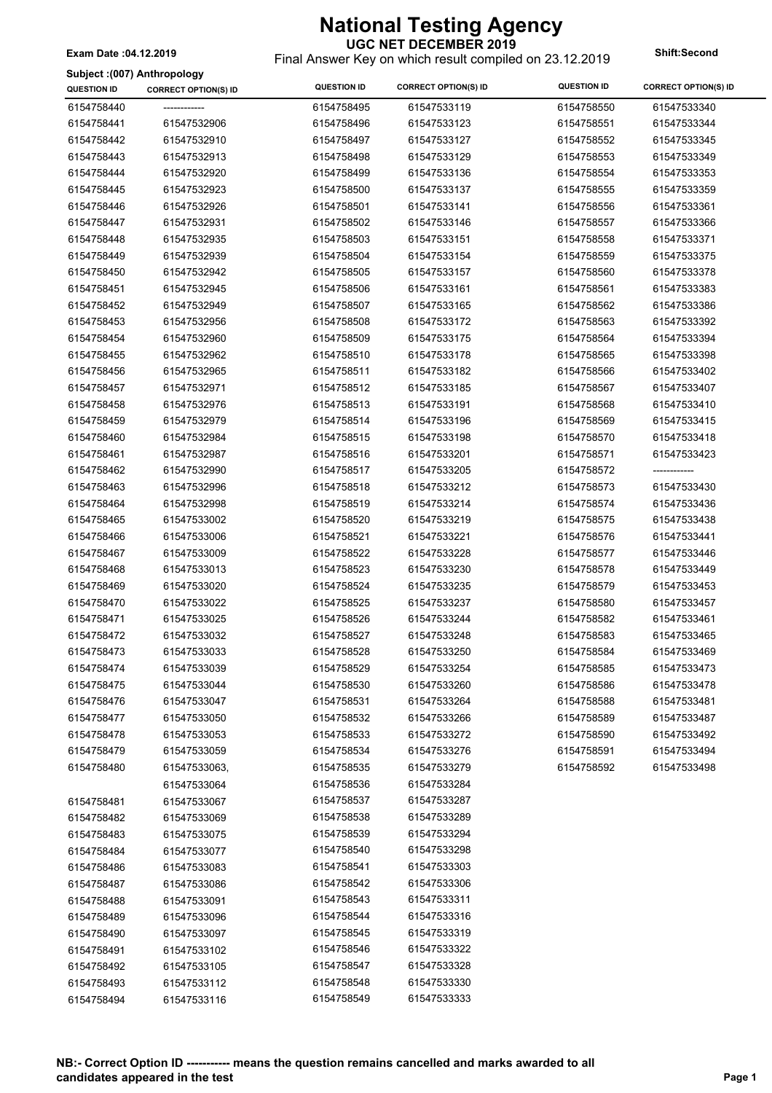Final Answer Key on which result compiled on 23.12.2019 **Exam Date :04.12.2019 Shift:Second**

#### **Subject :(007) Anthropology**

| Subject :(007) Anthropology |                             |                    |                             |                    |                             |
|-----------------------------|-----------------------------|--------------------|-----------------------------|--------------------|-----------------------------|
| <b>QUESTION ID</b>          | <b>CORRECT OPTION(S) ID</b> | <b>QUESTION ID</b> | <b>CORRECT OPTION(S) ID</b> | <b>QUESTION ID</b> | <b>CORRECT OPTION(S) ID</b> |
| 6154758440                  | ------------                | 6154758495         | 61547533119                 | 6154758550         | 61547533340                 |
| 6154758441                  | 61547532906                 | 6154758496         | 61547533123                 | 6154758551         | 61547533344                 |
| 6154758442                  | 61547532910                 | 6154758497         | 61547533127                 | 6154758552         | 61547533345                 |
| 6154758443                  | 61547532913                 | 6154758498         | 61547533129                 | 6154758553         | 61547533349                 |
| 6154758444                  | 61547532920                 | 6154758499         | 61547533136                 | 6154758554         | 61547533353                 |
| 6154758445                  | 61547532923                 | 6154758500         | 61547533137                 | 6154758555         | 61547533359                 |
| 6154758446                  | 61547532926                 | 6154758501         | 61547533141                 | 6154758556         | 61547533361                 |
| 6154758447                  | 61547532931                 | 6154758502         | 61547533146                 | 6154758557         | 61547533366                 |
| 6154758448                  | 61547532935                 | 6154758503         | 61547533151                 | 6154758558         | 61547533371                 |
| 6154758449                  | 61547532939                 | 6154758504         | 61547533154                 | 6154758559         | 61547533375                 |
| 6154758450                  | 61547532942                 | 6154758505         | 61547533157                 | 6154758560         | 61547533378                 |
| 6154758451                  | 61547532945                 | 6154758506         | 61547533161                 | 6154758561         | 61547533383                 |
| 6154758452                  | 61547532949                 | 6154758507         | 61547533165                 | 6154758562         | 61547533386                 |
| 6154758453                  | 61547532956                 | 6154758508         | 61547533172                 | 6154758563         | 61547533392                 |
| 6154758454                  | 61547532960                 | 6154758509         | 61547533175                 | 6154758564         | 61547533394                 |
| 6154758455                  | 61547532962                 | 6154758510         | 61547533178                 | 6154758565         | 61547533398                 |
| 6154758456                  | 61547532965                 | 6154758511         | 61547533182                 | 6154758566         | 61547533402                 |
| 6154758457                  | 61547532971                 | 6154758512         | 61547533185                 | 6154758567         | 61547533407                 |
| 6154758458                  | 61547532976                 | 6154758513         | 61547533191                 | 6154758568         | 61547533410                 |
| 6154758459                  | 61547532979                 | 6154758514         | 61547533196                 | 6154758569         | 61547533415                 |
| 6154758460                  | 61547532984                 | 6154758515         | 61547533198                 | 6154758570         | 61547533418                 |
| 6154758461                  | 61547532987                 | 6154758516         | 61547533201                 | 6154758571         | 61547533423                 |
| 6154758462                  | 61547532990                 | 6154758517         | 61547533205                 | 6154758572         | -------------               |
| 6154758463                  | 61547532996                 | 6154758518         | 61547533212                 | 6154758573         | 61547533430                 |
| 6154758464                  | 61547532998                 | 6154758519         | 61547533214                 | 6154758574         | 61547533436                 |
| 6154758465                  | 61547533002                 | 6154758520         | 61547533219                 | 6154758575         | 61547533438                 |
| 6154758466                  | 61547533006                 | 6154758521         | 61547533221                 | 6154758576         | 61547533441                 |
| 6154758467                  | 61547533009                 | 6154758522         | 61547533228                 | 6154758577         | 61547533446                 |
| 6154758468                  | 61547533013                 | 6154758523         | 61547533230                 | 6154758578         | 61547533449                 |
| 6154758469                  | 61547533020                 | 6154758524         | 61547533235                 | 6154758579         | 61547533453                 |
| 6154758470                  | 61547533022                 | 6154758525         | 61547533237                 | 6154758580         | 61547533457                 |
| 6154758471                  | 61547533025                 | 6154758526         | 61547533244                 | 6154758582         | 61547533461                 |
| 6154758472                  | 61547533032                 | 6154758527         | 61547533248                 | 6154758583         | 61547533465                 |
| 6154758473                  | 61547533033                 | 6154758528         | 61547533250                 | 6154758584         | 61547533469                 |
| 6154758474                  | 61547533039                 | 6154758529         | 61547533254                 | 6154758585         | 61547533473                 |
| 6154758475                  | 61547533044                 | 6154758530         | 61547533260                 | 6154758586         | 61547533478                 |
| 6154758476                  | 61547533047                 | 6154758531         | 61547533264                 | 6154758588         | 61547533481                 |
| 6154758477                  | 61547533050                 | 6154758532         | 61547533266                 | 6154758589         | 61547533487                 |
| 6154758478                  | 61547533053                 | 6154758533         | 61547533272                 | 6154758590         | 61547533492                 |
| 6154758479                  | 61547533059                 | 6154758534         | 61547533276                 | 6154758591         | 61547533494                 |
| 6154758480                  |                             | 6154758535         | 61547533279                 | 6154758592         | 61547533498                 |
|                             | 61547533063,                |                    |                             |                    |                             |
|                             | 61547533064                 | 6154758536         | 61547533284                 |                    |                             |
| 6154758481                  | 61547533067                 | 6154758537         | 61547533287                 |                    |                             |
| 6154758482                  | 61547533069                 | 6154758538         | 61547533289                 |                    |                             |
| 6154758483                  | 61547533075                 | 6154758539         | 61547533294                 |                    |                             |
| 6154758484                  | 61547533077                 | 6154758540         | 61547533298                 |                    |                             |
| 6154758486                  | 61547533083                 | 6154758541         | 61547533303                 |                    |                             |
| 6154758487                  | 61547533086                 | 6154758542         | 61547533306                 |                    |                             |
| 6154758488                  | 61547533091                 | 6154758543         | 61547533311                 |                    |                             |
| 6154758489                  | 61547533096                 | 6154758544         | 61547533316                 |                    |                             |
| 6154758490                  | 61547533097                 | 6154758545         | 61547533319                 |                    |                             |
| 6154758491                  | 61547533102                 | 6154758546         | 61547533322                 |                    |                             |
| 6154758492                  | 61547533105                 | 6154758547         | 61547533328                 |                    |                             |
| 6154758493                  | 61547533112                 | 6154758548         | 61547533330                 |                    |                             |
| 6154758494                  | 61547533116                 | 6154758549         | 61547533333                 |                    |                             |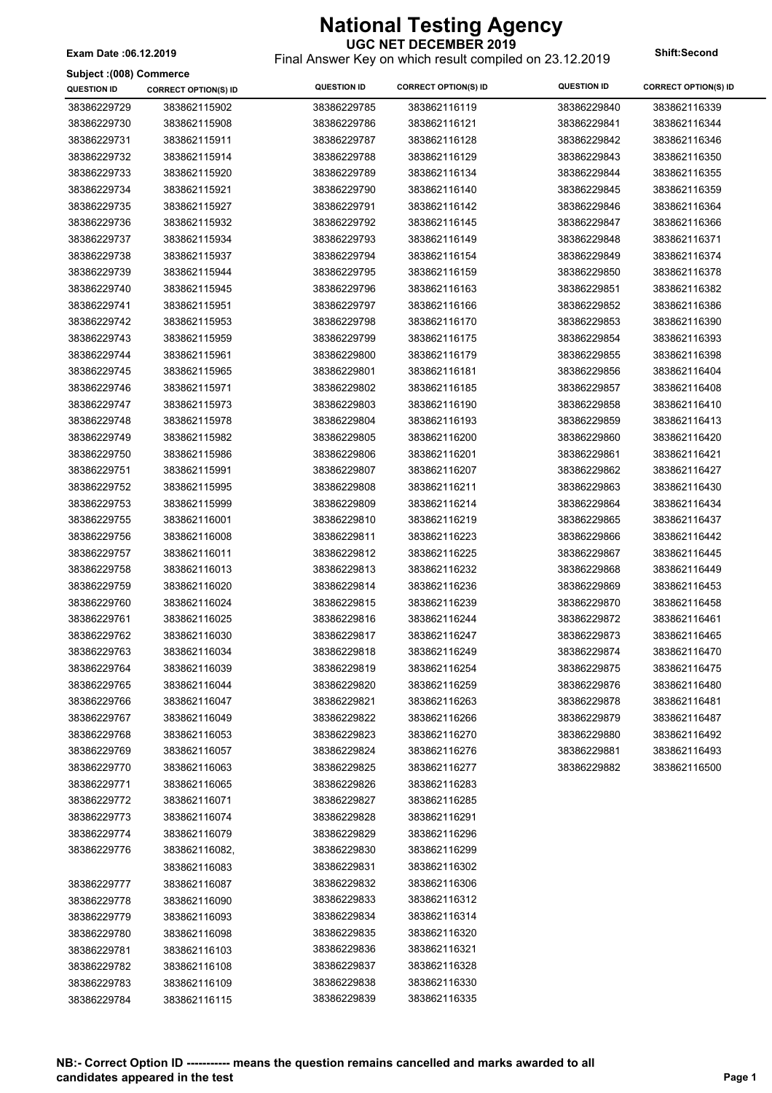Final Answer Key on which result compiled on 23.12.2019 **Exam Date :06.12.2019 Shift:Second**

| Subject: (008) Commerce |                             |                    |                             |                    |                             |
|-------------------------|-----------------------------|--------------------|-----------------------------|--------------------|-----------------------------|
| <b>QUESTION ID</b>      | <b>CORRECT OPTION(S) ID</b> | <b>QUESTION ID</b> | <b>CORRECT OPTION(S) ID</b> | <b>QUESTION ID</b> | <b>CORRECT OPTION(S) ID</b> |
| 38386229729             | 383862115902                | 38386229785        | 383862116119                | 38386229840        | 383862116339                |
| 38386229730             | 383862115908                | 38386229786        | 383862116121                | 38386229841        | 383862116344                |
| 38386229731             | 383862115911                | 38386229787        | 383862116128                | 38386229842        | 383862116346                |
| 38386229732             | 383862115914                | 38386229788        | 383862116129                | 38386229843        | 383862116350                |
| 38386229733             | 383862115920                | 38386229789        | 383862116134                | 38386229844        | 383862116355                |
| 38386229734             | 383862115921                | 38386229790        | 383862116140                | 38386229845        | 383862116359                |
| 38386229735             | 383862115927                | 38386229791        | 383862116142                | 38386229846        | 383862116364                |
| 38386229736             | 383862115932                | 38386229792        | 383862116145                | 38386229847        | 383862116366                |
| 38386229737             | 383862115934                | 38386229793        | 383862116149                | 38386229848        | 383862116371                |
| 38386229738             | 383862115937                | 38386229794        | 383862116154                | 38386229849        | 383862116374                |
| 38386229739             | 383862115944                | 38386229795        | 383862116159                | 38386229850        | 383862116378                |
| 38386229740             | 383862115945                | 38386229796        | 383862116163                | 38386229851        | 383862116382                |
| 38386229741             | 383862115951                | 38386229797        | 383862116166                | 38386229852        | 383862116386                |
| 38386229742             | 383862115953                | 38386229798        | 383862116170                | 38386229853        | 383862116390                |
| 38386229743             | 383862115959                | 38386229799        | 383862116175                | 38386229854        | 383862116393                |
| 38386229744             | 383862115961                | 38386229800        | 383862116179                | 38386229855        | 383862116398                |
| 38386229745             | 383862115965                | 38386229801        | 383862116181                | 38386229856        | 383862116404                |
| 38386229746             | 383862115971                | 38386229802        | 383862116185                | 38386229857        | 383862116408                |
| 38386229747             | 383862115973                | 38386229803        | 383862116190                | 38386229858        | 383862116410                |
| 38386229748             | 383862115978                | 38386229804        | 383862116193                | 38386229859        | 383862116413                |
| 38386229749             | 383862115982                | 38386229805        | 383862116200                | 38386229860        | 383862116420                |
| 38386229750             | 383862115986                | 38386229806        | 383862116201                | 38386229861        | 383862116421                |
| 38386229751             | 383862115991                | 38386229807        | 383862116207                | 38386229862        | 383862116427                |
| 38386229752             | 383862115995                | 38386229808        | 383862116211                | 38386229863        | 383862116430                |
| 38386229753             | 383862115999                | 38386229809        | 383862116214                | 38386229864        | 383862116434                |
| 38386229755             | 383862116001                | 38386229810        | 383862116219                | 38386229865        | 383862116437                |
| 38386229756             | 383862116008                | 38386229811        | 383862116223                | 38386229866        | 383862116442                |
| 38386229757             | 383862116011                | 38386229812        | 383862116225                | 38386229867        | 383862116445                |
| 38386229758             | 383862116013                | 38386229813        | 383862116232                | 38386229868        | 383862116449                |
| 38386229759             | 383862116020                | 38386229814        | 383862116236                | 38386229869        | 383862116453                |
| 38386229760             | 383862116024                | 38386229815        | 383862116239                | 38386229870        | 383862116458                |
| 38386229761             | 383862116025                | 38386229816        | 383862116244                | 38386229872        | 383862116461                |
| 38386229762             | 383862116030                | 38386229817        | 383862116247                | 38386229873        | 383862116465                |
| 38386229763             | 383862116034                | 38386229818        | 383862116249                | 38386229874        | 383862116470                |
| 38386229764             | 383862116039                | 38386229819        | 383862116254                | 38386229875        | 383862116475                |
| 38386229765             | 383862116044                | 38386229820        | 383862116259                | 38386229876        | 383862116480                |
| 38386229766             | 383862116047                | 38386229821        | 383862116263                | 38386229878        | 383862116481                |
| 38386229767             | 383862116049                | 38386229822        | 383862116266                | 38386229879        | 383862116487                |
| 38386229768             | 383862116053                | 38386229823        | 383862116270                | 38386229880        | 383862116492                |
| 38386229769             | 383862116057                | 38386229824        | 383862116276                | 38386229881        | 383862116493                |
| 38386229770             | 383862116063                | 38386229825        | 383862116277                | 38386229882        | 383862116500                |
| 38386229771             | 383862116065                | 38386229826        | 383862116283                |                    |                             |
| 38386229772             | 383862116071                | 38386229827        | 383862116285                |                    |                             |
| 38386229773             | 383862116074                | 38386229828        | 383862116291                |                    |                             |
| 38386229774             | 383862116079                | 38386229829        | 383862116296                |                    |                             |
| 38386229776             | 383862116082,               | 38386229830        | 383862116299                |                    |                             |
|                         | 383862116083                | 38386229831        | 383862116302                |                    |                             |
| 38386229777             | 383862116087                | 38386229832        | 383862116306                |                    |                             |
| 38386229778             | 383862116090                | 38386229833        | 383862116312                |                    |                             |
| 38386229779             | 383862116093                | 38386229834        | 383862116314                |                    |                             |
| 38386229780             | 383862116098                | 38386229835        | 383862116320                |                    |                             |
| 38386229781             | 383862116103                | 38386229836        | 383862116321                |                    |                             |
| 38386229782             | 383862116108                | 38386229837        | 383862116328                |                    |                             |
| 38386229783             | 383862116109                | 38386229838        | 383862116330                |                    |                             |
| 38386229784             | 383862116115                | 38386229839        | 383862116335                |                    |                             |
|                         |                             |                    |                             |                    |                             |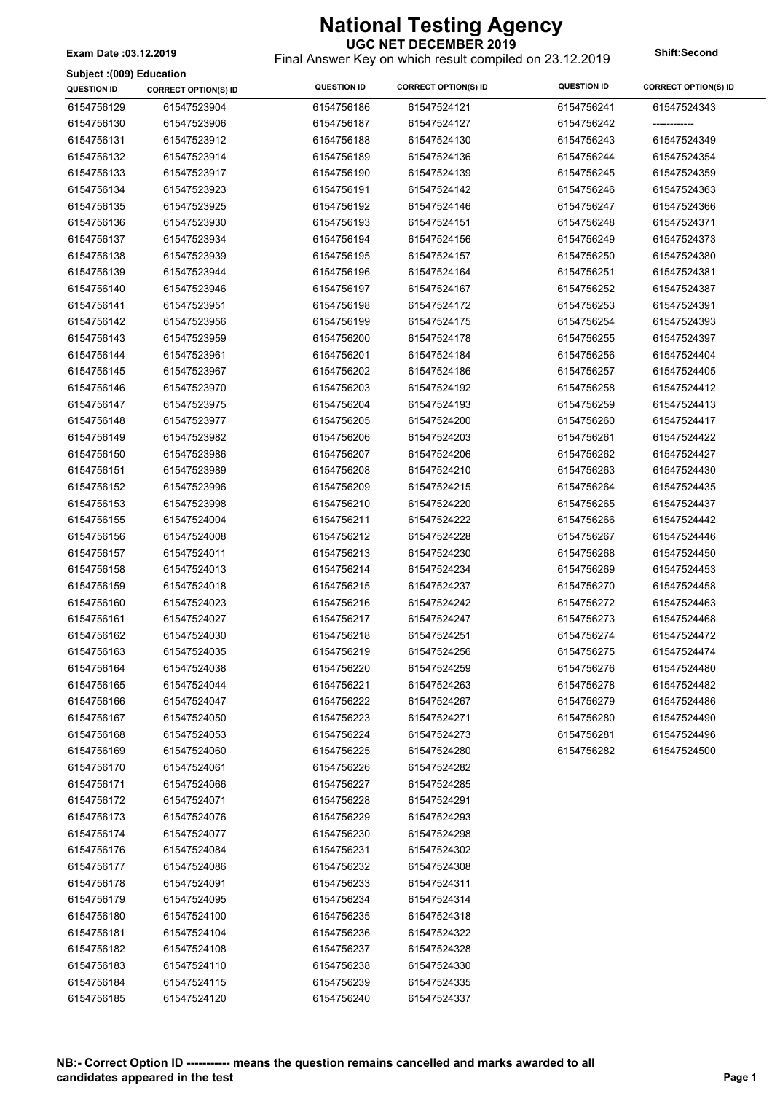**UGC NET DECEMBER 2019** Final Answer Key on which result compiled on 23.12.2019 **Exam Date :03.12.2019 Shift:Second**

**Subject :(009) Education**

| ounlent (1993) Fancation<br><b>QUESTION ID</b> | <b>CORRECT OPTION(S) ID</b> | <b>QUESTION ID</b> | <b>CORRECT OPTION(S) ID</b> | <b>QUESTION ID</b> | <b>CORRECT OPTION(S) ID</b> |
|------------------------------------------------|-----------------------------|--------------------|-----------------------------|--------------------|-----------------------------|
| 6154756129                                     | 61547523904                 | 6154756186         | 61547524121                 | 6154756241         | 61547524343                 |
| 6154756130                                     | 61547523906                 | 6154756187         | 61547524127                 | 6154756242         | ------------                |
| 6154756131                                     | 61547523912                 | 6154756188         | 61547524130                 | 6154756243         | 61547524349                 |
| 6154756132                                     | 61547523914                 | 6154756189         | 61547524136                 | 6154756244         | 61547524354                 |
| 6154756133                                     | 61547523917                 | 6154756190         | 61547524139                 | 6154756245         | 61547524359                 |
| 6154756134                                     | 61547523923                 | 6154756191         | 61547524142                 | 6154756246         | 61547524363                 |
| 6154756135                                     | 61547523925                 | 6154756192         | 61547524146                 | 6154756247         | 61547524366                 |
| 6154756136                                     | 61547523930                 | 6154756193         | 61547524151                 | 6154756248         | 61547524371                 |
| 6154756137                                     | 61547523934                 | 6154756194         | 61547524156                 | 6154756249         | 61547524373                 |
| 6154756138                                     | 61547523939                 | 6154756195         | 61547524157                 | 6154756250         | 61547524380                 |
| 6154756139                                     | 61547523944                 | 6154756196         | 61547524164                 | 6154756251         | 61547524381                 |
| 6154756140                                     | 61547523946                 | 6154756197         | 61547524167                 | 6154756252         | 61547524387                 |
| 6154756141                                     | 61547523951                 | 6154756198         | 61547524172                 | 6154756253         | 61547524391                 |
|                                                |                             |                    |                             |                    |                             |
| 6154756142                                     | 61547523956                 | 6154756199         | 61547524175                 | 6154756254         | 61547524393                 |
| 6154756143                                     | 61547523959                 | 6154756200         | 61547524178                 | 6154756255         | 61547524397                 |
| 6154756144                                     | 61547523961                 | 6154756201         | 61547524184                 | 6154756256         | 61547524404                 |
| 6154756145                                     | 61547523967                 | 6154756202         | 61547524186                 | 6154756257         | 61547524405                 |
| 6154756146                                     | 61547523970                 | 6154756203         | 61547524192                 | 6154756258         | 61547524412                 |
| 6154756147                                     | 61547523975                 | 6154756204         | 61547524193                 | 6154756259         | 61547524413                 |
| 6154756148                                     | 61547523977                 | 6154756205         | 61547524200                 | 6154756260         | 61547524417                 |
| 6154756149                                     | 61547523982                 | 6154756206         | 61547524203                 | 6154756261         | 61547524422                 |
| 6154756150                                     | 61547523986                 | 6154756207         | 61547524206                 | 6154756262         | 61547524427                 |
| 6154756151                                     | 61547523989                 | 6154756208         | 61547524210                 | 6154756263         | 61547524430                 |
| 6154756152                                     | 61547523996                 | 6154756209         | 61547524215                 | 6154756264         | 61547524435                 |
| 6154756153                                     | 61547523998                 | 6154756210         | 61547524220                 | 6154756265         | 61547524437                 |
| 6154756155                                     | 61547524004                 | 6154756211         | 61547524222                 | 6154756266         | 61547524442                 |
| 6154756156                                     | 61547524008                 | 6154756212         | 61547524228                 | 6154756267         | 61547524446                 |
| 6154756157                                     | 61547524011                 | 6154756213         | 61547524230                 | 6154756268         | 61547524450                 |
| 6154756158                                     | 61547524013                 | 6154756214         | 61547524234                 | 6154756269         | 61547524453                 |
| 6154756159                                     | 61547524018                 | 6154756215         | 61547524237                 | 6154756270         | 61547524458                 |
| 6154756160                                     | 61547524023                 | 6154756216         | 61547524242                 | 6154756272         | 61547524463                 |
| 6154756161                                     | 61547524027                 | 6154756217         | 61547524247                 | 6154756273         | 61547524468                 |
| 6154756162                                     | 61547524030                 | 6154756218         | 61547524251                 | 6154756274         | 61547524472                 |
| 6154756163                                     | 61547524035                 | 6154756219         | 61547524256                 | 6154756275         | 61547524474                 |
| 6154756164                                     | 61547524038                 | 6154756220         | 61547524259                 | 6154756276         | 61547524480                 |
| 6154756165                                     | 61547524044                 | 6154756221         | 61547524263                 | 6154756278         | 61547524482                 |
| 6154756166                                     | 61547524047                 | 6154756222         | 61547524267                 | 6154756279         | 61547524486                 |
| 6154756167                                     | 61547524050                 | 6154756223         | 61547524271                 | 6154756280         | 61547524490                 |
| 6154756168                                     | 61547524053                 | 6154756224         | 61547524273                 | 6154756281         | 61547524496                 |
| 6154756169                                     | 61547524060                 | 6154756225         | 61547524280                 | 6154756282         | 61547524500                 |
| 6154756170                                     | 61547524061                 | 6154756226         | 61547524282                 |                    |                             |
| 6154756171                                     | 61547524066                 | 6154756227         | 61547524285                 |                    |                             |
| 6154756172                                     | 61547524071                 | 6154756228         | 61547524291                 |                    |                             |
| 6154756173                                     | 61547524076                 | 6154756229         | 61547524293                 |                    |                             |
| 6154756174                                     | 61547524077                 | 6154756230         | 61547524298                 |                    |                             |
| 6154756176                                     | 61547524084                 | 6154756231         | 61547524302                 |                    |                             |
| 6154756177                                     | 61547524086                 | 6154756232         | 61547524308                 |                    |                             |
| 6154756178                                     | 61547524091                 | 6154756233         | 61547524311                 |                    |                             |
| 6154756179                                     | 61547524095                 | 6154756234         | 61547524314                 |                    |                             |
| 6154756180                                     | 61547524100                 | 6154756235         | 61547524318                 |                    |                             |
| 6154756181                                     | 61547524104                 | 6154756236         | 61547524322                 |                    |                             |
| 6154756182                                     | 61547524108                 | 6154756237         | 61547524328                 |                    |                             |
| 6154756183                                     | 61547524110                 | 6154756238         | 61547524330                 |                    |                             |
| 6154756184                                     | 61547524115                 | 6154756239         | 61547524335                 |                    |                             |
| 6154756185                                     | 61547524120                 | 6154756240         | 61547524337                 |                    |                             |
|                                                |                             |                    |                             |                    |                             |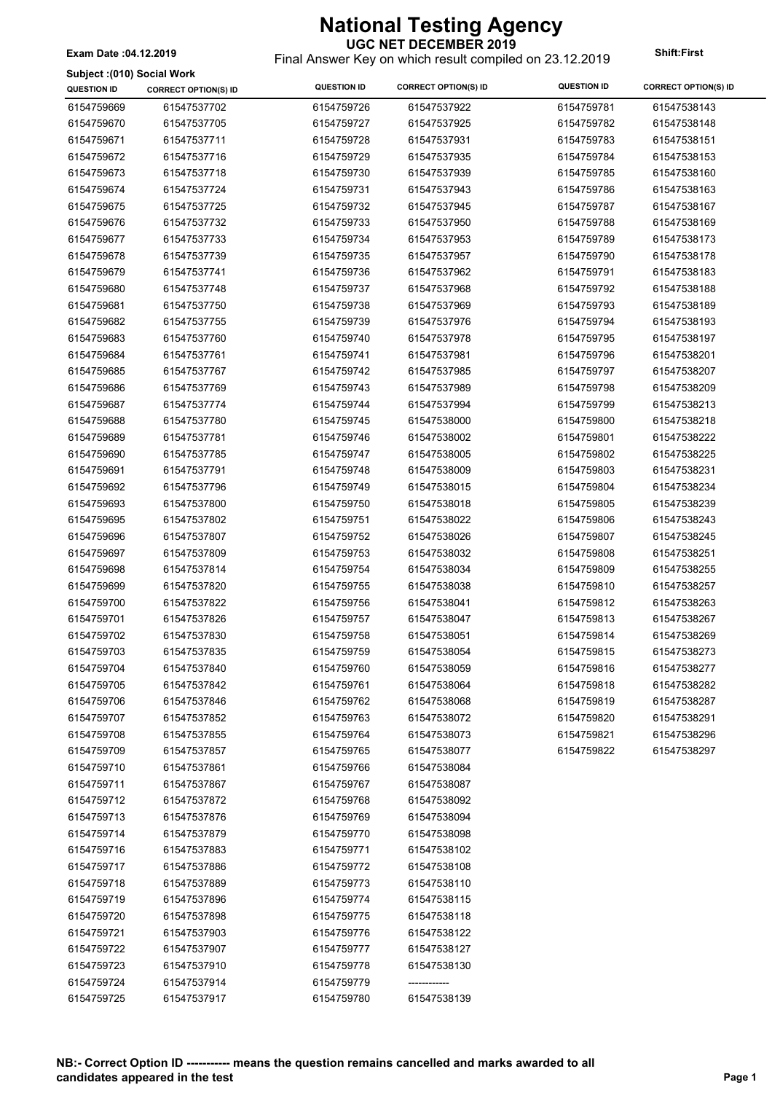**UGC NET DECEMBER 2019** Final Answer Key on which result compiled on 23.12.2019 **Exam Date :04.12.2019 Shift:First**

#### **Subject :(010) Social Work**

| <b>SUDJECT (UTD) SUCIAL WOIN</b><br><b>QUESTION ID</b> | <b>CORRECT OPTION(S) ID</b> | <b>QUESTION ID</b>       | <b>CORRECT OPTION(S) ID</b> | <b>QUESTION ID</b> | <b>CORRECT OPTION(S) ID</b> |
|--------------------------------------------------------|-----------------------------|--------------------------|-----------------------------|--------------------|-----------------------------|
| 6154759669                                             | 61547537702                 | 6154759726               | 61547537922                 | 6154759781         | 61547538143                 |
| 6154759670                                             | 61547537705                 | 6154759727               | 61547537925                 | 6154759782         | 61547538148                 |
| 6154759671                                             | 61547537711                 |                          | 61547537931                 |                    | 61547538151                 |
|                                                        |                             | 6154759728<br>6154759729 |                             | 6154759783         |                             |
| 6154759672                                             | 61547537716                 |                          | 61547537935                 | 6154759784         | 61547538153                 |
| 6154759673                                             | 61547537718                 | 6154759730               | 61547537939                 | 6154759785         | 61547538160                 |
| 6154759674                                             | 61547537724                 | 6154759731               | 61547537943                 | 6154759786         | 61547538163                 |
| 6154759675                                             | 61547537725                 | 6154759732               | 61547537945                 | 6154759787         | 61547538167                 |
| 6154759676                                             | 61547537732                 | 6154759733               | 61547537950                 | 6154759788         | 61547538169                 |
| 6154759677                                             | 61547537733                 | 6154759734               | 61547537953                 | 6154759789         | 61547538173                 |
| 6154759678                                             | 61547537739                 | 6154759735               | 61547537957                 | 6154759790         | 61547538178                 |
| 6154759679                                             | 61547537741                 | 6154759736               | 61547537962                 | 6154759791         | 61547538183                 |
| 6154759680                                             | 61547537748                 | 6154759737               | 61547537968                 | 6154759792         | 61547538188                 |
| 6154759681                                             | 61547537750                 | 6154759738               | 61547537969                 | 6154759793         | 61547538189                 |
| 6154759682                                             | 61547537755                 | 6154759739               | 61547537976                 | 6154759794         | 61547538193                 |
| 6154759683                                             | 61547537760                 | 6154759740               | 61547537978                 | 6154759795         | 61547538197                 |
| 6154759684                                             | 61547537761                 | 6154759741               | 61547537981                 | 6154759796         | 61547538201                 |
| 6154759685                                             | 61547537767                 | 6154759742               | 61547537985                 | 6154759797         | 61547538207                 |
| 6154759686                                             | 61547537769                 | 6154759743               | 61547537989                 | 6154759798         | 61547538209                 |
| 6154759687                                             | 61547537774                 | 6154759744               | 61547537994                 | 6154759799         | 61547538213                 |
| 6154759688                                             | 61547537780                 | 6154759745               | 61547538000                 | 6154759800         | 61547538218                 |
| 6154759689                                             | 61547537781                 | 6154759746               | 61547538002                 | 6154759801         | 61547538222                 |
| 6154759690                                             | 61547537785                 | 6154759747               | 61547538005                 | 6154759802         | 61547538225                 |
| 6154759691                                             | 61547537791                 | 6154759748               | 61547538009                 | 6154759803         | 61547538231                 |
| 6154759692                                             | 61547537796                 | 6154759749               | 61547538015                 | 6154759804         | 61547538234                 |
| 6154759693                                             | 61547537800                 | 6154759750               | 61547538018                 | 6154759805         | 61547538239                 |
| 6154759695                                             | 61547537802                 | 6154759751               | 61547538022                 | 6154759806         | 61547538243                 |
| 6154759696                                             | 61547537807                 | 6154759752               | 61547538026                 | 6154759807         | 61547538245                 |
| 6154759697                                             | 61547537809                 | 6154759753               | 61547538032                 | 6154759808         | 61547538251                 |
| 6154759698                                             | 61547537814                 | 6154759754               | 61547538034                 | 6154759809         | 61547538255                 |
| 6154759699                                             | 61547537820                 | 6154759755               | 61547538038                 | 6154759810         | 61547538257                 |
| 6154759700                                             | 61547537822                 | 6154759756               | 61547538041                 | 6154759812         | 61547538263                 |
| 6154759701                                             | 61547537826                 | 6154759757               | 61547538047                 | 6154759813         | 61547538267                 |
| 6154759702                                             | 61547537830                 | 6154759758               | 61547538051                 | 6154759814         | 61547538269                 |
| 6154759703                                             | 61547537835                 | 6154759759               | 61547538054                 | 6154759815         | 61547538273                 |
| 6154759704                                             | 61547537840                 | 6154759760               | 61547538059                 | 6154759816         | 61547538277                 |
| 6154759705                                             | 61547537842                 | 6154759761               | 61547538064                 | 6154759818         | 61547538282                 |
| 6154759706                                             | 61547537846                 | 6154759762               | 61547538068                 | 6154759819         | 61547538287                 |
| 6154759707                                             | 61547537852                 | 6154759763               | 61547538072                 | 6154759820         | 61547538291                 |
| 6154759708                                             | 61547537855                 | 6154759764               | 61547538073                 | 6154759821         | 61547538296                 |
| 6154759709                                             | 61547537857                 | 6154759765               | 61547538077                 | 6154759822         | 61547538297                 |
| 6154759710                                             | 61547537861                 | 6154759766               | 61547538084                 |                    |                             |
| 6154759711                                             | 61547537867                 | 6154759767               | 61547538087                 |                    |                             |
| 6154759712                                             | 61547537872                 | 6154759768               | 61547538092                 |                    |                             |
| 6154759713                                             | 61547537876                 | 6154759769               | 61547538094                 |                    |                             |
| 6154759714                                             | 61547537879                 | 6154759770               | 61547538098                 |                    |                             |
| 6154759716                                             | 61547537883                 | 6154759771               | 61547538102                 |                    |                             |
| 6154759717                                             | 61547537886                 | 6154759772               | 61547538108                 |                    |                             |
| 6154759718                                             | 61547537889                 | 6154759773               | 61547538110                 |                    |                             |
|                                                        |                             |                          |                             |                    |                             |
| 6154759719                                             | 61547537896                 | 6154759774               | 61547538115                 |                    |                             |
| 6154759720                                             | 61547537898                 | 6154759775               | 61547538118                 |                    |                             |
| 6154759721                                             | 61547537903                 | 6154759776               | 61547538122                 |                    |                             |
| 6154759722                                             | 61547537907                 | 6154759777               | 61547538127                 |                    |                             |
| 6154759723                                             | 61547537910                 | 6154759778               | 61547538130                 |                    |                             |
| 6154759724                                             | 61547537914                 | 6154759779               | ------------                |                    |                             |
| 6154759725                                             | 61547537917                 | 6154759780               | 61547538139                 |                    |                             |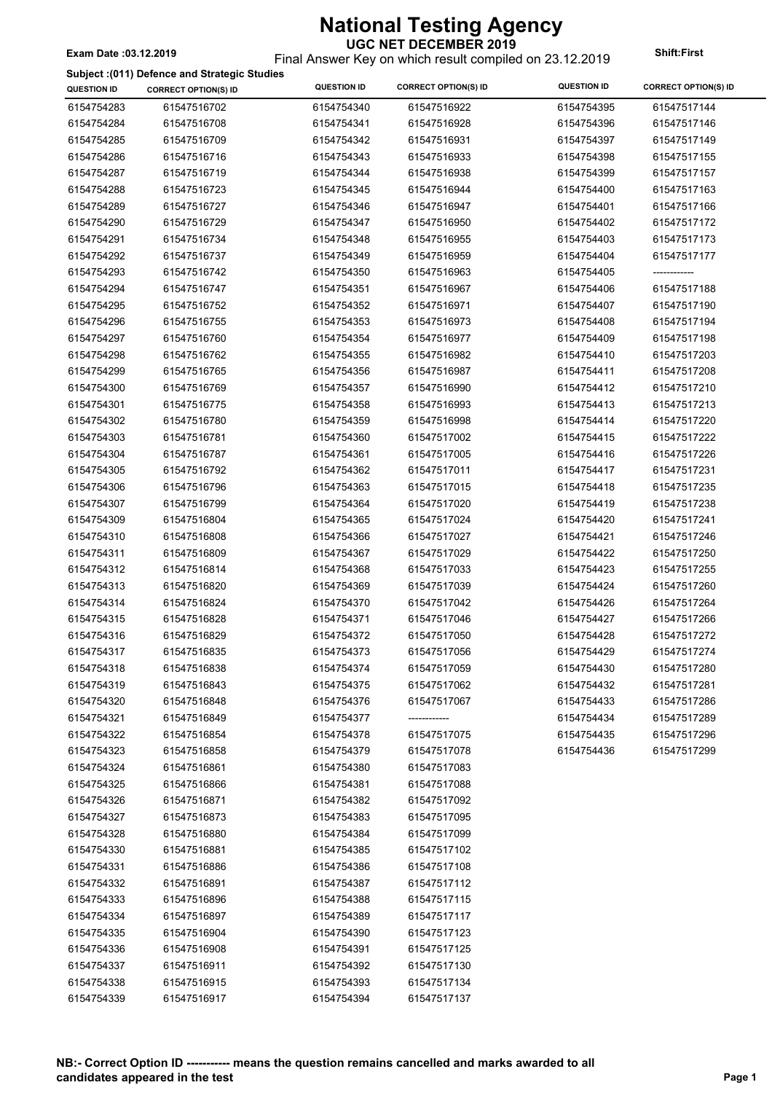### Final Answer Key on which result compiled on 23.12.2019 **Exam Date :03.12.2019 Shift:First**

#### **Subject :(011) Defence and Strategic Studies**

| <b>QUESTION ID</b> | <b>CORRECT OPTION(S) ID</b> | <b>QUESTION ID</b> | <b>CORRECT OPTION(S) ID</b> | <b>QUESTION ID</b> | <b>CORRECT OPTION(S) ID</b> |
|--------------------|-----------------------------|--------------------|-----------------------------|--------------------|-----------------------------|
| 6154754283         | 61547516702                 | 6154754340         | 61547516922                 | 6154754395         | 61547517144                 |
| 6154754284         | 61547516708                 | 6154754341         | 61547516928                 | 6154754396         | 61547517146                 |
| 6154754285         | 61547516709                 | 6154754342         | 61547516931                 | 6154754397         | 61547517149                 |
| 6154754286         | 61547516716                 | 6154754343         | 61547516933                 | 6154754398         | 61547517155                 |
| 6154754287         | 61547516719                 | 6154754344         | 61547516938                 | 6154754399         | 61547517157                 |
| 6154754288         | 61547516723                 | 6154754345         | 61547516944                 | 6154754400         | 61547517163                 |
| 6154754289         | 61547516727                 | 6154754346         | 61547516947                 | 6154754401         | 61547517166                 |
| 6154754290         | 61547516729                 | 6154754347         | 61547516950                 | 6154754402         | 61547517172                 |
| 6154754291         | 61547516734                 | 6154754348         | 61547516955                 | 6154754403         | 61547517173                 |
| 6154754292         | 61547516737                 | 6154754349         | 61547516959                 | 6154754404         | 61547517177                 |
| 6154754293         | 61547516742                 | 6154754350         | 61547516963                 | 6154754405         | ------------                |
| 6154754294         | 61547516747                 | 6154754351         | 61547516967                 | 6154754406         | 61547517188                 |
| 6154754295         | 61547516752                 | 6154754352         | 61547516971                 | 6154754407         | 61547517190                 |
| 6154754296         | 61547516755                 | 6154754353         | 61547516973                 | 6154754408         | 61547517194                 |
| 6154754297         | 61547516760                 | 6154754354         | 61547516977                 | 6154754409         | 61547517198                 |
| 6154754298         | 61547516762                 | 6154754355         | 61547516982                 | 6154754410         | 61547517203                 |
| 6154754299         | 61547516765                 | 6154754356         | 61547516987                 | 6154754411         | 61547517208                 |
| 6154754300         | 61547516769                 | 6154754357         | 61547516990                 | 6154754412         | 61547517210                 |
| 6154754301         | 61547516775                 | 6154754358         | 61547516993                 | 6154754413         | 61547517213                 |
| 6154754302         | 61547516780                 | 6154754359         | 61547516998                 | 6154754414         | 61547517220                 |
| 6154754303         | 61547516781                 | 6154754360         | 61547517002                 | 6154754415         | 61547517222                 |
| 6154754304         | 61547516787                 | 6154754361         | 61547517005                 | 6154754416         | 61547517226                 |
| 6154754305         | 61547516792                 | 6154754362         | 61547517011                 | 6154754417         | 61547517231                 |
| 6154754306         | 61547516796                 | 6154754363         | 61547517015                 | 6154754418         | 61547517235                 |
| 6154754307         | 61547516799                 | 6154754364         | 61547517020                 | 6154754419         | 61547517238                 |
| 6154754309         | 61547516804                 | 6154754365         | 61547517024                 | 6154754420         | 61547517241                 |
| 6154754310         | 61547516808                 | 6154754366         | 61547517027                 | 6154754421         | 61547517246                 |
| 6154754311         | 61547516809                 | 6154754367         | 61547517029                 | 6154754422         | 61547517250                 |
| 6154754312         | 61547516814                 | 6154754368         | 61547517033                 | 6154754423         | 61547517255                 |
| 6154754313         | 61547516820                 | 6154754369         | 61547517039                 | 6154754424         | 61547517260                 |
| 6154754314         | 61547516824                 | 6154754370         | 61547517042                 | 6154754426         | 61547517264                 |
| 6154754315         | 61547516828                 | 6154754371         | 61547517046                 | 6154754427         | 61547517266                 |
| 6154754316         | 61547516829                 | 6154754372         | 61547517050                 | 6154754428         | 61547517272                 |
| 6154754317         | 61547516835                 | 6154754373         | 61547517056                 | 6154754429         | 61547517274                 |
| 6154754318         | 61547516838                 | 6154754374         | 61547517059                 | 6154754430         | 61547517280                 |
| 6154754319         | 61547516843                 | 6154754375         | 61547517062                 | 6154754432         | 61547517281                 |
| 6154754320         | 61547516848                 | 6154754376         | 61547517067                 | 6154754433         | 61547517286                 |
| 6154754321         | 61547516849                 | 6154754377         | ------------                | 6154754434         | 61547517289                 |
| 6154754322         | 61547516854                 | 6154754378         | 61547517075                 | 6154754435         | 61547517296                 |
| 6154754323         | 61547516858                 | 6154754379         | 61547517078                 | 6154754436         | 61547517299                 |
| 6154754324         | 61547516861                 | 6154754380         | 61547517083                 |                    |                             |
| 6154754325         | 61547516866                 | 6154754381         | 61547517088                 |                    |                             |
| 6154754326         | 61547516871                 | 6154754382         | 61547517092                 |                    |                             |
| 6154754327         | 61547516873                 | 6154754383         | 61547517095                 |                    |                             |
| 6154754328         | 61547516880                 | 6154754384         | 61547517099                 |                    |                             |
| 6154754330         | 61547516881                 | 6154754385         | 61547517102                 |                    |                             |
| 6154754331         | 61547516886                 | 6154754386         | 61547517108                 |                    |                             |
| 6154754332         | 61547516891                 | 6154754387         | 61547517112                 |                    |                             |
| 6154754333         | 61547516896                 | 6154754388         | 61547517115                 |                    |                             |
| 6154754334         | 61547516897                 | 6154754389         | 61547517117                 |                    |                             |
| 6154754335         | 61547516904                 | 6154754390         | 61547517123                 |                    |                             |
| 6154754336         | 61547516908                 | 6154754391         | 61547517125                 |                    |                             |
| 6154754337         | 61547516911                 | 6154754392         | 61547517130                 |                    |                             |
| 6154754338         | 61547516915                 | 6154754393         | 61547517134                 |                    |                             |
| 6154754339         | 61547516917                 | 6154754394         | 61547517137                 |                    |                             |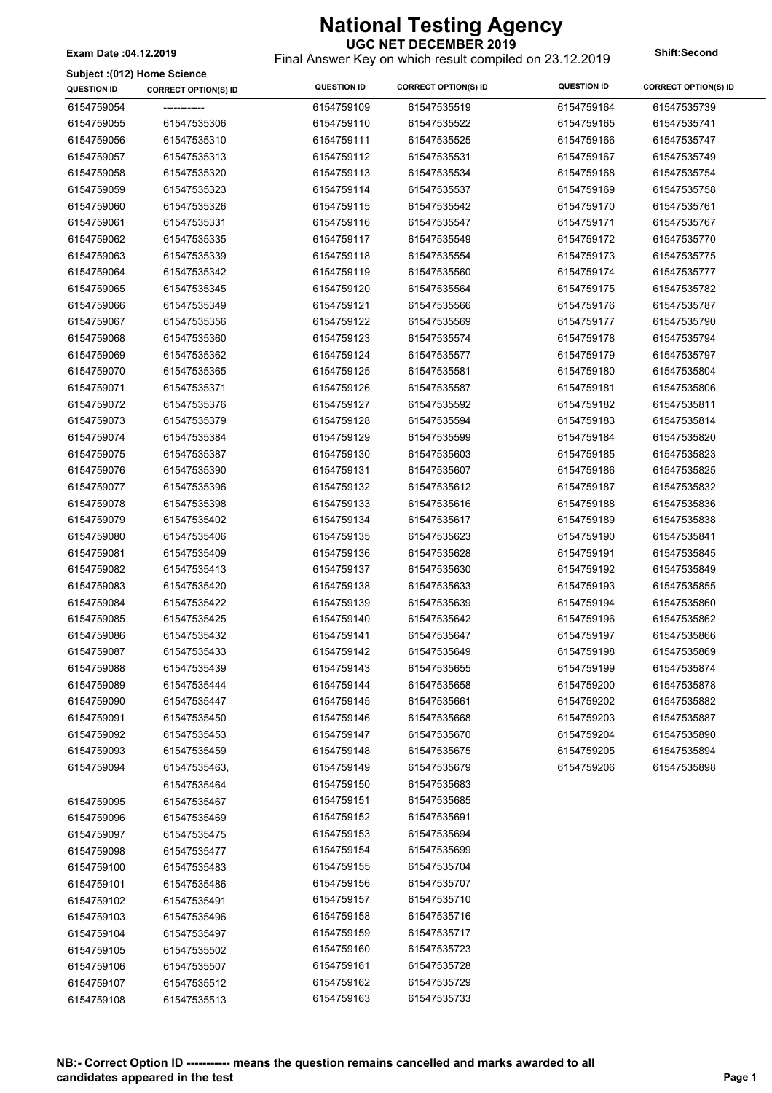Final Answer Key on which result compiled on 23.12.2019 **Exam Date :04.12.2019 Shift:Second**

#### **Subject :(012) Home Science**

| <b>QUESTION ID</b> | ounler (117) Home ocience<br><b>CORRECT OPTION(S) ID</b> | <b>QUESTION ID</b> | <b>CORRECT OPTION(S) ID</b> | <b>QUESTION ID</b> | <b>CORRECT OPTION(S) ID</b> |
|--------------------|----------------------------------------------------------|--------------------|-----------------------------|--------------------|-----------------------------|
| 6154759054         |                                                          | 6154759109         | 61547535519                 | 6154759164         | 61547535739                 |
| 6154759055         | 61547535306                                              | 6154759110         | 61547535522                 | 6154759165         | 61547535741                 |
| 6154759056         | 61547535310                                              | 6154759111         | 61547535525                 | 6154759166         | 61547535747                 |
| 6154759057         | 61547535313                                              | 6154759112         | 61547535531                 | 6154759167         | 61547535749                 |
| 6154759058         | 61547535320                                              | 6154759113         | 61547535534                 | 6154759168         | 61547535754                 |
| 6154759059         | 61547535323                                              | 6154759114         | 61547535537                 | 6154759169         | 61547535758                 |
| 6154759060         | 61547535326                                              | 6154759115         | 61547535542                 | 6154759170         | 61547535761                 |
| 6154759061         | 61547535331                                              | 6154759116         | 61547535547                 | 6154759171         | 61547535767                 |
| 6154759062         | 61547535335                                              | 6154759117         | 61547535549                 | 6154759172         | 61547535770                 |
| 6154759063         | 61547535339                                              | 6154759118         | 61547535554                 | 6154759173         | 61547535775                 |
| 6154759064         | 61547535342                                              | 6154759119         | 61547535560                 | 6154759174         | 61547535777                 |
| 6154759065         | 61547535345                                              | 6154759120         | 61547535564                 | 6154759175         | 61547535782                 |
| 6154759066         | 61547535349                                              | 6154759121         | 61547535566                 | 6154759176         | 61547535787                 |
| 6154759067         | 61547535356                                              | 6154759122         | 61547535569                 | 6154759177         | 61547535790                 |
| 6154759068         | 61547535360                                              | 6154759123         | 61547535574                 | 6154759178         | 61547535794                 |
| 6154759069         | 61547535362                                              | 6154759124         | 61547535577                 | 6154759179         | 61547535797                 |
| 6154759070         | 61547535365                                              | 6154759125         | 61547535581                 | 6154759180         | 61547535804                 |
| 6154759071         | 61547535371                                              | 6154759126         | 61547535587                 | 6154759181         | 61547535806                 |
| 6154759072         | 61547535376                                              | 6154759127         | 61547535592                 | 6154759182         | 61547535811                 |
| 6154759073         | 61547535379                                              | 6154759128         | 61547535594                 | 6154759183         | 61547535814                 |
| 6154759074         | 61547535384                                              | 6154759129         | 61547535599                 | 6154759184         | 61547535820                 |
| 6154759075         | 61547535387                                              | 6154759130         | 61547535603                 | 6154759185         | 61547535823                 |
| 6154759076         | 61547535390                                              | 6154759131         | 61547535607                 | 6154759186         | 61547535825                 |
| 6154759077         | 61547535396                                              | 6154759132         | 61547535612                 | 6154759187         | 61547535832                 |
| 6154759078         | 61547535398                                              | 6154759133         | 61547535616                 | 6154759188         | 61547535836                 |
| 6154759079         | 61547535402                                              | 6154759134         | 61547535617                 | 6154759189         | 61547535838                 |
| 6154759080         | 61547535406                                              | 6154759135         | 61547535623                 | 6154759190         | 61547535841                 |
| 6154759081         | 61547535409                                              | 6154759136         | 61547535628                 | 6154759191         | 61547535845                 |
| 6154759082         | 61547535413                                              | 6154759137         | 61547535630                 | 6154759192         | 61547535849                 |
| 6154759083         | 61547535420                                              | 6154759138         | 61547535633                 | 6154759193         | 61547535855                 |
| 6154759084         | 61547535422                                              | 6154759139         | 61547535639                 | 6154759194         | 61547535860                 |
| 6154759085         | 61547535425                                              | 6154759140         | 61547535642                 | 6154759196         | 61547535862                 |
| 6154759086         | 61547535432                                              | 6154759141         | 61547535647                 | 6154759197         | 61547535866                 |
| 6154759087         | 61547535433                                              | 6154759142         | 61547535649                 | 6154759198         | 61547535869                 |
| 6154759088         | 61547535439                                              | 6154759143         | 61547535655                 | 6154759199         | 61547535874                 |
| 6154759089         | 61547535444                                              | 6154759144         | 61547535658                 | 6154759200         | 61547535878                 |
| 6154759090         | 61547535447                                              | 6154759145         | 61547535661                 | 6154759202         | 61547535882                 |
| 6154759091         | 61547535450                                              | 6154759146         | 61547535668                 | 6154759203         | 61547535887                 |
| 6154759092         | 61547535453                                              | 6154759147         | 61547535670                 | 6154759204         | 61547535890                 |
| 6154759093         | 61547535459                                              | 6154759148         | 61547535675                 | 6154759205         | 61547535894                 |
| 6154759094         | 61547535463,                                             | 6154759149         | 61547535679                 | 6154759206         | 61547535898                 |
|                    | 61547535464                                              | 6154759150         | 61547535683                 |                    |                             |
| 6154759095         | 61547535467                                              | 6154759151         | 61547535685                 |                    |                             |
| 6154759096         | 61547535469                                              | 6154759152         | 61547535691                 |                    |                             |
| 6154759097         | 61547535475                                              | 6154759153         | 61547535694                 |                    |                             |
| 6154759098         | 61547535477                                              | 6154759154         | 61547535699                 |                    |                             |
| 6154759100         | 61547535483                                              | 6154759155         | 61547535704                 |                    |                             |
| 6154759101         | 61547535486                                              | 6154759156         | 61547535707                 |                    |                             |
| 6154759102         | 61547535491                                              | 6154759157         | 61547535710                 |                    |                             |
| 6154759103         | 61547535496                                              | 6154759158         | 61547535716                 |                    |                             |
| 6154759104         | 61547535497                                              | 6154759159         | 61547535717                 |                    |                             |
| 6154759105         | 61547535502                                              | 6154759160         | 61547535723                 |                    |                             |
| 6154759106         | 61547535507                                              | 6154759161         | 61547535728                 |                    |                             |
| 6154759107         | 61547535512                                              | 6154759162         | 61547535729                 |                    |                             |
| 6154759108         | 61547535513                                              | 6154759163         | 61547535733                 |                    |                             |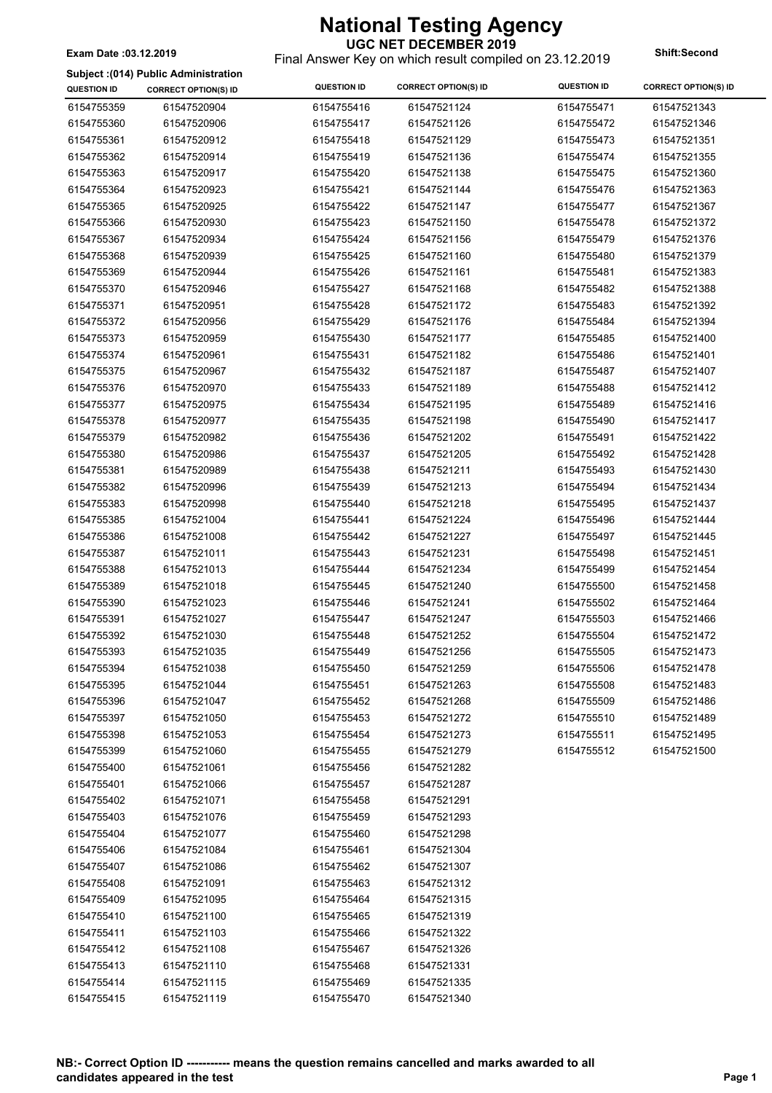#### **UGC NET DECEMBER 2019**

Final Answer Key on which result compiled on 23.12.2019 **Exam Date :03.12.2019 Shift:Second**

**Subject :(014) Public Administration**

| <b>QUESTION ID</b> | <b>CORRECT OPTION(S) ID</b> | <b>QUESTION ID</b> | <b>CORRECT OPTION(S) ID</b> | <b>QUESTION ID</b> | <b>CORRECT OPTION(S) ID</b> |
|--------------------|-----------------------------|--------------------|-----------------------------|--------------------|-----------------------------|
| 6154755359         | 61547520904                 | 6154755416         | 61547521124                 | 6154755471         | 61547521343                 |
| 6154755360         | 61547520906                 | 6154755417         | 61547521126                 | 6154755472         | 61547521346                 |
| 6154755361         | 61547520912                 | 6154755418         | 61547521129                 | 6154755473         | 61547521351                 |
| 6154755362         | 61547520914                 | 6154755419         | 61547521136                 | 6154755474         | 61547521355                 |
| 6154755363         | 61547520917                 | 6154755420         | 61547521138                 | 6154755475         | 61547521360                 |
| 6154755364         | 61547520923                 | 6154755421         | 61547521144                 | 6154755476         | 61547521363                 |
| 6154755365         | 61547520925                 | 6154755422         | 61547521147                 | 6154755477         | 61547521367                 |
| 6154755366         | 61547520930                 | 6154755423         | 61547521150                 | 6154755478         | 61547521372                 |
| 6154755367         | 61547520934                 | 6154755424         | 61547521156                 | 6154755479         | 61547521376                 |
| 6154755368         | 61547520939                 | 6154755425         | 61547521160                 | 6154755480         | 61547521379                 |
| 6154755369         | 61547520944                 | 6154755426         | 61547521161                 | 6154755481         | 61547521383                 |
| 6154755370         | 61547520946                 | 6154755427         | 61547521168                 | 6154755482         | 61547521388                 |
| 6154755371         | 61547520951                 | 6154755428         | 61547521172                 | 6154755483         | 61547521392                 |
| 6154755372         | 61547520956                 | 6154755429         | 61547521176                 | 6154755484         | 61547521394                 |
| 6154755373         | 61547520959                 | 6154755430         | 61547521177                 | 6154755485         | 61547521400                 |
| 6154755374         | 61547520961                 | 6154755431         | 61547521182                 | 6154755486         | 61547521401                 |
| 6154755375         | 61547520967                 | 6154755432         | 61547521187                 | 6154755487         | 61547521407                 |
| 6154755376         | 61547520970                 | 6154755433         | 61547521189                 | 6154755488         | 61547521412                 |
| 6154755377         | 61547520975                 | 6154755434         | 61547521195                 | 6154755489         | 61547521416                 |
| 6154755378         | 61547520977                 | 6154755435         | 61547521198                 | 6154755490         | 61547521417                 |
| 6154755379         | 61547520982                 | 6154755436         | 61547521202                 | 6154755491         | 61547521422                 |
| 6154755380         | 61547520986                 | 6154755437         | 61547521205                 | 6154755492         | 61547521428                 |
| 6154755381         | 61547520989                 | 6154755438         | 61547521211                 | 6154755493         | 61547521430                 |
| 6154755382         | 61547520996                 | 6154755439         | 61547521213                 | 6154755494         | 61547521434                 |
| 6154755383         | 61547520998                 | 6154755440         | 61547521218                 | 6154755495         | 61547521437                 |
| 6154755385         | 61547521004                 | 6154755441         | 61547521224                 | 6154755496         | 61547521444                 |
| 6154755386         | 61547521008                 | 6154755442         | 61547521227                 | 6154755497         | 61547521445                 |
| 6154755387         | 61547521011                 | 6154755443         | 61547521231                 | 6154755498         | 61547521451                 |
| 6154755388         | 61547521013                 | 6154755444         | 61547521234                 | 6154755499         | 61547521454                 |
| 6154755389         | 61547521018                 | 6154755445         | 61547521240                 | 6154755500         | 61547521458                 |
| 6154755390         | 61547521023                 | 6154755446         | 61547521241                 | 6154755502         | 61547521464                 |
| 6154755391         | 61547521027                 | 6154755447         | 61547521247                 | 6154755503         | 61547521466                 |
| 6154755392         | 61547521030                 | 6154755448         | 61547521252                 | 6154755504         | 61547521472                 |
| 6154755393         | 61547521035                 | 6154755449         | 61547521256                 | 6154755505         | 61547521473                 |
| 6154755394         | 61547521038                 | 6154755450         | 61547521259                 | 6154755506         | 61547521478                 |
| 6154755395         | 61547521044                 | 6154755451         | 61547521263                 | 6154755508         | 61547521483                 |
| 6154755396         | 61547521047                 | 6154755452         | 61547521268                 | 6154755509         | 61547521486                 |
| 6154755397         | 61547521050                 | 6154755453         | 61547521272                 | 6154755510         | 61547521489                 |
| 6154755398         | 61547521053                 | 6154755454         | 61547521273                 | 6154755511         | 61547521495                 |
| 6154755399         | 61547521060                 | 6154755455         | 61547521279                 | 6154755512         | 61547521500                 |
| 6154755400         | 61547521061                 | 6154755456         | 61547521282                 |                    |                             |
| 6154755401         | 61547521066                 | 6154755457         | 61547521287                 |                    |                             |
| 6154755402         | 61547521071                 | 6154755458         | 61547521291                 |                    |                             |
| 6154755403         | 61547521076                 | 6154755459         | 61547521293                 |                    |                             |
| 6154755404         | 61547521077                 | 6154755460         | 61547521298                 |                    |                             |
| 6154755406         | 61547521084                 | 6154755461         | 61547521304                 |                    |                             |
| 6154755407         | 61547521086                 | 6154755462         | 61547521307                 |                    |                             |
| 6154755408         | 61547521091                 | 6154755463         | 61547521312                 |                    |                             |
| 6154755409         | 61547521095                 | 6154755464         | 61547521315                 |                    |                             |
| 6154755410         | 61547521100                 | 6154755465         | 61547521319                 |                    |                             |
| 6154755411         | 61547521103                 | 6154755466         | 61547521322                 |                    |                             |
| 6154755412         | 61547521108                 | 6154755467         | 61547521326                 |                    |                             |
| 6154755413         | 61547521110                 | 6154755468         | 61547521331                 |                    |                             |
| 6154755414         | 61547521115                 | 6154755469         | 61547521335                 |                    |                             |
| 6154755415         | 61547521119                 | 6154755470         | 61547521340                 |                    |                             |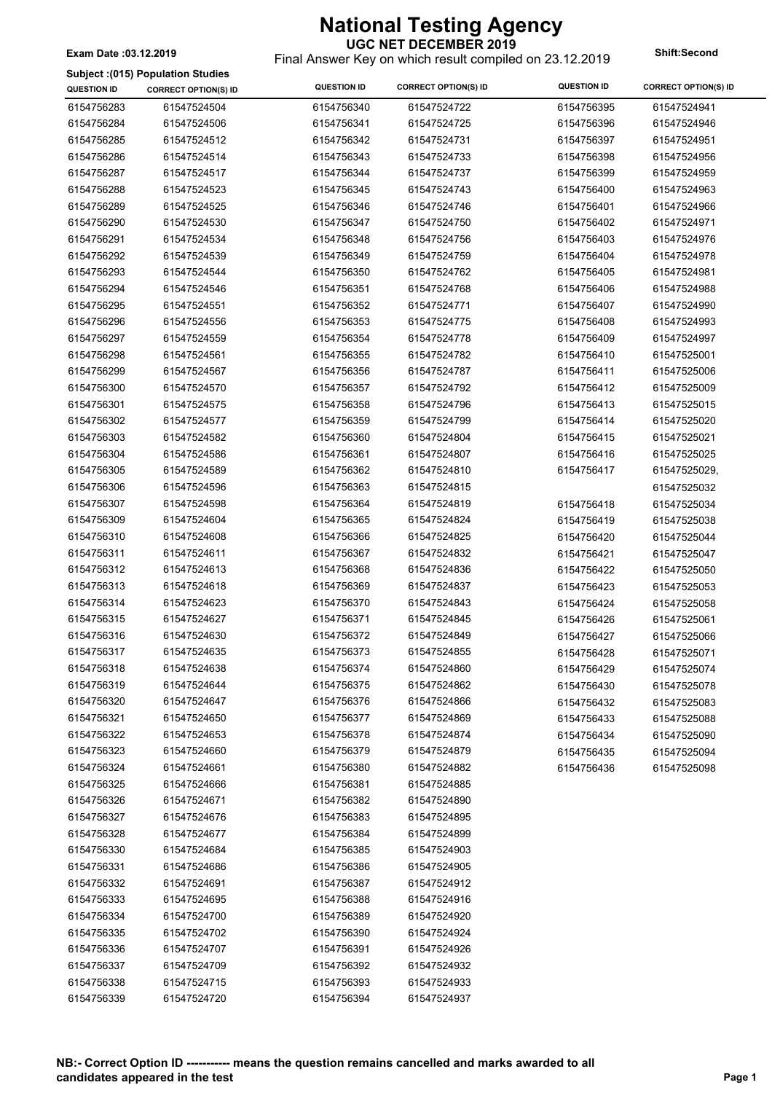#### **UGC NET DECEMBER 2019** Final Answer Key on which result compiled on 23.12.2019 **Exam Date :03.12.2019 Shift:Second**

**Subject :(015) Population Studies**

| 6154756283<br>61547524504<br>6154756340<br>61547524722<br>6154756395<br>6154756284<br>61547524506<br>6154756341<br>61547524725<br>6154756396<br>6154756285<br>61547524512<br>6154756342<br>61547524731<br>6154756397<br>6154756286<br>61547524514<br>6154756343<br>61547524733<br>6154756398<br>6154756287<br>61547524517<br>6154756344<br>61547524737<br>6154756399<br>6154756400<br>6154756288<br>61547524523<br>6154756345<br>61547524743<br>6154756289<br>61547524525<br>6154756346<br>61547524746<br>6154756401<br>6154756290<br>61547524530<br>6154756347<br>61547524750<br>6154756402<br>6154756348 | 61547524941<br>61547524946<br>61547524951<br>61547524956<br>61547524959<br>61547524963 |
|------------------------------------------------------------------------------------------------------------------------------------------------------------------------------------------------------------------------------------------------------------------------------------------------------------------------------------------------------------------------------------------------------------------------------------------------------------------------------------------------------------------------------------------------------------------------------------------------------------|----------------------------------------------------------------------------------------|
|                                                                                                                                                                                                                                                                                                                                                                                                                                                                                                                                                                                                            |                                                                                        |
|                                                                                                                                                                                                                                                                                                                                                                                                                                                                                                                                                                                                            |                                                                                        |
|                                                                                                                                                                                                                                                                                                                                                                                                                                                                                                                                                                                                            |                                                                                        |
|                                                                                                                                                                                                                                                                                                                                                                                                                                                                                                                                                                                                            |                                                                                        |
|                                                                                                                                                                                                                                                                                                                                                                                                                                                                                                                                                                                                            |                                                                                        |
|                                                                                                                                                                                                                                                                                                                                                                                                                                                                                                                                                                                                            |                                                                                        |
|                                                                                                                                                                                                                                                                                                                                                                                                                                                                                                                                                                                                            | 61547524966                                                                            |
|                                                                                                                                                                                                                                                                                                                                                                                                                                                                                                                                                                                                            | 61547524971                                                                            |
| 6154756291<br>61547524534<br>61547524756<br>6154756403                                                                                                                                                                                                                                                                                                                                                                                                                                                                                                                                                     | 61547524976                                                                            |
| 6154756292<br>61547524539<br>6154756349<br>61547524759<br>6154756404                                                                                                                                                                                                                                                                                                                                                                                                                                                                                                                                       | 61547524978                                                                            |
| 6154756293<br>61547524544<br>6154756350<br>61547524762<br>6154756405                                                                                                                                                                                                                                                                                                                                                                                                                                                                                                                                       | 61547524981                                                                            |
| 6154756294<br>61547524546<br>6154756351<br>61547524768<br>6154756406                                                                                                                                                                                                                                                                                                                                                                                                                                                                                                                                       | 61547524988                                                                            |
| 6154756295<br>61547524551<br>6154756352<br>61547524771<br>6154756407                                                                                                                                                                                                                                                                                                                                                                                                                                                                                                                                       | 61547524990                                                                            |
| 6154756296<br>61547524556<br>6154756353<br>61547524775<br>6154756408                                                                                                                                                                                                                                                                                                                                                                                                                                                                                                                                       | 61547524993                                                                            |
| 6154756297<br>61547524559<br>6154756354<br>61547524778<br>6154756409                                                                                                                                                                                                                                                                                                                                                                                                                                                                                                                                       | 61547524997                                                                            |
| 61547524561<br>6154756298<br>6154756355<br>61547524782<br>6154756410                                                                                                                                                                                                                                                                                                                                                                                                                                                                                                                                       | 61547525001                                                                            |
| 6154756299<br>61547524567<br>6154756356<br>61547524787<br>6154756411                                                                                                                                                                                                                                                                                                                                                                                                                                                                                                                                       | 61547525006                                                                            |
| 6154756300<br>61547524570<br>6154756357<br>61547524792<br>6154756412                                                                                                                                                                                                                                                                                                                                                                                                                                                                                                                                       | 61547525009                                                                            |
| 6154756301<br>61547524575<br>6154756358<br>61547524796<br>6154756413                                                                                                                                                                                                                                                                                                                                                                                                                                                                                                                                       | 61547525015                                                                            |
| 6154756302<br>61547524577<br>6154756359<br>61547524799<br>6154756414                                                                                                                                                                                                                                                                                                                                                                                                                                                                                                                                       | 61547525020                                                                            |
| 6154756303<br>61547524582<br>6154756360<br>61547524804<br>6154756415                                                                                                                                                                                                                                                                                                                                                                                                                                                                                                                                       | 61547525021                                                                            |
| 6154756304<br>61547524586<br>6154756361<br>61547524807<br>6154756416                                                                                                                                                                                                                                                                                                                                                                                                                                                                                                                                       | 61547525025                                                                            |
| 6154756305<br>61547524589<br>6154756362<br>61547524810<br>6154756417                                                                                                                                                                                                                                                                                                                                                                                                                                                                                                                                       | 61547525029,                                                                           |
| 6154756306<br>61547524596<br>6154756363<br>61547524815                                                                                                                                                                                                                                                                                                                                                                                                                                                                                                                                                     | 61547525032                                                                            |
| 6154756307<br>61547524598<br>6154756364<br>61547524819<br>6154756418                                                                                                                                                                                                                                                                                                                                                                                                                                                                                                                                       | 61547525034                                                                            |
| 6154756309<br>61547524604<br>6154756365<br>61547524824<br>6154756419                                                                                                                                                                                                                                                                                                                                                                                                                                                                                                                                       | 61547525038                                                                            |
| 6154756310<br>61547524608<br>6154756366<br>61547524825<br>6154756420                                                                                                                                                                                                                                                                                                                                                                                                                                                                                                                                       | 61547525044                                                                            |
| 6154756311<br>61547524611<br>6154756367<br>61547524832<br>6154756421                                                                                                                                                                                                                                                                                                                                                                                                                                                                                                                                       | 61547525047                                                                            |
| 6154756312<br>61547524613<br>6154756368<br>61547524836<br>6154756422                                                                                                                                                                                                                                                                                                                                                                                                                                                                                                                                       | 61547525050                                                                            |
| 6154756313<br>61547524618<br>6154756369<br>61547524837<br>6154756423                                                                                                                                                                                                                                                                                                                                                                                                                                                                                                                                       | 61547525053                                                                            |
| 6154756314<br>61547524623<br>6154756370<br>61547524843<br>6154756424                                                                                                                                                                                                                                                                                                                                                                                                                                                                                                                                       | 61547525058                                                                            |
| 6154756315<br>61547524627<br>6154756371<br>61547524845<br>6154756426                                                                                                                                                                                                                                                                                                                                                                                                                                                                                                                                       | 61547525061                                                                            |
| 6154756316<br>61547524630<br>6154756372<br>61547524849<br>6154756427                                                                                                                                                                                                                                                                                                                                                                                                                                                                                                                                       | 61547525066                                                                            |
| 6154756317<br>61547524635<br>6154756373<br>61547524855<br>6154756428                                                                                                                                                                                                                                                                                                                                                                                                                                                                                                                                       | 61547525071                                                                            |
| 6154756318<br>61547524638<br>6154756374<br>61547524860<br>6154756429                                                                                                                                                                                                                                                                                                                                                                                                                                                                                                                                       | 61547525074                                                                            |
| 6154756319<br>61547524644<br>6154756375<br>61547524862<br>6154756430                                                                                                                                                                                                                                                                                                                                                                                                                                                                                                                                       | 61547525078                                                                            |
| 6154756320<br>61547524647<br>6154756376<br>61547524866<br>6154756432                                                                                                                                                                                                                                                                                                                                                                                                                                                                                                                                       | 61547525083                                                                            |
| 6154756321<br>61547524650<br>6154756377<br>61547524869<br>6154756433                                                                                                                                                                                                                                                                                                                                                                                                                                                                                                                                       | 61547525088                                                                            |
| 6154756322<br>61547524653<br>6154756378<br>61547524874<br>6154756434                                                                                                                                                                                                                                                                                                                                                                                                                                                                                                                                       | 61547525090                                                                            |
| 6154756323<br>61547524660<br>6154756379<br>61547524879<br>6154756435                                                                                                                                                                                                                                                                                                                                                                                                                                                                                                                                       | 61547525094                                                                            |
| 6154756324<br>61547524661<br>6154756380<br>61547524882<br>6154756436                                                                                                                                                                                                                                                                                                                                                                                                                                                                                                                                       | 61547525098                                                                            |
| 6154756325<br>61547524666<br>6154756381<br>61547524885                                                                                                                                                                                                                                                                                                                                                                                                                                                                                                                                                     |                                                                                        |
| 6154756326<br>61547524671<br>6154756382<br>61547524890                                                                                                                                                                                                                                                                                                                                                                                                                                                                                                                                                     |                                                                                        |
| 6154756327<br>61547524676<br>6154756383<br>61547524895                                                                                                                                                                                                                                                                                                                                                                                                                                                                                                                                                     |                                                                                        |
| 6154756328<br>61547524677<br>6154756384<br>61547524899                                                                                                                                                                                                                                                                                                                                                                                                                                                                                                                                                     |                                                                                        |
| 6154756330<br>61547524684<br>6154756385<br>61547524903                                                                                                                                                                                                                                                                                                                                                                                                                                                                                                                                                     |                                                                                        |
| 6154756331<br>61547524686<br>6154756386<br>61547524905                                                                                                                                                                                                                                                                                                                                                                                                                                                                                                                                                     |                                                                                        |
| 6154756332<br>61547524691<br>6154756387<br>61547524912                                                                                                                                                                                                                                                                                                                                                                                                                                                                                                                                                     |                                                                                        |
| 6154756333<br>61547524695<br>6154756388<br>61547524916                                                                                                                                                                                                                                                                                                                                                                                                                                                                                                                                                     |                                                                                        |
| 6154756334<br>61547524700<br>6154756389<br>61547524920                                                                                                                                                                                                                                                                                                                                                                                                                                                                                                                                                     |                                                                                        |
|                                                                                                                                                                                                                                                                                                                                                                                                                                                                                                                                                                                                            |                                                                                        |
|                                                                                                                                                                                                                                                                                                                                                                                                                                                                                                                                                                                                            |                                                                                        |
| 6154756335<br>61547524702<br>6154756390<br>61547524924                                                                                                                                                                                                                                                                                                                                                                                                                                                                                                                                                     |                                                                                        |
| 6154756336<br>61547524707<br>6154756391<br>61547524926                                                                                                                                                                                                                                                                                                                                                                                                                                                                                                                                                     |                                                                                        |
| 6154756337<br>61547524709<br>6154756392<br>61547524932<br>6154756338<br>61547524715<br>6154756393<br>61547524933                                                                                                                                                                                                                                                                                                                                                                                                                                                                                           |                                                                                        |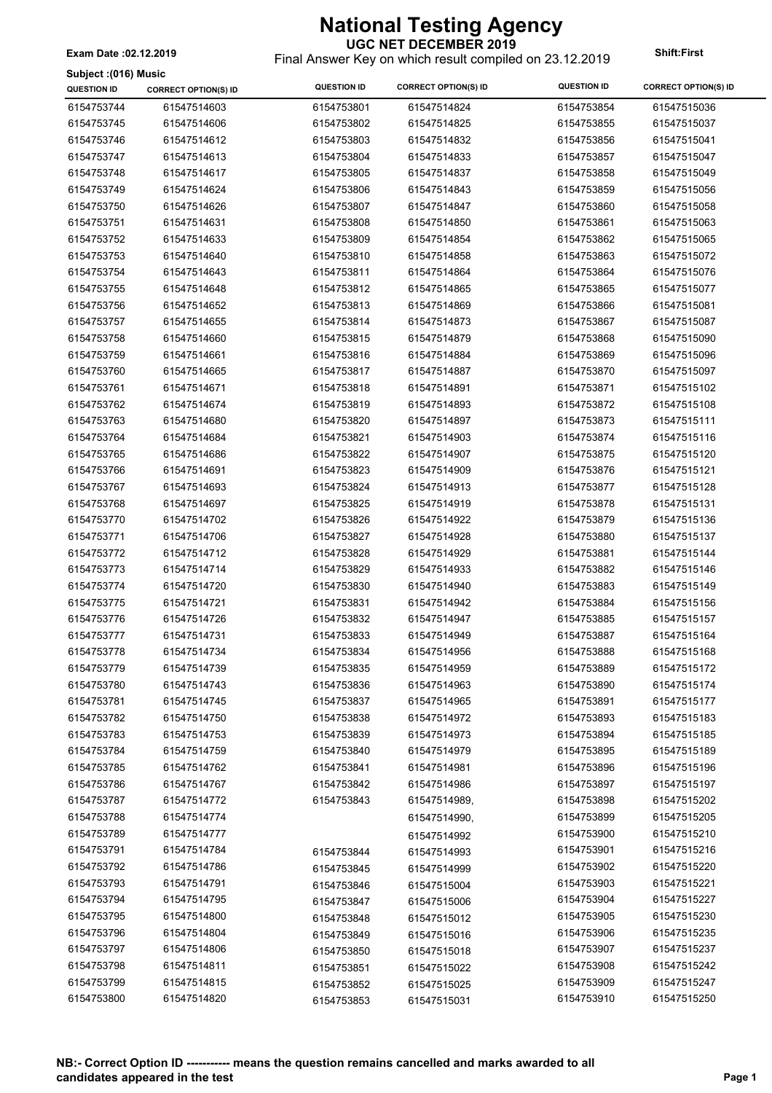**Subject :(016) Music**

#### **UGC NET DECEMBER 2019**

Final Answer Key on which result compiled on 23.12.2019 **Exam Date :02.12.2019 Shift:First**

| oupjoot (viv) maoio<br><b>QUESTION ID</b> | <b>CORRECT OPTION(S) ID</b> | <b>QUESTION ID</b> | <b>CORRECT OPTION(S) ID</b> | <b>QUESTION ID</b> | <b>CORRECT OPTION(S) ID</b> |
|-------------------------------------------|-----------------------------|--------------------|-----------------------------|--------------------|-----------------------------|
| 6154753744                                | 61547514603                 | 6154753801         | 61547514824                 | 6154753854         | 61547515036                 |
| 6154753745                                | 61547514606                 | 6154753802         | 61547514825                 | 6154753855         | 61547515037                 |
| 6154753746                                | 61547514612                 | 6154753803         | 61547514832                 | 6154753856         | 61547515041                 |
| 6154753747                                | 61547514613                 | 6154753804         | 61547514833                 | 6154753857         | 61547515047                 |
| 6154753748                                | 61547514617                 | 6154753805         | 61547514837                 | 6154753858         | 61547515049                 |
| 6154753749                                | 61547514624                 | 6154753806         | 61547514843                 | 6154753859         | 61547515056                 |
| 6154753750                                | 61547514626                 | 6154753807         | 61547514847                 | 6154753860         | 61547515058                 |
| 6154753751                                | 61547514631                 | 6154753808         | 61547514850                 | 6154753861         | 61547515063                 |
| 6154753752                                | 61547514633                 | 6154753809         | 61547514854                 | 6154753862         | 61547515065                 |
| 6154753753                                | 61547514640                 | 6154753810         | 61547514858                 | 6154753863         | 61547515072                 |
| 6154753754                                | 61547514643                 | 6154753811         | 61547514864                 | 6154753864         | 61547515076                 |
| 6154753755                                | 61547514648                 | 6154753812         | 61547514865                 | 6154753865         | 61547515077                 |
|                                           |                             |                    |                             |                    |                             |
| 6154753756                                | 61547514652                 | 6154753813         | 61547514869                 | 6154753866         | 61547515081                 |
| 6154753757                                | 61547514655                 | 6154753814         | 61547514873                 | 6154753867         | 61547515087                 |
| 6154753758                                | 61547514660                 | 6154753815         | 61547514879                 | 6154753868         | 61547515090                 |
| 6154753759                                | 61547514661                 | 6154753816         | 61547514884                 | 6154753869         | 61547515096                 |
| 6154753760                                | 61547514665                 | 6154753817         | 61547514887                 | 6154753870         | 61547515097                 |
| 6154753761                                | 61547514671                 | 6154753818         | 61547514891                 | 6154753871         | 61547515102                 |
| 6154753762                                | 61547514674                 | 6154753819         | 61547514893                 | 6154753872         | 61547515108                 |
| 6154753763                                | 61547514680                 | 6154753820         | 61547514897                 | 6154753873         | 61547515111                 |
| 6154753764                                | 61547514684                 | 6154753821         | 61547514903                 | 6154753874         | 61547515116                 |
| 6154753765                                | 61547514686                 | 6154753822         | 61547514907                 | 6154753875         | 61547515120                 |
| 6154753766                                | 61547514691                 | 6154753823         | 61547514909                 | 6154753876         | 61547515121                 |
| 6154753767                                | 61547514693                 | 6154753824         | 61547514913                 | 6154753877         | 61547515128                 |
| 6154753768                                | 61547514697                 | 6154753825         | 61547514919                 | 6154753878         | 61547515131                 |
| 6154753770                                | 61547514702                 | 6154753826         | 61547514922                 | 6154753879         | 61547515136                 |
| 6154753771                                | 61547514706                 | 6154753827         | 61547514928                 | 6154753880         | 61547515137                 |
| 6154753772                                | 61547514712                 | 6154753828         | 61547514929                 | 6154753881         | 61547515144                 |
| 6154753773                                | 61547514714                 | 6154753829         | 61547514933                 | 6154753882         | 61547515146                 |
| 6154753774                                | 61547514720                 | 6154753830         | 61547514940                 | 6154753883         | 61547515149                 |
| 6154753775                                | 61547514721                 | 6154753831         | 61547514942                 | 6154753884         | 61547515156                 |
| 6154753776                                | 61547514726                 | 6154753832         | 61547514947                 | 6154753885         | 61547515157                 |
| 6154753777                                | 61547514731                 | 6154753833         | 61547514949                 | 6154753887         | 61547515164                 |
| 6154753778                                | 61547514734                 | 6154753834         | 61547514956                 | 6154753888         | 61547515168                 |
| 6154753779                                | 61547514739                 | 6154753835         | 61547514959                 | 6154753889         | 61547515172                 |
| 6154753780                                | 61547514743                 | 6154753836         | 61547514963                 | 6154753890         | 61547515174                 |
| 6154753781                                | 61547514745                 | 6154753837         | 61547514965                 | 6154753891         | 61547515177                 |
| 6154753782                                | 61547514750                 | 6154753838         | 61547514972                 | 6154753893         | 61547515183                 |
| 6154753783                                | 61547514753                 | 6154753839         | 61547514973                 | 6154753894         | 61547515185                 |
| 6154753784                                | 61547514759                 | 6154753840         | 61547514979                 | 6154753895         | 61547515189                 |
| 6154753785                                | 61547514762                 | 6154753841         | 61547514981                 | 6154753896         | 61547515196                 |
| 6154753786                                | 61547514767                 | 6154753842         | 61547514986                 | 6154753897         | 61547515197                 |
| 6154753787                                | 61547514772                 | 6154753843         | 61547514989,                | 6154753898         | 61547515202                 |
| 6154753788                                | 61547514774                 |                    |                             | 6154753899         | 61547515205                 |
|                                           | 61547514777                 |                    | 61547514990,                |                    |                             |
| 6154753789                                |                             |                    | 61547514992                 | 6154753900         | 61547515210                 |
| 6154753791                                | 61547514784                 | 6154753844         | 61547514993                 | 6154753901         | 61547515216                 |
| 6154753792                                | 61547514786                 | 6154753845         | 61547514999                 | 6154753902         | 61547515220                 |
| 6154753793                                | 61547514791                 | 6154753846         | 61547515004                 | 6154753903         | 61547515221                 |
| 6154753794                                | 61547514795                 | 6154753847         | 61547515006                 | 6154753904         | 61547515227                 |
| 6154753795                                | 61547514800                 | 6154753848         | 61547515012                 | 6154753905         | 61547515230                 |
| 6154753796                                | 61547514804                 | 6154753849         | 61547515016                 | 6154753906         | 61547515235                 |
| 6154753797                                | 61547514806                 | 6154753850         | 61547515018                 | 6154753907         | 61547515237                 |
| 6154753798                                | 61547514811                 | 6154753851         | 61547515022                 | 6154753908         | 61547515242                 |
| 6154753799                                | 61547514815                 | 6154753852         | 61547515025                 | 6154753909         | 61547515247                 |
| 6154753800                                | 61547514820                 | 6154753853         | 61547515031                 | 6154753910         | 61547515250                 |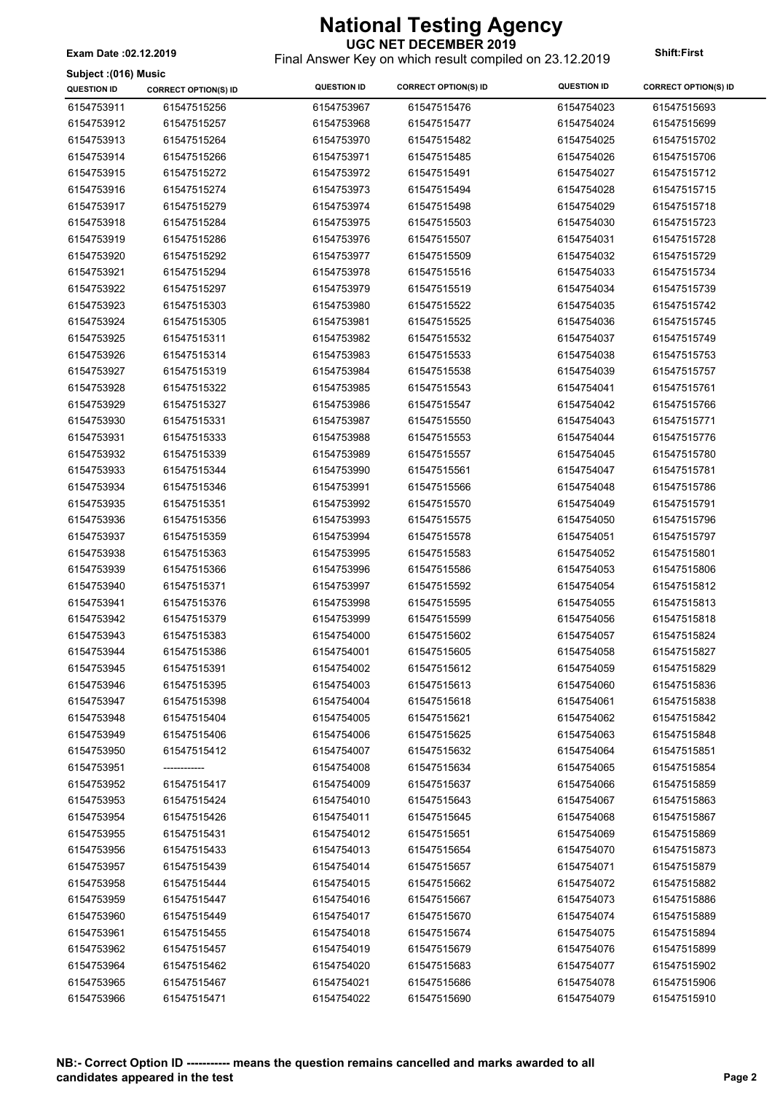**Subject :(016) Music**

### **UGC NET DECEMBER 2019**

Final Answer Key on which result compiled on 23.12.2019 **Exam Date :02.12.2019 Shift:First**

| <b>QUESTION ID</b> | <b>CORRECT OPTION(S) ID</b> | <b>QUESTION ID</b> | <b>CORRECT OPTION(S) ID</b> | <b>QUESTION ID</b> | <b>CORRECT OPTION(S) ID</b> |
|--------------------|-----------------------------|--------------------|-----------------------------|--------------------|-----------------------------|
| 6154753911         | 61547515256                 | 6154753967         | 61547515476                 | 6154754023         | 61547515693                 |
| 6154753912         | 61547515257                 | 6154753968         | 61547515477                 | 6154754024         | 61547515699                 |
| 6154753913         | 61547515264                 | 6154753970         | 61547515482                 | 6154754025         | 61547515702                 |
| 6154753914         | 61547515266                 | 6154753971         | 61547515485                 | 6154754026         | 61547515706                 |
| 6154753915         | 61547515272                 | 6154753972         | 61547515491                 | 6154754027         | 61547515712                 |
| 6154753916         | 61547515274                 | 6154753973         | 61547515494                 | 6154754028         | 61547515715                 |
| 6154753917         | 61547515279                 | 6154753974         | 61547515498                 | 6154754029         | 61547515718                 |
| 6154753918         | 61547515284                 | 6154753975         | 61547515503                 | 6154754030         | 61547515723                 |
| 6154753919         | 61547515286                 | 6154753976         | 61547515507                 | 6154754031         | 61547515728                 |
| 6154753920         | 61547515292                 | 6154753977         | 61547515509                 | 6154754032         | 61547515729                 |
| 6154753921         | 61547515294                 | 6154753978         | 61547515516                 | 6154754033         | 61547515734                 |
| 6154753922         | 61547515297                 | 6154753979         | 61547515519                 | 6154754034         | 61547515739                 |
| 6154753923         | 61547515303                 | 6154753980         | 61547515522                 | 6154754035         | 61547515742                 |
| 6154753924         | 61547515305                 | 6154753981         | 61547515525                 | 6154754036         | 61547515745                 |
| 6154753925         | 61547515311                 | 6154753982         | 61547515532                 | 6154754037         | 61547515749                 |
| 6154753926         | 61547515314                 | 6154753983         | 61547515533                 | 6154754038         | 61547515753                 |
| 6154753927         | 61547515319                 | 6154753984         | 61547515538                 | 6154754039         | 61547515757                 |
| 6154753928         | 61547515322                 | 6154753985         | 61547515543                 | 6154754041         | 61547515761                 |
| 6154753929         | 61547515327                 | 6154753986         | 61547515547                 | 6154754042         | 61547515766                 |
| 6154753930         | 61547515331                 | 6154753987         | 61547515550                 | 6154754043         | 61547515771                 |
| 6154753931         | 61547515333                 | 6154753988         | 61547515553                 | 6154754044         | 61547515776                 |
| 6154753932         | 61547515339                 | 6154753989         | 61547515557                 | 6154754045         | 61547515780                 |
| 6154753933         | 61547515344                 | 6154753990         | 61547515561                 | 6154754047         | 61547515781                 |
| 6154753934         | 61547515346                 | 6154753991         | 61547515566                 | 6154754048         | 61547515786                 |
| 6154753935         | 61547515351                 | 6154753992         | 61547515570                 | 6154754049         | 61547515791                 |
| 6154753936         | 61547515356                 | 6154753993         | 61547515575                 | 6154754050         | 61547515796                 |
| 6154753937         | 61547515359                 | 6154753994         | 61547515578                 | 6154754051         | 61547515797                 |
| 6154753938         | 61547515363                 | 6154753995         | 61547515583                 | 6154754052         | 61547515801                 |
| 6154753939         | 61547515366                 | 6154753996         | 61547515586                 | 6154754053         | 61547515806                 |
| 6154753940         | 61547515371                 | 6154753997         | 61547515592                 | 6154754054         | 61547515812                 |
| 6154753941         | 61547515376                 | 6154753998         | 61547515595                 | 6154754055         | 61547515813                 |
| 6154753942         | 61547515379                 | 6154753999         | 61547515599                 | 6154754056         | 61547515818                 |
| 6154753943         | 61547515383                 | 6154754000         | 61547515602                 | 6154754057         | 61547515824                 |
| 6154753944         | 61547515386                 | 6154754001         | 61547515605                 | 6154754058         | 61547515827                 |
| 6154753945         | 61547515391                 | 6154754002         | 61547515612                 | 6154754059         | 61547515829                 |
| 6154753946         | 61547515395                 | 6154754003         | 61547515613                 | 6154754060         | 61547515836                 |
| 6154753947         | 61547515398                 | 6154754004         | 61547515618                 | 6154754061         | 61547515838                 |
| 6154753948         | 61547515404                 | 6154754005         | 61547515621                 | 6154754062         | 61547515842                 |
| 6154753949         | 61547515406                 | 6154754006         | 61547515625                 | 6154754063         | 61547515848                 |
| 6154753950         | 61547515412                 | 6154754007         | 61547515632                 | 6154754064         | 61547515851                 |
| 6154753951         |                             | 6154754008         | 61547515634                 | 6154754065         | 61547515854                 |
| 6154753952         | 61547515417                 | 6154754009         | 61547515637                 | 6154754066         | 61547515859                 |
| 6154753953         | 61547515424                 | 6154754010         | 61547515643                 | 6154754067         | 61547515863                 |
| 6154753954         | 61547515426                 | 6154754011         | 61547515645                 | 6154754068         | 61547515867                 |
| 6154753955         | 61547515431                 | 6154754012         | 61547515651                 | 6154754069         | 61547515869                 |
| 6154753956         | 61547515433                 | 6154754013         | 61547515654                 | 6154754070         | 61547515873                 |
| 6154753957         | 61547515439                 | 6154754014         | 61547515657                 | 6154754071         | 61547515879                 |
| 6154753958         | 61547515444                 | 6154754015         | 61547515662                 | 6154754072         | 61547515882                 |
| 6154753959         | 61547515447                 | 6154754016         | 61547515667                 | 6154754073         | 61547515886                 |
| 6154753960         | 61547515449                 | 6154754017         | 61547515670                 | 6154754074         | 61547515889                 |
| 6154753961         | 61547515455                 | 6154754018         | 61547515674                 | 6154754075         | 61547515894                 |
| 6154753962         | 61547515457                 | 6154754019         | 61547515679                 | 6154754076         | 61547515899                 |
| 6154753964         | 61547515462                 | 6154754020         | 61547515683                 | 6154754077         | 61547515902                 |
| 6154753965         | 61547515467                 | 6154754021         | 61547515686                 | 6154754078         | 61547515906                 |
| 6154753966         | 61547515471                 | 6154754022         | 61547515690                 | 6154754079         | 61547515910                 |
|                    |                             |                    |                             |                    |                             |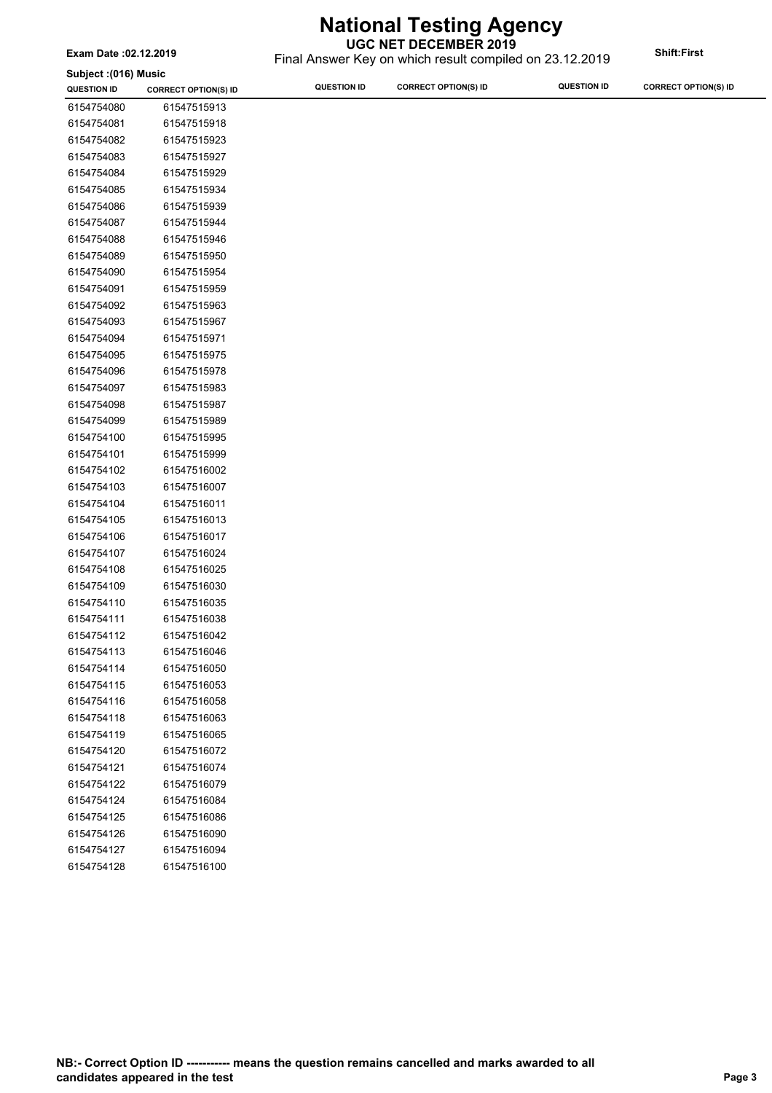**UGC NET DECEMBER 2019**

 $\overline{\phantom{a}}$ 

| Exam Date: 02.12.2019 |                             | UGC NET DECEMBER 2019<br>Final Answer Key on which result compiled on 23.12.2019 |                             |                    | <b>Shift:First</b>          |
|-----------------------|-----------------------------|----------------------------------------------------------------------------------|-----------------------------|--------------------|-----------------------------|
| Subject: (016) Music  |                             |                                                                                  |                             |                    |                             |
| <b>QUESTION ID</b>    | <b>CORRECT OPTION(S) ID</b> | <b>QUESTION ID</b>                                                               | <b>CORRECT OPTION(S) ID</b> | <b>QUESTION ID</b> | <b>CORRECT OPTION(S) ID</b> |
| 6154754080            | 61547515913                 |                                                                                  |                             |                    |                             |
| 6154754081            | 61547515918                 |                                                                                  |                             |                    |                             |
| 6154754082            | 61547515923                 |                                                                                  |                             |                    |                             |
| 6154754083            | 61547515927                 |                                                                                  |                             |                    |                             |
| 6154754084            | 61547515929                 |                                                                                  |                             |                    |                             |
| 6154754085            | 61547515934                 |                                                                                  |                             |                    |                             |
| 6154754086            | 61547515939                 |                                                                                  |                             |                    |                             |
| 6154754087            | 61547515944                 |                                                                                  |                             |                    |                             |
| 6154754088            | 61547515946                 |                                                                                  |                             |                    |                             |
| 6154754089            | 61547515950                 |                                                                                  |                             |                    |                             |
| 6154754090            | 61547515954                 |                                                                                  |                             |                    |                             |
| 6154754091            | 61547515959                 |                                                                                  |                             |                    |                             |
| 6154754092            | 61547515963                 |                                                                                  |                             |                    |                             |
| 6154754093            | 61547515967                 |                                                                                  |                             |                    |                             |
| 6154754094            | 61547515971                 |                                                                                  |                             |                    |                             |
| 6154754095            | 61547515975                 |                                                                                  |                             |                    |                             |
| 6154754096            | 61547515978                 |                                                                                  |                             |                    |                             |
| 6154754097            | 61547515983                 |                                                                                  |                             |                    |                             |
| 6154754098            | 61547515987                 |                                                                                  |                             |                    |                             |
| 6154754099            | 61547515989                 |                                                                                  |                             |                    |                             |
| 6154754100            | 61547515995                 |                                                                                  |                             |                    |                             |
| 6154754101            | 61547515999                 |                                                                                  |                             |                    |                             |
| 6154754102            | 61547516002                 |                                                                                  |                             |                    |                             |
| 6154754103            | 61547516007                 |                                                                                  |                             |                    |                             |
| 6154754104            | 61547516011                 |                                                                                  |                             |                    |                             |
| 6154754105            | 61547516013                 |                                                                                  |                             |                    |                             |
| 6154754106            | 61547516017                 |                                                                                  |                             |                    |                             |
| 6154754107            | 61547516024                 |                                                                                  |                             |                    |                             |
| 6154754108            | 61547516025                 |                                                                                  |                             |                    |                             |
| 6154754109            | 61547516030                 |                                                                                  |                             |                    |                             |
| 6154754110            | 61547516035                 |                                                                                  |                             |                    |                             |
| 6154754111            | 61547516038                 |                                                                                  |                             |                    |                             |
| 6154754112            | 61547516042                 |                                                                                  |                             |                    |                             |
| 6154754113            | 61547516046                 |                                                                                  |                             |                    |                             |
| 6154754114            | 61547516050                 |                                                                                  |                             |                    |                             |
| 6154754115            | 61547516053                 |                                                                                  |                             |                    |                             |
| 6154754116            | 61547516058                 |                                                                                  |                             |                    |                             |
| 6154754118            | 61547516063                 |                                                                                  |                             |                    |                             |
| 6154754119            | 61547516065                 |                                                                                  |                             |                    |                             |
| 6154754120            | 61547516072                 |                                                                                  |                             |                    |                             |
| 6154754121            | 61547516074                 |                                                                                  |                             |                    |                             |
| 6154754122            | 61547516079                 |                                                                                  |                             |                    |                             |
| 6154754124            | 61547516084                 |                                                                                  |                             |                    |                             |
| 6154754125            | 61547516086                 |                                                                                  |                             |                    |                             |
| 6154754126            | 61547516090                 |                                                                                  |                             |                    |                             |
| 6154754127            | 61547516094                 |                                                                                  |                             |                    |                             |
| 6154754128            | 61547516100                 |                                                                                  |                             |                    |                             |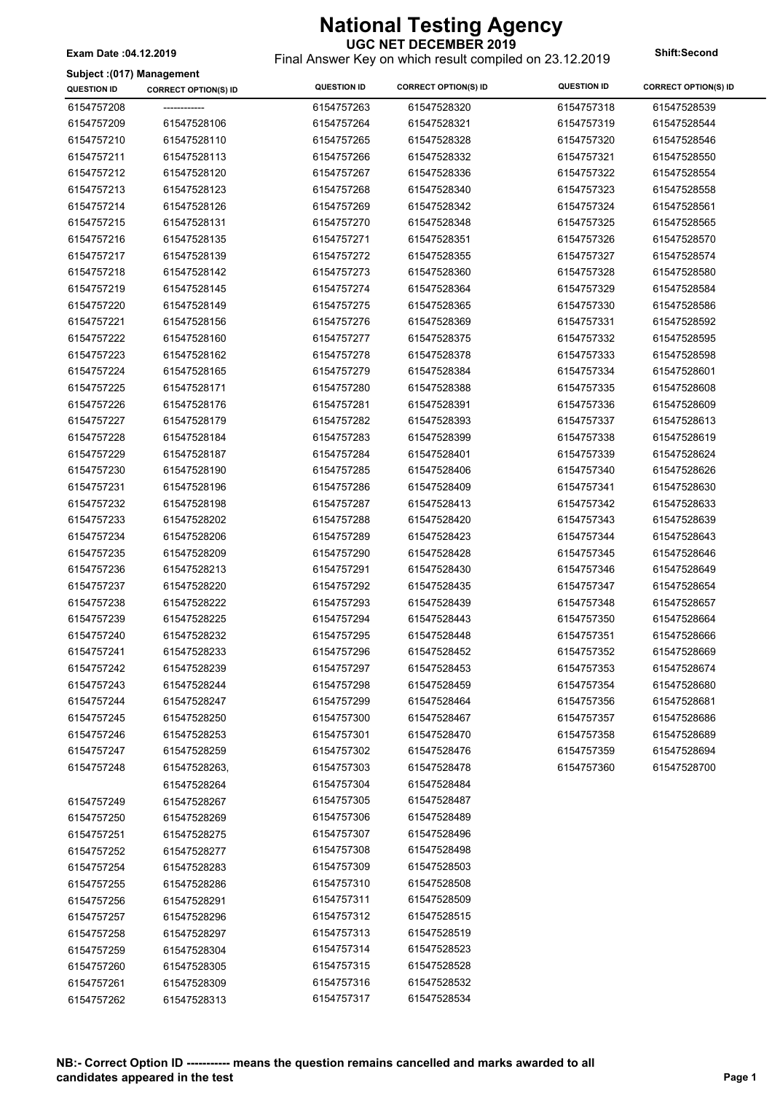**UGC NET DECEMBER 2019** Final Answer Key on which result compiled on 23.12.2019 **Exam Date :04.12.2019 Shift:Second**

**Subject :(017) Management**

| <b>QUESTION ID</b> | <b>CORRECT OPTION(S) ID</b> | <b>QUESTION ID</b>       | <b>CORRECT OPTION(S) ID</b> | <b>QUESTION ID</b> | <b>CORRECT OPTION(S) ID</b> |
|--------------------|-----------------------------|--------------------------|-----------------------------|--------------------|-----------------------------|
| 6154757208         | -------------               | 6154757263               | 61547528320                 | 6154757318         | 61547528539                 |
| 6154757209         | 61547528106                 | 6154757264               | 61547528321                 | 6154757319         | 61547528544                 |
| 6154757210         | 61547528110                 | 6154757265               | 61547528328                 | 6154757320         | 61547528546                 |
| 6154757211         | 61547528113                 | 6154757266               | 61547528332                 | 6154757321         | 61547528550                 |
| 6154757212         | 61547528120                 | 6154757267               | 61547528336                 | 6154757322         | 61547528554                 |
| 6154757213         | 61547528123                 | 6154757268               | 61547528340                 | 6154757323         | 61547528558                 |
| 6154757214         | 61547528126                 | 6154757269               | 61547528342                 | 6154757324         | 61547528561                 |
| 6154757215         | 61547528131                 | 6154757270               | 61547528348                 | 6154757325         | 61547528565                 |
| 6154757216         | 61547528135                 | 6154757271               | 61547528351                 | 6154757326         | 61547528570                 |
| 6154757217         | 61547528139                 | 6154757272               | 61547528355                 | 6154757327         | 61547528574                 |
| 6154757218         | 61547528142                 | 6154757273               | 61547528360                 | 6154757328         | 61547528580                 |
| 6154757219         | 61547528145                 | 6154757274               | 61547528364                 | 6154757329         | 61547528584                 |
| 6154757220         | 61547528149                 | 6154757275               | 61547528365                 | 6154757330         | 61547528586                 |
| 6154757221         | 61547528156                 | 6154757276               | 61547528369                 | 6154757331         | 61547528592                 |
| 6154757222         | 61547528160                 | 6154757277               | 61547528375                 | 6154757332         | 61547528595                 |
| 6154757223         | 61547528162                 | 6154757278               | 61547528378                 | 6154757333         | 61547528598                 |
| 6154757224         | 61547528165                 | 6154757279               | 61547528384                 | 6154757334         | 61547528601                 |
| 6154757225         | 61547528171                 | 6154757280               | 61547528388                 | 6154757335         | 61547528608                 |
| 6154757226         | 61547528176                 | 6154757281               | 61547528391                 | 6154757336         | 61547528609                 |
| 6154757227         | 61547528179                 | 6154757282               | 61547528393                 | 6154757337         | 61547528613                 |
| 6154757228         | 61547528184                 | 6154757283               | 61547528399                 | 6154757338         | 61547528619                 |
| 6154757229         | 61547528187                 | 6154757284               | 61547528401                 | 6154757339         | 61547528624                 |
| 6154757230         | 61547528190                 | 6154757285               | 61547528406                 | 6154757340         | 61547528626                 |
| 6154757231         | 61547528196                 | 6154757286               | 61547528409                 | 6154757341         | 61547528630                 |
| 6154757232         | 61547528198                 | 6154757287               | 61547528413                 | 6154757342         | 61547528633                 |
| 6154757233         | 61547528202                 | 6154757288               | 61547528420                 | 6154757343         | 61547528639                 |
| 6154757234         | 61547528206                 | 6154757289               | 61547528423                 | 6154757344         | 61547528643                 |
| 6154757235         | 61547528209                 | 6154757290               | 61547528428                 | 6154757345         | 61547528646                 |
| 6154757236         | 61547528213                 | 6154757291               | 61547528430                 | 6154757346         | 61547528649                 |
| 6154757237         | 61547528220                 | 6154757292               | 61547528435                 | 6154757347         | 61547528654                 |
| 6154757238         | 61547528222                 | 6154757293               | 61547528439                 | 6154757348         | 61547528657                 |
| 6154757239         | 61547528225                 | 6154757294               | 61547528443                 | 6154757350         | 61547528664                 |
| 6154757240         | 61547528232                 | 6154757295               | 61547528448                 | 6154757351         | 61547528666                 |
| 6154757241         | 61547528233                 | 6154757296               | 61547528452                 | 6154757352         | 61547528669                 |
| 6154757242         | 61547528239                 | 6154757297               | 61547528453                 | 6154757353         | 61547528674                 |
| 6154757243         | 61547528244                 | 6154757298               | 61547528459                 | 6154757354         | 61547528680                 |
| 6154757244         | 61547528247                 | 6154757299               | 61547528464                 | 6154757356         | 61547528681                 |
| 6154757245         | 61547528250                 | 6154757300               | 61547528467                 | 6154757357         | 61547528686                 |
| 6154757246         | 61547528253                 | 6154757301               | 61547528470                 | 6154757358         | 61547528689                 |
| 6154757247         | 61547528259                 | 6154757302               | 61547528476                 | 6154757359         | 61547528694                 |
| 6154757248         | 61547528263,                | 6154757303               | 61547528478                 | 6154757360         | 61547528700                 |
|                    | 61547528264                 | 6154757304               | 61547528484                 |                    |                             |
|                    | 61547528267                 | 6154757305               | 61547528487                 |                    |                             |
| 6154757249         |                             | 6154757306               | 61547528489                 |                    |                             |
| 6154757250         | 61547528269                 | 6154757307               | 61547528496                 |                    |                             |
| 6154757251         | 61547528275                 | 6154757308               | 61547528498                 |                    |                             |
| 6154757252         | 61547528277                 |                          |                             |                    |                             |
| 6154757254         | 61547528283                 | 6154757309<br>6154757310 | 61547528503<br>61547528508  |                    |                             |
| 6154757255         | 61547528286                 |                          |                             |                    |                             |
| 6154757256         | 61547528291                 | 6154757311               | 61547528509                 |                    |                             |
| 6154757257         | 61547528296                 | 6154757312               | 61547528515                 |                    |                             |
| 6154757258         | 61547528297                 | 6154757313               | 61547528519                 |                    |                             |
| 6154757259         | 61547528304                 | 6154757314               | 61547528523                 |                    |                             |
| 6154757260         | 61547528305                 | 6154757315               | 61547528528                 |                    |                             |
| 6154757261         | 61547528309                 | 6154757316               | 61547528532                 |                    |                             |
| 6154757262         | 61547528313                 | 6154757317               | 61547528534                 |                    |                             |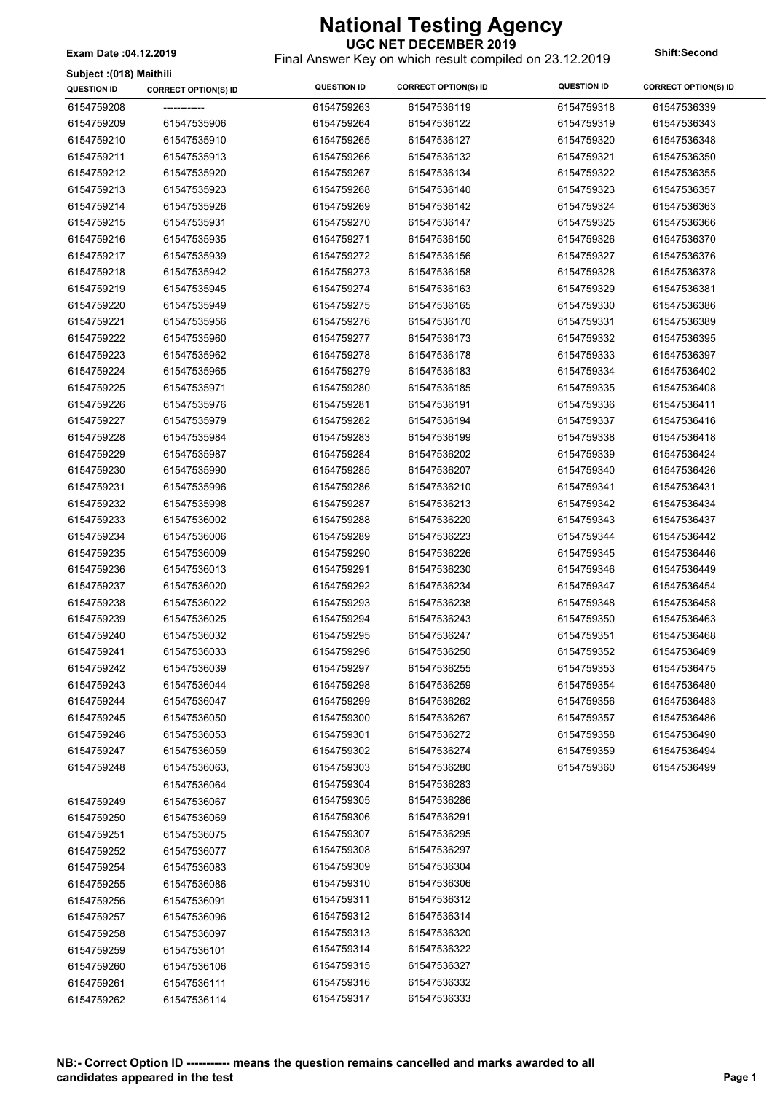**UGC NET DECEMBER 2019** Final Answer Key on which result compiled on 23.12.2019 **Exam Date :04.12.2019 Shift:Second**

|  | Subject : (018) Maithili |  |  |
|--|--------------------------|--|--|
|--|--------------------------|--|--|

| <b>QUESTION ID</b>       | <b>CORRECT OPTION(S) ID</b> | <b>QUESTION ID</b>       | <b>CORRECT OPTION(S) ID</b> | <b>QUESTION ID</b> | <b>CORRECT OPTION(S) ID</b> |
|--------------------------|-----------------------------|--------------------------|-----------------------------|--------------------|-----------------------------|
| 6154759208               |                             | 6154759263               | 61547536119                 | 6154759318         | 61547536339                 |
| 6154759209               | 61547535906                 | 6154759264               | 61547536122                 | 6154759319         | 61547536343                 |
| 6154759210               | 61547535910                 | 6154759265               | 61547536127                 | 6154759320         | 61547536348                 |
| 6154759211               | 61547535913                 | 6154759266               | 61547536132                 | 6154759321         | 61547536350                 |
| 6154759212               | 61547535920                 | 6154759267               | 61547536134                 | 6154759322         | 61547536355                 |
| 6154759213               | 61547535923                 | 6154759268               | 61547536140                 | 6154759323         | 61547536357                 |
| 6154759214               | 61547535926                 | 6154759269               | 61547536142                 | 6154759324         | 61547536363                 |
| 6154759215               | 61547535931                 | 6154759270               | 61547536147                 | 6154759325         | 61547536366                 |
| 6154759216               | 61547535935                 | 6154759271               | 61547536150                 | 6154759326         | 61547536370                 |
| 6154759217               | 61547535939                 | 6154759272               | 61547536156                 | 6154759327         | 61547536376                 |
| 6154759218               | 61547535942                 | 6154759273               | 61547536158                 | 6154759328         | 61547536378                 |
| 6154759219               | 61547535945                 | 6154759274               | 61547536163                 | 6154759329         | 61547536381                 |
| 6154759220               | 61547535949                 | 6154759275               | 61547536165                 | 6154759330         | 61547536386                 |
| 6154759221               | 61547535956                 | 6154759276               | 61547536170                 | 6154759331         | 61547536389                 |
| 6154759222               | 61547535960                 | 6154759277               | 61547536173                 | 6154759332         | 61547536395                 |
| 6154759223               | 61547535962                 | 6154759278               | 61547536178                 | 6154759333         | 61547536397                 |
| 6154759224               | 61547535965                 | 6154759279               | 61547536183                 | 6154759334         | 61547536402                 |
| 6154759225               | 61547535971                 | 6154759280               | 61547536185                 | 6154759335         | 61547536408                 |
| 6154759226               | 61547535976                 | 6154759281               | 61547536191                 | 6154759336         | 61547536411                 |
| 6154759227               | 61547535979                 | 6154759282               | 61547536194                 | 6154759337         | 61547536416                 |
| 6154759228               | 61547535984                 | 6154759283               | 61547536199                 | 6154759338         | 61547536418                 |
| 6154759229               | 61547535987                 | 6154759284               | 61547536202                 | 6154759339         | 61547536424                 |
| 6154759230               | 61547535990                 | 6154759285               | 61547536207                 | 6154759340         | 61547536426                 |
| 6154759231               | 61547535996                 | 6154759286               | 61547536210                 | 6154759341         | 61547536431                 |
| 6154759232               | 61547535998                 | 6154759287               | 61547536213                 | 6154759342         | 61547536434                 |
| 6154759233               | 61547536002                 | 6154759288               | 61547536220                 | 6154759343         | 61547536437                 |
| 6154759234               | 61547536006                 | 6154759289               | 61547536223                 | 6154759344         | 61547536442                 |
| 6154759235               | 61547536009                 | 6154759290               | 61547536226                 | 6154759345         | 61547536446                 |
| 6154759236               | 61547536013                 | 6154759291               | 61547536230                 | 6154759346         | 61547536449                 |
| 6154759237               | 61547536020                 | 6154759292               | 61547536234                 | 6154759347         | 61547536454                 |
| 6154759238               | 61547536022                 | 6154759293               | 61547536238                 | 6154759348         | 61547536458                 |
|                          |                             |                          |                             |                    |                             |
| 6154759239<br>6154759240 | 61547536025                 | 6154759294<br>6154759295 | 61547536243                 | 6154759350         | 61547536463                 |
|                          | 61547536032                 |                          | 61547536247                 | 6154759351         | 61547536468                 |
| 6154759241               | 61547536033                 | 6154759296               | 61547536250                 | 6154759352         | 61547536469                 |
| 6154759242               | 61547536039                 | 6154759297               | 61547536255                 | 6154759353         | 61547536475                 |
| 6154759243               | 61547536044                 | 6154759298               | 61547536259                 | 6154759354         | 61547536480                 |
| 6154759244               | 61547536047                 | 6154759299               | 61547536262                 | 6154759356         | 61547536483                 |
| 6154759245               | 61547536050                 | 6154759300               | 61547536267                 | 6154759357         | 61547536486                 |
| 6154759246               | 61547536053                 | 6154759301               | 61547536272                 | 6154759358         | 61547536490                 |
| 6154759247               | 61547536059                 | 6154759302               | 61547536274                 | 6154759359         | 61547536494                 |
| 6154759248               | 61547536063,                | 6154759303               | 61547536280                 | 6154759360         | 61547536499                 |
|                          | 61547536064                 | 6154759304               | 61547536283                 |                    |                             |
| 6154759249               | 61547536067                 | 6154759305               | 61547536286                 |                    |                             |
| 6154759250               | 61547536069                 | 6154759306               | 61547536291                 |                    |                             |
| 6154759251               | 61547536075                 | 6154759307               | 61547536295                 |                    |                             |
| 6154759252               | 61547536077                 | 6154759308               | 61547536297                 |                    |                             |
| 6154759254               | 61547536083                 | 6154759309               | 61547536304                 |                    |                             |
| 6154759255               | 61547536086                 | 6154759310               | 61547536306                 |                    |                             |
| 6154759256               | 61547536091                 | 6154759311               | 61547536312                 |                    |                             |
| 6154759257               | 61547536096                 | 6154759312               | 61547536314                 |                    |                             |
| 6154759258               | 61547536097                 | 6154759313               | 61547536320                 |                    |                             |
| 6154759259               | 61547536101                 | 6154759314               | 61547536322                 |                    |                             |
| 6154759260               | 61547536106                 | 6154759315               | 61547536327                 |                    |                             |
| 6154759261               | 61547536111                 | 6154759316               | 61547536332                 |                    |                             |
| 6154759262               | 61547536114                 | 6154759317               | 61547536333                 |                    |                             |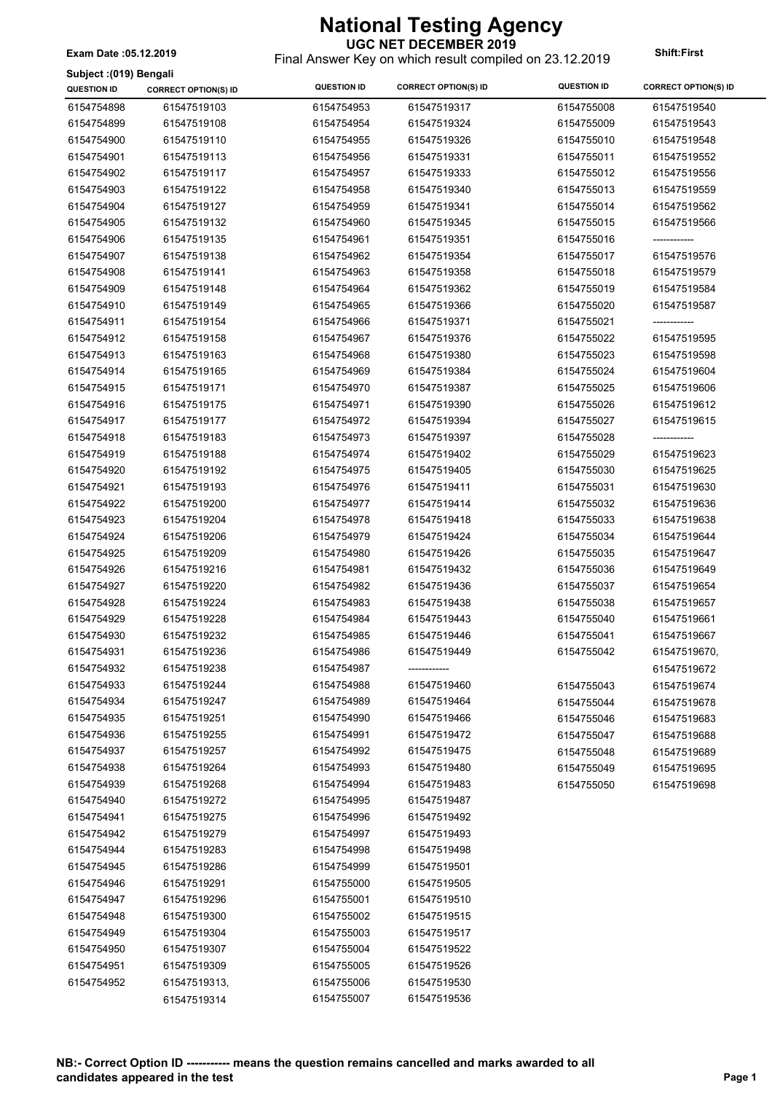**UGC NET DECEMBER 2019** Final Answer Key on which result compiled on 23.12.2019 **Exam Date :05.12.2019 Shift:First**

 $\overline{\phantom{a}}$ 

**Subject :(019) Bengali**

| Subject :(019) Bengali |                             |                    |                             |                    |                             |
|------------------------|-----------------------------|--------------------|-----------------------------|--------------------|-----------------------------|
| QUESTION ID            | <b>CORRECT OPTION(S) ID</b> | <b>QUESTION ID</b> | <b>CORRECT OPTION(S) ID</b> | <b>QUESTION ID</b> | <b>CORRECT OPTION(S) ID</b> |
| 6154754898             | 61547519103                 | 6154754953         | 61547519317                 | 6154755008         | 61547519540                 |
| 6154754899             | 61547519108                 | 6154754954         | 61547519324                 | 6154755009         | 61547519543                 |
| 6154754900             | 61547519110                 | 6154754955         | 61547519326                 | 6154755010         | 61547519548                 |
| 6154754901             | 61547519113                 | 6154754956         | 61547519331                 | 6154755011         | 61547519552                 |
| 6154754902             | 61547519117                 | 6154754957         | 61547519333                 | 6154755012         | 61547519556                 |
| 6154754903             | 61547519122                 | 6154754958         | 61547519340                 | 6154755013         | 61547519559                 |
| 6154754904             | 61547519127                 | 6154754959         | 61547519341                 | 6154755014         | 61547519562                 |
| 6154754905             | 61547519132                 | 6154754960         | 61547519345                 | 6154755015         | 61547519566                 |
| 6154754906             | 61547519135                 | 6154754961         | 61547519351                 | 6154755016         | ------------                |
| 6154754907             | 61547519138                 | 6154754962         | 61547519354                 | 6154755017         | 61547519576                 |
| 6154754908             | 61547519141                 | 6154754963         | 61547519358                 | 6154755018         | 61547519579                 |
| 6154754909             | 61547519148                 | 6154754964         | 61547519362                 | 6154755019         | 61547519584                 |
| 6154754910             | 61547519149                 | 6154754965         | 61547519366                 | 6154755020         | 61547519587                 |
| 6154754911             | 61547519154                 | 6154754966         | 61547519371                 | 6154755021         | -------------               |
| 6154754912             | 61547519158                 | 6154754967         | 61547519376                 | 6154755022         | 61547519595                 |
| 6154754913             | 61547519163                 | 6154754968         | 61547519380                 | 6154755023         | 61547519598                 |
| 6154754914             | 61547519165                 | 6154754969         | 61547519384                 | 6154755024         | 61547519604                 |
| 6154754915             | 61547519171                 | 6154754970         | 61547519387                 | 6154755025         | 61547519606                 |
| 6154754916             | 61547519175                 | 6154754971         | 61547519390                 | 6154755026         | 61547519612                 |
| 6154754917             | 61547519177                 | 6154754972         | 61547519394                 | 6154755027         | 61547519615                 |
| 6154754918             | 61547519183                 | 6154754973         | 61547519397                 | 6154755028         |                             |
| 6154754919             | 61547519188                 | 6154754974         | 61547519402                 | 6154755029         | 61547519623                 |
| 6154754920             | 61547519192                 | 6154754975         | 61547519405                 | 6154755030         | 61547519625                 |
| 6154754921             | 61547519193                 | 6154754976         | 61547519411                 | 6154755031         | 61547519630                 |
| 6154754922             | 61547519200                 | 6154754977         | 61547519414                 | 6154755032         | 61547519636                 |
| 6154754923             | 61547519204                 | 6154754978         | 61547519418                 | 6154755033         | 61547519638                 |
| 6154754924             | 61547519206                 | 6154754979         | 61547519424                 | 6154755034         | 61547519644                 |
| 6154754925             | 61547519209                 | 6154754980         | 61547519426                 | 6154755035         | 61547519647                 |
| 6154754926             | 61547519216                 | 6154754981         | 61547519432                 | 6154755036         | 61547519649                 |
| 6154754927             | 61547519220                 | 6154754982         | 61547519436                 |                    | 61547519654                 |
|                        | 61547519224                 |                    |                             | 6154755037         |                             |
| 6154754928             |                             | 6154754983         | 61547519438                 | 6154755038         | 61547519657                 |
| 6154754929             | 61547519228                 | 6154754984         | 61547519443                 | 6154755040         | 61547519661                 |
| 6154754930             | 61547519232                 | 6154754985         | 61547519446                 | 6154755041         | 61547519667                 |
| 6154754931             | 61547519236                 | 6154754986         | 61547519449                 | 6154755042         | 61547519670,                |
| 6154754932             | 61547519238                 | 6154754987         | -------------               |                    | 61547519672                 |
| 6154754933             | 61547519244                 | 6154754988         | 61547519460                 | 6154755043         | 61547519674                 |
| 6154754934             | 61547519247                 | 6154754989         | 61547519464                 | 6154755044         | 61547519678                 |
| 6154754935             | 61547519251                 | 6154754990         | 61547519466                 | 6154755046         | 61547519683                 |
| 6154754936             | 61547519255                 | 6154754991         | 61547519472                 | 6154755047         | 61547519688                 |
| 6154754937             | 61547519257                 | 6154754992         | 61547519475                 | 6154755048         | 61547519689                 |
| 6154754938             | 61547519264                 | 6154754993         | 61547519480                 | 6154755049         | 61547519695                 |
| 6154754939             | 61547519268                 | 6154754994         | 61547519483                 | 6154755050         | 61547519698                 |
| 6154754940             | 61547519272                 | 6154754995         | 61547519487                 |                    |                             |
| 6154754941             | 61547519275                 | 6154754996         | 61547519492                 |                    |                             |
| 6154754942             | 61547519279                 | 6154754997         | 61547519493                 |                    |                             |
| 6154754944             | 61547519283                 | 6154754998         | 61547519498                 |                    |                             |
| 6154754945             | 61547519286                 | 6154754999         | 61547519501                 |                    |                             |
| 6154754946             | 61547519291                 | 6154755000         | 61547519505                 |                    |                             |
| 6154754947             | 61547519296                 | 6154755001         | 61547519510                 |                    |                             |
| 6154754948             | 61547519300                 | 6154755002         | 61547519515                 |                    |                             |
| 6154754949             | 61547519304                 | 6154755003         | 61547519517                 |                    |                             |
| 6154754950             | 61547519307                 | 6154755004         | 61547519522                 |                    |                             |
| 6154754951             | 61547519309                 | 6154755005         | 61547519526                 |                    |                             |
| 6154754952             | 61547519313,                | 6154755006         | 61547519530                 |                    |                             |
|                        | 61547519314                 | 6154755007         | 61547519536                 |                    |                             |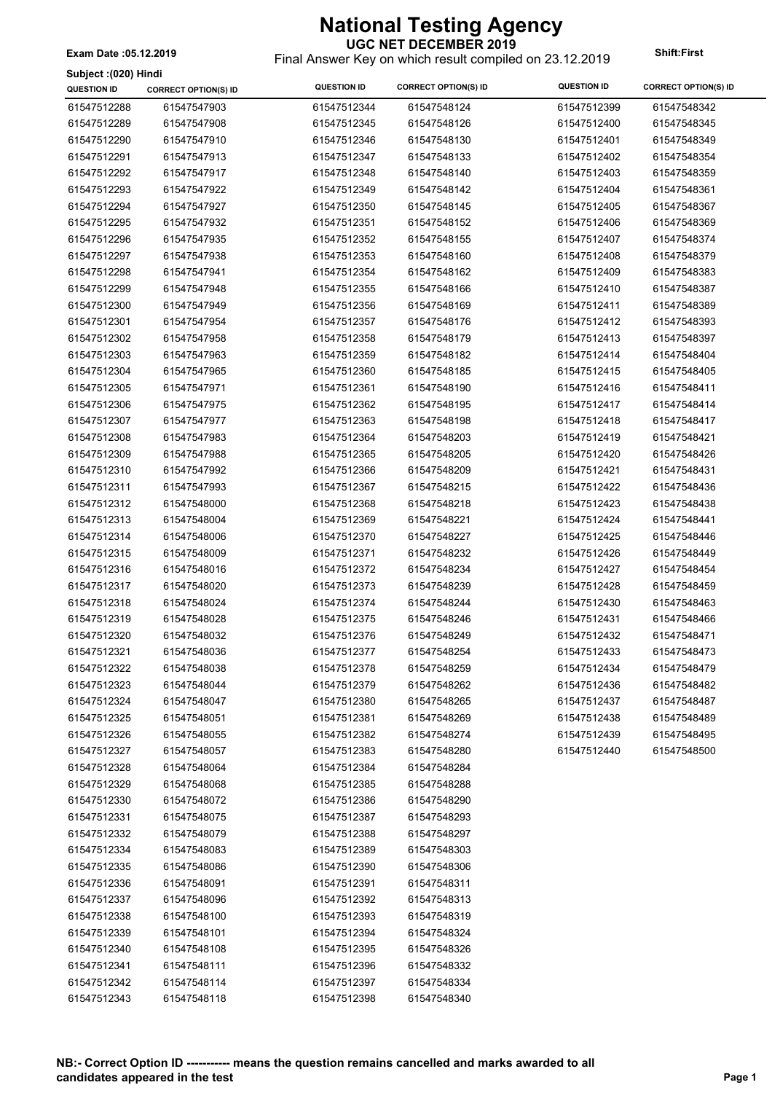**Subject :(020) Hindi**

**UGC NET DECEMBER 2019** Final Answer Key on which result compiled on 23.12.2019 **Exam Date :05.12.2019 Shift:First**

 $\overline{\phantom{a}}$ 

| Subject :(020) Hindi |                             |                    |                             |                    |                             |
|----------------------|-----------------------------|--------------------|-----------------------------|--------------------|-----------------------------|
| <b>QUESTION ID</b>   | <b>CORRECT OPTION(S) ID</b> | <b>QUESTION ID</b> | <b>CORRECT OPTION(S) ID</b> | <b>QUESTION ID</b> | <b>CORRECT OPTION(S) ID</b> |
| 61547512288          | 61547547903                 | 61547512344        | 61547548124                 | 61547512399        | 61547548342                 |
| 61547512289          | 61547547908                 | 61547512345        | 61547548126                 | 61547512400        | 61547548345                 |
| 61547512290          | 61547547910                 | 61547512346        | 61547548130                 | 61547512401        | 61547548349                 |
| 61547512291          | 61547547913                 | 61547512347        | 61547548133                 | 61547512402        | 61547548354                 |
| 61547512292          | 61547547917                 | 61547512348        | 61547548140                 | 61547512403        | 61547548359                 |
| 61547512293          | 61547547922                 | 61547512349        | 61547548142                 | 61547512404        | 61547548361                 |
| 61547512294          | 61547547927                 | 61547512350        | 61547548145                 | 61547512405        | 61547548367                 |
| 61547512295          | 61547547932                 | 61547512351        | 61547548152                 | 61547512406        | 61547548369                 |
| 61547512296          | 61547547935                 | 61547512352        | 61547548155                 | 61547512407        | 61547548374                 |
| 61547512297          | 61547547938                 | 61547512353        | 61547548160                 | 61547512408        | 61547548379                 |
| 61547512298          | 61547547941                 | 61547512354        | 61547548162                 | 61547512409        | 61547548383                 |
| 61547512299          | 61547547948                 | 61547512355        | 61547548166                 | 61547512410        | 61547548387                 |
| 61547512300          | 61547547949                 | 61547512356        | 61547548169                 | 61547512411        | 61547548389                 |
| 61547512301          | 61547547954                 | 61547512357        | 61547548176                 | 61547512412        | 61547548393                 |
| 61547512302          | 61547547958                 | 61547512358        | 61547548179                 | 61547512413        | 61547548397                 |
| 61547512303          | 61547547963                 | 61547512359        | 61547548182                 | 61547512414        | 61547548404                 |
| 61547512304          | 61547547965                 | 61547512360        | 61547548185                 | 61547512415        | 61547548405                 |
| 61547512305          | 61547547971                 | 61547512361        | 61547548190                 | 61547512416        | 61547548411                 |
| 61547512306          | 61547547975                 | 61547512362        | 61547548195                 | 61547512417        | 61547548414                 |
| 61547512307          | 61547547977                 | 61547512363        | 61547548198                 | 61547512418        | 61547548417                 |
| 61547512308          | 61547547983                 | 61547512364        | 61547548203                 | 61547512419        | 61547548421                 |
| 61547512309          | 61547547988                 | 61547512365        | 61547548205                 | 61547512420        | 61547548426                 |
| 61547512310          | 61547547992                 | 61547512366        | 61547548209                 | 61547512421        | 61547548431                 |
| 61547512311          | 61547547993                 | 61547512367        | 61547548215                 | 61547512422        | 61547548436                 |
| 61547512312          | 61547548000                 | 61547512368        | 61547548218                 | 61547512423        | 61547548438                 |
| 61547512313          | 61547548004                 | 61547512369        | 61547548221                 | 61547512424        | 61547548441                 |
| 61547512314          | 61547548006                 | 61547512370        | 61547548227                 | 61547512425        | 61547548446                 |
| 61547512315          | 61547548009                 | 61547512371        | 61547548232                 | 61547512426        | 61547548449                 |
| 61547512316          | 61547548016                 | 61547512372        | 61547548234                 | 61547512427        | 61547548454                 |
| 61547512317          | 61547548020                 | 61547512373        | 61547548239                 | 61547512428        | 61547548459                 |
| 61547512318          | 61547548024                 | 61547512374        | 61547548244                 | 61547512430        | 61547548463                 |
| 61547512319          | 61547548028                 | 61547512375        | 61547548246                 | 61547512431        | 61547548466                 |
| 61547512320          | 61547548032                 | 61547512376        | 61547548249                 | 61547512432        | 61547548471                 |
| 61547512321          | 61547548036                 | 61547512377        | 61547548254                 | 61547512433        | 61547548473                 |
| 61547512322          | 61547548038                 | 61547512378        | 61547548259                 | 61547512434        | 61547548479                 |
| 61547512323          | 61547548044                 | 61547512379        | 61547548262                 | 61547512436        | 61547548482                 |
| 61547512324          | 61547548047                 | 61547512380        | 61547548265                 | 61547512437        | 61547548487                 |
| 61547512325          | 61547548051                 | 61547512381        | 61547548269                 | 61547512438        | 61547548489                 |
| 61547512326          | 61547548055                 | 61547512382        | 61547548274                 | 61547512439        | 61547548495                 |
| 61547512327          | 61547548057                 | 61547512383        | 61547548280                 | 61547512440        | 61547548500                 |
| 61547512328          | 61547548064                 | 61547512384        | 61547548284                 |                    |                             |
| 61547512329          | 61547548068                 | 61547512385        | 61547548288                 |                    |                             |
| 61547512330          | 61547548072                 | 61547512386        | 61547548290                 |                    |                             |
| 61547512331          | 61547548075                 | 61547512387        | 61547548293                 |                    |                             |
| 61547512332          | 61547548079                 | 61547512388        | 61547548297                 |                    |                             |
| 61547512334          | 61547548083                 | 61547512389        | 61547548303                 |                    |                             |
| 61547512335          | 61547548086                 | 61547512390        | 61547548306                 |                    |                             |
| 61547512336          | 61547548091                 | 61547512391        | 61547548311                 |                    |                             |
| 61547512337          | 61547548096                 | 61547512392        | 61547548313                 |                    |                             |
| 61547512338          | 61547548100                 | 61547512393        | 61547548319                 |                    |                             |
| 61547512339          | 61547548101                 | 61547512394        | 61547548324                 |                    |                             |
| 61547512340          | 61547548108                 | 61547512395        | 61547548326                 |                    |                             |
| 61547512341          | 61547548111                 | 61547512396        | 61547548332                 |                    |                             |
| 61547512342          | 61547548114                 | 61547512397        | 61547548334                 |                    |                             |
| 61547512343          | 61547548118                 | 61547512398        | 61547548340                 |                    |                             |
|                      |                             |                    |                             |                    |                             |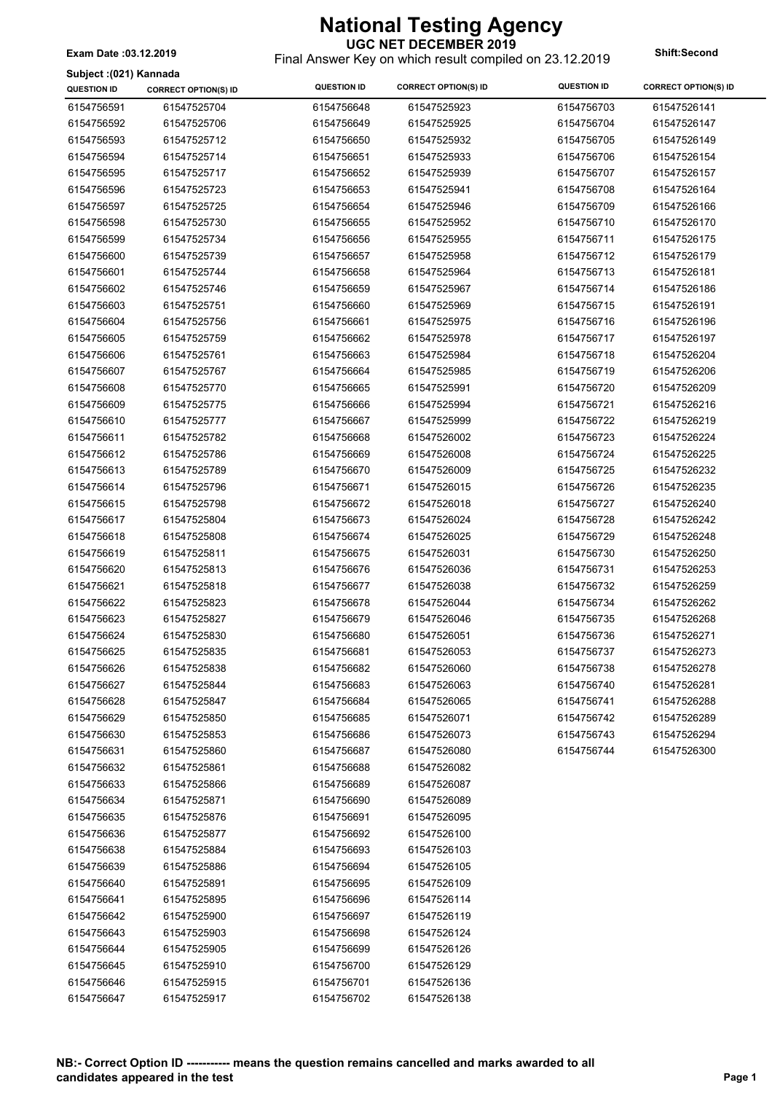**UGC NET DECEMBER 2019** Final Answer Key on which result compiled on 23.12.2019 **Exam Date :03.12.2019 Shift:Second**

**Subject :(021) Kannada**

| Subject :(UZ1) Kannada |                             |                    |                             | <b>QUESTION ID</b> |                             |
|------------------------|-----------------------------|--------------------|-----------------------------|--------------------|-----------------------------|
| <b>QUESTION ID</b>     | <b>CORRECT OPTION(S) ID</b> | <b>QUESTION ID</b> | <b>CORRECT OPTION(S) ID</b> |                    | <b>CORRECT OPTION(S) ID</b> |
| 6154756591             | 61547525704                 | 6154756648         | 61547525923                 | 6154756703         | 61547526141                 |
| 6154756592             | 61547525706                 | 6154756649         | 61547525925                 | 6154756704         | 61547526147                 |
| 6154756593             | 61547525712                 | 6154756650         | 61547525932                 | 6154756705         | 61547526149                 |
| 6154756594             | 61547525714                 | 6154756651         | 61547525933                 | 6154756706         | 61547526154                 |
| 6154756595             | 61547525717                 | 6154756652         | 61547525939                 | 6154756707         | 61547526157                 |
| 6154756596             | 61547525723                 | 6154756653         | 61547525941                 | 6154756708         | 61547526164                 |
| 6154756597             | 61547525725                 | 6154756654         | 61547525946                 | 6154756709         | 61547526166                 |
| 6154756598             | 61547525730                 | 6154756655         | 61547525952                 | 6154756710         | 61547526170                 |
| 6154756599             | 61547525734                 | 6154756656         | 61547525955                 | 6154756711         | 61547526175                 |
| 6154756600             | 61547525739                 | 6154756657         | 61547525958                 | 6154756712         | 61547526179                 |
| 6154756601             | 61547525744                 | 6154756658         | 61547525964                 | 6154756713         | 61547526181                 |
| 6154756602             | 61547525746                 | 6154756659         | 61547525967                 | 6154756714         | 61547526186                 |
| 6154756603             | 61547525751                 | 6154756660         | 61547525969                 | 6154756715         | 61547526191                 |
| 6154756604             | 61547525756                 | 6154756661         | 61547525975                 | 6154756716         | 61547526196                 |
| 6154756605             | 61547525759                 | 6154756662         | 61547525978                 | 6154756717         | 61547526197                 |
| 6154756606             | 61547525761                 | 6154756663         | 61547525984                 | 6154756718         | 61547526204                 |
| 6154756607             | 61547525767                 | 6154756664         | 61547525985                 | 6154756719         | 61547526206                 |
| 6154756608             | 61547525770                 | 6154756665         | 61547525991                 | 6154756720         | 61547526209                 |
| 6154756609             | 61547525775                 | 6154756666         | 61547525994                 | 6154756721         | 61547526216                 |
| 6154756610             | 61547525777                 | 6154756667         | 61547525999                 | 6154756722         | 61547526219                 |
| 6154756611             | 61547525782                 | 6154756668         | 61547526002                 | 6154756723         | 61547526224                 |
| 6154756612             | 61547525786                 | 6154756669         | 61547526008                 | 6154756724         | 61547526225                 |
| 6154756613             | 61547525789                 | 6154756670         | 61547526009                 | 6154756725         | 61547526232                 |
| 6154756614             | 61547525796                 | 6154756671         | 61547526015                 | 6154756726         | 61547526235                 |
|                        |                             |                    |                             |                    |                             |
| 6154756615             | 61547525798                 | 6154756672         | 61547526018                 | 6154756727         | 61547526240                 |
| 6154756617             | 61547525804                 | 6154756673         | 61547526024                 | 6154756728         | 61547526242                 |
| 6154756618             | 61547525808                 | 6154756674         | 61547526025                 | 6154756729         | 61547526248                 |
| 6154756619             | 61547525811                 | 6154756675         | 61547526031                 | 6154756730         | 61547526250                 |
| 6154756620             | 61547525813                 | 6154756676         | 61547526036                 | 6154756731         | 61547526253                 |
| 6154756621             | 61547525818                 | 6154756677         | 61547526038                 | 6154756732         | 61547526259                 |
| 6154756622             | 61547525823                 | 6154756678         | 61547526044                 | 6154756734         | 61547526262                 |
| 6154756623             | 61547525827                 | 6154756679         | 61547526046                 | 6154756735         | 61547526268                 |
| 6154756624             | 61547525830                 | 6154756680         | 61547526051                 | 6154756736         | 61547526271                 |
| 6154756625             | 61547525835                 | 6154756681         | 61547526053                 | 6154756737         | 61547526273                 |
| 6154756626             | 61547525838                 | 6154756682         | 61547526060                 | 6154756738         | 61547526278                 |
| 6154756627             | 61547525844                 | 6154756683         | 61547526063                 | 6154756740         | 61547526281                 |
| 6154756628             | 61547525847                 | 6154756684         | 61547526065                 | 6154756741         | 61547526288                 |
| 6154756629             | 61547525850                 | 6154756685         | 61547526071                 | 6154756742         | 61547526289                 |
| 6154756630             | 61547525853                 | 6154756686         | 61547526073                 | 6154756743         | 61547526294                 |
| 6154756631             | 61547525860                 | 6154756687         | 61547526080                 | 6154756744         | 61547526300                 |
| 6154756632             | 61547525861                 | 6154756688         | 61547526082                 |                    |                             |
| 6154756633             | 61547525866                 | 6154756689         | 61547526087                 |                    |                             |
| 6154756634             | 61547525871                 | 6154756690         | 61547526089                 |                    |                             |
| 6154756635             | 61547525876                 | 6154756691         | 61547526095                 |                    |                             |
| 6154756636             | 61547525877                 | 6154756692         | 61547526100                 |                    |                             |
| 6154756638             | 61547525884                 | 6154756693         | 61547526103                 |                    |                             |
| 6154756639             | 61547525886                 | 6154756694         | 61547526105                 |                    |                             |
| 6154756640             | 61547525891                 | 6154756695         | 61547526109                 |                    |                             |
| 6154756641             | 61547525895                 | 6154756696         | 61547526114                 |                    |                             |
| 6154756642             | 61547525900                 | 6154756697         | 61547526119                 |                    |                             |
| 6154756643             | 61547525903                 | 6154756698         | 61547526124                 |                    |                             |
| 6154756644             | 61547525905                 | 6154756699         | 61547526126                 |                    |                             |
| 6154756645             | 61547525910                 | 6154756700         | 61547526129                 |                    |                             |
| 6154756646             | 61547525915                 | 6154756701         | 61547526136                 |                    |                             |
| 6154756647             | 61547525917                 | 6154756702         | 61547526138                 |                    |                             |
|                        |                             |                    |                             |                    |                             |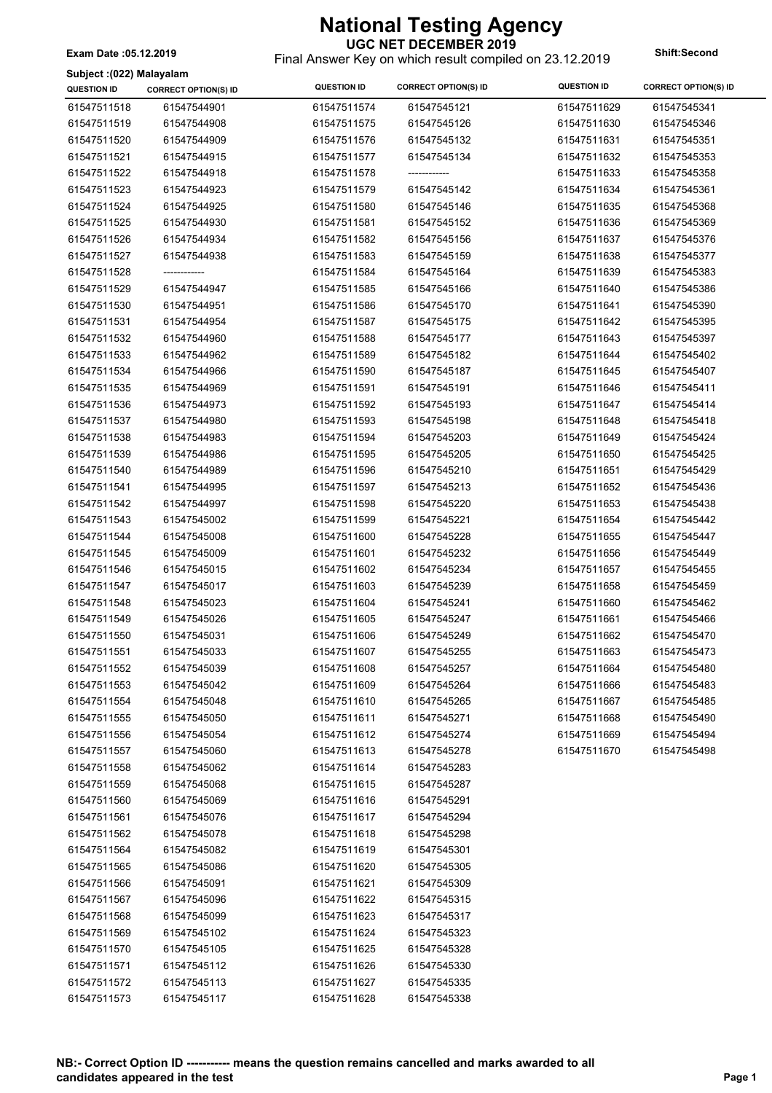**UGC NET DECEMBER 2019** Final Answer Key on which result compiled on 23.12.2019 **Exam Date :05.12.2019 Shift:Second**

**Subject :(022) Malayalam**

| 0<br><b>QUESTION ID</b> | <b>CORRECT OPTION(S) ID</b> | <b>QUESTION ID</b> | <b>CORRECT OPTION(S) ID</b> | <b>QUESTION ID</b> | <b>CORRECT OPTION(S) ID</b> |
|-------------------------|-----------------------------|--------------------|-----------------------------|--------------------|-----------------------------|
| 61547511518             | 61547544901                 | 61547511574        | 61547545121                 | 61547511629        | 61547545341                 |
| 61547511519             | 61547544908                 | 61547511575        | 61547545126                 | 61547511630        | 61547545346                 |
| 61547511520             | 61547544909                 | 61547511576        | 61547545132                 | 61547511631        | 61547545351                 |
| 61547511521             | 61547544915                 | 61547511577        | 61547545134                 | 61547511632        | 61547545353                 |
| 61547511522             | 61547544918                 | 61547511578        | -------------               | 61547511633        | 61547545358                 |
| 61547511523             | 61547544923                 | 61547511579        | 61547545142                 | 61547511634        | 61547545361                 |
| 61547511524             | 61547544925                 | 61547511580        | 61547545146                 | 61547511635        | 61547545368                 |
| 61547511525             | 61547544930                 | 61547511581        | 61547545152                 | 61547511636        | 61547545369                 |
| 61547511526             | 61547544934                 | 61547511582        | 61547545156                 | 61547511637        | 61547545376                 |
| 61547511527             | 61547544938                 | 61547511583        | 61547545159                 | 61547511638        | 61547545377                 |
| 61547511528             | ------------                | 61547511584        | 61547545164                 | 61547511639        | 61547545383                 |
| 61547511529             | 61547544947                 | 61547511585        | 61547545166                 | 61547511640        | 61547545386                 |
| 61547511530             | 61547544951                 | 61547511586        | 61547545170                 | 61547511641        | 61547545390                 |
| 61547511531             | 61547544954                 | 61547511587        | 61547545175                 | 61547511642        | 61547545395                 |
| 61547511532             | 61547544960                 | 61547511588        | 61547545177                 | 61547511643        | 61547545397                 |
| 61547511533             | 61547544962                 | 61547511589        | 61547545182                 | 61547511644        | 61547545402                 |
| 61547511534             | 61547544966                 | 61547511590        | 61547545187                 | 61547511645        | 61547545407                 |
| 61547511535             | 61547544969                 | 61547511591        | 61547545191                 | 61547511646        | 61547545411                 |
| 61547511536             | 61547544973                 | 61547511592        | 61547545193                 | 61547511647        | 61547545414                 |
| 61547511537             | 61547544980                 | 61547511593        | 61547545198                 | 61547511648        | 61547545418                 |
| 61547511538             | 61547544983                 | 61547511594        | 61547545203                 | 61547511649        | 61547545424                 |
| 61547511539             | 61547544986                 | 61547511595        | 61547545205                 | 61547511650        | 61547545425                 |
| 61547511540             | 61547544989                 | 61547511596        | 61547545210                 | 61547511651        | 61547545429                 |
| 61547511541             | 61547544995                 | 61547511597        | 61547545213                 | 61547511652        | 61547545436                 |
| 61547511542             | 61547544997                 | 61547511598        | 61547545220                 | 61547511653        | 61547545438                 |
| 61547511543             | 61547545002                 | 61547511599        | 61547545221                 | 61547511654        | 61547545442                 |
| 61547511544             | 61547545008                 | 61547511600        | 61547545228                 | 61547511655        | 61547545447                 |
| 61547511545             | 61547545009                 | 61547511601        | 61547545232                 | 61547511656        | 61547545449                 |
| 61547511546             | 61547545015                 | 61547511602        | 61547545234                 | 61547511657        | 61547545455                 |
| 61547511547             | 61547545017                 | 61547511603        | 61547545239                 | 61547511658        | 61547545459                 |
| 61547511548             | 61547545023                 | 61547511604        | 61547545241                 | 61547511660        | 61547545462                 |
| 61547511549             | 61547545026                 | 61547511605        | 61547545247                 | 61547511661        | 61547545466                 |
| 61547511550             | 61547545031                 | 61547511606        | 61547545249                 | 61547511662        | 61547545470                 |
| 61547511551             | 61547545033                 | 61547511607        | 61547545255                 | 61547511663        | 61547545473                 |
| 61547511552             | 61547545039                 | 61547511608        | 61547545257                 | 61547511664        | 61547545480                 |
| 61547511553             | 61547545042                 | 61547511609        | 61547545264                 | 61547511666        | 61547545483                 |
| 61547511554             | 61547545048                 | 61547511610        | 61547545265                 | 61547511667        | 61547545485                 |
| 61547511555             | 61547545050                 | 61547511611        | 61547545271                 | 61547511668        | 61547545490                 |
| 61547511556             | 61547545054                 | 61547511612        | 61547545274                 | 61547511669        | 61547545494                 |
| 61547511557             | 61547545060                 | 61547511613        | 61547545278                 | 61547511670        | 61547545498                 |
| 61547511558             | 61547545062                 | 61547511614        | 61547545283                 |                    |                             |
| 61547511559             | 61547545068                 | 61547511615        | 61547545287                 |                    |                             |
| 61547511560             | 61547545069                 | 61547511616        | 61547545291                 |                    |                             |
| 61547511561             | 61547545076                 | 61547511617        | 61547545294                 |                    |                             |
| 61547511562             | 61547545078                 | 61547511618        | 61547545298                 |                    |                             |
| 61547511564             | 61547545082                 | 61547511619        | 61547545301                 |                    |                             |
| 61547511565             | 61547545086                 | 61547511620        | 61547545305                 |                    |                             |
| 61547511566             | 61547545091                 | 61547511621        | 61547545309                 |                    |                             |
| 61547511567             | 61547545096                 | 61547511622        | 61547545315                 |                    |                             |
| 61547511568             | 61547545099                 | 61547511623        | 61547545317                 |                    |                             |
| 61547511569             | 61547545102                 | 61547511624        | 61547545323                 |                    |                             |
| 61547511570             | 61547545105                 | 61547511625        | 61547545328                 |                    |                             |
| 61547511571             | 61547545112                 | 61547511626        | 61547545330                 |                    |                             |
| 61547511572             | 61547545113                 | 61547511627        | 61547545335                 |                    |                             |
| 61547511573             | 61547545117                 | 61547511628        | 61547545338                 |                    |                             |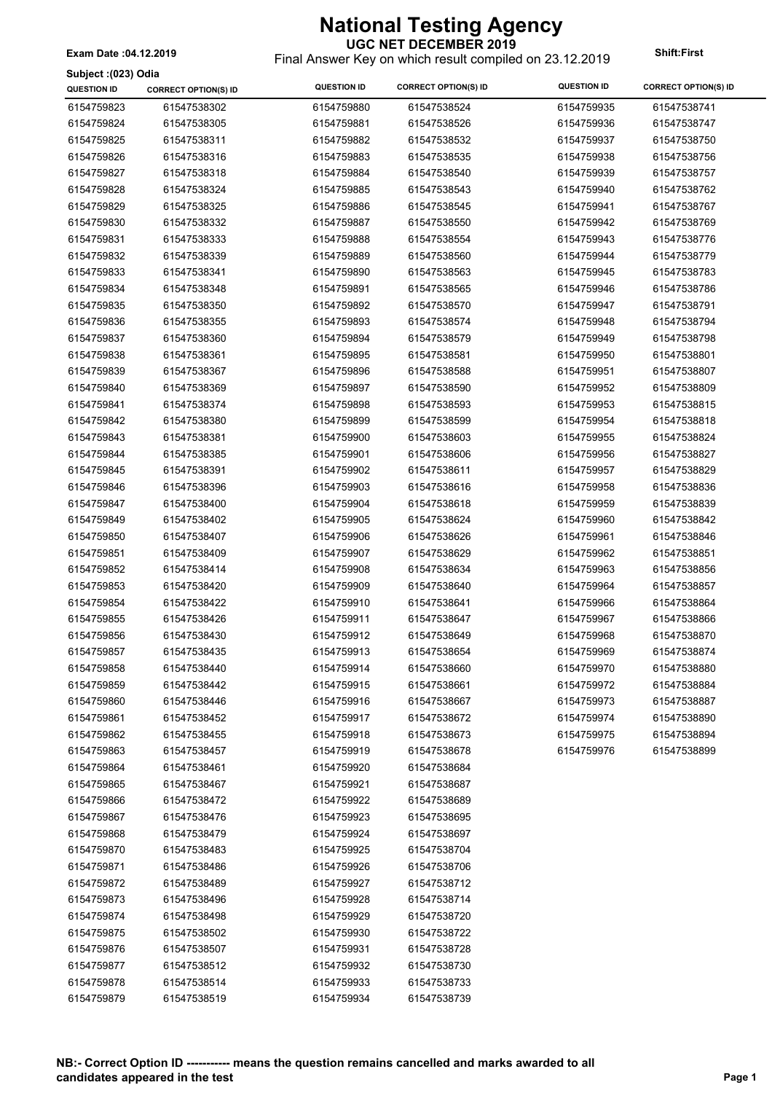**Subject :(023) Odia**

#### **UGC NET DECEMBER 2019**

Final Answer Key on which result compiled on 23.12.2019 **Exam Date :04.12.2019 Shift:First**

| Subject :(023) Odia      |                             |                          |                             |                          |                             |
|--------------------------|-----------------------------|--------------------------|-----------------------------|--------------------------|-----------------------------|
| <b>QUESTION ID</b>       | <b>CORRECT OPTION(S) ID</b> | <b>QUESTION ID</b>       | <b>CORRECT OPTION(S) ID</b> | <b>QUESTION ID</b>       | <b>CORRECT OPTION(S) ID</b> |
| 6154759823               | 61547538302                 | 6154759880               | 61547538524                 | 6154759935               | 61547538741                 |
| 6154759824               | 61547538305                 | 6154759881               | 61547538526                 | 6154759936               | 61547538747                 |
| 6154759825               | 61547538311                 | 6154759882               | 61547538532                 | 6154759937               | 61547538750                 |
| 6154759826               | 61547538316                 | 6154759883               | 61547538535                 | 6154759938               | 61547538756                 |
| 6154759827               | 61547538318                 | 6154759884               | 61547538540                 | 6154759939               | 61547538757                 |
| 6154759828               | 61547538324                 | 6154759885               | 61547538543                 | 6154759940               | 61547538762                 |
| 6154759829               | 61547538325                 | 6154759886               | 61547538545                 | 6154759941               | 61547538767                 |
| 6154759830               | 61547538332                 | 6154759887               | 61547538550                 | 6154759942               | 61547538769                 |
| 6154759831               | 61547538333                 | 6154759888               | 61547538554                 | 6154759943               | 61547538776                 |
| 6154759832               | 61547538339                 | 6154759889               | 61547538560                 | 6154759944               | 61547538779                 |
| 6154759833               | 61547538341                 | 6154759890               | 61547538563                 | 6154759945               | 61547538783                 |
| 6154759834               | 61547538348                 | 6154759891               | 61547538565                 | 6154759946               | 61547538786                 |
| 6154759835               | 61547538350                 | 6154759892               | 61547538570                 | 6154759947               | 61547538791                 |
| 6154759836               | 61547538355                 | 6154759893               | 61547538574                 | 6154759948               | 61547538794                 |
| 6154759837               | 61547538360                 | 6154759894               | 61547538579                 | 6154759949               | 61547538798                 |
| 6154759838               | 61547538361                 | 6154759895               | 61547538581                 | 6154759950               | 61547538801                 |
| 6154759839               | 61547538367                 | 6154759896               | 61547538588                 | 6154759951               | 61547538807                 |
| 6154759840               | 61547538369                 | 6154759897               | 61547538590                 | 6154759952               | 61547538809                 |
| 6154759841               | 61547538374                 | 6154759898               | 61547538593                 | 6154759953               | 61547538815                 |
| 6154759842               | 61547538380                 | 6154759899               | 61547538599                 | 6154759954               | 61547538818                 |
| 6154759843               | 61547538381                 | 6154759900               | 61547538603                 | 6154759955               | 61547538824                 |
| 6154759844               | 61547538385                 | 6154759901               | 61547538606                 | 6154759956               | 61547538827                 |
| 6154759845               | 61547538391                 | 6154759902               | 61547538611                 | 6154759957               | 61547538829                 |
| 6154759846               | 61547538396                 | 6154759903               | 61547538616                 | 6154759958               | 61547538836                 |
| 6154759847               | 61547538400                 | 6154759904               | 61547538618                 | 6154759959               | 61547538839                 |
| 6154759849               | 61547538402                 | 6154759905               | 61547538624                 | 6154759960               | 61547538842                 |
| 6154759850               | 61547538407                 | 6154759906               | 61547538626                 | 6154759961               | 61547538846                 |
| 6154759851               | 61547538409                 | 6154759907               | 61547538629                 | 6154759962               | 61547538851                 |
| 6154759852               | 61547538414                 | 6154759908               | 61547538634                 | 6154759963               | 61547538856                 |
| 6154759853               | 61547538420                 | 6154759909               | 61547538640                 | 6154759964               | 61547538857                 |
| 6154759854               | 61547538422                 | 6154759910               | 61547538641                 | 6154759966               | 61547538864                 |
| 6154759855               | 61547538426                 | 6154759911               | 61547538647                 | 6154759967               | 61547538866                 |
| 6154759856               | 61547538430                 | 6154759912               | 61547538649                 | 6154759968               | 61547538870                 |
| 6154759857               | 61547538435                 | 6154759913               | 61547538654                 | 6154759969               | 61547538874                 |
|                          |                             |                          |                             |                          | 61547538880                 |
| 6154759858<br>6154759859 | 61547538440<br>61547538442  | 6154759914<br>6154759915 | 61547538660<br>61547538661  | 6154759970<br>6154759972 | 61547538884                 |
| 6154759860               | 61547538446                 | 6154759916               | 61547538667                 | 6154759973               | 61547538887                 |
| 6154759861               | 61547538452                 | 6154759917               | 61547538672                 | 6154759974               | 61547538890                 |
| 6154759862               | 61547538455                 |                          |                             |                          | 61547538894                 |
|                          |                             | 6154759918               | 61547538673                 | 6154759975               |                             |
| 6154759863               | 61547538457<br>61547538461  | 6154759919               | 61547538678                 | 6154759976               | 61547538899                 |
| 6154759864               |                             | 6154759920               | 61547538684                 |                          |                             |
| 6154759865               | 61547538467                 | 6154759921               | 61547538687                 |                          |                             |
| 6154759866               | 61547538472                 | 6154759922               | 61547538689                 |                          |                             |
| 6154759867               | 61547538476                 | 6154759923               | 61547538695                 |                          |                             |
| 6154759868               | 61547538479                 | 6154759924               | 61547538697                 |                          |                             |
| 6154759870               | 61547538483                 | 6154759925               | 61547538704                 |                          |                             |
| 6154759871               | 61547538486                 | 6154759926               | 61547538706                 |                          |                             |
| 6154759872               | 61547538489                 | 6154759927               | 61547538712                 |                          |                             |
| 6154759873               | 61547538496                 | 6154759928               | 61547538714                 |                          |                             |
| 6154759874               | 61547538498                 | 6154759929               | 61547538720                 |                          |                             |
| 6154759875               | 61547538502                 | 6154759930               | 61547538722                 |                          |                             |
| 6154759876               | 61547538507                 | 6154759931               | 61547538728                 |                          |                             |
| 6154759877               | 61547538512                 | 6154759932               | 61547538730                 |                          |                             |
| 6154759878               | 61547538514                 | 6154759933               | 61547538733                 |                          |                             |
| 6154759879               | 61547538519                 | 6154759934               | 61547538739                 |                          |                             |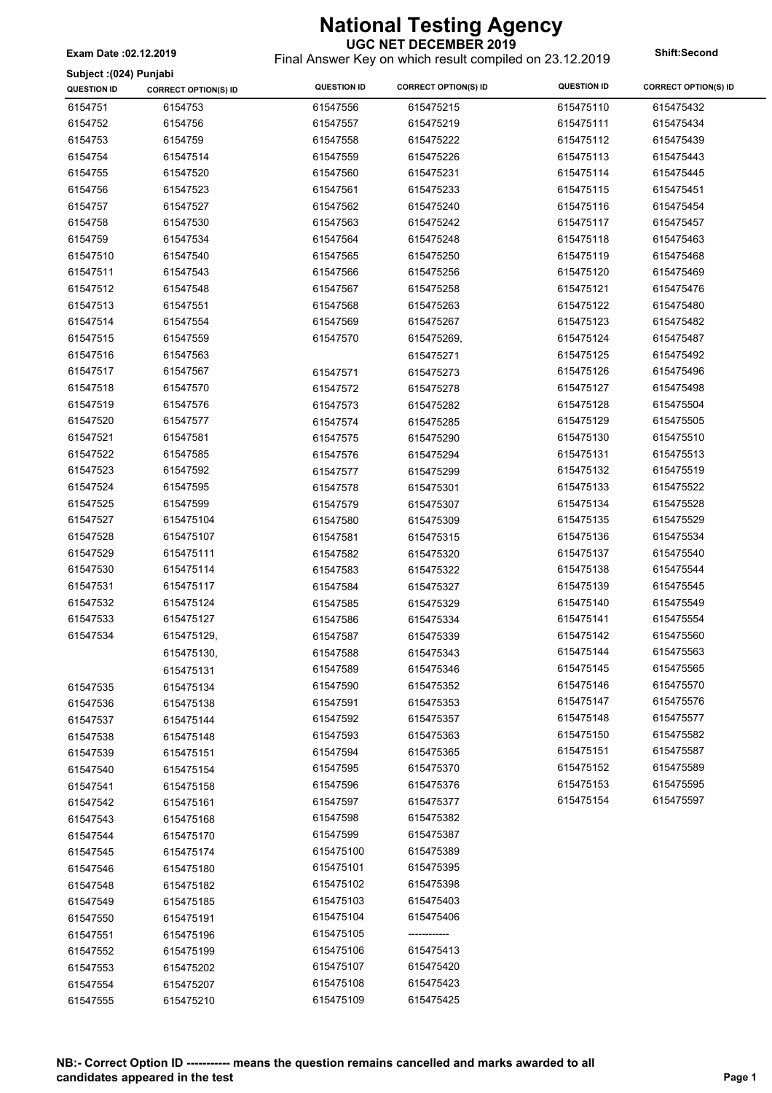**UGC NET DECEMBER 2019** Final Answer Key on which result compiled on 23.12.2019 **Exam Date :02.12.2019 Shift:Second**

| Subject : (024) Punjabi<br><b>QUESTION ID</b> |                             | <b>QUESTION ID</b> | <b>CORRECT OPTION(S) ID</b> | <b>QUESTION ID</b> | <b>CORRECT OPTION(S) ID</b> |
|-----------------------------------------------|-----------------------------|--------------------|-----------------------------|--------------------|-----------------------------|
|                                               | <b>CORRECT OPTION(S) ID</b> |                    |                             |                    |                             |
| 6154751                                       | 6154753                     | 61547556           | 615475215                   | 615475110          | 615475432                   |
| 6154752                                       | 6154756                     | 61547557           | 615475219                   | 615475111          | 615475434                   |
| 6154753                                       | 6154759                     | 61547558           | 615475222                   | 615475112          | 615475439                   |
| 6154754                                       | 61547514                    | 61547559           | 615475226                   | 615475113          | 615475443                   |
| 6154755                                       | 61547520                    | 61547560           | 615475231                   | 615475114          | 615475445                   |
| 6154756                                       | 61547523                    | 61547561           | 615475233                   | 615475115          | 615475451                   |
| 6154757                                       | 61547527                    | 61547562           | 615475240                   | 615475116          | 615475454                   |
| 6154758                                       | 61547530                    | 61547563           | 615475242                   | 615475117          | 615475457                   |
| 6154759                                       | 61547534                    | 61547564           | 615475248                   | 615475118          | 615475463                   |
| 61547510                                      | 61547540                    | 61547565           | 615475250                   | 615475119          | 615475468                   |
| 61547511                                      | 61547543                    | 61547566           | 615475256                   | 615475120          | 615475469                   |
| 61547512                                      | 61547548                    | 61547567           | 615475258                   | 615475121          | 615475476                   |
| 61547513                                      | 61547551                    | 61547568           | 615475263                   | 615475122          | 615475480                   |
| 61547514                                      | 61547554                    | 61547569           | 615475267                   | 615475123          | 615475482                   |
| 61547515                                      | 61547559                    | 61547570           | 615475269,                  | 615475124          | 615475487                   |
| 61547516                                      | 61547563                    |                    | 615475271                   | 615475125          | 615475492                   |
| 61547517                                      | 61547567                    | 61547571           | 615475273                   | 615475126          | 615475496                   |
| 61547518                                      | 61547570                    | 61547572           | 615475278                   | 615475127          | 615475498                   |
| 61547519                                      | 61547576                    | 61547573           | 615475282                   | 615475128          | 615475504                   |
| 61547520                                      | 61547577                    | 61547574           | 615475285                   | 615475129          | 615475505                   |
| 61547521                                      | 61547581                    | 61547575           | 615475290                   | 615475130          | 615475510                   |
| 61547522                                      | 61547585                    | 61547576           | 615475294                   | 615475131          | 615475513                   |
| 61547523                                      | 61547592                    | 61547577           | 615475299                   | 615475132          | 615475519                   |
| 61547524                                      | 61547595                    | 61547578           | 615475301                   | 615475133          | 615475522                   |
| 61547525                                      | 61547599                    | 61547579           | 615475307                   | 615475134          | 615475528                   |
| 61547527                                      | 615475104                   | 61547580           | 615475309                   | 615475135          | 615475529                   |
| 61547528                                      | 615475107                   | 61547581           | 615475315                   | 615475136          | 615475534                   |
| 61547529                                      | 615475111                   | 61547582           | 615475320                   | 615475137          | 615475540                   |
| 61547530                                      | 615475114                   | 61547583           | 615475322                   | 615475138          | 615475544                   |
| 61547531                                      | 615475117                   | 61547584           | 615475327                   | 615475139          | 615475545                   |
| 61547532                                      | 615475124                   | 61547585           | 615475329                   | 615475140          | 615475549                   |
| 61547533                                      | 615475127                   | 61547586           | 615475334                   | 615475141          | 615475554                   |
| 61547534                                      | 615475129,                  | 61547587           | 615475339                   | 615475142          | 615475560                   |
|                                               | 615475130,                  | 61547588           | 615475343                   | 615475144          | 615475563                   |
|                                               | 615475131                   | 61547589           | 615475346                   | 615475145          | 615475565                   |
| 61547535                                      | 615475134                   | 61547590           | 615475352                   | 615475146          | 615475570                   |
| 61547536                                      | 615475138                   | 61547591           | 615475353                   | 615475147          | 615475576                   |
| 61547537                                      | 615475144                   | 61547592           | 615475357                   | 615475148          | 615475577                   |
| 61547538                                      | 615475148                   | 61547593           | 615475363                   | 615475150          | 615475582                   |
| 61547539                                      | 615475151                   | 61547594           | 615475365                   | 615475151          | 615475587                   |
| 61547540                                      | 615475154                   | 61547595           | 615475370                   | 615475152          | 615475589                   |
| 61547541                                      | 615475158                   | 61547596           | 615475376                   | 615475153          | 615475595                   |
| 61547542                                      | 615475161                   | 61547597           | 615475377                   | 615475154          | 615475597                   |
| 61547543                                      | 615475168                   | 61547598           | 615475382                   |                    |                             |
| 61547544                                      | 615475170                   | 61547599           | 615475387                   |                    |                             |
| 61547545                                      | 615475174                   | 615475100          | 615475389                   |                    |                             |
| 61547546                                      | 615475180                   | 615475101          | 615475395                   |                    |                             |
| 61547548                                      | 615475182                   | 615475102          | 615475398                   |                    |                             |
| 61547549                                      | 615475185                   | 615475103          | 615475403                   |                    |                             |
| 61547550                                      | 615475191                   | 615475104          | 615475406                   |                    |                             |
| 61547551                                      | 615475196                   | 615475105          | ------------                |                    |                             |
| 61547552                                      | 615475199                   | 615475106          | 615475413                   |                    |                             |
|                                               |                             | 615475107          | 615475420                   |                    |                             |
| 61547553                                      | 615475202<br>615475207      | 615475108          | 615475423                   |                    |                             |
| 61547554                                      | 615475210                   | 615475109          | 615475425                   |                    |                             |
| 61547555                                      |                             |                    |                             |                    |                             |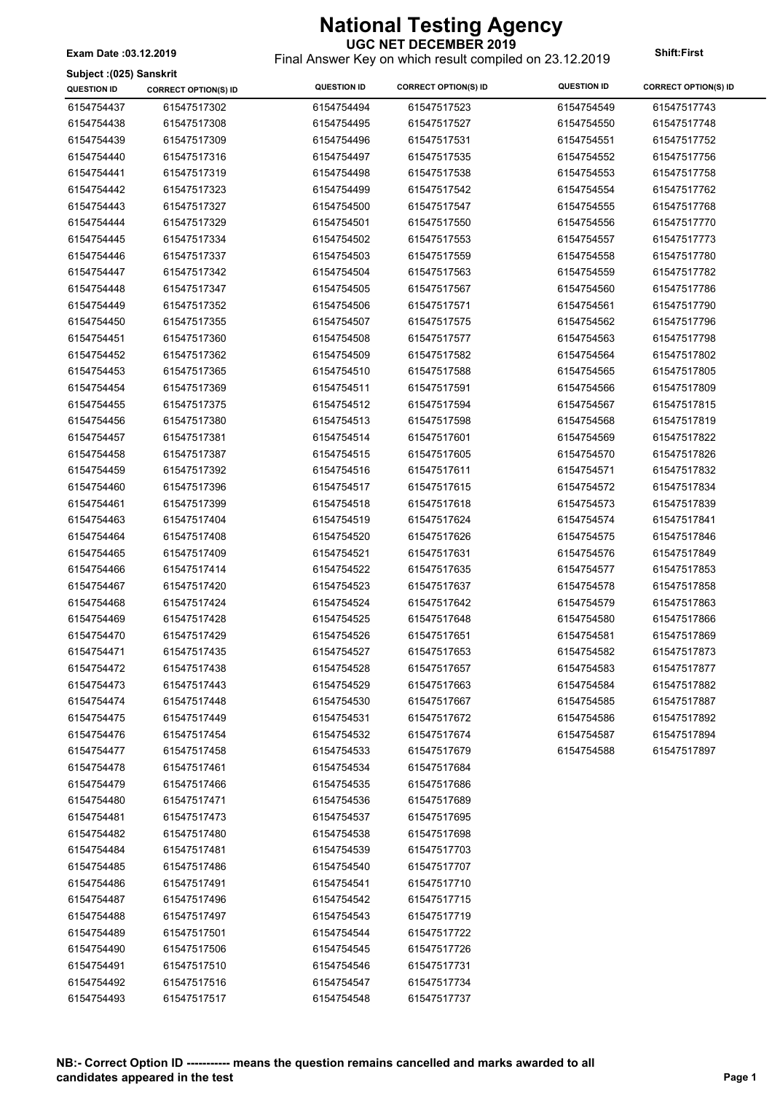**UGC NET DECEMBER 2019** Final Answer Key on which result compiled on 23.12.2019 **Exam Date :03.12.2019 Shift:First**

**Subject :(025) Sanskrit**

| <b>QUESTION ID</b> | <b>CORRECT OPTION(S) ID</b> | <b>QUESTION ID</b> | <b>CORRECT OPTION(S) ID</b> | <b>QUESTION ID</b> | <b>CORRECT OPTION(S) ID</b> |
|--------------------|-----------------------------|--------------------|-----------------------------|--------------------|-----------------------------|
| 6154754437         | 61547517302                 | 6154754494         | 61547517523                 | 6154754549         | 61547517743                 |
| 6154754438         | 61547517308                 | 6154754495         | 61547517527                 | 6154754550         | 61547517748                 |
| 6154754439         | 61547517309                 | 6154754496         | 61547517531                 | 6154754551         | 61547517752                 |
| 6154754440         | 61547517316                 | 6154754497         | 61547517535                 | 6154754552         | 61547517756                 |
| 6154754441         | 61547517319                 | 6154754498         | 61547517538                 | 6154754553         | 61547517758                 |
| 6154754442         | 61547517323                 | 6154754499         | 61547517542                 | 6154754554         | 61547517762                 |
| 6154754443         | 61547517327                 | 6154754500         | 61547517547                 | 6154754555         | 61547517768                 |
| 6154754444         | 61547517329                 | 6154754501         | 61547517550                 | 6154754556         | 61547517770                 |
| 6154754445         | 61547517334                 | 6154754502         | 61547517553                 | 6154754557         | 61547517773                 |
| 6154754446         | 61547517337                 | 6154754503         | 61547517559                 | 6154754558         | 61547517780                 |
| 6154754447         | 61547517342                 | 6154754504         | 61547517563                 | 6154754559         | 61547517782                 |
| 6154754448         | 61547517347                 | 6154754505         | 61547517567                 | 6154754560         | 61547517786                 |
| 6154754449         | 61547517352                 | 6154754506         | 61547517571                 | 6154754561         | 61547517790                 |
| 6154754450         | 61547517355                 | 6154754507         | 61547517575                 | 6154754562         | 61547517796                 |
| 6154754451         | 61547517360                 | 6154754508         | 61547517577                 | 6154754563         | 61547517798                 |
| 6154754452         | 61547517362                 | 6154754509         | 61547517582                 | 6154754564         | 61547517802                 |
| 6154754453         | 61547517365                 | 6154754510         | 61547517588                 | 6154754565         | 61547517805                 |
| 6154754454         | 61547517369                 | 6154754511         | 61547517591                 | 6154754566         | 61547517809                 |
| 6154754455         | 61547517375                 | 6154754512         | 61547517594                 | 6154754567         | 61547517815                 |
| 6154754456         | 61547517380                 | 6154754513         | 61547517598                 | 6154754568         | 61547517819                 |
| 6154754457         | 61547517381                 | 6154754514         | 61547517601                 | 6154754569         | 61547517822                 |
| 6154754458         | 61547517387                 | 6154754515         | 61547517605                 | 6154754570         | 61547517826                 |
| 6154754459         | 61547517392                 | 6154754516         | 61547517611                 | 6154754571         | 61547517832                 |
| 6154754460         | 61547517396                 | 6154754517         | 61547517615                 | 6154754572         | 61547517834                 |
| 6154754461         | 61547517399                 | 6154754518         | 61547517618                 | 6154754573         | 61547517839                 |
| 6154754463         | 61547517404                 | 6154754519         | 61547517624                 | 6154754574         | 61547517841                 |
| 6154754464         | 61547517408                 | 6154754520         | 61547517626                 | 6154754575         | 61547517846                 |
| 6154754465         | 61547517409                 | 6154754521         | 61547517631                 | 6154754576         | 61547517849                 |
| 6154754466         | 61547517414                 | 6154754522         | 61547517635                 | 6154754577         | 61547517853                 |
| 6154754467         | 61547517420                 | 6154754523         | 61547517637                 | 6154754578         | 61547517858                 |
| 6154754468         | 61547517424                 | 6154754524         | 61547517642                 | 6154754579         | 61547517863                 |
| 6154754469         | 61547517428                 | 6154754525         | 61547517648                 | 6154754580         | 61547517866                 |
| 6154754470         | 61547517429                 | 6154754526         | 61547517651                 | 6154754581         | 61547517869                 |
| 6154754471         | 61547517435                 | 6154754527         | 61547517653                 | 6154754582         | 61547517873                 |
| 6154754472         | 61547517438                 | 6154754528         | 61547517657                 | 6154754583         | 61547517877                 |
| 6154754473         | 61547517443                 | 6154754529         | 61547517663                 | 6154754584         | 61547517882                 |
| 6154754474         | 61547517448                 | 6154754530         | 61547517667                 | 6154754585         | 61547517887                 |
| 6154754475         | 61547517449                 | 6154754531         | 61547517672                 | 6154754586         | 61547517892                 |
| 6154754476         | 61547517454                 | 6154754532         | 61547517674                 | 6154754587         | 61547517894                 |
| 6154754477         | 61547517458                 | 6154754533         | 61547517679                 | 6154754588         | 61547517897                 |
| 6154754478         | 61547517461                 | 6154754534         | 61547517684                 |                    |                             |
| 6154754479         | 61547517466                 | 6154754535         | 61547517686                 |                    |                             |
| 6154754480         | 61547517471                 | 6154754536         | 61547517689                 |                    |                             |
| 6154754481         | 61547517473                 | 6154754537         | 61547517695                 |                    |                             |
| 6154754482         | 61547517480                 | 6154754538         | 61547517698                 |                    |                             |
| 6154754484         | 61547517481                 | 6154754539         | 61547517703                 |                    |                             |
| 6154754485         | 61547517486                 | 6154754540         | 61547517707                 |                    |                             |
| 6154754486         | 61547517491                 | 6154754541         | 61547517710                 |                    |                             |
| 6154754487         | 61547517496                 | 6154754542         | 61547517715                 |                    |                             |
| 6154754488         | 61547517497                 | 6154754543         | 61547517719                 |                    |                             |
| 6154754489         | 61547517501                 | 6154754544         | 61547517722                 |                    |                             |
| 6154754490         | 61547517506                 | 6154754545         | 61547517726                 |                    |                             |
| 6154754491         | 61547517510                 | 6154754546         | 61547517731                 |                    |                             |
| 6154754492         | 61547517516                 | 6154754547         | 61547517734                 |                    |                             |
| 6154754493         | 61547517517                 | 6154754548         | 61547517737                 |                    |                             |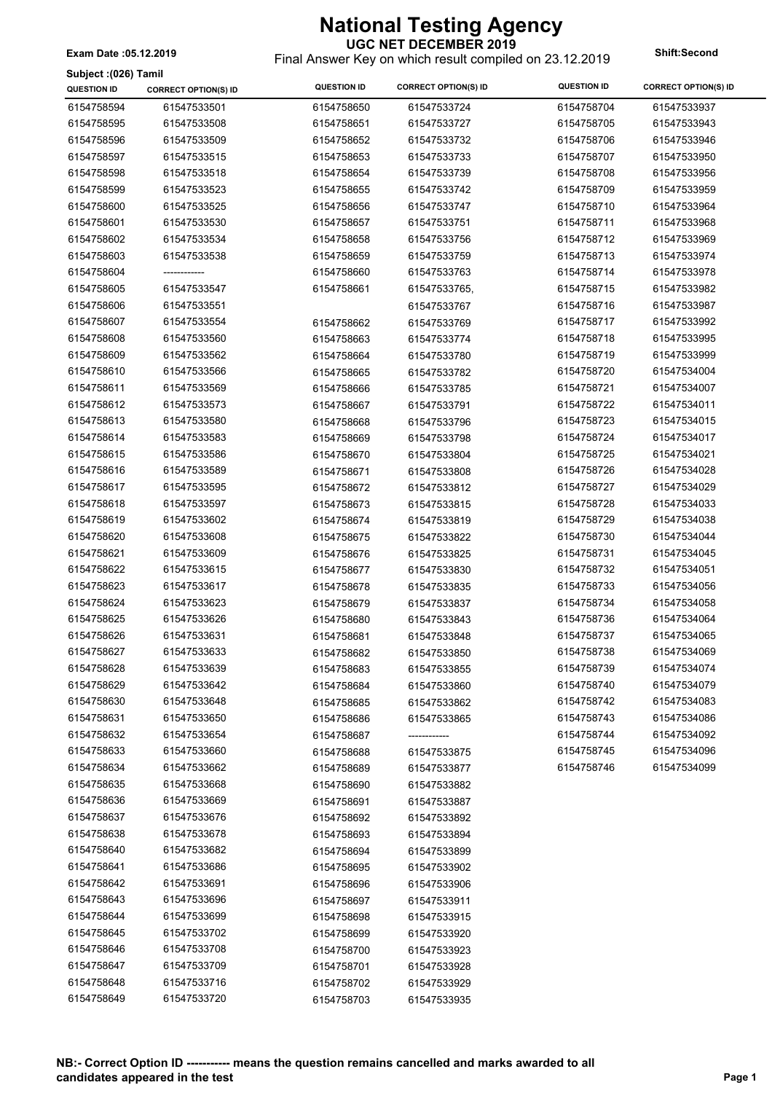#### **UGC NET DECEMBER 2019**

Final Answer Key on which result compiled on 23.12.2019 **Exam Date :05.12.2019 Shift:Second**

| Subject : (026) Tamil |                             |                    |                             |                    |                             |
|-----------------------|-----------------------------|--------------------|-----------------------------|--------------------|-----------------------------|
| <b>QUESTION ID</b>    | <b>CORRECT OPTION(S) ID</b> | <b>QUESTION ID</b> | <b>CORRECT OPTION(S) ID</b> | <b>QUESTION ID</b> | <b>CORRECT OPTION(S) ID</b> |
| 6154758594            | 61547533501                 | 6154758650         | 61547533724                 | 6154758704         | 61547533937                 |
| 6154758595            | 61547533508                 | 6154758651         | 61547533727                 | 6154758705         | 61547533943                 |
| 6154758596            | 61547533509                 | 6154758652         | 61547533732                 | 6154758706         | 61547533946                 |
| 6154758597            | 61547533515                 | 6154758653         | 61547533733                 | 6154758707         | 61547533950                 |
| 6154758598            | 61547533518                 | 6154758654         | 61547533739                 | 6154758708         | 61547533956                 |
| 6154758599            | 61547533523                 | 6154758655         | 61547533742                 | 6154758709         | 61547533959                 |
| 6154758600            | 61547533525                 | 6154758656         | 61547533747                 | 6154758710         | 61547533964                 |
| 6154758601            | 61547533530                 | 6154758657         | 61547533751                 | 6154758711         | 61547533968                 |
| 6154758602            | 61547533534                 | 6154758658         | 61547533756                 | 6154758712         | 61547533969                 |
| 6154758603            | 61547533538                 | 6154758659         | 61547533759                 | 6154758713         | 61547533974                 |
| 6154758604            |                             | 6154758660         | 61547533763                 | 6154758714         | 61547533978                 |
| 6154758605            | 61547533547                 | 6154758661         | 61547533765,                | 6154758715         | 61547533982                 |
| 6154758606            | 61547533551                 |                    | 61547533767                 | 6154758716         | 61547533987                 |
| 6154758607            | 61547533554                 | 6154758662         | 61547533769                 | 6154758717         | 61547533992                 |
| 6154758608            | 61547533560                 | 6154758663         | 61547533774                 | 6154758718         | 61547533995                 |
| 6154758609            | 61547533562                 | 6154758664         | 61547533780                 | 6154758719         | 61547533999                 |
| 6154758610            | 61547533566                 | 6154758665         | 61547533782                 | 6154758720         | 61547534004                 |
| 6154758611            | 61547533569                 | 6154758666         | 61547533785                 | 6154758721         | 61547534007                 |
| 6154758612            | 61547533573                 | 6154758667         | 61547533791                 | 6154758722         | 61547534011                 |
| 6154758613            | 61547533580                 | 6154758668         | 61547533796                 | 6154758723         | 61547534015                 |
| 6154758614            | 61547533583                 |                    |                             | 6154758724         | 61547534017                 |
| 6154758615            | 61547533586                 | 6154758669         | 61547533798                 | 6154758725         | 61547534021                 |
|                       |                             | 6154758670         | 61547533804                 |                    |                             |
| 6154758616            | 61547533589                 | 6154758671         | 61547533808                 | 6154758726         | 61547534028                 |
| 6154758617            | 61547533595                 | 6154758672         | 61547533812                 | 6154758727         | 61547534029                 |
| 6154758618            | 61547533597                 | 6154758673         | 61547533815                 | 6154758728         | 61547534033                 |
| 6154758619            | 61547533602                 | 6154758674         | 61547533819                 | 6154758729         | 61547534038                 |
| 6154758620            | 61547533608                 | 6154758675         | 61547533822                 | 6154758730         | 61547534044                 |
| 6154758621            | 61547533609                 | 6154758676         | 61547533825                 | 6154758731         | 61547534045                 |
| 6154758622            | 61547533615                 | 6154758677         | 61547533830                 | 6154758732         | 61547534051                 |
| 6154758623            | 61547533617                 | 6154758678         | 61547533835                 | 6154758733         | 61547534056                 |
| 6154758624            | 61547533623                 | 6154758679         | 61547533837                 | 6154758734         | 61547534058                 |
| 6154758625            | 61547533626                 | 6154758680         | 61547533843                 | 6154758736         | 61547534064                 |
| 6154758626            | 61547533631                 | 6154758681         | 61547533848                 | 6154758737         | 61547534065                 |
| 6154758627            | 61547533633                 | 6154758682         | 61547533850                 | 6154758738         | 61547534069                 |
| 6154758628            | 61547533639                 | 6154758683         | 61547533855                 | 6154758739         | 61547534074                 |
| 6154758629            | 61547533642                 | 6154758684         | 61547533860                 | 6154758740         | 61547534079                 |
| 6154758630            | 61547533648                 | 6154758685         | 61547533862                 | 6154758742         | 61547534083                 |
| 6154758631            | 61547533650                 | 6154758686         | 61547533865                 | 6154758743         | 61547534086                 |
| 6154758632            | 61547533654                 | 6154758687         |                             | 6154758744         | 61547534092                 |
| 6154758633            | 61547533660                 | 6154758688         | 61547533875                 | 6154758745         | 61547534096                 |
| 6154758634            | 61547533662                 | 6154758689         | 61547533877                 | 6154758746         | 61547534099                 |
| 6154758635            | 61547533668                 | 6154758690         | 61547533882                 |                    |                             |
| 6154758636            | 61547533669                 | 6154758691         | 61547533887                 |                    |                             |
| 6154758637            | 61547533676                 | 6154758692         | 61547533892                 |                    |                             |
| 6154758638            | 61547533678                 | 6154758693         | 61547533894                 |                    |                             |
| 6154758640            | 61547533682                 | 6154758694         | 61547533899                 |                    |                             |
| 6154758641            | 61547533686                 | 6154758695         | 61547533902                 |                    |                             |
| 6154758642            | 61547533691                 | 6154758696         | 61547533906                 |                    |                             |
| 6154758643            | 61547533696                 | 6154758697         | 61547533911                 |                    |                             |
| 6154758644            | 61547533699                 | 6154758698         | 61547533915                 |                    |                             |
| 6154758645            | 61547533702                 | 6154758699         | 61547533920                 |                    |                             |
| 6154758646            | 61547533708                 | 6154758700         | 61547533923                 |                    |                             |
| 6154758647            | 61547533709                 | 6154758701         | 61547533928                 |                    |                             |
| 6154758648            | 61547533716                 | 6154758702         | 61547533929                 |                    |                             |
| 6154758649            | 61547533720                 | 6154758703         | 61547533935                 |                    |                             |
|                       |                             |                    |                             |                    |                             |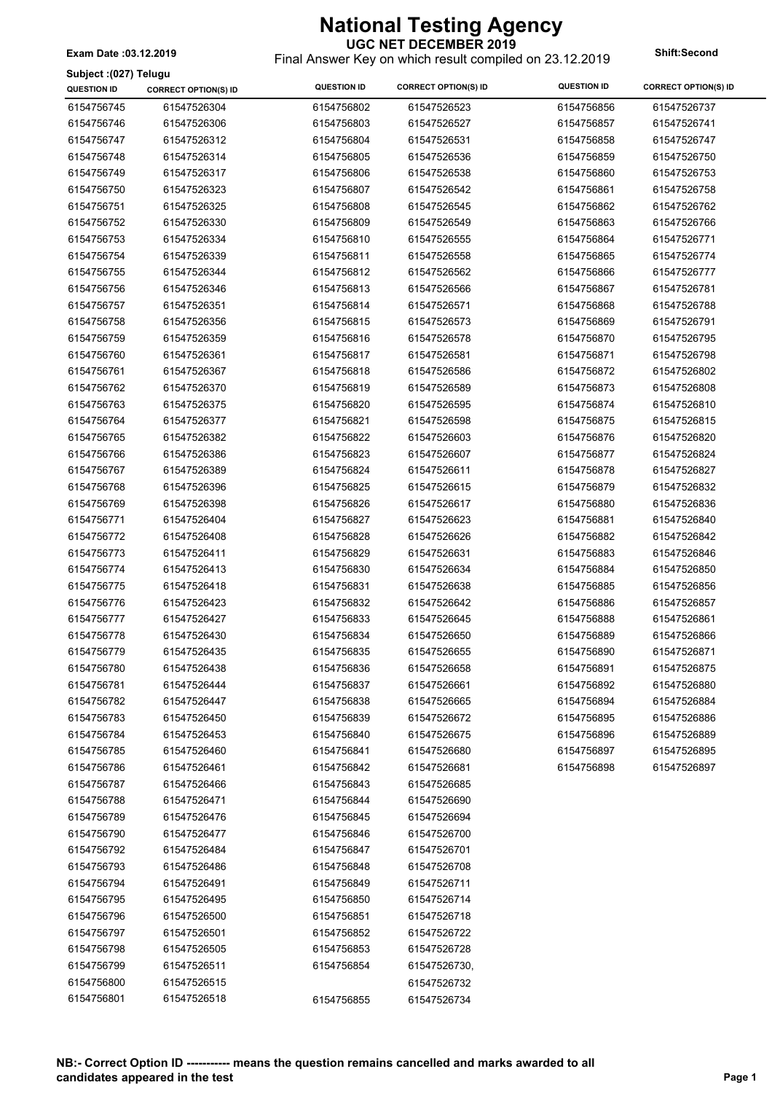Final Answer Key on which result compiled on 23.12.2019 **Exam Date :03.12.2019 Shift:Second**

| Subject: (027) Telugu |                             |                    |                             |                    |                             |
|-----------------------|-----------------------------|--------------------|-----------------------------|--------------------|-----------------------------|
| <b>QUESTION ID</b>    | <b>CORRECT OPTION(S) ID</b> | <b>QUESTION ID</b> | <b>CORRECT OPTION(S) ID</b> | <b>QUESTION ID</b> | <b>CORRECT OPTION(S) ID</b> |
| 6154756745            | 61547526304                 | 6154756802         | 61547526523                 | 6154756856         | 61547526737                 |
| 6154756746            | 61547526306                 | 6154756803         | 61547526527                 | 6154756857         | 61547526741                 |
| 6154756747            | 61547526312                 | 6154756804         | 61547526531                 | 6154756858         | 61547526747                 |
| 6154756748            | 61547526314                 | 6154756805         | 61547526536                 | 6154756859         | 61547526750                 |
| 6154756749            | 61547526317                 | 6154756806         | 61547526538                 | 6154756860         | 61547526753                 |
| 6154756750            | 61547526323                 | 6154756807         | 61547526542                 | 6154756861         | 61547526758                 |
| 6154756751            | 61547526325                 | 6154756808         | 61547526545                 | 6154756862         | 61547526762                 |
| 6154756752            | 61547526330                 | 6154756809         | 61547526549                 | 6154756863         | 61547526766                 |
| 6154756753            | 61547526334                 | 6154756810         | 61547526555                 | 6154756864         | 61547526771                 |
| 6154756754            | 61547526339                 | 6154756811         | 61547526558                 | 6154756865         | 61547526774                 |
| 6154756755            | 61547526344                 | 6154756812         | 61547526562                 | 6154756866         | 61547526777                 |
| 6154756756            | 61547526346                 | 6154756813         | 61547526566                 | 6154756867         | 61547526781                 |
| 6154756757            | 61547526351                 | 6154756814         | 61547526571                 | 6154756868         | 61547526788                 |
| 6154756758            | 61547526356                 | 6154756815         | 61547526573                 | 6154756869         | 61547526791                 |
| 6154756759            | 61547526359                 | 6154756816         | 61547526578                 | 6154756870         | 61547526795                 |
| 6154756760            | 61547526361                 | 6154756817         | 61547526581                 | 6154756871         | 61547526798                 |
| 6154756761            | 61547526367                 | 6154756818         | 61547526586                 | 6154756872         | 61547526802                 |
| 6154756762            | 61547526370                 | 6154756819         | 61547526589                 | 6154756873         | 61547526808                 |
| 6154756763            | 61547526375                 | 6154756820         | 61547526595                 | 6154756874         | 61547526810                 |
| 6154756764            | 61547526377                 | 6154756821         | 61547526598                 | 6154756875         | 61547526815                 |
| 6154756765            | 61547526382                 | 6154756822         | 61547526603                 | 6154756876         | 61547526820                 |
| 6154756766            | 61547526386                 | 6154756823         | 61547526607                 | 6154756877         | 61547526824                 |
| 6154756767            | 61547526389                 | 6154756824         | 61547526611                 | 6154756878         | 61547526827                 |
| 6154756768            | 61547526396                 | 6154756825         | 61547526615                 | 6154756879         | 61547526832                 |
| 6154756769            | 61547526398                 | 6154756826         | 61547526617                 | 6154756880         | 61547526836                 |
| 6154756771            | 61547526404                 | 6154756827         | 61547526623                 | 6154756881         | 61547526840                 |
| 6154756772            | 61547526408                 | 6154756828         | 61547526626                 | 6154756882         | 61547526842                 |
| 6154756773            | 61547526411                 | 6154756829         | 61547526631                 | 6154756883         | 61547526846                 |
| 6154756774            | 61547526413                 | 6154756830         | 61547526634                 | 6154756884         | 61547526850                 |
| 6154756775            | 61547526418                 | 6154756831         | 61547526638                 | 6154756885         | 61547526856                 |
| 6154756776            | 61547526423                 | 6154756832         | 61547526642                 | 6154756886         | 61547526857                 |
| 6154756777            | 61547526427                 | 6154756833         | 61547526645                 | 6154756888         | 61547526861                 |
| 6154756778            | 61547526430                 | 6154756834         | 61547526650                 | 6154756889         | 61547526866                 |
| 6154756779            | 61547526435                 | 6154756835         | 61547526655                 | 6154756890         | 61547526871                 |
| 6154756780            | 61547526438                 | 6154756836         | 61547526658                 | 6154756891         | 61547526875                 |
| 6154756781            | 61547526444                 | 6154756837         | 61547526661                 | 6154756892         | 61547526880                 |
| 6154756782            | 61547526447                 | 6154756838         | 61547526665                 | 6154756894         | 61547526884                 |
| 6154756783            | 61547526450                 | 6154756839         | 61547526672                 | 6154756895         | 61547526886                 |
| 6154756784            | 61547526453                 | 6154756840         | 61547526675                 | 6154756896         | 61547526889                 |
| 6154756785            | 61547526460                 | 6154756841         | 61547526680                 | 6154756897         | 61547526895                 |
| 6154756786            | 61547526461                 | 6154756842         | 61547526681                 | 6154756898         | 61547526897                 |
| 6154756787            | 61547526466                 | 6154756843         | 61547526685                 |                    |                             |
| 6154756788            | 61547526471                 | 6154756844         | 61547526690                 |                    |                             |
| 6154756789            | 61547526476                 | 6154756845         | 61547526694                 |                    |                             |
| 6154756790            | 61547526477                 | 6154756846         | 61547526700                 |                    |                             |
| 6154756792            | 61547526484                 | 6154756847         | 61547526701                 |                    |                             |
| 6154756793            | 61547526486                 | 6154756848         | 61547526708                 |                    |                             |
| 6154756794            | 61547526491                 | 6154756849         | 61547526711                 |                    |                             |
| 6154756795            | 61547526495                 | 6154756850         | 61547526714                 |                    |                             |
| 6154756796            | 61547526500                 | 6154756851         | 61547526718                 |                    |                             |
| 6154756797            | 61547526501                 | 6154756852         | 61547526722                 |                    |                             |
| 6154756798            | 61547526505                 | 6154756853         | 61547526728                 |                    |                             |
| 6154756799            | 61547526511                 | 6154756854         | 61547526730,                |                    |                             |
| 6154756800            | 61547526515                 |                    | 61547526732                 |                    |                             |
| 6154756801            | 61547526518                 | 6154756855         | 61547526734                 |                    |                             |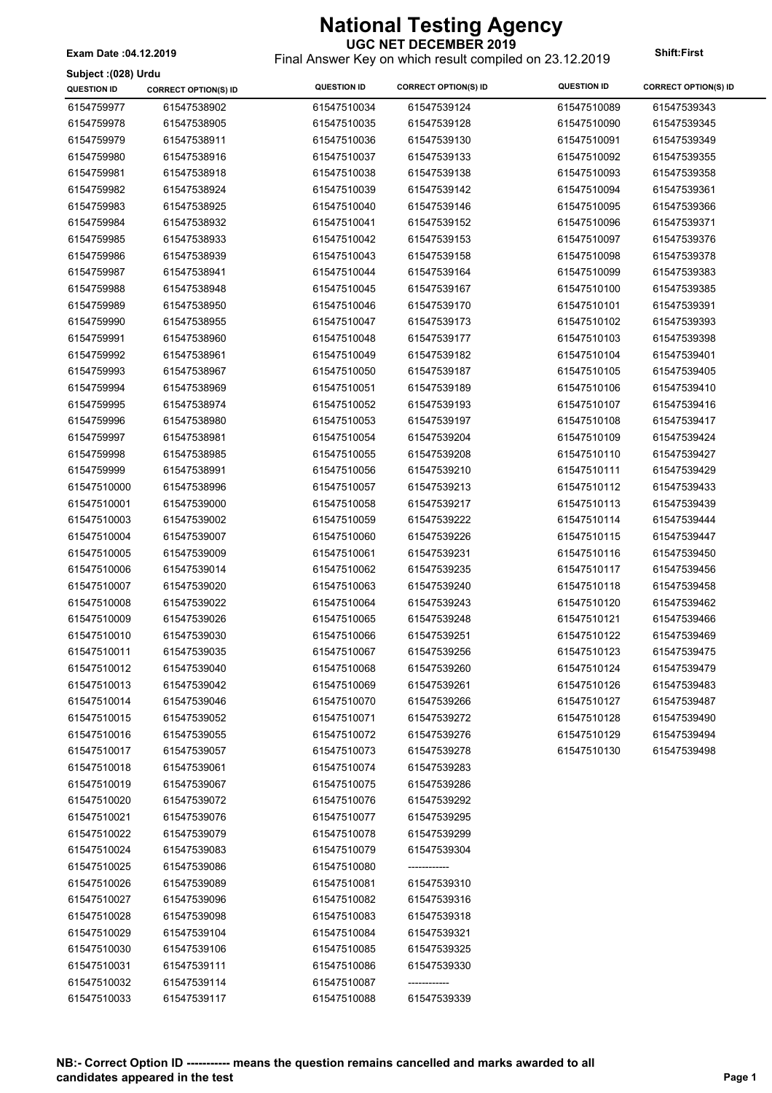**Subject :(028) Urdu**

#### **UGC NET DECEMBER 2019**

Final Answer Key on which result compiled on 23.12.2019 **Exam Date :04.12.2019 Shift:First**

| Subject :(028) Urau |                             |                    |                             |                    |                             |
|---------------------|-----------------------------|--------------------|-----------------------------|--------------------|-----------------------------|
| <b>QUESTION ID</b>  | <b>CORRECT OPTION(S) ID</b> | <b>QUESTION ID</b> | <b>CORRECT OPTION(S) ID</b> | <b>QUESTION ID</b> | <b>CORRECT OPTION(S) ID</b> |
| 6154759977          | 61547538902                 | 61547510034        | 61547539124                 | 61547510089        | 61547539343                 |
| 6154759978          | 61547538905                 | 61547510035        | 61547539128                 | 61547510090        | 61547539345                 |
| 6154759979          | 61547538911                 | 61547510036        | 61547539130                 | 61547510091        | 61547539349                 |
| 6154759980          | 61547538916                 | 61547510037        | 61547539133                 | 61547510092        | 61547539355                 |
| 6154759981          | 61547538918                 | 61547510038        | 61547539138                 | 61547510093        | 61547539358                 |
| 6154759982          | 61547538924                 | 61547510039        | 61547539142                 | 61547510094        | 61547539361                 |
| 6154759983          | 61547538925                 | 61547510040        | 61547539146                 | 61547510095        | 61547539366                 |
| 6154759984          | 61547538932                 | 61547510041        | 61547539152                 | 61547510096        | 61547539371                 |
| 6154759985          | 61547538933                 | 61547510042        | 61547539153                 | 61547510097        | 61547539376                 |
| 6154759986          | 61547538939                 | 61547510043        | 61547539158                 | 61547510098        | 61547539378                 |
| 6154759987          | 61547538941                 | 61547510044        | 61547539164                 | 61547510099        | 61547539383                 |
| 6154759988          | 61547538948                 | 61547510045        | 61547539167                 | 61547510100        | 61547539385                 |
| 6154759989          | 61547538950                 | 61547510046        | 61547539170                 | 61547510101        | 61547539391                 |
| 6154759990          | 61547538955                 | 61547510047        | 61547539173                 | 61547510102        | 61547539393                 |
| 6154759991          | 61547538960                 | 61547510048        | 61547539177                 | 61547510103        | 61547539398                 |
| 6154759992          | 61547538961                 | 61547510049        | 61547539182                 | 61547510104        | 61547539401                 |
| 6154759993          | 61547538967                 | 61547510050        | 61547539187                 | 61547510105        | 61547539405                 |
| 6154759994          | 61547538969                 | 61547510051        | 61547539189                 | 61547510106        | 61547539410                 |
| 6154759995          | 61547538974                 | 61547510052        | 61547539193                 | 61547510107        | 61547539416                 |
| 6154759996          | 61547538980                 | 61547510053        | 61547539197                 | 61547510108        | 61547539417                 |
| 6154759997          | 61547538981                 | 61547510054        | 61547539204                 | 61547510109        | 61547539424                 |
| 6154759998          | 61547538985                 | 61547510055        | 61547539208                 | 61547510110        | 61547539427                 |
| 6154759999          | 61547538991                 | 61547510056        | 61547539210                 | 61547510111        | 61547539429                 |
| 61547510000         | 61547538996                 | 61547510057        | 61547539213                 | 61547510112        | 61547539433                 |
| 61547510001         | 61547539000                 | 61547510058        | 61547539217                 | 61547510113        | 61547539439                 |
| 61547510003         | 61547539002                 | 61547510059        | 61547539222                 | 61547510114        | 61547539444                 |
| 61547510004         | 61547539007                 | 61547510060        | 61547539226                 | 61547510115        | 61547539447                 |
| 61547510005         | 61547539009                 | 61547510061        | 61547539231                 | 61547510116        | 61547539450                 |
| 61547510006         | 61547539014                 | 61547510062        | 61547539235                 | 61547510117        | 61547539456                 |
| 61547510007         | 61547539020                 | 61547510063        | 61547539240                 | 61547510118        | 61547539458                 |
| 61547510008         | 61547539022                 | 61547510064        | 61547539243                 | 61547510120        | 61547539462                 |
| 61547510009         | 61547539026                 | 61547510065        | 61547539248                 | 61547510121        | 61547539466                 |
| 61547510010         | 61547539030                 | 61547510066        | 61547539251                 | 61547510122        | 61547539469                 |
| 61547510011         | 61547539035                 | 61547510067        | 61547539256                 | 61547510123        | 61547539475                 |
| 61547510012         | 61547539040                 | 61547510068        | 61547539260                 | 61547510124        | 61547539479                 |
| 61547510013         | 61547539042                 | 61547510069        | 61547539261                 | 61547510126        | 61547539483                 |
| 61547510014         | 61547539046                 | 61547510070        | 61547539266                 | 61547510127        | 61547539487                 |
| 61547510015         | 61547539052                 | 61547510071        | 61547539272                 | 61547510128        | 61547539490                 |
| 61547510016         | 61547539055                 | 61547510072        | 61547539276                 | 61547510129        | 61547539494                 |
| 61547510017         | 61547539057                 | 61547510073        | 61547539278                 | 61547510130        | 61547539498                 |
| 61547510018         | 61547539061                 | 61547510074        | 61547539283                 |                    |                             |
| 61547510019         | 61547539067                 | 61547510075        | 61547539286                 |                    |                             |
| 61547510020         | 61547539072                 | 61547510076        | 61547539292                 |                    |                             |
| 61547510021         | 61547539076                 | 61547510077        | 61547539295                 |                    |                             |
| 61547510022         | 61547539079                 | 61547510078        | 61547539299                 |                    |                             |
| 61547510024         | 61547539083                 | 61547510079        | 61547539304                 |                    |                             |
| 61547510025         | 61547539086                 | 61547510080        | -------------               |                    |                             |
| 61547510026         | 61547539089                 | 61547510081        | 61547539310                 |                    |                             |
| 61547510027         | 61547539096                 | 61547510082        | 61547539316                 |                    |                             |
| 61547510028         | 61547539098                 | 61547510083        | 61547539318                 |                    |                             |
| 61547510029         | 61547539104                 | 61547510084        | 61547539321                 |                    |                             |
| 61547510030         | 61547539106                 | 61547510085        | 61547539325                 |                    |                             |
| 61547510031         | 61547539111                 | 61547510086        | 61547539330                 |                    |                             |
| 61547510032         | 61547539114                 | 61547510087        | -----------                 |                    |                             |
| 61547510033         | 61547539117                 | 61547510088        | 61547539339                 |                    |                             |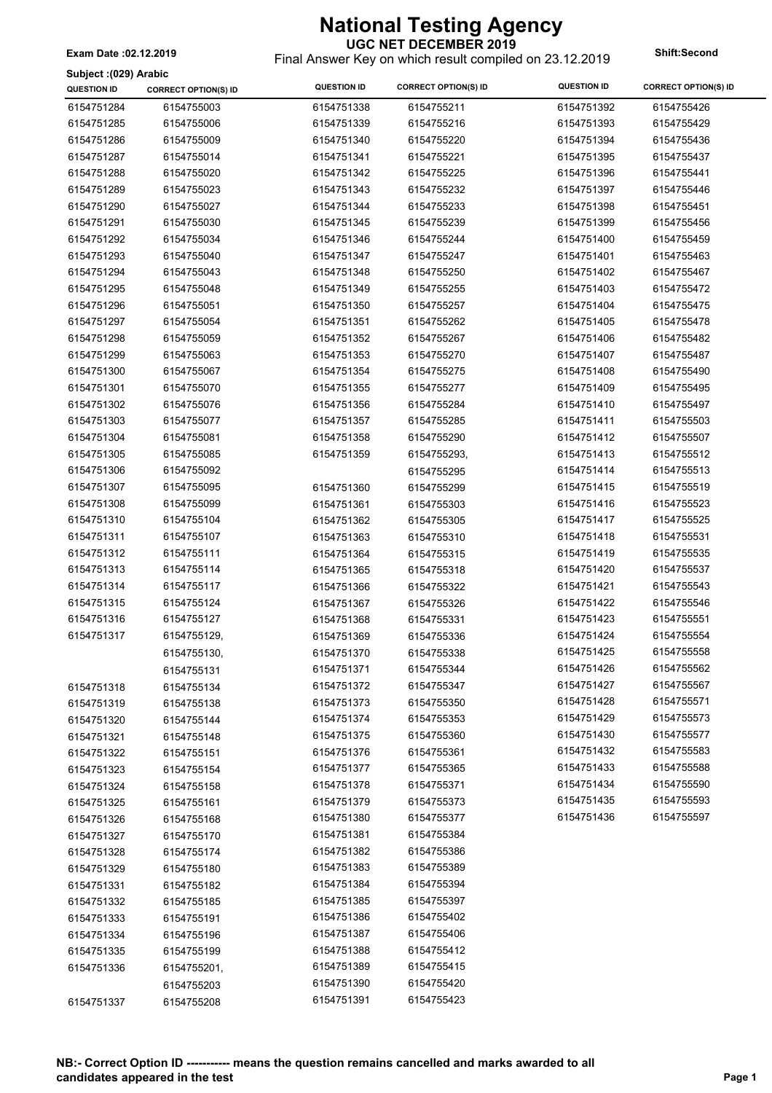**UGC NET DECEMBER 2019** Final Answer Key on which result compiled on 23.12.2019 **Exam Date :02.12.2019 Shift:Second**

**Subject :(029) Arabic**

| Junject (UZJ) Arabic<br><b>QUESTION ID</b> | <b>CORRECT OPTION(S) ID</b> | <b>QUESTION ID</b> | <b>CORRECT OPTION(S) ID</b> | <b>QUESTION ID</b> | <b>CORRECT OPTION(S) ID</b> |
|--------------------------------------------|-----------------------------|--------------------|-----------------------------|--------------------|-----------------------------|
| 6154751284                                 | 6154755003                  | 6154751338         | 6154755211                  | 6154751392         | 6154755426                  |
| 6154751285                                 | 6154755006                  | 6154751339         | 6154755216                  | 6154751393         | 6154755429                  |
| 6154751286                                 | 6154755009                  | 6154751340         | 6154755220                  | 6154751394         | 6154755436                  |
| 6154751287                                 | 6154755014                  | 6154751341         | 6154755221                  | 6154751395         | 6154755437                  |
| 6154751288                                 | 6154755020                  | 6154751342         | 6154755225                  | 6154751396         | 6154755441                  |
| 6154751289                                 | 6154755023                  | 6154751343         | 6154755232                  | 6154751397         | 6154755446                  |
| 6154751290                                 | 6154755027                  | 6154751344         | 6154755233                  | 6154751398         | 6154755451                  |
| 6154751291                                 | 6154755030                  | 6154751345         | 6154755239                  | 6154751399         | 6154755456                  |
| 6154751292                                 | 6154755034                  | 6154751346         | 6154755244                  | 6154751400         | 6154755459                  |
| 6154751293                                 | 6154755040                  | 6154751347         | 6154755247                  | 6154751401         | 6154755463                  |
| 6154751294                                 | 6154755043                  | 6154751348         | 6154755250                  | 6154751402         | 6154755467                  |
|                                            |                             |                    |                             |                    | 6154755472                  |
| 6154751295                                 | 6154755048                  | 6154751349         | 6154755255                  | 6154751403         |                             |
| 6154751296                                 | 6154755051                  | 6154751350         | 6154755257                  | 6154751404         | 6154755475                  |
| 6154751297                                 | 6154755054                  | 6154751351         | 6154755262                  | 6154751405         | 6154755478                  |
| 6154751298                                 | 6154755059                  | 6154751352         | 6154755267                  | 6154751406         | 6154755482                  |
| 6154751299                                 | 6154755063                  | 6154751353         | 6154755270                  | 6154751407         | 6154755487                  |
| 6154751300                                 | 6154755067                  | 6154751354         | 6154755275                  | 6154751408         | 6154755490                  |
| 6154751301                                 | 6154755070                  | 6154751355         | 6154755277                  | 6154751409         | 6154755495                  |
| 6154751302                                 | 6154755076                  | 6154751356         | 6154755284                  | 6154751410         | 6154755497                  |
| 6154751303                                 | 6154755077                  | 6154751357         | 6154755285                  | 6154751411         | 6154755503                  |
| 6154751304                                 | 6154755081                  | 6154751358         | 6154755290                  | 6154751412         | 6154755507                  |
| 6154751305                                 | 6154755085                  | 6154751359         | 6154755293,                 | 6154751413         | 6154755512                  |
| 6154751306                                 | 6154755092                  |                    | 6154755295                  | 6154751414         | 6154755513                  |
| 6154751307                                 | 6154755095                  | 6154751360         | 6154755299                  | 6154751415         | 6154755519                  |
| 6154751308                                 | 6154755099                  | 6154751361         | 6154755303                  | 6154751416         | 6154755523                  |
| 6154751310                                 | 6154755104                  | 6154751362         | 6154755305                  | 6154751417         | 6154755525                  |
| 6154751311                                 | 6154755107                  | 6154751363         | 6154755310                  | 6154751418         | 6154755531                  |
| 6154751312                                 | 6154755111                  | 6154751364         | 6154755315                  | 6154751419         | 6154755535                  |
| 6154751313                                 | 6154755114                  | 6154751365         | 6154755318                  | 6154751420         | 6154755537                  |
| 6154751314                                 | 6154755117                  | 6154751366         | 6154755322                  | 6154751421         | 6154755543                  |
| 6154751315                                 | 6154755124                  | 6154751367         | 6154755326                  | 6154751422         | 6154755546                  |
| 6154751316                                 | 6154755127                  | 6154751368         | 6154755331                  | 6154751423         | 6154755551                  |
| 6154751317                                 | 6154755129,                 | 6154751369         | 6154755336                  | 6154751424         | 6154755554                  |
|                                            | 6154755130,                 | 6154751370         | 6154755338                  | 6154751425         | 6154755558                  |
|                                            | 6154755131                  | 6154751371         | 6154755344                  | 6154751426         | 6154755562                  |
| 6154751318                                 | 6154755134                  | 6154751372         | 6154755347                  | 6154751427         | 6154755567                  |
| 6154751319                                 | 6154755138                  | 6154751373         | 6154755350                  | 6154751428         | 6154755571                  |
| 6154751320                                 | 6154755144                  | 6154751374         | 6154755353                  | 6154751429         | 6154755573                  |
| 6154751321                                 | 6154755148                  | 6154751375         | 6154755360                  | 6154751430         | 6154755577                  |
| 6154751322                                 | 6154755151                  | 6154751376         | 6154755361                  | 6154751432         | 6154755583                  |
| 6154751323                                 | 6154755154                  | 6154751377         | 6154755365                  | 6154751433         | 6154755588                  |
| 6154751324                                 | 6154755158                  | 6154751378         | 6154755371                  | 6154751434         | 6154755590                  |
| 6154751325                                 | 6154755161                  | 6154751379         | 6154755373                  | 6154751435         | 6154755593                  |
| 6154751326                                 | 6154755168                  | 6154751380         | 6154755377                  | 6154751436         | 6154755597                  |
| 6154751327                                 | 6154755170                  | 6154751381         | 6154755384                  |                    |                             |
| 6154751328                                 | 6154755174                  | 6154751382         | 6154755386                  |                    |                             |
| 6154751329                                 | 6154755180                  | 6154751383         | 6154755389                  |                    |                             |
| 6154751331                                 | 6154755182                  | 6154751384         | 6154755394                  |                    |                             |
| 6154751332                                 | 6154755185                  | 6154751385         | 6154755397                  |                    |                             |
| 6154751333                                 | 6154755191                  | 6154751386         | 6154755402                  |                    |                             |
| 6154751334                                 | 6154755196                  | 6154751387         | 6154755406                  |                    |                             |
| 6154751335                                 | 6154755199                  | 6154751388         | 6154755412                  |                    |                             |
| 6154751336                                 | 6154755201,                 | 6154751389         | 6154755415                  |                    |                             |
|                                            |                             | 6154751390         | 6154755420                  |                    |                             |
| 6154751337                                 | 6154755203<br>6154755208    | 6154751391         | 6154755423                  |                    |                             |
|                                            |                             |                    |                             |                    |                             |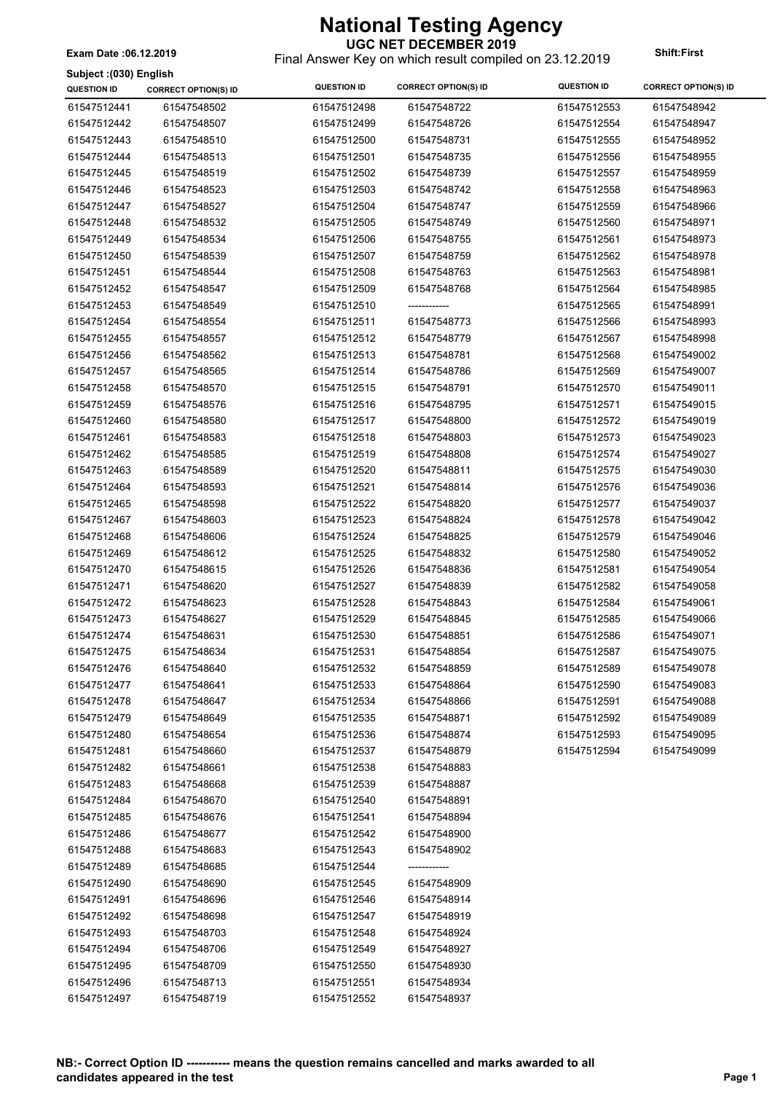**UGC NET DECEMBER 2019** Final Answer Key on which result compiled on 23.12.2019 **Exam Date :06.12.2019 Shift:First**

**Subject :(030) English**

| ounjour (1999) Lugnan<br><b>QUESTION ID</b> | <b>CORRECT OPTION(S) ID</b> | <b>QUESTION ID</b> | <b>CORRECT OPTION(S) ID</b> | <b>QUESTION ID</b> | <b>CORRECT OPTION(S) ID</b> |
|---------------------------------------------|-----------------------------|--------------------|-----------------------------|--------------------|-----------------------------|
| 61547512441                                 | 61547548502                 | 61547512498        | 61547548722                 | 61547512553        | 61547548942                 |
| 61547512442                                 | 61547548507                 | 61547512499        | 61547548726                 | 61547512554        | 61547548947                 |
| 61547512443                                 | 61547548510                 | 61547512500        | 61547548731                 | 61547512555        | 61547548952                 |
| 61547512444                                 | 61547548513                 | 61547512501        | 61547548735                 | 61547512556        | 61547548955                 |
| 61547512445                                 | 61547548519                 | 61547512502        | 61547548739                 | 61547512557        | 61547548959                 |
| 61547512446                                 | 61547548523                 | 61547512503        | 61547548742                 | 61547512558        | 61547548963                 |
| 61547512447                                 | 61547548527                 | 61547512504        | 61547548747                 | 61547512559        | 61547548966                 |
| 61547512448                                 | 61547548532                 | 61547512505        | 61547548749                 | 61547512560        | 61547548971                 |
| 61547512449                                 | 61547548534                 | 61547512506        | 61547548755                 | 61547512561        | 61547548973                 |
| 61547512450                                 | 61547548539                 | 61547512507        | 61547548759                 | 61547512562        | 61547548978                 |
| 61547512451                                 | 61547548544                 | 61547512508        | 61547548763                 | 61547512563        | 61547548981                 |
| 61547512452                                 | 61547548547                 | 61547512509        | 61547548768                 | 61547512564        | 61547548985                 |
| 61547512453                                 | 61547548549                 | 61547512510        | -------------               | 61547512565        | 61547548991                 |
| 61547512454                                 | 61547548554                 | 61547512511        | 61547548773                 | 61547512566        | 61547548993                 |
| 61547512455                                 | 61547548557                 | 61547512512        | 61547548779                 | 61547512567        | 61547548998                 |
| 61547512456                                 | 61547548562                 | 61547512513        | 61547548781                 | 61547512568        | 61547549002                 |
| 61547512457                                 | 61547548565                 | 61547512514        | 61547548786                 | 61547512569        | 61547549007                 |
| 61547512458                                 | 61547548570                 | 61547512515        | 61547548791                 | 61547512570        | 61547549011                 |
| 61547512459                                 | 61547548576                 | 61547512516        | 61547548795                 | 61547512571        | 61547549015                 |
| 61547512460                                 | 61547548580                 | 61547512517        | 61547548800                 | 61547512572        | 61547549019                 |
| 61547512461                                 | 61547548583                 | 61547512518        | 61547548803                 | 61547512573        | 61547549023                 |
| 61547512462                                 | 61547548585                 | 61547512519        | 61547548808                 | 61547512574        | 61547549027                 |
| 61547512463                                 | 61547548589                 | 61547512520        | 61547548811                 | 61547512575        | 61547549030                 |
| 61547512464                                 | 61547548593                 | 61547512521        | 61547548814                 | 61547512576        | 61547549036                 |
| 61547512465                                 | 61547548598                 | 61547512522        | 61547548820                 | 61547512577        | 61547549037                 |
| 61547512467                                 | 61547548603                 | 61547512523        | 61547548824                 | 61547512578        | 61547549042                 |
| 61547512468                                 | 61547548606                 | 61547512524        | 61547548825                 | 61547512579        | 61547549046                 |
| 61547512469                                 | 61547548612                 | 61547512525        | 61547548832                 | 61547512580        | 61547549052                 |
| 61547512470                                 | 61547548615                 | 61547512526        | 61547548836                 | 61547512581        | 61547549054                 |
| 61547512471                                 | 61547548620                 | 61547512527        | 61547548839                 | 61547512582        | 61547549058                 |
| 61547512472                                 | 61547548623                 | 61547512528        | 61547548843                 | 61547512584        | 61547549061                 |
| 61547512473                                 | 61547548627                 | 61547512529        | 61547548845                 | 61547512585        | 61547549066                 |
| 61547512474                                 | 61547548631                 | 61547512530        | 61547548851                 | 61547512586        | 61547549071                 |
| 61547512475                                 | 61547548634                 | 61547512531        | 61547548854                 | 61547512587        | 61547549075                 |
| 61547512476                                 | 61547548640                 | 61547512532        | 61547548859                 | 61547512589        | 61547549078                 |
| 61547512477                                 | 61547548641                 | 61547512533        | 61547548864                 | 61547512590        | 61547549083                 |
| 61547512478                                 | 61547548647                 | 61547512534        | 61547548866                 | 61547512591        | 61547549088                 |
| 61547512479                                 | 61547548649                 | 61547512535        | 61547548871                 | 61547512592        | 61547549089                 |
| 61547512480                                 | 61547548654                 | 61547512536        | 61547548874                 | 61547512593        | 61547549095                 |
| 61547512481                                 | 61547548660                 | 61547512537        | 61547548879                 | 61547512594        | 61547549099                 |
| 61547512482                                 | 61547548661                 | 61547512538        | 61547548883                 |                    |                             |
| 61547512483                                 | 61547548668                 | 61547512539        | 61547548887                 |                    |                             |
| 61547512484                                 | 61547548670                 | 61547512540        | 61547548891                 |                    |                             |
| 61547512485                                 | 61547548676                 | 61547512541        | 61547548894                 |                    |                             |
| 61547512486                                 | 61547548677                 | 61547512542        | 61547548900                 |                    |                             |
| 61547512488                                 | 61547548683                 | 61547512543        | 61547548902                 |                    |                             |
| 61547512489                                 | 61547548685                 | 61547512544        | ------------                |                    |                             |
| 61547512490                                 | 61547548690                 | 61547512545        | 61547548909                 |                    |                             |
| 61547512491                                 | 61547548696                 | 61547512546        | 61547548914                 |                    |                             |
| 61547512492                                 | 61547548698                 | 61547512547        | 61547548919                 |                    |                             |
| 61547512493                                 | 61547548703                 | 61547512548        | 61547548924                 |                    |                             |
| 61547512494                                 | 61547548706                 | 61547512549        | 61547548927                 |                    |                             |
| 61547512495                                 | 61547548709                 | 61547512550        | 61547548930                 |                    |                             |
| 61547512496                                 | 61547548713                 | 61547512551        | 61547548934                 |                    |                             |
| 61547512497                                 | 61547548719                 | 61547512552        | 61547548937                 |                    |                             |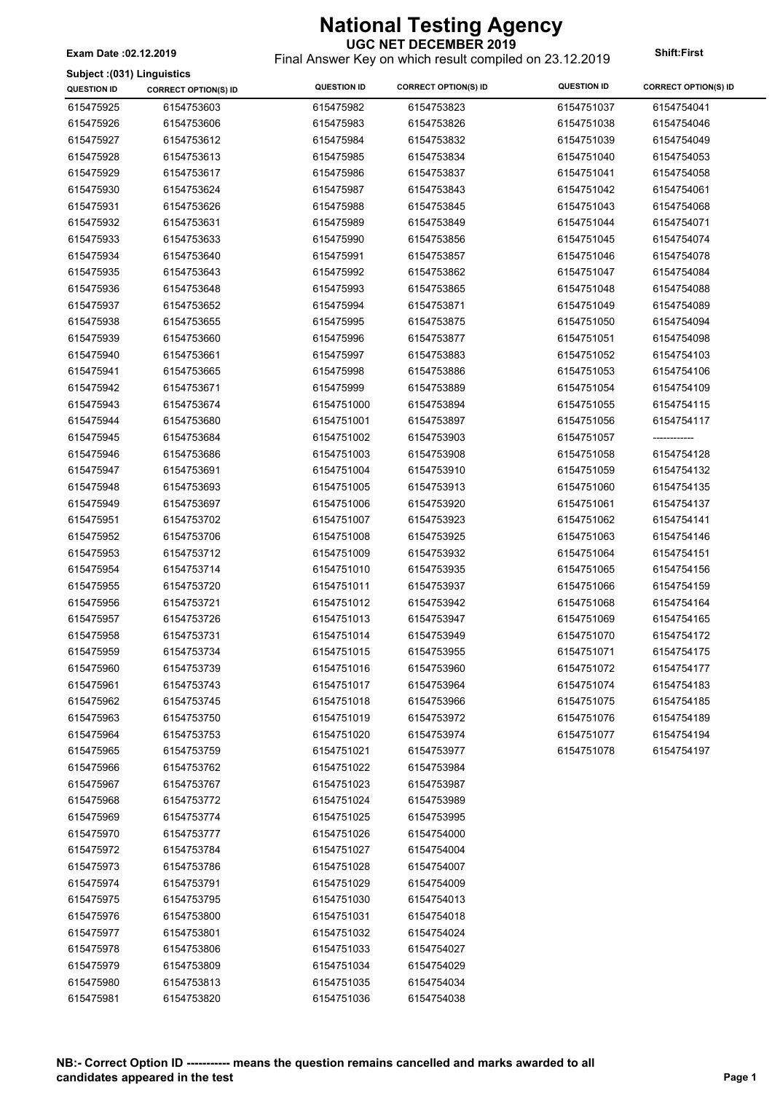Final Answer Key on which result compiled on 23.12.2019 **Exam Date :02.12.2019 Shift:First**

#### **Subject :(031) Linguistics**

| Subject: (U31) Linguistics<br><b>QUESTION ID</b> | <b>CORRECT OPTION(S) ID</b> | <b>QUESTION ID</b> | <b>CORRECT OPTION(S) ID</b> | <b>QUESTION ID</b> | <b>CORRECT OPTION(S) ID</b> |
|--------------------------------------------------|-----------------------------|--------------------|-----------------------------|--------------------|-----------------------------|
| 615475925                                        | 6154753603                  | 615475982          | 6154753823                  | 6154751037         | 6154754041                  |
| 615475926                                        | 6154753606                  | 615475983          | 6154753826                  | 6154751038         | 6154754046                  |
| 615475927                                        | 6154753612                  | 615475984          | 6154753832                  | 6154751039         | 6154754049                  |
| 615475928                                        | 6154753613                  | 615475985          | 6154753834                  | 6154751040         | 6154754053                  |
| 615475929                                        | 6154753617                  | 615475986          | 6154753837                  | 6154751041         | 6154754058                  |
| 615475930                                        | 6154753624                  | 615475987          | 6154753843                  | 6154751042         | 6154754061                  |
| 615475931                                        | 6154753626                  | 615475988          | 6154753845                  | 6154751043         | 6154754068                  |
| 615475932                                        |                             | 615475989          |                             |                    |                             |
|                                                  | 6154753631                  |                    | 6154753849                  | 6154751044         | 6154754071                  |
| 615475933                                        | 6154753633                  | 615475990          | 6154753856                  | 6154751045         | 6154754074                  |
| 615475934                                        | 6154753640                  | 615475991          | 6154753857                  | 6154751046         | 6154754078                  |
| 615475935                                        | 6154753643                  | 615475992          | 6154753862                  | 6154751047         | 6154754084                  |
| 615475936                                        | 6154753648                  | 615475993          | 6154753865                  | 6154751048         | 6154754088                  |
| 615475937                                        | 6154753652                  | 615475994          | 6154753871                  | 6154751049         | 6154754089                  |
| 615475938                                        | 6154753655                  | 615475995          | 6154753875                  | 6154751050         | 6154754094                  |
| 615475939                                        | 6154753660                  | 615475996          | 6154753877                  | 6154751051         | 6154754098                  |
| 615475940                                        | 6154753661                  | 615475997          | 6154753883                  | 6154751052         | 6154754103                  |
| 615475941                                        | 6154753665                  | 615475998          | 6154753886                  | 6154751053         | 6154754106                  |
| 615475942                                        | 6154753671                  | 615475999          | 6154753889                  | 6154751054         | 6154754109                  |
| 615475943                                        | 6154753674                  | 6154751000         | 6154753894                  | 6154751055         | 6154754115                  |
| 615475944                                        | 6154753680                  | 6154751001         | 6154753897                  | 6154751056         | 6154754117                  |
| 615475945                                        | 6154753684                  | 6154751002         | 6154753903                  | 6154751057         |                             |
| 615475946                                        | 6154753686                  | 6154751003         | 6154753908                  | 6154751058         | 6154754128                  |
| 615475947                                        | 6154753691                  | 6154751004         | 6154753910                  | 6154751059         | 6154754132                  |
| 615475948                                        | 6154753693                  | 6154751005         | 6154753913                  | 6154751060         | 6154754135                  |
| 615475949                                        | 6154753697                  | 6154751006         | 6154753920                  | 6154751061         | 6154754137                  |
| 615475951                                        | 6154753702                  | 6154751007         | 6154753923                  | 6154751062         | 6154754141                  |
| 615475952                                        | 6154753706                  | 6154751008         | 6154753925                  | 6154751063         | 6154754146                  |
| 615475953                                        | 6154753712                  | 6154751009         | 6154753932                  | 6154751064         | 6154754151                  |
| 615475954                                        | 6154753714                  | 6154751010         | 6154753935                  | 6154751065         | 6154754156                  |
| 615475955                                        | 6154753720                  | 6154751011         | 6154753937                  | 6154751066         | 6154754159                  |
| 615475956                                        | 6154753721                  | 6154751012         | 6154753942                  | 6154751068         | 6154754164                  |
| 615475957                                        | 6154753726                  | 6154751013         | 6154753947                  | 6154751069         | 6154754165                  |
| 615475958                                        | 6154753731                  | 6154751014         | 6154753949                  | 6154751070         | 6154754172                  |
| 615475959                                        | 6154753734                  | 6154751015         | 6154753955                  | 6154751071         | 6154754175                  |
| 615475960                                        | 6154753739                  | 6154751016         | 6154753960                  | 6154751072         | 6154754177                  |
| 615475961                                        | 6154753743                  | 6154751017         | 6154753964                  | 6154751074         | 6154754183                  |
| 615475962                                        | 6154753745                  | 6154751018         | 6154753966                  | 6154751075         | 6154754185                  |
| 615475963                                        | 6154753750                  | 6154751019         | 6154753972                  | 6154751076         | 6154754189                  |
| 615475964                                        | 6154753753                  | 6154751020         | 6154753974                  | 6154751077         | 6154754194                  |
| 615475965                                        | 6154753759                  | 6154751021         | 6154753977                  | 6154751078         | 6154754197                  |
| 615475966                                        | 6154753762                  | 6154751022         | 6154753984                  |                    |                             |
| 615475967                                        | 6154753767                  | 6154751023         | 6154753987                  |                    |                             |
| 615475968                                        | 6154753772                  | 6154751024         | 6154753989                  |                    |                             |
| 615475969                                        | 6154753774                  | 6154751025         | 6154753995                  |                    |                             |
| 615475970                                        | 6154753777                  | 6154751026         | 6154754000                  |                    |                             |
| 615475972                                        | 6154753784                  | 6154751027         | 6154754004                  |                    |                             |
| 615475973                                        | 6154753786                  | 6154751028         | 6154754007                  |                    |                             |
| 615475974                                        | 6154753791                  | 6154751029         | 6154754009                  |                    |                             |
| 615475975                                        | 6154753795                  | 6154751030         | 6154754013                  |                    |                             |
| 615475976                                        | 6154753800                  | 6154751031         | 6154754018                  |                    |                             |
| 615475977                                        | 6154753801                  | 6154751032         | 6154754024                  |                    |                             |
| 615475978                                        | 6154753806                  | 6154751033         | 6154754027                  |                    |                             |
| 615475979                                        | 6154753809                  | 6154751034         | 6154754029                  |                    |                             |
| 615475980                                        | 6154753813                  | 6154751035         | 6154754034                  |                    |                             |
| 615475981                                        | 6154753820                  | 6154751036         | 6154754038                  |                    |                             |
|                                                  |                             |                    |                             |                    |                             |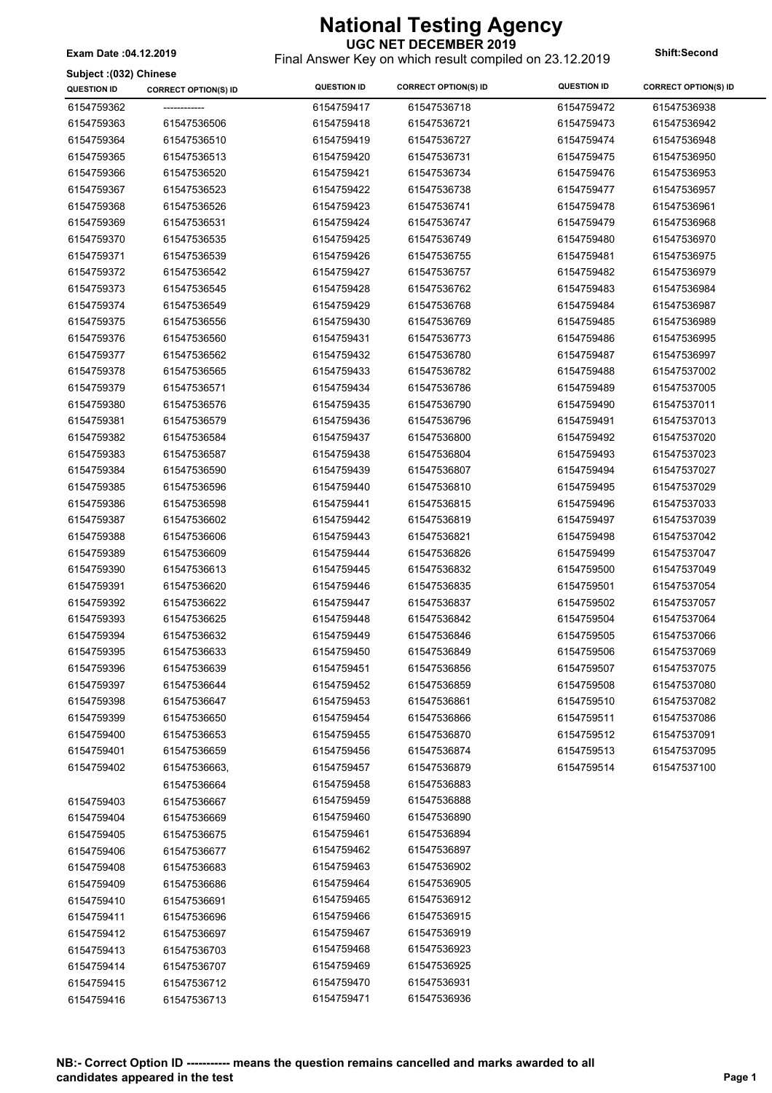**UGC NET DECEMBER 2019** Final Answer Key on which result compiled on 23.12.2019 **Exam Date :04.12.2019 Shift:Second**

**Subject :(032) Chinese**

| <b>DUDICAL (AND INTERNATIONAL</b><br><b>QUESTION ID</b> | <b>CORRECT OPTION(S) ID</b> | <b>QUESTION ID</b> | <b>CORRECT OPTION(S) ID</b> | <b>QUESTION ID</b> | <b>CORRECT OPTION(S) ID</b> |
|---------------------------------------------------------|-----------------------------|--------------------|-----------------------------|--------------------|-----------------------------|
| 6154759362                                              |                             | 6154759417         | 61547536718                 | 6154759472         | 61547536938                 |
| 6154759363                                              | 61547536506                 | 6154759418         | 61547536721                 | 6154759473         | 61547536942                 |
| 6154759364                                              | 61547536510                 | 6154759419         | 61547536727                 | 6154759474         | 61547536948                 |
| 6154759365                                              | 61547536513                 | 6154759420         | 61547536731                 | 6154759475         | 61547536950                 |
| 6154759366                                              | 61547536520                 | 6154759421         | 61547536734                 | 6154759476         | 61547536953                 |
| 6154759367                                              | 61547536523                 | 6154759422         | 61547536738                 | 6154759477         | 61547536957                 |
| 6154759368                                              | 61547536526                 | 6154759423         | 61547536741                 | 6154759478         | 61547536961                 |
| 6154759369                                              | 61547536531                 | 6154759424         | 61547536747                 | 6154759479         | 61547536968                 |
| 6154759370                                              | 61547536535                 | 6154759425         | 61547536749                 | 6154759480         | 61547536970                 |
| 6154759371                                              | 61547536539                 | 6154759426         | 61547536755                 | 6154759481         | 61547536975                 |
| 6154759372                                              | 61547536542                 | 6154759427         | 61547536757                 | 6154759482         | 61547536979                 |
| 6154759373                                              | 61547536545                 | 6154759428         | 61547536762                 | 6154759483         | 61547536984                 |
| 6154759374                                              | 61547536549                 | 6154759429         | 61547536768                 | 6154759484         | 61547536987                 |
| 6154759375                                              | 61547536556                 | 6154759430         | 61547536769                 | 6154759485         | 61547536989                 |
| 6154759376                                              | 61547536560                 | 6154759431         | 61547536773                 | 6154759486         | 61547536995                 |
| 6154759377                                              | 61547536562                 | 6154759432         | 61547536780                 | 6154759487         | 61547536997                 |
| 6154759378                                              | 61547536565                 | 6154759433         | 61547536782                 | 6154759488         | 61547537002                 |
| 6154759379                                              | 61547536571                 | 6154759434         | 61547536786                 | 6154759489         | 61547537005                 |
| 6154759380                                              | 61547536576                 | 6154759435         | 61547536790                 | 6154759490         | 61547537011                 |
| 6154759381                                              | 61547536579                 | 6154759436         | 61547536796                 | 6154759491         | 61547537013                 |
| 6154759382                                              | 61547536584                 | 6154759437         | 61547536800                 | 6154759492         | 61547537020                 |
| 6154759383                                              | 61547536587                 | 6154759438         | 61547536804                 | 6154759493         | 61547537023                 |
| 6154759384                                              | 61547536590                 | 6154759439         | 61547536807                 | 6154759494         | 61547537027                 |
| 6154759385                                              | 61547536596                 | 6154759440         | 61547536810                 | 6154759495         | 61547537029                 |
| 6154759386                                              | 61547536598                 | 6154759441         | 61547536815                 | 6154759496         | 61547537033                 |
| 6154759387                                              | 61547536602                 | 6154759442         | 61547536819                 | 6154759497         | 61547537039                 |
| 6154759388                                              | 61547536606                 | 6154759443         | 61547536821                 | 6154759498         | 61547537042                 |
| 6154759389                                              | 61547536609                 | 6154759444         | 61547536826                 | 6154759499         | 61547537047                 |
| 6154759390                                              | 61547536613                 | 6154759445         | 61547536832                 | 6154759500         | 61547537049                 |
| 6154759391                                              | 61547536620                 | 6154759446         | 61547536835                 | 6154759501         | 61547537054                 |
| 6154759392                                              | 61547536622                 | 6154759447         | 61547536837                 | 6154759502         | 61547537057                 |
| 6154759393                                              | 61547536625                 | 6154759448         | 61547536842                 | 6154759504         | 61547537064                 |
| 6154759394                                              | 61547536632                 | 6154759449         | 61547536846                 | 6154759505         | 61547537066                 |
| 6154759395                                              | 61547536633                 | 6154759450         | 61547536849                 | 6154759506         | 61547537069                 |
| 6154759396                                              | 61547536639                 | 6154759451         | 61547536856                 | 6154759507         | 61547537075                 |
| 6154759397                                              | 61547536644                 | 6154759452         | 61547536859                 | 6154759508         | 61547537080                 |
| 6154759398                                              | 61547536647                 | 6154759453         | 61547536861                 | 6154759510         | 61547537082                 |
| 6154759399                                              | 61547536650                 | 6154759454         | 61547536866                 | 6154759511         | 61547537086                 |
| 6154759400                                              | 61547536653                 | 6154759455         | 61547536870                 | 6154759512         | 61547537091                 |
| 6154759401                                              | 61547536659                 | 6154759456         | 61547536874                 | 6154759513         | 61547537095                 |
| 6154759402                                              | 61547536663,                | 6154759457         | 61547536879                 | 6154759514         | 61547537100                 |
|                                                         | 61547536664                 | 6154759458         | 61547536883                 |                    |                             |
| 6154759403                                              | 61547536667                 | 6154759459         | 61547536888                 |                    |                             |
| 6154759404                                              | 61547536669                 | 6154759460         | 61547536890                 |                    |                             |
| 6154759405                                              | 61547536675                 | 6154759461         | 61547536894                 |                    |                             |
| 6154759406                                              | 61547536677                 | 6154759462         | 61547536897                 |                    |                             |
| 6154759408                                              | 61547536683                 | 6154759463         | 61547536902                 |                    |                             |
| 6154759409                                              | 61547536686                 | 6154759464         | 61547536905                 |                    |                             |
| 6154759410                                              | 61547536691                 | 6154759465         | 61547536912                 |                    |                             |
| 6154759411                                              | 61547536696                 | 6154759466         | 61547536915                 |                    |                             |
| 6154759412                                              | 61547536697                 | 6154759467         | 61547536919                 |                    |                             |
| 6154759413                                              | 61547536703                 | 6154759468         | 61547536923                 |                    |                             |
| 6154759414                                              | 61547536707                 | 6154759469         | 61547536925                 |                    |                             |
| 6154759415                                              | 61547536712                 | 6154759470         | 61547536931                 |                    |                             |
| 6154759416                                              | 61547536713                 | 6154759471         | 61547536936                 |                    |                             |
|                                                         |                             |                    |                             |                    |                             |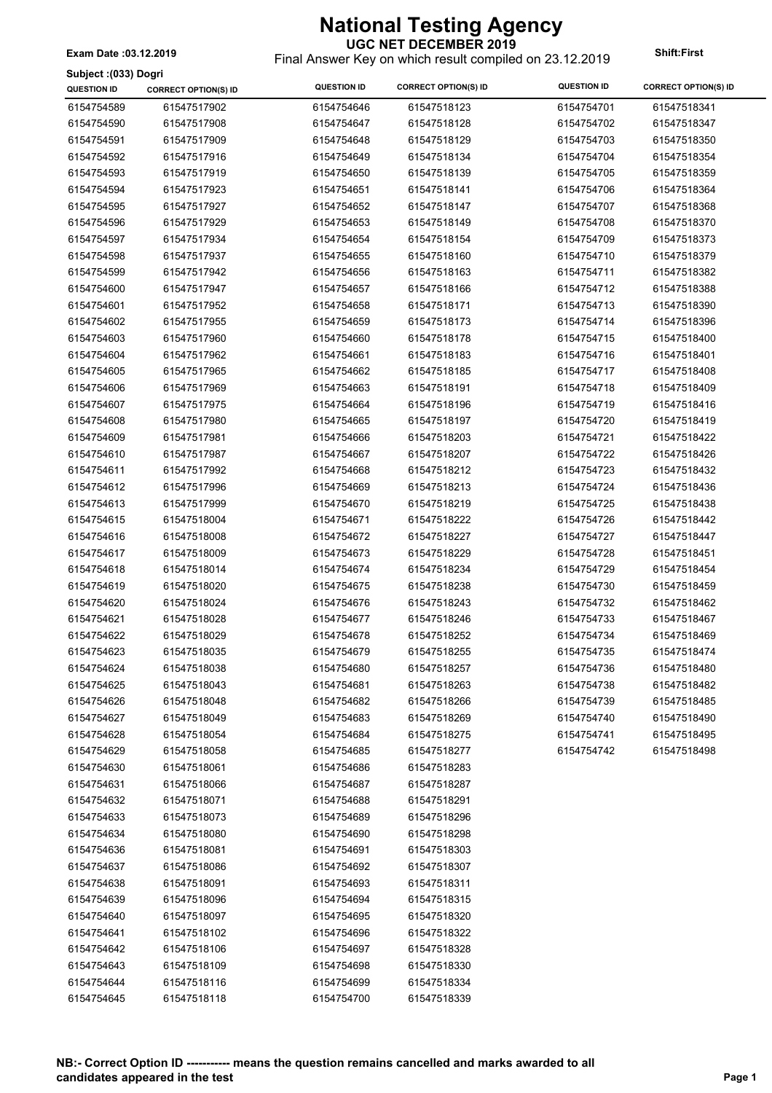**Subject :(033) Dogri**

#### **UGC NET DECEMBER 2019**

Final Answer Key on which result compiled on 23.12.2019 **Exam Date :03.12.2019 Shift:First**

| annien (naa) poñu<br><b>QUESTION ID</b> | <b>CORRECT OPTION(S) ID</b> | <b>QUESTION ID</b> | <b>CORRECT OPTION(S) ID</b> | <b>QUESTION ID</b> | <b>CORRECT OPTION(S) ID</b> |
|-----------------------------------------|-----------------------------|--------------------|-----------------------------|--------------------|-----------------------------|
| 6154754589                              | 61547517902                 | 6154754646         | 61547518123                 | 6154754701         | 61547518341                 |
| 6154754590                              | 61547517908                 | 6154754647         | 61547518128                 | 6154754702         | 61547518347                 |
| 6154754591                              | 61547517909                 | 6154754648         | 61547518129                 | 6154754703         | 61547518350                 |
| 6154754592                              | 61547517916                 | 6154754649         | 61547518134                 | 6154754704         | 61547518354                 |
| 6154754593                              | 61547517919                 | 6154754650         | 61547518139                 | 6154754705         | 61547518359                 |
| 6154754594                              | 61547517923                 | 6154754651         | 61547518141                 | 6154754706         | 61547518364                 |
| 6154754595                              | 61547517927                 | 6154754652         | 61547518147                 | 6154754707         | 61547518368                 |
| 6154754596                              | 61547517929                 | 6154754653         | 61547518149                 | 6154754708         | 61547518370                 |
| 6154754597                              | 61547517934                 | 6154754654         | 61547518154                 | 6154754709         | 61547518373                 |
| 6154754598                              | 61547517937                 | 6154754655         | 61547518160                 | 6154754710         | 61547518379                 |
| 6154754599                              | 61547517942                 | 6154754656         | 61547518163                 | 6154754711         | 61547518382                 |
| 6154754600                              | 61547517947                 | 6154754657         | 61547518166                 | 6154754712         | 61547518388                 |
| 6154754601                              | 61547517952                 | 6154754658         | 61547518171                 | 6154754713         | 61547518390                 |
| 6154754602                              | 61547517955                 | 6154754659         | 61547518173                 | 6154754714         | 61547518396                 |
| 6154754603                              | 61547517960                 | 6154754660         | 61547518178                 | 6154754715         | 61547518400                 |
| 6154754604                              | 61547517962                 | 6154754661         | 61547518183                 | 6154754716         | 61547518401                 |
| 6154754605                              | 61547517965                 | 6154754662         | 61547518185                 | 6154754717         | 61547518408                 |
| 6154754606                              | 61547517969                 | 6154754663         | 61547518191                 | 6154754718         | 61547518409                 |
| 6154754607                              | 61547517975                 | 6154754664         | 61547518196                 | 6154754719         | 61547518416                 |
| 6154754608                              | 61547517980                 | 6154754665         | 61547518197                 | 6154754720         | 61547518419                 |
| 6154754609                              | 61547517981                 | 6154754666         | 61547518203                 | 6154754721         | 61547518422                 |
| 6154754610                              | 61547517987                 | 6154754667         | 61547518207                 | 6154754722         | 61547518426                 |
| 6154754611                              | 61547517992                 | 6154754668         | 61547518212                 | 6154754723         | 61547518432                 |
| 6154754612                              | 61547517996                 | 6154754669         | 61547518213                 | 6154754724         | 61547518436                 |
| 6154754613                              | 61547517999                 | 6154754670         | 61547518219                 | 6154754725         | 61547518438                 |
| 6154754615                              | 61547518004                 | 6154754671         | 61547518222                 | 6154754726         | 61547518442                 |
| 6154754616                              | 61547518008                 | 6154754672         | 61547518227                 | 6154754727         | 61547518447                 |
| 6154754617                              | 61547518009                 | 6154754673         | 61547518229                 | 6154754728         | 61547518451                 |
| 6154754618                              | 61547518014                 | 6154754674         | 61547518234                 | 6154754729         | 61547518454                 |
| 6154754619                              | 61547518020                 | 6154754675         | 61547518238                 | 6154754730         | 61547518459                 |
| 6154754620                              | 61547518024                 | 6154754676         | 61547518243                 | 6154754732         | 61547518462                 |
| 6154754621                              | 61547518028                 | 6154754677         | 61547518246                 | 6154754733         | 61547518467                 |
| 6154754622                              | 61547518029                 | 6154754678         | 61547518252                 | 6154754734         | 61547518469                 |
| 6154754623                              | 61547518035                 | 6154754679         | 61547518255                 | 6154754735         | 61547518474                 |
| 6154754624                              | 61547518038                 | 6154754680         | 61547518257                 | 6154754736         | 61547518480                 |
| 6154754625                              | 61547518043                 | 6154754681         | 61547518263                 | 6154754738         | 61547518482                 |
| 6154754626                              | 61547518048                 | 6154754682         | 61547518266                 | 6154754739         | 61547518485                 |
| 6154754627                              | 61547518049                 | 6154754683         | 61547518269                 | 6154754740         | 61547518490                 |
| 6154754628                              | 61547518054                 | 6154754684         | 61547518275                 | 6154754741         | 61547518495                 |
| 6154754629                              | 61547518058                 | 6154754685         | 61547518277                 | 6154754742         | 61547518498                 |
| 6154754630                              | 61547518061                 | 6154754686         | 61547518283                 |                    |                             |
| 6154754631                              | 61547518066                 | 6154754687         | 61547518287                 |                    |                             |
| 6154754632                              | 61547518071                 | 6154754688         | 61547518291                 |                    |                             |
| 6154754633                              | 61547518073                 | 6154754689         | 61547518296                 |                    |                             |
| 6154754634                              | 61547518080                 | 6154754690         | 61547518298                 |                    |                             |
| 6154754636                              | 61547518081                 | 6154754691         | 61547518303                 |                    |                             |
| 6154754637                              | 61547518086                 | 6154754692         | 61547518307                 |                    |                             |
| 6154754638                              | 61547518091                 | 6154754693         | 61547518311                 |                    |                             |
| 6154754639                              | 61547518096                 | 6154754694         | 61547518315                 |                    |                             |
| 6154754640                              | 61547518097                 | 6154754695         | 61547518320                 |                    |                             |
| 6154754641                              | 61547518102                 | 6154754696         | 61547518322                 |                    |                             |
| 6154754642                              | 61547518106                 | 6154754697         | 61547518328                 |                    |                             |
| 6154754643                              | 61547518109                 | 6154754698         | 61547518330                 |                    |                             |
| 6154754644                              | 61547518116                 | 6154754699         | 61547518334                 |                    |                             |
| 6154754645                              | 61547518118                 | 6154754700         | 61547518339                 |                    |                             |
|                                         |                             |                    |                             |                    |                             |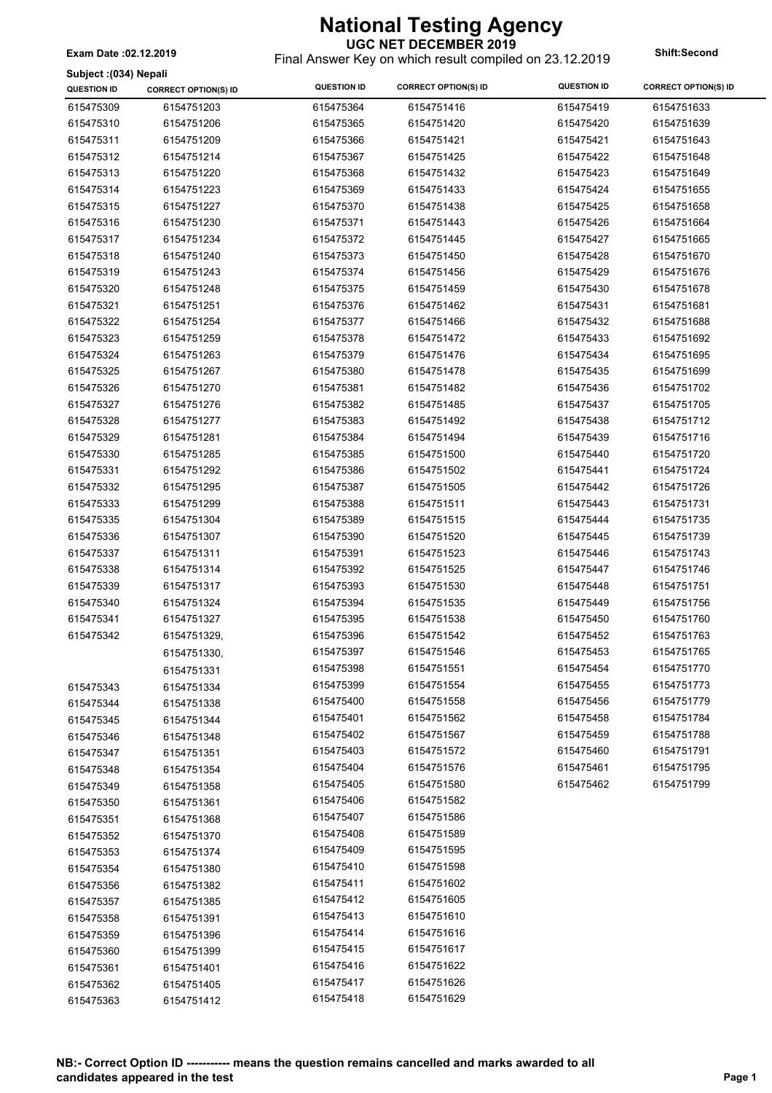Final Answer Key on which result compiled on 23.12.2019 **Exam Date :02.12.2019 Shift:Second**

| Subject: (034) Nepali |  |  |
|-----------------------|--|--|

| $\sim$ unjuot (1997) riupun<br><b>QUESTION ID</b> | <b>CORRECT OPTION(S) ID</b> | <b>QUESTION ID</b> | <b>CORRECT OPTION(S) ID</b> | <b>QUESTION ID</b> | <b>CORRECT OPTION(S) ID</b> |
|---------------------------------------------------|-----------------------------|--------------------|-----------------------------|--------------------|-----------------------------|
| 615475309                                         | 6154751203                  | 615475364          | 6154751416                  | 615475419          | 6154751633                  |
| 615475310                                         | 6154751206                  | 615475365          | 6154751420                  | 615475420          | 6154751639                  |
| 615475311                                         | 6154751209                  | 615475366          | 6154751421                  | 615475421          | 6154751643                  |
| 615475312                                         | 6154751214                  | 615475367          | 6154751425                  | 615475422          | 6154751648                  |
| 615475313                                         | 6154751220                  | 615475368          | 6154751432                  | 615475423          | 6154751649                  |
| 615475314                                         | 6154751223                  | 615475369          | 6154751433                  | 615475424          | 6154751655                  |
| 615475315                                         | 6154751227                  | 615475370          | 6154751438                  | 615475425          | 6154751658                  |
| 615475316                                         | 6154751230                  | 615475371          | 6154751443                  | 615475426          | 6154751664                  |
| 615475317                                         | 6154751234                  | 615475372          | 6154751445                  | 615475427          | 6154751665                  |
| 615475318                                         | 6154751240                  | 615475373          | 6154751450                  | 615475428          | 6154751670                  |
| 615475319                                         | 6154751243                  | 615475374          | 6154751456                  | 615475429          | 6154751676                  |
| 615475320                                         | 6154751248                  | 615475375          | 6154751459                  | 615475430          | 6154751678                  |
| 615475321                                         | 6154751251                  | 615475376          | 6154751462                  | 615475431          | 6154751681                  |
| 615475322                                         | 6154751254                  | 615475377          | 6154751466                  | 615475432          | 6154751688                  |
| 615475323                                         | 6154751259                  | 615475378          | 6154751472                  | 615475433          | 6154751692                  |
| 615475324                                         | 6154751263                  | 615475379          | 6154751476                  | 615475434          | 6154751695                  |
| 615475325                                         | 6154751267                  | 615475380          | 6154751478                  | 615475435          | 6154751699                  |
| 615475326                                         | 6154751270                  | 615475381          | 6154751482                  | 615475436          | 6154751702                  |
| 615475327                                         | 6154751276                  | 615475382          | 6154751485                  | 615475437          | 6154751705                  |
| 615475328                                         | 6154751277                  | 615475383          | 6154751492                  | 615475438          | 6154751712                  |
| 615475329                                         | 6154751281                  | 615475384          | 6154751494                  | 615475439          | 6154751716                  |
| 615475330                                         | 6154751285                  | 615475385          | 6154751500                  | 615475440          | 6154751720                  |
| 615475331                                         | 6154751292                  | 615475386          | 6154751502                  | 615475441          | 6154751724                  |
| 615475332                                         | 6154751295                  | 615475387          | 6154751505                  | 615475442          | 6154751726                  |
| 615475333                                         | 6154751299                  | 615475388          | 6154751511                  | 615475443          | 6154751731                  |
| 615475335                                         | 6154751304                  | 615475389          | 6154751515                  | 615475444          | 6154751735                  |
| 615475336                                         | 6154751307                  | 615475390          | 6154751520                  | 615475445          | 6154751739                  |
| 615475337                                         | 6154751311                  | 615475391          | 6154751523                  | 615475446          | 6154751743                  |
| 615475338                                         | 6154751314                  | 615475392          | 6154751525                  | 615475447          | 6154751746                  |
| 615475339                                         | 6154751317                  | 615475393          | 6154751530                  | 615475448          | 6154751751                  |
| 615475340                                         | 6154751324                  | 615475394          | 6154751535                  | 615475449          | 6154751756                  |
| 615475341                                         | 6154751327                  | 615475395          | 6154751538                  | 615475450          | 6154751760                  |
| 615475342                                         | 6154751329,                 | 615475396          | 6154751542                  | 615475452          | 6154751763                  |
|                                                   | 6154751330,                 | 615475397          | 6154751546                  | 615475453          | 6154751765                  |
|                                                   | 6154751331                  | 615475398          | 6154751551                  | 615475454          | 6154751770                  |
| 615475343                                         | 6154751334                  | 615475399          | 6154751554                  | 615475455          | 6154751773                  |
| 615475344                                         | 6154751338                  | 615475400          | 6154751558                  | 615475456          | 6154751779                  |
| 615475345                                         | 6154751344                  | 615475401          | 6154751562                  | 615475458          | 6154751784                  |
| 615475346                                         | 6154751348                  | 615475402          | 6154751567                  | 615475459          | 6154751788                  |
| 615475347                                         | 6154751351                  | 615475403          | 6154751572                  | 615475460          | 6154751791                  |
| 615475348                                         | 6154751354                  | 615475404          | 6154751576                  | 615475461          | 6154751795                  |
| 615475349                                         | 6154751358                  | 615475405          | 6154751580                  | 615475462          | 6154751799                  |
| 615475350                                         | 6154751361                  | 615475406          | 6154751582                  |                    |                             |
| 615475351                                         | 6154751368                  | 615475407          | 6154751586                  |                    |                             |
| 615475352                                         | 6154751370                  | 615475408          | 6154751589                  |                    |                             |
| 615475353                                         | 6154751374                  | 615475409          | 6154751595                  |                    |                             |
| 615475354                                         | 6154751380                  | 615475410          | 6154751598                  |                    |                             |
| 615475356                                         | 6154751382                  | 615475411          | 6154751602                  |                    |                             |
| 615475357                                         | 6154751385                  | 615475412          | 6154751605                  |                    |                             |
| 615475358                                         | 6154751391                  | 615475413          | 6154751610                  |                    |                             |
| 615475359                                         | 6154751396                  | 615475414          | 6154751616                  |                    |                             |
| 615475360                                         | 6154751399                  | 615475415          | 6154751617                  |                    |                             |
| 615475361                                         | 6154751401                  | 615475416          | 6154751622                  |                    |                             |
| 615475362                                         | 6154751405                  | 615475417          | 6154751626                  |                    |                             |
| 615475363                                         | 6154751412                  | 615475418          | 6154751629                  |                    |                             |
|                                                   |                             |                    |                             |                    |                             |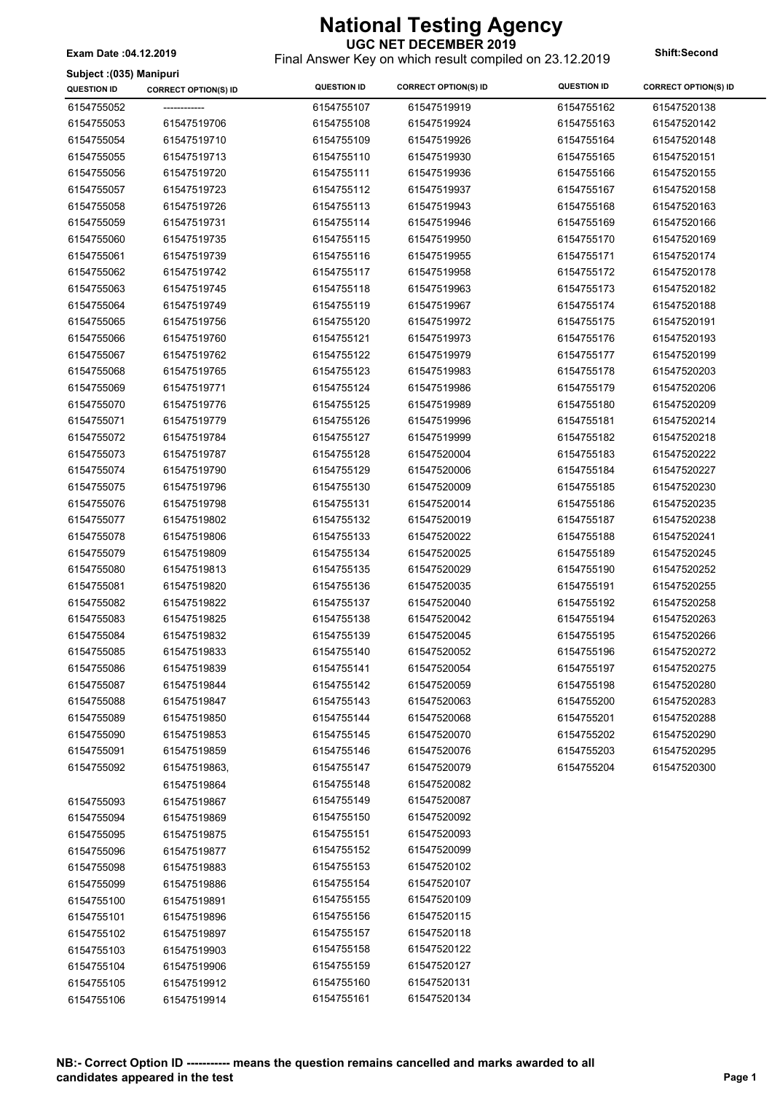**UGC NET DECEMBER 2019** Final Answer Key on which result compiled on 23.12.2019 **Exam Date :04.12.2019 Shift:Second**

**Subject :(035) Manipuri**

| ounjour (1999) mumpum<br><b>QUESTION ID</b> | <b>CORRECT OPTION(S) ID</b> | <b>QUESTION ID</b> | <b>CORRECT OPTION(S) ID</b> | <b>QUESTION ID</b> | <b>CORRECT OPTION(S) ID</b> |
|---------------------------------------------|-----------------------------|--------------------|-----------------------------|--------------------|-----------------------------|
| 6154755052                                  |                             | 6154755107         | 61547519919                 | 6154755162         | 61547520138                 |
| 6154755053                                  | 61547519706                 | 6154755108         | 61547519924                 | 6154755163         | 61547520142                 |
| 6154755054                                  | 61547519710                 | 6154755109         | 61547519926                 | 6154755164         | 61547520148                 |
| 6154755055                                  | 61547519713                 | 6154755110         | 61547519930                 | 6154755165         | 61547520151                 |
| 6154755056                                  | 61547519720                 | 6154755111         | 61547519936                 | 6154755166         | 61547520155                 |
| 6154755057                                  | 61547519723                 | 6154755112         | 61547519937                 | 6154755167         | 61547520158                 |
| 6154755058                                  | 61547519726                 | 6154755113         | 61547519943                 | 6154755168         | 61547520163                 |
| 6154755059                                  | 61547519731                 | 6154755114         | 61547519946                 | 6154755169         | 61547520166                 |
| 6154755060                                  | 61547519735                 | 6154755115         | 61547519950                 | 6154755170         | 61547520169                 |
| 6154755061                                  | 61547519739                 | 6154755116         | 61547519955                 | 6154755171         | 61547520174                 |
| 6154755062                                  | 61547519742                 | 6154755117         | 61547519958                 | 6154755172         | 61547520178                 |
| 6154755063                                  | 61547519745                 | 6154755118         | 61547519963                 | 6154755173         | 61547520182                 |
| 6154755064                                  | 61547519749                 | 6154755119         | 61547519967                 | 6154755174         | 61547520188                 |
| 6154755065                                  | 61547519756                 | 6154755120         | 61547519972                 | 6154755175         | 61547520191                 |
| 6154755066                                  | 61547519760                 | 6154755121         | 61547519973                 | 6154755176         | 61547520193                 |
| 6154755067                                  | 61547519762                 | 6154755122         | 61547519979                 | 6154755177         | 61547520199                 |
| 6154755068                                  | 61547519765                 | 6154755123         | 61547519983                 | 6154755178         | 61547520203                 |
| 6154755069                                  | 61547519771                 | 6154755124         | 61547519986                 | 6154755179         | 61547520206                 |
| 6154755070                                  | 61547519776                 | 6154755125         | 61547519989                 | 6154755180         | 61547520209                 |
| 6154755071                                  | 61547519779                 | 6154755126         | 61547519996                 | 6154755181         | 61547520214                 |
| 6154755072                                  | 61547519784                 | 6154755127         | 61547519999                 | 6154755182         | 61547520218                 |
| 6154755073                                  | 61547519787                 | 6154755128         | 61547520004                 | 6154755183         | 61547520222                 |
| 6154755074                                  | 61547519790                 | 6154755129         | 61547520006                 | 6154755184         | 61547520227                 |
| 6154755075                                  | 61547519796                 | 6154755130         | 61547520009                 | 6154755185         | 61547520230                 |
| 6154755076                                  | 61547519798                 | 6154755131         | 61547520014                 | 6154755186         | 61547520235                 |
| 6154755077                                  | 61547519802                 | 6154755132         | 61547520019                 | 6154755187         | 61547520238                 |
| 6154755078                                  | 61547519806                 | 6154755133         | 61547520022                 | 6154755188         | 61547520241                 |
| 6154755079                                  | 61547519809                 | 6154755134         | 61547520025                 | 6154755189         | 61547520245                 |
| 6154755080                                  | 61547519813                 | 6154755135         | 61547520029                 | 6154755190         | 61547520252                 |
| 6154755081                                  | 61547519820                 | 6154755136         | 61547520035                 | 6154755191         | 61547520255                 |
| 6154755082                                  | 61547519822                 | 6154755137         | 61547520040                 | 6154755192         | 61547520258                 |
| 6154755083                                  | 61547519825                 | 6154755138         | 61547520042                 | 6154755194         | 61547520263                 |
| 6154755084                                  | 61547519832                 | 6154755139         | 61547520045                 | 6154755195         | 61547520266                 |
| 6154755085                                  | 61547519833                 | 6154755140         | 61547520052                 | 6154755196         | 61547520272                 |
| 6154755086                                  | 61547519839                 | 6154755141         | 61547520054                 | 6154755197         | 61547520275                 |
| 6154755087                                  | 61547519844                 | 6154755142         | 61547520059                 | 6154755198         | 61547520280                 |
| 6154755088                                  | 61547519847                 | 6154755143         | 61547520063                 | 6154755200         | 61547520283                 |
| 6154755089                                  | 61547519850                 | 6154755144         | 61547520068                 | 6154755201         | 61547520288                 |
| 6154755090                                  | 61547519853                 | 6154755145         | 61547520070                 | 6154755202         | 61547520290                 |
| 6154755091                                  | 61547519859                 | 6154755146         | 61547520076                 | 6154755203         | 61547520295                 |
| 6154755092                                  | 61547519863,                | 6154755147         | 61547520079                 | 6154755204         | 61547520300                 |
|                                             | 61547519864                 | 6154755148         | 61547520082                 |                    |                             |
| 6154755093                                  | 61547519867                 | 6154755149         | 61547520087                 |                    |                             |
| 6154755094                                  | 61547519869                 | 6154755150         | 61547520092                 |                    |                             |
| 6154755095                                  | 61547519875                 | 6154755151         | 61547520093                 |                    |                             |
| 6154755096                                  | 61547519877                 | 6154755152         | 61547520099                 |                    |                             |
| 6154755098                                  | 61547519883                 | 6154755153         | 61547520102                 |                    |                             |
| 6154755099                                  | 61547519886                 | 6154755154         | 61547520107                 |                    |                             |
| 6154755100                                  | 61547519891                 | 6154755155         | 61547520109                 |                    |                             |
| 6154755101                                  | 61547519896                 | 6154755156         | 61547520115                 |                    |                             |
| 6154755102                                  | 61547519897                 | 6154755157         | 61547520118                 |                    |                             |
| 6154755103                                  | 61547519903                 | 6154755158         | 61547520122                 |                    |                             |
| 6154755104                                  | 61547519906                 | 6154755159         | 61547520127                 |                    |                             |
| 6154755105                                  | 61547519912                 | 6154755160         | 61547520131                 |                    |                             |
| 6154755106                                  | 61547519914                 | 6154755161         | 61547520134                 |                    |                             |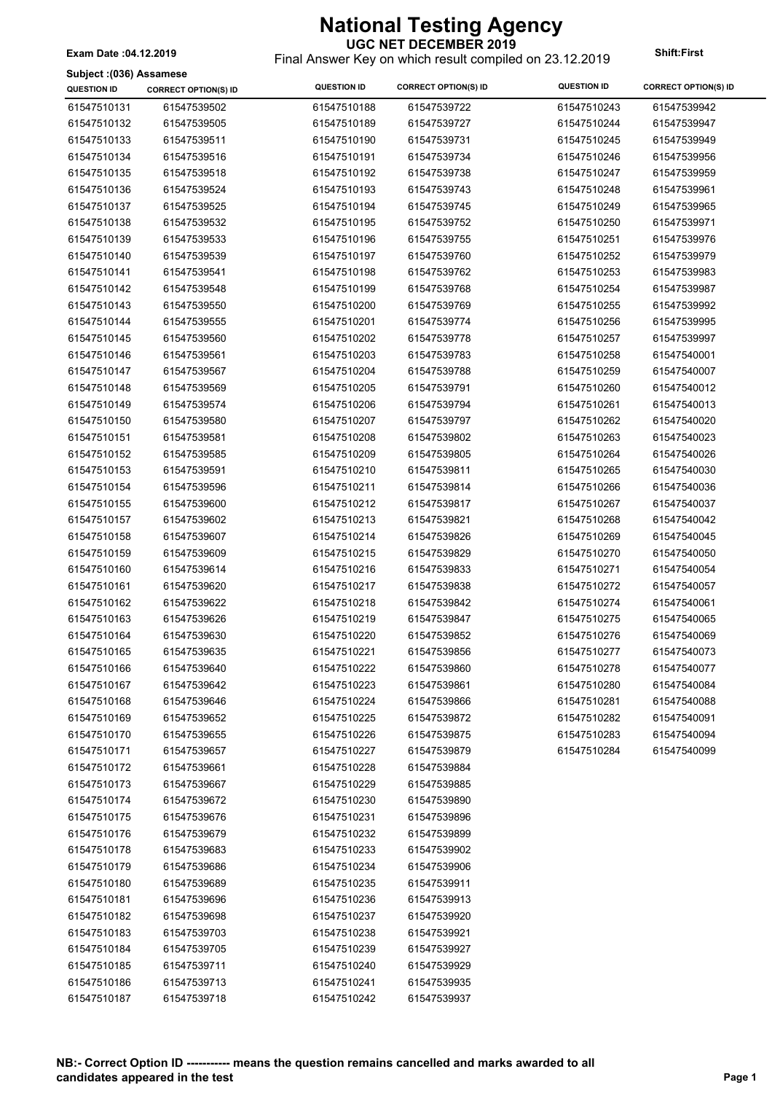**UGC NET DECEMBER 2019** Final Answer Key on which result compiled on 23.12.2019 **Exam Date :04.12.2019 Shift:First**

#### **Subject :(036) Assamese**

| Subject :(৩১৬) Assamese |                             |                    |                             |                    |                             |
|-------------------------|-----------------------------|--------------------|-----------------------------|--------------------|-----------------------------|
| <b>QUESTION ID</b>      | <b>CORRECT OPTION(S) ID</b> | <b>QUESTION ID</b> | <b>CORRECT OPTION(S) ID</b> | <b>QUESTION ID</b> | <b>CORRECT OPTION(S) ID</b> |
| 61547510131             | 61547539502                 | 61547510188        | 61547539722                 | 61547510243        | 61547539942                 |
| 61547510132             | 61547539505                 | 61547510189        | 61547539727                 | 61547510244        | 61547539947                 |
| 61547510133             | 61547539511                 | 61547510190        | 61547539731                 | 61547510245        | 61547539949                 |
| 61547510134             | 61547539516                 | 61547510191        | 61547539734                 | 61547510246        | 61547539956                 |
| 61547510135             | 61547539518                 | 61547510192        | 61547539738                 | 61547510247        | 61547539959                 |
| 61547510136             | 61547539524                 | 61547510193        | 61547539743                 | 61547510248        | 61547539961                 |
| 61547510137             | 61547539525                 | 61547510194        | 61547539745                 | 61547510249        | 61547539965                 |
| 61547510138             | 61547539532                 | 61547510195        | 61547539752                 | 61547510250        | 61547539971                 |
| 61547510139             | 61547539533                 | 61547510196        | 61547539755                 | 61547510251        | 61547539976                 |
| 61547510140             | 61547539539                 | 61547510197        | 61547539760                 | 61547510252        | 61547539979                 |
| 61547510141             | 61547539541                 | 61547510198        | 61547539762                 | 61547510253        | 61547539983                 |
| 61547510142             | 61547539548                 | 61547510199        | 61547539768                 | 61547510254        | 61547539987                 |
| 61547510143             | 61547539550                 | 61547510200        | 61547539769                 | 61547510255        | 61547539992                 |
| 61547510144             | 61547539555                 | 61547510201        | 61547539774                 | 61547510256        | 61547539995                 |
| 61547510145             | 61547539560                 | 61547510202        | 61547539778                 | 61547510257        | 61547539997                 |
| 61547510146             | 61547539561                 | 61547510203        | 61547539783                 | 61547510258        | 61547540001                 |
| 61547510147             | 61547539567                 | 61547510204        | 61547539788                 | 61547510259        | 61547540007                 |
| 61547510148             | 61547539569                 | 61547510205        | 61547539791                 | 61547510260        | 61547540012                 |
|                         |                             |                    |                             |                    |                             |
| 61547510149             | 61547539574                 | 61547510206        | 61547539794                 | 61547510261        | 61547540013                 |
| 61547510150             | 61547539580                 | 61547510207        | 61547539797                 | 61547510262        | 61547540020                 |
| 61547510151             | 61547539581                 | 61547510208        | 61547539802                 | 61547510263        | 61547540023                 |
| 61547510152             | 61547539585                 | 61547510209        | 61547539805                 | 61547510264        | 61547540026                 |
| 61547510153             | 61547539591                 | 61547510210        | 61547539811                 | 61547510265        | 61547540030                 |
| 61547510154             | 61547539596                 | 61547510211        | 61547539814                 | 61547510266        | 61547540036                 |
| 61547510155             | 61547539600                 | 61547510212        | 61547539817                 | 61547510267        | 61547540037                 |
| 61547510157             | 61547539602                 | 61547510213        | 61547539821                 | 61547510268        | 61547540042                 |
| 61547510158             | 61547539607                 | 61547510214        | 61547539826                 | 61547510269        | 61547540045                 |
| 61547510159             | 61547539609                 | 61547510215        | 61547539829                 | 61547510270        | 61547540050                 |
| 61547510160             | 61547539614                 | 61547510216        | 61547539833                 | 61547510271        | 61547540054                 |
| 61547510161             | 61547539620                 | 61547510217        | 61547539838                 | 61547510272        | 61547540057                 |
| 61547510162             | 61547539622                 | 61547510218        | 61547539842                 | 61547510274        | 61547540061                 |
| 61547510163             | 61547539626                 | 61547510219        | 61547539847                 | 61547510275        | 61547540065                 |
| 61547510164             | 61547539630                 | 61547510220        | 61547539852                 | 61547510276        | 61547540069                 |
| 61547510165             | 61547539635                 | 61547510221        | 61547539856                 | 61547510277        | 61547540073                 |
| 61547510166             | 61547539640                 | 61547510222        | 61547539860                 | 61547510278        | 61547540077                 |
| 61547510167             | 61547539642                 | 61547510223        | 61547539861                 | 61547510280        | 61547540084                 |
| 61547510168             | 61547539646                 | 61547510224        | 61547539866                 | 61547510281        | 61547540088                 |
| 61547510169             | 61547539652                 | 61547510225        | 61547539872                 | 61547510282        | 61547540091                 |
| 61547510170             | 61547539655                 | 61547510226        | 61547539875                 | 61547510283        | 61547540094                 |
| 61547510171             | 61547539657                 | 61547510227        | 61547539879                 | 61547510284        | 61547540099                 |
| 61547510172             | 61547539661                 | 61547510228        | 61547539884                 |                    |                             |
| 61547510173             | 61547539667                 | 61547510229        | 61547539885                 |                    |                             |
| 61547510174             | 61547539672                 | 61547510230        | 61547539890                 |                    |                             |
| 61547510175             | 61547539676                 | 61547510231        | 61547539896                 |                    |                             |
| 61547510176             | 61547539679                 | 61547510232        | 61547539899                 |                    |                             |
| 61547510178             | 61547539683                 | 61547510233        | 61547539902                 |                    |                             |
| 61547510179             | 61547539686                 | 61547510234        | 61547539906                 |                    |                             |
| 61547510180             | 61547539689                 | 61547510235        | 61547539911                 |                    |                             |
| 61547510181             | 61547539696                 | 61547510236        | 61547539913                 |                    |                             |
| 61547510182             | 61547539698                 | 61547510237        | 61547539920                 |                    |                             |
| 61547510183             | 61547539703                 | 61547510238        | 61547539921                 |                    |                             |
| 61547510184             | 61547539705                 | 61547510239        | 61547539927                 |                    |                             |
| 61547510185             | 61547539711                 | 61547510240        | 61547539929                 |                    |                             |
| 61547510186             | 61547539713                 | 61547510241        | 61547539935                 |                    |                             |
| 61547510187             | 61547539718                 | 61547510242        | 61547539937                 |                    |                             |
|                         |                             |                    |                             |                    |                             |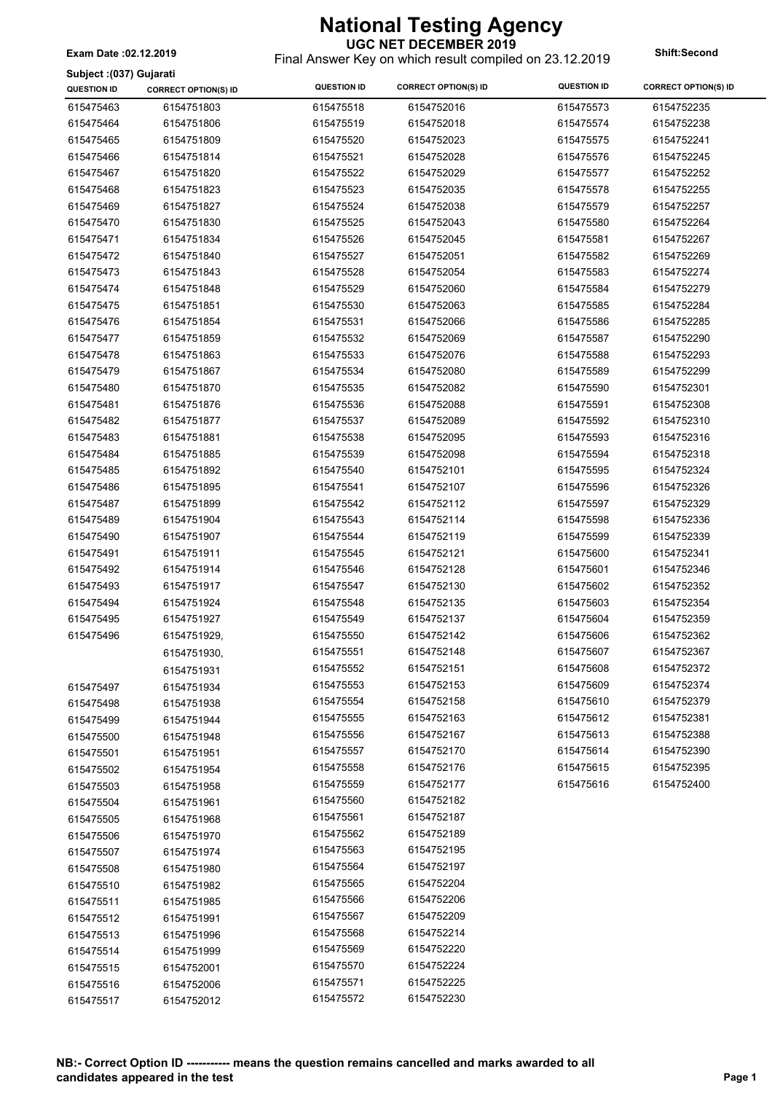**UGC NET DECEMBER 2019** Final Answer Key on which result compiled on 23.12.2019 **Exam Date :02.12.2019 Shift:Second**

**Subject :(037) Gujarati**

| <b>QUESTION ID</b>     | <b>CORRECT OPTION(S) ID</b> | <b>QUESTION ID</b>     | <b>CORRECT OPTION(S) ID</b> | <b>QUESTION ID</b>     | <b>CORRECT OPTION(S) ID</b> |
|------------------------|-----------------------------|------------------------|-----------------------------|------------------------|-----------------------------|
| 615475463              | 6154751803                  | 615475518              | 6154752016                  | 615475573              | 6154752235                  |
| 615475464              | 6154751806                  | 615475519              | 6154752018                  | 615475574              | 6154752238                  |
| 615475465              | 6154751809                  | 615475520              | 6154752023                  | 615475575              | 6154752241                  |
| 615475466              | 6154751814                  | 615475521              | 6154752028                  | 615475576              | 6154752245                  |
| 615475467              | 6154751820                  | 615475522              | 6154752029                  | 615475577              | 6154752252                  |
| 615475468              | 6154751823                  | 615475523              | 6154752035                  | 615475578              | 6154752255                  |
| 615475469              | 6154751827                  | 615475524              | 6154752038                  | 615475579              | 6154752257                  |
| 615475470              | 6154751830                  | 615475525              | 6154752043                  | 615475580              | 6154752264                  |
| 615475471              | 6154751834                  | 615475526              | 6154752045                  | 615475581              | 6154752267                  |
| 615475472              | 6154751840                  | 615475527              | 6154752051                  | 615475582              | 6154752269                  |
| 615475473              | 6154751843                  | 615475528              | 6154752054                  | 615475583              | 6154752274                  |
| 615475474              | 6154751848                  | 615475529              | 6154752060                  | 615475584              | 6154752279                  |
| 615475475              | 6154751851                  | 615475530              | 6154752063                  | 615475585              | 6154752284                  |
| 615475476              | 6154751854                  | 615475531              | 6154752066                  | 615475586              | 6154752285                  |
| 615475477              | 6154751859                  | 615475532              | 6154752069                  | 615475587              | 6154752290                  |
| 615475478              | 6154751863                  | 615475533              | 6154752076                  | 615475588              | 6154752293                  |
| 615475479              | 6154751867                  | 615475534              | 6154752080                  | 615475589              | 6154752299                  |
| 615475480              | 6154751870                  | 615475535              | 6154752082                  | 615475590              | 6154752301                  |
| 615475481              | 6154751876                  | 615475536              | 6154752088                  | 615475591              | 6154752308                  |
| 615475482              | 6154751877                  | 615475537              | 6154752089                  | 615475592              | 6154752310                  |
| 615475483              | 6154751881                  | 615475538              | 6154752095                  | 615475593              | 6154752316                  |
| 615475484              | 6154751885                  | 615475539              | 6154752098                  | 615475594              | 6154752318                  |
| 615475485              | 6154751892                  | 615475540              | 6154752101                  | 615475595              | 6154752324                  |
| 615475486              | 6154751895                  | 615475541              | 6154752107                  | 615475596              | 6154752326                  |
| 615475487              | 6154751899                  | 615475542              | 6154752112                  | 615475597              | 6154752329                  |
| 615475489              | 6154751904                  | 615475543              | 6154752114                  | 615475598              | 6154752336                  |
| 615475490              | 6154751907                  | 615475544              | 6154752119                  | 615475599              | 6154752339                  |
| 615475491              | 6154751911                  | 615475545              | 6154752121                  | 615475600              | 6154752341                  |
| 615475492              | 6154751914                  | 615475546              | 6154752128                  | 615475601              | 6154752346                  |
| 615475493              | 6154751917                  | 615475547              | 6154752130                  | 615475602              | 6154752352                  |
| 615475494              | 6154751924                  | 615475548              | 6154752135                  | 615475603              | 6154752354                  |
| 615475495<br>615475496 | 6154751927                  | 615475549<br>615475550 | 6154752137                  | 615475604<br>615475606 | 6154752359                  |
|                        | 6154751929,                 | 615475551              | 6154752142<br>6154752148    | 615475607              | 6154752362<br>6154752367    |
|                        | 6154751930,                 | 615475552              | 6154752151                  | 615475608              | 6154752372                  |
|                        | 6154751931                  | 615475553              | 6154752153                  | 615475609              | 6154752374                  |
| 615475497              | 6154751934                  | 615475554              | 6154752158                  | 615475610              | 6154752379                  |
| 615475498              | 6154751938<br>6154751944    | 615475555              | 6154752163                  | 615475612              | 6154752381                  |
| 615475499<br>615475500 | 6154751948                  | 615475556              | 6154752167                  | 615475613              | 6154752388                  |
| 615475501              | 6154751951                  | 615475557              | 6154752170                  | 615475614              | 6154752390                  |
| 615475502              | 6154751954                  | 615475558              | 6154752176                  | 615475615              | 6154752395                  |
| 615475503              | 6154751958                  | 615475559              | 6154752177                  | 615475616              | 6154752400                  |
| 615475504              | 6154751961                  | 615475560              | 6154752182                  |                        |                             |
| 615475505              | 6154751968                  | 615475561              | 6154752187                  |                        |                             |
| 615475506              | 6154751970                  | 615475562              | 6154752189                  |                        |                             |
| 615475507              | 6154751974                  | 615475563              | 6154752195                  |                        |                             |
| 615475508              | 6154751980                  | 615475564              | 6154752197                  |                        |                             |
| 615475510              | 6154751982                  | 615475565              | 6154752204                  |                        |                             |
| 615475511              | 6154751985                  | 615475566              | 6154752206                  |                        |                             |
| 615475512              | 6154751991                  | 615475567              | 6154752209                  |                        |                             |
| 615475513              | 6154751996                  | 615475568              | 6154752214                  |                        |                             |
| 615475514              | 6154751999                  | 615475569              | 6154752220                  |                        |                             |
| 615475515              | 6154752001                  | 615475570              | 6154752224                  |                        |                             |
| 615475516              | 6154752006                  | 615475571              | 6154752225                  |                        |                             |
| 615475517              | 6154752012                  | 615475572              | 6154752230                  |                        |                             |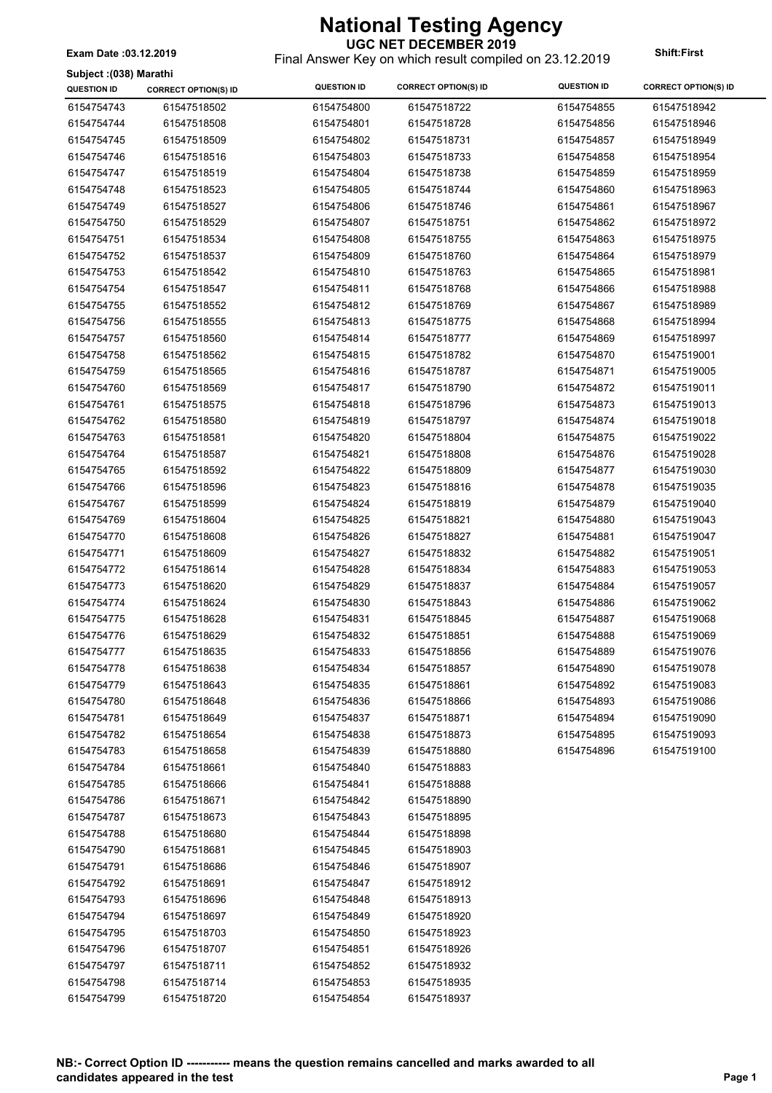**Subject :(038) Marathi**

### **UGC NET DECEMBER 2019**

Final Answer Key on which result compiled on 23.12.2019 **Exam Date :03.12.2019 Shift:First**

| oupjoot .(voo) maratm<br>QUESTION ID | <b>CORRECT OPTION(S) ID</b> | <b>QUESTION ID</b> | <b>CORRECT OPTION(S) ID</b> | <b>QUESTION ID</b> | <b>CORRECT OPTION(S) ID</b> |
|--------------------------------------|-----------------------------|--------------------|-----------------------------|--------------------|-----------------------------|
| 6154754743                           | 61547518502                 | 6154754800         | 61547518722                 | 6154754855         | 61547518942                 |
| 6154754744                           | 61547518508                 | 6154754801         | 61547518728                 | 6154754856         | 61547518946                 |
| 6154754745                           | 61547518509                 | 6154754802         | 61547518731                 | 6154754857         | 61547518949                 |
| 6154754746                           | 61547518516                 | 6154754803         | 61547518733                 | 6154754858         | 61547518954                 |
| 6154754747                           | 61547518519                 | 6154754804         | 61547518738                 | 6154754859         | 61547518959                 |
| 6154754748                           | 61547518523                 | 6154754805         | 61547518744                 | 6154754860         | 61547518963                 |
| 6154754749                           | 61547518527                 | 6154754806         | 61547518746                 | 6154754861         | 61547518967                 |
| 6154754750                           | 61547518529                 | 6154754807         | 61547518751                 | 6154754862         | 61547518972                 |
| 6154754751                           | 61547518534                 | 6154754808         | 61547518755                 | 6154754863         | 61547518975                 |
| 6154754752                           | 61547518537                 | 6154754809         | 61547518760                 | 6154754864         | 61547518979                 |
| 6154754753                           | 61547518542                 | 6154754810         | 61547518763                 | 6154754865         | 61547518981                 |
| 6154754754                           | 61547518547                 | 6154754811         | 61547518768                 | 6154754866         | 61547518988                 |
| 6154754755                           | 61547518552                 | 6154754812         | 61547518769                 | 6154754867         | 61547518989                 |
| 6154754756                           | 61547518555                 | 6154754813         | 61547518775                 | 6154754868         | 61547518994                 |
| 6154754757                           | 61547518560                 | 6154754814         | 61547518777                 | 6154754869         | 61547518997                 |
| 6154754758                           | 61547518562                 | 6154754815         | 61547518782                 | 6154754870         | 61547519001                 |
| 6154754759                           | 61547518565                 | 6154754816         | 61547518787                 | 6154754871         | 61547519005                 |
| 6154754760                           | 61547518569                 | 6154754817         | 61547518790                 | 6154754872         | 61547519011                 |
| 6154754761                           | 61547518575                 | 6154754818         | 61547518796                 | 6154754873         | 61547519013                 |
| 6154754762                           | 61547518580                 | 6154754819         | 61547518797                 | 6154754874         | 61547519018                 |
| 6154754763                           | 61547518581                 | 6154754820         | 61547518804                 | 6154754875         | 61547519022                 |
| 6154754764                           | 61547518587                 | 6154754821         | 61547518808                 | 6154754876         | 61547519028                 |
| 6154754765                           | 61547518592                 | 6154754822         | 61547518809                 | 6154754877         | 61547519030                 |
| 6154754766                           | 61547518596                 | 6154754823         | 61547518816                 | 6154754878         | 61547519035                 |
| 6154754767                           | 61547518599                 | 6154754824         | 61547518819                 | 6154754879         | 61547519040                 |
| 6154754769                           | 61547518604                 | 6154754825         | 61547518821                 | 6154754880         | 61547519043                 |
| 6154754770                           | 61547518608                 | 6154754826         | 61547518827                 | 6154754881         | 61547519047                 |
| 6154754771                           | 61547518609                 | 6154754827         | 61547518832                 | 6154754882         | 61547519051                 |
| 6154754772                           | 61547518614                 | 6154754828         | 61547518834                 | 6154754883         | 61547519053                 |
| 6154754773                           | 61547518620                 | 6154754829         | 61547518837                 | 6154754884         | 61547519057                 |
| 6154754774                           | 61547518624                 | 6154754830         | 61547518843                 | 6154754886         | 61547519062                 |
| 6154754775                           | 61547518628                 | 6154754831         | 61547518845                 | 6154754887         | 61547519068                 |
| 6154754776                           | 61547518629                 | 6154754832         | 61547518851                 | 6154754888         | 61547519069                 |
| 6154754777                           | 61547518635                 | 6154754833         | 61547518856                 | 6154754889         | 61547519076                 |
| 6154754778                           | 61547518638                 | 6154754834         | 61547518857                 | 6154754890         | 61547519078                 |
| 6154754779                           | 61547518643                 | 6154754835         | 61547518861                 | 6154754892         | 61547519083                 |
| 6154754780                           | 61547518648                 | 6154754836         | 61547518866                 | 6154754893         | 61547519086                 |
| 6154754781                           | 61547518649                 | 6154754837         | 61547518871                 | 6154754894         | 61547519090                 |
| 6154754782                           | 61547518654                 | 6154754838         | 61547518873                 | 6154754895         | 61547519093                 |
| 6154754783                           | 61547518658                 | 6154754839         | 61547518880                 | 6154754896         | 61547519100                 |
| 6154754784                           | 61547518661                 | 6154754840         | 61547518883                 |                    |                             |
| 6154754785                           | 61547518666                 | 6154754841         | 61547518888                 |                    |                             |
| 6154754786                           | 61547518671                 | 6154754842         | 61547518890                 |                    |                             |
| 6154754787                           | 61547518673                 | 6154754843         | 61547518895                 |                    |                             |
| 6154754788                           | 61547518680                 | 6154754844         | 61547518898                 |                    |                             |
| 6154754790                           | 61547518681                 | 6154754845         | 61547518903                 |                    |                             |
| 6154754791                           | 61547518686                 | 6154754846         | 61547518907                 |                    |                             |
| 6154754792                           | 61547518691                 | 6154754847         | 61547518912                 |                    |                             |
| 6154754793                           | 61547518696                 | 6154754848         | 61547518913                 |                    |                             |
| 6154754794                           | 61547518697                 | 6154754849         | 61547518920                 |                    |                             |
| 6154754795                           | 61547518703                 | 6154754850         | 61547518923                 |                    |                             |
| 6154754796                           | 61547518707                 | 6154754851         | 61547518926                 |                    |                             |
| 6154754797                           | 61547518711                 | 6154754852         | 61547518932                 |                    |                             |
| 6154754798                           | 61547518714                 | 6154754853         | 61547518935                 |                    |                             |
| 6154754799                           | 61547518720                 | 6154754854         | 61547518937                 |                    |                             |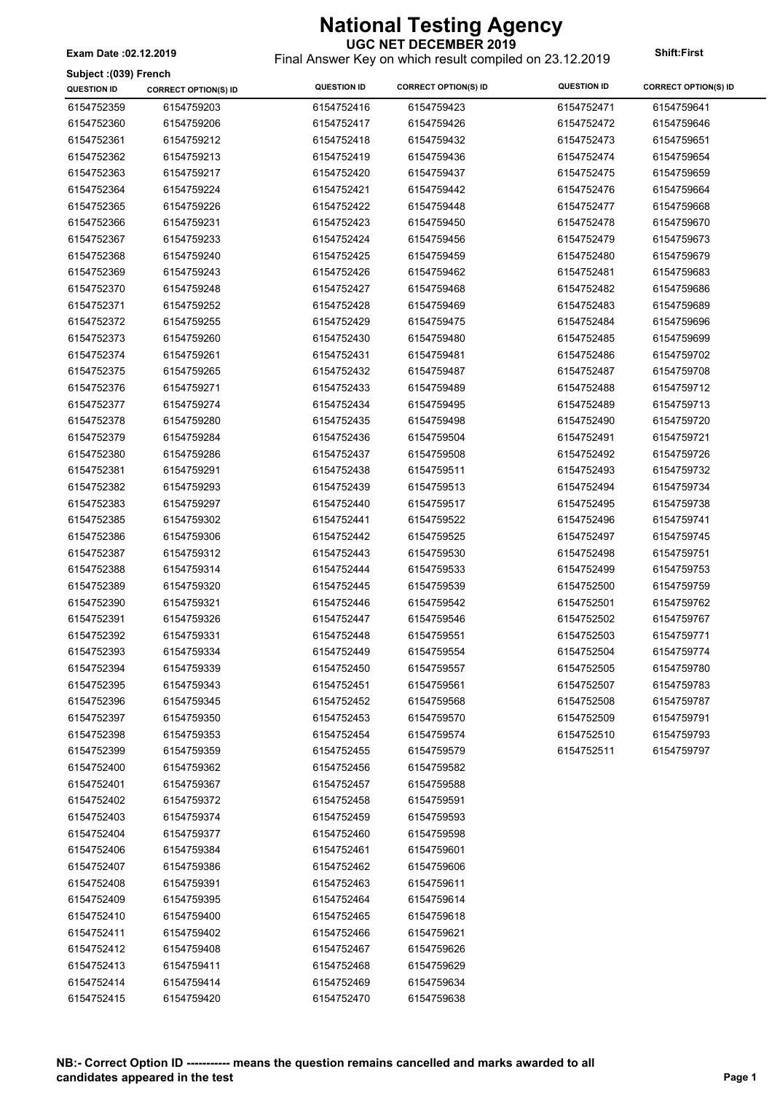**UGC NET DECEMBER 2019** Final Answer Key on which result compiled on 23.12.2019 **Exam Date :02.12.2019 Shift:First**

**Subject :(039) French**

| Subject :(039) French |                             |                    |                             |                    |                             |
|-----------------------|-----------------------------|--------------------|-----------------------------|--------------------|-----------------------------|
| <b>QUESTION ID</b>    | <b>CORRECT OPTION(S) ID</b> | <b>QUESTION ID</b> | <b>CORRECT OPTION(S) ID</b> | <b>QUESTION ID</b> | <b>CORRECT OPTION(S) ID</b> |
| 6154752359            | 6154759203                  | 6154752416         | 6154759423                  | 6154752471         | 6154759641                  |
| 6154752360            | 6154759206                  | 6154752417         | 6154759426                  | 6154752472         | 6154759646                  |
| 6154752361            | 6154759212                  | 6154752418         | 6154759432                  | 6154752473         | 6154759651                  |
| 6154752362            | 6154759213                  | 6154752419         | 6154759436                  | 6154752474         | 6154759654                  |
| 6154752363            | 6154759217                  | 6154752420         | 6154759437                  | 6154752475         | 6154759659                  |
| 6154752364            | 6154759224                  | 6154752421         | 6154759442                  | 6154752476         | 6154759664                  |
| 6154752365            | 6154759226                  | 6154752422         | 6154759448                  | 6154752477         | 6154759668                  |
| 6154752366            | 6154759231                  | 6154752423         | 6154759450                  | 6154752478         | 6154759670                  |
| 6154752367            | 6154759233                  | 6154752424         | 6154759456                  | 6154752479         | 6154759673                  |
| 6154752368            | 6154759240                  | 6154752425         | 6154759459                  | 6154752480         | 6154759679                  |
| 6154752369            | 6154759243                  | 6154752426         | 6154759462                  | 6154752481         | 6154759683                  |
| 6154752370            | 6154759248                  | 6154752427         | 6154759468                  | 6154752482         | 6154759686                  |
| 6154752371            | 6154759252                  | 6154752428         | 6154759469                  | 6154752483         | 6154759689                  |
| 6154752372            | 6154759255                  | 6154752429         | 6154759475                  | 6154752484         | 6154759696                  |
| 6154752373            | 6154759260                  | 6154752430         | 6154759480                  | 6154752485         | 6154759699                  |
| 6154752374            | 6154759261                  | 6154752431         | 6154759481                  | 6154752486         | 6154759702                  |
| 6154752375            | 6154759265                  | 6154752432         | 6154759487                  | 6154752487         | 6154759708                  |
| 6154752376            | 6154759271                  | 6154752433         | 6154759489                  | 6154752488         | 6154759712                  |
| 6154752377            | 6154759274                  | 6154752434         | 6154759495                  | 6154752489         | 6154759713                  |
| 6154752378            | 6154759280                  | 6154752435         | 6154759498                  | 6154752490         | 6154759720                  |
| 6154752379            | 6154759284                  | 6154752436         | 6154759504                  | 6154752491         | 6154759721                  |
| 6154752380            | 6154759286                  | 6154752437         | 6154759508                  | 6154752492         | 6154759726                  |
| 6154752381            | 6154759291                  | 6154752438         | 6154759511                  | 6154752493         | 6154759732                  |
| 6154752382            | 6154759293                  | 6154752439         | 6154759513                  | 6154752494         | 6154759734                  |
| 6154752383            | 6154759297                  | 6154752440         | 6154759517                  | 6154752495         | 6154759738                  |
|                       | 6154759302                  | 6154752441         | 6154759522                  |                    | 6154759741                  |
| 6154752385            |                             |                    |                             | 6154752496         |                             |
| 6154752386            | 6154759306                  | 6154752442         | 6154759525                  | 6154752497         | 6154759745                  |
| 6154752387            | 6154759312                  | 6154752443         | 6154759530                  | 6154752498         | 6154759751                  |
| 6154752388            | 6154759314                  | 6154752444         | 6154759533                  | 6154752499         | 6154759753                  |
| 6154752389            | 6154759320                  | 6154752445         | 6154759539                  | 6154752500         | 6154759759                  |
| 6154752390            | 6154759321                  | 6154752446         | 6154759542                  | 6154752501         | 6154759762                  |
| 6154752391            | 6154759326                  | 6154752447         | 6154759546                  | 6154752502         | 6154759767                  |
| 6154752392            | 6154759331                  | 6154752448         | 6154759551                  | 6154752503         | 6154759771                  |
| 6154752393            | 6154759334                  | 6154752449         | 6154759554                  | 6154752504         | 6154759774                  |
| 6154752394            | 6154759339                  | 6154752450         | 6154759557                  | 6154752505         | 6154759780                  |
| 6154752395            | 6154759343                  | 6154752451         | 6154759561                  | 6154752507         | 6154759783                  |
| 6154752396            | 6154759345                  | 6154752452         | 6154759568                  | 6154752508         | 6154759787                  |
| 6154752397            | 6154759350                  | 6154752453         | 6154759570                  | 6154752509         | 6154759791                  |
| 6154752398            | 6154759353                  | 6154752454         | 6154759574                  | 6154752510         | 6154759793                  |
| 6154752399            | 6154759359                  | 6154752455         | 6154759579                  | 6154752511         | 6154759797                  |
| 6154752400            | 6154759362                  | 6154752456         | 6154759582                  |                    |                             |
| 6154752401            | 6154759367                  | 6154752457         | 6154759588                  |                    |                             |
| 6154752402            | 6154759372                  | 6154752458         | 6154759591                  |                    |                             |
| 6154752403            | 6154759374                  | 6154752459         | 6154759593                  |                    |                             |
| 6154752404            | 6154759377                  | 6154752460         | 6154759598                  |                    |                             |
| 6154752406            | 6154759384                  | 6154752461         | 6154759601                  |                    |                             |
| 6154752407            | 6154759386                  | 6154752462         | 6154759606                  |                    |                             |
| 6154752408            | 6154759391                  | 6154752463         | 6154759611                  |                    |                             |
| 6154752409            | 6154759395                  | 6154752464         | 6154759614                  |                    |                             |
| 6154752410            | 6154759400                  | 6154752465         | 6154759618                  |                    |                             |
| 6154752411            | 6154759402                  | 6154752466         | 6154759621                  |                    |                             |
| 6154752412            | 6154759408                  | 6154752467         | 6154759626                  |                    |                             |
| 6154752413            | 6154759411                  | 6154752468         | 6154759629                  |                    |                             |
| 6154752414            | 6154759414                  | 6154752469         | 6154759634                  |                    |                             |
| 6154752415            | 6154759420                  | 6154752470         | 6154759638                  |                    |                             |
|                       |                             |                    |                             |                    |                             |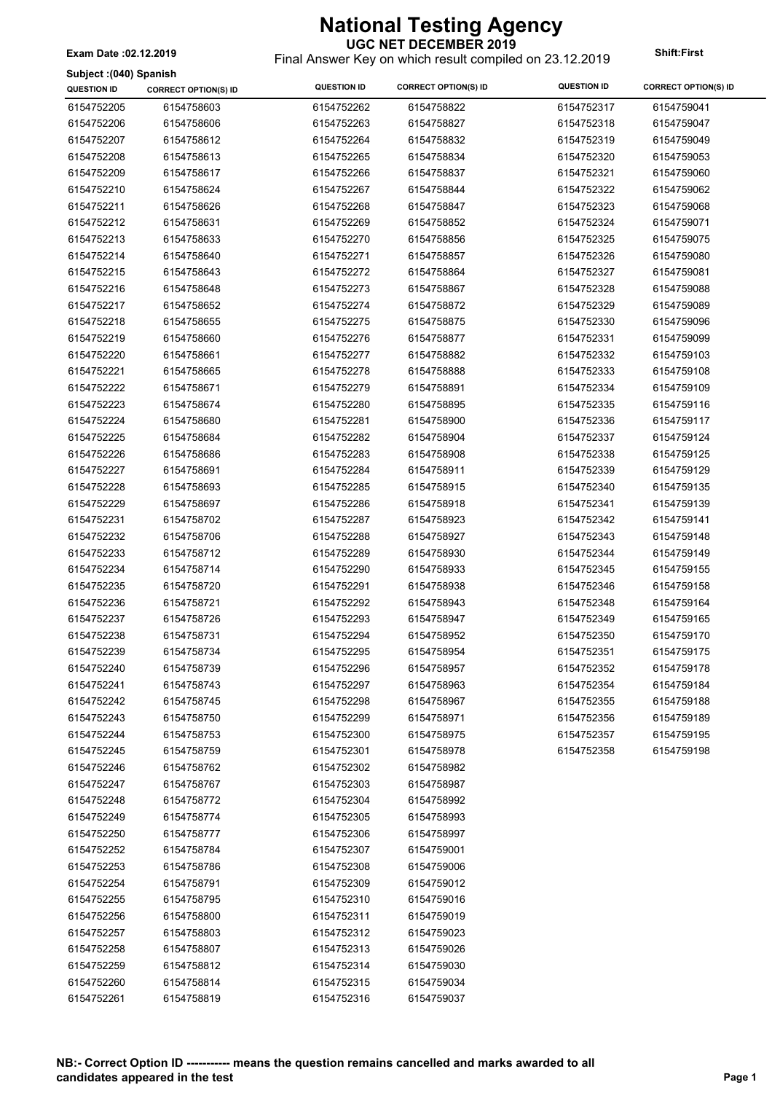**UGC NET DECEMBER 2019** Final Answer Key on which result compiled on 23.12.2019 **Exam Date :02.12.2019 Shift:First**

**Subject :(040) Spanish**

| ounject (1940) opamon<br><b>QUESTION ID</b> | <b>CORRECT OPTION(S) ID</b> | <b>QUESTION ID</b> | <b>CORRECT OPTION(S) ID</b> | <b>QUESTION ID</b> | <b>CORRECT OPTION(S) ID</b> |
|---------------------------------------------|-----------------------------|--------------------|-----------------------------|--------------------|-----------------------------|
| 6154752205                                  | 6154758603                  | 6154752262         | 6154758822                  | 6154752317         | 6154759041                  |
| 6154752206                                  | 6154758606                  | 6154752263         | 6154758827                  | 6154752318         | 6154759047                  |
| 6154752207                                  | 6154758612                  | 6154752264         | 6154758832                  | 6154752319         | 6154759049                  |
| 6154752208                                  | 6154758613                  | 6154752265         | 6154758834                  | 6154752320         | 6154759053                  |
| 6154752209                                  | 6154758617                  | 6154752266         | 6154758837                  | 6154752321         | 6154759060                  |
| 6154752210                                  | 6154758624                  | 6154752267         | 6154758844                  | 6154752322         | 6154759062                  |
| 6154752211                                  | 6154758626                  | 6154752268         | 6154758847                  | 6154752323         | 6154759068                  |
| 6154752212                                  | 6154758631                  | 6154752269         | 6154758852                  | 6154752324         | 6154759071                  |
| 6154752213                                  | 6154758633                  | 6154752270         | 6154758856                  | 6154752325         | 6154759075                  |
| 6154752214                                  | 6154758640                  | 6154752271         | 6154758857                  | 6154752326         | 6154759080                  |
| 6154752215                                  | 6154758643                  | 6154752272         | 6154758864                  | 6154752327         | 6154759081                  |
| 6154752216                                  | 6154758648                  | 6154752273         | 6154758867                  | 6154752328         | 6154759088                  |
| 6154752217                                  | 6154758652                  | 6154752274         | 6154758872                  | 6154752329         | 6154759089                  |
| 6154752218                                  | 6154758655                  | 6154752275         | 6154758875                  | 6154752330         | 6154759096                  |
| 6154752219                                  | 6154758660                  | 6154752276         | 6154758877                  | 6154752331         | 6154759099                  |
| 6154752220                                  | 6154758661                  | 6154752277         | 6154758882                  | 6154752332         | 6154759103                  |
| 6154752221                                  | 6154758665                  | 6154752278         | 6154758888                  | 6154752333         | 6154759108                  |
| 6154752222                                  | 6154758671                  | 6154752279         | 6154758891                  | 6154752334         | 6154759109                  |
| 6154752223                                  | 6154758674                  | 6154752280         | 6154758895                  | 6154752335         | 6154759116                  |
| 6154752224                                  | 6154758680                  | 6154752281         | 6154758900                  | 6154752336         | 6154759117                  |
| 6154752225                                  | 6154758684                  | 6154752282         | 6154758904                  | 6154752337         | 6154759124                  |
| 6154752226                                  | 6154758686                  | 6154752283         | 6154758908                  | 6154752338         | 6154759125                  |
| 6154752227                                  | 6154758691                  | 6154752284         | 6154758911                  | 6154752339         | 6154759129                  |
| 6154752228                                  | 6154758693                  | 6154752285         | 6154758915                  | 6154752340         | 6154759135                  |
| 6154752229                                  | 6154758697                  | 6154752286         | 6154758918                  | 6154752341         | 6154759139                  |
| 6154752231                                  | 6154758702                  | 6154752287         | 6154758923                  | 6154752342         | 6154759141                  |
| 6154752232                                  | 6154758706                  | 6154752288         | 6154758927                  | 6154752343         | 6154759148                  |
| 6154752233                                  | 6154758712                  | 6154752289         | 6154758930                  | 6154752344         | 6154759149                  |
| 6154752234                                  | 6154758714                  | 6154752290         | 6154758933                  | 6154752345         | 6154759155                  |
| 6154752235                                  | 6154758720                  | 6154752291         | 6154758938                  | 6154752346         | 6154759158                  |
| 6154752236                                  | 6154758721                  | 6154752292         | 6154758943                  | 6154752348         | 6154759164                  |
| 6154752237                                  | 6154758726                  | 6154752293         | 6154758947                  | 6154752349         | 6154759165                  |
| 6154752238                                  | 6154758731                  | 6154752294         | 6154758952                  | 6154752350         | 6154759170                  |
| 6154752239                                  | 6154758734                  | 6154752295         | 6154758954                  | 6154752351         | 6154759175                  |
| 6154752240                                  | 6154758739                  | 6154752296         | 6154758957                  | 6154752352         | 6154759178                  |
| 6154752241                                  | 6154758743                  | 6154752297         | 6154758963                  | 6154752354         | 6154759184                  |
| 6154752242                                  | 6154758745                  | 6154752298         | 6154758967                  | 6154752355         | 6154759188                  |
| 6154752243                                  | 6154758750                  | 6154752299         | 6154758971                  | 6154752356         | 6154759189                  |
| 6154752244                                  | 6154758753                  | 6154752300         | 6154758975                  | 6154752357         | 6154759195                  |
| 6154752245                                  | 6154758759                  | 6154752301         | 6154758978                  | 6154752358         | 6154759198                  |
| 6154752246                                  | 6154758762                  | 6154752302         | 6154758982                  |                    |                             |
| 6154752247                                  | 6154758767                  | 6154752303         | 6154758987                  |                    |                             |
| 6154752248                                  | 6154758772                  | 6154752304         | 6154758992                  |                    |                             |
| 6154752249                                  | 6154758774                  | 6154752305         | 6154758993                  |                    |                             |
| 6154752250                                  | 6154758777                  | 6154752306         | 6154758997                  |                    |                             |
| 6154752252                                  | 6154758784                  | 6154752307         | 6154759001                  |                    |                             |
| 6154752253                                  | 6154758786                  | 6154752308         | 6154759006                  |                    |                             |
| 6154752254                                  | 6154758791                  | 6154752309         | 6154759012                  |                    |                             |
| 6154752255                                  | 6154758795                  | 6154752310         | 6154759016                  |                    |                             |
| 6154752256                                  | 6154758800                  | 6154752311         | 6154759019                  |                    |                             |
| 6154752257                                  | 6154758803                  | 6154752312         | 6154759023                  |                    |                             |
| 6154752258                                  | 6154758807                  | 6154752313         | 6154759026                  |                    |                             |
| 6154752259                                  | 6154758812                  | 6154752314         | 6154759030                  |                    |                             |
| 6154752260                                  | 6154758814                  | 6154752315         | 6154759034                  |                    |                             |
| 6154752261                                  | 6154758819                  | 6154752316         | 6154759037                  |                    |                             |
|                                             |                             |                    |                             |                    |                             |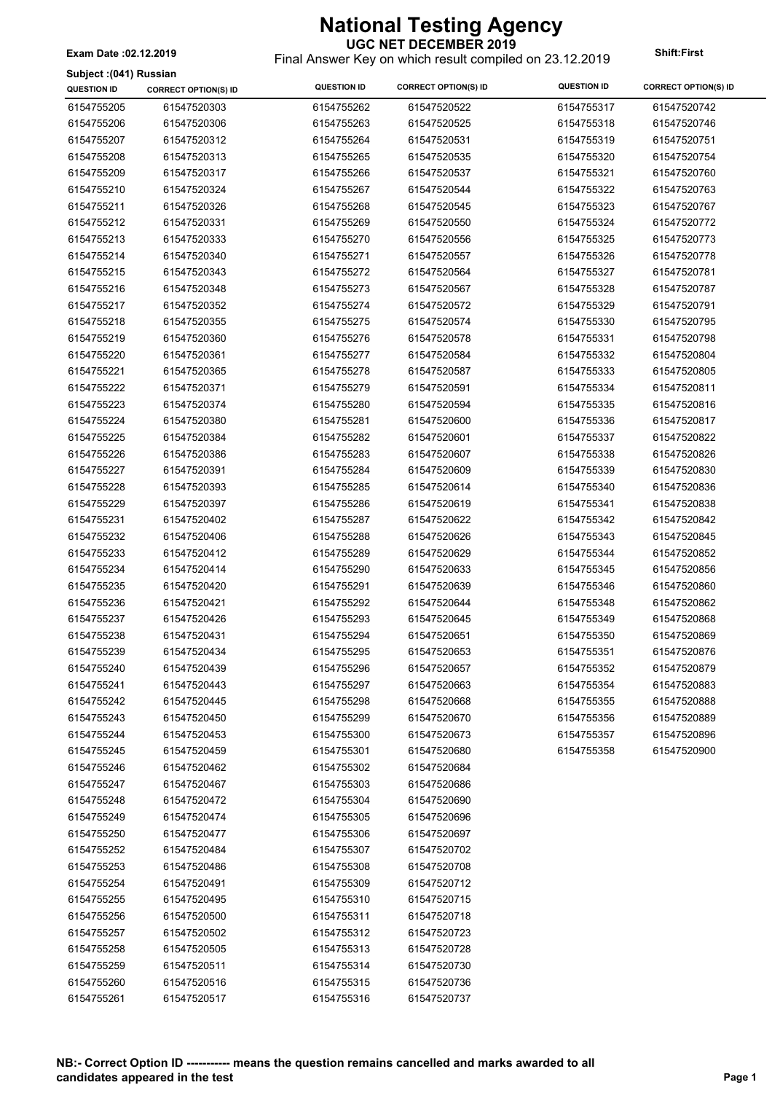Final Answer Key on which result compiled on 23.12.2019 **Exam Date :02.12.2019 Shift:First**

|  |  | Subject: (041) Russian |
|--|--|------------------------|
|--|--|------------------------|

| <b>QUESTION ID</b> | <b>CORRECT OPTION(S) ID</b> | <b>QUESTION ID</b> | <b>CORRECT OPTION(S) ID</b> | <b>QUESTION ID</b> | <b>CORRECT OPTION(S) ID</b> |
|--------------------|-----------------------------|--------------------|-----------------------------|--------------------|-----------------------------|
| 6154755205         | 61547520303                 | 6154755262         | 61547520522                 | 6154755317         | 61547520742                 |
| 6154755206         | 61547520306                 | 6154755263         | 61547520525                 | 6154755318         | 61547520746                 |
| 6154755207         | 61547520312                 | 6154755264         | 61547520531                 | 6154755319         | 61547520751                 |
| 6154755208         | 61547520313                 | 6154755265         | 61547520535                 | 6154755320         | 61547520754                 |
| 6154755209         | 61547520317                 | 6154755266         | 61547520537                 | 6154755321         | 61547520760                 |
| 6154755210         | 61547520324                 | 6154755267         | 61547520544                 | 6154755322         | 61547520763                 |
| 6154755211         | 61547520326                 | 6154755268         | 61547520545                 | 6154755323         | 61547520767                 |
| 6154755212         | 61547520331                 | 6154755269         | 61547520550                 | 6154755324         | 61547520772                 |
| 6154755213         | 61547520333                 | 6154755270         | 61547520556                 | 6154755325         | 61547520773                 |
| 6154755214         | 61547520340                 | 6154755271         | 61547520557                 | 6154755326         | 61547520778                 |
| 6154755215         | 61547520343                 | 6154755272         | 61547520564                 | 6154755327         | 61547520781                 |
| 6154755216         | 61547520348                 | 6154755273         | 61547520567                 | 6154755328         | 61547520787                 |
| 6154755217         | 61547520352                 | 6154755274         | 61547520572                 | 6154755329         | 61547520791                 |
| 6154755218         | 61547520355                 | 6154755275         | 61547520574                 | 6154755330         | 61547520795                 |
| 6154755219         | 61547520360                 | 6154755276         | 61547520578                 | 6154755331         | 61547520798                 |
| 6154755220         | 61547520361                 | 6154755277         | 61547520584                 | 6154755332         | 61547520804                 |
| 6154755221         | 61547520365                 | 6154755278         | 61547520587                 | 6154755333         | 61547520805                 |
| 6154755222         | 61547520371                 | 6154755279         | 61547520591                 | 6154755334         | 61547520811                 |
| 6154755223         | 61547520374                 | 6154755280         | 61547520594                 | 6154755335         | 61547520816                 |
| 6154755224         | 61547520380                 | 6154755281         | 61547520600                 | 6154755336         | 61547520817                 |
| 6154755225         | 61547520384                 | 6154755282         | 61547520601                 | 6154755337         | 61547520822                 |
| 6154755226         | 61547520386                 | 6154755283         | 61547520607                 | 6154755338         | 61547520826                 |
| 6154755227         | 61547520391                 | 6154755284         | 61547520609                 | 6154755339         | 61547520830                 |
| 6154755228         | 61547520393                 | 6154755285         | 61547520614                 | 6154755340         | 61547520836                 |
| 6154755229         | 61547520397                 | 6154755286         | 61547520619                 | 6154755341         | 61547520838                 |
| 6154755231         | 61547520402                 | 6154755287         | 61547520622                 | 6154755342         | 61547520842                 |
| 6154755232         | 61547520406                 | 6154755288         | 61547520626                 | 6154755343         | 61547520845                 |
| 6154755233         | 61547520412                 | 6154755289         | 61547520629                 | 6154755344         | 61547520852                 |
| 6154755234         | 61547520414                 | 6154755290         | 61547520633                 | 6154755345         | 61547520856                 |
| 6154755235         | 61547520420                 | 6154755291         | 61547520639                 | 6154755346         | 61547520860                 |
| 6154755236         | 61547520421                 | 6154755292         | 61547520644                 | 6154755348         | 61547520862                 |
| 6154755237         | 61547520426                 | 6154755293         | 61547520645                 | 6154755349         | 61547520868                 |
| 6154755238         | 61547520431                 | 6154755294         | 61547520651                 | 6154755350         | 61547520869                 |
| 6154755239         | 61547520434                 | 6154755295         | 61547520653                 | 6154755351         | 61547520876                 |
| 6154755240         | 61547520439                 | 6154755296         | 61547520657                 | 6154755352         | 61547520879                 |
| 6154755241         | 61547520443                 | 6154755297         | 61547520663                 | 6154755354         | 61547520883                 |
| 6154755242         | 61547520445                 | 6154755298         | 61547520668                 | 6154755355         | 61547520888                 |
| 6154755243         | 61547520450                 | 6154755299         | 61547520670                 | 6154755356         | 61547520889                 |
| 6154755244         | 61547520453                 | 6154755300         | 61547520673                 | 6154755357         | 61547520896                 |
| 6154755245         | 61547520459                 | 6154755301         | 61547520680                 | 6154755358         | 61547520900                 |
| 6154755246         | 61547520462                 | 6154755302         | 61547520684                 |                    |                             |
| 6154755247         | 61547520467                 | 6154755303         | 61547520686                 |                    |                             |
| 6154755248         | 61547520472                 | 6154755304         | 61547520690                 |                    |                             |
|                    | 61547520474                 |                    | 61547520696                 |                    |                             |
| 6154755249         |                             | 6154755305         |                             |                    |                             |
| 6154755250         | 61547520477                 | 6154755306         | 61547520697                 |                    |                             |
| 6154755252         | 61547520484                 | 6154755307         | 61547520702                 |                    |                             |
| 6154755253         | 61547520486                 | 6154755308         | 61547520708                 |                    |                             |
| 6154755254         | 61547520491                 | 6154755309         | 61547520712                 |                    |                             |
| 6154755255         | 61547520495                 | 6154755310         | 61547520715                 |                    |                             |
| 6154755256         | 61547520500                 | 6154755311         | 61547520718                 |                    |                             |
| 6154755257         | 61547520502                 | 6154755312         | 61547520723                 |                    |                             |
| 6154755258         | 61547520505                 | 6154755313         | 61547520728                 |                    |                             |
| 6154755259         | 61547520511                 | 6154755314         | 61547520730                 |                    |                             |
| 6154755260         | 61547520516                 | 6154755315         | 61547520736                 |                    |                             |
| 6154755261         | 61547520517                 | 6154755316         | 61547520737                 |                    |                             |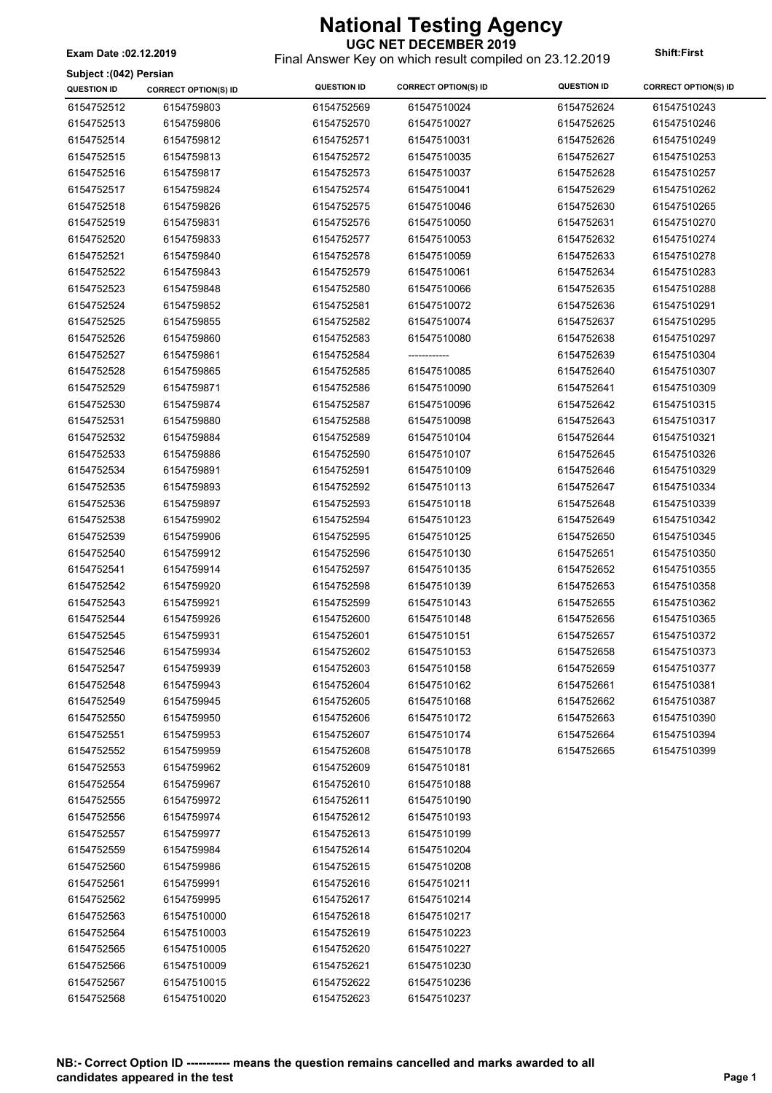**UGC NET DECEMBER 2019** Final Answer Key on which result compiled on 23.12.2019 **Exam Date :02.12.2019 Shift:First**

#### **Subject :(042) Persian**

| Subject :(042) Persian<br><b>QUESTION ID</b> | <b>CORRECT OPTION(S) ID</b> | <b>QUESTION ID</b> | <b>CORRECT OPTION(S) ID</b> | <b>QUESTION ID</b> | <b>CORRECT OPTION(S) ID</b> |
|----------------------------------------------|-----------------------------|--------------------|-----------------------------|--------------------|-----------------------------|
|                                              |                             |                    |                             |                    |                             |
| 6154752512                                   | 6154759803                  | 6154752569         | 61547510024                 | 6154752624         | 61547510243                 |
| 6154752513                                   | 6154759806                  | 6154752570         | 61547510027                 | 6154752625         | 61547510246                 |
| 6154752514                                   | 6154759812                  | 6154752571         | 61547510031                 | 6154752626         | 61547510249                 |
| 6154752515                                   | 6154759813                  | 6154752572         | 61547510035                 | 6154752627         | 61547510253                 |
| 6154752516                                   | 6154759817                  | 6154752573         | 61547510037                 | 6154752628         | 61547510257                 |
| 6154752517                                   | 6154759824                  | 6154752574         | 61547510041                 | 6154752629         | 61547510262                 |
| 6154752518                                   | 6154759826                  | 6154752575         | 61547510046                 | 6154752630         | 61547510265                 |
| 6154752519                                   | 6154759831                  | 6154752576         | 61547510050                 | 6154752631         | 61547510270                 |
| 6154752520                                   | 6154759833                  | 6154752577         | 61547510053                 | 6154752632         | 61547510274                 |
| 6154752521                                   | 6154759840                  | 6154752578         | 61547510059                 | 6154752633         | 61547510278                 |
| 6154752522                                   | 6154759843                  | 6154752579         | 61547510061                 | 6154752634         | 61547510283                 |
| 6154752523                                   | 6154759848                  | 6154752580         | 61547510066                 | 6154752635         | 61547510288                 |
| 6154752524                                   | 6154759852                  | 6154752581         | 61547510072                 | 6154752636         | 61547510291                 |
| 6154752525                                   | 6154759855                  | 6154752582         | 61547510074                 | 6154752637         | 61547510295                 |
| 6154752526                                   | 6154759860                  | 6154752583         | 61547510080                 | 6154752638         | 61547510297                 |
| 6154752527                                   | 6154759861                  | 6154752584         | ------------                | 6154752639         | 61547510304                 |
| 6154752528                                   | 6154759865                  | 6154752585         | 61547510085                 | 6154752640         | 61547510307                 |
| 6154752529                                   | 6154759871                  | 6154752586         | 61547510090                 | 6154752641         | 61547510309                 |
| 6154752530                                   | 6154759874                  | 6154752587         | 61547510096                 | 6154752642         | 61547510315                 |
| 6154752531                                   | 6154759880                  | 6154752588         | 61547510098                 | 6154752643         | 61547510317                 |
| 6154752532                                   | 6154759884                  | 6154752589         | 61547510104                 | 6154752644         | 61547510321                 |
| 6154752533                                   | 6154759886                  | 6154752590         | 61547510107                 | 6154752645         | 61547510326                 |
| 6154752534                                   | 6154759891                  | 6154752591         | 61547510109                 | 6154752646         | 61547510329                 |
| 6154752535                                   | 6154759893                  | 6154752592         | 61547510113                 | 6154752647         | 61547510334                 |
| 6154752536                                   | 6154759897                  | 6154752593         | 61547510118                 | 6154752648         | 61547510339                 |
| 6154752538                                   | 6154759902                  | 6154752594         | 61547510123                 | 6154752649         | 61547510342                 |
| 6154752539                                   | 6154759906                  | 6154752595         | 61547510125                 | 6154752650         | 61547510345                 |
| 6154752540                                   | 6154759912                  | 6154752596         | 61547510130                 | 6154752651         | 61547510350                 |
| 6154752541                                   | 6154759914                  | 6154752597         | 61547510135                 | 6154752652         | 61547510355                 |
| 6154752542                                   | 6154759920                  | 6154752598         | 61547510139                 | 6154752653         | 61547510358                 |
| 6154752543                                   | 6154759921                  | 6154752599         | 61547510143                 | 6154752655         | 61547510362                 |
| 6154752544                                   | 6154759926                  | 6154752600         | 61547510148                 | 6154752656         | 61547510365                 |
| 6154752545                                   | 6154759931                  | 6154752601         | 61547510151                 | 6154752657         | 61547510372                 |
| 6154752546                                   | 6154759934                  | 6154752602         | 61547510153                 | 6154752658         | 61547510373                 |
| 6154752547                                   | 6154759939                  | 6154752603         | 61547510158                 | 6154752659         | 61547510377                 |
| 6154752548                                   | 6154759943                  | 6154752604         | 61547510162                 | 6154752661         | 61547510381                 |
| 6154752549                                   | 6154759945                  | 6154752605         | 61547510168                 | 6154752662         | 61547510387                 |
| 6154752550                                   | 6154759950                  | 6154752606         | 61547510172                 | 6154752663         | 61547510390                 |
| 6154752551                                   | 6154759953                  | 6154752607         | 61547510174                 | 6154752664         | 61547510394                 |
| 6154752552                                   | 6154759959                  | 6154752608         | 61547510178                 | 6154752665         | 61547510399                 |
| 6154752553                                   | 6154759962                  | 6154752609         | 61547510181                 |                    |                             |
| 6154752554                                   | 6154759967                  | 6154752610         | 61547510188                 |                    |                             |
| 6154752555                                   | 6154759972                  | 6154752611         | 61547510190                 |                    |                             |
| 6154752556                                   | 6154759974                  | 6154752612         | 61547510193                 |                    |                             |
| 6154752557                                   | 6154759977                  | 6154752613         | 61547510199                 |                    |                             |
|                                              |                             |                    |                             |                    |                             |
| 6154752559                                   | 6154759984                  | 6154752614         | 61547510204                 |                    |                             |
| 6154752560                                   | 6154759986                  | 6154752615         | 61547510208                 |                    |                             |
| 6154752561                                   | 6154759991                  | 6154752616         | 61547510211                 |                    |                             |
| 6154752562                                   | 6154759995                  | 6154752617         | 61547510214                 |                    |                             |
| 6154752563                                   | 61547510000                 | 6154752618         | 61547510217                 |                    |                             |
| 6154752564                                   | 61547510003                 | 6154752619         | 61547510223                 |                    |                             |
| 6154752565                                   | 61547510005                 | 6154752620         | 61547510227                 |                    |                             |
| 6154752566                                   | 61547510009                 | 6154752621         | 61547510230                 |                    |                             |
| 6154752567                                   | 61547510015                 | 6154752622         | 61547510236                 |                    |                             |
| 6154752568                                   | 61547510020                 | 6154752623         | 61547510237                 |                    |                             |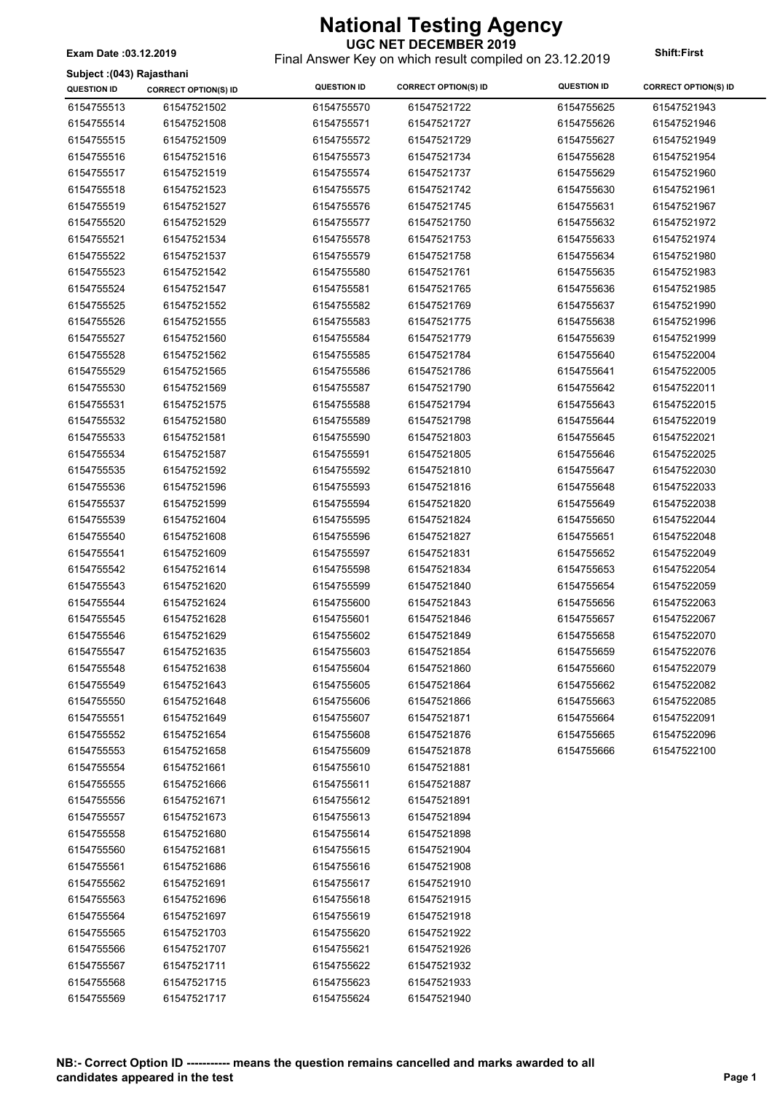**UGC NET DECEMBER 2019** Final Answer Key on which result compiled on 23.12.2019 **Exam Date :03.12.2019 Shift:First**

#### **Subject :(043) Rajasthani**

| əubject .(043) Rajastılalıl<br><b>QUESTION ID</b> | <b>CORRECT OPTION(S) ID</b> | <b>QUESTION ID</b> | <b>CORRECT OPTION(S) ID</b> | <b>QUESTION ID</b>       | <b>CORRECT OPTION(S) ID</b> |
|---------------------------------------------------|-----------------------------|--------------------|-----------------------------|--------------------------|-----------------------------|
|                                                   |                             | 6154755570         |                             |                          |                             |
| 6154755513<br>6154755514                          | 61547521502                 | 6154755571         | 61547521722<br>61547521727  | 6154755625<br>6154755626 | 61547521943<br>61547521946  |
|                                                   | 61547521508                 |                    |                             |                          |                             |
| 6154755515                                        | 61547521509                 | 6154755572         | 61547521729                 | 6154755627               | 61547521949                 |
| 6154755516                                        | 61547521516                 | 6154755573         | 61547521734                 | 6154755628               | 61547521954                 |
| 6154755517                                        | 61547521519                 | 6154755574         | 61547521737                 | 6154755629               | 61547521960                 |
| 6154755518                                        | 61547521523                 | 6154755575         | 61547521742                 | 6154755630               | 61547521961                 |
| 6154755519                                        | 61547521527                 | 6154755576         | 61547521745                 | 6154755631               | 61547521967                 |
| 6154755520                                        | 61547521529                 | 6154755577         | 61547521750                 | 6154755632               | 61547521972                 |
| 6154755521                                        | 61547521534                 | 6154755578         | 61547521753                 | 6154755633               | 61547521974                 |
| 6154755522                                        | 61547521537                 | 6154755579         | 61547521758                 | 6154755634               | 61547521980                 |
| 6154755523                                        | 61547521542                 | 6154755580         | 61547521761                 | 6154755635               | 61547521983                 |
| 6154755524                                        | 61547521547                 | 6154755581         | 61547521765                 | 6154755636               | 61547521985                 |
| 6154755525                                        | 61547521552                 | 6154755582         | 61547521769                 | 6154755637               | 61547521990                 |
| 6154755526                                        | 61547521555                 | 6154755583         | 61547521775                 | 6154755638               | 61547521996                 |
| 6154755527                                        | 61547521560                 | 6154755584         | 61547521779                 | 6154755639               | 61547521999                 |
| 6154755528                                        | 61547521562                 | 6154755585         | 61547521784                 | 6154755640               | 61547522004                 |
| 6154755529                                        | 61547521565                 | 6154755586         | 61547521786                 | 6154755641               | 61547522005                 |
| 6154755530                                        | 61547521569                 | 6154755587         | 61547521790                 | 6154755642               | 61547522011                 |
| 6154755531                                        | 61547521575                 | 6154755588         | 61547521794                 | 6154755643               | 61547522015                 |
| 6154755532                                        | 61547521580                 | 6154755589         | 61547521798                 | 6154755644               | 61547522019                 |
| 6154755533                                        | 61547521581                 | 6154755590         | 61547521803                 | 6154755645               | 61547522021                 |
| 6154755534                                        | 61547521587                 | 6154755591         | 61547521805                 | 6154755646               | 61547522025                 |
| 6154755535                                        | 61547521592                 | 6154755592         | 61547521810                 | 6154755647               | 61547522030                 |
| 6154755536                                        | 61547521596                 | 6154755593         | 61547521816                 | 6154755648               | 61547522033                 |
| 6154755537                                        | 61547521599                 | 6154755594         | 61547521820                 | 6154755649               | 61547522038                 |
| 6154755539                                        | 61547521604                 | 6154755595         | 61547521824                 | 6154755650               | 61547522044                 |
| 6154755540                                        | 61547521608                 | 6154755596         | 61547521827                 | 6154755651               | 61547522048                 |
| 6154755541                                        | 61547521609                 | 6154755597         | 61547521831                 | 6154755652               | 61547522049                 |
| 6154755542                                        | 61547521614                 | 6154755598         | 61547521834                 | 6154755653               | 61547522054                 |
| 6154755543                                        | 61547521620                 | 6154755599         | 61547521840                 | 6154755654               | 61547522059                 |
| 6154755544                                        | 61547521624                 | 6154755600         | 61547521843                 | 6154755656               | 61547522063                 |
| 6154755545                                        | 61547521628                 | 6154755601         | 61547521846                 | 6154755657               | 61547522067                 |
| 6154755546                                        | 61547521629                 | 6154755602         | 61547521849                 | 6154755658               | 61547522070                 |
| 6154755547                                        | 61547521635                 | 6154755603         | 61547521854                 | 6154755659               | 61547522076                 |
| 6154755548                                        | 61547521638                 | 6154755604         | 61547521860                 | 6154755660               | 61547522079                 |
| 6154755549                                        | 61547521643                 | 6154755605         | 61547521864                 | 6154755662               | 61547522082                 |
| 6154755550                                        | 61547521648                 | 6154755606         | 61547521866                 | 6154755663               | 61547522085                 |
| 6154755551                                        | 61547521649                 | 6154755607         | 61547521871                 | 6154755664               | 61547522091                 |
| 6154755552                                        | 61547521654                 | 6154755608         | 61547521876                 | 6154755665               | 61547522096                 |
| 6154755553                                        | 61547521658                 | 6154755609         | 61547521878                 | 6154755666               | 61547522100                 |
| 6154755554                                        | 61547521661                 | 6154755610         | 61547521881                 |                          |                             |
| 6154755555                                        | 61547521666                 | 6154755611         | 61547521887                 |                          |                             |
| 6154755556                                        | 61547521671                 | 6154755612         | 61547521891                 |                          |                             |
| 6154755557                                        | 61547521673                 | 6154755613         | 61547521894                 |                          |                             |
| 6154755558                                        | 61547521680                 | 6154755614         | 61547521898                 |                          |                             |
| 6154755560                                        | 61547521681                 | 6154755615         | 61547521904                 |                          |                             |
| 6154755561                                        | 61547521686                 | 6154755616         | 61547521908                 |                          |                             |
| 6154755562                                        | 61547521691                 | 6154755617         | 61547521910                 |                          |                             |
| 6154755563                                        | 61547521696                 | 6154755618         | 61547521915                 |                          |                             |
| 6154755564                                        | 61547521697                 | 6154755619         | 61547521918                 |                          |                             |
| 6154755565                                        | 61547521703                 | 6154755620         | 61547521922                 |                          |                             |
| 6154755566                                        | 61547521707                 | 6154755621         | 61547521926                 |                          |                             |
| 6154755567                                        | 61547521711                 | 6154755622         | 61547521932                 |                          |                             |
| 6154755568                                        | 61547521715                 | 6154755623         | 61547521933                 |                          |                             |
| 6154755569                                        | 61547521717                 | 6154755624         | 61547521940                 |                          |                             |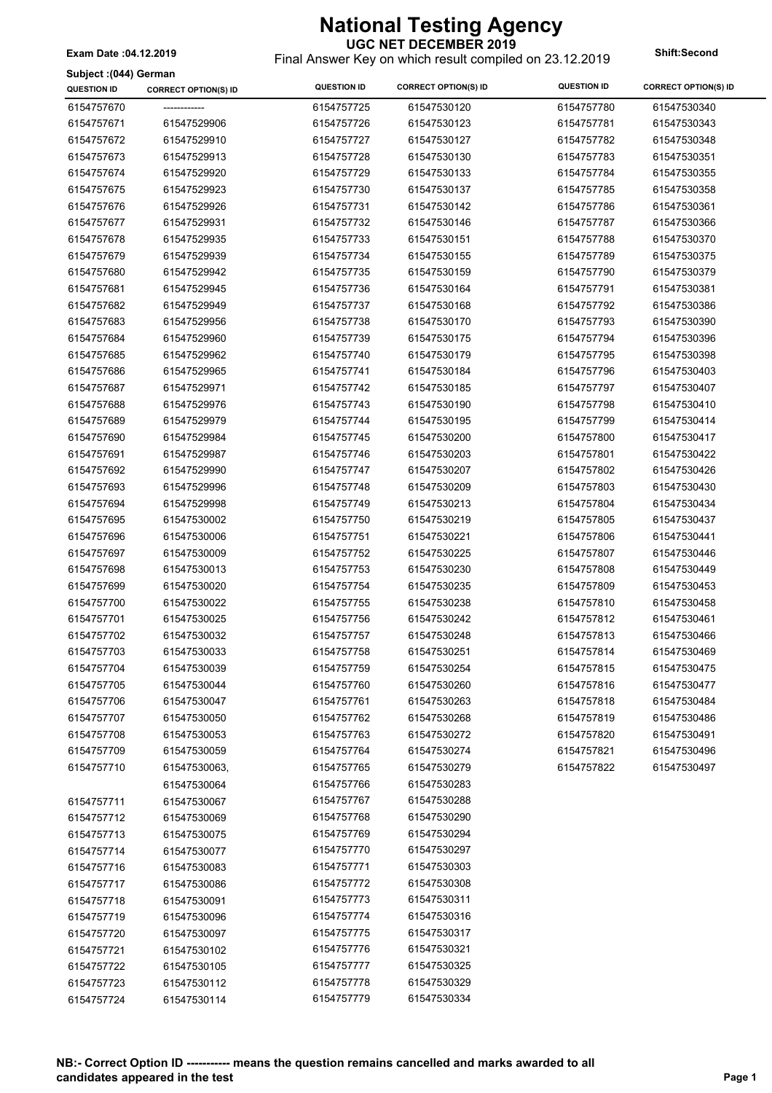Final Answer Key on which result compiled on 23.12.2019 **Exam Date :04.12.2019 Shift:Second**

#### **Subject :(044) German**

| Subject :(044) German<br><b>QUESTION ID</b> | <b>CORRECT OPTION(S) ID</b> | <b>QUESTION ID</b> | <b>CORRECT OPTION(S) ID</b> | <b>QUESTION ID</b> | <b>CORRECT OPTION(S) ID</b> |
|---------------------------------------------|-----------------------------|--------------------|-----------------------------|--------------------|-----------------------------|
| 6154757670                                  | -------------               | 6154757725         | 61547530120                 | 6154757780         | 61547530340                 |
| 6154757671                                  | 61547529906                 | 6154757726         | 61547530123                 | 6154757781         | 61547530343                 |
| 6154757672                                  | 61547529910                 | 6154757727         | 61547530127                 | 6154757782         | 61547530348                 |
| 6154757673                                  | 61547529913                 | 6154757728         | 61547530130                 | 6154757783         | 61547530351                 |
| 6154757674                                  | 61547529920                 | 6154757729         | 61547530133                 | 6154757784         | 61547530355                 |
|                                             |                             |                    |                             |                    |                             |
| 6154757675                                  | 61547529923                 | 6154757730         | 61547530137                 | 6154757785         | 61547530358                 |
| 6154757676                                  | 61547529926                 | 6154757731         | 61547530142                 | 6154757786         | 61547530361                 |
| 6154757677                                  | 61547529931                 | 6154757732         | 61547530146                 | 6154757787         | 61547530366                 |
| 6154757678                                  | 61547529935                 | 6154757733         | 61547530151                 | 6154757788         | 61547530370                 |
| 6154757679                                  | 61547529939                 | 6154757734         | 61547530155                 | 6154757789         | 61547530375                 |
| 6154757680                                  | 61547529942                 | 6154757735         | 61547530159                 | 6154757790         | 61547530379                 |
| 6154757681                                  | 61547529945                 | 6154757736         | 61547530164                 | 6154757791         | 61547530381                 |
| 6154757682                                  | 61547529949                 | 6154757737         | 61547530168                 | 6154757792         | 61547530386                 |
| 6154757683                                  | 61547529956                 | 6154757738         | 61547530170                 | 6154757793         | 61547530390                 |
| 6154757684                                  | 61547529960                 | 6154757739         | 61547530175                 | 6154757794         | 61547530396                 |
| 6154757685                                  | 61547529962                 | 6154757740         | 61547530179                 | 6154757795         | 61547530398                 |
| 6154757686                                  | 61547529965                 | 6154757741         | 61547530184                 | 6154757796         | 61547530403                 |
| 6154757687                                  | 61547529971                 | 6154757742         | 61547530185                 | 6154757797         | 61547530407                 |
| 6154757688                                  | 61547529976                 | 6154757743         | 61547530190                 | 6154757798         | 61547530410                 |
| 6154757689                                  | 61547529979                 | 6154757744         | 61547530195                 | 6154757799         | 61547530414                 |
| 6154757690                                  | 61547529984                 | 6154757745         | 61547530200                 | 6154757800         | 61547530417                 |
| 6154757691                                  | 61547529987                 | 6154757746         | 61547530203                 | 6154757801         | 61547530422                 |
| 6154757692                                  | 61547529990                 | 6154757747         | 61547530207                 | 6154757802         | 61547530426                 |
| 6154757693                                  | 61547529996                 | 6154757748         | 61547530209                 | 6154757803         | 61547530430                 |
| 6154757694                                  | 61547529998                 | 6154757749         | 61547530213                 | 6154757804         | 61547530434                 |
| 6154757695                                  | 61547530002                 | 6154757750         | 61547530219                 | 6154757805         | 61547530437                 |
| 6154757696                                  | 61547530006                 | 6154757751         | 61547530221                 | 6154757806         | 61547530441                 |
| 6154757697                                  | 61547530009                 | 6154757752         | 61547530225                 | 6154757807         | 61547530446                 |
| 6154757698                                  | 61547530013                 | 6154757753         | 61547530230                 | 6154757808         | 61547530449                 |
| 6154757699                                  | 61547530020                 | 6154757754         | 61547530235                 | 6154757809         | 61547530453                 |
| 6154757700                                  | 61547530022                 | 6154757755         | 61547530238                 | 6154757810         | 61547530458                 |
| 6154757701                                  | 61547530025                 | 6154757756         | 61547530242                 | 6154757812         | 61547530461                 |
| 6154757702                                  | 61547530032                 | 6154757757         | 61547530248                 | 6154757813         | 61547530466                 |
| 6154757703                                  | 61547530033                 | 6154757758         | 61547530251                 | 6154757814         | 61547530469                 |
| 6154757704                                  | 61547530039                 | 6154757759         | 61547530254                 | 6154757815         | 61547530475                 |
| 6154757705                                  | 61547530044                 | 6154757760         | 61547530260                 | 6154757816         | 61547530477                 |
| 6154757706                                  | 61547530047                 | 6154757761         | 61547530263                 | 6154757818         | 61547530484                 |
| 6154757707                                  | 61547530050                 | 6154757762         | 61547530268                 | 6154757819         | 61547530486                 |
| 6154757708                                  | 61547530053                 | 6154757763         | 61547530272                 | 6154757820         | 61547530491                 |
| 6154757709                                  | 61547530059                 | 6154757764         | 61547530274                 | 6154757821         | 61547530496                 |
| 6154757710                                  | 61547530063,                | 6154757765         | 61547530279                 | 6154757822         | 61547530497                 |
|                                             | 61547530064                 | 6154757766         | 61547530283                 |                    |                             |
| 6154757711                                  | 61547530067                 | 6154757767         | 61547530288                 |                    |                             |
| 6154757712                                  | 61547530069                 | 6154757768         | 61547530290                 |                    |                             |
| 6154757713                                  | 61547530075                 | 6154757769         | 61547530294                 |                    |                             |
| 6154757714                                  | 61547530077                 | 6154757770         | 61547530297                 |                    |                             |
| 6154757716                                  | 61547530083                 | 6154757771         | 61547530303                 |                    |                             |
| 6154757717                                  | 61547530086                 | 6154757772         | 61547530308                 |                    |                             |
| 6154757718                                  | 61547530091                 | 6154757773         | 61547530311                 |                    |                             |
|                                             |                             | 6154757774         | 61547530316                 |                    |                             |
| 6154757719                                  | 61547530096                 | 6154757775         | 61547530317                 |                    |                             |
| 6154757720                                  | 61547530097                 |                    |                             |                    |                             |
| 6154757721                                  | 61547530102                 | 6154757776         | 61547530321                 |                    |                             |
| 6154757722                                  | 61547530105                 | 6154757777         | 61547530325                 |                    |                             |
| 6154757723                                  | 61547530112                 | 6154757778         | 61547530329                 |                    |                             |
| 6154757724                                  | 61547530114                 | 6154757779         | 61547530334                 |                    |                             |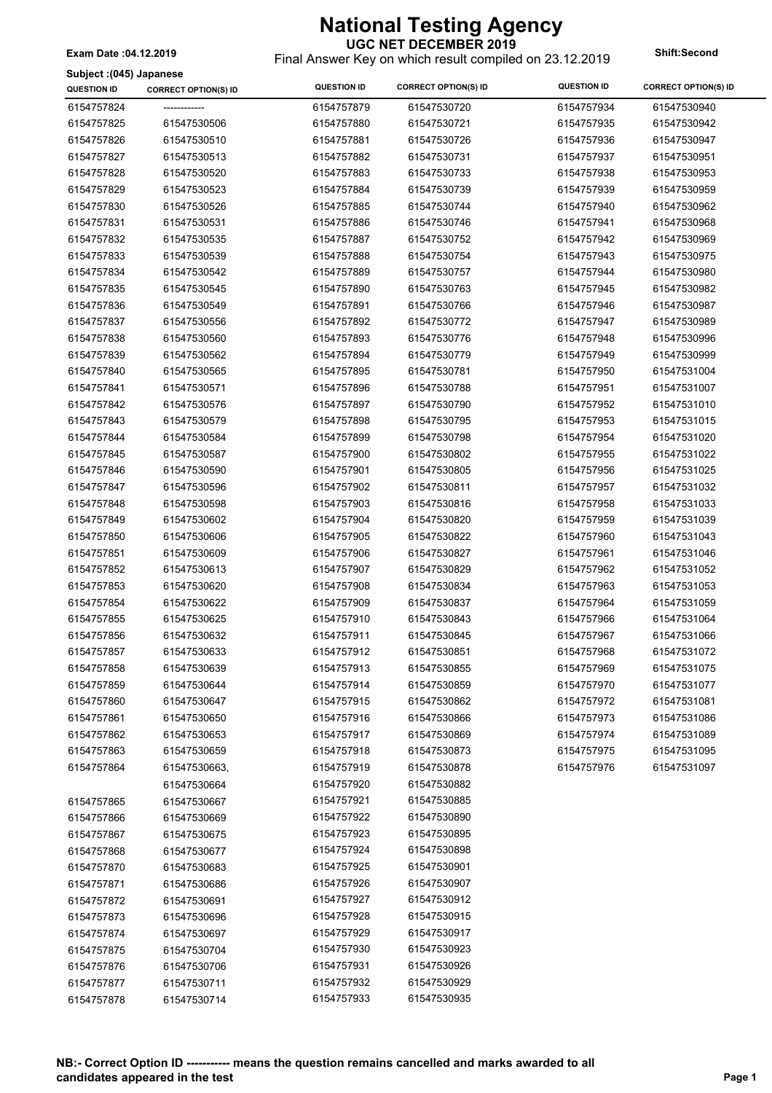Final Answer Key on which result compiled on 23.12.2019 **Exam Date :04.12.2019 Shift:Second**

|  |  | Subject: (045) Japanese |
|--|--|-------------------------|
|--|--|-------------------------|

| <b>QUESTION ID</b>       | <b>CORRECT OPTION(S) ID</b> | <b>QUESTION ID</b> | <b>CORRECT OPTION(S) ID</b> | <b>QUESTION ID</b> | <b>CORRECT OPTION(S) ID</b> |
|--------------------------|-----------------------------|--------------------|-----------------------------|--------------------|-----------------------------|
| 6154757824               |                             | 6154757879         | 61547530720                 | 6154757934         | 61547530940                 |
| 6154757825               | 61547530506                 | 6154757880         | 61547530721                 | 6154757935         | 61547530942                 |
| 6154757826               | 61547530510                 | 6154757881         | 61547530726                 | 6154757936         | 61547530947                 |
| 6154757827               | 61547530513                 | 6154757882         | 61547530731                 | 6154757937         | 61547530951                 |
| 6154757828               | 61547530520                 | 6154757883         | 61547530733                 | 6154757938         | 61547530953                 |
| 6154757829               | 61547530523                 | 6154757884         | 61547530739                 | 6154757939         | 61547530959                 |
| 6154757830               | 61547530526                 | 6154757885         | 61547530744                 | 6154757940         | 61547530962                 |
| 6154757831               | 61547530531                 | 6154757886         | 61547530746                 | 6154757941         | 61547530968                 |
| 6154757832               | 61547530535                 | 6154757887         | 61547530752                 | 6154757942         | 61547530969                 |
| 6154757833               | 61547530539                 | 6154757888         | 61547530754                 | 6154757943         | 61547530975                 |
| 6154757834               | 61547530542                 | 6154757889         | 61547530757                 | 6154757944         | 61547530980                 |
| 6154757835               | 61547530545                 | 6154757890         | 61547530763                 | 6154757945         | 61547530982                 |
| 6154757836               | 61547530549                 | 6154757891         | 61547530766                 | 6154757946         | 61547530987                 |
| 6154757837               | 61547530556                 | 6154757892         | 61547530772                 | 6154757947         | 61547530989                 |
| 6154757838               | 61547530560                 | 6154757893         | 61547530776                 | 6154757948         | 61547530996                 |
| 6154757839               | 61547530562                 | 6154757894         | 61547530779                 | 6154757949         | 61547530999                 |
| 6154757840               | 61547530565                 | 6154757895         | 61547530781                 | 6154757950         | 61547531004                 |
| 6154757841               | 61547530571                 | 6154757896         | 61547530788                 | 6154757951         | 61547531007                 |
| 6154757842               | 61547530576                 | 6154757897         | 61547530790                 | 6154757952         | 61547531010                 |
| 6154757843               | 61547530579                 | 6154757898         | 61547530795                 | 6154757953         | 61547531015                 |
| 6154757844               | 61547530584                 | 6154757899         | 61547530798                 | 6154757954         | 61547531020                 |
| 6154757845               | 61547530587                 | 6154757900         | 61547530802                 | 6154757955         | 61547531022                 |
| 6154757846               | 61547530590                 | 6154757901         | 61547530805                 | 6154757956         | 61547531025                 |
| 6154757847               | 61547530596                 | 6154757902         | 61547530811                 | 6154757957         | 61547531032                 |
| 6154757848               | 61547530598                 | 6154757903         | 61547530816                 | 6154757958         | 61547531033                 |
| 6154757849               | 61547530602                 | 6154757904         | 61547530820                 | 6154757959         | 61547531039                 |
| 6154757850               | 61547530606                 | 6154757905         | 61547530822                 | 6154757960         | 61547531043                 |
| 6154757851               | 61547530609                 | 6154757906         | 61547530827                 | 6154757961         | 61547531046                 |
| 6154757852               | 61547530613                 | 6154757907         | 61547530829                 | 6154757962         | 61547531052                 |
| 6154757853               | 61547530620                 | 6154757908         | 61547530834                 | 6154757963         | 61547531053                 |
| 6154757854               | 61547530622                 | 6154757909         | 61547530837                 | 6154757964         | 61547531059                 |
| 6154757855               | 61547530625                 | 6154757910         | 61547530843                 | 6154757966         | 61547531064                 |
| 6154757856               | 61547530632                 | 6154757911         | 61547530845                 | 6154757967         | 61547531066                 |
| 6154757857               | 61547530633                 | 6154757912         | 61547530851                 | 6154757968         | 61547531072                 |
| 6154757858               | 61547530639                 | 6154757913         | 61547530855                 | 6154757969         | 61547531075                 |
| 6154757859               | 61547530644                 | 6154757914         | 61547530859                 | 6154757970         | 61547531077                 |
| 6154757860               | 61547530647                 | 6154757915         | 61547530862                 | 6154757972         | 61547531081                 |
| 6154757861               | 61547530650                 | 6154757916         | 61547530866                 | 6154757973         | 61547531086                 |
| 6154757862               | 61547530653                 | 6154757917         | 61547530869                 | 6154757974         | 61547531089                 |
| 6154757863               | 61547530659                 | 6154757918         | 61547530873                 | 6154757975         | 61547531095                 |
| 6154757864               | 61547530663,                | 6154757919         | 61547530878                 | 6154757976         | 61547531097                 |
|                          | 61547530664                 | 6154757920         | 61547530882                 |                    |                             |
| 6154757865               | 61547530667                 | 6154757921         | 61547530885                 |                    |                             |
| 6154757866               | 61547530669                 | 6154757922         | 61547530890                 |                    |                             |
|                          |                             | 6154757923         | 61547530895                 |                    |                             |
| 6154757867               | 61547530675<br>61547530677  | 6154757924         | 61547530898                 |                    |                             |
| 6154757868               |                             | 6154757925         | 61547530901                 |                    |                             |
| 6154757870<br>6154757871 | 61547530683<br>61547530686  | 6154757926         | 61547530907                 |                    |                             |
| 6154757872               | 61547530691                 | 6154757927         | 61547530912                 |                    |                             |
|                          |                             | 6154757928         | 61547530915                 |                    |                             |
| 6154757873               | 61547530696                 | 6154757929         | 61547530917                 |                    |                             |
| 6154757874               | 61547530697                 | 6154757930         | 61547530923                 |                    |                             |
| 6154757875               | 61547530704                 | 6154757931         | 61547530926                 |                    |                             |
| 6154757876               | 61547530706                 | 6154757932         | 61547530929                 |                    |                             |
| 6154757877               | 61547530711                 |                    | 61547530935                 |                    |                             |
| 6154757878               | 61547530714                 | 6154757933         |                             |                    |                             |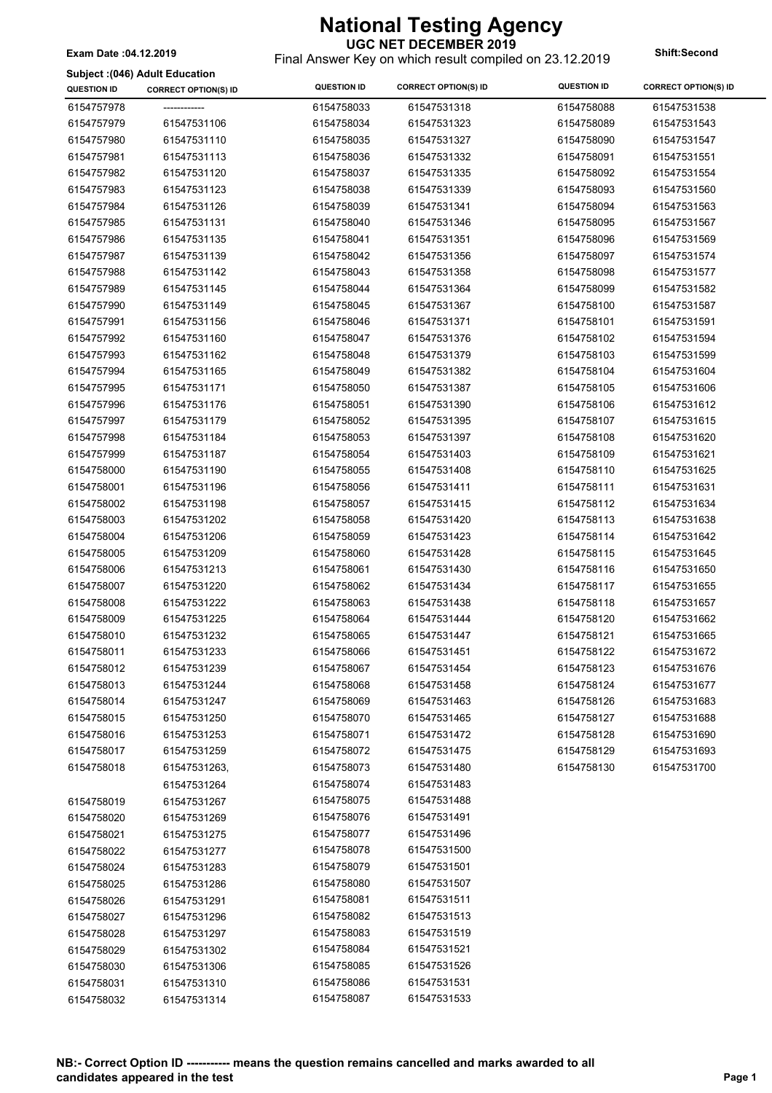Final Answer Key on which result compiled on 23.12.2019 **Exam Date :04.12.2019 Shift:Second**

#### **Subject :(046) Adult Education**

| 6154757978<br>6154758033<br>61547531318<br>6154758088<br>61547531538<br>6154757979<br>61547531106<br>6154758034<br>61547531323<br>6154758089<br>61547531543<br>6154757980<br>61547531110<br>6154758035<br>61547531327<br>6154758090<br>61547531547<br>6154757981<br>61547531113<br>6154758036<br>61547531332<br>6154758091<br>61547531551<br>6154757982<br>61547531120<br>6154758037<br>61547531335<br>6154758092<br>61547531554<br>6154757983<br>61547531123<br>6154758038<br>61547531339<br>6154758093<br>61547531560<br>6154757984<br>61547531126<br>6154758039<br>61547531341<br>6154758094<br>61547531563<br>6154757985<br>61547531131<br>6154758040<br>61547531346<br>6154758095<br>61547531567<br>6154757986<br>61547531135<br>6154758041<br>61547531351<br>6154758096<br>61547531569<br>6154757987<br>61547531139<br>6154758042<br>61547531356<br>6154758097<br>61547531574<br>6154757988<br>61547531142<br>6154758043<br>61547531358<br>6154758098<br>61547531577<br>6154757989<br>61547531145<br>6154758044<br>61547531364<br>6154758099<br>61547531582<br>6154757990<br>61547531149<br>6154758045<br>61547531367<br>6154758100<br>61547531587<br>6154757991<br>61547531371<br>6154758101<br>61547531156<br>6154758046<br>61547531591<br>6154757992<br>61547531160<br>61547531376<br>6154758102<br>6154758047<br>61547531594<br>6154757993<br>61547531162<br>6154758048<br>61547531379<br>6154758103<br>61547531599<br>6154757994<br>6154758104<br>61547531604<br>61547531165<br>6154758049<br>61547531382<br>6154757995<br>61547531171<br>6154758050<br>61547531387<br>6154758105<br>61547531606<br>6154757996<br>61547531176<br>6154758051<br>61547531390<br>6154758106<br>61547531612<br>6154757997<br>61547531179<br>6154758052<br>61547531395<br>6154758107<br>61547531615<br>6154757998<br>61547531397<br>61547531184<br>6154758053<br>6154758108<br>61547531620<br>6154757999<br>61547531187<br>6154758054<br>61547531403<br>6154758109<br>61547531621<br>6154758000<br>61547531190<br>6154758055<br>61547531408<br>6154758110<br>61547531625<br>6154758001<br>61547531196<br>6154758056<br>61547531411<br>6154758111<br>61547531631<br>6154758002<br>61547531198<br>6154758057<br>61547531415<br>6154758112<br>61547531634<br>6154758003<br>61547531202<br>6154758058<br>61547531420<br>6154758113<br>61547531638<br>6154758004<br>61547531206<br>6154758059<br>61547531423<br>6154758114<br>61547531642<br>6154758005<br>61547531209<br>6154758060<br>61547531428<br>6154758115<br>61547531645<br>6154758006<br>61547531213<br>6154758061<br>61547531430<br>6154758116<br>61547531650<br>6154758007<br>6154758117<br>61547531220<br>6154758062<br>61547531434<br>61547531655<br>6154758008<br>61547531222<br>6154758063<br>61547531438<br>6154758118<br>61547531657<br>6154758009<br>61547531225<br>6154758064<br>61547531444<br>6154758120<br>61547531662<br>6154758010<br>61547531232<br>6154758065<br>61547531447<br>6154758121<br>61547531665<br>6154758011<br>61547531233<br>6154758066<br>61547531451<br>6154758122<br>61547531672<br>6154758012<br>61547531239<br>6154758067<br>61547531454<br>6154758123<br>61547531676<br>6154758013<br>61547531244<br>6154758068<br>61547531458<br>6154758124<br>61547531677<br>6154758014<br>61547531247<br>6154758069<br>61547531463<br>6154758126<br>61547531683<br>6154758015<br>61547531250<br>6154758070<br>61547531465<br>6154758127<br>61547531688<br>6154758016<br>61547531253<br>6154758071<br>61547531472<br>6154758128<br>61547531690<br>6154758017<br>61547531259<br>6154758072<br>61547531475<br>6154758129<br>61547531693<br>6154758018<br>61547531263,<br>6154758073<br>61547531480<br>6154758130<br>61547531700 | <b>QUESTION ID</b> | <b>CORRECT OPTION(S) ID</b> | <b>QUESTION ID</b> | <b>CORRECT OPTION(S) ID</b> | <b>QUESTION ID</b> | <b>CORRECT OPTION(S) ID</b> |
|-----------------------------------------------------------------------------------------------------------------------------------------------------------------------------------------------------------------------------------------------------------------------------------------------------------------------------------------------------------------------------------------------------------------------------------------------------------------------------------------------------------------------------------------------------------------------------------------------------------------------------------------------------------------------------------------------------------------------------------------------------------------------------------------------------------------------------------------------------------------------------------------------------------------------------------------------------------------------------------------------------------------------------------------------------------------------------------------------------------------------------------------------------------------------------------------------------------------------------------------------------------------------------------------------------------------------------------------------------------------------------------------------------------------------------------------------------------------------------------------------------------------------------------------------------------------------------------------------------------------------------------------------------------------------------------------------------------------------------------------------------------------------------------------------------------------------------------------------------------------------------------------------------------------------------------------------------------------------------------------------------------------------------------------------------------------------------------------------------------------------------------------------------------------------------------------------------------------------------------------------------------------------------------------------------------------------------------------------------------------------------------------------------------------------------------------------------------------------------------------------------------------------------------------------------------------------------------------------------------------------------------------------------------------------------------------------------------------------------------------------------------------------------------------------------------------------------------------------------------------------------------------------------------------------------------------------------------------------------------------------------------------------------------------------------------------------------------------------------------------------------------------------------------------------------------------------------------------------------------------------------------------------------------------------------------------------------------------------------------------------------------------------------------------------------------------------------------------------------------------------------------------------------------------------------------------------------------------------------------------------------------------------------------------------------------------------|--------------------|-----------------------------|--------------------|-----------------------------|--------------------|-----------------------------|
|                                                                                                                                                                                                                                                                                                                                                                                                                                                                                                                                                                                                                                                                                                                                                                                                                                                                                                                                                                                                                                                                                                                                                                                                                                                                                                                                                                                                                                                                                                                                                                                                                                                                                                                                                                                                                                                                                                                                                                                                                                                                                                                                                                                                                                                                                                                                                                                                                                                                                                                                                                                                                                                                                                                                                                                                                                                                                                                                                                                                                                                                                                                                                                                                                                                                                                                                                                                                                                                                                                                                                                                                                                                                                               |                    |                             |                    |                             |                    |                             |
|                                                                                                                                                                                                                                                                                                                                                                                                                                                                                                                                                                                                                                                                                                                                                                                                                                                                                                                                                                                                                                                                                                                                                                                                                                                                                                                                                                                                                                                                                                                                                                                                                                                                                                                                                                                                                                                                                                                                                                                                                                                                                                                                                                                                                                                                                                                                                                                                                                                                                                                                                                                                                                                                                                                                                                                                                                                                                                                                                                                                                                                                                                                                                                                                                                                                                                                                                                                                                                                                                                                                                                                                                                                                                               |                    |                             |                    |                             |                    |                             |
|                                                                                                                                                                                                                                                                                                                                                                                                                                                                                                                                                                                                                                                                                                                                                                                                                                                                                                                                                                                                                                                                                                                                                                                                                                                                                                                                                                                                                                                                                                                                                                                                                                                                                                                                                                                                                                                                                                                                                                                                                                                                                                                                                                                                                                                                                                                                                                                                                                                                                                                                                                                                                                                                                                                                                                                                                                                                                                                                                                                                                                                                                                                                                                                                                                                                                                                                                                                                                                                                                                                                                                                                                                                                                               |                    |                             |                    |                             |                    |                             |
|                                                                                                                                                                                                                                                                                                                                                                                                                                                                                                                                                                                                                                                                                                                                                                                                                                                                                                                                                                                                                                                                                                                                                                                                                                                                                                                                                                                                                                                                                                                                                                                                                                                                                                                                                                                                                                                                                                                                                                                                                                                                                                                                                                                                                                                                                                                                                                                                                                                                                                                                                                                                                                                                                                                                                                                                                                                                                                                                                                                                                                                                                                                                                                                                                                                                                                                                                                                                                                                                                                                                                                                                                                                                                               |                    |                             |                    |                             |                    |                             |
|                                                                                                                                                                                                                                                                                                                                                                                                                                                                                                                                                                                                                                                                                                                                                                                                                                                                                                                                                                                                                                                                                                                                                                                                                                                                                                                                                                                                                                                                                                                                                                                                                                                                                                                                                                                                                                                                                                                                                                                                                                                                                                                                                                                                                                                                                                                                                                                                                                                                                                                                                                                                                                                                                                                                                                                                                                                                                                                                                                                                                                                                                                                                                                                                                                                                                                                                                                                                                                                                                                                                                                                                                                                                                               |                    |                             |                    |                             |                    |                             |
|                                                                                                                                                                                                                                                                                                                                                                                                                                                                                                                                                                                                                                                                                                                                                                                                                                                                                                                                                                                                                                                                                                                                                                                                                                                                                                                                                                                                                                                                                                                                                                                                                                                                                                                                                                                                                                                                                                                                                                                                                                                                                                                                                                                                                                                                                                                                                                                                                                                                                                                                                                                                                                                                                                                                                                                                                                                                                                                                                                                                                                                                                                                                                                                                                                                                                                                                                                                                                                                                                                                                                                                                                                                                                               |                    |                             |                    |                             |                    |                             |
|                                                                                                                                                                                                                                                                                                                                                                                                                                                                                                                                                                                                                                                                                                                                                                                                                                                                                                                                                                                                                                                                                                                                                                                                                                                                                                                                                                                                                                                                                                                                                                                                                                                                                                                                                                                                                                                                                                                                                                                                                                                                                                                                                                                                                                                                                                                                                                                                                                                                                                                                                                                                                                                                                                                                                                                                                                                                                                                                                                                                                                                                                                                                                                                                                                                                                                                                                                                                                                                                                                                                                                                                                                                                                               |                    |                             |                    |                             |                    |                             |
|                                                                                                                                                                                                                                                                                                                                                                                                                                                                                                                                                                                                                                                                                                                                                                                                                                                                                                                                                                                                                                                                                                                                                                                                                                                                                                                                                                                                                                                                                                                                                                                                                                                                                                                                                                                                                                                                                                                                                                                                                                                                                                                                                                                                                                                                                                                                                                                                                                                                                                                                                                                                                                                                                                                                                                                                                                                                                                                                                                                                                                                                                                                                                                                                                                                                                                                                                                                                                                                                                                                                                                                                                                                                                               |                    |                             |                    |                             |                    |                             |
|                                                                                                                                                                                                                                                                                                                                                                                                                                                                                                                                                                                                                                                                                                                                                                                                                                                                                                                                                                                                                                                                                                                                                                                                                                                                                                                                                                                                                                                                                                                                                                                                                                                                                                                                                                                                                                                                                                                                                                                                                                                                                                                                                                                                                                                                                                                                                                                                                                                                                                                                                                                                                                                                                                                                                                                                                                                                                                                                                                                                                                                                                                                                                                                                                                                                                                                                                                                                                                                                                                                                                                                                                                                                                               |                    |                             |                    |                             |                    |                             |
|                                                                                                                                                                                                                                                                                                                                                                                                                                                                                                                                                                                                                                                                                                                                                                                                                                                                                                                                                                                                                                                                                                                                                                                                                                                                                                                                                                                                                                                                                                                                                                                                                                                                                                                                                                                                                                                                                                                                                                                                                                                                                                                                                                                                                                                                                                                                                                                                                                                                                                                                                                                                                                                                                                                                                                                                                                                                                                                                                                                                                                                                                                                                                                                                                                                                                                                                                                                                                                                                                                                                                                                                                                                                                               |                    |                             |                    |                             |                    |                             |
|                                                                                                                                                                                                                                                                                                                                                                                                                                                                                                                                                                                                                                                                                                                                                                                                                                                                                                                                                                                                                                                                                                                                                                                                                                                                                                                                                                                                                                                                                                                                                                                                                                                                                                                                                                                                                                                                                                                                                                                                                                                                                                                                                                                                                                                                                                                                                                                                                                                                                                                                                                                                                                                                                                                                                                                                                                                                                                                                                                                                                                                                                                                                                                                                                                                                                                                                                                                                                                                                                                                                                                                                                                                                                               |                    |                             |                    |                             |                    |                             |
|                                                                                                                                                                                                                                                                                                                                                                                                                                                                                                                                                                                                                                                                                                                                                                                                                                                                                                                                                                                                                                                                                                                                                                                                                                                                                                                                                                                                                                                                                                                                                                                                                                                                                                                                                                                                                                                                                                                                                                                                                                                                                                                                                                                                                                                                                                                                                                                                                                                                                                                                                                                                                                                                                                                                                                                                                                                                                                                                                                                                                                                                                                                                                                                                                                                                                                                                                                                                                                                                                                                                                                                                                                                                                               |                    |                             |                    |                             |                    |                             |
|                                                                                                                                                                                                                                                                                                                                                                                                                                                                                                                                                                                                                                                                                                                                                                                                                                                                                                                                                                                                                                                                                                                                                                                                                                                                                                                                                                                                                                                                                                                                                                                                                                                                                                                                                                                                                                                                                                                                                                                                                                                                                                                                                                                                                                                                                                                                                                                                                                                                                                                                                                                                                                                                                                                                                                                                                                                                                                                                                                                                                                                                                                                                                                                                                                                                                                                                                                                                                                                                                                                                                                                                                                                                                               |                    |                             |                    |                             |                    |                             |
|                                                                                                                                                                                                                                                                                                                                                                                                                                                                                                                                                                                                                                                                                                                                                                                                                                                                                                                                                                                                                                                                                                                                                                                                                                                                                                                                                                                                                                                                                                                                                                                                                                                                                                                                                                                                                                                                                                                                                                                                                                                                                                                                                                                                                                                                                                                                                                                                                                                                                                                                                                                                                                                                                                                                                                                                                                                                                                                                                                                                                                                                                                                                                                                                                                                                                                                                                                                                                                                                                                                                                                                                                                                                                               |                    |                             |                    |                             |                    |                             |
|                                                                                                                                                                                                                                                                                                                                                                                                                                                                                                                                                                                                                                                                                                                                                                                                                                                                                                                                                                                                                                                                                                                                                                                                                                                                                                                                                                                                                                                                                                                                                                                                                                                                                                                                                                                                                                                                                                                                                                                                                                                                                                                                                                                                                                                                                                                                                                                                                                                                                                                                                                                                                                                                                                                                                                                                                                                                                                                                                                                                                                                                                                                                                                                                                                                                                                                                                                                                                                                                                                                                                                                                                                                                                               |                    |                             |                    |                             |                    |                             |
|                                                                                                                                                                                                                                                                                                                                                                                                                                                                                                                                                                                                                                                                                                                                                                                                                                                                                                                                                                                                                                                                                                                                                                                                                                                                                                                                                                                                                                                                                                                                                                                                                                                                                                                                                                                                                                                                                                                                                                                                                                                                                                                                                                                                                                                                                                                                                                                                                                                                                                                                                                                                                                                                                                                                                                                                                                                                                                                                                                                                                                                                                                                                                                                                                                                                                                                                                                                                                                                                                                                                                                                                                                                                                               |                    |                             |                    |                             |                    |                             |
|                                                                                                                                                                                                                                                                                                                                                                                                                                                                                                                                                                                                                                                                                                                                                                                                                                                                                                                                                                                                                                                                                                                                                                                                                                                                                                                                                                                                                                                                                                                                                                                                                                                                                                                                                                                                                                                                                                                                                                                                                                                                                                                                                                                                                                                                                                                                                                                                                                                                                                                                                                                                                                                                                                                                                                                                                                                                                                                                                                                                                                                                                                                                                                                                                                                                                                                                                                                                                                                                                                                                                                                                                                                                                               |                    |                             |                    |                             |                    |                             |
|                                                                                                                                                                                                                                                                                                                                                                                                                                                                                                                                                                                                                                                                                                                                                                                                                                                                                                                                                                                                                                                                                                                                                                                                                                                                                                                                                                                                                                                                                                                                                                                                                                                                                                                                                                                                                                                                                                                                                                                                                                                                                                                                                                                                                                                                                                                                                                                                                                                                                                                                                                                                                                                                                                                                                                                                                                                                                                                                                                                                                                                                                                                                                                                                                                                                                                                                                                                                                                                                                                                                                                                                                                                                                               |                    |                             |                    |                             |                    |                             |
|                                                                                                                                                                                                                                                                                                                                                                                                                                                                                                                                                                                                                                                                                                                                                                                                                                                                                                                                                                                                                                                                                                                                                                                                                                                                                                                                                                                                                                                                                                                                                                                                                                                                                                                                                                                                                                                                                                                                                                                                                                                                                                                                                                                                                                                                                                                                                                                                                                                                                                                                                                                                                                                                                                                                                                                                                                                                                                                                                                                                                                                                                                                                                                                                                                                                                                                                                                                                                                                                                                                                                                                                                                                                                               |                    |                             |                    |                             |                    |                             |
|                                                                                                                                                                                                                                                                                                                                                                                                                                                                                                                                                                                                                                                                                                                                                                                                                                                                                                                                                                                                                                                                                                                                                                                                                                                                                                                                                                                                                                                                                                                                                                                                                                                                                                                                                                                                                                                                                                                                                                                                                                                                                                                                                                                                                                                                                                                                                                                                                                                                                                                                                                                                                                                                                                                                                                                                                                                                                                                                                                                                                                                                                                                                                                                                                                                                                                                                                                                                                                                                                                                                                                                                                                                                                               |                    |                             |                    |                             |                    |                             |
|                                                                                                                                                                                                                                                                                                                                                                                                                                                                                                                                                                                                                                                                                                                                                                                                                                                                                                                                                                                                                                                                                                                                                                                                                                                                                                                                                                                                                                                                                                                                                                                                                                                                                                                                                                                                                                                                                                                                                                                                                                                                                                                                                                                                                                                                                                                                                                                                                                                                                                                                                                                                                                                                                                                                                                                                                                                                                                                                                                                                                                                                                                                                                                                                                                                                                                                                                                                                                                                                                                                                                                                                                                                                                               |                    |                             |                    |                             |                    |                             |
|                                                                                                                                                                                                                                                                                                                                                                                                                                                                                                                                                                                                                                                                                                                                                                                                                                                                                                                                                                                                                                                                                                                                                                                                                                                                                                                                                                                                                                                                                                                                                                                                                                                                                                                                                                                                                                                                                                                                                                                                                                                                                                                                                                                                                                                                                                                                                                                                                                                                                                                                                                                                                                                                                                                                                                                                                                                                                                                                                                                                                                                                                                                                                                                                                                                                                                                                                                                                                                                                                                                                                                                                                                                                                               |                    |                             |                    |                             |                    |                             |
|                                                                                                                                                                                                                                                                                                                                                                                                                                                                                                                                                                                                                                                                                                                                                                                                                                                                                                                                                                                                                                                                                                                                                                                                                                                                                                                                                                                                                                                                                                                                                                                                                                                                                                                                                                                                                                                                                                                                                                                                                                                                                                                                                                                                                                                                                                                                                                                                                                                                                                                                                                                                                                                                                                                                                                                                                                                                                                                                                                                                                                                                                                                                                                                                                                                                                                                                                                                                                                                                                                                                                                                                                                                                                               |                    |                             |                    |                             |                    |                             |
|                                                                                                                                                                                                                                                                                                                                                                                                                                                                                                                                                                                                                                                                                                                                                                                                                                                                                                                                                                                                                                                                                                                                                                                                                                                                                                                                                                                                                                                                                                                                                                                                                                                                                                                                                                                                                                                                                                                                                                                                                                                                                                                                                                                                                                                                                                                                                                                                                                                                                                                                                                                                                                                                                                                                                                                                                                                                                                                                                                                                                                                                                                                                                                                                                                                                                                                                                                                                                                                                                                                                                                                                                                                                                               |                    |                             |                    |                             |                    |                             |
|                                                                                                                                                                                                                                                                                                                                                                                                                                                                                                                                                                                                                                                                                                                                                                                                                                                                                                                                                                                                                                                                                                                                                                                                                                                                                                                                                                                                                                                                                                                                                                                                                                                                                                                                                                                                                                                                                                                                                                                                                                                                                                                                                                                                                                                                                                                                                                                                                                                                                                                                                                                                                                                                                                                                                                                                                                                                                                                                                                                                                                                                                                                                                                                                                                                                                                                                                                                                                                                                                                                                                                                                                                                                                               |                    |                             |                    |                             |                    |                             |
|                                                                                                                                                                                                                                                                                                                                                                                                                                                                                                                                                                                                                                                                                                                                                                                                                                                                                                                                                                                                                                                                                                                                                                                                                                                                                                                                                                                                                                                                                                                                                                                                                                                                                                                                                                                                                                                                                                                                                                                                                                                                                                                                                                                                                                                                                                                                                                                                                                                                                                                                                                                                                                                                                                                                                                                                                                                                                                                                                                                                                                                                                                                                                                                                                                                                                                                                                                                                                                                                                                                                                                                                                                                                                               |                    |                             |                    |                             |                    |                             |
|                                                                                                                                                                                                                                                                                                                                                                                                                                                                                                                                                                                                                                                                                                                                                                                                                                                                                                                                                                                                                                                                                                                                                                                                                                                                                                                                                                                                                                                                                                                                                                                                                                                                                                                                                                                                                                                                                                                                                                                                                                                                                                                                                                                                                                                                                                                                                                                                                                                                                                                                                                                                                                                                                                                                                                                                                                                                                                                                                                                                                                                                                                                                                                                                                                                                                                                                                                                                                                                                                                                                                                                                                                                                                               |                    |                             |                    |                             |                    |                             |
|                                                                                                                                                                                                                                                                                                                                                                                                                                                                                                                                                                                                                                                                                                                                                                                                                                                                                                                                                                                                                                                                                                                                                                                                                                                                                                                                                                                                                                                                                                                                                                                                                                                                                                                                                                                                                                                                                                                                                                                                                                                                                                                                                                                                                                                                                                                                                                                                                                                                                                                                                                                                                                                                                                                                                                                                                                                                                                                                                                                                                                                                                                                                                                                                                                                                                                                                                                                                                                                                                                                                                                                                                                                                                               |                    |                             |                    |                             |                    |                             |
|                                                                                                                                                                                                                                                                                                                                                                                                                                                                                                                                                                                                                                                                                                                                                                                                                                                                                                                                                                                                                                                                                                                                                                                                                                                                                                                                                                                                                                                                                                                                                                                                                                                                                                                                                                                                                                                                                                                                                                                                                                                                                                                                                                                                                                                                                                                                                                                                                                                                                                                                                                                                                                                                                                                                                                                                                                                                                                                                                                                                                                                                                                                                                                                                                                                                                                                                                                                                                                                                                                                                                                                                                                                                                               |                    |                             |                    |                             |                    |                             |
|                                                                                                                                                                                                                                                                                                                                                                                                                                                                                                                                                                                                                                                                                                                                                                                                                                                                                                                                                                                                                                                                                                                                                                                                                                                                                                                                                                                                                                                                                                                                                                                                                                                                                                                                                                                                                                                                                                                                                                                                                                                                                                                                                                                                                                                                                                                                                                                                                                                                                                                                                                                                                                                                                                                                                                                                                                                                                                                                                                                                                                                                                                                                                                                                                                                                                                                                                                                                                                                                                                                                                                                                                                                                                               |                    |                             |                    |                             |                    |                             |
|                                                                                                                                                                                                                                                                                                                                                                                                                                                                                                                                                                                                                                                                                                                                                                                                                                                                                                                                                                                                                                                                                                                                                                                                                                                                                                                                                                                                                                                                                                                                                                                                                                                                                                                                                                                                                                                                                                                                                                                                                                                                                                                                                                                                                                                                                                                                                                                                                                                                                                                                                                                                                                                                                                                                                                                                                                                                                                                                                                                                                                                                                                                                                                                                                                                                                                                                                                                                                                                                                                                                                                                                                                                                                               |                    |                             |                    |                             |                    |                             |
|                                                                                                                                                                                                                                                                                                                                                                                                                                                                                                                                                                                                                                                                                                                                                                                                                                                                                                                                                                                                                                                                                                                                                                                                                                                                                                                                                                                                                                                                                                                                                                                                                                                                                                                                                                                                                                                                                                                                                                                                                                                                                                                                                                                                                                                                                                                                                                                                                                                                                                                                                                                                                                                                                                                                                                                                                                                                                                                                                                                                                                                                                                                                                                                                                                                                                                                                                                                                                                                                                                                                                                                                                                                                                               |                    |                             |                    |                             |                    |                             |
|                                                                                                                                                                                                                                                                                                                                                                                                                                                                                                                                                                                                                                                                                                                                                                                                                                                                                                                                                                                                                                                                                                                                                                                                                                                                                                                                                                                                                                                                                                                                                                                                                                                                                                                                                                                                                                                                                                                                                                                                                                                                                                                                                                                                                                                                                                                                                                                                                                                                                                                                                                                                                                                                                                                                                                                                                                                                                                                                                                                                                                                                                                                                                                                                                                                                                                                                                                                                                                                                                                                                                                                                                                                                                               |                    |                             |                    |                             |                    |                             |
|                                                                                                                                                                                                                                                                                                                                                                                                                                                                                                                                                                                                                                                                                                                                                                                                                                                                                                                                                                                                                                                                                                                                                                                                                                                                                                                                                                                                                                                                                                                                                                                                                                                                                                                                                                                                                                                                                                                                                                                                                                                                                                                                                                                                                                                                                                                                                                                                                                                                                                                                                                                                                                                                                                                                                                                                                                                                                                                                                                                                                                                                                                                                                                                                                                                                                                                                                                                                                                                                                                                                                                                                                                                                                               |                    |                             |                    |                             |                    |                             |
|                                                                                                                                                                                                                                                                                                                                                                                                                                                                                                                                                                                                                                                                                                                                                                                                                                                                                                                                                                                                                                                                                                                                                                                                                                                                                                                                                                                                                                                                                                                                                                                                                                                                                                                                                                                                                                                                                                                                                                                                                                                                                                                                                                                                                                                                                                                                                                                                                                                                                                                                                                                                                                                                                                                                                                                                                                                                                                                                                                                                                                                                                                                                                                                                                                                                                                                                                                                                                                                                                                                                                                                                                                                                                               |                    |                             |                    |                             |                    |                             |
|                                                                                                                                                                                                                                                                                                                                                                                                                                                                                                                                                                                                                                                                                                                                                                                                                                                                                                                                                                                                                                                                                                                                                                                                                                                                                                                                                                                                                                                                                                                                                                                                                                                                                                                                                                                                                                                                                                                                                                                                                                                                                                                                                                                                                                                                                                                                                                                                                                                                                                                                                                                                                                                                                                                                                                                                                                                                                                                                                                                                                                                                                                                                                                                                                                                                                                                                                                                                                                                                                                                                                                                                                                                                                               |                    |                             |                    |                             |                    |                             |
|                                                                                                                                                                                                                                                                                                                                                                                                                                                                                                                                                                                                                                                                                                                                                                                                                                                                                                                                                                                                                                                                                                                                                                                                                                                                                                                                                                                                                                                                                                                                                                                                                                                                                                                                                                                                                                                                                                                                                                                                                                                                                                                                                                                                                                                                                                                                                                                                                                                                                                                                                                                                                                                                                                                                                                                                                                                                                                                                                                                                                                                                                                                                                                                                                                                                                                                                                                                                                                                                                                                                                                                                                                                                                               |                    |                             |                    |                             |                    |                             |
|                                                                                                                                                                                                                                                                                                                                                                                                                                                                                                                                                                                                                                                                                                                                                                                                                                                                                                                                                                                                                                                                                                                                                                                                                                                                                                                                                                                                                                                                                                                                                                                                                                                                                                                                                                                                                                                                                                                                                                                                                                                                                                                                                                                                                                                                                                                                                                                                                                                                                                                                                                                                                                                                                                                                                                                                                                                                                                                                                                                                                                                                                                                                                                                                                                                                                                                                                                                                                                                                                                                                                                                                                                                                                               |                    |                             |                    |                             |                    |                             |
|                                                                                                                                                                                                                                                                                                                                                                                                                                                                                                                                                                                                                                                                                                                                                                                                                                                                                                                                                                                                                                                                                                                                                                                                                                                                                                                                                                                                                                                                                                                                                                                                                                                                                                                                                                                                                                                                                                                                                                                                                                                                                                                                                                                                                                                                                                                                                                                                                                                                                                                                                                                                                                                                                                                                                                                                                                                                                                                                                                                                                                                                                                                                                                                                                                                                                                                                                                                                                                                                                                                                                                                                                                                                                               |                    |                             |                    |                             |                    |                             |
|                                                                                                                                                                                                                                                                                                                                                                                                                                                                                                                                                                                                                                                                                                                                                                                                                                                                                                                                                                                                                                                                                                                                                                                                                                                                                                                                                                                                                                                                                                                                                                                                                                                                                                                                                                                                                                                                                                                                                                                                                                                                                                                                                                                                                                                                                                                                                                                                                                                                                                                                                                                                                                                                                                                                                                                                                                                                                                                                                                                                                                                                                                                                                                                                                                                                                                                                                                                                                                                                                                                                                                                                                                                                                               |                    |                             |                    |                             |                    |                             |
|                                                                                                                                                                                                                                                                                                                                                                                                                                                                                                                                                                                                                                                                                                                                                                                                                                                                                                                                                                                                                                                                                                                                                                                                                                                                                                                                                                                                                                                                                                                                                                                                                                                                                                                                                                                                                                                                                                                                                                                                                                                                                                                                                                                                                                                                                                                                                                                                                                                                                                                                                                                                                                                                                                                                                                                                                                                                                                                                                                                                                                                                                                                                                                                                                                                                                                                                                                                                                                                                                                                                                                                                                                                                                               |                    |                             |                    |                             |                    |                             |
| 6154758074<br>61547531483<br>61547531264                                                                                                                                                                                                                                                                                                                                                                                                                                                                                                                                                                                                                                                                                                                                                                                                                                                                                                                                                                                                                                                                                                                                                                                                                                                                                                                                                                                                                                                                                                                                                                                                                                                                                                                                                                                                                                                                                                                                                                                                                                                                                                                                                                                                                                                                                                                                                                                                                                                                                                                                                                                                                                                                                                                                                                                                                                                                                                                                                                                                                                                                                                                                                                                                                                                                                                                                                                                                                                                                                                                                                                                                                                                      |                    |                             |                    |                             |                    |                             |
| 6154758075<br>61547531488<br>6154758019<br>61547531267                                                                                                                                                                                                                                                                                                                                                                                                                                                                                                                                                                                                                                                                                                                                                                                                                                                                                                                                                                                                                                                                                                                                                                                                                                                                                                                                                                                                                                                                                                                                                                                                                                                                                                                                                                                                                                                                                                                                                                                                                                                                                                                                                                                                                                                                                                                                                                                                                                                                                                                                                                                                                                                                                                                                                                                                                                                                                                                                                                                                                                                                                                                                                                                                                                                                                                                                                                                                                                                                                                                                                                                                                                        |                    |                             |                    |                             |                    |                             |
| 6154758076<br>61547531491<br>6154758020<br>61547531269                                                                                                                                                                                                                                                                                                                                                                                                                                                                                                                                                                                                                                                                                                                                                                                                                                                                                                                                                                                                                                                                                                                                                                                                                                                                                                                                                                                                                                                                                                                                                                                                                                                                                                                                                                                                                                                                                                                                                                                                                                                                                                                                                                                                                                                                                                                                                                                                                                                                                                                                                                                                                                                                                                                                                                                                                                                                                                                                                                                                                                                                                                                                                                                                                                                                                                                                                                                                                                                                                                                                                                                                                                        |                    |                             |                    |                             |                    |                             |
| 6154758077<br>61547531496<br>6154758021<br>61547531275                                                                                                                                                                                                                                                                                                                                                                                                                                                                                                                                                                                                                                                                                                                                                                                                                                                                                                                                                                                                                                                                                                                                                                                                                                                                                                                                                                                                                                                                                                                                                                                                                                                                                                                                                                                                                                                                                                                                                                                                                                                                                                                                                                                                                                                                                                                                                                                                                                                                                                                                                                                                                                                                                                                                                                                                                                                                                                                                                                                                                                                                                                                                                                                                                                                                                                                                                                                                                                                                                                                                                                                                                                        |                    |                             |                    |                             |                    |                             |
| 6154758078<br>61547531500<br>6154758022<br>61547531277                                                                                                                                                                                                                                                                                                                                                                                                                                                                                                                                                                                                                                                                                                                                                                                                                                                                                                                                                                                                                                                                                                                                                                                                                                                                                                                                                                                                                                                                                                                                                                                                                                                                                                                                                                                                                                                                                                                                                                                                                                                                                                                                                                                                                                                                                                                                                                                                                                                                                                                                                                                                                                                                                                                                                                                                                                                                                                                                                                                                                                                                                                                                                                                                                                                                                                                                                                                                                                                                                                                                                                                                                                        |                    |                             |                    |                             |                    |                             |
| 6154758079<br>61547531501<br>6154758024<br>61547531283                                                                                                                                                                                                                                                                                                                                                                                                                                                                                                                                                                                                                                                                                                                                                                                                                                                                                                                                                                                                                                                                                                                                                                                                                                                                                                                                                                                                                                                                                                                                                                                                                                                                                                                                                                                                                                                                                                                                                                                                                                                                                                                                                                                                                                                                                                                                                                                                                                                                                                                                                                                                                                                                                                                                                                                                                                                                                                                                                                                                                                                                                                                                                                                                                                                                                                                                                                                                                                                                                                                                                                                                                                        |                    |                             |                    |                             |                    |                             |
| 6154758080<br>61547531507<br>6154758025<br>61547531286                                                                                                                                                                                                                                                                                                                                                                                                                                                                                                                                                                                                                                                                                                                                                                                                                                                                                                                                                                                                                                                                                                                                                                                                                                                                                                                                                                                                                                                                                                                                                                                                                                                                                                                                                                                                                                                                                                                                                                                                                                                                                                                                                                                                                                                                                                                                                                                                                                                                                                                                                                                                                                                                                                                                                                                                                                                                                                                                                                                                                                                                                                                                                                                                                                                                                                                                                                                                                                                                                                                                                                                                                                        |                    |                             |                    |                             |                    |                             |
| 6154758081<br>61547531511<br>6154758026<br>61547531291                                                                                                                                                                                                                                                                                                                                                                                                                                                                                                                                                                                                                                                                                                                                                                                                                                                                                                                                                                                                                                                                                                                                                                                                                                                                                                                                                                                                                                                                                                                                                                                                                                                                                                                                                                                                                                                                                                                                                                                                                                                                                                                                                                                                                                                                                                                                                                                                                                                                                                                                                                                                                                                                                                                                                                                                                                                                                                                                                                                                                                                                                                                                                                                                                                                                                                                                                                                                                                                                                                                                                                                                                                        |                    |                             |                    |                             |                    |                             |
| 6154758082<br>61547531513<br>6154758027<br>61547531296                                                                                                                                                                                                                                                                                                                                                                                                                                                                                                                                                                                                                                                                                                                                                                                                                                                                                                                                                                                                                                                                                                                                                                                                                                                                                                                                                                                                                                                                                                                                                                                                                                                                                                                                                                                                                                                                                                                                                                                                                                                                                                                                                                                                                                                                                                                                                                                                                                                                                                                                                                                                                                                                                                                                                                                                                                                                                                                                                                                                                                                                                                                                                                                                                                                                                                                                                                                                                                                                                                                                                                                                                                        |                    |                             |                    |                             |                    |                             |
| 6154758083<br>61547531519<br>6154758028<br>61547531297                                                                                                                                                                                                                                                                                                                                                                                                                                                                                                                                                                                                                                                                                                                                                                                                                                                                                                                                                                                                                                                                                                                                                                                                                                                                                                                                                                                                                                                                                                                                                                                                                                                                                                                                                                                                                                                                                                                                                                                                                                                                                                                                                                                                                                                                                                                                                                                                                                                                                                                                                                                                                                                                                                                                                                                                                                                                                                                                                                                                                                                                                                                                                                                                                                                                                                                                                                                                                                                                                                                                                                                                                                        |                    |                             |                    |                             |                    |                             |
| 6154758084<br>61547531521<br>6154758029<br>61547531302                                                                                                                                                                                                                                                                                                                                                                                                                                                                                                                                                                                                                                                                                                                                                                                                                                                                                                                                                                                                                                                                                                                                                                                                                                                                                                                                                                                                                                                                                                                                                                                                                                                                                                                                                                                                                                                                                                                                                                                                                                                                                                                                                                                                                                                                                                                                                                                                                                                                                                                                                                                                                                                                                                                                                                                                                                                                                                                                                                                                                                                                                                                                                                                                                                                                                                                                                                                                                                                                                                                                                                                                                                        |                    |                             |                    |                             |                    |                             |
| 6154758085<br>61547531526<br>6154758030<br>61547531306                                                                                                                                                                                                                                                                                                                                                                                                                                                                                                                                                                                                                                                                                                                                                                                                                                                                                                                                                                                                                                                                                                                                                                                                                                                                                                                                                                                                                                                                                                                                                                                                                                                                                                                                                                                                                                                                                                                                                                                                                                                                                                                                                                                                                                                                                                                                                                                                                                                                                                                                                                                                                                                                                                                                                                                                                                                                                                                                                                                                                                                                                                                                                                                                                                                                                                                                                                                                                                                                                                                                                                                                                                        |                    |                             |                    |                             |                    |                             |
| 6154758086<br>61547531531<br>6154758031<br>61547531310                                                                                                                                                                                                                                                                                                                                                                                                                                                                                                                                                                                                                                                                                                                                                                                                                                                                                                                                                                                                                                                                                                                                                                                                                                                                                                                                                                                                                                                                                                                                                                                                                                                                                                                                                                                                                                                                                                                                                                                                                                                                                                                                                                                                                                                                                                                                                                                                                                                                                                                                                                                                                                                                                                                                                                                                                                                                                                                                                                                                                                                                                                                                                                                                                                                                                                                                                                                                                                                                                                                                                                                                                                        |                    |                             |                    |                             |                    |                             |
| 6154758087<br>61547531533<br>6154758032<br>61547531314                                                                                                                                                                                                                                                                                                                                                                                                                                                                                                                                                                                                                                                                                                                                                                                                                                                                                                                                                                                                                                                                                                                                                                                                                                                                                                                                                                                                                                                                                                                                                                                                                                                                                                                                                                                                                                                                                                                                                                                                                                                                                                                                                                                                                                                                                                                                                                                                                                                                                                                                                                                                                                                                                                                                                                                                                                                                                                                                                                                                                                                                                                                                                                                                                                                                                                                                                                                                                                                                                                                                                                                                                                        |                    |                             |                    |                             |                    |                             |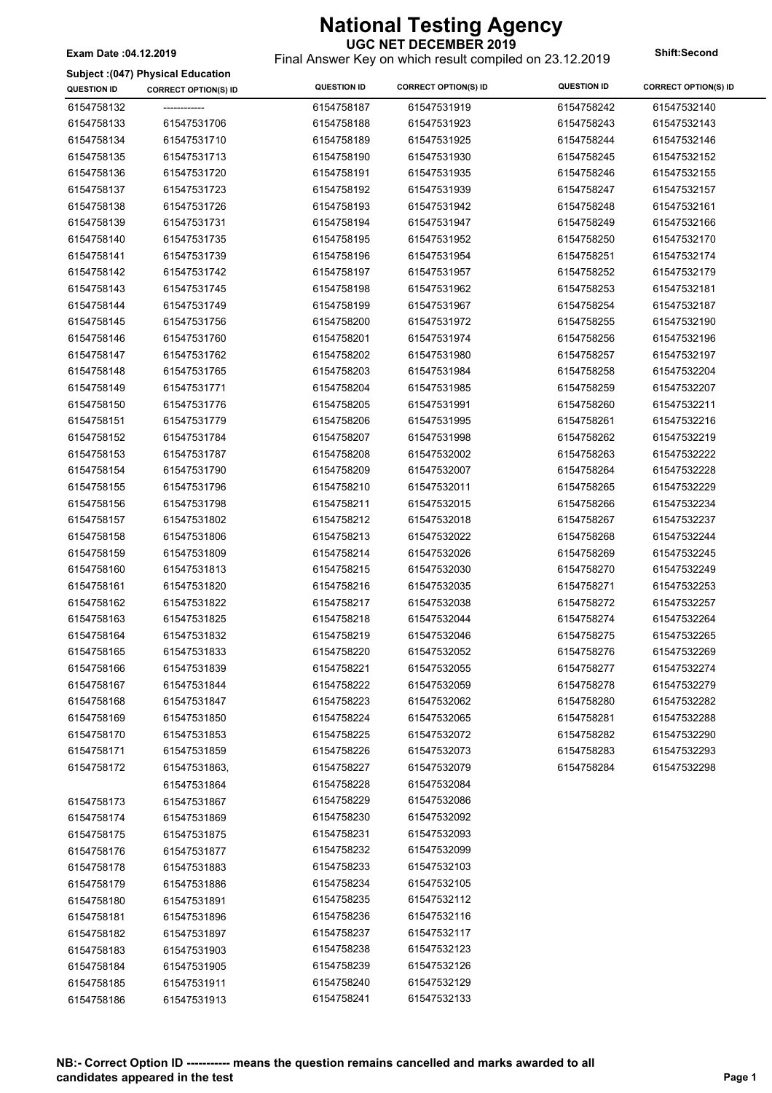### **UGC NET DECEMBER 2019**

Final Answer Key on which result compiled on 23.12.2019 **Exam Date :04.12.2019 Shift:Second**

|  |  |  | Subject: (047) Physical Education |
|--|--|--|-----------------------------------|
|--|--|--|-----------------------------------|

| <b>QUESTION ID</b> | <b>CORRECT OPTION(S) ID</b> | <b>QUESTION ID</b> | <b>CORRECT OPTION(S) ID</b> | <b>QUESTION ID</b> | <b>CORRECT OPTION(S) ID</b> |
|--------------------|-----------------------------|--------------------|-----------------------------|--------------------|-----------------------------|
| 6154758132         |                             | 6154758187         | 61547531919                 | 6154758242         | 61547532140                 |
| 6154758133         | 61547531706                 | 6154758188         | 61547531923                 | 6154758243         | 61547532143                 |
| 6154758134         | 61547531710                 | 6154758189         | 61547531925                 | 6154758244         | 61547532146                 |
| 6154758135         | 61547531713                 | 6154758190         | 61547531930                 | 6154758245         | 61547532152                 |
| 6154758136         | 61547531720                 | 6154758191         | 61547531935                 | 6154758246         | 61547532155                 |
| 6154758137         | 61547531723                 | 6154758192         | 61547531939                 | 6154758247         | 61547532157                 |
| 6154758138         | 61547531726                 | 6154758193         | 61547531942                 | 6154758248         | 61547532161                 |
| 6154758139         | 61547531731                 | 6154758194         | 61547531947                 | 6154758249         | 61547532166                 |
| 6154758140         | 61547531735                 | 6154758195         | 61547531952                 | 6154758250         | 61547532170                 |
| 6154758141         | 61547531739                 | 6154758196         | 61547531954                 | 6154758251         | 61547532174                 |
| 6154758142         | 61547531742                 | 6154758197         | 61547531957                 | 6154758252         | 61547532179                 |
| 6154758143         | 61547531745                 | 6154758198         | 61547531962                 | 6154758253         | 61547532181                 |
| 6154758144         | 61547531749                 | 6154758199         | 61547531967                 | 6154758254         | 61547532187                 |
| 6154758145         | 61547531756                 | 6154758200         | 61547531972                 | 6154758255         | 61547532190                 |
| 6154758146         | 61547531760                 | 6154758201         | 61547531974                 | 6154758256         | 61547532196                 |
| 6154758147         | 61547531762                 | 6154758202         | 61547531980                 | 6154758257         | 61547532197                 |
| 6154758148         | 61547531765                 | 6154758203         | 61547531984                 | 6154758258         | 61547532204                 |
| 6154758149         | 61547531771                 | 6154758204         | 61547531985                 | 6154758259         | 61547532207                 |
| 6154758150         | 61547531776                 | 6154758205         | 61547531991                 | 6154758260         | 61547532211                 |
| 6154758151         | 61547531779                 | 6154758206         | 61547531995                 | 6154758261         | 61547532216                 |
| 6154758152         | 61547531784                 | 6154758207         | 61547531998                 | 6154758262         | 61547532219                 |
| 6154758153         | 61547531787                 | 6154758208         | 61547532002                 | 6154758263         | 61547532222                 |
| 6154758154         | 61547531790                 | 6154758209         | 61547532007                 | 6154758264         | 61547532228                 |
| 6154758155         | 61547531796                 | 6154758210         | 61547532011                 | 6154758265         | 61547532229                 |
| 6154758156         | 61547531798                 | 6154758211         | 61547532015                 | 6154758266         | 61547532234                 |
| 6154758157         | 61547531802                 | 6154758212         | 61547532018                 | 6154758267         | 61547532237                 |
| 6154758158         | 61547531806                 | 6154758213         | 61547532022                 | 6154758268         | 61547532244                 |
| 6154758159         | 61547531809                 | 6154758214         | 61547532026                 | 6154758269         | 61547532245                 |
| 6154758160         | 61547531813                 | 6154758215         | 61547532030                 | 6154758270         | 61547532249                 |
| 6154758161         | 61547531820                 | 6154758216         | 61547532035                 | 6154758271         | 61547532253                 |
| 6154758162         | 61547531822                 | 6154758217         | 61547532038                 | 6154758272         | 61547532257                 |
| 6154758163         | 61547531825                 | 6154758218         | 61547532044                 | 6154758274         | 61547532264                 |
| 6154758164         | 61547531832                 | 6154758219         | 61547532046                 | 6154758275         | 61547532265                 |
| 6154758165         | 61547531833                 | 6154758220         | 61547532052                 | 6154758276         | 61547532269                 |
| 6154758166         | 61547531839                 | 6154758221         | 61547532055                 | 6154758277         | 61547532274                 |
| 6154758167         | 61547531844                 | 6154758222         | 61547532059                 | 6154758278         | 61547532279                 |
| 6154758168         | 61547531847                 | 6154758223         | 61547532062                 | 6154758280         | 61547532282                 |
| 6154758169         | 61547531850                 | 6154758224         | 61547532065                 | 6154758281         | 61547532288                 |
| 6154758170         | 61547531853                 | 6154758225         | 61547532072                 | 6154758282         | 61547532290                 |
| 6154758171         | 61547531859                 | 6154758226         | 61547532073                 | 6154758283         | 61547532293                 |
| 6154758172         | 61547531863,                | 6154758227         | 61547532079                 | 6154758284         | 61547532298                 |
|                    | 61547531864                 | 6154758228         | 61547532084                 |                    |                             |
| 6154758173         | 61547531867                 | 6154758229         | 61547532086                 |                    |                             |
| 6154758174         | 61547531869                 | 6154758230         | 61547532092                 |                    |                             |
| 6154758175         | 61547531875                 | 6154758231         | 61547532093                 |                    |                             |
| 6154758176         | 61547531877                 | 6154758232         | 61547532099                 |                    |                             |
| 6154758178         | 61547531883                 | 6154758233         | 61547532103                 |                    |                             |
| 6154758179         | 61547531886                 | 6154758234         | 61547532105                 |                    |                             |
| 6154758180         | 61547531891                 | 6154758235         | 61547532112                 |                    |                             |
| 6154758181         | 61547531896                 | 6154758236         | 61547532116                 |                    |                             |
| 6154758182         | 61547531897                 | 6154758237         | 61547532117                 |                    |                             |
| 6154758183         | 61547531903                 | 6154758238         | 61547532123                 |                    |                             |
| 6154758184         | 61547531905                 | 6154758239         | 61547532126                 |                    |                             |
| 6154758185         | 61547531911                 | 6154758240         | 61547532129                 |                    |                             |
| 6154758186         | 61547531913                 | 6154758241         | 61547532133                 |                    |                             |
|                    |                             |                    |                             |                    |                             |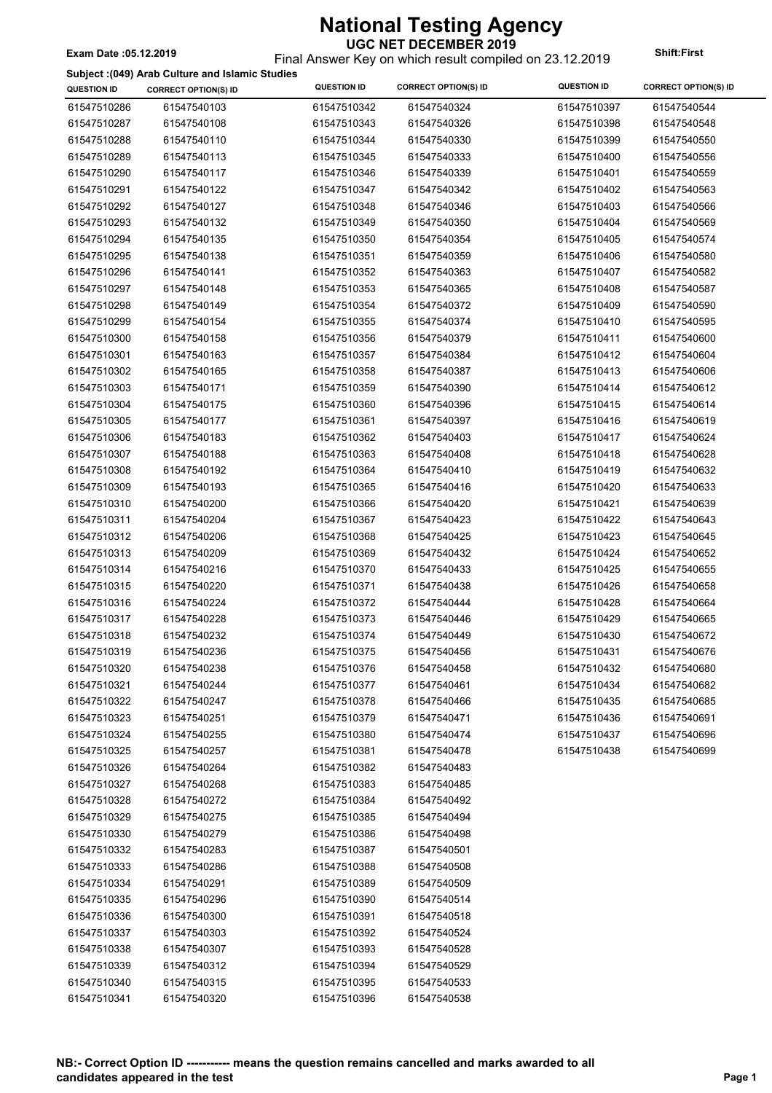### Final Answer Key on which result compiled on 23.12.2019 **Exam Date :05.12.2019 Shift:First**

**Subject :(049) Arab Culture and Islamic Studies**

| <b>QUESTION ID</b> | <b>CORRECT OPTION(S) ID</b> | <b>QUESTION ID</b> | <b>CORRECT OPTION(S) ID</b> | <b>QUESTION ID</b> | <b>CORRECT OPTION(S) ID</b> |
|--------------------|-----------------------------|--------------------|-----------------------------|--------------------|-----------------------------|
| 61547510286        | 61547540103                 | 61547510342        | 61547540324                 | 61547510397        | 61547540544                 |
| 61547510287        | 61547540108                 | 61547510343        | 61547540326                 | 61547510398        | 61547540548                 |
| 61547510288        | 61547540110                 | 61547510344        | 61547540330                 | 61547510399        | 61547540550                 |
| 61547510289        | 61547540113                 | 61547510345        | 61547540333                 | 61547510400        | 61547540556                 |
| 61547510290        | 61547540117                 | 61547510346        | 61547540339                 | 61547510401        | 61547540559                 |
| 61547510291        | 61547540122                 | 61547510347        | 61547540342                 | 61547510402        | 61547540563                 |
| 61547510292        | 61547540127                 | 61547510348        | 61547540346                 | 61547510403        | 61547540566                 |
| 61547510293        | 61547540132                 | 61547510349        | 61547540350                 | 61547510404        | 61547540569                 |
| 61547510294        | 61547540135                 | 61547510350        | 61547540354                 | 61547510405        | 61547540574                 |
| 61547510295        | 61547540138                 | 61547510351        | 61547540359                 | 61547510406        | 61547540580                 |
| 61547510296        | 61547540141                 | 61547510352        | 61547540363                 | 61547510407        | 61547540582                 |
| 61547510297        | 61547540148                 | 61547510353        | 61547540365                 | 61547510408        | 61547540587                 |
| 61547510298        | 61547540149                 | 61547510354        | 61547540372                 | 61547510409        | 61547540590                 |
| 61547510299        | 61547540154                 | 61547510355        | 61547540374                 | 61547510410        | 61547540595                 |
| 61547510300        | 61547540158                 | 61547510356        | 61547540379                 | 61547510411        | 61547540600                 |
| 61547510301        | 61547540163                 | 61547510357        | 61547540384                 | 61547510412        | 61547540604                 |
| 61547510302        | 61547540165                 | 61547510358        | 61547540387                 | 61547510413        | 61547540606                 |
| 61547510303        | 61547540171                 | 61547510359        | 61547540390                 | 61547510414        | 61547540612                 |
| 61547510304        | 61547540175                 | 61547510360        | 61547540396                 | 61547510415        | 61547540614                 |
| 61547510305        | 61547540177                 | 61547510361        | 61547540397                 | 61547510416        | 61547540619                 |
| 61547510306        | 61547540183                 | 61547510362        | 61547540403                 | 61547510417        | 61547540624                 |
| 61547510307        | 61547540188                 | 61547510363        | 61547540408                 | 61547510418        | 61547540628                 |
| 61547510308        | 61547540192                 | 61547510364        | 61547540410                 | 61547510419        | 61547540632                 |
| 61547510309        | 61547540193                 | 61547510365        | 61547540416                 | 61547510420        | 61547540633                 |
| 61547510310        | 61547540200                 | 61547510366        | 61547540420                 | 61547510421        | 61547540639                 |
| 61547510311        | 61547540204                 | 61547510367        | 61547540423                 | 61547510422        | 61547540643                 |
| 61547510312        | 61547540206                 | 61547510368        | 61547540425                 | 61547510423        | 61547540645                 |
| 61547510313        | 61547540209                 | 61547510369        | 61547540432                 | 61547510424        | 61547540652                 |
| 61547510314        | 61547540216                 | 61547510370        | 61547540433                 | 61547510425        | 61547540655                 |
| 61547510315        | 61547540220                 | 61547510371        | 61547540438                 | 61547510426        | 61547540658                 |
| 61547510316        | 61547540224                 | 61547510372        | 61547540444                 | 61547510428        | 61547540664                 |
| 61547510317        | 61547540228                 | 61547510373        | 61547540446                 | 61547510429        | 61547540665                 |
| 61547510318        | 61547540232                 | 61547510374        | 61547540449                 | 61547510430        | 61547540672                 |
| 61547510319        | 61547540236                 | 61547510375        | 61547540456                 | 61547510431        | 61547540676                 |
| 61547510320        | 61547540238                 | 61547510376        | 61547540458                 | 61547510432        | 61547540680                 |
| 61547510321        | 61547540244                 | 61547510377        | 61547540461                 | 61547510434        | 61547540682                 |
| 61547510322        | 61547540247                 | 61547510378        | 61547540466                 | 61547510435        | 61547540685                 |
| 61547510323        | 61547540251                 | 61547510379        | 61547540471                 | 61547510436        | 61547540691                 |
| 61547510324        | 61547540255                 | 61547510380        | 61547540474                 | 61547510437        | 61547540696                 |
| 61547510325        | 61547540257                 | 61547510381        | 61547540478                 | 61547510438        | 61547540699                 |
| 61547510326        | 61547540264                 | 61547510382        | 61547540483                 |                    |                             |
| 61547510327        | 61547540268                 | 61547510383        | 61547540485                 |                    |                             |
| 61547510328        | 61547540272                 | 61547510384        | 61547540492                 |                    |                             |
| 61547510329        | 61547540275                 | 61547510385        | 61547540494                 |                    |                             |
| 61547510330        | 61547540279                 | 61547510386        | 61547540498                 |                    |                             |
| 61547510332        | 61547540283                 | 61547510387        | 61547540501                 |                    |                             |
| 61547510333        | 61547540286                 | 61547510388        | 61547540508                 |                    |                             |
| 61547510334        | 61547540291                 | 61547510389        | 61547540509                 |                    |                             |
| 61547510335        | 61547540296                 | 61547510390        | 61547540514                 |                    |                             |
| 61547510336        | 61547540300                 | 61547510391        | 61547540518                 |                    |                             |
| 61547510337        | 61547540303                 | 61547510392        | 61547540524                 |                    |                             |
| 61547510338        | 61547540307                 | 61547510393        | 61547540528                 |                    |                             |
| 61547510339        | 61547540312                 | 61547510394        | 61547540529                 |                    |                             |
| 61547510340        | 61547540315                 | 61547510395        | 61547540533                 |                    |                             |
| 61547510341        | 61547540320                 | 61547510396        | 61547540538                 |                    |                             |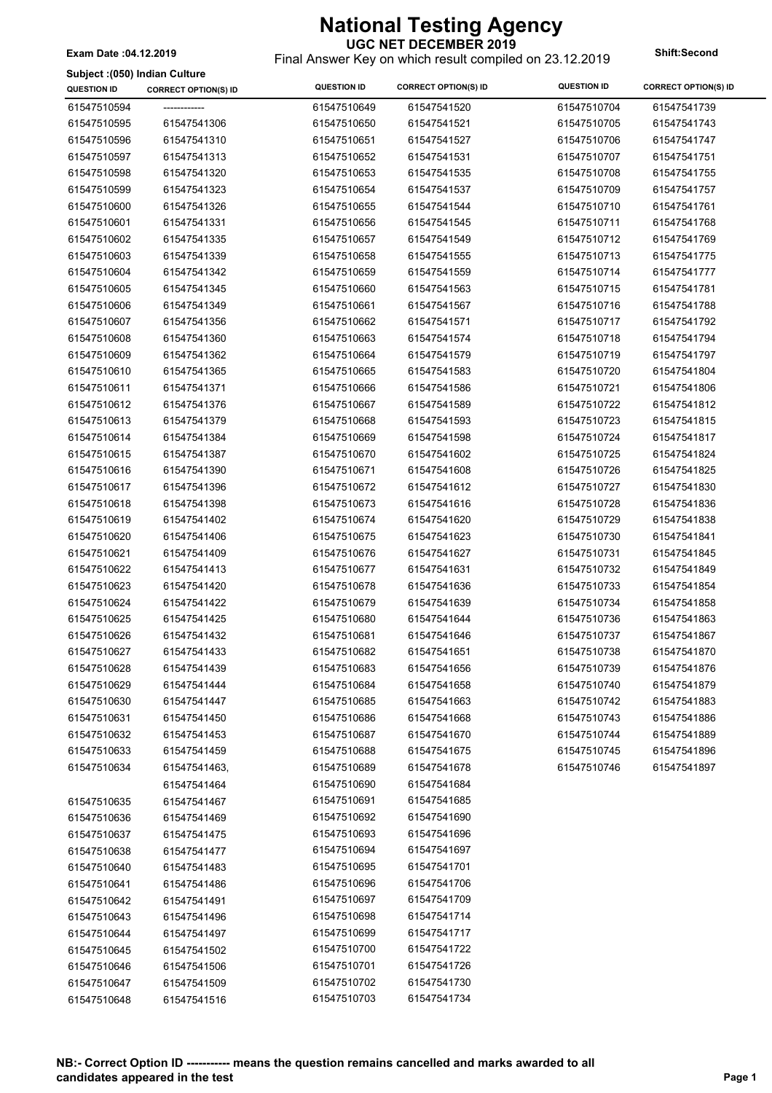**UGC NET DECEMBER 2019** Final Answer Key on which result compiled on 23.12.2019 **Exam Date :04.12.2019 Shift:Second**

**Subject :(050) Indian Culture**

| <b>QUESTION ID</b> | <b>CORRECT OPTION(S) ID</b> | <b>QUESTION ID</b>         | <b>CORRECT OPTION(S) ID</b> | <b>QUESTION ID</b> | <b>CORRECT OPTION(S) ID</b> |
|--------------------|-----------------------------|----------------------------|-----------------------------|--------------------|-----------------------------|
| 61547510594        |                             | 61547510649                | 61547541520                 | 61547510704        | 61547541739                 |
| 61547510595        | 61547541306                 | 61547510650                | 61547541521                 | 61547510705        | 61547541743                 |
| 61547510596        | 61547541310                 | 61547510651                | 61547541527                 | 61547510706        | 61547541747                 |
| 61547510597        | 61547541313                 | 61547510652                | 61547541531                 | 61547510707        | 61547541751                 |
| 61547510598        | 61547541320                 | 61547510653                | 61547541535                 | 61547510708        | 61547541755                 |
| 61547510599        | 61547541323                 | 61547510654                | 61547541537                 | 61547510709        | 61547541757                 |
| 61547510600        | 61547541326                 | 61547510655                | 61547541544                 | 61547510710        | 61547541761                 |
| 61547510601        | 61547541331                 | 61547510656                | 61547541545                 | 61547510711        | 61547541768                 |
| 61547510602        | 61547541335                 | 61547510657                | 61547541549                 | 61547510712        | 61547541769                 |
| 61547510603        | 61547541339                 | 61547510658                | 61547541555                 | 61547510713        | 61547541775                 |
| 61547510604        | 61547541342                 | 61547510659                | 61547541559                 | 61547510714        | 61547541777                 |
| 61547510605        | 61547541345                 | 61547510660                | 61547541563                 | 61547510715        | 61547541781                 |
| 61547510606        | 61547541349                 | 61547510661                | 61547541567                 | 61547510716        | 61547541788                 |
| 61547510607        | 61547541356                 | 61547510662                | 61547541571                 | 61547510717        | 61547541792                 |
| 61547510608        | 61547541360                 | 61547510663                | 61547541574                 | 61547510718        | 61547541794                 |
| 61547510609        | 61547541362                 | 61547510664                | 61547541579                 | 61547510719        | 61547541797                 |
| 61547510610        | 61547541365                 | 61547510665                | 61547541583                 | 61547510720        | 61547541804                 |
| 61547510611        | 61547541371                 | 61547510666                | 61547541586                 | 61547510721        | 61547541806                 |
| 61547510612        | 61547541376                 | 61547510667                | 61547541589                 | 61547510722        | 61547541812                 |
| 61547510613        | 61547541379                 | 61547510668                | 61547541593                 | 61547510723        | 61547541815                 |
| 61547510614        | 61547541384                 | 61547510669                | 61547541598                 | 61547510724        | 61547541817                 |
| 61547510615        | 61547541387                 | 61547510670                | 61547541602                 | 61547510725        | 61547541824                 |
| 61547510616        | 61547541390                 | 61547510671                | 61547541608                 | 61547510726        | 61547541825                 |
| 61547510617        | 61547541396                 | 61547510672                | 61547541612                 | 61547510727        | 61547541830                 |
| 61547510618        | 61547541398                 | 61547510673                | 61547541616                 | 61547510728        | 61547541836                 |
| 61547510619        | 61547541402                 | 61547510674                | 61547541620                 | 61547510729        | 61547541838                 |
| 61547510620        | 61547541406                 | 61547510675                | 61547541623                 | 61547510730        | 61547541841                 |
| 61547510621        | 61547541409                 | 61547510676                | 61547541627                 | 61547510731        | 61547541845                 |
| 61547510622        | 61547541413                 | 61547510677                | 61547541631                 | 61547510732        | 61547541849                 |
| 61547510623        | 61547541420                 | 61547510678                | 61547541636                 | 61547510733        | 61547541854                 |
| 61547510624        | 61547541422                 | 61547510679                | 61547541639                 | 61547510734        | 61547541858                 |
| 61547510625        | 61547541425                 | 61547510680                | 61547541644                 | 61547510736        | 61547541863                 |
| 61547510626        | 61547541432                 | 61547510681                | 61547541646                 | 61547510737        | 61547541867                 |
| 61547510627        | 61547541433                 | 61547510682                | 61547541651                 | 61547510738        | 61547541870                 |
| 61547510628        | 61547541439                 | 61547510683                | 61547541656                 | 61547510739        | 61547541876                 |
| 61547510629        | 61547541444                 | 61547510684                | 61547541658                 | 61547510740        | 61547541879                 |
| 61547510630        | 61547541447                 | 61547510685                | 61547541663                 | 61547510742        | 61547541883                 |
| 61547510631        | 61547541450                 | 61547510686                | 61547541668                 | 61547510743        | 61547541886                 |
| 61547510632        | 61547541453                 | 61547510687                | 61547541670                 | 61547510744        | 61547541889                 |
| 61547510633        | 61547541459                 | 61547510688                | 61547541675                 | 61547510745        | 61547541896                 |
|                    |                             |                            |                             |                    | 61547541897                 |
| 61547510634        | 61547541463,                | 61547510689                | 61547541678                 | 61547510746        |                             |
|                    | 61547541464                 | 61547510690                | 61547541684                 |                    |                             |
| 61547510635        | 61547541467                 | 61547510691<br>61547510692 | 61547541685<br>61547541690  |                    |                             |
| 61547510636        | 61547541469                 |                            |                             |                    |                             |
| 61547510637        | 61547541475                 | 61547510693                | 61547541696                 |                    |                             |
| 61547510638        | 61547541477                 | 61547510694                | 61547541697                 |                    |                             |
| 61547510640        | 61547541483                 | 61547510695                | 61547541701                 |                    |                             |
| 61547510641        | 61547541486                 | 61547510696                | 61547541706                 |                    |                             |
| 61547510642        | 61547541491                 | 61547510697                | 61547541709                 |                    |                             |
| 61547510643        | 61547541496                 | 61547510698                | 61547541714                 |                    |                             |
| 61547510644        | 61547541497                 | 61547510699                | 61547541717                 |                    |                             |
| 61547510645        | 61547541502                 | 61547510700                | 61547541722                 |                    |                             |
| 61547510646        | 61547541506                 | 61547510701                | 61547541726                 |                    |                             |
| 61547510647        | 61547541509                 | 61547510702                | 61547541730                 |                    |                             |
| 61547510648        | 61547541516                 | 61547510703                | 61547541734                 |                    |                             |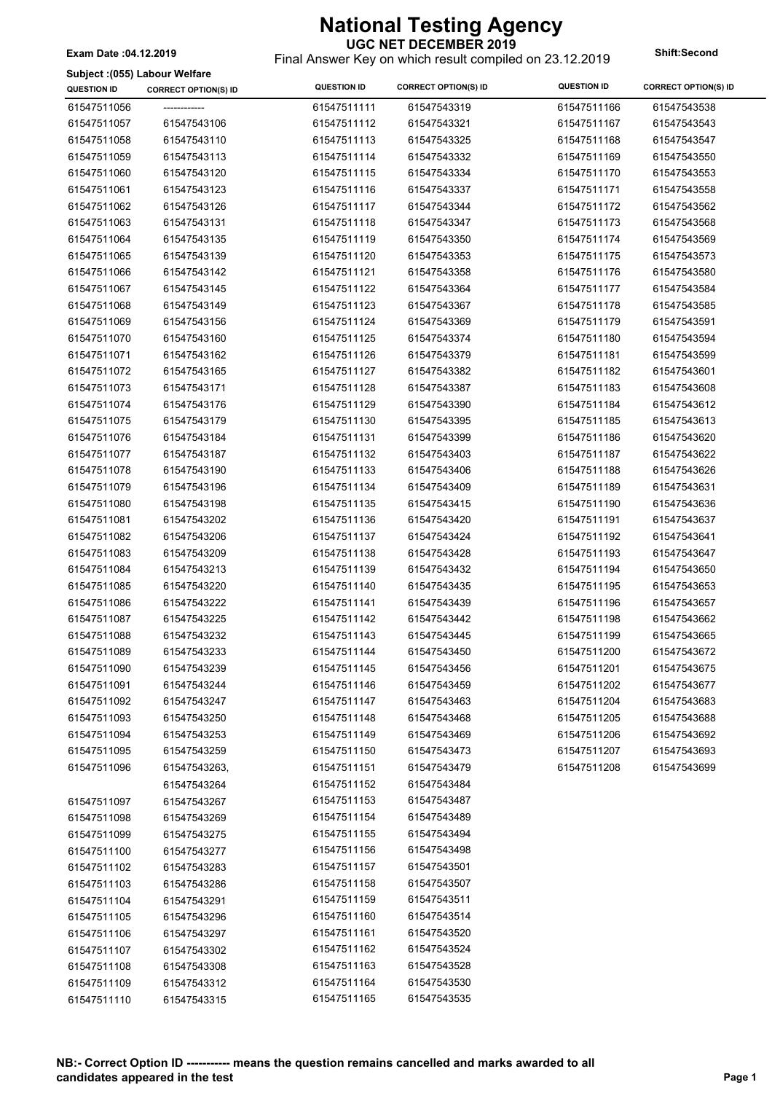Final Answer Key on which result compiled on 23.12.2019 **Exam Date :04.12.2019 Shift:Second**

**Subject :(055) Labour Welfare**

| <b>QUESTION ID</b>         | <b>CORRECT OPTION(S) ID</b> | <b>QUESTION ID</b> | <b>CORRECT OPTION(S) ID</b> | <b>QUESTION ID</b> | <b>CORRECT OPTION(S) ID</b> |
|----------------------------|-----------------------------|--------------------|-----------------------------|--------------------|-----------------------------|
| 61547511056                | -------------               | 61547511111        | 61547543319                 | 61547511166        | 61547543538                 |
| 61547511057                | 61547543106                 | 61547511112        | 61547543321                 | 61547511167        | 61547543543                 |
| 61547511058                | 61547543110                 | 61547511113        | 61547543325                 | 61547511168        | 61547543547                 |
| 61547511059                | 61547543113                 | 61547511114        | 61547543332                 | 61547511169        | 61547543550                 |
| 61547511060                | 61547543120                 | 61547511115        | 61547543334                 | 61547511170        | 61547543553                 |
| 61547511061                | 61547543123                 | 61547511116        | 61547543337                 | 61547511171        | 61547543558                 |
| 61547511062                | 61547543126                 | 61547511117        | 61547543344                 | 61547511172        | 61547543562                 |
| 61547511063                | 61547543131                 | 61547511118        | 61547543347                 | 61547511173        | 61547543568                 |
| 61547511064                | 61547543135                 | 61547511119        | 61547543350                 | 61547511174        | 61547543569                 |
| 61547511065                | 61547543139                 | 61547511120        | 61547543353                 | 61547511175        | 61547543573                 |
| 61547511066                | 61547543142                 | 61547511121        | 61547543358                 | 61547511176        | 61547543580                 |
| 61547511067                | 61547543145                 | 61547511122        | 61547543364                 | 61547511177        | 61547543584                 |
| 61547511068                | 61547543149                 | 61547511123        | 61547543367                 | 61547511178        | 61547543585                 |
| 61547511069                | 61547543156                 | 61547511124        | 61547543369                 | 61547511179        | 61547543591                 |
| 61547511070                | 61547543160                 | 61547511125        | 61547543374                 | 61547511180        | 61547543594                 |
| 61547511071                | 61547543162                 | 61547511126        | 61547543379                 | 61547511181        | 61547543599                 |
| 61547511072                | 61547543165                 | 61547511127        | 61547543382                 | 61547511182        | 61547543601                 |
| 61547511073                | 61547543171                 | 61547511128        | 61547543387                 | 61547511183        | 61547543608                 |
| 61547511074                | 61547543176                 | 61547511129        | 61547543390                 | 61547511184        | 61547543612                 |
| 61547511075                | 61547543179                 | 61547511130        | 61547543395                 | 61547511185        | 61547543613                 |
| 61547511076                | 61547543184                 | 61547511131        | 61547543399                 | 61547511186        | 61547543620                 |
| 61547511077                | 61547543187                 | 61547511132        | 61547543403                 | 61547511187        | 61547543622                 |
| 61547511078                | 61547543190                 | 61547511133        | 61547543406                 | 61547511188        | 61547543626                 |
| 61547511079                | 61547543196                 | 61547511134        | 61547543409                 | 61547511189        | 61547543631                 |
| 61547511080                | 61547543198                 | 61547511135        | 61547543415                 | 61547511190        | 61547543636                 |
| 61547511081                | 61547543202                 | 61547511136        | 61547543420                 | 61547511191        | 61547543637                 |
| 61547511082                | 61547543206                 | 61547511137        | 61547543424                 | 61547511192        | 61547543641                 |
| 61547511083                | 61547543209                 | 61547511138        | 61547543428                 | 61547511193        | 61547543647                 |
| 61547511084                | 61547543213                 | 61547511139        | 61547543432                 | 61547511194        | 61547543650                 |
| 61547511085                | 61547543220                 | 61547511140        | 61547543435                 | 61547511195        | 61547543653                 |
| 61547511086                | 61547543222                 | 61547511141        | 61547543439                 | 61547511196        | 61547543657                 |
| 61547511087                | 61547543225                 | 61547511142        | 61547543442                 | 61547511198        | 61547543662                 |
| 61547511088                | 61547543232                 | 61547511143        | 61547543445                 | 61547511199        | 61547543665                 |
| 61547511089                | 61547543233                 | 61547511144        | 61547543450                 | 61547511200        | 61547543672                 |
| 61547511090                | 61547543239                 | 61547511145        | 61547543456                 | 61547511201        | 61547543675                 |
| 61547511091                | 61547543244                 | 61547511146        | 61547543459                 | 61547511202        | 61547543677                 |
| 61547511092                | 61547543247                 | 61547511147        | 61547543463                 | 61547511204        | 61547543683                 |
| 61547511093                | 61547543250                 | 61547511148        | 61547543468                 | 61547511205        | 61547543688                 |
| 61547511094                | 61547543253                 | 61547511149        | 61547543469                 | 61547511206        | 61547543692                 |
| 61547511095                | 61547543259                 | 61547511150        | 61547543473                 | 61547511207        | 61547543693                 |
| 61547511096                | 61547543263,                | 61547511151        | 61547543479                 | 61547511208        | 61547543699                 |
|                            | 61547543264                 | 61547511152        | 61547543484                 |                    |                             |
| 61547511097                | 61547543267                 | 61547511153        | 61547543487                 |                    |                             |
| 61547511098                | 61547543269                 | 61547511154        | 61547543489                 |                    |                             |
|                            |                             | 61547511155        | 61547543494                 |                    |                             |
| 61547511099                | 61547543275                 | 61547511156        | 61547543498                 |                    |                             |
| 61547511100                | 61547543277                 | 61547511157        | 61547543501                 |                    |                             |
| 61547511102                | 61547543283                 | 61547511158        | 61547543507                 |                    |                             |
| 61547511103                | 61547543286                 | 61547511159        | 61547543511                 |                    |                             |
| 61547511104<br>61547511105 | 61547543291                 | 61547511160        | 61547543514                 |                    |                             |
| 61547511106                | 61547543296                 | 61547511161        | 61547543520                 |                    |                             |
|                            | 61547543297                 | 61547511162        | 61547543524                 |                    |                             |
| 61547511107                | 61547543302                 | 61547511163        | 61547543528                 |                    |                             |
| 61547511108<br>61547511109 | 61547543308<br>61547543312  | 61547511164        | 61547543530                 |                    |                             |
| 61547511110                | 61547543315                 | 61547511165        | 61547543535                 |                    |                             |
|                            |                             |                    |                             |                    |                             |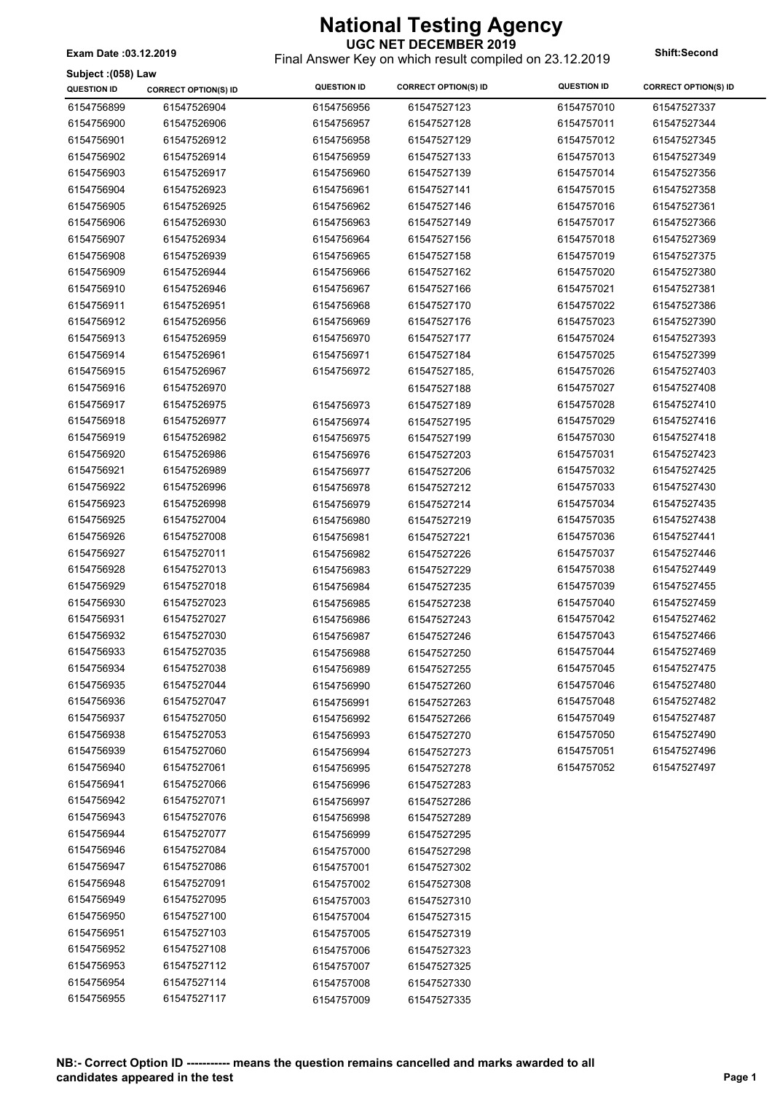**Subject :(058) Law**

#### **UGC NET DECEMBER 2019**

Final Answer Key on which result compiled on 23.12.2019 **Exam Date :03.12.2019 Shift:Second**

| Subject :(058) Law |                             |                    |                             |                    |                             |
|--------------------|-----------------------------|--------------------|-----------------------------|--------------------|-----------------------------|
| <b>QUESTION ID</b> | <b>CORRECT OPTION(S) ID</b> | <b>QUESTION ID</b> | <b>CORRECT OPTION(S) ID</b> | <b>QUESTION ID</b> | <b>CORRECT OPTION(S) ID</b> |
| 6154756899         | 61547526904                 | 6154756956         | 61547527123                 | 6154757010         | 61547527337                 |
| 6154756900         | 61547526906                 | 6154756957         | 61547527128                 | 6154757011         | 61547527344                 |
| 6154756901         | 61547526912                 | 6154756958         | 61547527129                 | 6154757012         | 61547527345                 |
| 6154756902         | 61547526914                 | 6154756959         | 61547527133                 | 6154757013         | 61547527349                 |
| 6154756903         | 61547526917                 | 6154756960         | 61547527139                 | 6154757014         | 61547527356                 |
| 6154756904         | 61547526923                 | 6154756961         | 61547527141                 | 6154757015         | 61547527358                 |
| 6154756905         | 61547526925                 | 6154756962         | 61547527146                 | 6154757016         | 61547527361                 |
| 6154756906         | 61547526930                 | 6154756963         | 61547527149                 | 6154757017         | 61547527366                 |
| 6154756907         | 61547526934                 | 6154756964         | 61547527156                 | 6154757018         | 61547527369                 |
| 6154756908         | 61547526939                 | 6154756965         | 61547527158                 | 6154757019         | 61547527375                 |
| 6154756909         | 61547526944                 | 6154756966         | 61547527162                 | 6154757020         | 61547527380                 |
| 6154756910         | 61547526946                 | 6154756967         | 61547527166                 | 6154757021         | 61547527381                 |
| 6154756911         | 61547526951                 | 6154756968         | 61547527170                 | 6154757022         | 61547527386                 |
| 6154756912         | 61547526956                 | 6154756969         | 61547527176                 | 6154757023         | 61547527390                 |
| 6154756913         | 61547526959                 | 6154756970         | 61547527177                 | 6154757024         | 61547527393                 |
| 6154756914         | 61547526961                 | 6154756971         | 61547527184                 | 6154757025         | 61547527399                 |
| 6154756915         | 61547526967                 | 6154756972         | 61547527185,                | 6154757026         | 61547527403                 |
| 6154756916         | 61547526970                 |                    | 61547527188                 | 6154757027         | 61547527408                 |
| 6154756917         | 61547526975                 | 6154756973         | 61547527189                 | 6154757028         | 61547527410                 |
| 6154756918         | 61547526977                 | 6154756974         | 61547527195                 | 6154757029         | 61547527416                 |
| 6154756919         | 61547526982                 | 6154756975         | 61547527199                 | 6154757030         | 61547527418                 |
| 6154756920         | 61547526986                 | 6154756976         | 61547527203                 | 6154757031         | 61547527423                 |
| 6154756921         | 61547526989                 | 6154756977         | 61547527206                 | 6154757032         | 61547527425                 |
| 6154756922         | 61547526996                 | 6154756978         | 61547527212                 | 6154757033         | 61547527430                 |
| 6154756923         | 61547526998                 | 6154756979         | 61547527214                 | 6154757034         | 61547527435                 |
| 6154756925         | 61547527004                 | 6154756980         | 61547527219                 | 6154757035         | 61547527438                 |
| 6154756926         | 61547527008                 | 6154756981         | 61547527221                 | 6154757036         | 61547527441                 |
| 6154756927         | 61547527011                 | 6154756982         | 61547527226                 | 6154757037         | 61547527446                 |
| 6154756928         | 61547527013                 | 6154756983         | 61547527229                 | 6154757038         | 61547527449                 |
| 6154756929         | 61547527018                 | 6154756984         | 61547527235                 | 6154757039         | 61547527455                 |
| 6154756930         | 61547527023                 | 6154756985         | 61547527238                 | 6154757040         | 61547527459                 |
| 6154756931         | 61547527027                 | 6154756986         | 61547527243                 | 6154757042         | 61547527462                 |
| 6154756932         | 61547527030                 | 6154756987         | 61547527246                 | 6154757043         | 61547527466                 |
| 6154756933         | 61547527035                 | 6154756988         | 61547527250                 | 6154757044         | 61547527469                 |
| 6154756934         | 61547527038                 | 6154756989         | 61547527255                 | 6154757045         | 61547527475                 |
| 6154756935         | 61547527044                 | 6154756990         | 61547527260                 | 6154757046         | 61547527480                 |
| 6154756936         | 61547527047                 | 6154756991         | 61547527263                 | 6154757048         | 61547527482                 |
| 6154756937         | 61547527050                 | 6154756992         | 61547527266                 | 6154757049         | 61547527487                 |
| 6154756938         | 61547527053                 | 6154756993         | 61547527270                 | 6154757050         | 61547527490                 |
| 6154756939         | 61547527060                 | 6154756994         | 61547527273                 | 6154757051         | 61547527496                 |
| 6154756940         | 61547527061                 | 6154756995         | 61547527278                 | 6154757052         | 61547527497                 |
| 6154756941         | 61547527066                 | 6154756996         | 61547527283                 |                    |                             |
| 6154756942         | 61547527071                 | 6154756997         | 61547527286                 |                    |                             |
| 6154756943         | 61547527076                 | 6154756998         | 61547527289                 |                    |                             |
| 6154756944         | 61547527077                 | 6154756999         | 61547527295                 |                    |                             |
| 6154756946         | 61547527084                 | 6154757000         | 61547527298                 |                    |                             |
| 6154756947         | 61547527086                 | 6154757001         | 61547527302                 |                    |                             |
| 6154756948         | 61547527091                 | 6154757002         | 61547527308                 |                    |                             |
| 6154756949         | 61547527095                 |                    |                             |                    |                             |
| 6154756950         | 61547527100                 | 6154757003         | 61547527310                 |                    |                             |
| 6154756951         | 61547527103                 | 6154757004         | 61547527315                 |                    |                             |
| 6154756952         | 61547527108                 | 6154757005         | 61547527319                 |                    |                             |
| 6154756953         | 61547527112                 | 6154757006         | 61547527323                 |                    |                             |
| 6154756954         | 61547527114                 | 6154757007         | 61547527325                 |                    |                             |
| 6154756955         | 61547527117                 | 6154757008         | 61547527330                 |                    |                             |
|                    |                             | 6154757009         | 61547527335                 |                    |                             |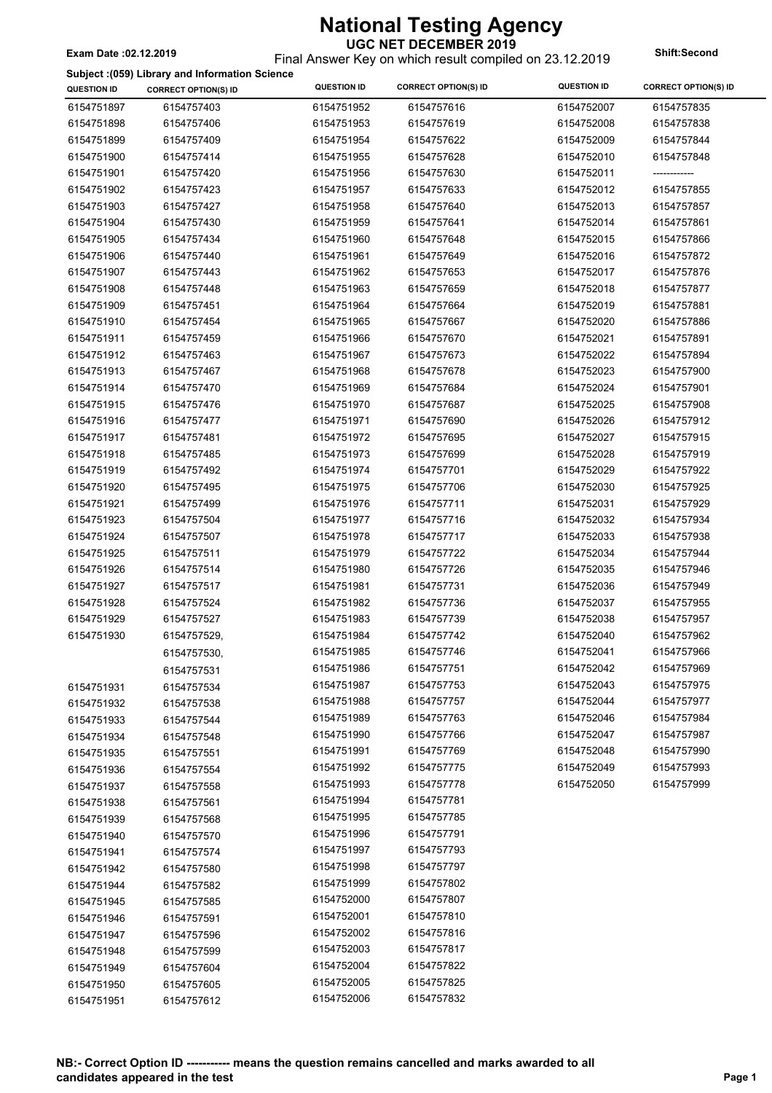### Final Answer Key on which result compiled on 23.12.2019 **Exam Date :02.12.2019 Shift:Second**

#### **Subject :(059) Library and Information Science**

|                    | Subject .(059) Library and imormation Science |                    |                             | <b>QUESTION ID</b> |                             |
|--------------------|-----------------------------------------------|--------------------|-----------------------------|--------------------|-----------------------------|
| <b>QUESTION ID</b> | <b>CORRECT OPTION(S) ID</b>                   | <b>QUESTION ID</b> | <b>CORRECT OPTION(S) ID</b> |                    | <b>CORRECT OPTION(S) ID</b> |
| 6154751897         | 6154757403                                    | 6154751952         | 6154757616                  | 6154752007         | 6154757835                  |
| 6154751898         | 6154757406                                    | 6154751953         | 6154757619                  | 6154752008         | 6154757838                  |
| 6154751899         | 6154757409                                    | 6154751954         | 6154757622                  | 6154752009         | 6154757844                  |
| 6154751900         | 6154757414                                    | 6154751955         | 6154757628                  | 6154752010         | 6154757848                  |
| 6154751901         | 6154757420                                    | 6154751956         | 6154757630                  | 6154752011         | ------------                |
| 6154751902         | 6154757423                                    | 6154751957         | 6154757633                  | 6154752012         | 6154757855                  |
| 6154751903         | 6154757427                                    | 6154751958         | 6154757640                  | 6154752013         | 6154757857                  |
| 6154751904         | 6154757430                                    | 6154751959         | 6154757641                  | 6154752014         | 6154757861                  |
| 6154751905         | 6154757434                                    | 6154751960         | 6154757648                  | 6154752015         | 6154757866                  |
| 6154751906         | 6154757440                                    | 6154751961         | 6154757649                  | 6154752016         | 6154757872                  |
| 6154751907         | 6154757443                                    | 6154751962         | 6154757653                  | 6154752017         | 6154757876                  |
| 6154751908         | 6154757448                                    | 6154751963         | 6154757659                  | 6154752018         | 6154757877                  |
| 6154751909         | 6154757451                                    | 6154751964         | 6154757664                  | 6154752019         | 6154757881                  |
| 6154751910         | 6154757454                                    | 6154751965         | 6154757667                  | 6154752020         | 6154757886                  |
| 6154751911         | 6154757459                                    | 6154751966         | 6154757670                  | 6154752021         | 6154757891                  |
| 6154751912         | 6154757463                                    | 6154751967         | 6154757673                  | 6154752022         | 6154757894                  |
| 6154751913         | 6154757467                                    | 6154751968         | 6154757678                  | 6154752023         | 6154757900                  |
| 6154751914         | 6154757470                                    | 6154751969         | 6154757684                  | 6154752024         | 6154757901                  |
| 6154751915         | 6154757476                                    | 6154751970         | 6154757687                  | 6154752025         | 6154757908                  |
| 6154751916         | 6154757477                                    |                    |                             |                    |                             |
|                    | 6154757481                                    | 6154751971         | 6154757690                  | 6154752026         | 6154757912                  |
| 6154751917         |                                               | 6154751972         | 6154757695                  | 6154752027         | 6154757915                  |
| 6154751918         | 6154757485                                    | 6154751973         | 6154757699                  | 6154752028         | 6154757919                  |
| 6154751919         | 6154757492                                    | 6154751974         | 6154757701                  | 6154752029         | 6154757922                  |
| 6154751920         | 6154757495                                    | 6154751975         | 6154757706                  | 6154752030         | 6154757925                  |
| 6154751921         | 6154757499                                    | 6154751976         | 6154757711                  | 6154752031         | 6154757929                  |
| 6154751923         | 6154757504                                    | 6154751977         | 6154757716                  | 6154752032         | 6154757934                  |
| 6154751924         | 6154757507                                    | 6154751978         | 6154757717                  | 6154752033         | 6154757938                  |
| 6154751925         | 6154757511                                    | 6154751979         | 6154757722                  | 6154752034         | 6154757944                  |
| 6154751926         | 6154757514                                    | 6154751980         | 6154757726                  | 6154752035         | 6154757946                  |
| 6154751927         | 6154757517                                    | 6154751981         | 6154757731                  | 6154752036         | 6154757949                  |
| 6154751928         | 6154757524                                    | 6154751982         | 6154757736                  | 6154752037         | 6154757955                  |
| 6154751929         | 6154757527                                    | 6154751983         | 6154757739                  | 6154752038         | 6154757957                  |
| 6154751930         | 6154757529,                                   | 6154751984         | 6154757742                  | 6154752040         | 6154757962                  |
|                    | 6154757530,                                   | 6154751985         | 6154757746                  | 6154752041         | 6154757966                  |
|                    | 6154757531                                    | 6154751986         | 6154757751                  | 6154752042         | 6154757969                  |
| 6154751931         | 6154757534                                    | 6154751987         | 6154757753                  | 6154752043         | 6154757975                  |
| 6154751932         | 6154757538                                    | 6154751988         | 6154757757                  | 6154752044         | 6154757977                  |
| 6154751933         | 6154757544                                    | 6154751989         | 6154757763                  | 6154752046         | 6154757984                  |
| 6154751934         | 6154757548                                    | 6154751990         | 6154757766                  | 6154752047         | 6154757987                  |
| 6154751935         | 6154757551                                    | 6154751991         | 6154757769                  | 6154752048         | 6154757990                  |
| 6154751936         | 6154757554                                    | 6154751992         | 6154757775                  | 6154752049         | 6154757993                  |
| 6154751937         | 6154757558                                    | 6154751993         | 6154757778                  | 6154752050         | 6154757999                  |
| 6154751938         | 6154757561                                    | 6154751994         | 6154757781                  |                    |                             |
| 6154751939         |                                               | 6154751995         | 6154757785                  |                    |                             |
|                    | 6154757568                                    | 6154751996         | 6154757791                  |                    |                             |
| 6154751940         | 6154757570                                    | 6154751997         | 6154757793                  |                    |                             |
| 6154751941         | 6154757574                                    |                    |                             |                    |                             |
| 6154751942         | 6154757580                                    | 6154751998         | 6154757797                  |                    |                             |
| 6154751944         | 6154757582                                    | 6154751999         | 6154757802                  |                    |                             |
| 6154751945         | 6154757585                                    | 6154752000         | 6154757807                  |                    |                             |
| 6154751946         | 6154757591                                    | 6154752001         | 6154757810                  |                    |                             |
| 6154751947         | 6154757596                                    | 6154752002         | 6154757816                  |                    |                             |
| 6154751948         | 6154757599                                    | 6154752003         | 6154757817                  |                    |                             |
| 6154751949         | 6154757604                                    | 6154752004         | 6154757822                  |                    |                             |
| 6154751950         | 6154757605                                    | 6154752005         | 6154757825                  |                    |                             |
| 6154751951         | 6154757612                                    | 6154752006         | 6154757832                  |                    |                             |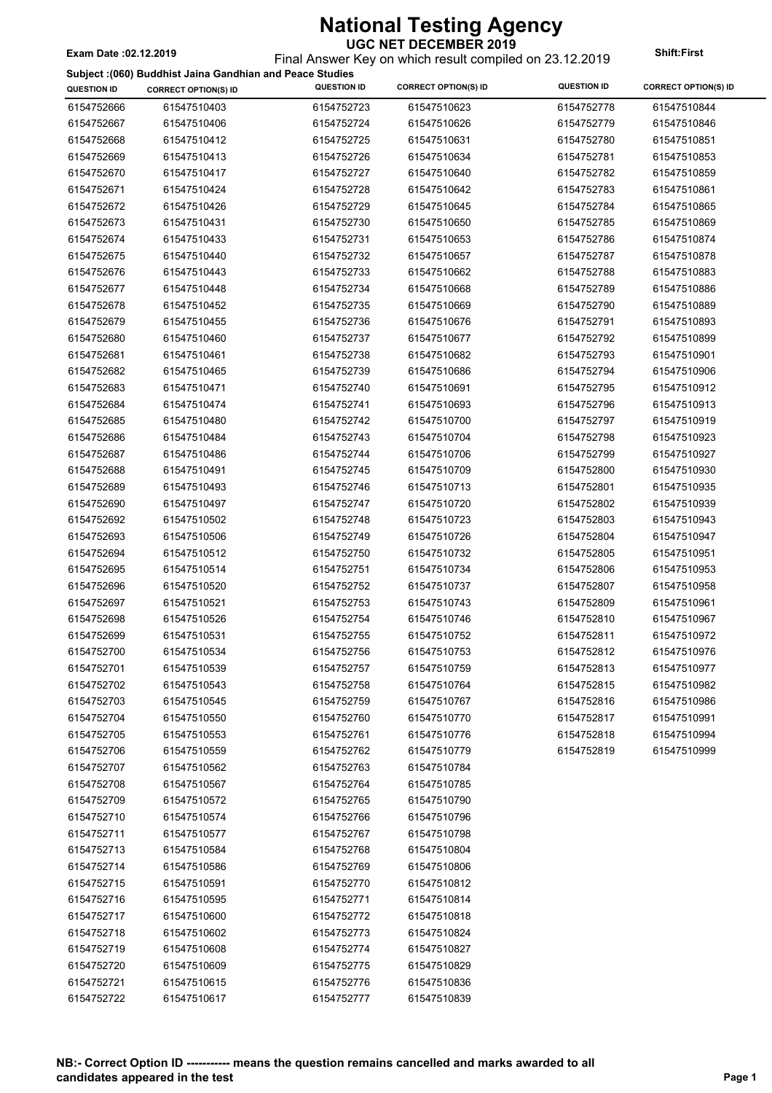Final Answer Key on which result compiled on 23.12.2019 **Exam Date :02.12.2019 Shift:First**

 $\overline{\phantom{a}}$ 

**Subject :(060) Buddhist Jaina Gandhian and Peace Studies**

|                    | Subject :(060) Buddhist Jaina Gandhian and Peace Studies |                    |                             |                    |                             |
|--------------------|----------------------------------------------------------|--------------------|-----------------------------|--------------------|-----------------------------|
| <b>QUESTION ID</b> | <b>CORRECT OPTION(S) ID</b>                              | <b>QUESTION ID</b> | <b>CORRECT OPTION(S) ID</b> | <b>QUESTION ID</b> | <b>CORRECT OPTION(S) ID</b> |
| 6154752666         | 61547510403                                              | 6154752723         | 61547510623                 | 6154752778         | 61547510844                 |
| 6154752667         | 61547510406                                              | 6154752724         | 61547510626                 | 6154752779         | 61547510846                 |
| 6154752668         | 61547510412                                              | 6154752725         | 61547510631                 | 6154752780         | 61547510851                 |
| 6154752669         | 61547510413                                              | 6154752726         | 61547510634                 | 6154752781         | 61547510853                 |
| 6154752670         | 61547510417                                              | 6154752727         | 61547510640                 | 6154752782         | 61547510859                 |
| 6154752671         | 61547510424                                              | 6154752728         | 61547510642                 | 6154752783         | 61547510861                 |
| 6154752672         | 61547510426                                              | 6154752729         | 61547510645                 | 6154752784         | 61547510865                 |
| 6154752673         | 61547510431                                              | 6154752730         | 61547510650                 | 6154752785         | 61547510869                 |
| 6154752674         | 61547510433                                              | 6154752731         | 61547510653                 | 6154752786         | 61547510874                 |
| 6154752675         | 61547510440                                              | 6154752732         | 61547510657                 | 6154752787         | 61547510878                 |
| 6154752676         | 61547510443                                              | 6154752733         | 61547510662                 | 6154752788         | 61547510883                 |
| 6154752677         | 61547510448                                              | 6154752734         | 61547510668                 | 6154752789         | 61547510886                 |
| 6154752678         | 61547510452                                              | 6154752735         | 61547510669                 | 6154752790         | 61547510889                 |
| 6154752679         | 61547510455                                              | 6154752736         | 61547510676                 | 6154752791         | 61547510893                 |
| 6154752680         | 61547510460                                              | 6154752737         | 61547510677                 | 6154752792         | 61547510899                 |
| 6154752681         | 61547510461                                              | 6154752738         | 61547510682                 | 6154752793         | 61547510901                 |
| 6154752682         | 61547510465                                              | 6154752739         | 61547510686                 | 6154752794         | 61547510906                 |
| 6154752683         | 61547510471                                              | 6154752740         | 61547510691                 | 6154752795         | 61547510912                 |
| 6154752684         | 61547510474                                              | 6154752741         | 61547510693                 | 6154752796         | 61547510913                 |
| 6154752685         | 61547510480                                              | 6154752742         | 61547510700                 | 6154752797         | 61547510919                 |
|                    |                                                          |                    |                             |                    |                             |
| 6154752686         | 61547510484                                              | 6154752743         | 61547510704                 | 6154752798         | 61547510923                 |
| 6154752687         | 61547510486                                              | 6154752744         | 61547510706                 | 6154752799         | 61547510927                 |
| 6154752688         | 61547510491                                              | 6154752745         | 61547510709                 | 6154752800         | 61547510930                 |
| 6154752689         | 61547510493                                              | 6154752746         | 61547510713                 | 6154752801         | 61547510935                 |
| 6154752690         | 61547510497                                              | 6154752747         | 61547510720                 | 6154752802         | 61547510939                 |
| 6154752692         | 61547510502                                              | 6154752748         | 61547510723                 | 6154752803         | 61547510943                 |
| 6154752693         | 61547510506                                              | 6154752749         | 61547510726                 | 6154752804         | 61547510947                 |
| 6154752694         | 61547510512                                              | 6154752750         | 61547510732                 | 6154752805         | 61547510951                 |
| 6154752695         | 61547510514                                              | 6154752751         | 61547510734                 | 6154752806         | 61547510953                 |
| 6154752696         | 61547510520                                              | 6154752752         | 61547510737                 | 6154752807         | 61547510958                 |
| 6154752697         | 61547510521                                              | 6154752753         | 61547510743                 | 6154752809         | 61547510961                 |
| 6154752698         | 61547510526                                              | 6154752754         | 61547510746                 | 6154752810         | 61547510967                 |
| 6154752699         | 61547510531                                              | 6154752755         | 61547510752                 | 6154752811         | 61547510972                 |
| 6154752700         | 61547510534                                              | 6154752756         | 61547510753                 | 6154752812         | 61547510976                 |
| 6154752701         | 61547510539                                              | 6154752757         | 61547510759                 | 6154752813         | 61547510977                 |
| 6154752702         | 61547510543                                              | 6154752758         | 61547510764                 | 6154752815         | 61547510982                 |
| 6154752703         | 61547510545                                              | 6154752759         | 61547510767                 | 6154752816         | 61547510986                 |
| 6154752704         | 61547510550                                              | 6154752760         | 61547510770                 | 6154752817         | 61547510991                 |
| 6154752705         | 61547510553                                              | 6154752761         | 61547510776                 | 6154752818         | 61547510994                 |
| 6154752706         | 61547510559                                              | 6154752762         | 61547510779                 | 6154752819         | 61547510999                 |
| 6154752707         | 61547510562                                              | 6154752763         | 61547510784                 |                    |                             |
| 6154752708         | 61547510567                                              | 6154752764         | 61547510785                 |                    |                             |
| 6154752709         | 61547510572                                              | 6154752765         | 61547510790                 |                    |                             |
| 6154752710         | 61547510574                                              | 6154752766         | 61547510796                 |                    |                             |
| 6154752711         | 61547510577                                              | 6154752767         | 61547510798                 |                    |                             |
| 6154752713         | 61547510584                                              | 6154752768         | 61547510804                 |                    |                             |
| 6154752714         | 61547510586                                              | 6154752769         | 61547510806                 |                    |                             |
| 6154752715         | 61547510591                                              | 6154752770         | 61547510812                 |                    |                             |
| 6154752716         | 61547510595                                              | 6154752771         | 61547510814                 |                    |                             |
| 6154752717         | 61547510600                                              | 6154752772         | 61547510818                 |                    |                             |
| 6154752718         | 61547510602                                              | 6154752773         | 61547510824                 |                    |                             |
| 6154752719         | 61547510608                                              | 6154752774         | 61547510827                 |                    |                             |
| 6154752720         | 61547510609                                              | 6154752775         | 61547510829                 |                    |                             |
| 6154752721         | 61547510615                                              | 6154752776         | 61547510836                 |                    |                             |
| 6154752722         | 61547510617                                              | 6154752777         | 61547510839                 |                    |                             |
|                    |                                                          |                    |                             |                    |                             |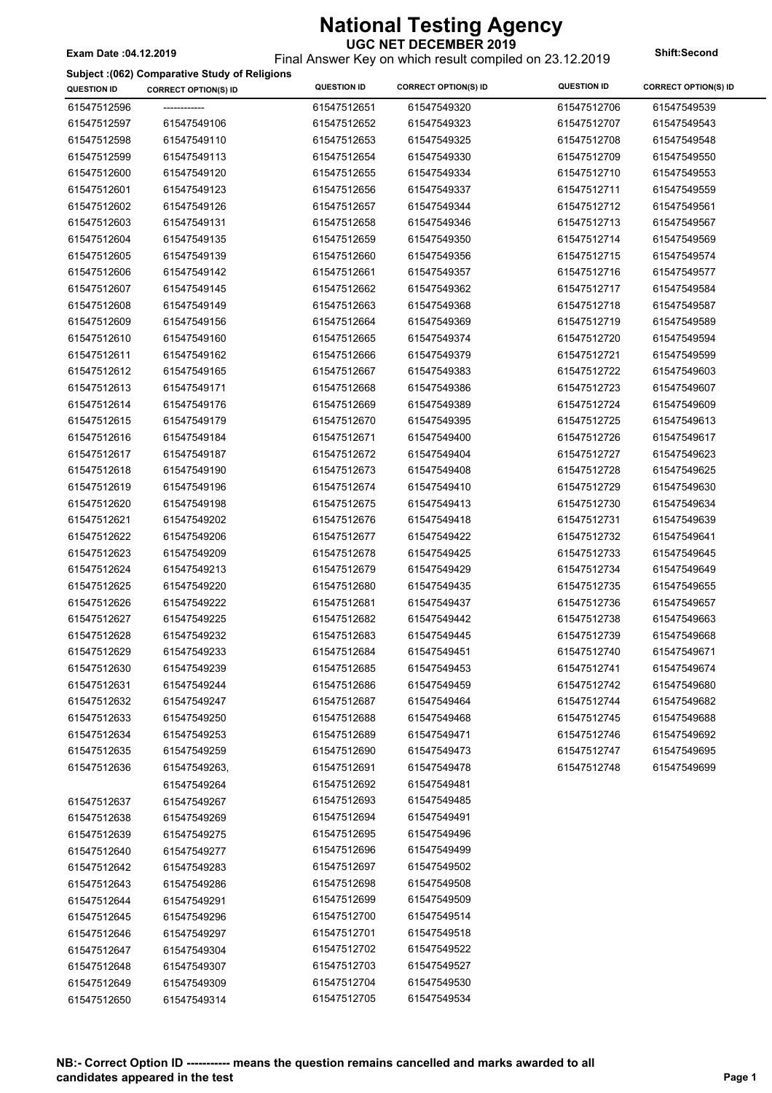Final Answer Key on which result compiled on 23.12.2019 **Exam Date :04.12.2019 Shift:Second**

### **Subject :(062) Comparative Study of Religions**

| <b>QUESTION ID</b> | <b>CORRECT OPTION(S) ID</b> | <b>QUESTION ID</b> | <b>CORRECT OPTION(S) ID</b> | <b>QUESTION ID</b> | <b>CORRECT OPTION(S) ID</b> |
|--------------------|-----------------------------|--------------------|-----------------------------|--------------------|-----------------------------|
| 61547512596        |                             | 61547512651        | 61547549320                 | 61547512706        | 61547549539                 |
| 61547512597        | 61547549106                 | 61547512652        | 61547549323                 | 61547512707        | 61547549543                 |
| 61547512598        | 61547549110                 | 61547512653        | 61547549325                 | 61547512708        | 61547549548                 |
| 61547512599        | 61547549113                 | 61547512654        | 61547549330                 | 61547512709        | 61547549550                 |
| 61547512600        | 61547549120                 | 61547512655        | 61547549334                 | 61547512710        | 61547549553                 |
| 61547512601        | 61547549123                 | 61547512656        | 61547549337                 | 61547512711        | 61547549559                 |
| 61547512602        | 61547549126                 | 61547512657        | 61547549344                 | 61547512712        | 61547549561                 |
| 61547512603        | 61547549131                 | 61547512658        | 61547549346                 | 61547512713        | 61547549567                 |
| 61547512604        | 61547549135                 | 61547512659        | 61547549350                 | 61547512714        | 61547549569                 |
| 61547512605        | 61547549139                 | 61547512660        | 61547549356                 | 61547512715        | 61547549574                 |
| 61547512606        | 61547549142                 | 61547512661        | 61547549357                 | 61547512716        | 61547549577                 |
| 61547512607        | 61547549145                 | 61547512662        | 61547549362                 | 61547512717        | 61547549584                 |
| 61547512608        | 61547549149                 | 61547512663        | 61547549368                 | 61547512718        | 61547549587                 |
| 61547512609        | 61547549156                 | 61547512664        | 61547549369                 | 61547512719        | 61547549589                 |
| 61547512610        | 61547549160                 | 61547512665        | 61547549374                 | 61547512720        | 61547549594                 |
| 61547512611        | 61547549162                 | 61547512666        | 61547549379                 | 61547512721        | 61547549599                 |
| 61547512612        | 61547549165                 | 61547512667        | 61547549383                 | 61547512722        | 61547549603                 |
| 61547512613        | 61547549171                 | 61547512668        | 61547549386                 | 61547512723        | 61547549607                 |
| 61547512614        | 61547549176                 | 61547512669        | 61547549389                 | 61547512724        | 61547549609                 |
| 61547512615        | 61547549179                 | 61547512670        | 61547549395                 | 61547512725        | 61547549613                 |
| 61547512616        | 61547549184                 | 61547512671        | 61547549400                 | 61547512726        | 61547549617                 |
| 61547512617        | 61547549187                 | 61547512672        | 61547549404                 | 61547512727        | 61547549623                 |
| 61547512618        | 61547549190                 | 61547512673        | 61547549408                 | 61547512728        | 61547549625                 |
| 61547512619        | 61547549196                 | 61547512674        | 61547549410                 | 61547512729        | 61547549630                 |
| 61547512620        | 61547549198                 | 61547512675        | 61547549413                 | 61547512730        | 61547549634                 |
| 61547512621        | 61547549202                 | 61547512676        | 61547549418                 | 61547512731        | 61547549639                 |
| 61547512622        | 61547549206                 | 61547512677        | 61547549422                 | 61547512732        | 61547549641                 |
| 61547512623        | 61547549209                 | 61547512678        | 61547549425                 | 61547512733        | 61547549645                 |
| 61547512624        | 61547549213                 | 61547512679        | 61547549429                 | 61547512734        | 61547549649                 |
| 61547512625        | 61547549220                 | 61547512680        | 61547549435                 | 61547512735        | 61547549655                 |
| 61547512626        | 61547549222                 | 61547512681        | 61547549437                 | 61547512736        | 61547549657                 |
| 61547512627        | 61547549225                 | 61547512682        | 61547549442                 | 61547512738        | 61547549663                 |
| 61547512628        | 61547549232                 | 61547512683        | 61547549445                 | 61547512739        | 61547549668                 |
| 61547512629        | 61547549233                 | 61547512684        | 61547549451                 | 61547512740        | 61547549671                 |
| 61547512630        | 61547549239                 | 61547512685        | 61547549453                 | 61547512741        | 61547549674                 |
| 61547512631        | 61547549244                 | 61547512686        | 61547549459                 | 61547512742        | 61547549680                 |
| 61547512632        | 61547549247                 | 61547512687        | 61547549464                 | 61547512744        | 61547549682                 |
| 61547512633        | 61547549250                 | 61547512688        | 61547549468                 | 61547512745        | 61547549688                 |
| 61547512634        | 61547549253                 | 61547512689        | 61547549471                 | 61547512746        | 61547549692                 |
| 61547512635        | 61547549259                 | 61547512690        | 61547549473                 | 61547512747        | 61547549695                 |
| 61547512636        | 61547549263,                | 61547512691        | 61547549478                 | 61547512748        | 61547549699                 |
|                    | 61547549264                 | 61547512692        | 61547549481                 |                    |                             |
| 61547512637        | 61547549267                 | 61547512693        | 61547549485                 |                    |                             |
| 61547512638        | 61547549269                 | 61547512694        | 61547549491                 |                    |                             |
| 61547512639        | 61547549275                 | 61547512695        | 61547549496                 |                    |                             |
| 61547512640        | 61547549277                 | 61547512696        | 61547549499                 |                    |                             |
| 61547512642        | 61547549283                 | 61547512697        | 61547549502                 |                    |                             |
| 61547512643        | 61547549286                 | 61547512698        | 61547549508                 |                    |                             |
| 61547512644        | 61547549291                 | 61547512699        | 61547549509                 |                    |                             |
| 61547512645        | 61547549296                 | 61547512700        | 61547549514                 |                    |                             |
| 61547512646        | 61547549297                 | 61547512701        | 61547549518                 |                    |                             |
| 61547512647        | 61547549304                 | 61547512702        | 61547549522                 |                    |                             |
| 61547512648        | 61547549307                 | 61547512703        | 61547549527                 |                    |                             |
| 61547512649        | 61547549309                 | 61547512704        | 61547549530                 |                    |                             |
| 61547512650        | 61547549314                 | 61547512705        | 61547549534                 |                    |                             |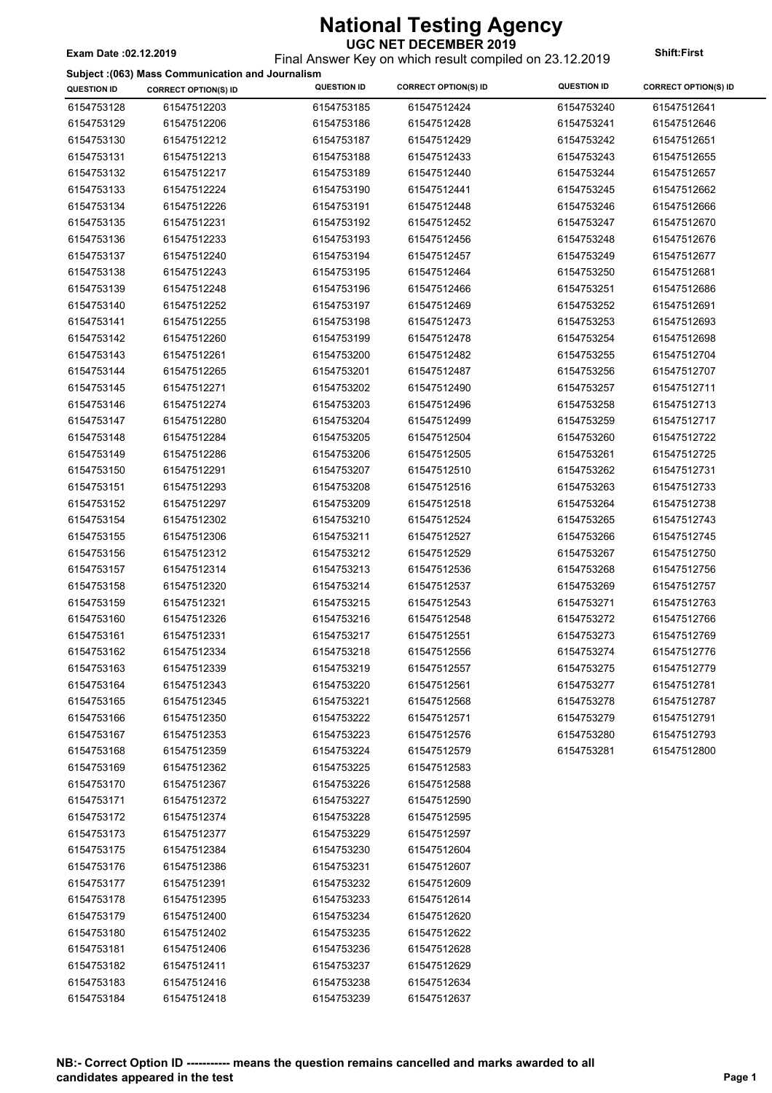Final Answer Key on which result compiled on 23.12.2019 **Exam Date :02.12.2019 Shift:First**

|                    | Subject : (063) Mass Communication and Journalism |                    |                             |                    |                             |
|--------------------|---------------------------------------------------|--------------------|-----------------------------|--------------------|-----------------------------|
| <b>QUESTION ID</b> | <b>CORRECT OPTION(S) ID</b>                       | <b>QUESTION ID</b> | <b>CORRECT OPTION(S) ID</b> | <b>QUESTION ID</b> | <b>CORRECT OPTION(S) ID</b> |
| 6154753128         | 61547512203                                       | 6154753185         | 61547512424                 | 6154753240         | 61547512641                 |
| 6154753129         | 61547512206                                       | 6154753186         | 61547512428                 | 6154753241         | 61547512646                 |
| 6154753130         | 61547512212                                       | 6154753187         | 61547512429                 | 6154753242         | 61547512651                 |
| 6154753131         | 61547512213                                       | 6154753188         | 61547512433                 | 6154753243         | 61547512655                 |
| 6154753132         | 61547512217                                       | 6154753189         | 61547512440                 | 6154753244         | 61547512657                 |
| 6154753133         | 61547512224                                       | 6154753190         | 61547512441                 | 6154753245         | 61547512662                 |
| 6154753134         | 61547512226                                       | 6154753191         | 61547512448                 | 6154753246         | 61547512666                 |
| 6154753135         | 61547512231                                       | 6154753192         | 61547512452                 | 6154753247         | 61547512670                 |
| 6154753136         | 61547512233                                       | 6154753193         | 61547512456                 | 6154753248         | 61547512676                 |
| 6154753137         | 61547512240                                       | 6154753194         | 61547512457                 | 6154753249         | 61547512677                 |
| 6154753138         | 61547512243                                       | 6154753195         | 61547512464                 | 6154753250         | 61547512681                 |
| 6154753139         | 61547512248                                       | 6154753196         | 61547512466                 | 6154753251         | 61547512686                 |
| 6154753140         | 61547512252                                       | 6154753197         | 61547512469                 | 6154753252         | 61547512691                 |
| 6154753141         | 61547512255                                       | 6154753198         | 61547512473                 | 6154753253         | 61547512693                 |
| 6154753142         | 61547512260                                       | 6154753199         | 61547512478                 | 6154753254         | 61547512698                 |
| 6154753143         | 61547512261                                       | 6154753200         | 61547512482                 | 6154753255         | 61547512704                 |
| 6154753144         | 61547512265                                       | 6154753201         | 61547512487                 | 6154753256         | 61547512707                 |
| 6154753145         | 61547512271                                       | 6154753202         | 61547512490                 | 6154753257         | 61547512711                 |
| 6154753146         | 61547512274                                       | 6154753203         | 61547512496                 | 6154753258         | 61547512713                 |
| 6154753147         | 61547512280                                       | 6154753204         | 61547512499                 | 6154753259         | 61547512717                 |
| 6154753148         | 61547512284                                       | 6154753205         | 61547512504                 | 6154753260         | 61547512722                 |
| 6154753149         | 61547512286                                       | 6154753206         | 61547512505                 | 6154753261         | 61547512725                 |
| 6154753150         | 61547512291                                       | 6154753207         | 61547512510                 | 6154753262         | 61547512731                 |
| 6154753151         | 61547512293                                       | 6154753208         | 61547512516                 | 6154753263         | 61547512733                 |
| 6154753152         | 61547512297                                       | 6154753209         | 61547512518                 | 6154753264         | 61547512738                 |
| 6154753154         | 61547512302                                       | 6154753210         | 61547512524                 | 6154753265         | 61547512743                 |
| 6154753155         | 61547512306                                       | 6154753211         | 61547512527                 | 6154753266         | 61547512745                 |
| 6154753156         | 61547512312                                       | 6154753212         | 61547512529                 | 6154753267         | 61547512750                 |
| 6154753157         | 61547512314                                       | 6154753213         | 61547512536                 | 6154753268         | 61547512756                 |
| 6154753158         | 61547512320                                       | 6154753214         | 61547512537                 | 6154753269         | 61547512757                 |
| 6154753159         | 61547512321                                       | 6154753215         | 61547512543                 | 6154753271         | 61547512763                 |
| 6154753160         | 61547512326                                       | 6154753216         | 61547512548                 | 6154753272         | 61547512766                 |
| 6154753161         | 61547512331                                       | 6154753217         | 61547512551                 | 6154753273         | 61547512769                 |
| 6154753162         | 61547512334                                       | 6154753218         | 61547512556                 | 6154753274         | 61547512776                 |
| 6154753163         | 61547512339                                       | 6154753219         | 61547512557                 | 6154753275         | 61547512779                 |
| 6154753164         | 61547512343                                       | 6154753220         | 61547512561                 | 6154753277         | 61547512781                 |
| 6154753165         | 61547512345                                       | 6154753221         | 61547512568                 | 6154753278         | 61547512787                 |
| 6154753166         | 61547512350                                       | 6154753222         | 61547512571                 | 6154753279         | 61547512791                 |
| 6154753167         | 61547512353                                       | 6154753223         | 61547512576                 | 6154753280         | 61547512793                 |
| 6154753168         | 61547512359                                       | 6154753224         | 61547512579                 | 6154753281         | 61547512800                 |
| 6154753169         | 61547512362                                       | 6154753225         | 61547512583                 |                    |                             |
| 6154753170         | 61547512367                                       | 6154753226         | 61547512588                 |                    |                             |
| 6154753171         | 61547512372                                       | 6154753227         | 61547512590                 |                    |                             |
| 6154753172         | 61547512374                                       | 6154753228         | 61547512595                 |                    |                             |
| 6154753173         | 61547512377                                       | 6154753229         | 61547512597                 |                    |                             |
| 6154753175         | 61547512384                                       | 6154753230         | 61547512604                 |                    |                             |
| 6154753176         | 61547512386                                       | 6154753231         | 61547512607                 |                    |                             |
| 6154753177         | 61547512391                                       | 6154753232         | 61547512609                 |                    |                             |
| 6154753178         | 61547512395                                       | 6154753233         | 61547512614                 |                    |                             |
| 6154753179         | 61547512400                                       | 6154753234         | 61547512620                 |                    |                             |
| 6154753180         | 61547512402                                       | 6154753235         | 61547512622                 |                    |                             |
| 6154753181         | 61547512406                                       | 6154753236         | 61547512628                 |                    |                             |
| 6154753182         | 61547512411                                       | 6154753237         | 61547512629                 |                    |                             |
| 6154753183         | 61547512416                                       | 6154753238         | 61547512634                 |                    |                             |
| 6154753184         | 61547512418                                       | 6154753239         | 61547512637                 |                    |                             |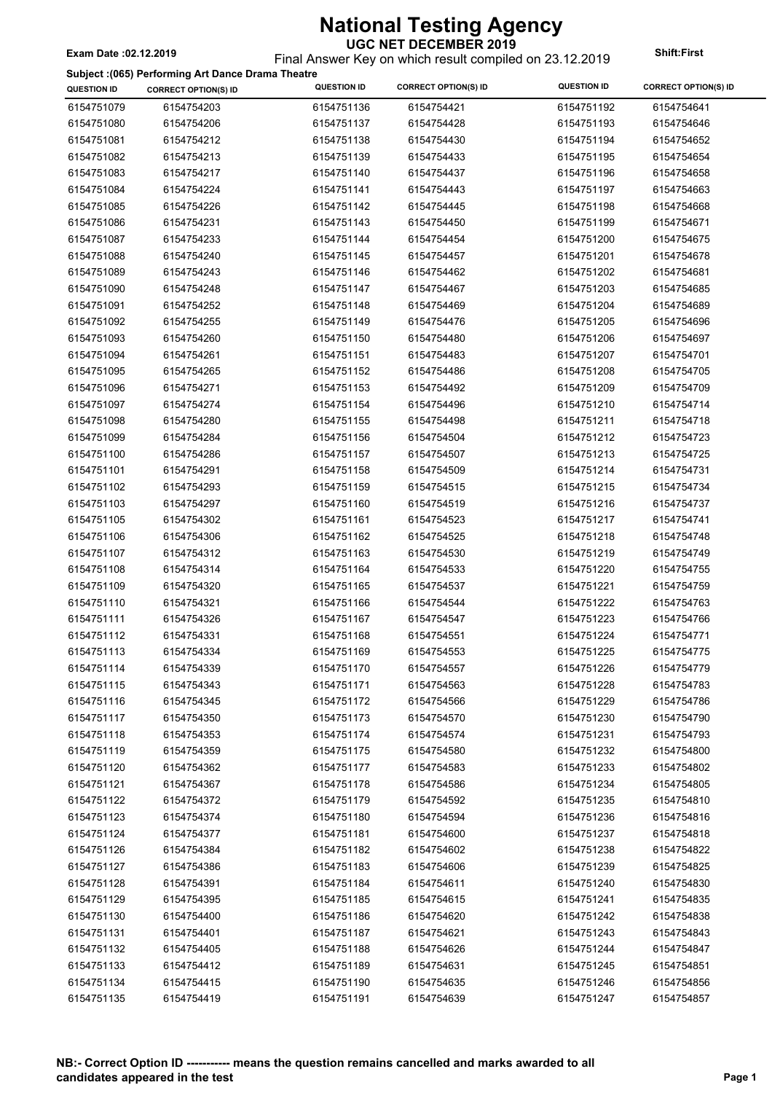Final Answer Key on which result compiled on 23.12.2019 **Exam Date :02.12.2019 Shift:First**

**Subject :(065) Performing Art Dance Drama Theatre**

| <b>QUESTION ID</b> | <b>Dabject</b> (1999) Ferrorming Art Dance Drama Theatre<br><b>CORRECT OPTION(S) ID</b> | <b>QUESTION ID</b> | <b>CORRECT OPTION(S) ID</b> | <b>QUESTION ID</b> | <b>CORRECT OPTION(S) ID</b> |
|--------------------|-----------------------------------------------------------------------------------------|--------------------|-----------------------------|--------------------|-----------------------------|
| 6154751079         | 6154754203                                                                              | 6154751136         | 6154754421                  | 6154751192         | 6154754641                  |
| 6154751080         | 6154754206                                                                              | 6154751137         | 6154754428                  | 6154751193         | 6154754646                  |
| 6154751081         | 6154754212                                                                              | 6154751138         | 6154754430                  | 6154751194         | 6154754652                  |
| 6154751082         | 6154754213                                                                              | 6154751139         | 6154754433                  | 6154751195         | 6154754654                  |
| 6154751083         | 6154754217                                                                              | 6154751140         | 6154754437                  | 6154751196         | 6154754658                  |
| 6154751084         | 6154754224                                                                              | 6154751141         | 6154754443                  | 6154751197         | 6154754663                  |
| 6154751085         | 6154754226                                                                              | 6154751142         | 6154754445                  | 6154751198         | 6154754668                  |
| 6154751086         | 6154754231                                                                              | 6154751143         | 6154754450                  | 6154751199         | 6154754671                  |
| 6154751087         | 6154754233                                                                              | 6154751144         | 6154754454                  | 6154751200         | 6154754675                  |
| 6154751088         | 6154754240                                                                              | 6154751145         | 6154754457                  | 6154751201         | 6154754678                  |
| 6154751089         | 6154754243                                                                              | 6154751146         | 6154754462                  | 6154751202         | 6154754681                  |
| 6154751090         | 6154754248                                                                              | 6154751147         | 6154754467                  | 6154751203         | 6154754685                  |
| 6154751091         | 6154754252                                                                              | 6154751148         | 6154754469                  | 6154751204         | 6154754689                  |
| 6154751092         | 6154754255                                                                              | 6154751149         | 6154754476                  | 6154751205         | 6154754696                  |
| 6154751093         | 6154754260                                                                              | 6154751150         | 6154754480                  | 6154751206         | 6154754697                  |
| 6154751094         | 6154754261                                                                              | 6154751151         | 6154754483                  | 6154751207         | 6154754701                  |
| 6154751095         | 6154754265                                                                              | 6154751152         | 6154754486                  | 6154751208         | 6154754705                  |
| 6154751096         | 6154754271                                                                              | 6154751153         | 6154754492                  | 6154751209         | 6154754709                  |
| 6154751097         | 6154754274                                                                              | 6154751154         | 6154754496                  | 6154751210         | 6154754714                  |
| 6154751098         | 6154754280                                                                              | 6154751155         | 6154754498                  | 6154751211         | 6154754718                  |
| 6154751099         | 6154754284                                                                              | 6154751156         | 6154754504                  | 6154751212         | 6154754723                  |
| 6154751100         | 6154754286                                                                              | 6154751157         | 6154754507                  | 6154751213         | 6154754725                  |
| 6154751101         | 6154754291                                                                              | 6154751158         | 6154754509                  | 6154751214         | 6154754731                  |
| 6154751102         | 6154754293                                                                              | 6154751159         | 6154754515                  | 6154751215         | 6154754734                  |
| 6154751103         | 6154754297                                                                              | 6154751160         | 6154754519                  | 6154751216         | 6154754737                  |
| 6154751105         | 6154754302                                                                              | 6154751161         | 6154754523                  | 6154751217         | 6154754741                  |
| 6154751106         | 6154754306                                                                              | 6154751162         | 6154754525                  | 6154751218         | 6154754748                  |
| 6154751107         | 6154754312                                                                              | 6154751163         | 6154754530                  | 6154751219         | 6154754749                  |
| 6154751108         | 6154754314                                                                              | 6154751164         | 6154754533                  | 6154751220         | 6154754755                  |
| 6154751109         | 6154754320                                                                              | 6154751165         | 6154754537                  | 6154751221         | 6154754759                  |
| 6154751110         | 6154754321                                                                              | 6154751166         | 6154754544                  | 6154751222         | 6154754763                  |
| 6154751111         | 6154754326                                                                              | 6154751167         | 6154754547                  | 6154751223         | 6154754766                  |
| 6154751112         | 6154754331                                                                              | 6154751168         | 6154754551                  | 6154751224         | 6154754771                  |
| 6154751113         | 6154754334                                                                              | 6154751169         | 6154754553                  | 6154751225         | 6154754775                  |
| 6154751114         | 6154754339                                                                              | 6154751170         | 6154754557                  | 6154751226         | 6154754779                  |
| 6154751115         | 6154754343                                                                              | 6154751171         | 6154754563                  | 6154751228         | 6154754783                  |
| 6154751116         | 6154754345                                                                              | 6154751172         | 6154754566                  | 6154751229         | 6154754786                  |
| 6154751117         | 6154754350                                                                              | 6154751173         | 6154754570                  | 6154751230         | 6154754790                  |
| 6154751118         | 6154754353                                                                              | 6154751174         | 6154754574                  | 6154751231         | 6154754793                  |
| 6154751119         | 6154754359                                                                              | 6154751175         | 6154754580                  | 6154751232         | 6154754800                  |
| 6154751120         | 6154754362                                                                              | 6154751177         | 6154754583                  | 6154751233         | 6154754802                  |
| 6154751121         | 6154754367                                                                              | 6154751178         | 6154754586                  | 6154751234         | 6154754805                  |
| 6154751122         | 6154754372                                                                              | 6154751179         | 6154754592                  | 6154751235         | 6154754810                  |
| 6154751123         | 6154754374                                                                              | 6154751180         | 6154754594                  | 6154751236         | 6154754816                  |
| 6154751124         | 6154754377                                                                              | 6154751181         | 6154754600                  | 6154751237         | 6154754818                  |
| 6154751126         | 6154754384                                                                              | 6154751182         | 6154754602                  | 6154751238         | 6154754822                  |
| 6154751127         | 6154754386                                                                              | 6154751183         | 6154754606                  | 6154751239         | 6154754825                  |
| 6154751128         | 6154754391                                                                              | 6154751184         | 6154754611                  | 6154751240         | 6154754830                  |
| 6154751129         | 6154754395                                                                              | 6154751185         | 6154754615                  | 6154751241         | 6154754835                  |
| 6154751130         | 6154754400                                                                              | 6154751186         | 6154754620                  | 6154751242         | 6154754838                  |
| 6154751131         | 6154754401                                                                              | 6154751187         | 6154754621                  | 6154751243         | 6154754843                  |
| 6154751132         | 6154754405                                                                              | 6154751188         | 6154754626                  | 6154751244         | 6154754847                  |
| 6154751133         | 6154754412                                                                              | 6154751189         | 6154754631                  | 6154751245         | 6154754851                  |
| 6154751134         | 6154754415                                                                              | 6154751190         | 6154754635                  | 6154751246         | 6154754856                  |
| 6154751135         | 6154754419                                                                              | 6154751191         | 6154754639                  | 6154751247         | 6154754857                  |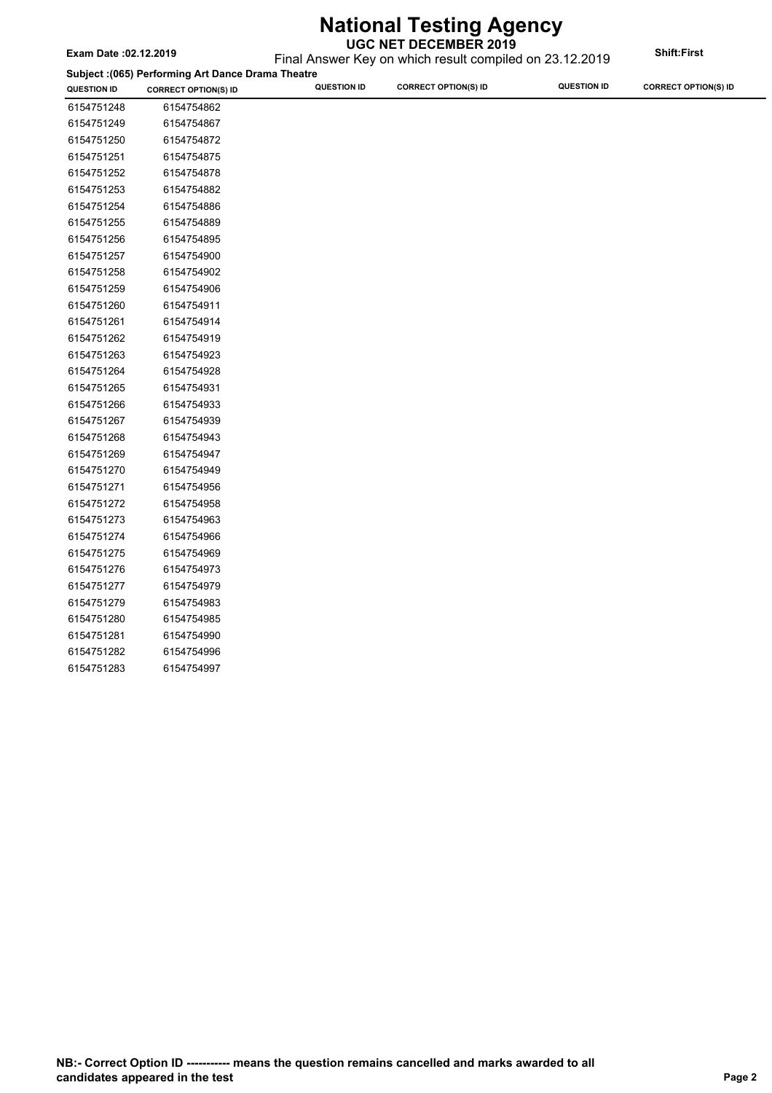**CORRECT OPTION(S) ID QUESTION ID QUESTION ID CORRECT OPTION(S) ID QUESTION ID CORRECT OPTION(S) ID** Final Answer Key on which result compiled on 23.12.2019 **Exam Date :02.12.2019 Shift:First Subject :(065) Performing Art Dance Drama Theatre**

| 6154751248 | 6154754862 |
|------------|------------|
| 6154751249 | 6154754867 |
| 6154751250 | 6154754872 |
| 6154751251 | 6154754875 |
| 6154751252 | 6154754878 |
| 6154751253 | 6154754882 |
| 6154751254 | 6154754886 |
| 6154751255 | 6154754889 |
| 6154751256 | 6154754895 |
| 6154751257 | 6154754900 |
| 6154751258 | 6154754902 |
| 6154751259 | 6154754906 |
| 6154751260 | 6154754911 |
| 6154751261 | 6154754914 |
| 6154751262 | 6154754919 |
| 6154751263 | 6154754923 |
| 6154751264 | 6154754928 |
| 6154751265 | 6154754931 |
| 6154751266 | 6154754933 |
| 6154751267 | 6154754939 |
| 6154751268 | 6154754943 |
| 6154751269 | 6154754947 |
| 6154751270 | 6154754949 |
| 6154751271 | 6154754956 |
| 6154751272 | 6154754958 |
| 6154751273 | 6154754963 |
| 6154751274 | 6154754966 |
| 6154751275 | 6154754969 |
| 6154751276 | 6154754973 |
| 6154751277 | 6154754979 |
| 6154751279 | 6154754983 |
| 6154751280 | 6154754985 |
| 6154751281 | 6154754990 |
| 6154751282 | 6154754996 |
| 6154751283 | 6154754997 |
|            |            |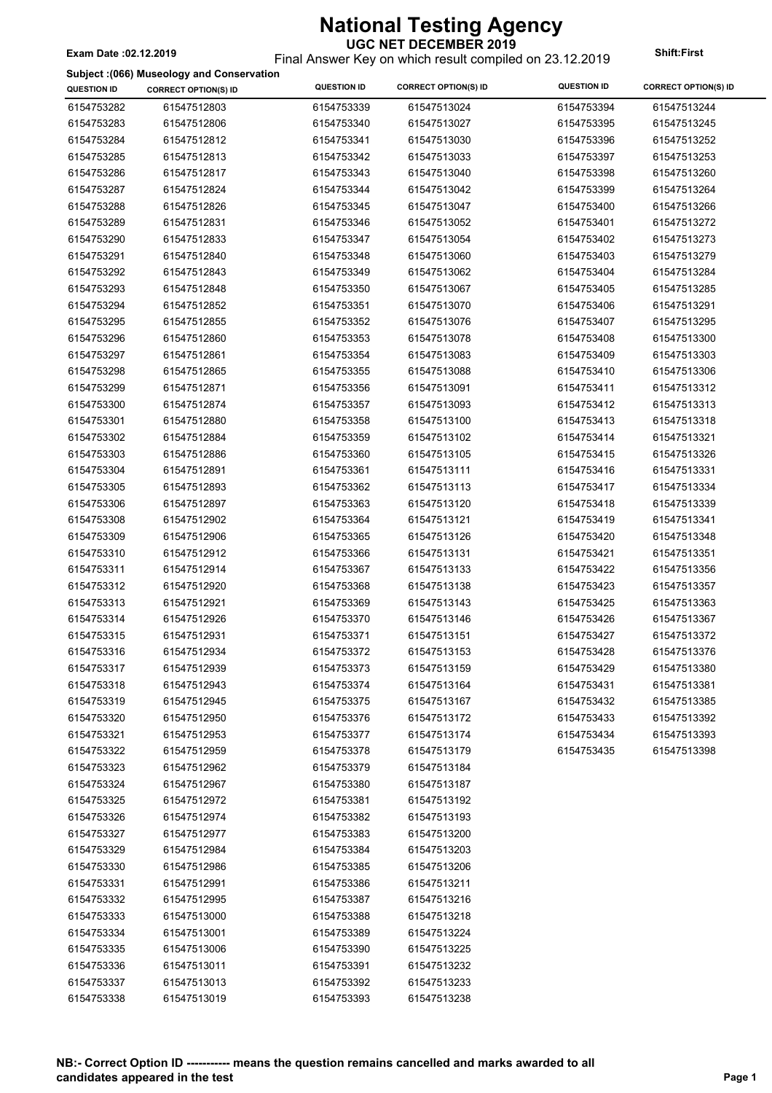### Final Answer Key on which result compiled on 23.12.2019 **Exam Date :02.12.2019 Shift:First**

#### **Subject :(066) Museology and Conservation**

| <b>QUESTION ID</b> | capped . (coo) mascology and conservation<br><b>CORRECT OPTION(S) ID</b> | <b>QUESTION ID</b> | <b>CORRECT OPTION(S) ID</b> | <b>QUESTION ID</b> | <b>CORRECT OPTION(S) ID</b> |
|--------------------|--------------------------------------------------------------------------|--------------------|-----------------------------|--------------------|-----------------------------|
| 6154753282         | 61547512803                                                              | 6154753339         | 61547513024                 | 6154753394         | 61547513244                 |
| 6154753283         | 61547512806                                                              | 6154753340         | 61547513027                 | 6154753395         | 61547513245                 |
| 6154753284         | 61547512812                                                              | 6154753341         | 61547513030                 | 6154753396         | 61547513252                 |
| 6154753285         | 61547512813                                                              | 6154753342         | 61547513033                 | 6154753397         | 61547513253                 |
| 6154753286         | 61547512817                                                              | 6154753343         | 61547513040                 | 6154753398         | 61547513260                 |
| 6154753287         | 61547512824                                                              | 6154753344         | 61547513042                 | 6154753399         | 61547513264                 |
| 6154753288         | 61547512826                                                              | 6154753345         | 61547513047                 | 6154753400         | 61547513266                 |
| 6154753289         | 61547512831                                                              | 6154753346         | 61547513052                 | 6154753401         | 61547513272                 |
| 6154753290         | 61547512833                                                              | 6154753347         | 61547513054                 | 6154753402         | 61547513273                 |
| 6154753291         | 61547512840                                                              | 6154753348         | 61547513060                 | 6154753403         | 61547513279                 |
| 6154753292         | 61547512843                                                              | 6154753349         | 61547513062                 | 6154753404         | 61547513284                 |
| 6154753293         | 61547512848                                                              | 6154753350         | 61547513067                 | 6154753405         | 61547513285                 |
| 6154753294         | 61547512852                                                              | 6154753351         | 61547513070                 | 6154753406         | 61547513291                 |
| 6154753295         | 61547512855                                                              | 6154753352         | 61547513076                 | 6154753407         | 61547513295                 |
| 6154753296         | 61547512860                                                              | 6154753353         | 61547513078                 | 6154753408         | 61547513300                 |
| 6154753297         | 61547512861                                                              | 6154753354         | 61547513083                 | 6154753409         | 61547513303                 |
| 6154753298         | 61547512865                                                              | 6154753355         | 61547513088                 | 6154753410         | 61547513306                 |
| 6154753299         | 61547512871                                                              | 6154753356         | 61547513091                 | 6154753411         | 61547513312                 |
| 6154753300         | 61547512874                                                              | 6154753357         | 61547513093                 | 6154753412         | 61547513313                 |
| 6154753301         | 61547512880                                                              | 6154753358         | 61547513100                 | 6154753413         | 61547513318                 |
| 6154753302         | 61547512884                                                              | 6154753359         | 61547513102                 | 6154753414         | 61547513321                 |
| 6154753303         | 61547512886                                                              | 6154753360         | 61547513105                 | 6154753415         | 61547513326                 |
| 6154753304         | 61547512891                                                              | 6154753361         | 61547513111                 | 6154753416         | 61547513331                 |
| 6154753305         | 61547512893                                                              | 6154753362         | 61547513113                 | 6154753417         | 61547513334                 |
| 6154753306         | 61547512897                                                              | 6154753363         | 61547513120                 | 6154753418         | 61547513339                 |
| 6154753308         | 61547512902                                                              | 6154753364         | 61547513121                 | 6154753419         | 61547513341                 |
| 6154753309         | 61547512906                                                              | 6154753365         | 61547513126                 | 6154753420         | 61547513348                 |
| 6154753310         | 61547512912                                                              | 6154753366         | 61547513131                 | 6154753421         | 61547513351                 |
| 6154753311         | 61547512914                                                              | 6154753367         | 61547513133                 | 6154753422         | 61547513356                 |
| 6154753312         | 61547512920                                                              | 6154753368         | 61547513138                 | 6154753423         | 61547513357                 |
| 6154753313         | 61547512921                                                              | 6154753369         | 61547513143                 | 6154753425         | 61547513363                 |
| 6154753314         | 61547512926                                                              | 6154753370         | 61547513146                 | 6154753426         | 61547513367                 |
| 6154753315         | 61547512931                                                              | 6154753371         | 61547513151                 | 6154753427         | 61547513372                 |
| 6154753316         | 61547512934                                                              | 6154753372         | 61547513153                 | 6154753428         | 61547513376                 |
| 6154753317         | 61547512939                                                              | 6154753373         | 61547513159                 | 6154753429         | 61547513380                 |
| 6154753318         | 61547512943                                                              | 6154753374         | 61547513164                 | 6154753431         | 61547513381                 |
| 6154753319         | 61547512945                                                              | 6154753375         | 61547513167                 | 6154753432         | 61547513385                 |
| 6154753320         | 61547512950                                                              | 6154753376         | 61547513172                 | 6154753433         | 61547513392                 |
| 6154753321         | 61547512953                                                              | 6154753377         | 61547513174                 | 6154753434         | 61547513393                 |
| 6154753322         | 61547512959                                                              | 6154753378         | 61547513179                 | 6154753435         | 61547513398                 |
| 6154753323         | 61547512962                                                              | 6154753379         | 61547513184                 |                    |                             |
| 6154753324         | 61547512967                                                              | 6154753380         | 61547513187                 |                    |                             |
| 6154753325         | 61547512972                                                              | 6154753381         | 61547513192                 |                    |                             |
| 6154753326         | 61547512974                                                              | 6154753382         | 61547513193                 |                    |                             |
| 6154753327         | 61547512977                                                              | 6154753383         | 61547513200                 |                    |                             |
| 6154753329         | 61547512984                                                              | 6154753384         | 61547513203                 |                    |                             |
| 6154753330         | 61547512986                                                              | 6154753385         | 61547513206                 |                    |                             |
| 6154753331         | 61547512991                                                              | 6154753386         | 61547513211                 |                    |                             |
| 6154753332         | 61547512995                                                              | 6154753387         | 61547513216                 |                    |                             |
| 6154753333         | 61547513000                                                              | 6154753388         | 61547513218                 |                    |                             |
| 6154753334         | 61547513001                                                              | 6154753389         | 61547513224                 |                    |                             |
| 6154753335         | 61547513006                                                              | 6154753390         | 61547513225                 |                    |                             |
| 6154753336         | 61547513011                                                              | 6154753391         | 61547513232                 |                    |                             |
| 6154753337         | 61547513013                                                              | 6154753392         | 61547513233                 |                    |                             |
| 6154753338         | 61547513019                                                              | 6154753393         | 61547513238                 |                    |                             |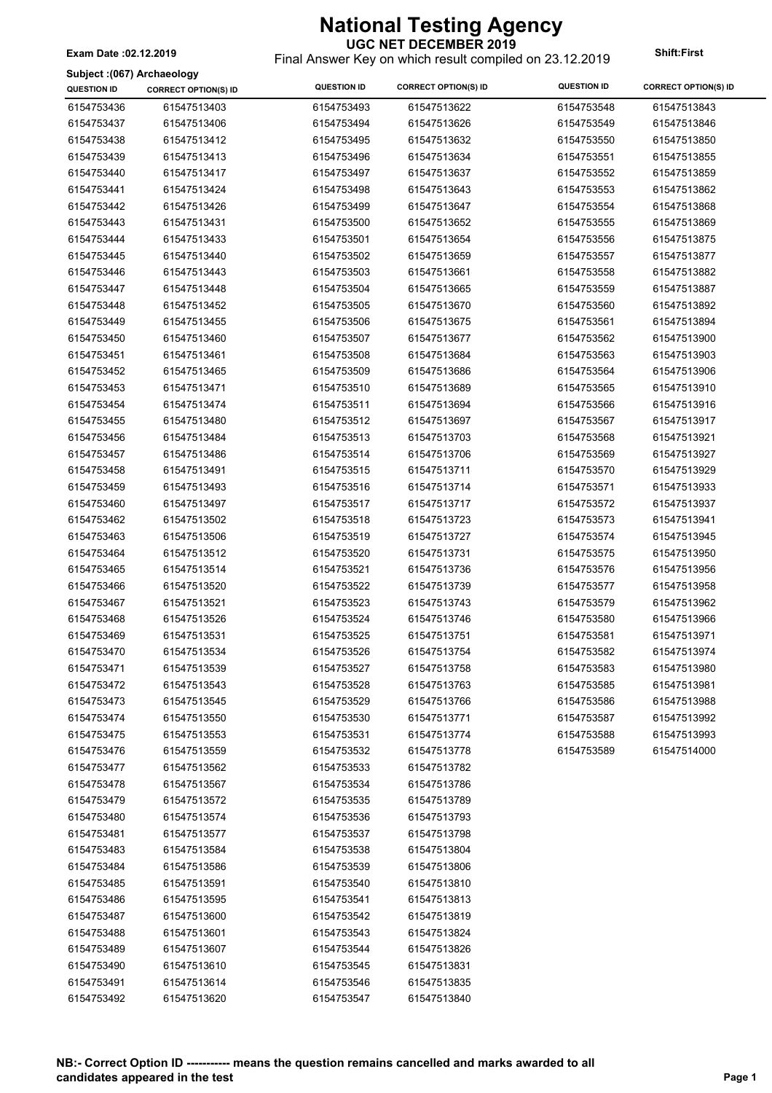**UGC NET DECEMBER 2019** Final Answer Key on which result compiled on 23.12.2019 **Exam Date :02.12.2019 Shift:First**

 $\overline{\phantom{a}}$ 

#### **Subject :(067) Archaeology**

| Subject : (067) Archaeology |                             |                    |                             |                    |                             |
|-----------------------------|-----------------------------|--------------------|-----------------------------|--------------------|-----------------------------|
| <b>QUESTION ID</b>          | <b>CORRECT OPTION(S) ID</b> | <b>QUESTION ID</b> | <b>CORRECT OPTION(S) ID</b> | <b>QUESTION ID</b> | <b>CORRECT OPTION(S) ID</b> |
| 6154753436                  | 61547513403                 | 6154753493         | 61547513622                 | 6154753548         | 61547513843                 |
| 6154753437                  | 61547513406                 | 6154753494         | 61547513626                 | 6154753549         | 61547513846                 |
| 6154753438                  | 61547513412                 | 6154753495         | 61547513632                 | 6154753550         | 61547513850                 |
| 6154753439                  | 61547513413                 | 6154753496         | 61547513634                 | 6154753551         | 61547513855                 |
| 6154753440                  | 61547513417                 | 6154753497         | 61547513637                 | 6154753552         | 61547513859                 |
| 6154753441                  | 61547513424                 | 6154753498         | 61547513643                 | 6154753553         | 61547513862                 |
| 6154753442                  | 61547513426                 | 6154753499         | 61547513647                 | 6154753554         | 61547513868                 |
| 6154753443                  | 61547513431                 | 6154753500         | 61547513652                 | 6154753555         | 61547513869                 |
| 6154753444                  | 61547513433                 | 6154753501         | 61547513654                 | 6154753556         | 61547513875                 |
| 6154753445                  | 61547513440                 | 6154753502         | 61547513659                 | 6154753557         | 61547513877                 |
| 6154753446                  | 61547513443                 | 6154753503         | 61547513661                 | 6154753558         | 61547513882                 |
| 6154753447                  | 61547513448                 | 6154753504         | 61547513665                 | 6154753559         | 61547513887                 |
| 6154753448                  | 61547513452                 | 6154753505         | 61547513670                 | 6154753560         | 61547513892                 |
| 6154753449                  | 61547513455                 | 6154753506         | 61547513675                 | 6154753561         | 61547513894                 |
| 6154753450                  | 61547513460                 | 6154753507         | 61547513677                 | 6154753562         | 61547513900                 |
| 6154753451                  | 61547513461                 | 6154753508         | 61547513684                 | 6154753563         | 61547513903                 |
| 6154753452                  | 61547513465                 | 6154753509         | 61547513686                 | 6154753564         | 61547513906                 |
| 6154753453                  | 61547513471                 | 6154753510         | 61547513689                 | 6154753565         | 61547513910                 |
| 6154753454                  | 61547513474                 | 6154753511         | 61547513694                 | 6154753566         | 61547513916                 |
| 6154753455                  | 61547513480                 | 6154753512         | 61547513697                 | 6154753567         | 61547513917                 |
| 6154753456                  | 61547513484                 | 6154753513         | 61547513703                 | 6154753568         | 61547513921                 |
| 6154753457                  | 61547513486                 | 6154753514         | 61547513706                 | 6154753569         | 61547513927                 |
| 6154753458                  | 61547513491                 | 6154753515         | 61547513711                 | 6154753570         | 61547513929                 |
| 6154753459                  | 61547513493                 | 6154753516         | 61547513714                 | 6154753571         | 61547513933                 |
| 6154753460                  | 61547513497                 | 6154753517         | 61547513717                 | 6154753572         | 61547513937                 |
| 6154753462                  | 61547513502                 | 6154753518         | 61547513723                 | 6154753573         | 61547513941                 |
| 6154753463                  | 61547513506                 |                    | 61547513727                 | 6154753574         | 61547513945                 |
| 6154753464                  |                             | 6154753519         |                             |                    |                             |
|                             | 61547513512                 | 6154753520         | 61547513731                 | 6154753575         | 61547513950                 |
| 6154753465                  | 61547513514                 | 6154753521         | 61547513736                 | 6154753576         | 61547513956                 |
| 6154753466                  | 61547513520                 | 6154753522         | 61547513739                 | 6154753577         | 61547513958                 |
| 6154753467                  | 61547513521                 | 6154753523         | 61547513743                 | 6154753579         | 61547513962                 |
| 6154753468                  | 61547513526                 | 6154753524         | 61547513746                 | 6154753580         | 61547513966                 |
| 6154753469                  | 61547513531                 | 6154753525         | 61547513751                 | 6154753581         | 61547513971                 |
| 6154753470                  | 61547513534                 | 6154753526         | 61547513754                 | 6154753582         | 61547513974                 |
| 6154753471                  | 61547513539                 | 6154753527         | 61547513758                 | 6154753583         | 61547513980                 |
| 6154753472                  | 61547513543                 | 6154753528         | 61547513763                 | 6154753585         | 61547513981                 |
| 6154753473                  | 61547513545                 | 6154753529         | 61547513766                 | 6154753586         | 61547513988                 |
| 6154753474                  | 61547513550                 | 6154753530         | 61547513771                 | 6154753587         | 61547513992                 |
| 6154753475                  | 61547513553                 | 6154753531         | 61547513774                 | 6154753588         | 61547513993                 |
| 6154753476                  | 61547513559                 | 6154753532         | 61547513778                 | 6154753589         | 61547514000                 |
| 6154753477                  | 61547513562                 | 6154753533         | 61547513782                 |                    |                             |
| 6154753478                  | 61547513567                 | 6154753534         | 61547513786                 |                    |                             |
| 6154753479                  | 61547513572                 | 6154753535         | 61547513789                 |                    |                             |
| 6154753480                  | 61547513574                 | 6154753536         | 61547513793                 |                    |                             |
| 6154753481                  | 61547513577                 | 6154753537         | 61547513798                 |                    |                             |
| 6154753483                  | 61547513584                 | 6154753538         | 61547513804                 |                    |                             |
| 6154753484                  | 61547513586                 | 6154753539         | 61547513806                 |                    |                             |
| 6154753485                  | 61547513591                 | 6154753540         | 61547513810                 |                    |                             |
| 6154753486                  | 61547513595                 | 6154753541         | 61547513813                 |                    |                             |
| 6154753487                  | 61547513600                 | 6154753542         | 61547513819                 |                    |                             |
| 6154753488                  | 61547513601                 | 6154753543         | 61547513824                 |                    |                             |
| 6154753489                  | 61547513607                 | 6154753544         | 61547513826                 |                    |                             |
| 6154753490                  | 61547513610                 | 6154753545         | 61547513831                 |                    |                             |
| 6154753491                  | 61547513614                 | 6154753546         | 61547513835                 |                    |                             |
| 6154753492                  | 61547513620                 | 6154753547         | 61547513840                 |                    |                             |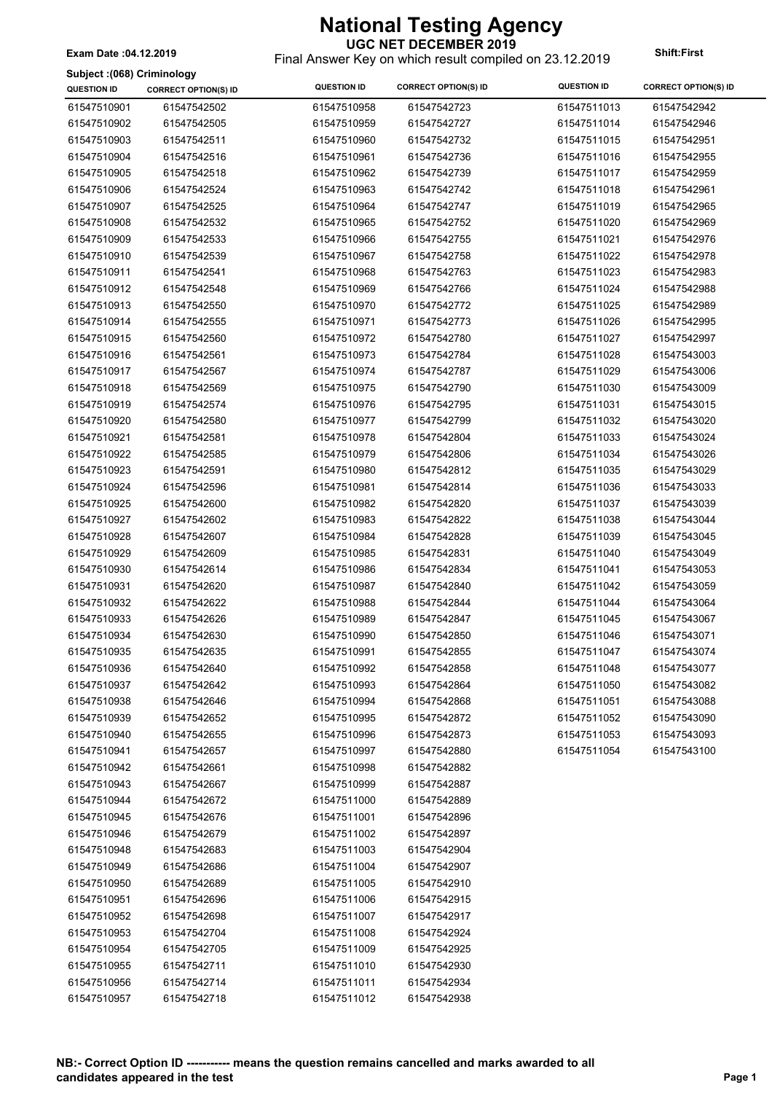**UGC NET DECEMBER 2019** Final Answer Key on which result compiled on 23.12.2019 **Exam Date :04.12.2019 Shift:First**

#### **Subject :(068) Criminology**

| Subject :(068) Criminology |                             |                    |                             |                    |                             |
|----------------------------|-----------------------------|--------------------|-----------------------------|--------------------|-----------------------------|
| <b>QUESTION ID</b>         | <b>CORRECT OPTION(S) ID</b> | <b>QUESTION ID</b> | <b>CORRECT OPTION(S) ID</b> | <b>QUESTION ID</b> | <b>CORRECT OPTION(S) ID</b> |
| 61547510901                | 61547542502                 | 61547510958        | 61547542723                 | 61547511013        | 61547542942                 |
| 61547510902                | 61547542505                 | 61547510959        | 61547542727                 | 61547511014        | 61547542946                 |
| 61547510903                | 61547542511                 | 61547510960        | 61547542732                 | 61547511015        | 61547542951                 |
| 61547510904                | 61547542516                 | 61547510961        | 61547542736                 | 61547511016        | 61547542955                 |
| 61547510905                | 61547542518                 | 61547510962        | 61547542739                 | 61547511017        | 61547542959                 |
| 61547510906                | 61547542524                 | 61547510963        | 61547542742                 | 61547511018        | 61547542961                 |
| 61547510907                | 61547542525                 | 61547510964        | 61547542747                 | 61547511019        | 61547542965                 |
| 61547510908                | 61547542532                 | 61547510965        | 61547542752                 | 61547511020        | 61547542969                 |
| 61547510909                | 61547542533                 | 61547510966        | 61547542755                 | 61547511021        | 61547542976                 |
| 61547510910                | 61547542539                 | 61547510967        | 61547542758                 | 61547511022        | 61547542978                 |
| 61547510911                | 61547542541                 | 61547510968        | 61547542763                 | 61547511023        | 61547542983                 |
| 61547510912                | 61547542548                 | 61547510969        | 61547542766                 | 61547511024        | 61547542988                 |
| 61547510913                | 61547542550                 | 61547510970        | 61547542772                 | 61547511025        | 61547542989                 |
| 61547510914                | 61547542555                 | 61547510971        | 61547542773                 | 61547511026        | 61547542995                 |
| 61547510915                | 61547542560                 | 61547510972        | 61547542780                 | 61547511027        | 61547542997                 |
| 61547510916                | 61547542561                 | 61547510973        | 61547542784                 | 61547511028        | 61547543003                 |
| 61547510917                | 61547542567                 | 61547510974        | 61547542787                 | 61547511029        | 61547543006                 |
| 61547510918                | 61547542569                 | 61547510975        | 61547542790                 | 61547511030        | 61547543009                 |
| 61547510919                | 61547542574                 | 61547510976        | 61547542795                 | 61547511031        | 61547543015                 |
| 61547510920                | 61547542580                 | 61547510977        | 61547542799                 | 61547511032        | 61547543020                 |
| 61547510921                | 61547542581                 | 61547510978        | 61547542804                 | 61547511033        | 61547543024                 |
| 61547510922                | 61547542585                 | 61547510979        | 61547542806                 | 61547511034        | 61547543026                 |
| 61547510923                | 61547542591                 | 61547510980        | 61547542812                 | 61547511035        | 61547543029                 |
| 61547510924                | 61547542596                 | 61547510981        | 61547542814                 | 61547511036        | 61547543033                 |
| 61547510925                | 61547542600                 | 61547510982        | 61547542820                 | 61547511037        | 61547543039                 |
| 61547510927                | 61547542602                 | 61547510983        | 61547542822                 | 61547511038        | 61547543044                 |
| 61547510928                | 61547542607                 | 61547510984        | 61547542828                 | 61547511039        | 61547543045                 |
| 61547510929                | 61547542609                 | 61547510985        | 61547542831                 | 61547511040        | 61547543049                 |
| 61547510930                | 61547542614                 | 61547510986        | 61547542834                 | 61547511041        | 61547543053                 |
| 61547510931                | 61547542620                 | 61547510987        | 61547542840                 | 61547511042        | 61547543059                 |
| 61547510932                | 61547542622                 | 61547510988        | 61547542844                 | 61547511044        | 61547543064                 |
| 61547510933                | 61547542626                 | 61547510989        | 61547542847                 | 61547511045        | 61547543067                 |
| 61547510934                | 61547542630                 | 61547510990        | 61547542850                 | 61547511046        | 61547543071                 |
| 61547510935                | 61547542635                 | 61547510991        | 61547542855                 | 61547511047        | 61547543074                 |
| 61547510936                | 61547542640                 | 61547510992        | 61547542858                 | 61547511048        | 61547543077                 |
| 61547510937                | 61547542642                 | 61547510993        | 61547542864                 | 61547511050        | 61547543082                 |
| 61547510938                | 61547542646                 | 61547510994        | 61547542868                 | 61547511051        | 61547543088                 |
| 61547510939                | 61547542652                 | 61547510995        | 61547542872                 | 61547511052        | 61547543090                 |
| 61547510940                | 61547542655                 | 61547510996        | 61547542873                 | 61547511053        | 61547543093                 |
| 61547510941                | 61547542657                 | 61547510997        | 61547542880                 | 61547511054        | 61547543100                 |
| 61547510942                | 61547542661                 | 61547510998        | 61547542882                 |                    |                             |
| 61547510943                | 61547542667                 | 61547510999        | 61547542887                 |                    |                             |
| 61547510944                | 61547542672                 | 61547511000        | 61547542889                 |                    |                             |
| 61547510945                | 61547542676                 | 61547511001        | 61547542896                 |                    |                             |
| 61547510946                | 61547542679                 | 61547511002        | 61547542897                 |                    |                             |
| 61547510948                | 61547542683                 | 61547511003        | 61547542904                 |                    |                             |
| 61547510949                | 61547542686                 | 61547511004        | 61547542907                 |                    |                             |
| 61547510950                | 61547542689                 | 61547511005        | 61547542910                 |                    |                             |
| 61547510951                | 61547542696                 | 61547511006        | 61547542915                 |                    |                             |
| 61547510952                | 61547542698                 | 61547511007        | 61547542917                 |                    |                             |
| 61547510953                | 61547542704                 | 61547511008        | 61547542924                 |                    |                             |
| 61547510954                | 61547542705                 | 61547511009        | 61547542925                 |                    |                             |
| 61547510955                | 61547542711                 | 61547511010        | 61547542930                 |                    |                             |
| 61547510956                | 61547542714                 | 61547511011        | 61547542934                 |                    |                             |
| 61547510957                | 61547542718                 | 61547511012        | 61547542938                 |                    |                             |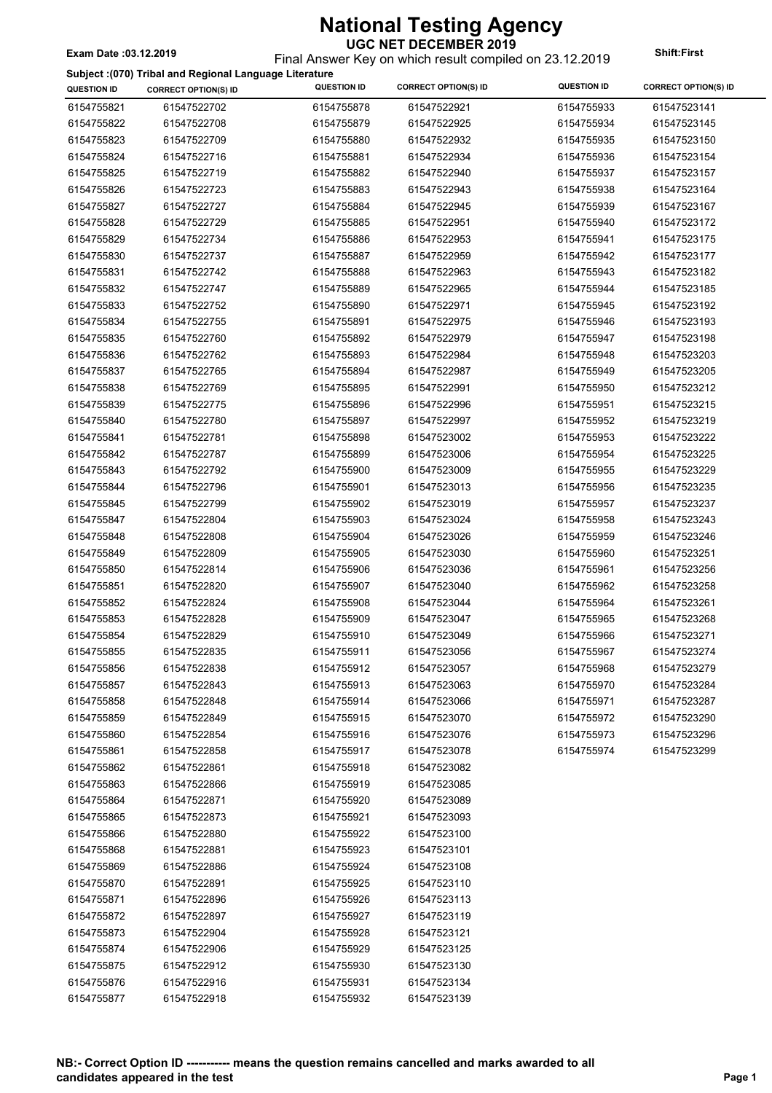Final Answer Key on which result compiled on 23.12.2019 **Exam Date :03.12.2019 Shift:First**

 $\overline{\phantom{a}}$ 

**Subject :(070) Tribal and Regional Language Literature**

|                    | Subject :(070) Tribal and Regional Language Literature |                    |                             |                    |                             |
|--------------------|--------------------------------------------------------|--------------------|-----------------------------|--------------------|-----------------------------|
| <b>QUESTION ID</b> | <b>CORRECT OPTION(S) ID</b>                            | <b>QUESTION ID</b> | <b>CORRECT OPTION(S) ID</b> | <b>QUESTION ID</b> | <b>CORRECT OPTION(S) ID</b> |
| 6154755821         | 61547522702                                            | 6154755878         | 61547522921                 | 6154755933         | 61547523141                 |
| 6154755822         | 61547522708                                            | 6154755879         | 61547522925                 | 6154755934         | 61547523145                 |
| 6154755823         | 61547522709                                            | 6154755880         | 61547522932                 | 6154755935         | 61547523150                 |
| 6154755824         | 61547522716                                            | 6154755881         | 61547522934                 | 6154755936         | 61547523154                 |
| 6154755825         | 61547522719                                            | 6154755882         | 61547522940                 | 6154755937         | 61547523157                 |
| 6154755826         | 61547522723                                            | 6154755883         | 61547522943                 | 6154755938         | 61547523164                 |
| 6154755827         | 61547522727                                            | 6154755884         | 61547522945                 | 6154755939         | 61547523167                 |
| 6154755828         | 61547522729                                            | 6154755885         | 61547522951                 | 6154755940         | 61547523172                 |
| 6154755829         | 61547522734                                            | 6154755886         | 61547522953                 | 6154755941         | 61547523175                 |
| 6154755830         | 61547522737                                            | 6154755887         | 61547522959                 | 6154755942         | 61547523177                 |
| 6154755831         | 61547522742                                            | 6154755888         | 61547522963                 | 6154755943         | 61547523182                 |
| 6154755832         | 61547522747                                            | 6154755889         | 61547522965                 | 6154755944         | 61547523185                 |
| 6154755833         | 61547522752                                            | 6154755890         | 61547522971                 | 6154755945         | 61547523192                 |
| 6154755834         | 61547522755                                            | 6154755891         | 61547522975                 | 6154755946         | 61547523193                 |
| 6154755835         | 61547522760                                            | 6154755892         | 61547522979                 | 6154755947         | 61547523198                 |
| 6154755836         | 61547522762                                            | 6154755893         | 61547522984                 | 6154755948         | 61547523203                 |
| 6154755837         | 61547522765                                            | 6154755894         | 61547522987                 | 6154755949         | 61547523205                 |
| 6154755838         | 61547522769                                            | 6154755895         | 61547522991                 | 6154755950         | 61547523212                 |
| 6154755839         | 61547522775                                            | 6154755896         | 61547522996                 | 6154755951         | 61547523215                 |
| 6154755840         | 61547522780                                            | 6154755897         | 61547522997                 | 6154755952         | 61547523219                 |
| 6154755841         | 61547522781                                            | 6154755898         | 61547523002                 | 6154755953         | 61547523222                 |
| 6154755842         | 61547522787                                            | 6154755899         | 61547523006                 | 6154755954         | 61547523225                 |
| 6154755843         | 61547522792                                            | 6154755900         | 61547523009                 | 6154755955         | 61547523229                 |
| 6154755844         | 61547522796                                            | 6154755901         | 61547523013                 | 6154755956         | 61547523235                 |
| 6154755845         | 61547522799                                            | 6154755902         | 61547523019                 | 6154755957         | 61547523237                 |
| 6154755847         | 61547522804                                            | 6154755903         | 61547523024                 | 6154755958         | 61547523243                 |
| 6154755848         | 61547522808                                            | 6154755904         | 61547523026                 | 6154755959         | 61547523246                 |
|                    | 61547522809                                            | 6154755905         | 61547523030                 |                    | 61547523251                 |
| 6154755849         |                                                        |                    |                             | 6154755960         |                             |
| 6154755850         | 61547522814                                            | 6154755906         | 61547523036                 | 6154755961         | 61547523256                 |
| 6154755851         | 61547522820                                            | 6154755907         | 61547523040                 | 6154755962         | 61547523258                 |
| 6154755852         | 61547522824                                            | 6154755908         | 61547523044                 | 6154755964         | 61547523261                 |
| 6154755853         | 61547522828                                            | 6154755909         | 61547523047                 | 6154755965         | 61547523268                 |
| 6154755854         | 61547522829                                            | 6154755910         | 61547523049                 | 6154755966         | 61547523271                 |
| 6154755855         | 61547522835                                            | 6154755911         | 61547523056                 | 6154755967         | 61547523274                 |
| 6154755856         | 61547522838                                            | 6154755912         | 61547523057                 | 6154755968         | 61547523279                 |
| 6154755857         | 61547522843                                            | 6154755913         | 61547523063                 | 6154755970         | 61547523284                 |
| 6154755858         | 61547522848                                            | 6154755914         | 61547523066                 | 6154755971         | 61547523287                 |
| 6154755859         | 61547522849                                            | 6154755915         | 61547523070                 | 6154755972         | 61547523290                 |
| 6154755860         | 61547522854                                            | 6154755916         | 61547523076                 | 6154755973         | 61547523296                 |
| 6154755861         | 61547522858                                            | 6154755917         | 61547523078                 | 6154755974         | 61547523299                 |
| 6154755862         | 61547522861                                            | 6154755918         | 61547523082                 |                    |                             |
| 6154755863         | 61547522866                                            | 6154755919         | 61547523085                 |                    |                             |
| 6154755864         | 61547522871                                            | 6154755920         | 61547523089                 |                    |                             |
| 6154755865         | 61547522873                                            | 6154755921         | 61547523093                 |                    |                             |
| 6154755866         | 61547522880                                            | 6154755922         | 61547523100                 |                    |                             |
| 6154755868         | 61547522881                                            | 6154755923         | 61547523101                 |                    |                             |
| 6154755869         | 61547522886                                            | 6154755924         | 61547523108                 |                    |                             |
| 6154755870         | 61547522891                                            | 6154755925         | 61547523110                 |                    |                             |
| 6154755871         | 61547522896                                            | 6154755926         | 61547523113                 |                    |                             |
| 6154755872         | 61547522897                                            | 6154755927         | 61547523119                 |                    |                             |
| 6154755873         | 61547522904                                            | 6154755928         | 61547523121                 |                    |                             |
| 6154755874         | 61547522906                                            | 6154755929         | 61547523125                 |                    |                             |
| 6154755875         | 61547522912                                            | 6154755930         | 61547523130                 |                    |                             |
| 6154755876         | 61547522916                                            | 6154755931         | 61547523134                 |                    |                             |
| 6154755877         | 61547522918                                            | 6154755932         | 61547523139                 |                    |                             |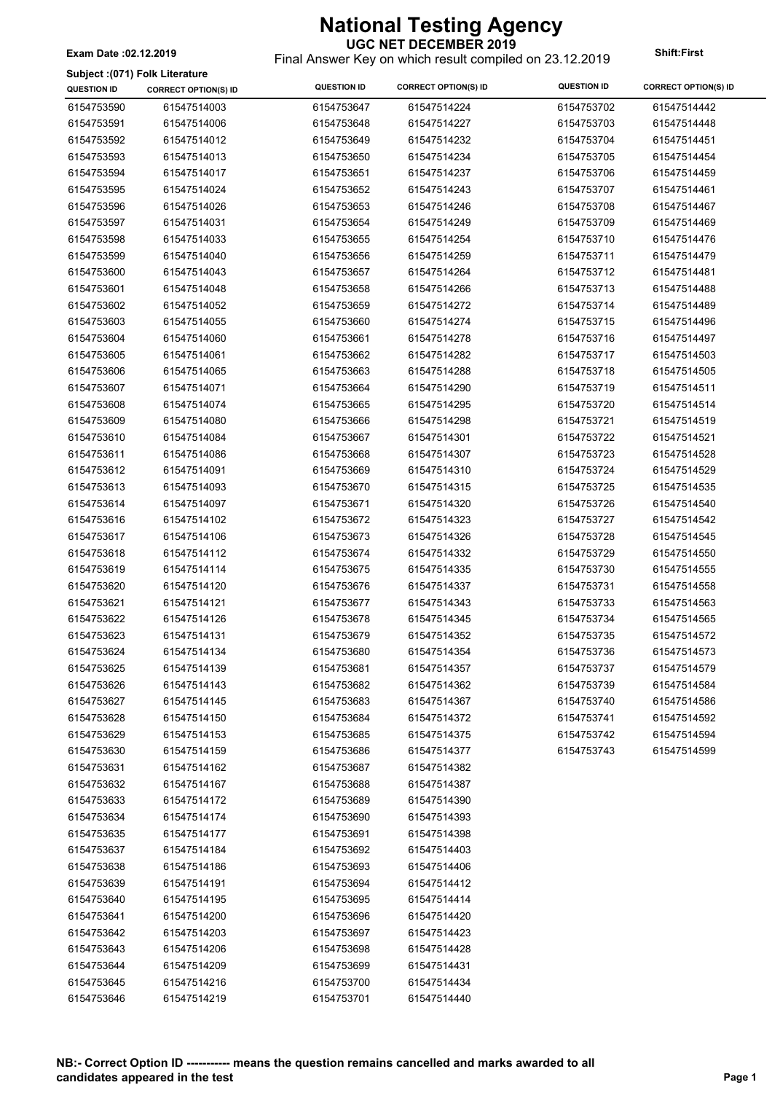Final Answer Key on which result compiled on 23.12.2019 **Exam Date :02.12.2019 Shift:First**

#### **Subject :(071) Folk Literature**

| <b>QUESTION ID</b> | <b>CORRECT OPTION(S) ID</b> | <b>QUESTION ID</b> | <b>CORRECT OPTION(S) ID</b> | <b>QUESTION ID</b> | <b>CORRECT OPTION(S) ID</b> |
|--------------------|-----------------------------|--------------------|-----------------------------|--------------------|-----------------------------|
| 6154753590         | 61547514003                 | 6154753647         | 61547514224                 | 6154753702         | 61547514442                 |
| 6154753591         | 61547514006                 | 6154753648         | 61547514227                 | 6154753703         | 61547514448                 |
| 6154753592         | 61547514012                 | 6154753649         | 61547514232                 | 6154753704         | 61547514451                 |
| 6154753593         | 61547514013                 | 6154753650         | 61547514234                 | 6154753705         | 61547514454                 |
| 6154753594         | 61547514017                 | 6154753651         | 61547514237                 | 6154753706         | 61547514459                 |
| 6154753595         | 61547514024                 | 6154753652         | 61547514243                 | 6154753707         | 61547514461                 |
| 6154753596         | 61547514026                 | 6154753653         | 61547514246                 | 6154753708         | 61547514467                 |
| 6154753597         | 61547514031                 | 6154753654         | 61547514249                 | 6154753709         | 61547514469                 |
| 6154753598         | 61547514033                 | 6154753655         | 61547514254                 | 6154753710         | 61547514476                 |
| 6154753599         | 61547514040                 | 6154753656         | 61547514259                 | 6154753711         | 61547514479                 |
| 6154753600         | 61547514043                 | 6154753657         | 61547514264                 | 6154753712         | 61547514481                 |
| 6154753601         | 61547514048                 | 6154753658         | 61547514266                 | 6154753713         | 61547514488                 |
| 6154753602         | 61547514052                 | 6154753659         | 61547514272                 | 6154753714         | 61547514489                 |
| 6154753603         | 61547514055                 | 6154753660         | 61547514274                 | 6154753715         | 61547514496                 |
| 6154753604         | 61547514060                 | 6154753661         | 61547514278                 | 6154753716         | 61547514497                 |
| 6154753605         | 61547514061                 | 6154753662         | 61547514282                 | 6154753717         | 61547514503                 |
| 6154753606         | 61547514065                 | 6154753663         | 61547514288                 | 6154753718         | 61547514505                 |
| 6154753607         | 61547514071                 | 6154753664         | 61547514290                 | 6154753719         | 61547514511                 |
| 6154753608         | 61547514074                 | 6154753665         | 61547514295                 | 6154753720         | 61547514514                 |
| 6154753609         | 61547514080                 | 6154753666         | 61547514298                 | 6154753721         | 61547514519                 |
| 6154753610         | 61547514084                 | 6154753667         | 61547514301                 | 6154753722         | 61547514521                 |
| 6154753611         | 61547514086                 | 6154753668         | 61547514307                 | 6154753723         | 61547514528                 |
| 6154753612         | 61547514091                 | 6154753669         | 61547514310                 | 6154753724         | 61547514529                 |
| 6154753613         | 61547514093                 | 6154753670         | 61547514315                 | 6154753725         | 61547514535                 |
| 6154753614         | 61547514097                 | 6154753671         | 61547514320                 | 6154753726         | 61547514540                 |
| 6154753616         | 61547514102                 | 6154753672         | 61547514323                 | 6154753727         | 61547514542                 |
| 6154753617         | 61547514106                 | 6154753673         | 61547514326                 | 6154753728         | 61547514545                 |
| 6154753618         | 61547514112                 | 6154753674         | 61547514332                 | 6154753729         | 61547514550                 |
| 6154753619         | 61547514114                 | 6154753675         | 61547514335                 | 6154753730         | 61547514555                 |
| 6154753620         | 61547514120                 | 6154753676         | 61547514337                 | 6154753731         | 61547514558                 |
| 6154753621         | 61547514121                 | 6154753677         | 61547514343                 | 6154753733         | 61547514563                 |
| 6154753622         | 61547514126                 | 6154753678         | 61547514345                 | 6154753734         | 61547514565                 |
| 6154753623         | 61547514131                 | 6154753679         | 61547514352                 | 6154753735         | 61547514572                 |
| 6154753624         | 61547514134                 | 6154753680         | 61547514354                 | 6154753736         | 61547514573                 |
| 6154753625         | 61547514139                 | 6154753681         | 61547514357                 | 6154753737         | 61547514579                 |
| 6154753626         | 61547514143                 | 6154753682         | 61547514362                 | 6154753739         | 61547514584                 |
| 6154753627         | 61547514145                 | 6154753683         | 61547514367                 | 6154753740         | 61547514586                 |
| 6154753628         | 61547514150                 | 6154753684         | 61547514372                 | 6154753741         | 61547514592                 |
| 6154753629         | 61547514153                 | 6154753685         | 61547514375                 | 6154753742         | 61547514594                 |
| 6154753630         | 61547514159                 | 6154753686         | 61547514377                 | 6154753743         | 61547514599                 |
| 6154753631         | 61547514162                 | 6154753687         | 61547514382                 |                    |                             |
| 6154753632         | 61547514167                 | 6154753688         | 61547514387                 |                    |                             |
| 6154753633         | 61547514172                 | 6154753689         | 61547514390                 |                    |                             |
| 6154753634         | 61547514174                 | 6154753690         | 61547514393                 |                    |                             |
| 6154753635         | 61547514177                 | 6154753691         | 61547514398                 |                    |                             |
| 6154753637         | 61547514184                 | 6154753692         | 61547514403                 |                    |                             |
| 6154753638         | 61547514186                 | 6154753693         | 61547514406                 |                    |                             |
| 6154753639         | 61547514191                 | 6154753694         | 61547514412                 |                    |                             |
| 6154753640         | 61547514195                 | 6154753695         | 61547514414                 |                    |                             |
| 6154753641         | 61547514200                 | 6154753696         | 61547514420                 |                    |                             |
| 6154753642         | 61547514203                 | 6154753697         | 61547514423                 |                    |                             |
| 6154753643         | 61547514206                 | 6154753698         | 61547514428                 |                    |                             |
| 6154753644         | 61547514209                 | 6154753699         | 61547514431                 |                    |                             |
| 6154753645         | 61547514216                 | 6154753700         | 61547514434                 |                    |                             |
| 6154753646         | 61547514219                 | 6154753701         | 61547514440                 |                    |                             |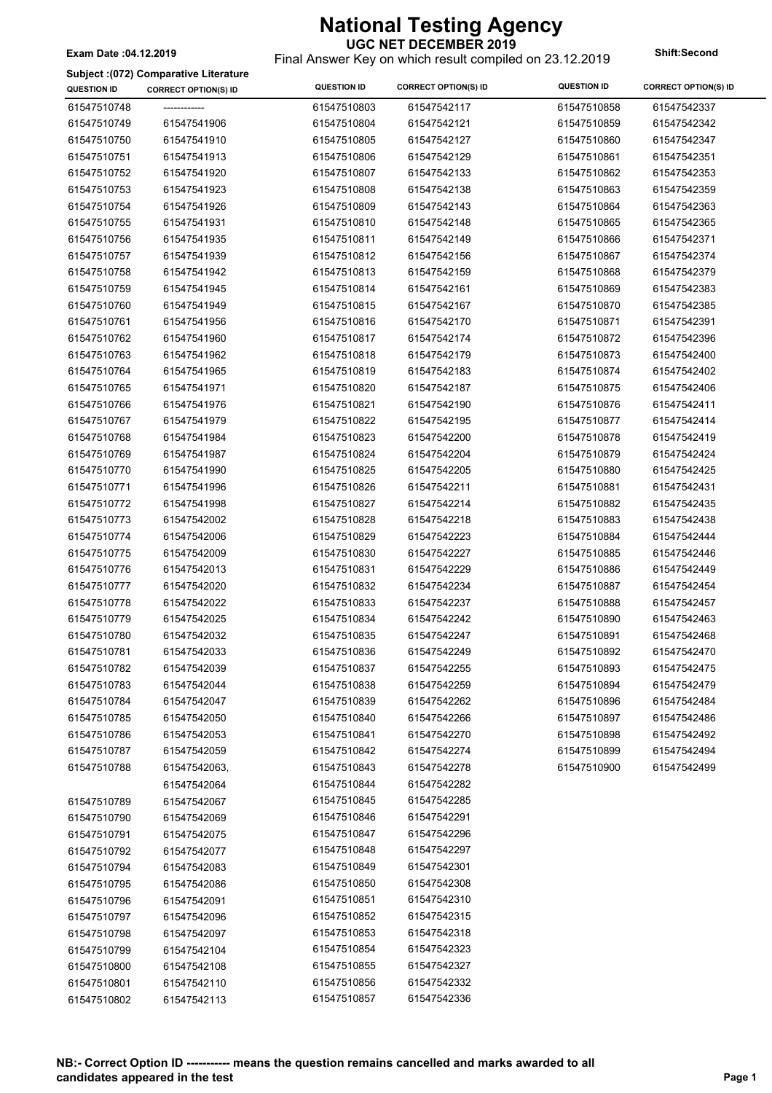#### **UGC NET DECEMBER 2019** Final Answer Key on which result compiled on 23.12.2019 **Exam Date :04.12.2019 Shift:Second**

**Subject :(072) Comparative Literature**

| <b>QUESTION ID</b> | <b>CORRECT OPTION(S) ID</b> | <b>QUESTION ID</b> | <b>CORRECT OPTION(S) ID</b> | <b>QUESTION ID</b> | <b>CORRECT OPTION(S) ID</b> |
|--------------------|-----------------------------|--------------------|-----------------------------|--------------------|-----------------------------|
| 61547510748        |                             | 61547510803        | 61547542117                 | 61547510858        | 61547542337                 |
| 61547510749        | 61547541906                 | 61547510804        | 61547542121                 | 61547510859        | 61547542342                 |
| 61547510750        | 61547541910                 | 61547510805        | 61547542127                 | 61547510860        | 61547542347                 |
| 61547510751        | 61547541913                 | 61547510806        | 61547542129                 | 61547510861        | 61547542351                 |
| 61547510752        | 61547541920                 | 61547510807        | 61547542133                 | 61547510862        | 61547542353                 |
| 61547510753        | 61547541923                 | 61547510808        | 61547542138                 | 61547510863        | 61547542359                 |
| 61547510754        | 61547541926                 | 61547510809        | 61547542143                 | 61547510864        | 61547542363                 |
| 61547510755        | 61547541931                 | 61547510810        | 61547542148                 | 61547510865        | 61547542365                 |
| 61547510756        | 61547541935                 | 61547510811        | 61547542149                 | 61547510866        | 61547542371                 |
| 61547510757        | 61547541939                 | 61547510812        | 61547542156                 | 61547510867        | 61547542374                 |
| 61547510758        | 61547541942                 | 61547510813        | 61547542159                 | 61547510868        | 61547542379                 |
| 61547510759        | 61547541945                 | 61547510814        | 61547542161                 | 61547510869        | 61547542383                 |
| 61547510760        | 61547541949                 | 61547510815        | 61547542167                 | 61547510870        | 61547542385                 |
| 61547510761        | 61547541956                 | 61547510816        | 61547542170                 | 61547510871        | 61547542391                 |
| 61547510762        | 61547541960                 | 61547510817        | 61547542174                 | 61547510872        | 61547542396                 |
| 61547510763        | 61547541962                 | 61547510818        | 61547542179                 | 61547510873        | 61547542400                 |
| 61547510764        | 61547541965                 | 61547510819        | 61547542183                 | 61547510874        | 61547542402                 |
| 61547510765        | 61547541971                 | 61547510820        | 61547542187                 | 61547510875        | 61547542406                 |
| 61547510766        | 61547541976                 | 61547510821        | 61547542190                 | 61547510876        | 61547542411                 |
| 61547510767        | 61547541979                 | 61547510822        | 61547542195                 | 61547510877        | 61547542414                 |
| 61547510768        | 61547541984                 | 61547510823        | 61547542200                 | 61547510878        | 61547542419                 |
| 61547510769        | 61547541987                 | 61547510824        | 61547542204                 | 61547510879        | 61547542424                 |
| 61547510770        | 61547541990                 | 61547510825        | 61547542205                 | 61547510880        | 61547542425                 |
| 61547510771        | 61547541996                 | 61547510826        | 61547542211                 | 61547510881        | 61547542431                 |
| 61547510772        | 61547541998                 | 61547510827        | 61547542214                 | 61547510882        | 61547542435                 |
| 61547510773        | 61547542002                 | 61547510828        | 61547542218                 | 61547510883        | 61547542438                 |
| 61547510774        | 61547542006                 | 61547510829        | 61547542223                 | 61547510884        | 61547542444                 |
| 61547510775        | 61547542009                 | 61547510830        | 61547542227                 | 61547510885        | 61547542446                 |
| 61547510776        | 61547542013                 | 61547510831        | 61547542229                 | 61547510886        | 61547542449                 |
| 61547510777        | 61547542020                 | 61547510832        | 61547542234                 | 61547510887        | 61547542454                 |
| 61547510778        | 61547542022                 | 61547510833        | 61547542237                 | 61547510888        | 61547542457                 |
| 61547510779        | 61547542025                 | 61547510834        | 61547542242                 | 61547510890        | 61547542463                 |
| 61547510780        | 61547542032                 | 61547510835        | 61547542247                 | 61547510891        | 61547542468                 |
| 61547510781        | 61547542033                 | 61547510836        | 61547542249                 | 61547510892        | 61547542470                 |
| 61547510782        | 61547542039                 | 61547510837        | 61547542255                 | 61547510893        | 61547542475                 |
| 61547510783        | 61547542044                 | 61547510838        | 61547542259                 | 61547510894        | 61547542479                 |
| 61547510784        | 61547542047                 | 61547510839        | 61547542262                 | 61547510896        | 61547542484                 |
| 61547510785        | 61547542050                 | 61547510840        | 61547542266                 | 61547510897        | 61547542486                 |
| 61547510786        | 61547542053                 | 61547510841        | 61547542270                 | 61547510898        | 61547542492                 |
| 61547510787        | 61547542059                 | 61547510842        | 61547542274                 | 61547510899        | 61547542494                 |
| 61547510788        | 61547542063,                | 61547510843        | 61547542278                 | 61547510900        | 61547542499                 |
|                    | 61547542064                 | 61547510844        | 61547542282                 |                    |                             |
| 61547510789        | 61547542067                 | 61547510845        | 61547542285                 |                    |                             |
|                    |                             | 61547510846        | 61547542291                 |                    |                             |
| 61547510790        | 61547542069                 | 61547510847        | 61547542296                 |                    |                             |
| 61547510791        | 61547542075                 | 61547510848        | 61547542297                 |                    |                             |
| 61547510792        | 61547542077                 | 61547510849        |                             |                    |                             |
| 61547510794        | 61547542083                 |                    | 61547542301                 |                    |                             |
| 61547510795        | 61547542086                 | 61547510850        | 61547542308                 |                    |                             |
| 61547510796        | 61547542091                 | 61547510851        | 61547542310                 |                    |                             |
| 61547510797        | 61547542096                 | 61547510852        | 61547542315                 |                    |                             |
| 61547510798        | 61547542097                 | 61547510853        | 61547542318                 |                    |                             |
| 61547510799        | 61547542104                 | 61547510854        | 61547542323                 |                    |                             |
| 61547510800        | 61547542108                 | 61547510855        | 61547542327                 |                    |                             |
| 61547510801        | 61547542110                 | 61547510856        | 61547542332                 |                    |                             |
| 61547510802        | 61547542113                 | 61547510857        | 61547542336                 |                    |                             |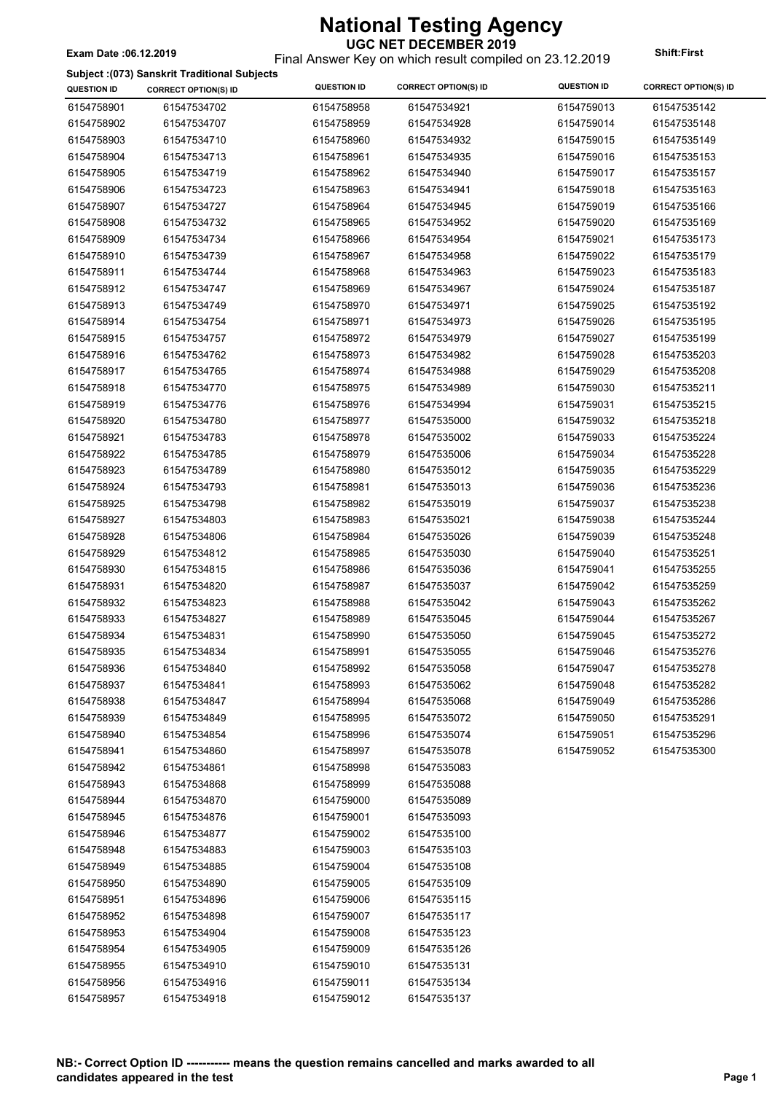### Final Answer Key on which result compiled on 23.12.2019 **Exam Date :06.12.2019 Shift:First**

#### **Subject :(073) Sanskrit Traditional Subjects**

|                    | Subject :(073) Sanskrit Traditional Subjects | <b>QUESTION ID</b> | <b>CORRECT OPTION(S) ID</b> | <b>QUESTION ID</b> | <b>CORRECT OPTION(S) ID</b> |
|--------------------|----------------------------------------------|--------------------|-----------------------------|--------------------|-----------------------------|
| <b>QUESTION ID</b> | <b>CORRECT OPTION(S) ID</b>                  |                    |                             |                    |                             |
| 6154758901         | 61547534702                                  | 6154758958         | 61547534921                 | 6154759013         | 61547535142                 |
| 6154758902         | 61547534707                                  | 6154758959         | 61547534928                 | 6154759014         | 61547535148                 |
| 6154758903         | 61547534710                                  | 6154758960         | 61547534932                 | 6154759015         | 61547535149                 |
| 6154758904         | 61547534713                                  | 6154758961         | 61547534935                 | 6154759016         | 61547535153                 |
| 6154758905         | 61547534719                                  | 6154758962         | 61547534940                 | 6154759017         | 61547535157                 |
| 6154758906         | 61547534723                                  | 6154758963         | 61547534941                 | 6154759018         | 61547535163                 |
| 6154758907         | 61547534727                                  | 6154758964         | 61547534945                 | 6154759019         | 61547535166                 |
| 6154758908         | 61547534732                                  | 6154758965         | 61547534952                 | 6154759020         | 61547535169                 |
| 6154758909         | 61547534734                                  | 6154758966         | 61547534954                 | 6154759021         | 61547535173                 |
| 6154758910         | 61547534739                                  | 6154758967         | 61547534958                 | 6154759022         | 61547535179                 |
| 6154758911         | 61547534744                                  | 6154758968         | 61547534963                 | 6154759023         | 61547535183                 |
| 6154758912         | 61547534747                                  | 6154758969         | 61547534967                 | 6154759024         | 61547535187                 |
| 6154758913         | 61547534749                                  | 6154758970         | 61547534971                 | 6154759025         | 61547535192                 |
| 6154758914         | 61547534754                                  | 6154758971         | 61547534973                 | 6154759026         | 61547535195                 |
| 6154758915         | 61547534757                                  | 6154758972         | 61547534979                 | 6154759027         | 61547535199                 |
| 6154758916         | 61547534762                                  | 6154758973         | 61547534982                 | 6154759028         | 61547535203                 |
| 6154758917         | 61547534765                                  | 6154758974         | 61547534988                 | 6154759029         | 61547535208                 |
| 6154758918         | 61547534770                                  | 6154758975         | 61547534989                 | 6154759030         | 61547535211                 |
| 6154758919         | 61547534776                                  | 6154758976         | 61547534994                 | 6154759031         | 61547535215                 |
| 6154758920         | 61547534780                                  | 6154758977         | 61547535000                 | 6154759032         | 61547535218                 |
| 6154758921         | 61547534783                                  | 6154758978         | 61547535002                 | 6154759033         | 61547535224                 |
| 6154758922         | 61547534785                                  | 6154758979         | 61547535006                 | 6154759034         | 61547535228                 |
| 6154758923         | 61547534789                                  | 6154758980         | 61547535012                 | 6154759035         | 61547535229                 |
| 6154758924         | 61547534793                                  | 6154758981         | 61547535013                 | 6154759036         | 61547535236                 |
| 6154758925         | 61547534798                                  | 6154758982         | 61547535019                 | 6154759037         | 61547535238                 |
| 6154758927         | 61547534803                                  | 6154758983         | 61547535021                 | 6154759038         | 61547535244                 |
| 6154758928         | 61547534806                                  | 6154758984         | 61547535026                 | 6154759039         | 61547535248                 |
| 6154758929         | 61547534812                                  | 6154758985         | 61547535030                 | 6154759040         | 61547535251                 |
| 6154758930         | 61547534815                                  | 6154758986         | 61547535036                 | 6154759041         | 61547535255                 |
| 6154758931         | 61547534820                                  | 6154758987         | 61547535037                 | 6154759042         | 61547535259                 |
| 6154758932         | 61547534823                                  | 6154758988         | 61547535042                 | 6154759043         | 61547535262                 |
| 6154758933         | 61547534827                                  | 6154758989         | 61547535045                 | 6154759044         | 61547535267                 |
| 6154758934         | 61547534831                                  | 6154758990         | 61547535050                 | 6154759045         | 61547535272                 |
| 6154758935         | 61547534834                                  | 6154758991         | 61547535055                 | 6154759046         | 61547535276                 |
| 6154758936         | 61547534840                                  | 6154758992         | 61547535058                 | 6154759047         | 61547535278                 |
| 6154758937         | 61547534841                                  | 6154758993         | 61547535062                 | 6154759048         | 61547535282                 |
| 6154758938         | 61547534847                                  | 6154758994         | 61547535068                 | 6154759049         | 61547535286                 |
| 6154758939         | 61547534849                                  | 6154758995         | 61547535072                 | 6154759050         | 61547535291                 |
| 6154758940         | 61547534854                                  | 6154758996         | 61547535074                 | 6154759051         | 61547535296                 |
|                    |                                              |                    |                             |                    | 61547535300                 |
| 6154758941         | 61547534860                                  | 6154758997         | 61547535078                 | 6154759052         |                             |
| 6154758942         | 61547534861                                  | 6154758998         | 61547535083                 |                    |                             |
| 6154758943         | 61547534868                                  | 6154758999         | 61547535088                 |                    |                             |
| 6154758944         | 61547534870                                  | 6154759000         | 61547535089                 |                    |                             |
| 6154758945         | 61547534876                                  | 6154759001         | 61547535093                 |                    |                             |
| 6154758946         | 61547534877                                  | 6154759002         | 61547535100                 |                    |                             |
| 6154758948         | 61547534883                                  | 6154759003         | 61547535103                 |                    |                             |
| 6154758949         | 61547534885                                  | 6154759004         | 61547535108                 |                    |                             |
| 6154758950         | 61547534890                                  | 6154759005         | 61547535109                 |                    |                             |
| 6154758951         | 61547534896                                  | 6154759006         | 61547535115                 |                    |                             |
| 6154758952         | 61547534898                                  | 6154759007         | 61547535117                 |                    |                             |
| 6154758953         | 61547534904                                  | 6154759008         | 61547535123                 |                    |                             |
| 6154758954         | 61547534905                                  | 6154759009         | 61547535126                 |                    |                             |
| 6154758955         | 61547534910                                  | 6154759010         | 61547535131                 |                    |                             |
| 6154758956         | 61547534916                                  | 6154759011         | 61547535134                 |                    |                             |
| 6154758957         | 61547534918                                  | 6154759012         | 61547535137                 |                    |                             |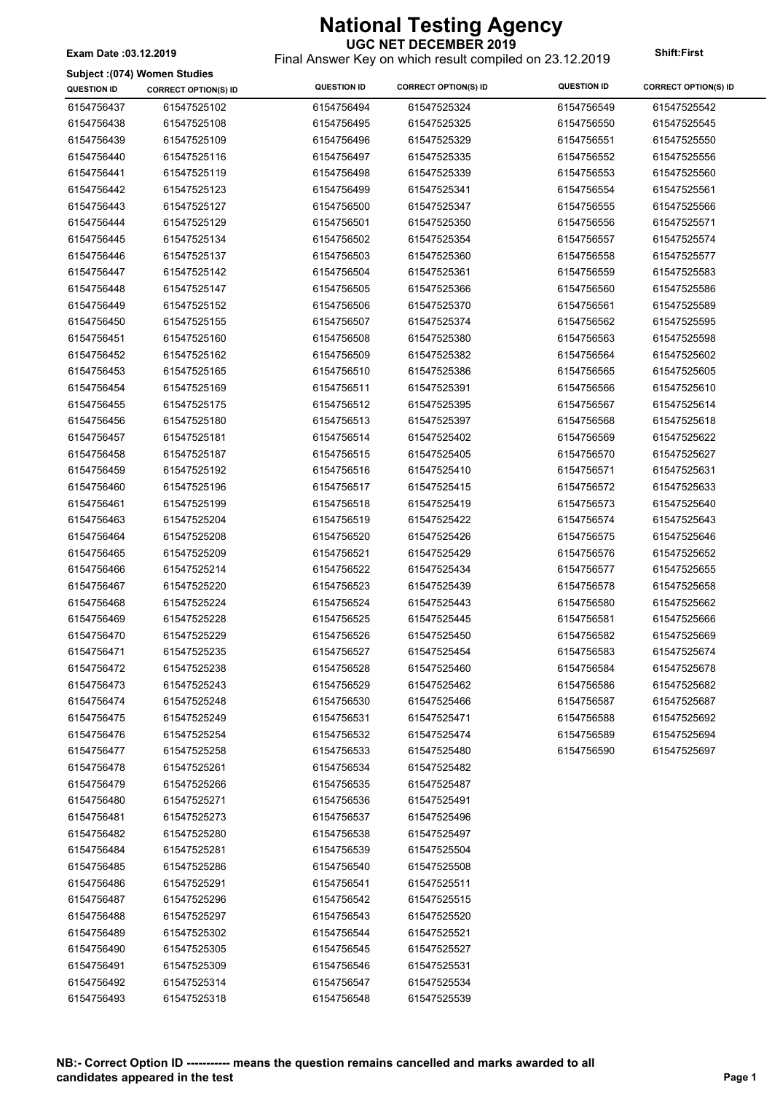Final Answer Key on which result compiled on 23.12.2019 **Exam Date :03.12.2019 Shift:First**

#### **Subject :(074) Women Studies**

 $\overline{\phantom{a}}$ 

| Subject :(074) Women Studies |                             |                    |                             |                    |                             |
|------------------------------|-----------------------------|--------------------|-----------------------------|--------------------|-----------------------------|
| <b>QUESTION ID</b>           | <b>CORRECT OPTION(S) ID</b> | <b>QUESTION ID</b> | <b>CORRECT OPTION(S) ID</b> | <b>QUESTION ID</b> | <b>CORRECT OPTION(S) ID</b> |
| 6154756437                   | 61547525102                 | 6154756494         | 61547525324                 | 6154756549         | 61547525542                 |
| 6154756438                   | 61547525108                 | 6154756495         | 61547525325                 | 6154756550         | 61547525545                 |
| 6154756439                   | 61547525109                 | 6154756496         | 61547525329                 | 6154756551         | 61547525550                 |
| 6154756440                   | 61547525116                 | 6154756497         | 61547525335                 | 6154756552         | 61547525556                 |
| 6154756441                   | 61547525119                 | 6154756498         | 61547525339                 | 6154756553         | 61547525560                 |
| 6154756442                   | 61547525123                 | 6154756499         | 61547525341                 | 6154756554         | 61547525561                 |
| 6154756443                   | 61547525127                 | 6154756500         | 61547525347                 | 6154756555         | 61547525566                 |
| 6154756444                   | 61547525129                 | 6154756501         | 61547525350                 | 6154756556         | 61547525571                 |
| 6154756445                   | 61547525134                 | 6154756502         | 61547525354                 | 6154756557         | 61547525574                 |
| 6154756446                   | 61547525137                 | 6154756503         | 61547525360                 | 6154756558         | 61547525577                 |
| 6154756447                   | 61547525142                 | 6154756504         | 61547525361                 | 6154756559         | 61547525583                 |
| 6154756448                   | 61547525147                 | 6154756505         | 61547525366                 | 6154756560         | 61547525586                 |
| 6154756449                   | 61547525152                 | 6154756506         | 61547525370                 | 6154756561         | 61547525589                 |
| 6154756450                   | 61547525155                 | 6154756507         | 61547525374                 | 6154756562         | 61547525595                 |
| 6154756451                   | 61547525160                 | 6154756508         | 61547525380                 | 6154756563         | 61547525598                 |
| 6154756452                   | 61547525162                 | 6154756509         | 61547525382                 | 6154756564         | 61547525602                 |
| 6154756453                   | 61547525165                 | 6154756510         | 61547525386                 | 6154756565         | 61547525605                 |
| 6154756454                   | 61547525169                 | 6154756511         | 61547525391                 | 6154756566         | 61547525610                 |
| 6154756455                   | 61547525175                 | 6154756512         | 61547525395                 | 6154756567         | 61547525614                 |
| 6154756456                   | 61547525180                 | 6154756513         | 61547525397                 | 6154756568         | 61547525618                 |
| 6154756457                   | 61547525181                 | 6154756514         | 61547525402                 | 6154756569         | 61547525622                 |
| 6154756458                   | 61547525187                 | 6154756515         | 61547525405                 | 6154756570         | 61547525627                 |
| 6154756459                   | 61547525192                 | 6154756516         | 61547525410                 | 6154756571         | 61547525631                 |
| 6154756460                   | 61547525196                 | 6154756517         | 61547525415                 | 6154756572         | 61547525633                 |
| 6154756461                   | 61547525199                 | 6154756518         | 61547525419                 | 6154756573         | 61547525640                 |
| 6154756463                   | 61547525204                 | 6154756519         | 61547525422                 | 6154756574         | 61547525643                 |
| 6154756464                   | 61547525208                 | 6154756520         | 61547525426                 | 6154756575         | 61547525646                 |
| 6154756465                   | 61547525209                 | 6154756521         | 61547525429                 | 6154756576         | 61547525652                 |
| 6154756466                   | 61547525214                 | 6154756522         | 61547525434                 | 6154756577         | 61547525655                 |
| 6154756467                   | 61547525220                 | 6154756523         | 61547525439                 | 6154756578         | 61547525658                 |
| 6154756468                   | 61547525224                 | 6154756524         | 61547525443                 | 6154756580         | 61547525662                 |
| 6154756469                   | 61547525228                 | 6154756525         | 61547525445                 | 6154756581         | 61547525666                 |
| 6154756470                   | 61547525229                 | 6154756526         | 61547525450                 | 6154756582         | 61547525669                 |
| 6154756471                   | 61547525235                 | 6154756527         | 61547525454                 | 6154756583         | 61547525674                 |
| 6154756472                   | 61547525238                 | 6154756528         | 61547525460                 | 6154756584         | 61547525678                 |
| 6154756473                   | 61547525243                 | 6154756529         | 61547525462                 | 6154756586         | 61547525682                 |
| 6154756474                   | 61547525248                 | 6154756530         | 61547525466                 | 6154756587         | 61547525687                 |
| 6154756475                   | 61547525249                 | 6154756531         | 61547525471                 | 6154756588         | 61547525692                 |
| 6154756476                   | 61547525254                 | 6154756532         | 61547525474                 | 6154756589         | 61547525694                 |
| 6154756477                   | 61547525258                 | 6154756533         | 61547525480                 | 6154756590         | 61547525697                 |
| 6154756478                   | 61547525261                 | 6154756534         | 61547525482                 |                    |                             |
| 6154756479                   | 61547525266                 | 6154756535         | 61547525487                 |                    |                             |
| 6154756480                   | 61547525271                 | 6154756536         | 61547525491                 |                    |                             |
| 6154756481                   | 61547525273                 | 6154756537         | 61547525496                 |                    |                             |
| 6154756482                   | 61547525280                 | 6154756538         | 61547525497                 |                    |                             |
| 6154756484                   | 61547525281                 | 6154756539         | 61547525504                 |                    |                             |
| 6154756485                   | 61547525286                 | 6154756540         | 61547525508                 |                    |                             |
| 6154756486                   | 61547525291                 | 6154756541         | 61547525511                 |                    |                             |
| 6154756487                   | 61547525296                 | 6154756542         | 61547525515                 |                    |                             |
| 6154756488                   | 61547525297                 | 6154756543         | 61547525520                 |                    |                             |
| 6154756489                   | 61547525302                 | 6154756544         | 61547525521                 |                    |                             |
| 6154756490                   | 61547525305                 | 6154756545         | 61547525527                 |                    |                             |
| 6154756491                   | 61547525309                 | 6154756546         | 61547525531                 |                    |                             |
| 6154756492                   | 61547525314                 | 6154756547         | 61547525534                 |                    |                             |
| 6154756493                   | 61547525318                 | 6154756548         | 61547525539                 |                    |                             |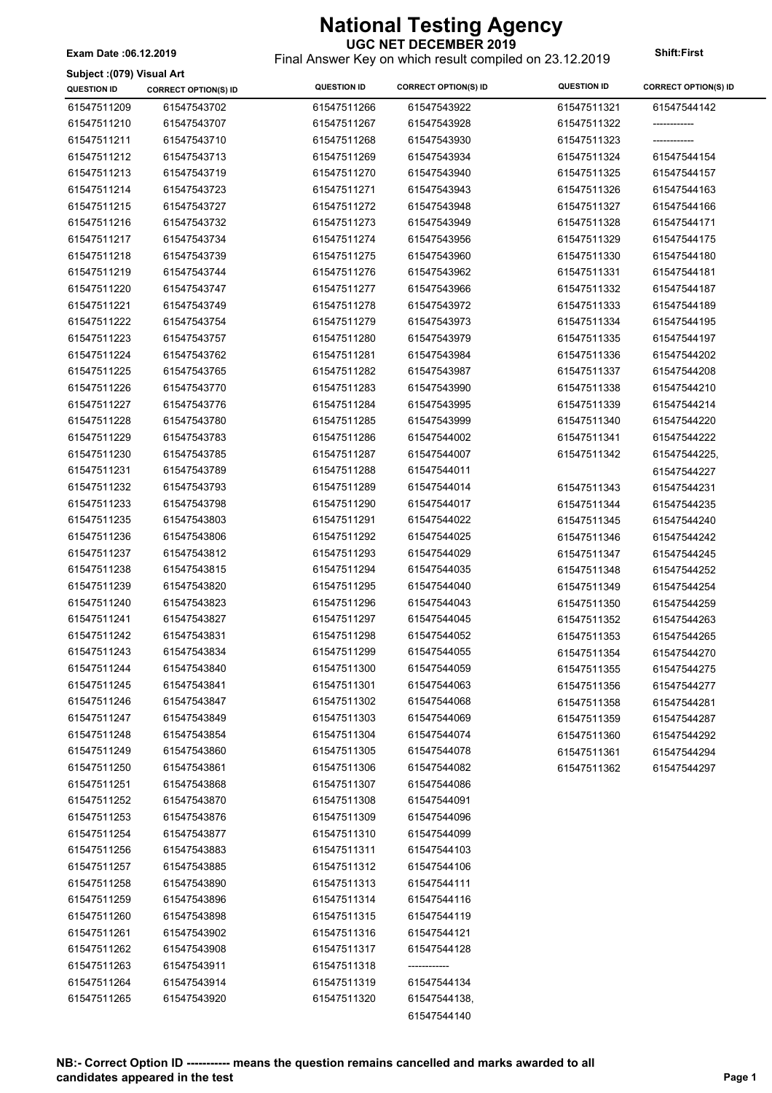**UGC NET DECEMBER 2019** Final Answer Key on which result compiled on 23.12.2019 **Exam Date :06.12.2019 Shift:First**

**Subject :(079) Visual Art**

| <b>QUESTION ID</b> | <b>CORRECT OPTION(S) ID</b> | <b>QUESTION ID</b> | <b>CORRECT OPTION(S) ID</b> | <b>QUESTION ID</b> | <b>CORRECT OPTION(S) ID</b> |
|--------------------|-----------------------------|--------------------|-----------------------------|--------------------|-----------------------------|
| 61547511209        | 61547543702                 | 61547511266        | 61547543922                 | 61547511321        | 61547544142                 |
| 61547511210        | 61547543707                 | 61547511267        | 61547543928                 | 61547511322        | ------------                |
| 61547511211        | 61547543710                 | 61547511268        | 61547543930                 | 61547511323        |                             |
| 61547511212        | 61547543713                 | 61547511269        | 61547543934                 | 61547511324        | 61547544154                 |
| 61547511213        | 61547543719                 | 61547511270        | 61547543940                 | 61547511325        | 61547544157                 |
| 61547511214        | 61547543723                 | 61547511271        | 61547543943                 | 61547511326        | 61547544163                 |
| 61547511215        | 61547543727                 | 61547511272        | 61547543948                 | 61547511327        | 61547544166                 |
| 61547511216        | 61547543732                 | 61547511273        | 61547543949                 | 61547511328        | 61547544171                 |
| 61547511217        | 61547543734                 | 61547511274        | 61547543956                 | 61547511329        | 61547544175                 |
| 61547511218        | 61547543739                 | 61547511275        | 61547543960                 | 61547511330        | 61547544180                 |
| 61547511219        | 61547543744                 | 61547511276        | 61547543962                 | 61547511331        | 61547544181                 |
| 61547511220        | 61547543747                 | 61547511277        | 61547543966                 | 61547511332        | 61547544187                 |
| 61547511221        | 61547543749                 | 61547511278        | 61547543972                 | 61547511333        | 61547544189                 |
| 61547511222        | 61547543754                 | 61547511279        | 61547543973                 | 61547511334        | 61547544195                 |
| 61547511223        | 61547543757                 | 61547511280        | 61547543979                 | 61547511335        | 61547544197                 |
| 61547511224        | 61547543762                 | 61547511281        | 61547543984                 | 61547511336        | 61547544202                 |
| 61547511225        | 61547543765                 | 61547511282        | 61547543987                 | 61547511337        | 61547544208                 |
| 61547511226        | 61547543770                 | 61547511283        | 61547543990                 | 61547511338        | 61547544210                 |
| 61547511227        | 61547543776                 | 61547511284        | 61547543995                 | 61547511339        | 61547544214                 |
| 61547511228        | 61547543780                 | 61547511285        | 61547543999                 | 61547511340        | 61547544220                 |
| 61547511229        | 61547543783                 | 61547511286        | 61547544002                 | 61547511341        | 61547544222                 |
| 61547511230        | 61547543785                 | 61547511287        | 61547544007                 | 61547511342        | 61547544225,                |
| 61547511231        | 61547543789                 | 61547511288        | 61547544011                 |                    | 61547544227                 |
| 61547511232        | 61547543793                 | 61547511289        | 61547544014                 | 61547511343        | 61547544231                 |
| 61547511233        | 61547543798                 | 61547511290        | 61547544017                 | 61547511344        | 61547544235                 |
| 61547511235        | 61547543803                 | 61547511291        | 61547544022                 | 61547511345        | 61547544240                 |
| 61547511236        | 61547543806                 | 61547511292        | 61547544025                 | 61547511346        | 61547544242                 |
| 61547511237        | 61547543812                 | 61547511293        | 61547544029                 | 61547511347        | 61547544245                 |
| 61547511238        | 61547543815                 | 61547511294        | 61547544035                 | 61547511348        | 61547544252                 |
| 61547511239        | 61547543820                 | 61547511295        | 61547544040                 | 61547511349        | 61547544254                 |
| 61547511240        | 61547543823                 | 61547511296        | 61547544043                 | 61547511350        | 61547544259                 |
| 61547511241        | 61547543827                 | 61547511297        | 61547544045                 | 61547511352        | 61547544263                 |
| 61547511242        | 61547543831                 | 61547511298        | 61547544052                 | 61547511353        | 61547544265                 |
| 61547511243        | 61547543834                 | 61547511299        | 61547544055                 | 61547511354        | 61547544270                 |
| 61547511244        | 61547543840                 | 61547511300        | 61547544059                 | 61547511355        | 61547544275                 |
| 61547511245        | 61547543841                 | 61547511301        | 61547544063                 | 61547511356        | 61547544277                 |
| 61547511246        | 61547543847                 | 61547511302        | 61547544068                 | 61547511358        | 61547544281                 |
| 61547511247        | 61547543849                 | 61547511303        | 61547544069                 | 61547511359        | 61547544287                 |
| 61547511248        | 61547543854                 | 61547511304        | 61547544074                 | 61547511360        | 61547544292                 |
| 61547511249        | 61547543860                 | 61547511305        | 61547544078                 | 61547511361        | 61547544294                 |
| 61547511250        | 61547543861                 | 61547511306        | 61547544082                 | 61547511362        | 61547544297                 |
| 61547511251        | 61547543868                 | 61547511307        | 61547544086                 |                    |                             |
| 61547511252        | 61547543870                 | 61547511308        | 61547544091                 |                    |                             |
| 61547511253        | 61547543876                 | 61547511309        | 61547544096                 |                    |                             |
| 61547511254        | 61547543877                 | 61547511310        | 61547544099                 |                    |                             |
| 61547511256        | 61547543883                 | 61547511311        | 61547544103                 |                    |                             |
| 61547511257        | 61547543885                 | 61547511312        | 61547544106                 |                    |                             |
| 61547511258        | 61547543890                 | 61547511313        | 61547544111                 |                    |                             |
| 61547511259        | 61547543896                 | 61547511314        | 61547544116                 |                    |                             |
| 61547511260        | 61547543898                 | 61547511315        | 61547544119                 |                    |                             |
| 61547511261        | 61547543902                 | 61547511316        | 61547544121                 |                    |                             |
| 61547511262        | 61547543908                 | 61547511317        | 61547544128                 |                    |                             |
| 61547511263        | 61547543911                 | 61547511318        |                             |                    |                             |
| 61547511264        | 61547543914                 | 61547511319        | 61547544134                 |                    |                             |
| 61547511265        | 61547543920                 | 61547511320        | 61547544138,                |                    |                             |
|                    |                             |                    | 61547544140                 |                    |                             |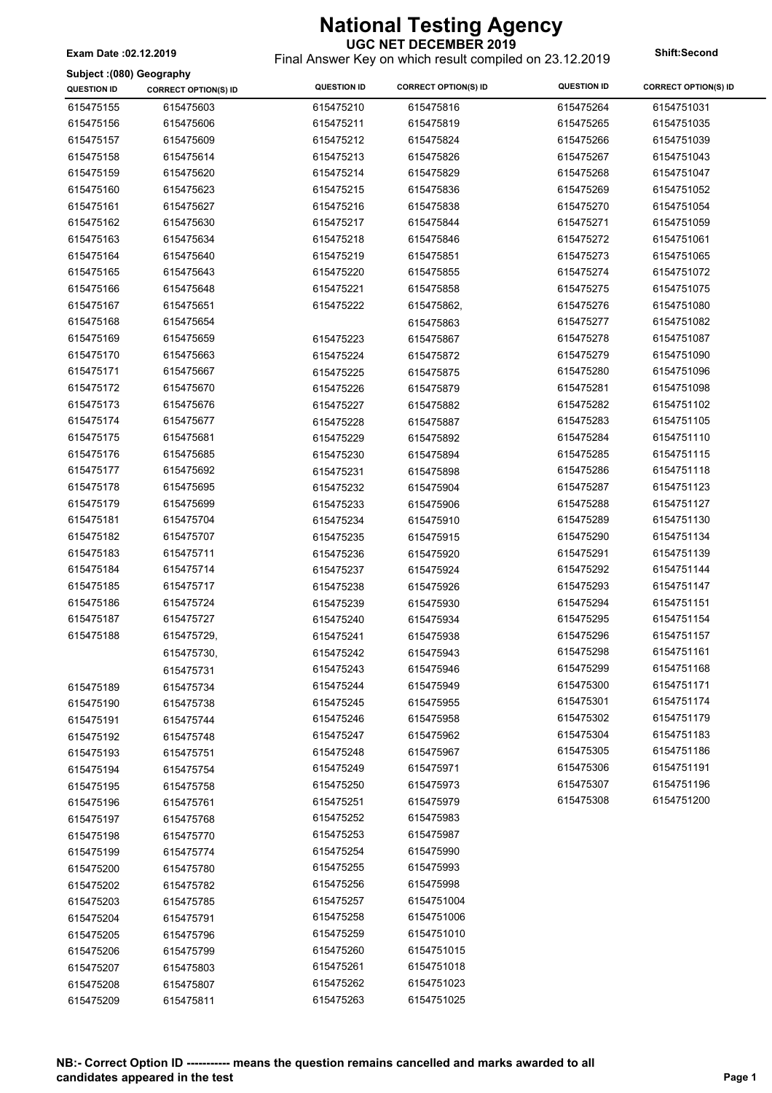Final Answer Key on which result compiled on 23.12.2019 **Exam Date :02.12.2019 Shift:Second**

**Subject :(080) Geography**

| Subject :(vov) Geography |                             | <b>QUESTION ID</b> | <b>CORRECT OPTION(S) ID</b> | <b>QUESTION ID</b> | <b>CORRECT OPTION(S) ID</b> |
|--------------------------|-----------------------------|--------------------|-----------------------------|--------------------|-----------------------------|
| <b>QUESTION ID</b>       | <b>CORRECT OPTION(S) ID</b> |                    |                             |                    |                             |
| 615475155                | 615475603                   | 615475210          | 615475816                   | 615475264          | 6154751031                  |
| 615475156                | 615475606                   | 615475211          | 615475819                   | 615475265          | 6154751035                  |
| 615475157                | 615475609                   | 615475212          | 615475824                   | 615475266          | 6154751039                  |
| 615475158                | 615475614                   | 615475213          | 615475826                   | 615475267          | 6154751043                  |
| 615475159                | 615475620                   | 615475214          | 615475829                   | 615475268          | 6154751047                  |
| 615475160                | 615475623                   | 615475215          | 615475836                   | 615475269          | 6154751052                  |
| 615475161                | 615475627                   | 615475216          | 615475838                   | 615475270          | 6154751054                  |
| 615475162                | 615475630                   | 615475217          | 615475844                   | 615475271          | 6154751059                  |
| 615475163                | 615475634                   | 615475218          | 615475846                   | 615475272          | 6154751061                  |
| 615475164                | 615475640                   | 615475219          | 615475851                   | 615475273          | 6154751065                  |
| 615475165                | 615475643                   | 615475220          | 615475855                   | 615475274          | 6154751072                  |
| 615475166                | 615475648                   | 615475221          | 615475858                   | 615475275          | 6154751075                  |
| 615475167                | 615475651                   | 615475222          | 615475862,                  | 615475276          | 6154751080                  |
| 615475168                | 615475654                   |                    | 615475863                   | 615475277          | 6154751082                  |
| 615475169                | 615475659                   | 615475223          | 615475867                   | 615475278          | 6154751087                  |
| 615475170                | 615475663                   | 615475224          | 615475872                   | 615475279          | 6154751090                  |
| 615475171                | 615475667                   | 615475225          | 615475875                   | 615475280          | 6154751096                  |
| 615475172                | 615475670                   | 615475226          | 615475879                   | 615475281          | 6154751098                  |
| 615475173                | 615475676                   | 615475227          | 615475882                   | 615475282          | 6154751102                  |
| 615475174                | 615475677                   | 615475228          | 615475887                   | 615475283          | 6154751105                  |
| 615475175                | 615475681                   | 615475229          | 615475892                   | 615475284          | 6154751110                  |
| 615475176                | 615475685                   | 615475230          | 615475894                   | 615475285          | 6154751115                  |
| 615475177                | 615475692                   | 615475231          | 615475898                   | 615475286          | 6154751118                  |
| 615475178                | 615475695                   | 615475232          | 615475904                   | 615475287          | 6154751123                  |
| 615475179                |                             |                    |                             |                    | 6154751127                  |
|                          | 615475699                   | 615475233          | 615475906                   | 615475288          |                             |
| 615475181                | 615475704                   | 615475234          | 615475910                   | 615475289          | 6154751130                  |
| 615475182                | 615475707                   | 615475235          | 615475915                   | 615475290          | 6154751134                  |
| 615475183                | 615475711                   | 615475236          | 615475920                   | 615475291          | 6154751139                  |
| 615475184                | 615475714                   | 615475237          | 615475924                   | 615475292          | 6154751144                  |
| 615475185                | 615475717                   | 615475238          | 615475926                   | 615475293          | 6154751147                  |
| 615475186                | 615475724                   | 615475239          | 615475930                   | 615475294          | 6154751151                  |
| 615475187                | 615475727                   | 615475240          | 615475934                   | 615475295          | 6154751154                  |
| 615475188                | 615475729,                  | 615475241          | 615475938                   | 615475296          | 6154751157                  |
|                          | 615475730,                  | 615475242          | 615475943                   | 615475298          | 6154751161                  |
|                          | 615475731                   | 615475243          | 615475946                   | 615475299          | 6154751168                  |
| 615475189                | 615475734                   | 615475244          | 615475949                   | 615475300          | 6154751171                  |
| 615475190                | 615475738                   | 615475245          | 615475955                   | 615475301          | 6154751174                  |
| 615475191                | 615475744                   | 615475246          | 615475958                   | 615475302          | 6154751179                  |
| 615475192                | 615475748                   | 615475247          | 615475962                   | 615475304          | 6154751183                  |
| 615475193                | 615475751                   | 615475248          | 615475967                   | 615475305          | 6154751186                  |
| 615475194                | 615475754                   | 615475249          | 615475971                   | 615475306          | 6154751191                  |
| 615475195                | 615475758                   | 615475250          | 615475973                   | 615475307          | 6154751196                  |
| 615475196                | 615475761                   | 615475251          | 615475979                   | 615475308          | 6154751200                  |
| 615475197                | 615475768                   | 615475252          | 615475983                   |                    |                             |
| 615475198                | 615475770                   | 615475253          | 615475987                   |                    |                             |
| 615475199                | 615475774                   | 615475254          | 615475990                   |                    |                             |
| 615475200                | 615475780                   | 615475255          | 615475993                   |                    |                             |
| 615475202                | 615475782                   | 615475256          | 615475998                   |                    |                             |
| 615475203                | 615475785                   | 615475257          | 6154751004                  |                    |                             |
| 615475204                | 615475791                   | 615475258          | 6154751006                  |                    |                             |
| 615475205                | 615475796                   | 615475259          | 6154751010                  |                    |                             |
| 615475206                | 615475799                   | 615475260          | 6154751015                  |                    |                             |
|                          |                             | 615475261          | 6154751018                  |                    |                             |
| 615475207                | 615475803                   | 615475262          | 6154751023                  |                    |                             |
| 615475208                | 615475807                   |                    |                             |                    |                             |
| 615475209                | 615475811                   | 615475263          | 6154751025                  |                    |                             |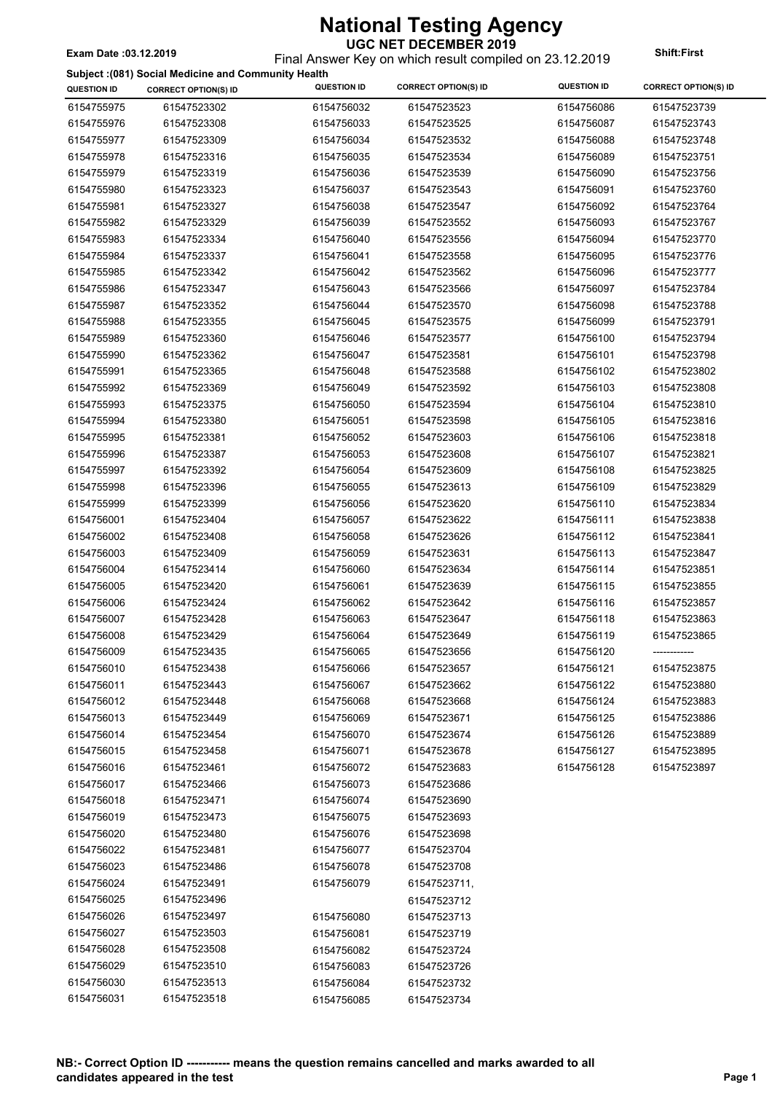Final Answer Key on which result compiled on 23.12.2019 **Exam Date :03.12.2019 Shift:First**

#### **Subject :(081) Social Medicine and Community Health**

|                    | Subject :(081) Social Medicine and Community Health |                    |                             | <b>QUESTION ID</b> |                             |
|--------------------|-----------------------------------------------------|--------------------|-----------------------------|--------------------|-----------------------------|
| <b>QUESTION ID</b> | <b>CORRECT OPTION(S) ID</b>                         | <b>QUESTION ID</b> | <b>CORRECT OPTION(S) ID</b> |                    | <b>CORRECT OPTION(S) ID</b> |
| 6154755975         | 61547523302                                         | 6154756032         | 61547523523                 | 6154756086         | 61547523739                 |
| 6154755976         | 61547523308                                         | 6154756033         | 61547523525                 | 6154756087         | 61547523743                 |
| 6154755977         | 61547523309                                         | 6154756034         | 61547523532                 | 6154756088         | 61547523748                 |
| 6154755978         | 61547523316                                         | 6154756035         | 61547523534                 | 6154756089         | 61547523751                 |
| 6154755979         | 61547523319                                         | 6154756036         | 61547523539                 | 6154756090         | 61547523756                 |
| 6154755980         | 61547523323                                         | 6154756037         | 61547523543                 | 6154756091         | 61547523760                 |
| 6154755981         | 61547523327                                         | 6154756038         | 61547523547                 | 6154756092         | 61547523764                 |
| 6154755982         | 61547523329                                         | 6154756039         | 61547523552                 | 6154756093         | 61547523767                 |
| 6154755983         | 61547523334                                         | 6154756040         | 61547523556                 | 6154756094         | 61547523770                 |
| 6154755984         | 61547523337                                         | 6154756041         | 61547523558                 | 6154756095         | 61547523776                 |
| 6154755985         | 61547523342                                         | 6154756042         | 61547523562                 | 6154756096         | 61547523777                 |
| 6154755986         | 61547523347                                         | 6154756043         | 61547523566                 | 6154756097         | 61547523784                 |
| 6154755987         | 61547523352                                         | 6154756044         | 61547523570                 | 6154756098         | 61547523788                 |
| 6154755988         | 61547523355                                         | 6154756045         | 61547523575                 | 6154756099         | 61547523791                 |
| 6154755989         | 61547523360                                         | 6154756046         | 61547523577                 | 6154756100         | 61547523794                 |
| 6154755990         | 61547523362                                         | 6154756047         | 61547523581                 | 6154756101         | 61547523798                 |
| 6154755991         | 61547523365                                         | 6154756048         | 61547523588                 | 6154756102         | 61547523802                 |
| 6154755992         | 61547523369                                         | 6154756049         | 61547523592                 | 6154756103         | 61547523808                 |
| 6154755993         | 61547523375                                         | 6154756050         | 61547523594                 | 6154756104         | 61547523810                 |
|                    |                                                     |                    |                             |                    |                             |
| 6154755994         | 61547523380                                         | 6154756051         | 61547523598                 | 6154756105         | 61547523816                 |
| 6154755995         | 61547523381                                         | 6154756052         | 61547523603                 | 6154756106         | 61547523818                 |
| 6154755996         | 61547523387                                         | 6154756053         | 61547523608                 | 6154756107         | 61547523821                 |
| 6154755997         | 61547523392                                         | 6154756054         | 61547523609                 | 6154756108         | 61547523825                 |
| 6154755998         | 61547523396                                         | 6154756055         | 61547523613                 | 6154756109         | 61547523829                 |
| 6154755999         | 61547523399                                         | 6154756056         | 61547523620                 | 6154756110         | 61547523834                 |
| 6154756001         | 61547523404                                         | 6154756057         | 61547523622                 | 6154756111         | 61547523838                 |
| 6154756002         | 61547523408                                         | 6154756058         | 61547523626                 | 6154756112         | 61547523841                 |
| 6154756003         | 61547523409                                         | 6154756059         | 61547523631                 | 6154756113         | 61547523847                 |
| 6154756004         | 61547523414                                         | 6154756060         | 61547523634                 | 6154756114         | 61547523851                 |
| 6154756005         | 61547523420                                         | 6154756061         | 61547523639                 | 6154756115         | 61547523855                 |
| 6154756006         | 61547523424                                         | 6154756062         | 61547523642                 | 6154756116         | 61547523857                 |
| 6154756007         | 61547523428                                         | 6154756063         | 61547523647                 | 6154756118         | 61547523863                 |
| 6154756008         | 61547523429                                         | 6154756064         | 61547523649                 | 6154756119         | 61547523865                 |
| 6154756009         | 61547523435                                         | 6154756065         | 61547523656                 | 6154756120         | -------------               |
| 6154756010         | 61547523438                                         | 6154756066         | 61547523657                 | 6154756121         | 61547523875                 |
| 6154756011         | 61547523443                                         | 6154756067         | 61547523662                 | 6154756122         | 61547523880                 |
| 6154756012         | 61547523448                                         | 6154756068         | 61547523668                 | 6154756124         | 61547523883                 |
| 6154756013         | 61547523449                                         | 6154756069         | 61547523671                 | 6154756125         | 61547523886                 |
| 6154756014         | 61547523454                                         | 6154756070         | 61547523674                 | 6154756126         | 61547523889                 |
| 6154756015         | 61547523458                                         | 6154756071         | 61547523678                 | 6154756127         | 61547523895                 |
| 6154756016         | 61547523461                                         | 6154756072         | 61547523683                 | 6154756128         | 61547523897                 |
| 6154756017         | 61547523466                                         | 6154756073         | 61547523686                 |                    |                             |
| 6154756018         | 61547523471                                         | 6154756074         | 61547523690                 |                    |                             |
| 6154756019         | 61547523473                                         | 6154756075         | 61547523693                 |                    |                             |
| 6154756020         | 61547523480                                         | 6154756076         | 61547523698                 |                    |                             |
| 6154756022         | 61547523481                                         | 6154756077         | 61547523704                 |                    |                             |
| 6154756023         | 61547523486                                         | 6154756078         | 61547523708                 |                    |                             |
| 6154756024         | 61547523491                                         | 6154756079         | 61547523711,                |                    |                             |
| 6154756025         | 61547523496                                         |                    |                             |                    |                             |
|                    |                                                     |                    | 61547523712                 |                    |                             |
| 6154756026         | 61547523497                                         | 6154756080         | 61547523713                 |                    |                             |
| 6154756027         | 61547523503                                         | 6154756081         | 61547523719                 |                    |                             |
| 6154756028         | 61547523508                                         | 6154756082         | 61547523724                 |                    |                             |
| 6154756029         | 61547523510                                         | 6154756083         | 61547523726                 |                    |                             |
| 6154756030         | 61547523513                                         | 6154756084         | 61547523732                 |                    |                             |
| 6154756031         | 61547523518                                         | 6154756085         | 61547523734                 |                    |                             |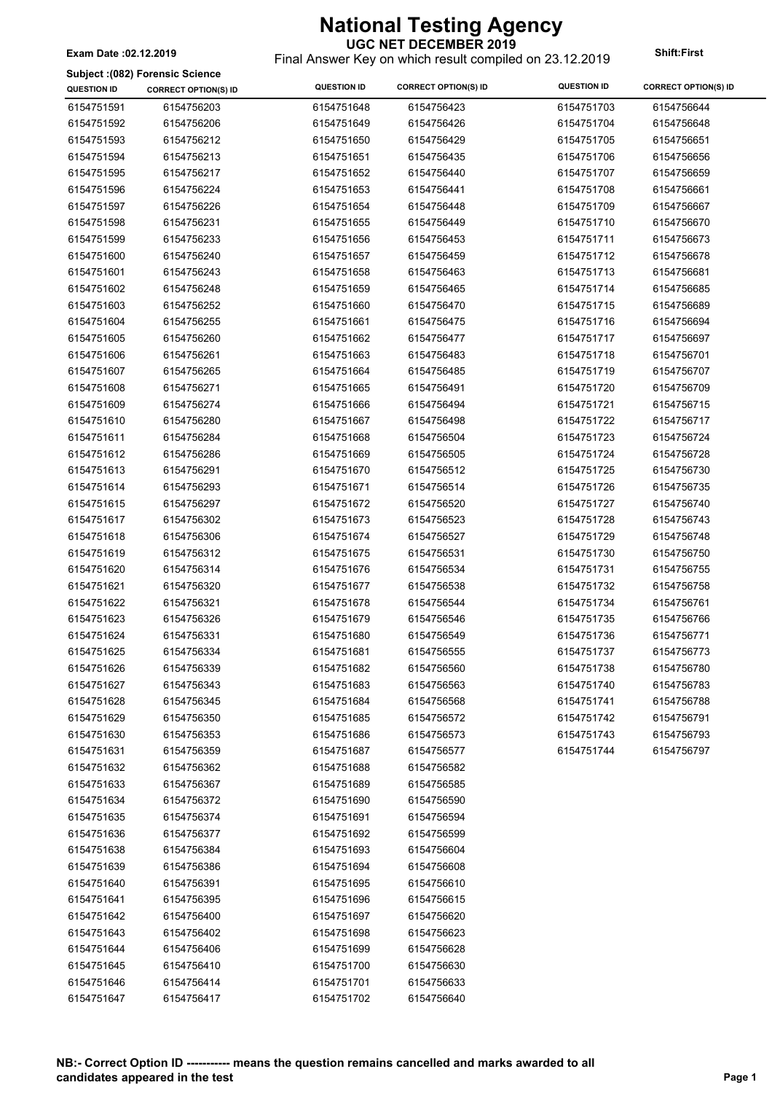Final Answer Key on which result compiled on 23.12.2019 **Exam Date :02.12.2019 Shift:First**

#### **Subject :(082) Forensic Science**

| <b>QUESTION ID</b> | <b>CORRECT OPTION(S) ID</b> | <b>QUESTION ID</b> | <b>CORRECT OPTION(S) ID</b> | <b>QUESTION ID</b> | <b>CORRECT OPTION(S) ID</b> |
|--------------------|-----------------------------|--------------------|-----------------------------|--------------------|-----------------------------|
| 6154751591         | 6154756203                  | 6154751648         | 6154756423                  | 6154751703         | 6154756644                  |
| 6154751592         | 6154756206                  | 6154751649         | 6154756426                  | 6154751704         | 6154756648                  |
| 6154751593         | 6154756212                  | 6154751650         | 6154756429                  | 6154751705         | 6154756651                  |
| 6154751594         | 6154756213                  | 6154751651         | 6154756435                  | 6154751706         | 6154756656                  |
| 6154751595         | 6154756217                  | 6154751652         | 6154756440                  | 6154751707         | 6154756659                  |
| 6154751596         | 6154756224                  | 6154751653         | 6154756441                  | 6154751708         | 6154756661                  |
| 6154751597         | 6154756226                  | 6154751654         | 6154756448                  | 6154751709         | 6154756667                  |
| 6154751598         | 6154756231                  | 6154751655         | 6154756449                  | 6154751710         | 6154756670                  |
| 6154751599         | 6154756233                  | 6154751656         | 6154756453                  | 6154751711         | 6154756673                  |
| 6154751600         | 6154756240                  | 6154751657         | 6154756459                  | 6154751712         | 6154756678                  |
| 6154751601         | 6154756243                  | 6154751658         | 6154756463                  | 6154751713         | 6154756681                  |
| 6154751602         | 6154756248                  | 6154751659         | 6154756465                  | 6154751714         | 6154756685                  |
| 6154751603         | 6154756252                  | 6154751660         | 6154756470                  | 6154751715         | 6154756689                  |
| 6154751604         | 6154756255                  | 6154751661         | 6154756475                  | 6154751716         | 6154756694                  |
| 6154751605         | 6154756260                  | 6154751662         | 6154756477                  | 6154751717         | 6154756697                  |
| 6154751606         | 6154756261                  | 6154751663         | 6154756483                  | 6154751718         | 6154756701                  |
| 6154751607         | 6154756265                  | 6154751664         | 6154756485                  | 6154751719         | 6154756707                  |
| 6154751608         | 6154756271                  | 6154751665         | 6154756491                  | 6154751720         | 6154756709                  |
| 6154751609         | 6154756274                  | 6154751666         | 6154756494                  | 6154751721         | 6154756715                  |
| 6154751610         | 6154756280                  | 6154751667         | 6154756498                  | 6154751722         | 6154756717                  |
| 6154751611         | 6154756284                  | 6154751668         | 6154756504                  | 6154751723         | 6154756724                  |
| 6154751612         | 6154756286                  | 6154751669         | 6154756505                  | 6154751724         | 6154756728                  |
| 6154751613         | 6154756291                  | 6154751670         | 6154756512                  | 6154751725         | 6154756730                  |
| 6154751614         | 6154756293                  | 6154751671         | 6154756514                  | 6154751726         | 6154756735                  |
| 6154751615         | 6154756297                  | 6154751672         | 6154756520                  | 6154751727         | 6154756740                  |
| 6154751617         | 6154756302                  | 6154751673         | 6154756523                  | 6154751728         | 6154756743                  |
| 6154751618         | 6154756306                  | 6154751674         | 6154756527                  | 6154751729         | 6154756748                  |
| 6154751619         | 6154756312                  | 6154751675         | 6154756531                  | 6154751730         | 6154756750                  |
| 6154751620         | 6154756314                  | 6154751676         | 6154756534                  | 6154751731         | 6154756755                  |
| 6154751621         | 6154756320                  | 6154751677         | 6154756538                  | 6154751732         | 6154756758                  |
| 6154751622         | 6154756321                  | 6154751678         | 6154756544                  | 6154751734         | 6154756761                  |
| 6154751623         | 6154756326                  | 6154751679         | 6154756546                  | 6154751735         | 6154756766                  |
| 6154751624         | 6154756331                  | 6154751680         | 6154756549                  | 6154751736         | 6154756771                  |
| 6154751625         | 6154756334                  | 6154751681         | 6154756555                  | 6154751737         | 6154756773                  |
| 6154751626         | 6154756339                  | 6154751682         | 6154756560                  | 6154751738         | 6154756780                  |
| 6154751627         | 6154756343                  | 6154751683         | 6154756563                  | 6154751740         | 6154756783                  |
| 6154751628         | 6154756345                  | 6154751684         | 6154756568                  | 6154751741         | 6154756788                  |
| 6154751629         | 6154756350                  | 6154751685         | 6154756572                  | 6154751742         | 6154756791                  |
| 6154751630         | 6154756353                  | 6154751686         | 6154756573                  | 6154751743         | 6154756793                  |
| 6154751631         | 6154756359                  | 6154751687         | 6154756577                  | 6154751744         | 6154756797                  |
| 6154751632         | 6154756362                  | 6154751688         | 6154756582                  |                    |                             |
| 6154751633         | 6154756367                  | 6154751689         | 6154756585                  |                    |                             |
| 6154751634         | 6154756372                  | 6154751690         | 6154756590                  |                    |                             |
| 6154751635         | 6154756374                  | 6154751691         | 6154756594                  |                    |                             |
| 6154751636         | 6154756377                  | 6154751692         | 6154756599                  |                    |                             |
| 6154751638         | 6154756384                  | 6154751693         | 6154756604                  |                    |                             |
| 6154751639         | 6154756386                  | 6154751694         | 6154756608                  |                    |                             |
| 6154751640         | 6154756391                  | 6154751695         | 6154756610                  |                    |                             |
| 6154751641         | 6154756395                  | 6154751696         | 6154756615                  |                    |                             |
| 6154751642         | 6154756400                  | 6154751697         | 6154756620                  |                    |                             |
| 6154751643         | 6154756402                  | 6154751698         | 6154756623                  |                    |                             |
| 6154751644         | 6154756406                  | 6154751699         | 6154756628                  |                    |                             |
| 6154751645         | 6154756410                  | 6154751700         | 6154756630                  |                    |                             |
| 6154751646         | 6154756414                  | 6154751701         | 6154756633                  |                    |                             |
| 6154751647         | 6154756417                  | 6154751702         | 6154756640                  |                    |                             |
|                    |                             |                    |                             |                    |                             |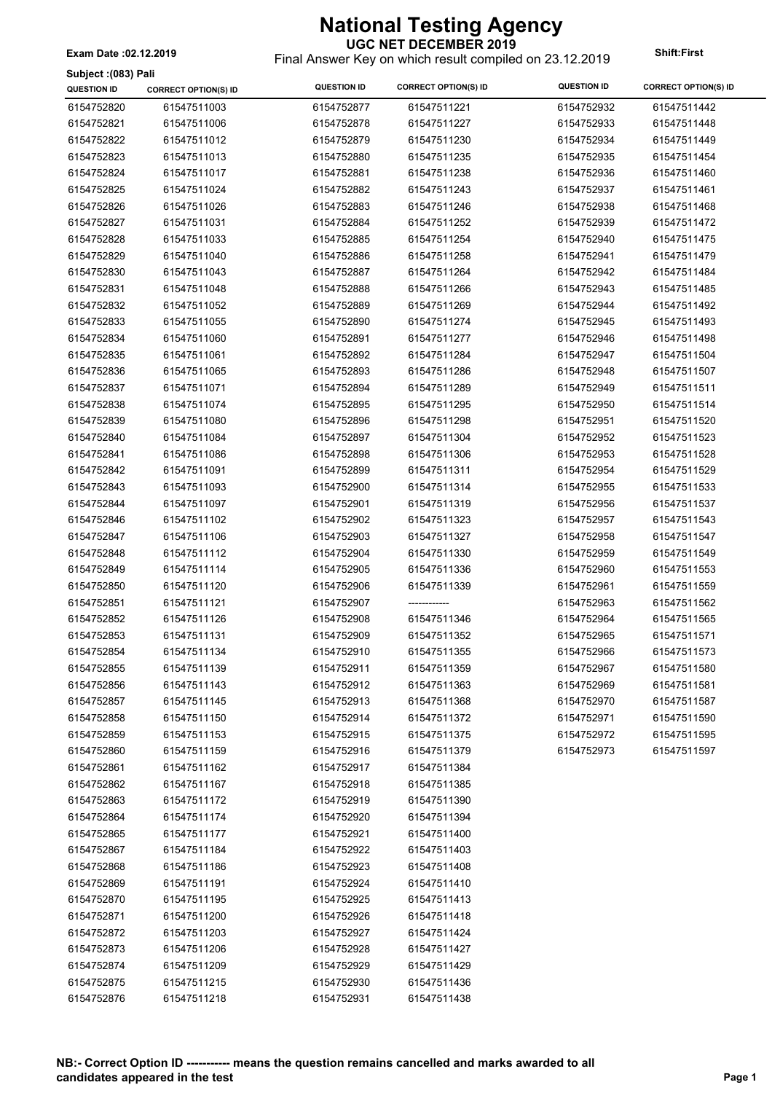**Subject :(083) Pali**

### **UGC NET DECEMBER 2019**

Final Answer Key on which result compiled on 23.12.2019 **Exam Date :02.12.2019 Shift:First**

| <b>OUNICAL</b> (1999) Lall<br><b>QUESTION ID</b> | <b>CORRECT OPTION(S) ID</b> | <b>QUESTION ID</b> | <b>CORRECT OPTION(S) ID</b> | <b>QUESTION ID</b> | <b>CORRECT OPTION(S) ID</b> |
|--------------------------------------------------|-----------------------------|--------------------|-----------------------------|--------------------|-----------------------------|
| 6154752820                                       | 61547511003                 | 6154752877         | 61547511221                 | 6154752932         | 61547511442                 |
| 6154752821                                       | 61547511006                 | 6154752878         | 61547511227                 | 6154752933         | 61547511448                 |
| 6154752822                                       | 61547511012                 | 6154752879         | 61547511230                 | 6154752934         | 61547511449                 |
| 6154752823                                       | 61547511013                 | 6154752880         | 61547511235                 | 6154752935         | 61547511454                 |
| 6154752824                                       | 61547511017                 | 6154752881         | 61547511238                 | 6154752936         | 61547511460                 |
| 6154752825                                       | 61547511024                 | 6154752882         | 61547511243                 | 6154752937         | 61547511461                 |
| 6154752826                                       | 61547511026                 | 6154752883         | 61547511246                 | 6154752938         | 61547511468                 |
| 6154752827                                       | 61547511031                 | 6154752884         | 61547511252                 | 6154752939         | 61547511472                 |
| 6154752828                                       | 61547511033                 | 6154752885         | 61547511254                 | 6154752940         | 61547511475                 |
| 6154752829                                       | 61547511040                 | 6154752886         | 61547511258                 | 6154752941         | 61547511479                 |
| 6154752830                                       | 61547511043                 | 6154752887         | 61547511264                 | 6154752942         | 61547511484                 |
| 6154752831                                       | 61547511048                 | 6154752888         | 61547511266                 | 6154752943         | 61547511485                 |
| 6154752832                                       | 61547511052                 | 6154752889         | 61547511269                 | 6154752944         | 61547511492                 |
| 6154752833                                       | 61547511055                 | 6154752890         | 61547511274                 | 6154752945         | 61547511493                 |
| 6154752834                                       | 61547511060                 | 6154752891         | 61547511277                 | 6154752946         | 61547511498                 |
| 6154752835                                       | 61547511061                 | 6154752892         | 61547511284                 | 6154752947         | 61547511504                 |
| 6154752836                                       | 61547511065                 | 6154752893         | 61547511286                 | 6154752948         | 61547511507                 |
| 6154752837                                       | 61547511071                 | 6154752894         | 61547511289                 | 6154752949         | 61547511511                 |
| 6154752838                                       | 61547511074                 | 6154752895         | 61547511295                 | 6154752950         | 61547511514                 |
| 6154752839                                       | 61547511080                 | 6154752896         | 61547511298                 | 6154752951         | 61547511520                 |
| 6154752840                                       | 61547511084                 | 6154752897         | 61547511304                 | 6154752952         | 61547511523                 |
| 6154752841                                       | 61547511086                 | 6154752898         | 61547511306                 | 6154752953         | 61547511528                 |
| 6154752842                                       | 61547511091                 | 6154752899         | 61547511311                 | 6154752954         | 61547511529                 |
| 6154752843                                       | 61547511093                 | 6154752900         | 61547511314                 | 6154752955         | 61547511533                 |
| 6154752844                                       | 61547511097                 | 6154752901         | 61547511319                 | 6154752956         | 61547511537                 |
| 6154752846                                       | 61547511102                 | 6154752902         | 61547511323                 | 6154752957         | 61547511543                 |
| 6154752847                                       | 61547511106                 | 6154752903         | 61547511327                 | 6154752958         | 61547511547                 |
| 6154752848                                       | 61547511112                 | 6154752904         | 61547511330                 | 6154752959         | 61547511549                 |
| 6154752849                                       | 61547511114                 | 6154752905         | 61547511336                 | 6154752960         | 61547511553                 |
| 6154752850                                       | 61547511120                 | 6154752906         | 61547511339                 | 6154752961         | 61547511559                 |
| 6154752851                                       | 61547511121                 | 6154752907         | ------------                | 6154752963         | 61547511562                 |
| 6154752852                                       | 61547511126                 | 6154752908         | 61547511346                 | 6154752964         | 61547511565                 |
| 6154752853                                       | 61547511131                 | 6154752909         | 61547511352                 | 6154752965         | 61547511571                 |
| 6154752854                                       | 61547511134                 | 6154752910         | 61547511355                 | 6154752966         | 61547511573                 |
| 6154752855                                       | 61547511139                 | 6154752911         | 61547511359                 | 6154752967         | 61547511580                 |
| 6154752856                                       | 61547511143                 | 6154752912         | 61547511363                 | 6154752969         | 61547511581                 |
| 6154752857                                       | 61547511145                 | 6154752913         | 61547511368                 | 6154752970         | 61547511587                 |
| 6154752858                                       | 61547511150                 | 6154752914         | 61547511372                 | 6154752971         | 61547511590                 |
| 6154752859                                       | 61547511153                 | 6154752915         | 61547511375                 | 6154752972         | 61547511595                 |
| 6154752860                                       | 61547511159                 | 6154752916         | 61547511379                 | 6154752973         | 61547511597                 |
| 6154752861                                       | 61547511162                 | 6154752917         | 61547511384                 |                    |                             |
| 6154752862                                       | 61547511167                 | 6154752918         | 61547511385                 |                    |                             |
| 6154752863                                       | 61547511172                 | 6154752919         | 61547511390                 |                    |                             |
| 6154752864                                       | 61547511174                 | 6154752920         | 61547511394                 |                    |                             |
| 6154752865                                       | 61547511177                 | 6154752921         | 61547511400                 |                    |                             |
| 6154752867                                       | 61547511184                 | 6154752922         | 61547511403                 |                    |                             |
| 6154752868                                       | 61547511186                 | 6154752923         | 61547511408                 |                    |                             |
| 6154752869                                       | 61547511191                 | 6154752924         | 61547511410                 |                    |                             |
| 6154752870                                       | 61547511195                 | 6154752925         | 61547511413                 |                    |                             |
| 6154752871                                       | 61547511200                 | 6154752926         | 61547511418                 |                    |                             |
| 6154752872                                       | 61547511203                 | 6154752927         | 61547511424                 |                    |                             |
| 6154752873                                       | 61547511206                 | 6154752928         | 61547511427                 |                    |                             |
| 6154752874                                       | 61547511209                 | 6154752929         | 61547511429                 |                    |                             |
| 6154752875                                       | 61547511215                 | 6154752930         | 61547511436                 |                    |                             |
| 6154752876                                       | 61547511218                 | 6154752931         | 61547511438                 |                    |                             |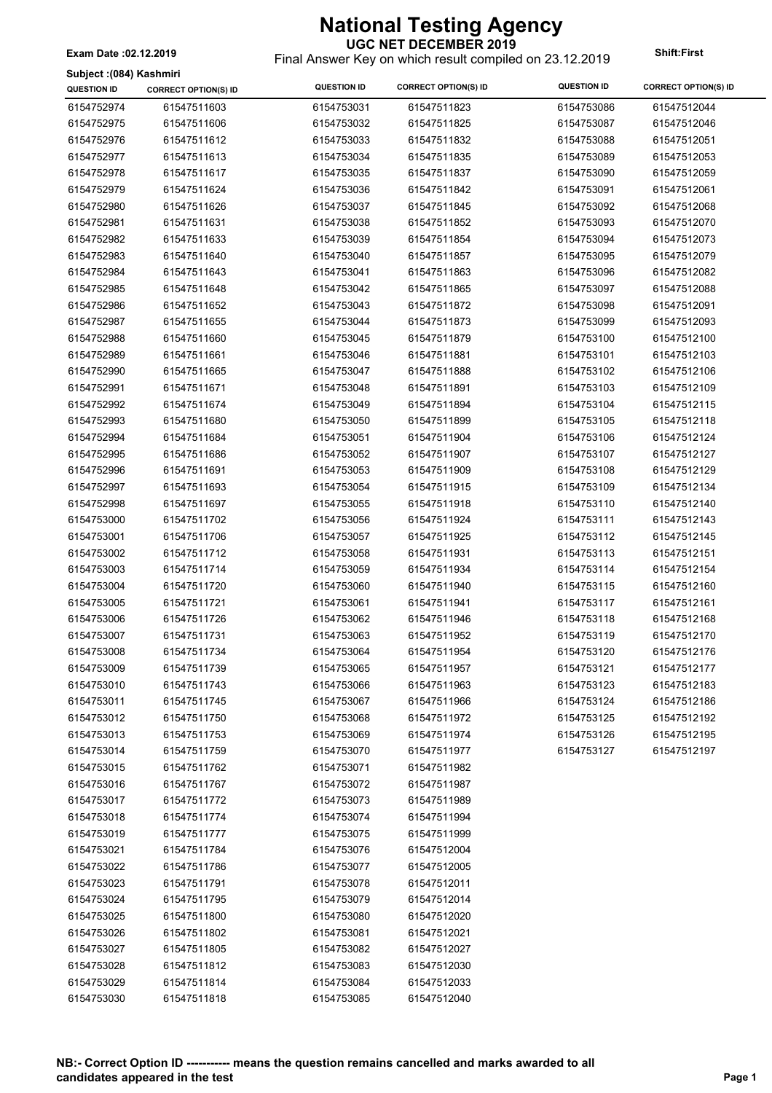**UGC NET DECEMBER 2019** Final Answer Key on which result compiled on 23.12.2019 **Exam Date :02.12.2019 Shift:First**

**Subject :(084) Kashmiri**

| <b>QUESTION ID</b> | <b>CORRECT OPTION(S) ID</b> | <b>QUESTION ID</b> | <b>CORRECT OPTION(S) ID</b> | <b>QUESTION ID</b> | <b>CORRECT OPTION(S) ID</b> |
|--------------------|-----------------------------|--------------------|-----------------------------|--------------------|-----------------------------|
| 6154752974         | 61547511603                 | 6154753031         | 61547511823                 | 6154753086         | 61547512044                 |
| 6154752975         | 61547511606                 | 6154753032         | 61547511825                 | 6154753087         | 61547512046                 |
| 6154752976         | 61547511612                 | 6154753033         | 61547511832                 | 6154753088         | 61547512051                 |
| 6154752977         | 61547511613                 | 6154753034         | 61547511835                 | 6154753089         | 61547512053                 |
| 6154752978         | 61547511617                 | 6154753035         | 61547511837                 | 6154753090         | 61547512059                 |
| 6154752979         | 61547511624                 | 6154753036         | 61547511842                 | 6154753091         | 61547512061                 |
| 6154752980         | 61547511626                 | 6154753037         | 61547511845                 | 6154753092         | 61547512068                 |
| 6154752981         | 61547511631                 | 6154753038         | 61547511852                 | 6154753093         | 61547512070                 |
| 6154752982         | 61547511633                 | 6154753039         | 61547511854                 | 6154753094         | 61547512073                 |
| 6154752983         | 61547511640                 | 6154753040         | 61547511857                 | 6154753095         | 61547512079                 |
| 6154752984         | 61547511643                 | 6154753041         | 61547511863                 | 6154753096         | 61547512082                 |
| 6154752985         | 61547511648                 | 6154753042         | 61547511865                 | 6154753097         | 61547512088                 |
| 6154752986         | 61547511652                 | 6154753043         | 61547511872                 | 6154753098         | 61547512091                 |
| 6154752987         | 61547511655                 | 6154753044         | 61547511873                 | 6154753099         | 61547512093                 |
| 6154752988         | 61547511660                 | 6154753045         | 61547511879                 | 6154753100         | 61547512100                 |
| 6154752989         | 61547511661                 | 6154753046         | 61547511881                 | 6154753101         | 61547512103                 |
| 6154752990         | 61547511665                 | 6154753047         | 61547511888                 | 6154753102         | 61547512106                 |
| 6154752991         | 61547511671                 | 6154753048         | 61547511891                 | 6154753103         | 61547512109                 |
| 6154752992         | 61547511674                 | 6154753049         | 61547511894                 | 6154753104         | 61547512115                 |
| 6154752993         | 61547511680                 | 6154753050         | 61547511899                 | 6154753105         | 61547512118                 |
| 6154752994         | 61547511684                 | 6154753051         | 61547511904                 | 6154753106         | 61547512124                 |
| 6154752995         | 61547511686                 | 6154753052         | 61547511907                 | 6154753107         | 61547512127                 |
| 6154752996         | 61547511691                 | 6154753053         | 61547511909                 | 6154753108         | 61547512129                 |
| 6154752997         | 61547511693                 | 6154753054         | 61547511915                 | 6154753109         | 61547512134                 |
| 6154752998         | 61547511697                 | 6154753055         | 61547511918                 | 6154753110         | 61547512140                 |
| 6154753000         | 61547511702                 | 6154753056         | 61547511924                 | 6154753111         | 61547512143                 |
| 6154753001         | 61547511706                 | 6154753057         | 61547511925                 | 6154753112         | 61547512145                 |
| 6154753002         | 61547511712                 | 6154753058         | 61547511931                 | 6154753113         | 61547512151                 |
| 6154753003         | 61547511714                 | 6154753059         | 61547511934                 | 6154753114         | 61547512154                 |
| 6154753004         | 61547511720                 | 6154753060         | 61547511940                 | 6154753115         | 61547512160                 |
| 6154753005         | 61547511721                 | 6154753061         | 61547511941                 | 6154753117         | 61547512161                 |
| 6154753006         | 61547511726                 | 6154753062         | 61547511946                 | 6154753118         | 61547512168                 |
| 6154753007         | 61547511731                 | 6154753063         | 61547511952                 | 6154753119         | 61547512170                 |
| 6154753008         | 61547511734                 | 6154753064         | 61547511954                 | 6154753120         | 61547512176                 |
| 6154753009         | 61547511739                 | 6154753065         | 61547511957                 | 6154753121         | 61547512177                 |
| 6154753010         | 61547511743                 | 6154753066         | 61547511963                 | 6154753123         | 61547512183                 |
| 6154753011         | 61547511745                 | 6154753067         | 61547511966                 | 6154753124         | 61547512186                 |
| 6154753012         | 61547511750                 | 6154753068         | 61547511972                 | 6154753125         | 61547512192                 |
| 6154753013         | 61547511753                 | 6154753069         | 61547511974                 | 6154753126         | 61547512195                 |
| 6154753014         | 61547511759                 | 6154753070         | 61547511977                 | 6154753127         | 61547512197                 |
| 6154753015         | 61547511762                 | 6154753071         | 61547511982                 |                    |                             |
| 6154753016         | 61547511767                 | 6154753072         | 61547511987                 |                    |                             |
| 6154753017         | 61547511772                 | 6154753073         | 61547511989                 |                    |                             |
| 6154753018         | 61547511774                 | 6154753074         | 61547511994                 |                    |                             |
| 6154753019         | 61547511777                 | 6154753075         | 61547511999                 |                    |                             |
| 6154753021         | 61547511784                 | 6154753076         | 61547512004                 |                    |                             |
| 6154753022         | 61547511786                 | 6154753077         | 61547512005                 |                    |                             |
| 6154753023         | 61547511791                 | 6154753078         | 61547512011                 |                    |                             |
| 6154753024         | 61547511795                 | 6154753079         | 61547512014                 |                    |                             |
| 6154753025         | 61547511800                 | 6154753080         | 61547512020                 |                    |                             |
| 6154753026         | 61547511802                 | 6154753081         | 61547512021                 |                    |                             |
| 6154753027         | 61547511805                 | 6154753082         | 61547512027                 |                    |                             |
| 6154753028         | 61547511812                 | 6154753083         | 61547512030                 |                    |                             |
| 6154753029         | 61547511814                 | 6154753084         | 61547512033                 |                    |                             |
| 6154753030         | 61547511818                 | 6154753085         | 61547512040                 |                    |                             |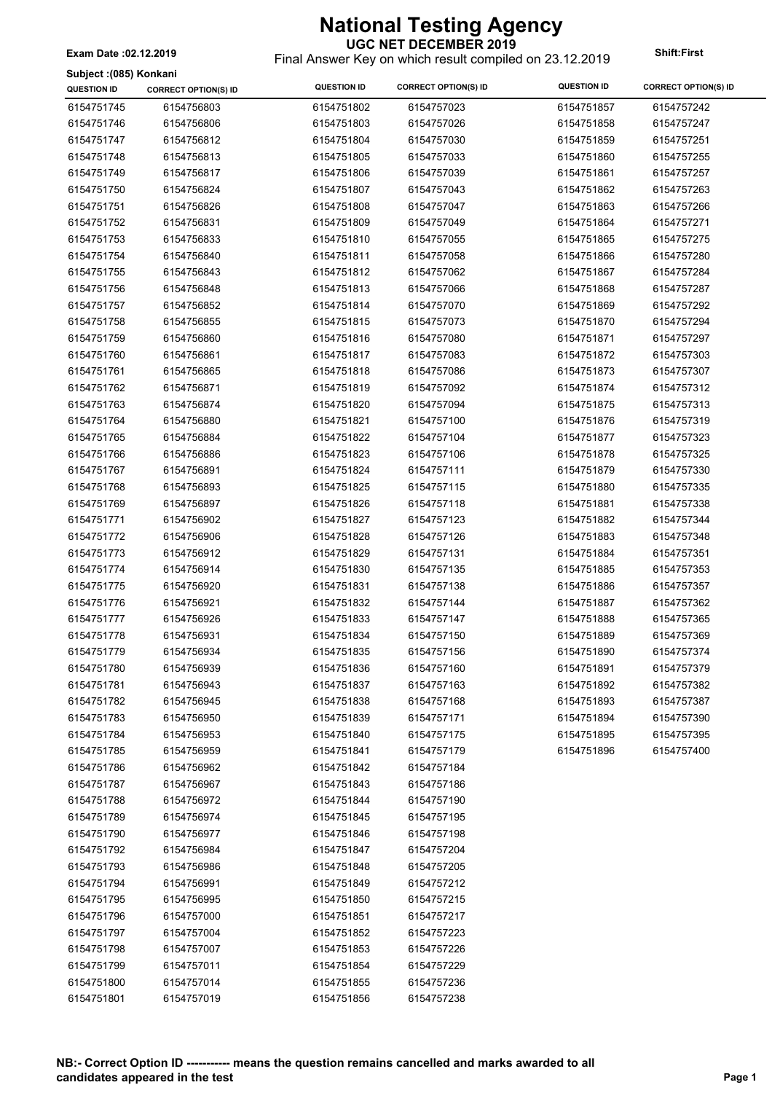**UGC NET DECEMBER 2019** Final Answer Key on which result compiled on 23.12.2019 **Exam Date :02.12.2019 Shift:First**

**Subject :(085) Konkani**

| <b>QUESTION ID</b> | <b>CORRECT OPTION(S) ID</b> | <b>QUESTION ID</b> | <b>CORRECT OPTION(S) ID</b> | <b>QUESTION ID</b> | <b>CORRECT OPTION(S) ID</b> |
|--------------------|-----------------------------|--------------------|-----------------------------|--------------------|-----------------------------|
| 6154751745         | 6154756803                  | 6154751802         | 6154757023                  | 6154751857         | 6154757242                  |
| 6154751746         | 6154756806                  | 6154751803         | 6154757026                  | 6154751858         | 6154757247                  |
| 6154751747         | 6154756812                  | 6154751804         | 6154757030                  | 6154751859         | 6154757251                  |
| 6154751748         | 6154756813                  | 6154751805         | 6154757033                  | 6154751860         | 6154757255                  |
| 6154751749         | 6154756817                  | 6154751806         | 6154757039                  | 6154751861         | 6154757257                  |
| 6154751750         | 6154756824                  | 6154751807         | 6154757043                  | 6154751862         | 6154757263                  |
| 6154751751         | 6154756826                  | 6154751808         | 6154757047                  | 6154751863         | 6154757266                  |
| 6154751752         | 6154756831                  | 6154751809         | 6154757049                  | 6154751864         | 6154757271                  |
| 6154751753         | 6154756833                  | 6154751810         | 6154757055                  | 6154751865         | 6154757275                  |
| 6154751754         | 6154756840                  | 6154751811         | 6154757058                  | 6154751866         | 6154757280                  |
| 6154751755         | 6154756843                  | 6154751812         | 6154757062                  | 6154751867         | 6154757284                  |
| 6154751756         | 6154756848                  | 6154751813         | 6154757066                  | 6154751868         | 6154757287                  |
| 6154751757         | 6154756852                  | 6154751814         | 6154757070                  | 6154751869         | 6154757292                  |
| 6154751758         | 6154756855                  | 6154751815         | 6154757073                  | 6154751870         | 6154757294                  |
| 6154751759         | 6154756860                  | 6154751816         | 6154757080                  | 6154751871         | 6154757297                  |
| 6154751760         | 6154756861                  | 6154751817         | 6154757083                  | 6154751872         | 6154757303                  |
| 6154751761         | 6154756865                  | 6154751818         | 6154757086                  | 6154751873         | 6154757307                  |
| 6154751762         | 6154756871                  | 6154751819         | 6154757092                  | 6154751874         | 6154757312                  |
| 6154751763         | 6154756874                  | 6154751820         | 6154757094                  | 6154751875         | 6154757313                  |
| 6154751764         | 6154756880                  | 6154751821         | 6154757100                  | 6154751876         | 6154757319                  |
| 6154751765         | 6154756884                  | 6154751822         | 6154757104                  | 6154751877         | 6154757323                  |
| 6154751766         | 6154756886                  | 6154751823         | 6154757106                  | 6154751878         | 6154757325                  |
| 6154751767         | 6154756891                  | 6154751824         | 6154757111                  | 6154751879         | 6154757330                  |
| 6154751768         | 6154756893                  | 6154751825         | 6154757115                  | 6154751880         | 6154757335                  |
| 6154751769         | 6154756897                  | 6154751826         | 6154757118                  | 6154751881         | 6154757338                  |
| 6154751771         | 6154756902                  | 6154751827         | 6154757123                  | 6154751882         | 6154757344                  |
| 6154751772         | 6154756906                  | 6154751828         | 6154757126                  | 6154751883         | 6154757348                  |
| 6154751773         | 6154756912                  | 6154751829         | 6154757131                  | 6154751884         | 6154757351                  |
| 6154751774         | 6154756914                  | 6154751830         | 6154757135                  | 6154751885         | 6154757353                  |
| 6154751775         | 6154756920                  | 6154751831         | 6154757138                  | 6154751886         | 6154757357                  |
| 6154751776         | 6154756921                  | 6154751832         | 6154757144                  | 6154751887         | 6154757362                  |
| 6154751777         | 6154756926                  | 6154751833         | 6154757147                  | 6154751888         | 6154757365                  |
| 6154751778         | 6154756931                  | 6154751834         | 6154757150                  | 6154751889         | 6154757369                  |
| 6154751779         | 6154756934                  | 6154751835         | 6154757156                  | 6154751890         | 6154757374                  |
| 6154751780         | 6154756939                  | 6154751836         | 6154757160                  | 6154751891         | 6154757379                  |
| 6154751781         | 6154756943                  | 6154751837         | 6154757163                  | 6154751892         | 6154757382                  |
| 6154751782         | 6154756945                  | 6154751838         | 6154757168                  | 6154751893         | 6154757387                  |
| 6154751783         | 6154756950                  | 6154751839         | 6154757171                  | 6154751894         | 6154757390                  |
| 6154751784         | 6154756953                  | 6154751840         | 6154757175                  | 6154751895         | 6154757395                  |
| 6154751785         | 6154756959                  | 6154751841         | 6154757179                  | 6154751896         | 6154757400                  |
| 6154751786         | 6154756962                  | 6154751842         | 6154757184                  |                    |                             |
| 6154751787         | 6154756967                  | 6154751843         | 6154757186                  |                    |                             |
| 6154751788         | 6154756972                  | 6154751844         | 6154757190                  |                    |                             |
| 6154751789         | 6154756974                  | 6154751845         | 6154757195                  |                    |                             |
| 6154751790         | 6154756977                  | 6154751846         | 6154757198                  |                    |                             |
| 6154751792         | 6154756984                  | 6154751847         | 6154757204                  |                    |                             |
| 6154751793         | 6154756986                  | 6154751848         | 6154757205                  |                    |                             |
| 6154751794         | 6154756991                  | 6154751849         | 6154757212                  |                    |                             |
| 6154751795         | 6154756995                  | 6154751850         | 6154757215                  |                    |                             |
| 6154751796         | 6154757000                  | 6154751851         | 6154757217                  |                    |                             |
| 6154751797         | 6154757004                  | 6154751852         | 6154757223                  |                    |                             |
| 6154751798         | 6154757007                  | 6154751853         | 6154757226                  |                    |                             |
| 6154751799         | 6154757011                  | 6154751854         | 6154757229                  |                    |                             |
| 6154751800         | 6154757014                  | 6154751855         | 6154757236                  |                    |                             |
| 6154751801         | 6154757019                  | 6154751856         | 6154757238                  |                    |                             |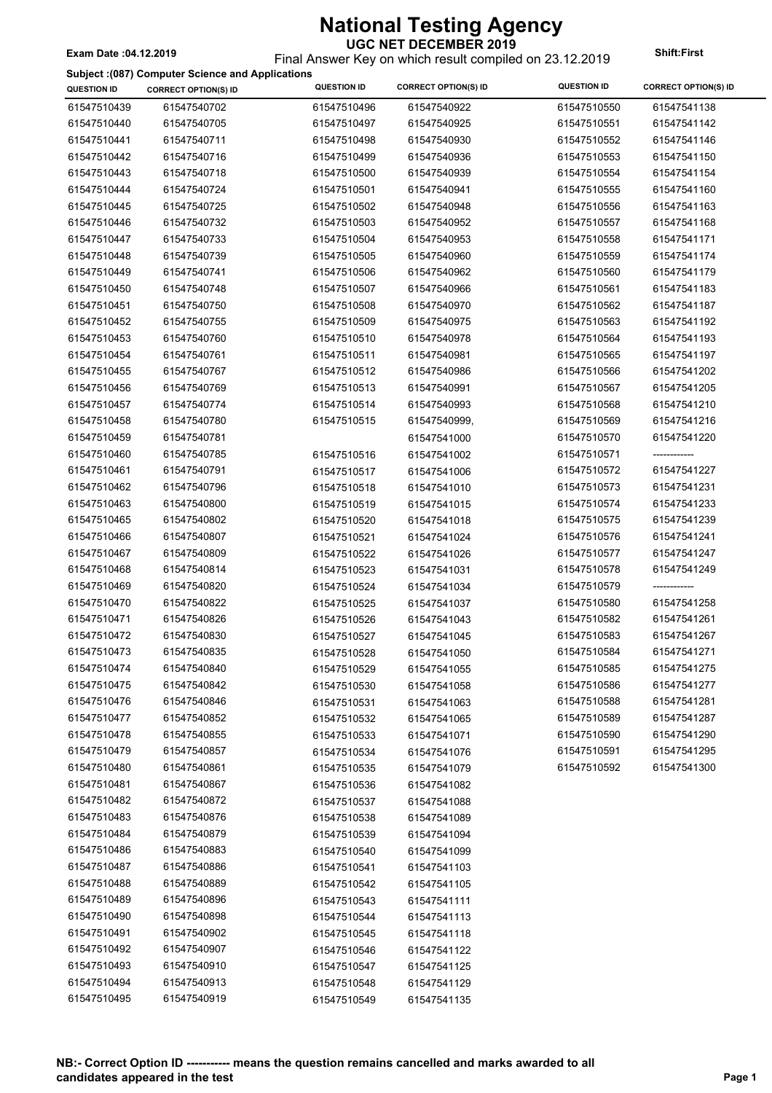#### **National Testing Agency UGC NET DECEMBER 2019**

Final Answer Key on which result compiled on 23.12.2019 **Exam Date :04.12.2019 Shift:First**

**Subject :(087) Computer Science and Applications**

|                    | Subject : (087) Computer Science and Applications |                    |                             |                    |                             |
|--------------------|---------------------------------------------------|--------------------|-----------------------------|--------------------|-----------------------------|
| <b>QUESTION ID</b> | <b>CORRECT OPTION(S) ID</b>                       | <b>QUESTION ID</b> | <b>CORRECT OPTION(S) ID</b> | <b>QUESTION ID</b> | <b>CORRECT OPTION(S) ID</b> |
| 61547510439        | 61547540702                                       | 61547510496        | 61547540922                 | 61547510550        | 61547541138                 |
| 61547510440        | 61547540705                                       | 61547510497        | 61547540925                 | 61547510551        | 61547541142                 |
| 61547510441        | 61547540711                                       | 61547510498        | 61547540930                 | 61547510552        | 61547541146                 |
| 61547510442        | 61547540716                                       | 61547510499        | 61547540936                 | 61547510553        | 61547541150                 |
| 61547510443        | 61547540718                                       | 61547510500        | 61547540939                 | 61547510554        | 61547541154                 |
| 61547510444        | 61547540724                                       | 61547510501        | 61547540941                 | 61547510555        | 61547541160                 |
| 61547510445        | 61547540725                                       | 61547510502        | 61547540948                 | 61547510556        | 61547541163                 |
| 61547510446        | 61547540732                                       | 61547510503        | 61547540952                 | 61547510557        | 61547541168                 |
| 61547510447        | 61547540733                                       | 61547510504        | 61547540953                 | 61547510558        | 61547541171                 |
| 61547510448        | 61547540739                                       | 61547510505        | 61547540960                 | 61547510559        | 61547541174                 |
| 61547510449        | 61547540741                                       | 61547510506        | 61547540962                 | 61547510560        | 61547541179                 |
| 61547510450        | 61547540748                                       | 61547510507        | 61547540966                 | 61547510561        | 61547541183                 |
| 61547510451        | 61547540750                                       | 61547510508        | 61547540970                 | 61547510562        | 61547541187                 |
| 61547510452        | 61547540755                                       | 61547510509        | 61547540975                 | 61547510563        | 61547541192                 |
| 61547510453        | 61547540760                                       | 61547510510        | 61547540978                 | 61547510564        | 61547541193                 |
| 61547510454        | 61547540761                                       | 61547510511        | 61547540981                 | 61547510565        | 61547541197                 |
| 61547510455        | 61547540767                                       | 61547510512        | 61547540986                 | 61547510566        | 61547541202                 |
| 61547510456        | 61547540769                                       | 61547510513        | 61547540991                 | 61547510567        | 61547541205                 |
| 61547510457        | 61547540774                                       | 61547510514        | 61547540993                 | 61547510568        | 61547541210                 |
| 61547510458        | 61547540780                                       | 61547510515        | 61547540999,                | 61547510569        | 61547541216                 |
| 61547510459        | 61547540781                                       |                    | 61547541000                 | 61547510570        | 61547541220                 |
| 61547510460        | 61547540785                                       | 61547510516        | 61547541002                 | 61547510571        | -------------               |
| 61547510461        | 61547540791                                       | 61547510517        | 61547541006                 | 61547510572        | 61547541227                 |
| 61547510462        | 61547540796                                       |                    |                             | 61547510573        | 61547541231                 |
|                    |                                                   | 61547510518        | 61547541010                 |                    |                             |
| 61547510463        | 61547540800                                       | 61547510519        | 61547541015                 | 61547510574        | 61547541233                 |
| 61547510465        | 61547540802                                       | 61547510520        | 61547541018                 | 61547510575        | 61547541239                 |
| 61547510466        | 61547540807                                       | 61547510521        | 61547541024                 | 61547510576        | 61547541241                 |
| 61547510467        | 61547540809                                       | 61547510522        | 61547541026                 | 61547510577        | 61547541247                 |
| 61547510468        | 61547540814                                       | 61547510523        | 61547541031                 | 61547510578        | 61547541249                 |
| 61547510469        | 61547540820                                       | 61547510524        | 61547541034                 | 61547510579        | ------------                |
| 61547510470        | 61547540822                                       | 61547510525        | 61547541037                 | 61547510580        | 61547541258                 |
| 61547510471        | 61547540826                                       | 61547510526        | 61547541043                 | 61547510582        | 61547541261                 |
| 61547510472        | 61547540830                                       | 61547510527        | 61547541045                 | 61547510583        | 61547541267                 |
| 61547510473        | 61547540835                                       | 61547510528        | 61547541050                 | 61547510584        | 61547541271                 |
| 61547510474        | 61547540840                                       | 61547510529        | 61547541055                 | 61547510585        | 61547541275                 |
| 61547510475        | 61547540842                                       | 61547510530        | 61547541058                 | 61547510586        | 61547541277                 |
| 61547510476        | 61547540846                                       | 61547510531        | 61547541063                 | 61547510588        | 61547541281                 |
| 61547510477        | 61547540852                                       | 61547510532        | 61547541065                 | 61547510589        | 61547541287                 |
| 61547510478        | 61547540855                                       | 61547510533        | 61547541071                 | 61547510590        | 61547541290                 |
| 61547510479        | 61547540857                                       | 61547510534        | 61547541076                 | 61547510591        | 61547541295                 |
| 61547510480        | 61547540861                                       | 61547510535        | 61547541079                 | 61547510592        | 61547541300                 |
| 61547510481        | 61547540867                                       | 61547510536        | 61547541082                 |                    |                             |
| 61547510482        | 61547540872                                       | 61547510537        | 61547541088                 |                    |                             |
| 61547510483        | 61547540876                                       | 61547510538        | 61547541089                 |                    |                             |
| 61547510484        | 61547540879                                       | 61547510539        | 61547541094                 |                    |                             |
| 61547510486        | 61547540883                                       | 61547510540        | 61547541099                 |                    |                             |
| 61547510487        | 61547540886                                       | 61547510541        | 61547541103                 |                    |                             |
| 61547510488        | 61547540889                                       | 61547510542        | 61547541105                 |                    |                             |
| 61547510489        | 61547540896                                       | 61547510543        | 61547541111                 |                    |                             |
| 61547510490        | 61547540898                                       | 61547510544        | 61547541113                 |                    |                             |
| 61547510491        | 61547540902                                       | 61547510545        | 61547541118                 |                    |                             |
| 61547510492        | 61547540907                                       | 61547510546        | 61547541122                 |                    |                             |
| 61547510493        | 61547540910                                       | 61547510547        | 61547541125                 |                    |                             |
| 61547510494        | 61547540913                                       | 61547510548        | 61547541129                 |                    |                             |
|                    |                                                   |                    |                             |                    |                             |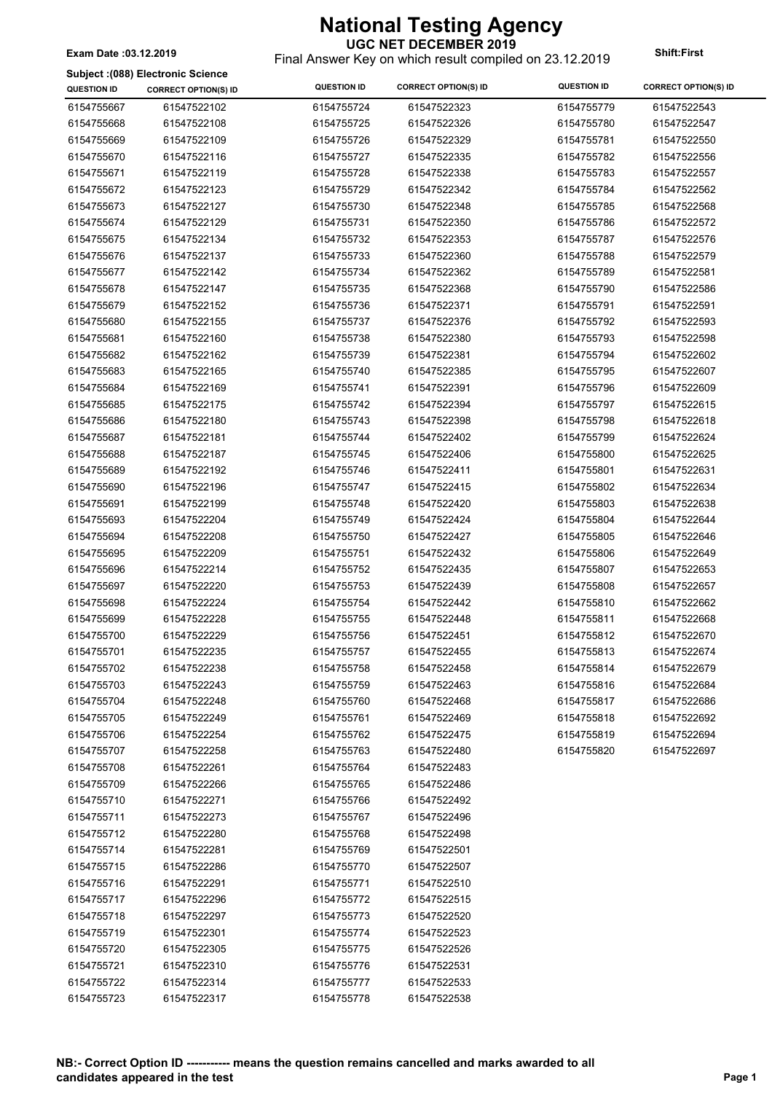#### **UGC NET DECEMBER 2019** Final Answer Key on which result compiled on 23.12.2019 **Exam Date :03.12.2019 Shift:First**

**Subject :(088) Electronic Science**

| <b>QUESTION ID</b> | <b>CORRECT OPTION(S) ID</b> | <b>QUESTION ID</b> | <b>CORRECT OPTION(S) ID</b> | <b>QUESTION ID</b> | <b>CORRECT OPTION(S) ID</b> |
|--------------------|-----------------------------|--------------------|-----------------------------|--------------------|-----------------------------|
| 6154755667         | 61547522102                 | 6154755724         | 61547522323                 | 6154755779         | 61547522543                 |
| 6154755668         | 61547522108                 | 6154755725         | 61547522326                 | 6154755780         | 61547522547                 |
| 6154755669         | 61547522109                 | 6154755726         | 61547522329                 | 6154755781         | 61547522550                 |
| 6154755670         | 61547522116                 | 6154755727         | 61547522335                 | 6154755782         | 61547522556                 |
| 6154755671         | 61547522119                 | 6154755728         | 61547522338                 | 6154755783         | 61547522557                 |
| 6154755672         | 61547522123                 | 6154755729         | 61547522342                 | 6154755784         | 61547522562                 |
| 6154755673         | 61547522127                 | 6154755730         | 61547522348                 | 6154755785         | 61547522568                 |
| 6154755674         | 61547522129                 | 6154755731         | 61547522350                 | 6154755786         | 61547522572                 |
| 6154755675         | 61547522134                 | 6154755732         | 61547522353                 | 6154755787         | 61547522576                 |
| 6154755676         | 61547522137                 | 6154755733         | 61547522360                 | 6154755788         | 61547522579                 |
| 6154755677         | 61547522142                 | 6154755734         | 61547522362                 | 6154755789         | 61547522581                 |
| 6154755678         | 61547522147                 | 6154755735         | 61547522368                 | 6154755790         | 61547522586                 |
| 6154755679         | 61547522152                 | 6154755736         | 61547522371                 | 6154755791         | 61547522591                 |
| 6154755680         | 61547522155                 | 6154755737         | 61547522376                 | 6154755792         | 61547522593                 |
| 6154755681         | 61547522160                 | 6154755738         | 61547522380                 | 6154755793         | 61547522598                 |
| 6154755682         | 61547522162                 | 6154755739         | 61547522381                 | 6154755794         | 61547522602                 |
| 6154755683         | 61547522165                 | 6154755740         | 61547522385                 | 6154755795         | 61547522607                 |
| 6154755684         | 61547522169                 | 6154755741         | 61547522391                 | 6154755796         | 61547522609                 |
| 6154755685         | 61547522175                 | 6154755742         | 61547522394                 | 6154755797         | 61547522615                 |
| 6154755686         | 61547522180                 | 6154755743         | 61547522398                 | 6154755798         | 61547522618                 |
| 6154755687         | 61547522181                 | 6154755744         | 61547522402                 | 6154755799         | 61547522624                 |
| 6154755688         | 61547522187                 | 6154755745         | 61547522406                 | 6154755800         | 61547522625                 |
| 6154755689         | 61547522192                 | 6154755746         | 61547522411                 | 6154755801         | 61547522631                 |
| 6154755690         | 61547522196                 | 6154755747         | 61547522415                 | 6154755802         | 61547522634                 |
| 6154755691         | 61547522199                 | 6154755748         | 61547522420                 | 6154755803         | 61547522638                 |
| 6154755693         | 61547522204                 | 6154755749         | 61547522424                 | 6154755804         | 61547522644                 |
| 6154755694         | 61547522208                 | 6154755750         | 61547522427                 | 6154755805         | 61547522646                 |
| 6154755695         | 61547522209                 | 6154755751         | 61547522432                 | 6154755806         | 61547522649                 |
| 6154755696         | 61547522214                 | 6154755752         | 61547522435                 | 6154755807         | 61547522653                 |
| 6154755697         | 61547522220                 | 6154755753         | 61547522439                 | 6154755808         | 61547522657                 |
| 6154755698         | 61547522224                 | 6154755754         | 61547522442                 | 6154755810         | 61547522662                 |
| 6154755699         | 61547522228                 | 6154755755         | 61547522448                 | 6154755811         | 61547522668                 |
| 6154755700         | 61547522229                 | 6154755756         | 61547522451                 | 6154755812         | 61547522670                 |
| 6154755701         | 61547522235                 | 6154755757         | 61547522455                 | 6154755813         | 61547522674                 |
| 6154755702         | 61547522238                 | 6154755758         | 61547522458                 | 6154755814         | 61547522679                 |
| 6154755703         | 61547522243                 | 6154755759         | 61547522463                 | 6154755816         | 61547522684                 |
| 6154755704         | 61547522248                 | 6154755760         | 61547522468                 | 6154755817         | 61547522686                 |
| 6154755705         | 61547522249                 | 6154755761         | 61547522469                 | 6154755818         | 61547522692                 |
| 6154755706         | 61547522254                 | 6154755762         | 61547522475                 | 6154755819         | 61547522694                 |
| 6154755707         | 61547522258                 | 6154755763         | 61547522480                 | 6154755820         | 61547522697                 |
| 6154755708         | 61547522261                 | 6154755764         | 61547522483                 |                    |                             |
| 6154755709         | 61547522266                 | 6154755765         | 61547522486                 |                    |                             |
| 6154755710         | 61547522271                 | 6154755766         | 61547522492                 |                    |                             |
| 6154755711         | 61547522273                 | 6154755767         | 61547522496                 |                    |                             |
| 6154755712         | 61547522280                 | 6154755768         | 61547522498                 |                    |                             |
| 6154755714         | 61547522281                 | 6154755769         | 61547522501                 |                    |                             |
| 6154755715         | 61547522286                 | 6154755770         | 61547522507                 |                    |                             |
| 6154755716         | 61547522291                 | 6154755771         | 61547522510                 |                    |                             |
| 6154755717         | 61547522296                 | 6154755772         | 61547522515                 |                    |                             |
| 6154755718         | 61547522297                 | 6154755773         | 61547522520                 |                    |                             |
| 6154755719         | 61547522301                 | 6154755774         | 61547522523                 |                    |                             |
| 6154755720         | 61547522305                 | 6154755775         | 61547522526                 |                    |                             |
| 6154755721         | 61547522310                 | 6154755776         | 61547522531                 |                    |                             |
| 6154755722         | 61547522314                 | 6154755777         | 61547522533                 |                    |                             |
| 6154755723         | 61547522317                 | 6154755778         | 61547522538                 |                    |                             |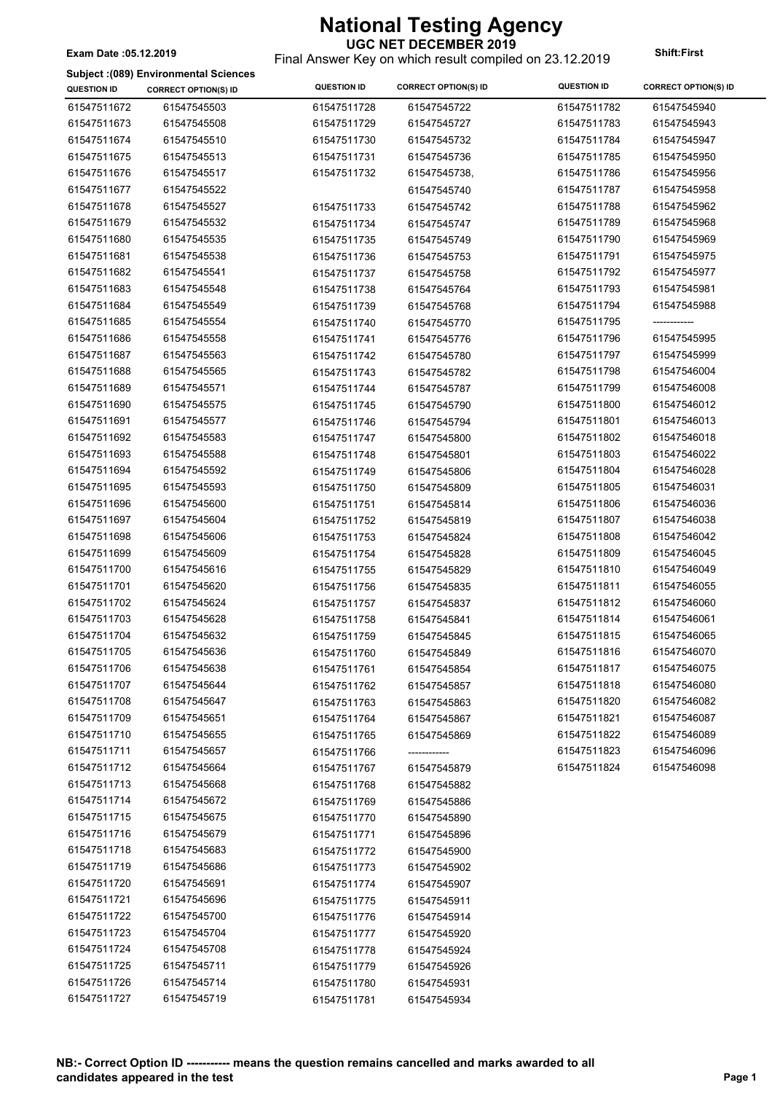#### **UGC NET DECEMBER 2019** Final Answer Key on which result compiled on 23.12.2019 **Exam Date :05.12.2019 Shift:First**

**Subject :(089) Environmental Sciences**

| <b>QUESTION ID</b> | <b>CORRECT OPTION(S) ID</b> | <b>QUESTION ID</b>         | <b>CORRECT OPTION(S) ID</b> | <b>QUESTION ID</b> | <b>CORRECT OPTION(S) ID</b> |
|--------------------|-----------------------------|----------------------------|-----------------------------|--------------------|-----------------------------|
| 61547511672        | 61547545503                 | 61547511728                | 61547545722                 | 61547511782        | 61547545940                 |
| 61547511673        | 61547545508                 | 61547511729                | 61547545727                 | 61547511783        | 61547545943                 |
| 61547511674        | 61547545510                 | 61547511730                | 61547545732                 | 61547511784        | 61547545947                 |
| 61547511675        | 61547545513                 | 61547511731                | 61547545736                 | 61547511785        | 61547545950                 |
| 61547511676        | 61547545517                 | 61547511732                | 61547545738,                | 61547511786        | 61547545956                 |
| 61547511677        | 61547545522                 |                            | 61547545740                 | 61547511787        | 61547545958                 |
| 61547511678        | 61547545527                 | 61547511733                | 61547545742                 | 61547511788        | 61547545962                 |
| 61547511679        | 61547545532                 | 61547511734                | 61547545747                 | 61547511789        | 61547545968                 |
| 61547511680        | 61547545535                 | 61547511735                | 61547545749                 | 61547511790        | 61547545969                 |
| 61547511681        | 61547545538                 | 61547511736                | 61547545753                 | 61547511791        | 61547545975                 |
| 61547511682        | 61547545541                 | 61547511737                | 61547545758                 | 61547511792        | 61547545977                 |
| 61547511683        | 61547545548                 | 61547511738                | 61547545764                 | 61547511793        | 61547545981                 |
| 61547511684        | 61547545549                 | 61547511739                | 61547545768                 | 61547511794        | 61547545988                 |
| 61547511685        | 61547545554                 | 61547511740                | 61547545770                 | 61547511795        |                             |
| 61547511686        | 61547545558                 | 61547511741                | 61547545776                 | 61547511796        | 61547545995                 |
| 61547511687        | 61547545563                 | 61547511742                | 61547545780                 | 61547511797        | 61547545999                 |
| 61547511688        | 61547545565                 | 61547511743                | 61547545782                 | 61547511798        | 61547546004                 |
| 61547511689        | 61547545571                 | 61547511744                | 61547545787                 | 61547511799        | 61547546008                 |
| 61547511690        | 61547545575                 | 61547511745                | 61547545790                 | 61547511800        | 61547546012                 |
| 61547511691        | 61547545577                 | 61547511746                | 61547545794                 | 61547511801        | 61547546013                 |
| 61547511692        | 61547545583                 | 61547511747                | 61547545800                 | 61547511802        | 61547546018                 |
| 61547511693        | 61547545588                 | 61547511748                | 61547545801                 | 61547511803        | 61547546022                 |
| 61547511694        | 61547545592                 | 61547511749                | 61547545806                 | 61547511804        | 61547546028                 |
| 61547511695        | 61547545593                 | 61547511750                | 61547545809                 | 61547511805        | 61547546031                 |
| 61547511696        | 61547545600                 | 61547511751                | 61547545814                 | 61547511806        | 61547546036                 |
| 61547511697        | 61547545604                 | 61547511752                | 61547545819                 | 61547511807        | 61547546038                 |
| 61547511698        | 61547545606                 | 61547511753                | 61547545824                 | 61547511808        | 61547546042                 |
| 61547511699        | 61547545609                 | 61547511754                | 61547545828                 | 61547511809        | 61547546045                 |
| 61547511700        | 61547545616                 | 61547511755                | 61547545829                 | 61547511810        | 61547546049                 |
| 61547511701        | 61547545620                 | 61547511756                | 61547545835                 | 61547511811        | 61547546055                 |
| 61547511702        | 61547545624                 | 61547511757                | 61547545837                 | 61547511812        | 61547546060                 |
| 61547511703        | 61547545628                 | 61547511758                | 61547545841                 | 61547511814        | 61547546061                 |
| 61547511704        | 61547545632                 | 61547511759                | 61547545845                 | 61547511815        | 61547546065                 |
| 61547511705        | 61547545636                 | 61547511760                | 61547545849                 | 61547511816        | 61547546070                 |
| 61547511706        | 61547545638                 | 61547511761                | 61547545854                 | 61547511817        | 61547546075                 |
| 61547511707        | 61547545644                 | 61547511762                | 61547545857                 | 61547511818        | 61547546080                 |
| 61547511708        | 61547545647                 | 61547511763                | 61547545863                 | 61547511820        | 61547546082                 |
| 61547511709        | 61547545651                 | 61547511764                | 61547545867                 | 61547511821        | 61547546087                 |
| 61547511710        | 61547545655                 | 61547511765                | 61547545869                 | 61547511822        | 61547546089                 |
| 61547511711        | 61547545657                 | 61547511766                |                             | 61547511823        | 61547546096                 |
| 61547511712        | 61547545664                 | 61547511767                | 61547545879                 | 61547511824        | 61547546098                 |
| 61547511713        | 61547545668                 | 61547511768                | 61547545882                 |                    |                             |
| 61547511714        | 61547545672                 | 61547511769                | 61547545886                 |                    |                             |
| 61547511715        | 61547545675                 | 61547511770                | 61547545890                 |                    |                             |
| 61547511716        | 61547545679                 | 61547511771                | 61547545896                 |                    |                             |
| 61547511718        | 61547545683                 | 61547511772                | 61547545900                 |                    |                             |
| 61547511719        | 61547545686                 | 61547511773                | 61547545902                 |                    |                             |
| 61547511720        | 61547545691                 | 61547511774                |                             |                    |                             |
| 61547511721        | 61547545696                 | 61547511775                | 61547545907<br>61547545911  |                    |                             |
| 61547511722        | 61547545700                 | 61547511776                | 61547545914                 |                    |                             |
| 61547511723        | 61547545704                 | 61547511777                | 61547545920                 |                    |                             |
| 61547511724        | 61547545708                 |                            |                             |                    |                             |
| 61547511725        | 61547545711                 | 61547511778                | 61547545924                 |                    |                             |
| 61547511726        | 61547545714                 | 61547511779                | 61547545926                 |                    |                             |
| 61547511727        | 61547545719                 | 61547511780<br>61547511781 | 61547545931<br>61547545934  |                    |                             |
|                    |                             |                            |                             |                    |                             |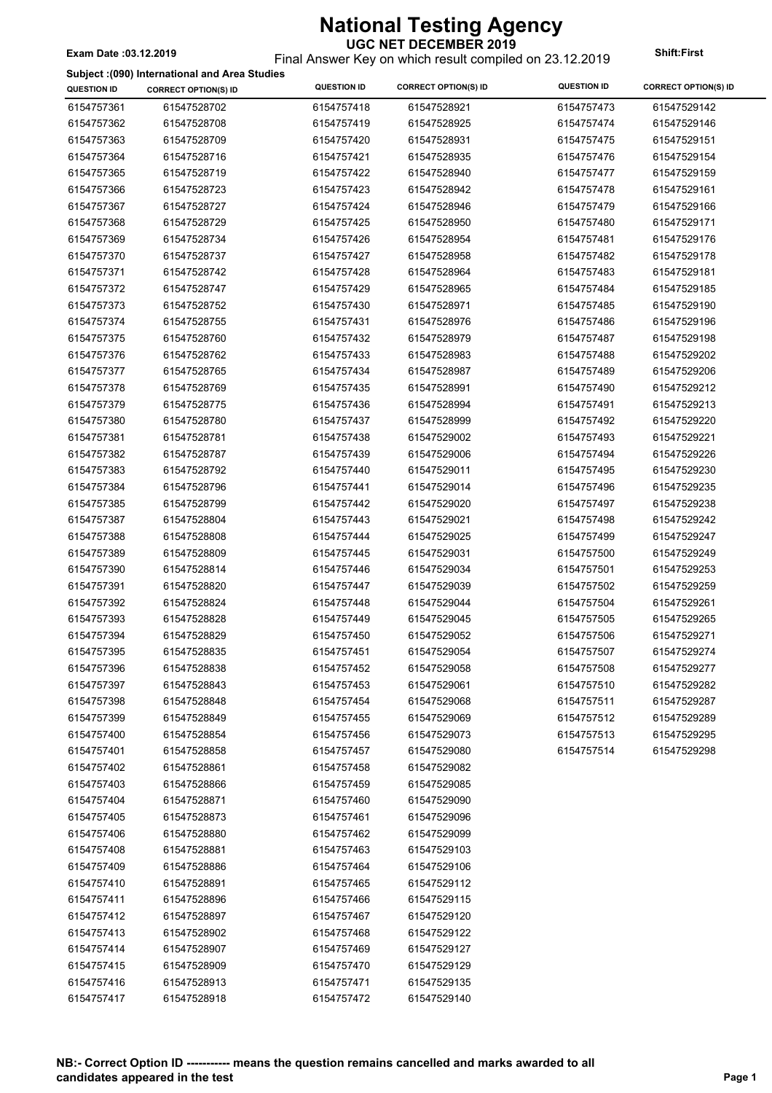#### **UGC NET DECEMBER 2019** Final Answer Key on which result compiled on 23.12.2019 **Exam Date :03.12.2019 Shift:First**

#### **Subject :(090) International and Area Studies**

| 6154757361<br>61547528702<br>6154757418<br>61547528921<br>6154757473<br>61547529142<br>6154757362<br>61547528708<br>6154757419<br>61547528925<br>6154757474<br>61547529146<br>6154757363<br>61547528709<br>6154757420<br>61547528931<br>6154757475<br>61547529151<br>6154757364<br>61547528716<br>6154757421<br>61547528935<br>6154757476<br>61547529154<br>61547528719<br>61547529159<br>6154757365<br>6154757422<br>61547528940<br>6154757477<br>6154757366<br>61547528723<br>6154757423<br>61547528942<br>6154757478<br>61547529161<br>6154757367<br>61547528727<br>6154757424<br>61547528946<br>6154757479<br>61547529166<br>6154757368<br>61547528729<br>6154757425<br>61547528950<br>6154757480<br>61547529171<br>6154757369<br>61547528734<br>6154757426<br>61547528954<br>6154757481<br>61547529176<br>6154757370<br>61547528737<br>6154757427<br>61547528958<br>6154757482<br>61547529178<br>6154757371<br>61547528742<br>6154757428<br>61547528964<br>6154757483<br>61547529181<br>6154757372<br>61547528747<br>6154757429<br>61547528965<br>6154757484<br>61547529185<br>61547528971<br>6154757373<br>61547528752<br>6154757430<br>6154757485<br>61547529190<br>6154757374<br>61547528755<br>6154757431<br>61547528976<br>6154757486<br>61547529196<br>6154757375<br>61547528760<br>6154757432<br>61547528979<br>6154757487<br>61547529198<br>6154757376<br>61547528762<br>6154757433<br>61547528983<br>6154757488<br>61547529202<br>6154757377<br>61547528765<br>6154757434<br>61547528987<br>6154757489<br>61547529206<br>6154757378<br>61547528769<br>6154757435<br>61547528991<br>6154757490<br>61547529212<br>6154757379<br>61547528775<br>6154757436<br>61547528994<br>6154757491<br>61547529213<br>6154757380<br>61547528999<br>61547529220<br>61547528780<br>6154757437<br>6154757492<br>6154757381<br>61547528781<br>61547529002<br>6154757493<br>61547529221<br>6154757438<br>6154757382<br>61547528787<br>6154757439<br>61547529006<br>6154757494<br>61547529226<br>6154757383<br>61547528792<br>6154757440<br>61547529011<br>6154757495<br>61547529230<br>6154757384<br>61547528796<br>6154757441<br>61547529014<br>6154757496<br>61547529235<br>6154757385<br>61547528799<br>6154757442<br>61547529020<br>6154757497<br>61547529238<br>6154757387<br>61547528804<br>6154757443<br>61547529021<br>6154757498<br>61547529242<br>6154757388<br>61547528808<br>6154757444<br>61547529025<br>6154757499<br>61547529247<br>61547529031<br>61547529249<br>6154757389<br>61547528809<br>6154757445<br>6154757500<br>6154757390<br>61547528814<br>6154757446<br>61547529034<br>6154757501<br>61547529253<br>61547528820<br>61547529259<br>6154757391<br>6154757447<br>61547529039<br>6154757502<br>61547529261<br>6154757392<br>61547528824<br>6154757448<br>61547529044<br>6154757504<br>6154757393<br>61547529045<br>61547529265<br>61547528828<br>6154757449<br>6154757505<br>6154757394<br>61547528829<br>6154757450<br>61547529052<br>6154757506<br>61547529271<br>6154757395<br>61547528835<br>61547529054<br>6154757507<br>61547529274<br>6154757451<br>6154757396<br>61547528838<br>6154757452<br>61547529058<br>6154757508<br>61547529277<br>6154757397<br>61547528843<br>6154757453<br>61547529061<br>6154757510<br>61547529282<br>6154757398<br>61547528848<br>6154757454<br>61547529068<br>6154757511<br>61547529287<br>61547529289<br>6154757399<br>61547528849<br>6154757455<br>61547529069<br>6154757512<br>61547529295<br>6154757400<br>61547528854<br>6154757456<br>61547529073<br>6154757513<br>6154757401<br>61547528858<br>6154757457<br>61547529080<br>6154757514<br>61547529298<br>6154757402<br>61547528861<br>6154757458<br>61547529082<br>6154757403<br>61547528866<br>6154757459<br>61547529085<br>6154757404<br>61547528871<br>61547529090<br>6154757460<br>6154757405<br>61547528873<br>6154757461<br>61547529096<br>6154757406<br>61547528880<br>6154757462<br>61547529099<br>6154757408<br>61547528881<br>6154757463<br>61547529103<br>6154757409<br>61547528886<br>6154757464<br>61547529106<br>6154757410<br>61547528891<br>6154757465<br>61547529112<br>6154757411<br>61547528896<br>6154757466<br>61547529115<br>6154757412<br>61547528897<br>6154757467<br>61547529120<br>6154757413<br>61547528902<br>61547529122<br>6154757468<br>6154757414<br>61547528907<br>6154757469<br>61547529127<br>6154757415<br>61547528909<br>6154757470<br>61547529129 | $\frac{1}{2}$<br><b>QUESTION ID</b> | <b>CORRECT OPTION(S) ID</b> | <b>QUESTION ID</b> | <b>CORRECT OPTION(S) ID</b> | <b>QUESTION ID</b> | <b>CORRECT OPTION(S) ID</b> |
|--------------------------------------------------------------------------------------------------------------------------------------------------------------------------------------------------------------------------------------------------------------------------------------------------------------------------------------------------------------------------------------------------------------------------------------------------------------------------------------------------------------------------------------------------------------------------------------------------------------------------------------------------------------------------------------------------------------------------------------------------------------------------------------------------------------------------------------------------------------------------------------------------------------------------------------------------------------------------------------------------------------------------------------------------------------------------------------------------------------------------------------------------------------------------------------------------------------------------------------------------------------------------------------------------------------------------------------------------------------------------------------------------------------------------------------------------------------------------------------------------------------------------------------------------------------------------------------------------------------------------------------------------------------------------------------------------------------------------------------------------------------------------------------------------------------------------------------------------------------------------------------------------------------------------------------------------------------------------------------------------------------------------------------------------------------------------------------------------------------------------------------------------------------------------------------------------------------------------------------------------------------------------------------------------------------------------------------------------------------------------------------------------------------------------------------------------------------------------------------------------------------------------------------------------------------------------------------------------------------------------------------------------------------------------------------------------------------------------------------------------------------------------------------------------------------------------------------------------------------------------------------------------------------------------------------------------------------------------------------------------------------------------------------------------------------------------------------------------------------------------------------------------------------------------------------------------------------------------------------------------------------------------------------------------------------------------------------------------------------------------------------------------------------------------------------------------------------------------------------------------------------------------------------------------------------------------------------------------------------------------------------------------------------------------------------------------------------------------------------------------------------------------------------------------------------------------------------------------------------------------------------------------------------------------------------------------------------------------------------------------------------------------------------------------------------------------------------------------------------------------------------------------------------------------------------------------------------------------------------------------------------------------------------------------------------------------------------------------------------------------------------------------------|-------------------------------------|-----------------------------|--------------------|-----------------------------|--------------------|-----------------------------|
|                                                                                                                                                                                                                                                                                                                                                                                                                                                                                                                                                                                                                                                                                                                                                                                                                                                                                                                                                                                                                                                                                                                                                                                                                                                                                                                                                                                                                                                                                                                                                                                                                                                                                                                                                                                                                                                                                                                                                                                                                                                                                                                                                                                                                                                                                                                                                                                                                                                                                                                                                                                                                                                                                                                                                                                                                                                                                                                                                                                                                                                                                                                                                                                                                                                                                                                                                                                                                                                                                                                                                                                                                                                                                                                                                                                                                                                                                                                                                                                                                                                                                                                                                                                                                                                                                                                                                                                                        |                                     |                             |                    |                             |                    |                             |
|                                                                                                                                                                                                                                                                                                                                                                                                                                                                                                                                                                                                                                                                                                                                                                                                                                                                                                                                                                                                                                                                                                                                                                                                                                                                                                                                                                                                                                                                                                                                                                                                                                                                                                                                                                                                                                                                                                                                                                                                                                                                                                                                                                                                                                                                                                                                                                                                                                                                                                                                                                                                                                                                                                                                                                                                                                                                                                                                                                                                                                                                                                                                                                                                                                                                                                                                                                                                                                                                                                                                                                                                                                                                                                                                                                                                                                                                                                                                                                                                                                                                                                                                                                                                                                                                                                                                                                                                        |                                     |                             |                    |                             |                    |                             |
|                                                                                                                                                                                                                                                                                                                                                                                                                                                                                                                                                                                                                                                                                                                                                                                                                                                                                                                                                                                                                                                                                                                                                                                                                                                                                                                                                                                                                                                                                                                                                                                                                                                                                                                                                                                                                                                                                                                                                                                                                                                                                                                                                                                                                                                                                                                                                                                                                                                                                                                                                                                                                                                                                                                                                                                                                                                                                                                                                                                                                                                                                                                                                                                                                                                                                                                                                                                                                                                                                                                                                                                                                                                                                                                                                                                                                                                                                                                                                                                                                                                                                                                                                                                                                                                                                                                                                                                                        |                                     |                             |                    |                             |                    |                             |
|                                                                                                                                                                                                                                                                                                                                                                                                                                                                                                                                                                                                                                                                                                                                                                                                                                                                                                                                                                                                                                                                                                                                                                                                                                                                                                                                                                                                                                                                                                                                                                                                                                                                                                                                                                                                                                                                                                                                                                                                                                                                                                                                                                                                                                                                                                                                                                                                                                                                                                                                                                                                                                                                                                                                                                                                                                                                                                                                                                                                                                                                                                                                                                                                                                                                                                                                                                                                                                                                                                                                                                                                                                                                                                                                                                                                                                                                                                                                                                                                                                                                                                                                                                                                                                                                                                                                                                                                        |                                     |                             |                    |                             |                    |                             |
|                                                                                                                                                                                                                                                                                                                                                                                                                                                                                                                                                                                                                                                                                                                                                                                                                                                                                                                                                                                                                                                                                                                                                                                                                                                                                                                                                                                                                                                                                                                                                                                                                                                                                                                                                                                                                                                                                                                                                                                                                                                                                                                                                                                                                                                                                                                                                                                                                                                                                                                                                                                                                                                                                                                                                                                                                                                                                                                                                                                                                                                                                                                                                                                                                                                                                                                                                                                                                                                                                                                                                                                                                                                                                                                                                                                                                                                                                                                                                                                                                                                                                                                                                                                                                                                                                                                                                                                                        |                                     |                             |                    |                             |                    |                             |
|                                                                                                                                                                                                                                                                                                                                                                                                                                                                                                                                                                                                                                                                                                                                                                                                                                                                                                                                                                                                                                                                                                                                                                                                                                                                                                                                                                                                                                                                                                                                                                                                                                                                                                                                                                                                                                                                                                                                                                                                                                                                                                                                                                                                                                                                                                                                                                                                                                                                                                                                                                                                                                                                                                                                                                                                                                                                                                                                                                                                                                                                                                                                                                                                                                                                                                                                                                                                                                                                                                                                                                                                                                                                                                                                                                                                                                                                                                                                                                                                                                                                                                                                                                                                                                                                                                                                                                                                        |                                     |                             |                    |                             |                    |                             |
|                                                                                                                                                                                                                                                                                                                                                                                                                                                                                                                                                                                                                                                                                                                                                                                                                                                                                                                                                                                                                                                                                                                                                                                                                                                                                                                                                                                                                                                                                                                                                                                                                                                                                                                                                                                                                                                                                                                                                                                                                                                                                                                                                                                                                                                                                                                                                                                                                                                                                                                                                                                                                                                                                                                                                                                                                                                                                                                                                                                                                                                                                                                                                                                                                                                                                                                                                                                                                                                                                                                                                                                                                                                                                                                                                                                                                                                                                                                                                                                                                                                                                                                                                                                                                                                                                                                                                                                                        |                                     |                             |                    |                             |                    |                             |
|                                                                                                                                                                                                                                                                                                                                                                                                                                                                                                                                                                                                                                                                                                                                                                                                                                                                                                                                                                                                                                                                                                                                                                                                                                                                                                                                                                                                                                                                                                                                                                                                                                                                                                                                                                                                                                                                                                                                                                                                                                                                                                                                                                                                                                                                                                                                                                                                                                                                                                                                                                                                                                                                                                                                                                                                                                                                                                                                                                                                                                                                                                                                                                                                                                                                                                                                                                                                                                                                                                                                                                                                                                                                                                                                                                                                                                                                                                                                                                                                                                                                                                                                                                                                                                                                                                                                                                                                        |                                     |                             |                    |                             |                    |                             |
|                                                                                                                                                                                                                                                                                                                                                                                                                                                                                                                                                                                                                                                                                                                                                                                                                                                                                                                                                                                                                                                                                                                                                                                                                                                                                                                                                                                                                                                                                                                                                                                                                                                                                                                                                                                                                                                                                                                                                                                                                                                                                                                                                                                                                                                                                                                                                                                                                                                                                                                                                                                                                                                                                                                                                                                                                                                                                                                                                                                                                                                                                                                                                                                                                                                                                                                                                                                                                                                                                                                                                                                                                                                                                                                                                                                                                                                                                                                                                                                                                                                                                                                                                                                                                                                                                                                                                                                                        |                                     |                             |                    |                             |                    |                             |
|                                                                                                                                                                                                                                                                                                                                                                                                                                                                                                                                                                                                                                                                                                                                                                                                                                                                                                                                                                                                                                                                                                                                                                                                                                                                                                                                                                                                                                                                                                                                                                                                                                                                                                                                                                                                                                                                                                                                                                                                                                                                                                                                                                                                                                                                                                                                                                                                                                                                                                                                                                                                                                                                                                                                                                                                                                                                                                                                                                                                                                                                                                                                                                                                                                                                                                                                                                                                                                                                                                                                                                                                                                                                                                                                                                                                                                                                                                                                                                                                                                                                                                                                                                                                                                                                                                                                                                                                        |                                     |                             |                    |                             |                    |                             |
|                                                                                                                                                                                                                                                                                                                                                                                                                                                                                                                                                                                                                                                                                                                                                                                                                                                                                                                                                                                                                                                                                                                                                                                                                                                                                                                                                                                                                                                                                                                                                                                                                                                                                                                                                                                                                                                                                                                                                                                                                                                                                                                                                                                                                                                                                                                                                                                                                                                                                                                                                                                                                                                                                                                                                                                                                                                                                                                                                                                                                                                                                                                                                                                                                                                                                                                                                                                                                                                                                                                                                                                                                                                                                                                                                                                                                                                                                                                                                                                                                                                                                                                                                                                                                                                                                                                                                                                                        |                                     |                             |                    |                             |                    |                             |
|                                                                                                                                                                                                                                                                                                                                                                                                                                                                                                                                                                                                                                                                                                                                                                                                                                                                                                                                                                                                                                                                                                                                                                                                                                                                                                                                                                                                                                                                                                                                                                                                                                                                                                                                                                                                                                                                                                                                                                                                                                                                                                                                                                                                                                                                                                                                                                                                                                                                                                                                                                                                                                                                                                                                                                                                                                                                                                                                                                                                                                                                                                                                                                                                                                                                                                                                                                                                                                                                                                                                                                                                                                                                                                                                                                                                                                                                                                                                                                                                                                                                                                                                                                                                                                                                                                                                                                                                        |                                     |                             |                    |                             |                    |                             |
|                                                                                                                                                                                                                                                                                                                                                                                                                                                                                                                                                                                                                                                                                                                                                                                                                                                                                                                                                                                                                                                                                                                                                                                                                                                                                                                                                                                                                                                                                                                                                                                                                                                                                                                                                                                                                                                                                                                                                                                                                                                                                                                                                                                                                                                                                                                                                                                                                                                                                                                                                                                                                                                                                                                                                                                                                                                                                                                                                                                                                                                                                                                                                                                                                                                                                                                                                                                                                                                                                                                                                                                                                                                                                                                                                                                                                                                                                                                                                                                                                                                                                                                                                                                                                                                                                                                                                                                                        |                                     |                             |                    |                             |                    |                             |
|                                                                                                                                                                                                                                                                                                                                                                                                                                                                                                                                                                                                                                                                                                                                                                                                                                                                                                                                                                                                                                                                                                                                                                                                                                                                                                                                                                                                                                                                                                                                                                                                                                                                                                                                                                                                                                                                                                                                                                                                                                                                                                                                                                                                                                                                                                                                                                                                                                                                                                                                                                                                                                                                                                                                                                                                                                                                                                                                                                                                                                                                                                                                                                                                                                                                                                                                                                                                                                                                                                                                                                                                                                                                                                                                                                                                                                                                                                                                                                                                                                                                                                                                                                                                                                                                                                                                                                                                        |                                     |                             |                    |                             |                    |                             |
|                                                                                                                                                                                                                                                                                                                                                                                                                                                                                                                                                                                                                                                                                                                                                                                                                                                                                                                                                                                                                                                                                                                                                                                                                                                                                                                                                                                                                                                                                                                                                                                                                                                                                                                                                                                                                                                                                                                                                                                                                                                                                                                                                                                                                                                                                                                                                                                                                                                                                                                                                                                                                                                                                                                                                                                                                                                                                                                                                                                                                                                                                                                                                                                                                                                                                                                                                                                                                                                                                                                                                                                                                                                                                                                                                                                                                                                                                                                                                                                                                                                                                                                                                                                                                                                                                                                                                                                                        |                                     |                             |                    |                             |                    |                             |
|                                                                                                                                                                                                                                                                                                                                                                                                                                                                                                                                                                                                                                                                                                                                                                                                                                                                                                                                                                                                                                                                                                                                                                                                                                                                                                                                                                                                                                                                                                                                                                                                                                                                                                                                                                                                                                                                                                                                                                                                                                                                                                                                                                                                                                                                                                                                                                                                                                                                                                                                                                                                                                                                                                                                                                                                                                                                                                                                                                                                                                                                                                                                                                                                                                                                                                                                                                                                                                                                                                                                                                                                                                                                                                                                                                                                                                                                                                                                                                                                                                                                                                                                                                                                                                                                                                                                                                                                        |                                     |                             |                    |                             |                    |                             |
|                                                                                                                                                                                                                                                                                                                                                                                                                                                                                                                                                                                                                                                                                                                                                                                                                                                                                                                                                                                                                                                                                                                                                                                                                                                                                                                                                                                                                                                                                                                                                                                                                                                                                                                                                                                                                                                                                                                                                                                                                                                                                                                                                                                                                                                                                                                                                                                                                                                                                                                                                                                                                                                                                                                                                                                                                                                                                                                                                                                                                                                                                                                                                                                                                                                                                                                                                                                                                                                                                                                                                                                                                                                                                                                                                                                                                                                                                                                                                                                                                                                                                                                                                                                                                                                                                                                                                                                                        |                                     |                             |                    |                             |                    |                             |
|                                                                                                                                                                                                                                                                                                                                                                                                                                                                                                                                                                                                                                                                                                                                                                                                                                                                                                                                                                                                                                                                                                                                                                                                                                                                                                                                                                                                                                                                                                                                                                                                                                                                                                                                                                                                                                                                                                                                                                                                                                                                                                                                                                                                                                                                                                                                                                                                                                                                                                                                                                                                                                                                                                                                                                                                                                                                                                                                                                                                                                                                                                                                                                                                                                                                                                                                                                                                                                                                                                                                                                                                                                                                                                                                                                                                                                                                                                                                                                                                                                                                                                                                                                                                                                                                                                                                                                                                        |                                     |                             |                    |                             |                    |                             |
|                                                                                                                                                                                                                                                                                                                                                                                                                                                                                                                                                                                                                                                                                                                                                                                                                                                                                                                                                                                                                                                                                                                                                                                                                                                                                                                                                                                                                                                                                                                                                                                                                                                                                                                                                                                                                                                                                                                                                                                                                                                                                                                                                                                                                                                                                                                                                                                                                                                                                                                                                                                                                                                                                                                                                                                                                                                                                                                                                                                                                                                                                                                                                                                                                                                                                                                                                                                                                                                                                                                                                                                                                                                                                                                                                                                                                                                                                                                                                                                                                                                                                                                                                                                                                                                                                                                                                                                                        |                                     |                             |                    |                             |                    |                             |
|                                                                                                                                                                                                                                                                                                                                                                                                                                                                                                                                                                                                                                                                                                                                                                                                                                                                                                                                                                                                                                                                                                                                                                                                                                                                                                                                                                                                                                                                                                                                                                                                                                                                                                                                                                                                                                                                                                                                                                                                                                                                                                                                                                                                                                                                                                                                                                                                                                                                                                                                                                                                                                                                                                                                                                                                                                                                                                                                                                                                                                                                                                                                                                                                                                                                                                                                                                                                                                                                                                                                                                                                                                                                                                                                                                                                                                                                                                                                                                                                                                                                                                                                                                                                                                                                                                                                                                                                        |                                     |                             |                    |                             |                    |                             |
|                                                                                                                                                                                                                                                                                                                                                                                                                                                                                                                                                                                                                                                                                                                                                                                                                                                                                                                                                                                                                                                                                                                                                                                                                                                                                                                                                                                                                                                                                                                                                                                                                                                                                                                                                                                                                                                                                                                                                                                                                                                                                                                                                                                                                                                                                                                                                                                                                                                                                                                                                                                                                                                                                                                                                                                                                                                                                                                                                                                                                                                                                                                                                                                                                                                                                                                                                                                                                                                                                                                                                                                                                                                                                                                                                                                                                                                                                                                                                                                                                                                                                                                                                                                                                                                                                                                                                                                                        |                                     |                             |                    |                             |                    |                             |
|                                                                                                                                                                                                                                                                                                                                                                                                                                                                                                                                                                                                                                                                                                                                                                                                                                                                                                                                                                                                                                                                                                                                                                                                                                                                                                                                                                                                                                                                                                                                                                                                                                                                                                                                                                                                                                                                                                                                                                                                                                                                                                                                                                                                                                                                                                                                                                                                                                                                                                                                                                                                                                                                                                                                                                                                                                                                                                                                                                                                                                                                                                                                                                                                                                                                                                                                                                                                                                                                                                                                                                                                                                                                                                                                                                                                                                                                                                                                                                                                                                                                                                                                                                                                                                                                                                                                                                                                        |                                     |                             |                    |                             |                    |                             |
|                                                                                                                                                                                                                                                                                                                                                                                                                                                                                                                                                                                                                                                                                                                                                                                                                                                                                                                                                                                                                                                                                                                                                                                                                                                                                                                                                                                                                                                                                                                                                                                                                                                                                                                                                                                                                                                                                                                                                                                                                                                                                                                                                                                                                                                                                                                                                                                                                                                                                                                                                                                                                                                                                                                                                                                                                                                                                                                                                                                                                                                                                                                                                                                                                                                                                                                                                                                                                                                                                                                                                                                                                                                                                                                                                                                                                                                                                                                                                                                                                                                                                                                                                                                                                                                                                                                                                                                                        |                                     |                             |                    |                             |                    |                             |
|                                                                                                                                                                                                                                                                                                                                                                                                                                                                                                                                                                                                                                                                                                                                                                                                                                                                                                                                                                                                                                                                                                                                                                                                                                                                                                                                                                                                                                                                                                                                                                                                                                                                                                                                                                                                                                                                                                                                                                                                                                                                                                                                                                                                                                                                                                                                                                                                                                                                                                                                                                                                                                                                                                                                                                                                                                                                                                                                                                                                                                                                                                                                                                                                                                                                                                                                                                                                                                                                                                                                                                                                                                                                                                                                                                                                                                                                                                                                                                                                                                                                                                                                                                                                                                                                                                                                                                                                        |                                     |                             |                    |                             |                    |                             |
|                                                                                                                                                                                                                                                                                                                                                                                                                                                                                                                                                                                                                                                                                                                                                                                                                                                                                                                                                                                                                                                                                                                                                                                                                                                                                                                                                                                                                                                                                                                                                                                                                                                                                                                                                                                                                                                                                                                                                                                                                                                                                                                                                                                                                                                                                                                                                                                                                                                                                                                                                                                                                                                                                                                                                                                                                                                                                                                                                                                                                                                                                                                                                                                                                                                                                                                                                                                                                                                                                                                                                                                                                                                                                                                                                                                                                                                                                                                                                                                                                                                                                                                                                                                                                                                                                                                                                                                                        |                                     |                             |                    |                             |                    |                             |
|                                                                                                                                                                                                                                                                                                                                                                                                                                                                                                                                                                                                                                                                                                                                                                                                                                                                                                                                                                                                                                                                                                                                                                                                                                                                                                                                                                                                                                                                                                                                                                                                                                                                                                                                                                                                                                                                                                                                                                                                                                                                                                                                                                                                                                                                                                                                                                                                                                                                                                                                                                                                                                                                                                                                                                                                                                                                                                                                                                                                                                                                                                                                                                                                                                                                                                                                                                                                                                                                                                                                                                                                                                                                                                                                                                                                                                                                                                                                                                                                                                                                                                                                                                                                                                                                                                                                                                                                        |                                     |                             |                    |                             |                    |                             |
|                                                                                                                                                                                                                                                                                                                                                                                                                                                                                                                                                                                                                                                                                                                                                                                                                                                                                                                                                                                                                                                                                                                                                                                                                                                                                                                                                                                                                                                                                                                                                                                                                                                                                                                                                                                                                                                                                                                                                                                                                                                                                                                                                                                                                                                                                                                                                                                                                                                                                                                                                                                                                                                                                                                                                                                                                                                                                                                                                                                                                                                                                                                                                                                                                                                                                                                                                                                                                                                                                                                                                                                                                                                                                                                                                                                                                                                                                                                                                                                                                                                                                                                                                                                                                                                                                                                                                                                                        |                                     |                             |                    |                             |                    |                             |
|                                                                                                                                                                                                                                                                                                                                                                                                                                                                                                                                                                                                                                                                                                                                                                                                                                                                                                                                                                                                                                                                                                                                                                                                                                                                                                                                                                                                                                                                                                                                                                                                                                                                                                                                                                                                                                                                                                                                                                                                                                                                                                                                                                                                                                                                                                                                                                                                                                                                                                                                                                                                                                                                                                                                                                                                                                                                                                                                                                                                                                                                                                                                                                                                                                                                                                                                                                                                                                                                                                                                                                                                                                                                                                                                                                                                                                                                                                                                                                                                                                                                                                                                                                                                                                                                                                                                                                                                        |                                     |                             |                    |                             |                    |                             |
|                                                                                                                                                                                                                                                                                                                                                                                                                                                                                                                                                                                                                                                                                                                                                                                                                                                                                                                                                                                                                                                                                                                                                                                                                                                                                                                                                                                                                                                                                                                                                                                                                                                                                                                                                                                                                                                                                                                                                                                                                                                                                                                                                                                                                                                                                                                                                                                                                                                                                                                                                                                                                                                                                                                                                                                                                                                                                                                                                                                                                                                                                                                                                                                                                                                                                                                                                                                                                                                                                                                                                                                                                                                                                                                                                                                                                                                                                                                                                                                                                                                                                                                                                                                                                                                                                                                                                                                                        |                                     |                             |                    |                             |                    |                             |
|                                                                                                                                                                                                                                                                                                                                                                                                                                                                                                                                                                                                                                                                                                                                                                                                                                                                                                                                                                                                                                                                                                                                                                                                                                                                                                                                                                                                                                                                                                                                                                                                                                                                                                                                                                                                                                                                                                                                                                                                                                                                                                                                                                                                                                                                                                                                                                                                                                                                                                                                                                                                                                                                                                                                                                                                                                                                                                                                                                                                                                                                                                                                                                                                                                                                                                                                                                                                                                                                                                                                                                                                                                                                                                                                                                                                                                                                                                                                                                                                                                                                                                                                                                                                                                                                                                                                                                                                        |                                     |                             |                    |                             |                    |                             |
|                                                                                                                                                                                                                                                                                                                                                                                                                                                                                                                                                                                                                                                                                                                                                                                                                                                                                                                                                                                                                                                                                                                                                                                                                                                                                                                                                                                                                                                                                                                                                                                                                                                                                                                                                                                                                                                                                                                                                                                                                                                                                                                                                                                                                                                                                                                                                                                                                                                                                                                                                                                                                                                                                                                                                                                                                                                                                                                                                                                                                                                                                                                                                                                                                                                                                                                                                                                                                                                                                                                                                                                                                                                                                                                                                                                                                                                                                                                                                                                                                                                                                                                                                                                                                                                                                                                                                                                                        |                                     |                             |                    |                             |                    |                             |
|                                                                                                                                                                                                                                                                                                                                                                                                                                                                                                                                                                                                                                                                                                                                                                                                                                                                                                                                                                                                                                                                                                                                                                                                                                                                                                                                                                                                                                                                                                                                                                                                                                                                                                                                                                                                                                                                                                                                                                                                                                                                                                                                                                                                                                                                                                                                                                                                                                                                                                                                                                                                                                                                                                                                                                                                                                                                                                                                                                                                                                                                                                                                                                                                                                                                                                                                                                                                                                                                                                                                                                                                                                                                                                                                                                                                                                                                                                                                                                                                                                                                                                                                                                                                                                                                                                                                                                                                        |                                     |                             |                    |                             |                    |                             |
|                                                                                                                                                                                                                                                                                                                                                                                                                                                                                                                                                                                                                                                                                                                                                                                                                                                                                                                                                                                                                                                                                                                                                                                                                                                                                                                                                                                                                                                                                                                                                                                                                                                                                                                                                                                                                                                                                                                                                                                                                                                                                                                                                                                                                                                                                                                                                                                                                                                                                                                                                                                                                                                                                                                                                                                                                                                                                                                                                                                                                                                                                                                                                                                                                                                                                                                                                                                                                                                                                                                                                                                                                                                                                                                                                                                                                                                                                                                                                                                                                                                                                                                                                                                                                                                                                                                                                                                                        |                                     |                             |                    |                             |                    |                             |
|                                                                                                                                                                                                                                                                                                                                                                                                                                                                                                                                                                                                                                                                                                                                                                                                                                                                                                                                                                                                                                                                                                                                                                                                                                                                                                                                                                                                                                                                                                                                                                                                                                                                                                                                                                                                                                                                                                                                                                                                                                                                                                                                                                                                                                                                                                                                                                                                                                                                                                                                                                                                                                                                                                                                                                                                                                                                                                                                                                                                                                                                                                                                                                                                                                                                                                                                                                                                                                                                                                                                                                                                                                                                                                                                                                                                                                                                                                                                                                                                                                                                                                                                                                                                                                                                                                                                                                                                        |                                     |                             |                    |                             |                    |                             |
|                                                                                                                                                                                                                                                                                                                                                                                                                                                                                                                                                                                                                                                                                                                                                                                                                                                                                                                                                                                                                                                                                                                                                                                                                                                                                                                                                                                                                                                                                                                                                                                                                                                                                                                                                                                                                                                                                                                                                                                                                                                                                                                                                                                                                                                                                                                                                                                                                                                                                                                                                                                                                                                                                                                                                                                                                                                                                                                                                                                                                                                                                                                                                                                                                                                                                                                                                                                                                                                                                                                                                                                                                                                                                                                                                                                                                                                                                                                                                                                                                                                                                                                                                                                                                                                                                                                                                                                                        |                                     |                             |                    |                             |                    |                             |
|                                                                                                                                                                                                                                                                                                                                                                                                                                                                                                                                                                                                                                                                                                                                                                                                                                                                                                                                                                                                                                                                                                                                                                                                                                                                                                                                                                                                                                                                                                                                                                                                                                                                                                                                                                                                                                                                                                                                                                                                                                                                                                                                                                                                                                                                                                                                                                                                                                                                                                                                                                                                                                                                                                                                                                                                                                                                                                                                                                                                                                                                                                                                                                                                                                                                                                                                                                                                                                                                                                                                                                                                                                                                                                                                                                                                                                                                                                                                                                                                                                                                                                                                                                                                                                                                                                                                                                                                        |                                     |                             |                    |                             |                    |                             |
|                                                                                                                                                                                                                                                                                                                                                                                                                                                                                                                                                                                                                                                                                                                                                                                                                                                                                                                                                                                                                                                                                                                                                                                                                                                                                                                                                                                                                                                                                                                                                                                                                                                                                                                                                                                                                                                                                                                                                                                                                                                                                                                                                                                                                                                                                                                                                                                                                                                                                                                                                                                                                                                                                                                                                                                                                                                                                                                                                                                                                                                                                                                                                                                                                                                                                                                                                                                                                                                                                                                                                                                                                                                                                                                                                                                                                                                                                                                                                                                                                                                                                                                                                                                                                                                                                                                                                                                                        |                                     |                             |                    |                             |                    |                             |
|                                                                                                                                                                                                                                                                                                                                                                                                                                                                                                                                                                                                                                                                                                                                                                                                                                                                                                                                                                                                                                                                                                                                                                                                                                                                                                                                                                                                                                                                                                                                                                                                                                                                                                                                                                                                                                                                                                                                                                                                                                                                                                                                                                                                                                                                                                                                                                                                                                                                                                                                                                                                                                                                                                                                                                                                                                                                                                                                                                                                                                                                                                                                                                                                                                                                                                                                                                                                                                                                                                                                                                                                                                                                                                                                                                                                                                                                                                                                                                                                                                                                                                                                                                                                                                                                                                                                                                                                        |                                     |                             |                    |                             |                    |                             |
|                                                                                                                                                                                                                                                                                                                                                                                                                                                                                                                                                                                                                                                                                                                                                                                                                                                                                                                                                                                                                                                                                                                                                                                                                                                                                                                                                                                                                                                                                                                                                                                                                                                                                                                                                                                                                                                                                                                                                                                                                                                                                                                                                                                                                                                                                                                                                                                                                                                                                                                                                                                                                                                                                                                                                                                                                                                                                                                                                                                                                                                                                                                                                                                                                                                                                                                                                                                                                                                                                                                                                                                                                                                                                                                                                                                                                                                                                                                                                                                                                                                                                                                                                                                                                                                                                                                                                                                                        |                                     |                             |                    |                             |                    |                             |
|                                                                                                                                                                                                                                                                                                                                                                                                                                                                                                                                                                                                                                                                                                                                                                                                                                                                                                                                                                                                                                                                                                                                                                                                                                                                                                                                                                                                                                                                                                                                                                                                                                                                                                                                                                                                                                                                                                                                                                                                                                                                                                                                                                                                                                                                                                                                                                                                                                                                                                                                                                                                                                                                                                                                                                                                                                                                                                                                                                                                                                                                                                                                                                                                                                                                                                                                                                                                                                                                                                                                                                                                                                                                                                                                                                                                                                                                                                                                                                                                                                                                                                                                                                                                                                                                                                                                                                                                        |                                     |                             |                    |                             |                    |                             |
|                                                                                                                                                                                                                                                                                                                                                                                                                                                                                                                                                                                                                                                                                                                                                                                                                                                                                                                                                                                                                                                                                                                                                                                                                                                                                                                                                                                                                                                                                                                                                                                                                                                                                                                                                                                                                                                                                                                                                                                                                                                                                                                                                                                                                                                                                                                                                                                                                                                                                                                                                                                                                                                                                                                                                                                                                                                                                                                                                                                                                                                                                                                                                                                                                                                                                                                                                                                                                                                                                                                                                                                                                                                                                                                                                                                                                                                                                                                                                                                                                                                                                                                                                                                                                                                                                                                                                                                                        |                                     |                             |                    |                             |                    |                             |
|                                                                                                                                                                                                                                                                                                                                                                                                                                                                                                                                                                                                                                                                                                                                                                                                                                                                                                                                                                                                                                                                                                                                                                                                                                                                                                                                                                                                                                                                                                                                                                                                                                                                                                                                                                                                                                                                                                                                                                                                                                                                                                                                                                                                                                                                                                                                                                                                                                                                                                                                                                                                                                                                                                                                                                                                                                                                                                                                                                                                                                                                                                                                                                                                                                                                                                                                                                                                                                                                                                                                                                                                                                                                                                                                                                                                                                                                                                                                                                                                                                                                                                                                                                                                                                                                                                                                                                                                        |                                     |                             |                    |                             |                    |                             |
|                                                                                                                                                                                                                                                                                                                                                                                                                                                                                                                                                                                                                                                                                                                                                                                                                                                                                                                                                                                                                                                                                                                                                                                                                                                                                                                                                                                                                                                                                                                                                                                                                                                                                                                                                                                                                                                                                                                                                                                                                                                                                                                                                                                                                                                                                                                                                                                                                                                                                                                                                                                                                                                                                                                                                                                                                                                                                                                                                                                                                                                                                                                                                                                                                                                                                                                                                                                                                                                                                                                                                                                                                                                                                                                                                                                                                                                                                                                                                                                                                                                                                                                                                                                                                                                                                                                                                                                                        |                                     |                             |                    |                             |                    |                             |
|                                                                                                                                                                                                                                                                                                                                                                                                                                                                                                                                                                                                                                                                                                                                                                                                                                                                                                                                                                                                                                                                                                                                                                                                                                                                                                                                                                                                                                                                                                                                                                                                                                                                                                                                                                                                                                                                                                                                                                                                                                                                                                                                                                                                                                                                                                                                                                                                                                                                                                                                                                                                                                                                                                                                                                                                                                                                                                                                                                                                                                                                                                                                                                                                                                                                                                                                                                                                                                                                                                                                                                                                                                                                                                                                                                                                                                                                                                                                                                                                                                                                                                                                                                                                                                                                                                                                                                                                        |                                     |                             |                    |                             |                    |                             |
|                                                                                                                                                                                                                                                                                                                                                                                                                                                                                                                                                                                                                                                                                                                                                                                                                                                                                                                                                                                                                                                                                                                                                                                                                                                                                                                                                                                                                                                                                                                                                                                                                                                                                                                                                                                                                                                                                                                                                                                                                                                                                                                                                                                                                                                                                                                                                                                                                                                                                                                                                                                                                                                                                                                                                                                                                                                                                                                                                                                                                                                                                                                                                                                                                                                                                                                                                                                                                                                                                                                                                                                                                                                                                                                                                                                                                                                                                                                                                                                                                                                                                                                                                                                                                                                                                                                                                                                                        |                                     |                             |                    |                             |                    |                             |
|                                                                                                                                                                                                                                                                                                                                                                                                                                                                                                                                                                                                                                                                                                                                                                                                                                                                                                                                                                                                                                                                                                                                                                                                                                                                                                                                                                                                                                                                                                                                                                                                                                                                                                                                                                                                                                                                                                                                                                                                                                                                                                                                                                                                                                                                                                                                                                                                                                                                                                                                                                                                                                                                                                                                                                                                                                                                                                                                                                                                                                                                                                                                                                                                                                                                                                                                                                                                                                                                                                                                                                                                                                                                                                                                                                                                                                                                                                                                                                                                                                                                                                                                                                                                                                                                                                                                                                                                        |                                     |                             |                    |                             |                    |                             |
|                                                                                                                                                                                                                                                                                                                                                                                                                                                                                                                                                                                                                                                                                                                                                                                                                                                                                                                                                                                                                                                                                                                                                                                                                                                                                                                                                                                                                                                                                                                                                                                                                                                                                                                                                                                                                                                                                                                                                                                                                                                                                                                                                                                                                                                                                                                                                                                                                                                                                                                                                                                                                                                                                                                                                                                                                                                                                                                                                                                                                                                                                                                                                                                                                                                                                                                                                                                                                                                                                                                                                                                                                                                                                                                                                                                                                                                                                                                                                                                                                                                                                                                                                                                                                                                                                                                                                                                                        |                                     |                             |                    |                             |                    |                             |
|                                                                                                                                                                                                                                                                                                                                                                                                                                                                                                                                                                                                                                                                                                                                                                                                                                                                                                                                                                                                                                                                                                                                                                                                                                                                                                                                                                                                                                                                                                                                                                                                                                                                                                                                                                                                                                                                                                                                                                                                                                                                                                                                                                                                                                                                                                                                                                                                                                                                                                                                                                                                                                                                                                                                                                                                                                                                                                                                                                                                                                                                                                                                                                                                                                                                                                                                                                                                                                                                                                                                                                                                                                                                                                                                                                                                                                                                                                                                                                                                                                                                                                                                                                                                                                                                                                                                                                                                        |                                     |                             |                    |                             |                    |                             |
|                                                                                                                                                                                                                                                                                                                                                                                                                                                                                                                                                                                                                                                                                                                                                                                                                                                                                                                                                                                                                                                                                                                                                                                                                                                                                                                                                                                                                                                                                                                                                                                                                                                                                                                                                                                                                                                                                                                                                                                                                                                                                                                                                                                                                                                                                                                                                                                                                                                                                                                                                                                                                                                                                                                                                                                                                                                                                                                                                                                                                                                                                                                                                                                                                                                                                                                                                                                                                                                                                                                                                                                                                                                                                                                                                                                                                                                                                                                                                                                                                                                                                                                                                                                                                                                                                                                                                                                                        |                                     |                             |                    |                             |                    |                             |
|                                                                                                                                                                                                                                                                                                                                                                                                                                                                                                                                                                                                                                                                                                                                                                                                                                                                                                                                                                                                                                                                                                                                                                                                                                                                                                                                                                                                                                                                                                                                                                                                                                                                                                                                                                                                                                                                                                                                                                                                                                                                                                                                                                                                                                                                                                                                                                                                                                                                                                                                                                                                                                                                                                                                                                                                                                                                                                                                                                                                                                                                                                                                                                                                                                                                                                                                                                                                                                                                                                                                                                                                                                                                                                                                                                                                                                                                                                                                                                                                                                                                                                                                                                                                                                                                                                                                                                                                        |                                     |                             |                    |                             |                    |                             |
|                                                                                                                                                                                                                                                                                                                                                                                                                                                                                                                                                                                                                                                                                                                                                                                                                                                                                                                                                                                                                                                                                                                                                                                                                                                                                                                                                                                                                                                                                                                                                                                                                                                                                                                                                                                                                                                                                                                                                                                                                                                                                                                                                                                                                                                                                                                                                                                                                                                                                                                                                                                                                                                                                                                                                                                                                                                                                                                                                                                                                                                                                                                                                                                                                                                                                                                                                                                                                                                                                                                                                                                                                                                                                                                                                                                                                                                                                                                                                                                                                                                                                                                                                                                                                                                                                                                                                                                                        |                                     |                             |                    |                             |                    |                             |
|                                                                                                                                                                                                                                                                                                                                                                                                                                                                                                                                                                                                                                                                                                                                                                                                                                                                                                                                                                                                                                                                                                                                                                                                                                                                                                                                                                                                                                                                                                                                                                                                                                                                                                                                                                                                                                                                                                                                                                                                                                                                                                                                                                                                                                                                                                                                                                                                                                                                                                                                                                                                                                                                                                                                                                                                                                                                                                                                                                                                                                                                                                                                                                                                                                                                                                                                                                                                                                                                                                                                                                                                                                                                                                                                                                                                                                                                                                                                                                                                                                                                                                                                                                                                                                                                                                                                                                                                        |                                     |                             |                    |                             |                    |                             |
|                                                                                                                                                                                                                                                                                                                                                                                                                                                                                                                                                                                                                                                                                                                                                                                                                                                                                                                                                                                                                                                                                                                                                                                                                                                                                                                                                                                                                                                                                                                                                                                                                                                                                                                                                                                                                                                                                                                                                                                                                                                                                                                                                                                                                                                                                                                                                                                                                                                                                                                                                                                                                                                                                                                                                                                                                                                                                                                                                                                                                                                                                                                                                                                                                                                                                                                                                                                                                                                                                                                                                                                                                                                                                                                                                                                                                                                                                                                                                                                                                                                                                                                                                                                                                                                                                                                                                                                                        |                                     |                             |                    |                             |                    |                             |
|                                                                                                                                                                                                                                                                                                                                                                                                                                                                                                                                                                                                                                                                                                                                                                                                                                                                                                                                                                                                                                                                                                                                                                                                                                                                                                                                                                                                                                                                                                                                                                                                                                                                                                                                                                                                                                                                                                                                                                                                                                                                                                                                                                                                                                                                                                                                                                                                                                                                                                                                                                                                                                                                                                                                                                                                                                                                                                                                                                                                                                                                                                                                                                                                                                                                                                                                                                                                                                                                                                                                                                                                                                                                                                                                                                                                                                                                                                                                                                                                                                                                                                                                                                                                                                                                                                                                                                                                        |                                     |                             |                    |                             |                    |                             |
| 6154757417<br>61547528918<br>6154757472<br>61547529140                                                                                                                                                                                                                                                                                                                                                                                                                                                                                                                                                                                                                                                                                                                                                                                                                                                                                                                                                                                                                                                                                                                                                                                                                                                                                                                                                                                                                                                                                                                                                                                                                                                                                                                                                                                                                                                                                                                                                                                                                                                                                                                                                                                                                                                                                                                                                                                                                                                                                                                                                                                                                                                                                                                                                                                                                                                                                                                                                                                                                                                                                                                                                                                                                                                                                                                                                                                                                                                                                                                                                                                                                                                                                                                                                                                                                                                                                                                                                                                                                                                                                                                                                                                                                                                                                                                                                 | 6154757416                          | 61547528913                 | 6154757471         | 61547529135                 |                    |                             |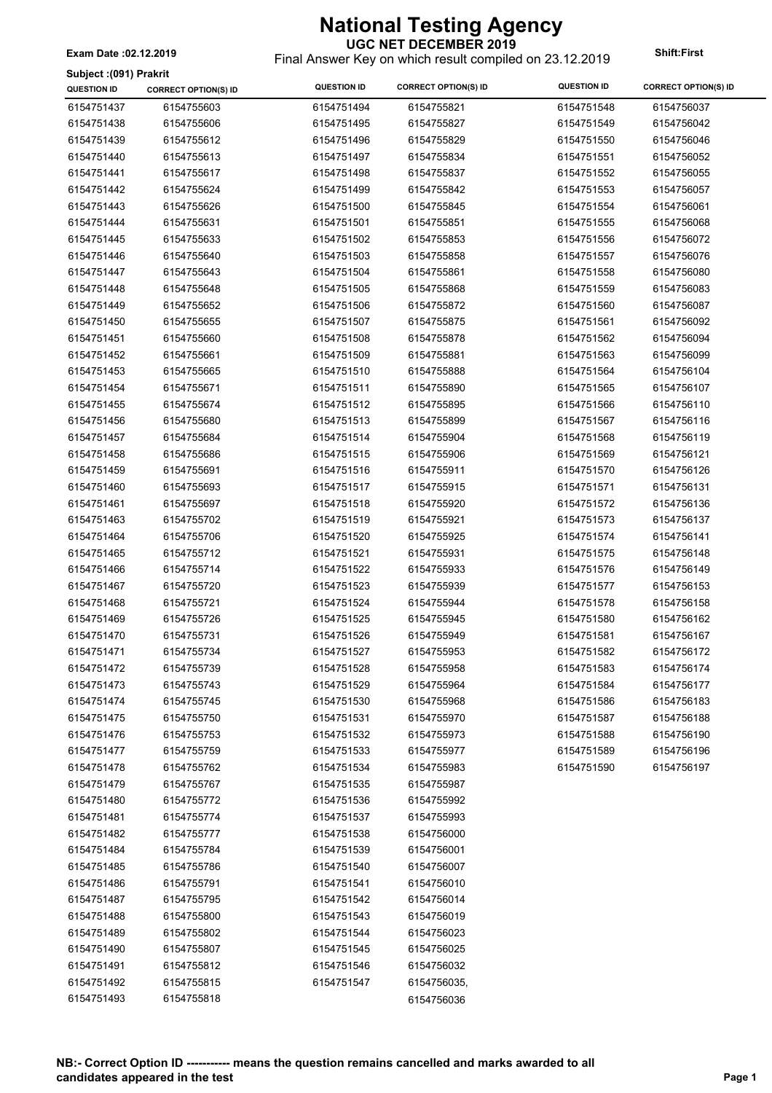**UGC NET DECEMBER 2019** Final Answer Key on which result compiled on 23.12.2019 **Exam Date :02.12.2019 Shift:First**

#### **Subject :(091) Prakrit**

| <b>JUDJECI (USI) FIANIIL</b><br><b>QUESTION ID</b> | <b>CORRECT OPTION(S) ID</b> | <b>QUESTION ID</b> | <b>CORRECT OPTION(S) ID</b> | <b>QUESTION ID</b> | <b>CORRECT OPTION(S) ID</b> |
|----------------------------------------------------|-----------------------------|--------------------|-----------------------------|--------------------|-----------------------------|
| 6154751437                                         | 6154755603                  | 6154751494         | 6154755821                  | 6154751548         | 6154756037                  |
| 6154751438                                         | 6154755606                  | 6154751495         | 6154755827                  | 6154751549         | 6154756042                  |
| 6154751439                                         | 6154755612                  | 6154751496         | 6154755829                  | 6154751550         | 6154756046                  |
| 6154751440                                         | 6154755613                  | 6154751497         | 6154755834                  | 6154751551         | 6154756052                  |
| 6154751441                                         | 6154755617                  | 6154751498         | 6154755837                  | 6154751552         | 6154756055                  |
| 6154751442                                         | 6154755624                  | 6154751499         | 6154755842                  | 6154751553         | 6154756057                  |
| 6154751443                                         | 6154755626                  | 6154751500         | 6154755845                  | 6154751554         | 6154756061                  |
| 6154751444                                         | 6154755631                  | 6154751501         | 6154755851                  | 6154751555         | 6154756068                  |
| 6154751445                                         | 6154755633                  | 6154751502         | 6154755853                  | 6154751556         | 6154756072                  |
| 6154751446                                         | 6154755640                  | 6154751503         | 6154755858                  | 6154751557         | 6154756076                  |
| 6154751447                                         | 6154755643                  | 6154751504         | 6154755861                  | 6154751558         | 6154756080                  |
| 6154751448                                         | 6154755648                  | 6154751505         | 6154755868                  | 6154751559         | 6154756083                  |
| 6154751449                                         | 6154755652                  | 6154751506         | 6154755872                  | 6154751560         | 6154756087                  |
| 6154751450                                         | 6154755655                  | 6154751507         | 6154755875                  | 6154751561         | 6154756092                  |
| 6154751451                                         | 6154755660                  | 6154751508         | 6154755878                  | 6154751562         | 6154756094                  |
| 6154751452                                         | 6154755661                  | 6154751509         | 6154755881                  | 6154751563         | 6154756099                  |
| 6154751453                                         | 6154755665                  | 6154751510         | 6154755888                  | 6154751564         | 6154756104                  |
| 6154751454                                         | 6154755671                  | 6154751511         | 6154755890                  | 6154751565         | 6154756107                  |
| 6154751455                                         | 6154755674                  | 6154751512         | 6154755895                  | 6154751566         | 6154756110                  |
| 6154751456                                         | 6154755680                  | 6154751513         | 6154755899                  | 6154751567         | 6154756116                  |
| 6154751457                                         | 6154755684                  | 6154751514         | 6154755904                  | 6154751568         | 6154756119                  |
| 6154751458                                         | 6154755686                  | 6154751515         | 6154755906                  | 6154751569         | 6154756121                  |
| 6154751459                                         | 6154755691                  | 6154751516         | 6154755911                  | 6154751570         | 6154756126                  |
| 6154751460                                         | 6154755693                  | 6154751517         | 6154755915                  | 6154751571         | 6154756131                  |
| 6154751461                                         | 6154755697                  | 6154751518         | 6154755920                  | 6154751572         | 6154756136                  |
| 6154751463                                         | 6154755702                  | 6154751519         | 6154755921                  | 6154751573         | 6154756137                  |
| 6154751464                                         | 6154755706                  | 6154751520         | 6154755925                  | 6154751574         | 6154756141                  |
| 6154751465                                         | 6154755712                  | 6154751521         | 6154755931                  | 6154751575         | 6154756148                  |
| 6154751466                                         | 6154755714                  | 6154751522         | 6154755933                  | 6154751576         | 6154756149                  |
| 6154751467                                         | 6154755720                  | 6154751523         | 6154755939                  | 6154751577         | 6154756153                  |
| 6154751468                                         | 6154755721                  | 6154751524         | 6154755944                  | 6154751578         | 6154756158                  |
| 6154751469                                         | 6154755726                  | 6154751525         | 6154755945                  | 6154751580         | 6154756162                  |
| 6154751470                                         | 6154755731                  | 6154751526         | 6154755949                  | 6154751581         | 6154756167                  |
| 6154751471                                         | 6154755734                  | 6154751527         | 6154755953                  | 6154751582         | 6154756172                  |
| 6154751472                                         | 6154755739                  | 6154751528         | 6154755958                  | 6154751583         | 6154756174                  |
| 6154751473                                         | 6154755743                  | 6154751529         | 6154755964                  | 6154751584         | 6154756177                  |
| 6154751474                                         | 6154755745                  | 6154751530         | 6154755968                  | 6154751586         | 6154756183                  |
| 6154751475                                         | 6154755750                  | 6154751531         | 6154755970                  | 6154751587         | 6154756188                  |
| 6154751476                                         | 6154755753                  | 6154751532         | 6154755973                  | 6154751588         | 6154756190                  |
| 6154751477                                         | 6154755759                  | 6154751533         | 6154755977                  | 6154751589         | 6154756196                  |
| 6154751478                                         | 6154755762                  | 6154751534         | 6154755983                  | 6154751590         | 6154756197                  |
| 6154751479                                         | 6154755767                  | 6154751535         | 6154755987                  |                    |                             |
| 6154751480                                         | 6154755772                  | 6154751536         | 6154755992                  |                    |                             |
| 6154751481                                         | 6154755774                  | 6154751537         | 6154755993                  |                    |                             |
| 6154751482                                         | 6154755777                  | 6154751538         | 6154756000                  |                    |                             |
| 6154751484                                         | 6154755784                  | 6154751539         | 6154756001                  |                    |                             |
| 6154751485                                         | 6154755786                  | 6154751540         | 6154756007                  |                    |                             |
| 6154751486                                         | 6154755791                  | 6154751541         | 6154756010                  |                    |                             |
| 6154751487                                         | 6154755795                  | 6154751542         | 6154756014                  |                    |                             |
| 6154751488                                         | 6154755800                  | 6154751543         | 6154756019                  |                    |                             |
| 6154751489                                         | 6154755802                  | 6154751544         | 6154756023                  |                    |                             |
| 6154751490                                         | 6154755807                  | 6154751545         | 6154756025                  |                    |                             |
| 6154751491                                         | 6154755812                  | 6154751546         | 6154756032                  |                    |                             |
| 6154751492                                         | 6154755815                  | 6154751547         | 6154756035,                 |                    |                             |
| 6154751493                                         | 6154755818                  |                    | 6154756036                  |                    |                             |
|                                                    |                             |                    |                             |                    |                             |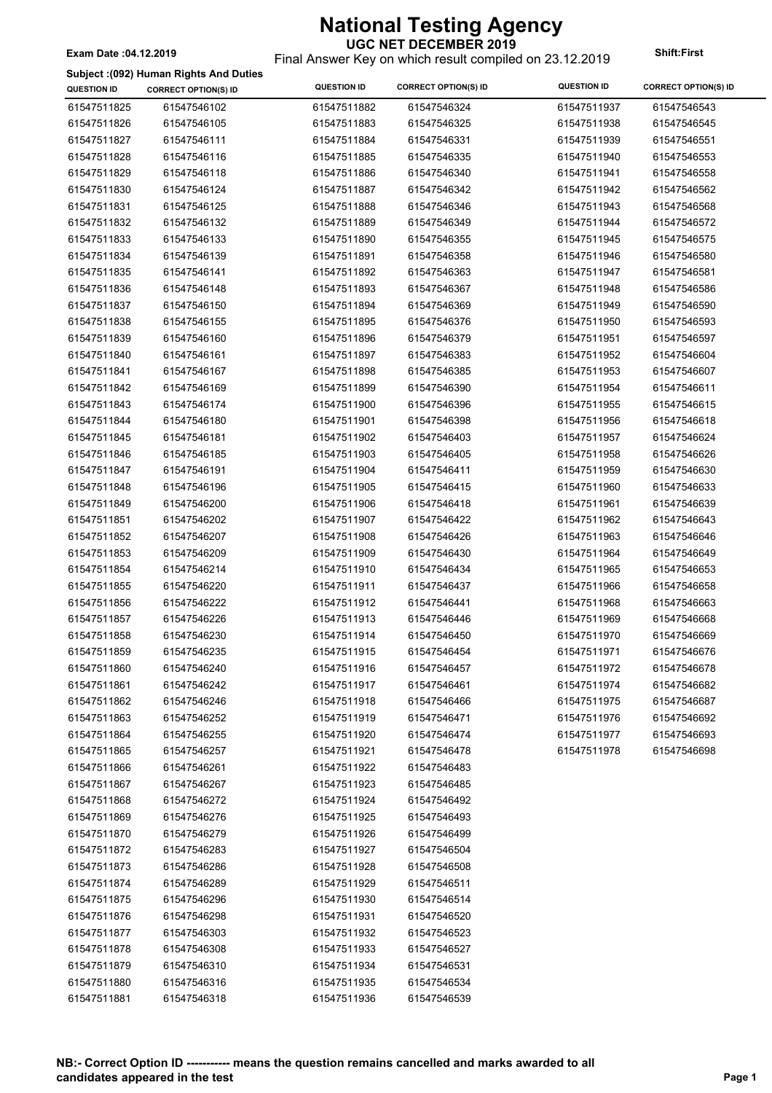#### **UGC NET DECEMBER 2019** Final Answer Key on which result compiled on 23.12.2019 **Exam Date :04.12.2019 Shift:First**

#### **Subject :(092) Human Rights And Duties**

| <b>QUESTION ID</b> | <b>CORRECT OPTION(S) ID</b> | <b>QUESTION ID</b> | <b>CORRECT OPTION(S) ID</b> | <b>QUESTION ID</b> | <b>CORRECT OPTION(S) ID</b> |
|--------------------|-----------------------------|--------------------|-----------------------------|--------------------|-----------------------------|
| 61547511825        | 61547546102                 | 61547511882        | 61547546324                 | 61547511937        | 61547546543                 |
| 61547511826        | 61547546105                 | 61547511883        | 61547546325                 | 61547511938        | 61547546545                 |
| 61547511827        | 61547546111                 | 61547511884        | 61547546331                 | 61547511939        | 61547546551                 |
| 61547511828        | 61547546116                 | 61547511885        | 61547546335                 | 61547511940        | 61547546553                 |
| 61547511829        | 61547546118                 | 61547511886        | 61547546340                 | 61547511941        | 61547546558                 |
| 61547511830        | 61547546124                 | 61547511887        | 61547546342                 | 61547511942        | 61547546562                 |
| 61547511831        | 61547546125                 | 61547511888        | 61547546346                 | 61547511943        | 61547546568                 |
| 61547511832        | 61547546132                 | 61547511889        | 61547546349                 | 61547511944        | 61547546572                 |
| 61547511833        | 61547546133                 | 61547511890        | 61547546355                 | 61547511945        | 61547546575                 |
| 61547511834        | 61547546139                 | 61547511891        | 61547546358                 | 61547511946        | 61547546580                 |
| 61547511835        | 61547546141                 | 61547511892        | 61547546363                 | 61547511947        | 61547546581                 |
| 61547511836        | 61547546148                 | 61547511893        | 61547546367                 | 61547511948        | 61547546586                 |
| 61547511837        | 61547546150                 | 61547511894        | 61547546369                 | 61547511949        | 61547546590                 |
| 61547511838        | 61547546155                 | 61547511895        | 61547546376                 | 61547511950        | 61547546593                 |
| 61547511839        | 61547546160                 | 61547511896        | 61547546379                 | 61547511951        | 61547546597                 |
| 61547511840        | 61547546161                 | 61547511897        | 61547546383                 | 61547511952        | 61547546604                 |
| 61547511841        | 61547546167                 | 61547511898        | 61547546385                 | 61547511953        | 61547546607                 |
| 61547511842        | 61547546169                 | 61547511899        | 61547546390                 | 61547511954        | 61547546611                 |
| 61547511843        | 61547546174                 | 61547511900        | 61547546396                 | 61547511955        | 61547546615                 |
| 61547511844        | 61547546180                 | 61547511901        | 61547546398                 | 61547511956        | 61547546618                 |
| 61547511845        | 61547546181                 | 61547511902        | 61547546403                 | 61547511957        | 61547546624                 |
| 61547511846        | 61547546185                 | 61547511903        | 61547546405                 | 61547511958        | 61547546626                 |
| 61547511847        | 61547546191                 | 61547511904        | 61547546411                 | 61547511959        | 61547546630                 |
| 61547511848        | 61547546196                 | 61547511905        | 61547546415                 | 61547511960        | 61547546633                 |
| 61547511849        | 61547546200                 | 61547511906        | 61547546418                 | 61547511961        | 61547546639                 |
| 61547511851        | 61547546202                 | 61547511907        | 61547546422                 | 61547511962        | 61547546643                 |
| 61547511852        | 61547546207                 | 61547511908        | 61547546426                 | 61547511963        | 61547546646                 |
| 61547511853        | 61547546209                 | 61547511909        | 61547546430                 | 61547511964        | 61547546649                 |
| 61547511854        | 61547546214                 | 61547511910        | 61547546434                 | 61547511965        | 61547546653                 |
| 61547511855        | 61547546220                 | 61547511911        | 61547546437                 | 61547511966        | 61547546658                 |
| 61547511856        | 61547546222                 | 61547511912        | 61547546441                 | 61547511968        | 61547546663                 |
| 61547511857        | 61547546226                 | 61547511913        | 61547546446                 | 61547511969        | 61547546668                 |
| 61547511858        | 61547546230                 | 61547511914        | 61547546450                 | 61547511970        | 61547546669                 |
| 61547511859        | 61547546235                 | 61547511915        | 61547546454                 | 61547511971        | 61547546676                 |
| 61547511860        | 61547546240                 | 61547511916        | 61547546457                 | 61547511972        | 61547546678                 |
| 61547511861        | 61547546242                 | 61547511917        | 61547546461                 | 61547511974        | 61547546682                 |
| 61547511862        | 61547546246                 | 61547511918        | 61547546466                 | 61547511975        | 61547546687                 |
| 61547511863        | 61547546252                 | 61547511919        | 61547546471                 | 61547511976        | 61547546692                 |
| 61547511864        | 61547546255                 | 61547511920        | 61547546474                 | 61547511977        | 61547546693                 |
| 61547511865        | 61547546257                 | 61547511921        | 61547546478                 | 61547511978        | 61547546698                 |
| 61547511866        | 61547546261                 | 61547511922        | 61547546483                 |                    |                             |
| 61547511867        | 61547546267                 | 61547511923        | 61547546485                 |                    |                             |
| 61547511868        | 61547546272                 | 61547511924        | 61547546492                 |                    |                             |
| 61547511869        | 61547546276                 | 61547511925        | 61547546493                 |                    |                             |
| 61547511870        | 61547546279                 | 61547511926        | 61547546499                 |                    |                             |
| 61547511872        | 61547546283                 | 61547511927        | 61547546504                 |                    |                             |
| 61547511873        | 61547546286                 | 61547511928        | 61547546508                 |                    |                             |
| 61547511874        | 61547546289                 | 61547511929        | 61547546511                 |                    |                             |
| 61547511875        | 61547546296                 | 61547511930        | 61547546514                 |                    |                             |
| 61547511876        | 61547546298                 | 61547511931        | 61547546520                 |                    |                             |
| 61547511877        | 61547546303                 | 61547511932        | 61547546523                 |                    |                             |
| 61547511878        | 61547546308                 | 61547511933        | 61547546527                 |                    |                             |
| 61547511879        | 61547546310                 | 61547511934        | 61547546531                 |                    |                             |
| 61547511880        | 61547546316                 | 61547511935        | 61547546534                 |                    |                             |
| 61547511881        | 61547546318                 | 61547511936        | 61547546539                 |                    |                             |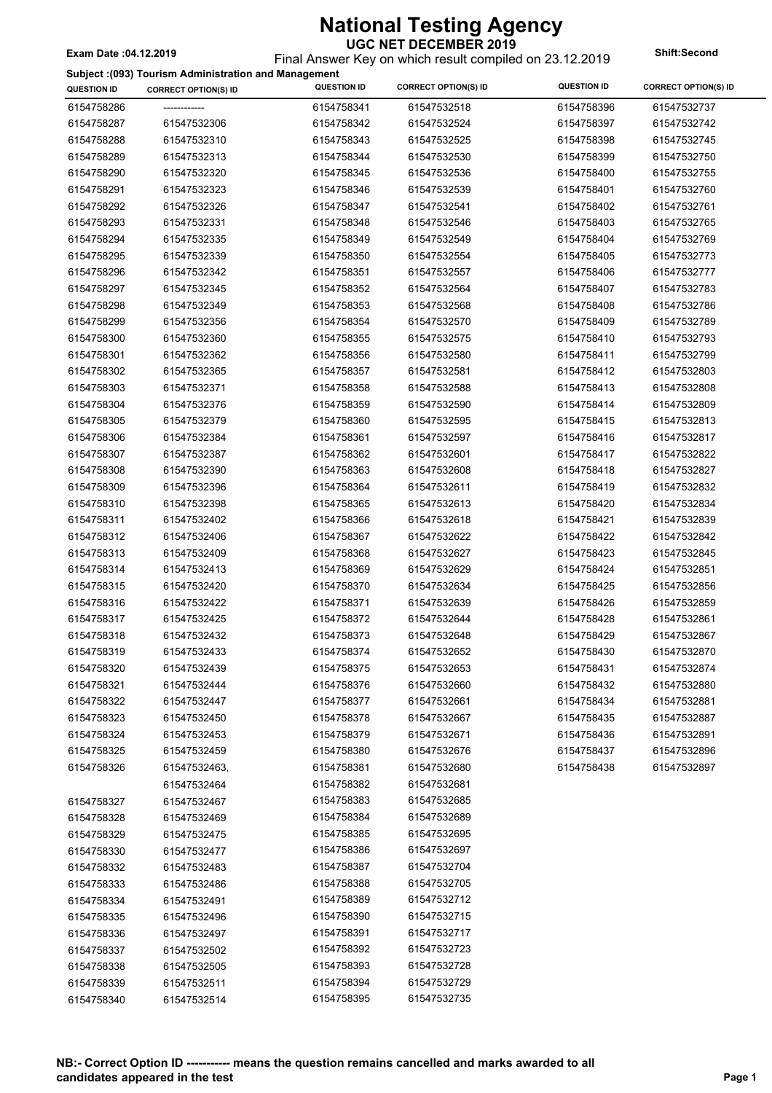| <b>National Testing Agency</b> |
|--------------------------------|
| <b>UGC NET DECEMBER 2019</b>   |

**UGC NET DECEMBER 2019** Final Answer Key on which result compiled on 23.12.2019 **Exam Date :04.12.2019 Shift:Second**

**CORRECT OPTION(S) ID QUESTION ID QUESTION ID CORRECT OPTION(S) ID QUESTION ID CORRECT OPTION(S) ID**

**Subject :(093) Tourism Administration and Management**

| 6154758286 | ------------- | 6154758341 | 61547532518 | 6154758396 | 61547532737 |
|------------|---------------|------------|-------------|------------|-------------|
| 6154758287 | 61547532306   | 6154758342 | 61547532524 | 6154758397 | 61547532742 |
| 6154758288 | 61547532310   | 6154758343 | 61547532525 | 6154758398 | 61547532745 |
| 6154758289 | 61547532313   | 6154758344 | 61547532530 | 6154758399 | 61547532750 |
| 6154758290 | 61547532320   | 6154758345 | 61547532536 | 6154758400 | 61547532755 |
| 6154758291 | 61547532323   | 6154758346 | 61547532539 | 6154758401 | 61547532760 |
| 6154758292 | 61547532326   | 6154758347 | 61547532541 | 6154758402 | 61547532761 |
| 6154758293 | 61547532331   | 6154758348 | 61547532546 | 6154758403 | 61547532765 |
| 6154758294 | 61547532335   | 6154758349 | 61547532549 | 6154758404 | 61547532769 |
| 6154758295 | 61547532339   | 6154758350 | 61547532554 | 6154758405 | 61547532773 |
| 6154758296 | 61547532342   | 6154758351 | 61547532557 | 6154758406 | 61547532777 |
| 6154758297 | 61547532345   | 6154758352 | 61547532564 | 6154758407 | 61547532783 |
| 6154758298 | 61547532349   | 6154758353 | 61547532568 | 6154758408 | 61547532786 |
| 6154758299 | 61547532356   | 6154758354 | 61547532570 | 6154758409 | 61547532789 |
| 6154758300 | 61547532360   | 6154758355 | 61547532575 | 6154758410 | 61547532793 |
| 6154758301 | 61547532362   | 6154758356 | 61547532580 | 6154758411 | 61547532799 |
| 6154758302 | 61547532365   | 6154758357 | 61547532581 | 6154758412 | 61547532803 |
| 6154758303 | 61547532371   | 6154758358 | 61547532588 | 6154758413 | 61547532808 |
| 6154758304 | 61547532376   | 6154758359 | 61547532590 | 6154758414 | 61547532809 |
| 6154758305 | 61547532379   | 6154758360 | 61547532595 | 6154758415 | 61547532813 |
| 6154758306 | 61547532384   | 6154758361 | 61547532597 | 6154758416 | 61547532817 |
| 6154758307 | 61547532387   | 6154758362 | 61547532601 | 6154758417 | 61547532822 |
| 6154758308 | 61547532390   | 6154758363 | 61547532608 | 6154758418 | 61547532827 |
| 6154758309 | 61547532396   | 6154758364 | 61547532611 | 6154758419 | 61547532832 |
| 6154758310 | 61547532398   | 6154758365 | 61547532613 | 6154758420 | 61547532834 |
| 6154758311 | 61547532402   | 6154758366 | 61547532618 | 6154758421 | 61547532839 |
| 6154758312 | 61547532406   | 6154758367 | 61547532622 | 6154758422 | 61547532842 |
| 6154758313 | 61547532409   | 6154758368 | 61547532627 | 6154758423 | 61547532845 |
| 6154758314 | 61547532413   | 6154758369 | 61547532629 | 6154758424 | 61547532851 |
| 6154758315 | 61547532420   | 6154758370 | 61547532634 | 6154758425 | 61547532856 |
| 6154758316 | 61547532422   | 6154758371 | 61547532639 | 6154758426 | 61547532859 |
| 6154758317 | 61547532425   | 6154758372 | 61547532644 | 6154758428 | 61547532861 |
| 6154758318 | 61547532432   | 6154758373 | 61547532648 | 6154758429 | 61547532867 |
| 6154758319 | 61547532433   | 6154758374 | 61547532652 | 6154758430 | 61547532870 |
| 6154758320 | 61547532439   | 6154758375 | 61547532653 | 6154758431 | 61547532874 |
| 6154758321 | 61547532444   | 6154758376 | 61547532660 | 6154758432 | 61547532880 |
| 6154758322 | 61547532447   | 6154758377 | 61547532661 | 6154758434 | 61547532881 |
| 6154758323 | 61547532450   | 6154758378 | 61547532667 | 6154758435 | 61547532887 |
| 6154758324 | 61547532453   | 6154758379 | 61547532671 | 6154758436 | 61547532891 |
| 6154758325 | 61547532459   | 6154758380 | 61547532676 | 6154758437 | 61547532896 |
| 6154758326 | 61547532463,  | 6154758381 | 61547532680 | 6154758438 | 61547532897 |
|            | 61547532464   | 6154758382 | 61547532681 |            |             |
| 6154758327 | 61547532467   | 6154758383 | 61547532685 |            |             |
| 6154758328 | 61547532469   | 6154758384 | 61547532689 |            |             |
| 6154758329 | 61547532475   | 6154758385 | 61547532695 |            |             |
| 6154758330 | 61547532477   | 6154758386 | 61547532697 |            |             |
| 6154758332 | 61547532483   | 6154758387 | 61547532704 |            |             |
| 6154758333 | 61547532486   | 6154758388 | 61547532705 |            |             |
| 6154758334 | 61547532491   | 6154758389 | 61547532712 |            |             |
| 6154758335 | 61547532496   | 6154758390 | 61547532715 |            |             |
| 6154758336 | 61547532497   | 6154758391 | 61547532717 |            |             |
| 6154758337 | 61547532502   | 6154758392 | 61547532723 |            |             |
| 6154758338 | 61547532505   | 6154758393 | 61547532728 |            |             |
| 6154758339 | 61547532511   | 6154758394 | 61547532729 |            |             |
| 6154758340 | 61547532514   | 6154758395 | 61547532735 |            |             |
|            |               |            |             |            |             |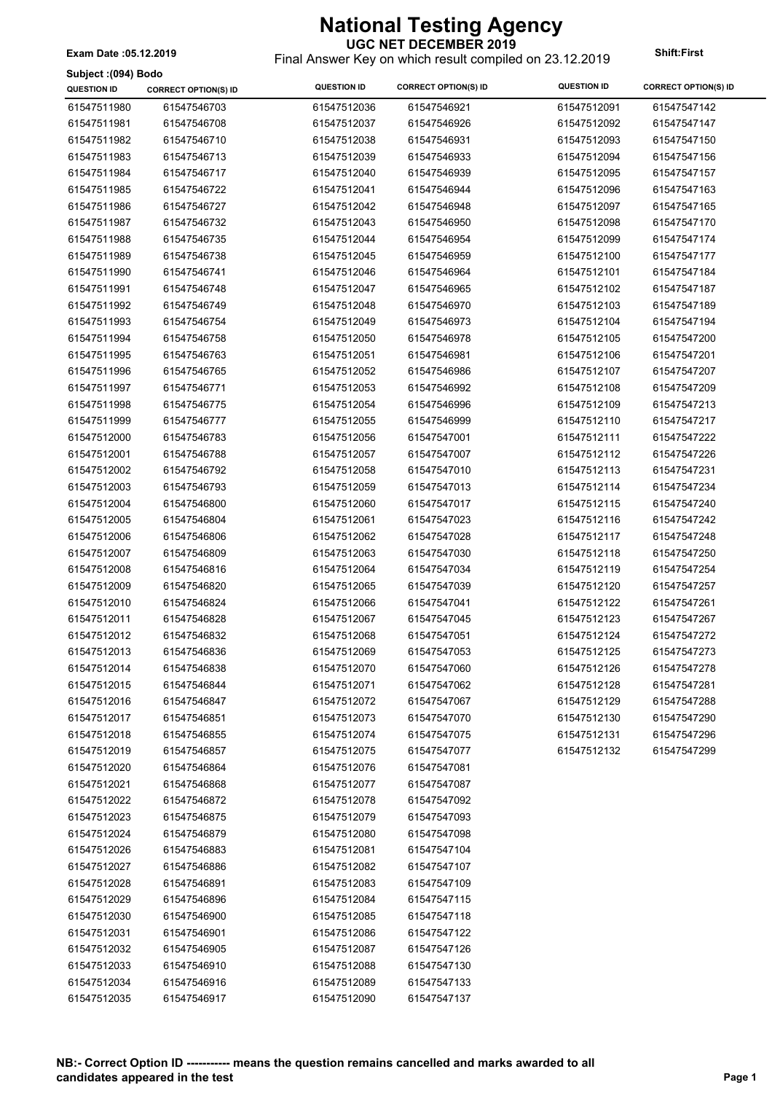**Subject :(094) Bodo**

### **UGC NET DECEMBER 2019**

Final Answer Key on which result compiled on 23.12.2019 **Exam Date :05.12.2019 Shift:First**

| <b>Subject</b> : (094) Bodo |                             |                            |                             |                    |                             |
|-----------------------------|-----------------------------|----------------------------|-----------------------------|--------------------|-----------------------------|
| <b>QUESTION ID</b>          | <b>CORRECT OPTION(S) ID</b> | <b>QUESTION ID</b>         | <b>CORRECT OPTION(S) ID</b> | <b>QUESTION ID</b> | <b>CORRECT OPTION(S) ID</b> |
| 61547511980                 | 61547546703                 | 61547512036                | 61547546921                 | 61547512091        | 61547547142                 |
| 61547511981                 | 61547546708                 | 61547512037                | 61547546926                 | 61547512092        | 61547547147                 |
| 61547511982                 | 61547546710                 | 61547512038                | 61547546931                 | 61547512093        | 61547547150                 |
| 61547511983                 | 61547546713                 | 61547512039                | 61547546933                 | 61547512094        | 61547547156                 |
| 61547511984                 | 61547546717                 | 61547512040                | 61547546939                 | 61547512095        | 61547547157                 |
| 61547511985                 | 61547546722                 | 61547512041                | 61547546944                 | 61547512096        | 61547547163                 |
| 61547511986                 | 61547546727                 | 61547512042                | 61547546948                 | 61547512097        | 61547547165                 |
| 61547511987                 | 61547546732                 | 61547512043                | 61547546950                 | 61547512098        | 61547547170                 |
| 61547511988                 | 61547546735                 | 61547512044                | 61547546954                 | 61547512099        | 61547547174                 |
| 61547511989                 | 61547546738                 | 61547512045                | 61547546959                 | 61547512100        | 61547547177                 |
| 61547511990                 | 61547546741                 | 61547512046                | 61547546964                 | 61547512101        | 61547547184                 |
| 61547511991                 | 61547546748                 | 61547512047                | 61547546965                 | 61547512102        | 61547547187                 |
| 61547511992                 | 61547546749                 | 61547512048                | 61547546970                 | 61547512103        | 61547547189                 |
| 61547511993                 | 61547546754                 | 61547512049                | 61547546973                 | 61547512104        | 61547547194                 |
| 61547511994                 | 61547546758                 | 61547512050                | 61547546978                 | 61547512105        | 61547547200                 |
| 61547511995                 | 61547546763                 | 61547512051                | 61547546981                 | 61547512106        | 61547547201                 |
| 61547511996                 | 61547546765                 | 61547512052                | 61547546986                 | 61547512107        | 61547547207                 |
| 61547511997                 | 61547546771                 | 61547512053                | 61547546992                 | 61547512108        | 61547547209                 |
| 61547511998                 | 61547546775                 | 61547512054                | 61547546996                 | 61547512109        | 61547547213                 |
| 61547511999                 | 61547546777                 | 61547512055                | 61547546999                 | 61547512110        | 61547547217                 |
| 61547512000                 | 61547546783                 | 61547512056                | 61547547001                 | 61547512111        | 61547547222                 |
| 61547512001                 | 61547546788                 | 61547512057                | 61547547007                 | 61547512112        | 61547547226                 |
| 61547512002                 | 61547546792                 | 61547512058                | 61547547010                 | 61547512113        | 61547547231                 |
| 61547512003                 | 61547546793                 | 61547512059                | 61547547013                 | 61547512114        | 61547547234                 |
| 61547512004                 | 61547546800                 | 61547512060                | 61547547017                 | 61547512115        | 61547547240                 |
| 61547512005                 | 61547546804                 | 61547512061                | 61547547023                 | 61547512116        | 61547547242                 |
| 61547512006                 | 61547546806                 | 61547512062                | 61547547028                 | 61547512117        | 61547547248                 |
| 61547512007                 | 61547546809                 | 61547512063                | 61547547030                 | 61547512118        | 61547547250                 |
|                             | 61547546816                 |                            |                             |                    | 61547547254                 |
| 61547512008<br>61547512009  | 61547546820                 | 61547512064<br>61547512065 | 61547547034<br>61547547039  | 61547512119        | 61547547257                 |
|                             |                             |                            | 61547547041                 | 61547512120        | 61547547261                 |
| 61547512010<br>61547512011  | 61547546824                 | 61547512066                |                             | 61547512122        |                             |
|                             | 61547546828                 | 61547512067                | 61547547045                 | 61547512123        | 61547547267                 |
| 61547512012                 | 61547546832                 | 61547512068                | 61547547051                 | 61547512124        | 61547547272                 |
| 61547512013                 | 61547546836                 | 61547512069                | 61547547053                 | 61547512125        | 61547547273                 |
| 61547512014                 | 61547546838                 | 61547512070                | 61547547060                 | 61547512126        | 61547547278                 |
| 61547512015                 | 61547546844                 | 61547512071                | 61547547062                 | 61547512128        | 61547547281                 |
| 61547512016                 | 61547546847                 | 61547512072                | 61547547067                 | 61547512129        | 61547547288                 |
| 61547512017                 | 61547546851                 | 61547512073                | 61547547070                 | 61547512130        | 61547547290                 |
| 61547512018                 | 61547546855                 | 61547512074                | 61547547075                 | 61547512131        | 61547547296                 |
| 61547512019                 | 61547546857                 | 61547512075                | 61547547077                 | 61547512132        | 61547547299                 |
| 61547512020                 | 61547546864                 | 61547512076                | 61547547081                 |                    |                             |
| 61547512021                 | 61547546868                 | 61547512077                | 61547547087                 |                    |                             |
| 61547512022                 | 61547546872                 | 61547512078                | 61547547092                 |                    |                             |
| 61547512023                 | 61547546875                 | 61547512079                | 61547547093                 |                    |                             |
| 61547512024                 | 61547546879                 | 61547512080                | 61547547098                 |                    |                             |
| 61547512026                 | 61547546883                 | 61547512081                | 61547547104                 |                    |                             |
| 61547512027                 | 61547546886                 | 61547512082                | 61547547107                 |                    |                             |
| 61547512028                 | 61547546891                 | 61547512083                | 61547547109                 |                    |                             |
| 61547512029                 | 61547546896                 | 61547512084                | 61547547115                 |                    |                             |
| 61547512030                 | 61547546900                 | 61547512085                | 61547547118                 |                    |                             |
| 61547512031                 | 61547546901                 | 61547512086                | 61547547122                 |                    |                             |
| 61547512032                 | 61547546905                 | 61547512087                | 61547547126                 |                    |                             |
| 61547512033                 | 61547546910                 | 61547512088                | 61547547130                 |                    |                             |
| 61547512034                 | 61547546916                 | 61547512089                | 61547547133                 |                    |                             |
| 61547512035                 | 61547546917                 | 61547512090                | 61547547137                 |                    |                             |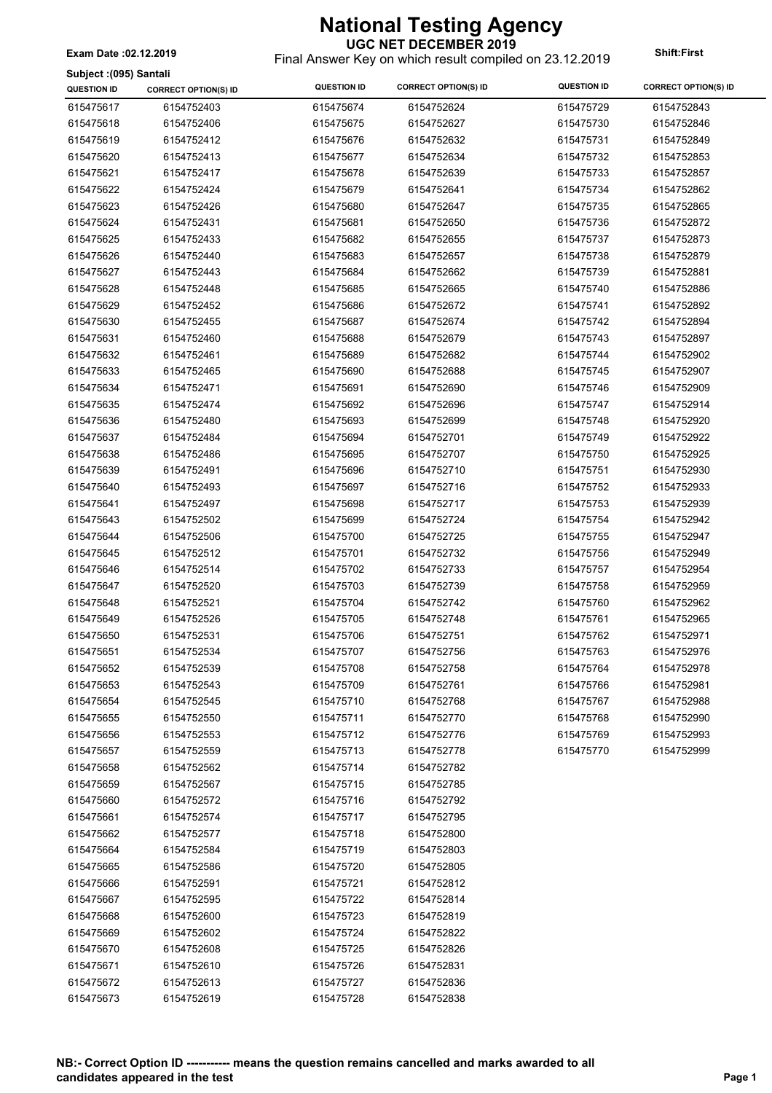**Subject :(095) Santali**

### **UGC NET DECEMBER 2019**

Final Answer Key on which result compiled on 23.12.2019 **Exam Date :02.12.2019 Shift:First**

| <b>QUESTION ID</b> | <b>CORRECT OPTION(S) ID</b> | <b>QUESTION ID</b> | <b>CORRECT OPTION(S) ID</b> | <b>QUESTION ID</b> | <b>CORRECT OPTION(S) ID</b> |
|--------------------|-----------------------------|--------------------|-----------------------------|--------------------|-----------------------------|
| 615475617          | 6154752403                  | 615475674          | 6154752624                  | 615475729          | 6154752843                  |
| 615475618          | 6154752406                  | 615475675          | 6154752627                  | 615475730          | 6154752846                  |
| 615475619          | 6154752412                  | 615475676          | 6154752632                  | 615475731          | 6154752849                  |
| 615475620          | 6154752413                  | 615475677          | 6154752634                  | 615475732          | 6154752853                  |
| 615475621          | 6154752417                  | 615475678          | 6154752639                  | 615475733          | 6154752857                  |
| 615475622          | 6154752424                  | 615475679          | 6154752641                  | 615475734          | 6154752862                  |
| 615475623          | 6154752426                  | 615475680          | 6154752647                  | 615475735          | 6154752865                  |
| 615475624          | 6154752431                  | 615475681          | 6154752650                  | 615475736          | 6154752872                  |
| 615475625          | 6154752433                  | 615475682          | 6154752655                  | 615475737          | 6154752873                  |
| 615475626          | 6154752440                  | 615475683          | 6154752657                  | 615475738          | 6154752879                  |
| 615475627          | 6154752443                  | 615475684          | 6154752662                  | 615475739          | 6154752881                  |
| 615475628          | 6154752448                  | 615475685          | 6154752665                  | 615475740          | 6154752886                  |
| 615475629          | 6154752452                  | 615475686          | 6154752672                  | 615475741          | 6154752892                  |
| 615475630          | 6154752455                  | 615475687          | 6154752674                  | 615475742          | 6154752894                  |
| 615475631          | 6154752460                  | 615475688          | 6154752679                  | 615475743          | 6154752897                  |
| 615475632          | 6154752461                  | 615475689          | 6154752682                  | 615475744          | 6154752902                  |
| 615475633          | 6154752465                  | 615475690          | 6154752688                  | 615475745          | 6154752907                  |
| 615475634          | 6154752471                  | 615475691          | 6154752690                  | 615475746          | 6154752909                  |
| 615475635          | 6154752474                  | 615475692          | 6154752696                  | 615475747          | 6154752914                  |
| 615475636          | 6154752480                  | 615475693          | 6154752699                  | 615475748          | 6154752920                  |
| 615475637          | 6154752484                  | 615475694          | 6154752701                  | 615475749          | 6154752922                  |
| 615475638          | 6154752486                  | 615475695          | 6154752707                  | 615475750          | 6154752925                  |
| 615475639          | 6154752491                  | 615475696          | 6154752710                  | 615475751          | 6154752930                  |
| 615475640          | 6154752493                  | 615475697          | 6154752716                  | 615475752          | 6154752933                  |
| 615475641          | 6154752497                  | 615475698          | 6154752717                  | 615475753          | 6154752939                  |
| 615475643          | 6154752502                  | 615475699          | 6154752724                  | 615475754          | 6154752942                  |
| 615475644          | 6154752506                  | 615475700          | 6154752725                  | 615475755          | 6154752947                  |
| 615475645          | 6154752512                  | 615475701          | 6154752732                  | 615475756          | 6154752949                  |
| 615475646          | 6154752514                  | 615475702          | 6154752733                  | 615475757          | 6154752954                  |
| 615475647          | 6154752520                  | 615475703          | 6154752739                  | 615475758          | 6154752959                  |
| 615475648          | 6154752521                  | 615475704          | 6154752742                  | 615475760          | 6154752962                  |
| 615475649          | 6154752526                  | 615475705          | 6154752748                  | 615475761          | 6154752965                  |
| 615475650          | 6154752531                  | 615475706          | 6154752751                  | 615475762          | 6154752971                  |
| 615475651          | 6154752534                  | 615475707          | 6154752756                  | 615475763          | 6154752976                  |
| 615475652          | 6154752539                  | 615475708          | 6154752758                  | 615475764          | 6154752978                  |
| 615475653          | 6154752543                  | 615475709          | 6154752761                  | 615475766          | 6154752981                  |
| 615475654          | 6154752545                  | 615475710          | 6154752768                  | 615475767          | 6154752988                  |
| 615475655          | 6154752550                  | 615475711          | 6154752770                  | 615475768          | 6154752990                  |
| 615475656          | 6154752553                  | 615475712          | 6154752776                  | 615475769          | 6154752993                  |
| 615475657          | 6154752559                  | 615475713          | 6154752778                  | 615475770          | 6154752999                  |
| 615475658          | 6154752562                  | 615475714          | 6154752782                  |                    |                             |
| 615475659          | 6154752567                  | 615475715          | 6154752785                  |                    |                             |
| 615475660          | 6154752572                  | 615475716          | 6154752792                  |                    |                             |
| 615475661          | 6154752574                  | 615475717          | 6154752795                  |                    |                             |
| 615475662          | 6154752577                  | 615475718          | 6154752800                  |                    |                             |
| 615475664          | 6154752584                  | 615475719          | 6154752803                  |                    |                             |
| 615475665          | 6154752586                  | 615475720          | 6154752805                  |                    |                             |
| 615475666          | 6154752591                  | 615475721          | 6154752812                  |                    |                             |
| 615475667          | 6154752595                  | 615475722          | 6154752814                  |                    |                             |
| 615475668          | 6154752600                  | 615475723          | 6154752819                  |                    |                             |
| 615475669          | 6154752602                  | 615475724          | 6154752822                  |                    |                             |
| 615475670          | 6154752608                  | 615475725          | 6154752826                  |                    |                             |
| 615475671          | 6154752610                  | 615475726          | 6154752831                  |                    |                             |
| 615475672          | 6154752613                  | 615475727          | 6154752836                  |                    |                             |
| 615475673          | 6154752619                  | 615475728          | 6154752838                  |                    |                             |
|                    |                             |                    |                             |                    |                             |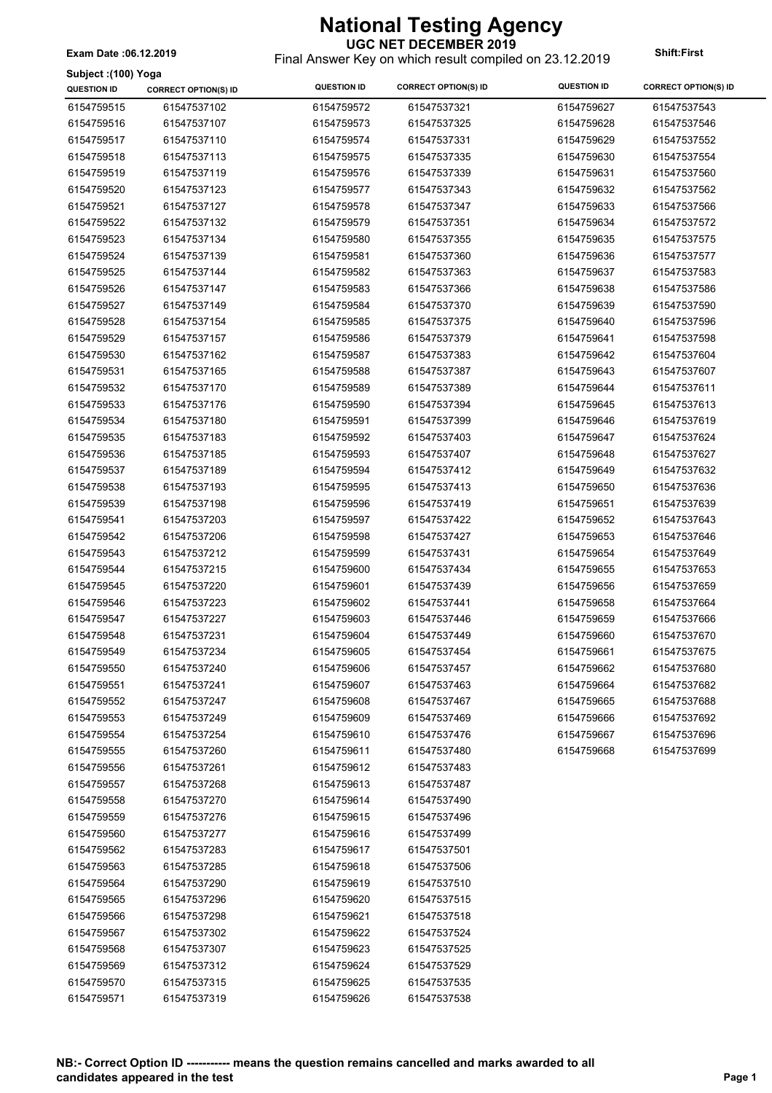### **National Testing Agency UGC NET DECEMBER 2019**

Final Answer Key on which result compiled on 23.12.2019 **Exam Date :06.12.2019 Shift:First**

| Subject: (100) Yoga |                             |                    |                             |                    |                             |
|---------------------|-----------------------------|--------------------|-----------------------------|--------------------|-----------------------------|
| <b>QUESTION ID</b>  | <b>CORRECT OPTION(S) ID</b> | <b>QUESTION ID</b> | <b>CORRECT OPTION(S) ID</b> | <b>QUESTION ID</b> | <b>CORRECT OPTION(S) ID</b> |
| 6154759515          | 61547537102                 | 6154759572         | 61547537321                 | 6154759627         | 61547537543                 |
| 6154759516          | 61547537107                 | 6154759573         | 61547537325                 | 6154759628         | 61547537546                 |
| 6154759517          | 61547537110                 | 6154759574         | 61547537331                 | 6154759629         | 61547537552                 |
| 6154759518          | 61547537113                 | 6154759575         | 61547537335                 | 6154759630         | 61547537554                 |
| 6154759519          | 61547537119                 | 6154759576         | 61547537339                 | 6154759631         | 61547537560                 |
| 6154759520          | 61547537123                 | 6154759577         | 61547537343                 | 6154759632         | 61547537562                 |
| 6154759521          | 61547537127                 | 6154759578         | 61547537347                 | 6154759633         | 61547537566                 |
| 6154759522          | 61547537132                 | 6154759579         | 61547537351                 | 6154759634         | 61547537572                 |
| 6154759523          | 61547537134                 | 6154759580         | 61547537355                 | 6154759635         | 61547537575                 |
| 6154759524          | 61547537139                 | 6154759581         | 61547537360                 | 6154759636         | 61547537577                 |
| 6154759525          | 61547537144                 | 6154759582         | 61547537363                 | 6154759637         | 61547537583                 |
| 6154759526          | 61547537147                 | 6154759583         | 61547537366                 | 6154759638         | 61547537586                 |
| 6154759527          | 61547537149                 | 6154759584         | 61547537370                 | 6154759639         | 61547537590                 |
| 6154759528          | 61547537154                 | 6154759585         | 61547537375                 | 6154759640         | 61547537596                 |
| 6154759529          | 61547537157                 | 6154759586         | 61547537379                 | 6154759641         | 61547537598                 |
| 6154759530          | 61547537162                 | 6154759587         | 61547537383                 | 6154759642         | 61547537604                 |
| 6154759531          | 61547537165                 | 6154759588         | 61547537387                 | 6154759643         | 61547537607                 |
| 6154759532          | 61547537170                 | 6154759589         | 61547537389                 | 6154759644         | 61547537611                 |
| 6154759533          | 61547537176                 | 6154759590         | 61547537394                 | 6154759645         | 61547537613                 |
| 6154759534          | 61547537180                 | 6154759591         | 61547537399                 | 6154759646         | 61547537619                 |
| 6154759535          | 61547537183                 | 6154759592         | 61547537403                 | 6154759647         | 61547537624                 |
| 6154759536          | 61547537185                 | 6154759593         | 61547537407                 | 6154759648         | 61547537627                 |
| 6154759537          | 61547537189                 | 6154759594         | 61547537412                 | 6154759649         | 61547537632                 |
| 6154759538          | 61547537193                 | 6154759595         | 61547537413                 | 6154759650         | 61547537636                 |
| 6154759539          | 61547537198                 | 6154759596         | 61547537419                 | 6154759651         | 61547537639                 |
| 6154759541          | 61547537203                 | 6154759597         | 61547537422                 | 6154759652         | 61547537643                 |
|                     |                             |                    |                             |                    |                             |
| 6154759542          | 61547537206                 | 6154759598         | 61547537427                 | 6154759653         | 61547537646                 |
| 6154759543          | 61547537212                 | 6154759599         | 61547537431                 | 6154759654         | 61547537649                 |
| 6154759544          | 61547537215                 | 6154759600         | 61547537434                 | 6154759655         | 61547537653                 |
| 6154759545          | 61547537220                 | 6154759601         | 61547537439                 | 6154759656         | 61547537659                 |
| 6154759546          | 61547537223                 | 6154759602         | 61547537441                 | 6154759658         | 61547537664                 |
| 6154759547          | 61547537227                 | 6154759603         | 61547537446                 | 6154759659         | 61547537666                 |
| 6154759548          | 61547537231                 | 6154759604         | 61547537449                 | 6154759660         | 61547537670                 |
| 6154759549          | 61547537234                 | 6154759605         | 61547537454                 | 6154759661         | 61547537675                 |
| 6154759550          | 61547537240                 | 6154759606         | 61547537457                 | 6154759662         | 61547537680                 |
| 6154759551          | 61547537241                 | 6154759607         | 61547537463                 | 6154759664         | 61547537682                 |
| 6154759552          | 61547537247                 | 6154759608         | 61547537467                 | 6154759665         | 61547537688                 |
| 6154759553          | 61547537249                 | 6154759609         | 61547537469                 | 6154759666         | 61547537692                 |
| 6154759554          | 61547537254                 | 6154759610         | 61547537476                 | 6154759667         | 61547537696                 |
| 6154759555          | 61547537260                 | 6154759611         | 61547537480                 | 6154759668         | 61547537699                 |
| 6154759556          | 61547537261                 | 6154759612         | 61547537483                 |                    |                             |
| 6154759557          | 61547537268                 | 6154759613         | 61547537487                 |                    |                             |
| 6154759558          | 61547537270                 | 6154759614         | 61547537490                 |                    |                             |
| 6154759559          | 61547537276                 | 6154759615         | 61547537496                 |                    |                             |
| 6154759560          | 61547537277                 | 6154759616         | 61547537499                 |                    |                             |
| 6154759562          | 61547537283                 | 6154759617         | 61547537501                 |                    |                             |
| 6154759563          | 61547537285                 | 6154759618         | 61547537506                 |                    |                             |
| 6154759564          | 61547537290                 | 6154759619         | 61547537510                 |                    |                             |
| 6154759565          | 61547537296                 | 6154759620         | 61547537515                 |                    |                             |
| 6154759566          | 61547537298                 | 6154759621         | 61547537518                 |                    |                             |
| 6154759567          | 61547537302                 | 6154759622         | 61547537524                 |                    |                             |
| 6154759568          | 61547537307                 | 6154759623         | 61547537525                 |                    |                             |
| 6154759569          | 61547537312                 | 6154759624         | 61547537529                 |                    |                             |
| 6154759570          | 61547537315                 | 6154759625         | 61547537535                 |                    |                             |

6154759626 61547537538

6154759571 61547537319